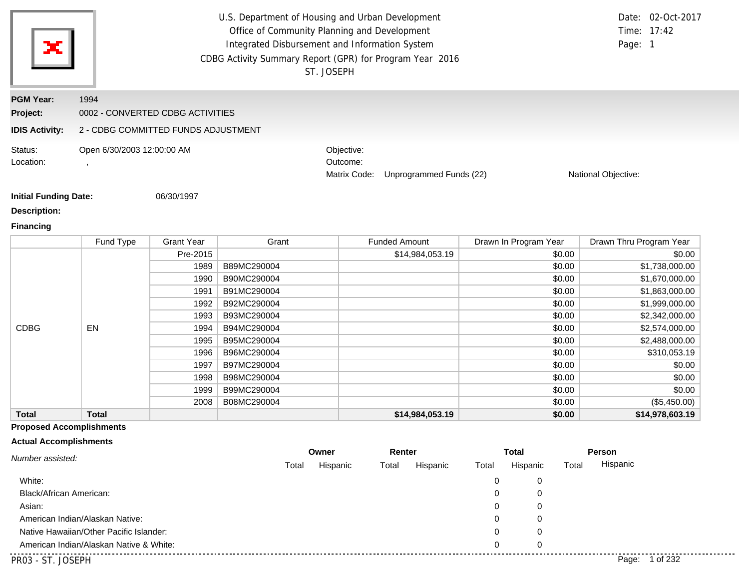| ж                            |                                     |                   | U.S. Department of Housing and Urban Development<br>Office of Community Planning and Development<br>Integrated Disbursement and Information System<br>CDBG Activity Summary Report (GPR) for Program Year 2016<br>ST. JOSEPH |                                        |                         |                       | Time: 17:42<br>Page: 1  | Date: 02-Oct-2017 |
|------------------------------|-------------------------------------|-------------------|------------------------------------------------------------------------------------------------------------------------------------------------------------------------------------------------------------------------------|----------------------------------------|-------------------------|-----------------------|-------------------------|-------------------|
| <b>PGM Year:</b>             | 1994                                |                   |                                                                                                                                                                                                                              |                                        |                         |                       |                         |                   |
| Project:                     | 0002 - CONVERTED CDBG ACTIVITIES    |                   |                                                                                                                                                                                                                              |                                        |                         |                       |                         |                   |
| <b>IDIS Activity:</b>        | 2 - CDBG COMMITTED FUNDS ADJUSTMENT |                   |                                                                                                                                                                                                                              |                                        |                         |                       |                         |                   |
| Status:<br>Location:         | Open 6/30/2003 12:00:00 AM          |                   |                                                                                                                                                                                                                              | Objective:<br>Outcome:<br>Matrix Code: | Unprogrammed Funds (22) |                       | National Objective:     |                   |
| <b>Initial Funding Date:</b> |                                     | 06/30/1997        |                                                                                                                                                                                                                              |                                        |                         |                       |                         |                   |
| <b>Description:</b>          |                                     |                   |                                                                                                                                                                                                                              |                                        |                         |                       |                         |                   |
| <b>Financing</b>             |                                     |                   |                                                                                                                                                                                                                              |                                        |                         |                       |                         |                   |
|                              | Fund Type                           | <b>Grant Year</b> | Grant                                                                                                                                                                                                                        |                                        | <b>Funded Amount</b>    | Drawn In Program Year | Drawn Thru Program Year |                   |

|              | Fund Type    | <b>Grant Year</b> | Grant       | <b>Funded Amount</b> | Drawn In Program Year | Drawn Thru Program Year |
|--------------|--------------|-------------------|-------------|----------------------|-----------------------|-------------------------|
|              |              | Pre-2015          |             | \$14,984,053.19      | \$0.00                | \$0.00                  |
|              |              | 1989              | B89MC290004 |                      | \$0.00                | \$1,738,000.00          |
|              |              | 1990              | B90MC290004 |                      | \$0.00                | \$1,670,000.00          |
|              |              | 1991              | B91MC290004 |                      | \$0.00                | \$1,863,000.00          |
|              |              | 1992              | B92MC290004 |                      | \$0.00                | \$1,999,000.00          |
|              |              | 1993              | B93MC290004 |                      | \$0.00                | \$2,342,000.00          |
| <b>CDBG</b>  | <b>EN</b>    | 1994              | B94MC290004 |                      | \$0.00                | \$2,574,000.00          |
|              |              | 1995              | B95MC290004 |                      | \$0.00                | \$2,488,000.00          |
|              |              | 1996              | B96MC290004 |                      | \$0.00                | \$310,053.19            |
|              |              | 1997              | B97MC290004 |                      | \$0.00                | \$0.00                  |
|              |              | 1998              | B98MC290004 |                      | \$0.00                | \$0.00                  |
|              |              | 1999              | B99MC290004 |                      | \$0.00                | \$0.00                  |
|              |              | 2008              | B08MC290004 |                      | \$0.00                | (\$5,450.00)            |
| <b>Total</b> | <b>Total</b> |                   |             | \$14,984,053.19      | \$0.00                | \$14,978,603.19         |

## **Proposed Accomplishments**

#### **Actual Accomplishments**

| Number assisted:                        | Owner |          | Renter |          | <b>Total</b> |          |       | Person            |
|-----------------------------------------|-------|----------|--------|----------|--------------|----------|-------|-------------------|
|                                         | Total | Hispanic | Total  | Hispanic | Total        | Hispanic | Total | Hispanic          |
| White:                                  |       |          |        |          | 0            | 0        |       |                   |
| Black/African American:                 |       |          |        |          | 0            | 0        |       |                   |
| Asian:                                  |       |          |        |          | 0            | 0        |       |                   |
| American Indian/Alaskan Native:         |       |          |        |          | 0            | 0        |       |                   |
| Native Hawaiian/Other Pacific Islander: |       |          |        |          | 0            | 0        |       |                   |
| American Indian/Alaskan Native & White: |       |          |        |          | 0            | 0        |       |                   |
| PR03 - ST. JOSEPH                       |       |          |        |          |              |          |       | 1 of 232<br>Page: |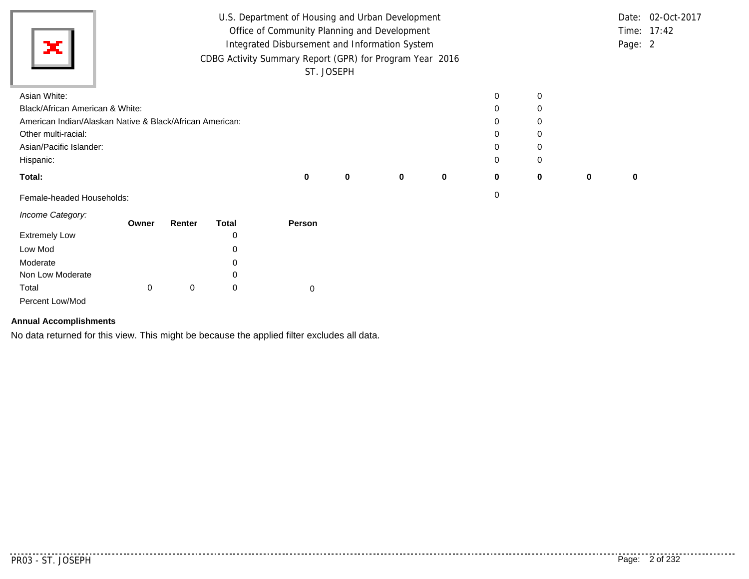| ×                               | U.S. Department of Housing and Urban Development<br>Office of Community Planning and Development<br>Integrated Disbursement and Information System<br>CDBG Activity Summary Report (GPR) for Program Year 2016 |   | ST. JOSEPH |   |             |             |   |   | Page: 2 | Date: 02-Oct-2017<br>Time: 17:42 |
|---------------------------------|----------------------------------------------------------------------------------------------------------------------------------------------------------------------------------------------------------------|---|------------|---|-------------|-------------|---|---|---------|----------------------------------|
| Asian White:                    |                                                                                                                                                                                                                |   |            |   |             | 0           | 0 |   |         |                                  |
| Black/African American & White: |                                                                                                                                                                                                                |   |            |   |             | 0           |   |   |         |                                  |
|                                 | American Indian/Alaskan Native & Black/African American:                                                                                                                                                       |   |            |   |             | 0           | 0 |   |         |                                  |
| Other multi-racial:             |                                                                                                                                                                                                                |   |            |   |             | $\mathbf 0$ |   |   |         |                                  |
| Asian/Pacific Islander:         |                                                                                                                                                                                                                |   |            |   |             | 0           | 0 |   |         |                                  |
| Hispanic:                       |                                                                                                                                                                                                                |   |            |   |             | 0           | 0 |   |         |                                  |
| Total:                          |                                                                                                                                                                                                                | 0 | 0          | 0 | $\mathbf 0$ | 0           | 0 | 0 | 0       |                                  |
| Female-headed Households:       |                                                                                                                                                                                                                |   |            |   |             | 0           |   |   |         |                                  |

*Income Category:*

| <i><b>INTO DUCTOR</b></i> | Owner | Renter | Total | Person |
|---------------------------|-------|--------|-------|--------|
| <b>Extremely Low</b>      |       |        | 0     |        |
| Low Mod                   |       |        | 0     |        |
| Moderate                  |       |        | 0     |        |
| Non Low Moderate          |       |        | 0     |        |
| Total                     | 0     | 0      | 0     |        |
| Percent Low/Mod           |       |        |       |        |

#### **Annual Accomplishments**

No data returned for this view. This might be because the applied filter excludes all data.

. . . . . . . . . . . . . . .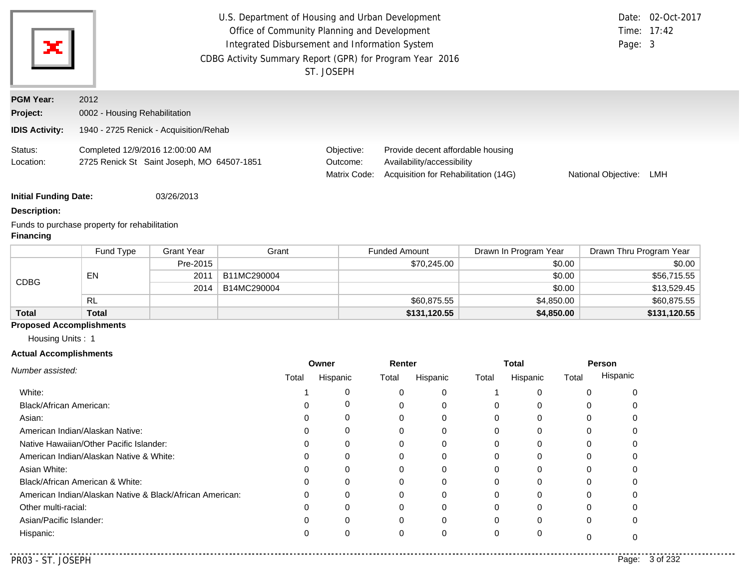| ×                            | U.S. Department of Housing and Urban Development<br>Office of Community Planning and Development<br>Integrated Disbursement and Information System<br>CDBG Activity Summary Report (GPR) for Program Year 2016 | ST. JOSEPH                             |                                                                                                         | Page: 3             | Date: 02-Oct-2017<br>Time: 17:42 |
|------------------------------|----------------------------------------------------------------------------------------------------------------------------------------------------------------------------------------------------------------|----------------------------------------|---------------------------------------------------------------------------------------------------------|---------------------|----------------------------------|
| <b>PGM Year:</b><br>Project: | 2012<br>0002 - Housing Rehabilitation                                                                                                                                                                          |                                        |                                                                                                         |                     |                                  |
| <b>IDIS Activity:</b>        | 1940 - 2725 Renick - Acquisition/Rehab                                                                                                                                                                         |                                        |                                                                                                         |                     |                                  |
| Status:<br>Location:         | Completed 12/9/2016 12:00:00 AM<br>2725 Renick St Saint Joseph, MO 64507-1851                                                                                                                                  | Objective:<br>Outcome:<br>Matrix Code: | Provide decent affordable housing<br>Availability/accessibility<br>Acquisition for Rehabilitation (14G) | National Objective: | LMH                              |

**Initial Funding Date:** 03/26/2013

#### **Description:**

Funds to purchase property for rehabilitation

## **Financing**

|              | Fund Type | <b>Grant Year</b> | Grant       | <b>Funded Amount</b> | Drawn In Program Year | Drawn Thru Program Year |
|--------------|-----------|-------------------|-------------|----------------------|-----------------------|-------------------------|
| <b>CDBG</b>  |           | Pre-2015          |             | \$70,245.00          | \$0.00                | \$0.00                  |
|              | EN        | 2011              | B11MC290004 |                      | \$0.00                | \$56,715.55             |
|              |           | 2014              | B14MC290004 |                      | \$0.00                | \$13,529.45             |
|              | RL        |                   |             | \$60,875.55          | \$4,850.00            | \$60,875.55             |
| <b>Total</b> | Total     |                   |             | \$131,120.55         | \$4,850.00            | \$131,120.55            |

# **Proposed Accomplishments**

Housing Units : 1

## **Actual Accomplishments**

|                                                          | Owner |          | Renter |          |       | <b>Total</b> | Person |          |
|----------------------------------------------------------|-------|----------|--------|----------|-------|--------------|--------|----------|
| Number assisted:                                         | Total | Hispanic | Total  | Hispanic | Total | Hispanic     | Total  | Hispanic |
| White:                                                   |       |          |        | $\Omega$ |       |              |        |          |
| Black/African American:                                  |       | U        | 0      | 0        |       |              | 0      |          |
| Asian:                                                   |       |          |        | 0        |       |              |        |          |
| American Indian/Alaskan Native:                          |       | 0        | 0      | $\Omega$ |       |              | O      |          |
| Native Hawaiian/Other Pacific Islander:                  |       |          |        | 0        |       |              |        |          |
| American Indian/Alaskan Native & White:                  |       |          |        | $\Omega$ |       |              |        |          |
| Asian White:                                             |       |          |        | $\Omega$ |       |              |        |          |
| Black/African American & White:                          |       |          |        | $\Omega$ |       |              | U      |          |
| American Indian/Alaskan Native & Black/African American: | 0     | 0        |        | $\Omega$ |       |              |        |          |
| Other multi-racial:                                      |       |          |        | $\Omega$ |       |              |        |          |
| Asian/Pacific Islander:                                  |       | 0        | 0      | $\Omega$ |       |              | 0      |          |
| Hispanic:                                                |       |          | 0      | $\Omega$ |       |              |        |          |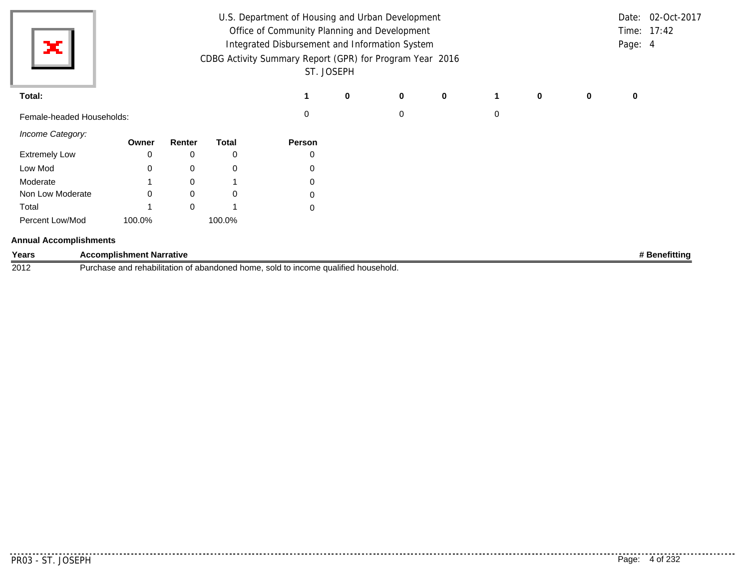| ×                             |                                 |        |              | U.S. Department of Housing and Urban Development<br>Office of Community Planning and Development<br>Integrated Disbursement and Information System<br>CDBG Activity Summary Report (GPR) for Program Year 2016<br>ST. JOSEPH |   |          |   |             |             |             | Page: 4 | Date: 02-Oct-2017<br>Time: 17:42 |
|-------------------------------|---------------------------------|--------|--------------|------------------------------------------------------------------------------------------------------------------------------------------------------------------------------------------------------------------------------|---|----------|---|-------------|-------------|-------------|---------|----------------------------------|
| Total:                        |                                 |        |              |                                                                                                                                                                                                                              | 0 | $\bf{0}$ | 0 |             | $\mathbf 0$ | $\mathbf 0$ | 0       |                                  |
| Female-headed Households:     |                                 |        |              | 0                                                                                                                                                                                                                            |   | 0        |   | $\mathbf 0$ |             |             |         |                                  |
| Income Category:              | Owner                           | Renter | <b>Total</b> | Person                                                                                                                                                                                                                       |   |          |   |             |             |             |         |                                  |
| <b>Extremely Low</b>          |                                 | 0      | 0            | 0                                                                                                                                                                                                                            |   |          |   |             |             |             |         |                                  |
| Low Mod                       |                                 | 0      | 0            | 0                                                                                                                                                                                                                            |   |          |   |             |             |             |         |                                  |
| Moderate                      |                                 | 0      |              | 0                                                                                                                                                                                                                            |   |          |   |             |             |             |         |                                  |
| Non Low Moderate              |                                 | 0      | 0            | 0                                                                                                                                                                                                                            |   |          |   |             |             |             |         |                                  |
| Total                         |                                 | 0      |              | 0                                                                                                                                                                                                                            |   |          |   |             |             |             |         |                                  |
| Percent Low/Mod               | 100.0%                          |        | 100.0%       |                                                                                                                                                                                                                              |   |          |   |             |             |             |         |                                  |
| <b>Annual Accomplishments</b> |                                 |        |              |                                                                                                                                                                                                                              |   |          |   |             |             |             |         |                                  |
| Years                         | <b>Accomplishment Narrative</b> |        |              |                                                                                                                                                                                                                              |   |          |   |             |             |             |         | # Benefitting                    |
| 2012                          |                                 |        |              | Purchase and rehabilitation of abandoned home, sold to income qualified household.                                                                                                                                           |   |          |   |             |             |             |         |                                  |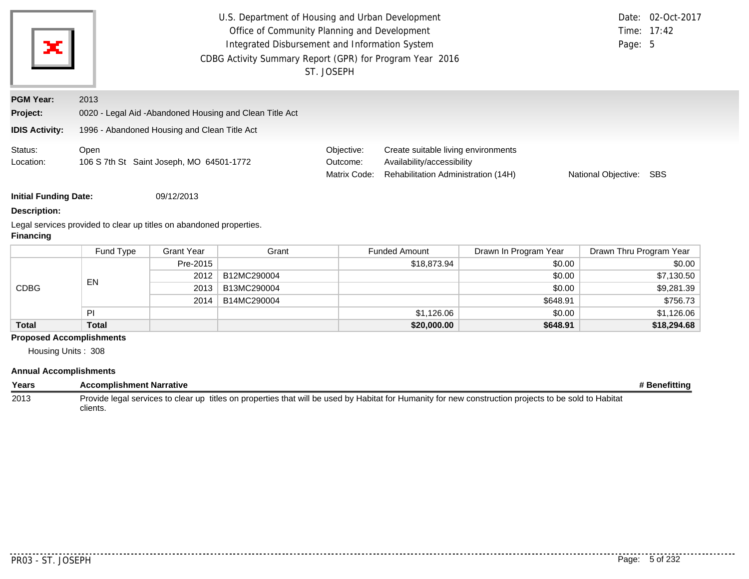| $\mathbf{x}'$                                         | U.S. Department of Housing and Urban Development<br>Office of Community Planning and Development<br>Integrated Disbursement and Information System<br>CDBG Activity Summary Report (GPR) for Program Year 2016 | ST. JOSEPH                             |                                                                                                          | Page: 5             | Date: 02-Oct-2017<br>Time: 17:42 |
|-------------------------------------------------------|----------------------------------------------------------------------------------------------------------------------------------------------------------------------------------------------------------------|----------------------------------------|----------------------------------------------------------------------------------------------------------|---------------------|----------------------------------|
| <b>PGM Year:</b><br>Project:<br><b>IDIS Activity:</b> | 2013<br>0020 - Legal Aid - Abandoned Housing and Clean Title Act<br>1996 - Abandoned Housing and Clean Title Act                                                                                               |                                        |                                                                                                          |                     |                                  |
| Status:<br>Location:                                  | Open<br>106 S 7th St Saint Joseph, MO 64501-1772                                                                                                                                                               | Objective:<br>Outcome:<br>Matrix Code: | Create suitable living environments<br>Availability/accessibility<br>Rehabilitation Administration (14H) | National Objective: | SBS                              |

**Initial Funding Date:** 09/12/2013

#### **Description:**

Legal services provided to clear up titles on abandoned properties. **Financing**

|              | Fund Type | <b>Grant Year</b> | Grant       | <b>Funded Amount</b> | Drawn In Program Year | Drawn Thru Program Year |
|--------------|-----------|-------------------|-------------|----------------------|-----------------------|-------------------------|
|              |           | Pre-2015          |             | \$18,873.94          | \$0.00                | \$0.00                  |
| <b>CDBG</b>  | EN        | 2012              | B12MC290004 |                      | \$0.00                | \$7,130.50              |
|              |           | 2013              | B13MC290004 |                      | \$0.00                | \$9,281.39              |
|              |           | 2014              | B14MC290004 |                      | \$648.91              | \$756.73                |
|              | ÞI        |                   |             | \$1,126.06           | \$0.00                | \$1,126.06              |
| <b>Total</b> | Total     |                   |             | \$20,000.00          | \$648.91              | \$18,294.68             |

## **Proposed Accomplishments**

Housing Units : 308

#### **Annual Accomplishments**

| Years | <b>Accomplishment Narrative</b>                                                                                                                                   | Benefitting |
|-------|-------------------------------------------------------------------------------------------------------------------------------------------------------------------|-------------|
| 2013  | Provide legal services to clear up titles on properties that will be used by Habitat for Humanity for new construction projects to be sold to Habitat<br>clients. |             |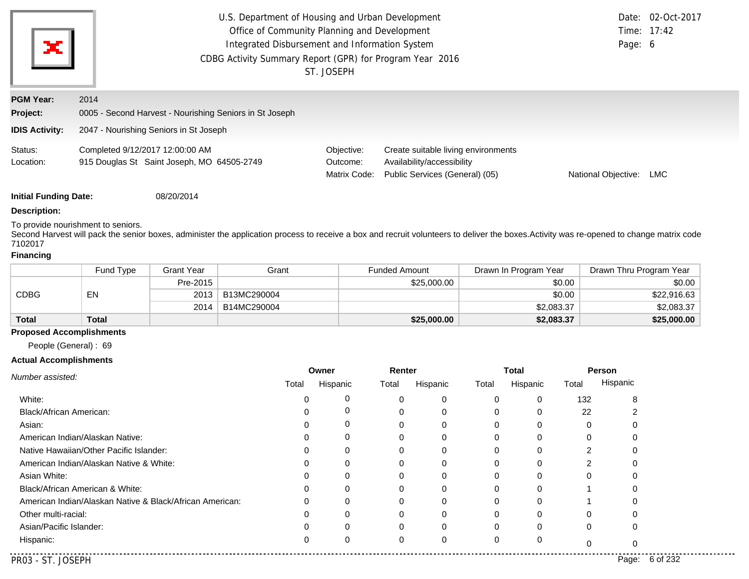| ×                            |                                                                               | U.S. Department of Housing and Urban Development<br>Office of Community Planning and Development<br>Integrated Disbursement and Information System<br>CDBG Activity Summary Report (GPR) for Program Year 2016<br>ST. JOSEPH |                                                                                                     |                     |     |  |  |  |  |
|------------------------------|-------------------------------------------------------------------------------|------------------------------------------------------------------------------------------------------------------------------------------------------------------------------------------------------------------------------|-----------------------------------------------------------------------------------------------------|---------------------|-----|--|--|--|--|
| <b>PGM Year:</b><br>Project: | 2014<br>0005 - Second Harvest - Nourishing Seniors in St Joseph               |                                                                                                                                                                                                                              |                                                                                                     |                     |     |  |  |  |  |
| <b>IDIS Activity:</b>        | 2047 - Nourishing Seniors in St Joseph                                        |                                                                                                                                                                                                                              |                                                                                                     |                     |     |  |  |  |  |
| Status:<br>Location:         | Completed 9/12/2017 12:00:00 AM<br>915 Douglas St Saint Joseph, MO 64505-2749 | Objective:<br>Outcome:<br>Matrix Code:                                                                                                                                                                                       | Create suitable living environments<br>Availability/accessibility<br>Public Services (General) (05) | National Objective: | LMC |  |  |  |  |

**Initial Funding Date:** 08/20/2014

#### **Description:**

To provide nourishment to seniors.

Second Harvest will pack the senior boxes, administer the application process to receive a box and recruit volunteers to deliver the boxes.
Activity was re-opened to change matrix code 7102017

# **Financing**

|              | Fund Type | Grant Year | Grant       | <b>Funded Amount</b> | Drawn In Program Year | Drawn Thru Program Year |
|--------------|-----------|------------|-------------|----------------------|-----------------------|-------------------------|
|              |           | Pre-2015   |             | \$25,000.00          | \$0.00                | \$0.00                  |
| CDBG         | EN        | 2013       | B13MC290004 |                      | \$0.00                | \$22,916.63             |
|              |           | 2014       | B14MC290004 |                      | \$2,083.37            | \$2,083.37              |
| <b>Total</b> | Total     |            |             | \$25,000.00          | \$2,083.37            | \$25,000.00             |

## **Proposed Accomplishments**

People (General) : 69

#### **Actual Accomplishments**

|                                                          |       | Owner    | Renter |          |       | Total    |       | <b>Person</b>     |
|----------------------------------------------------------|-------|----------|--------|----------|-------|----------|-------|-------------------|
| Number assisted:                                         | Total | Hispanic | Total  | Hispanic | Total | Hispanic | Total | Hispanic          |
| White:                                                   |       |          |        |          | 0     | 0        | 132   | 8                 |
| <b>Black/African American:</b>                           |       |          |        |          |       |          | 22    |                   |
| Asian:                                                   |       |          |        |          | 0     | 0        | 0     |                   |
| American Indian/Alaskan Native:                          |       | 0        |        |          |       |          |       |                   |
| Native Hawaiian/Other Pacific Islander:                  |       |          |        |          |       |          |       |                   |
| American Indian/Alaskan Native & White:                  |       |          |        |          | 0     | 0        |       |                   |
| Asian White:                                             |       |          |        |          |       |          |       |                   |
| Black/African American & White:                          |       |          |        |          | 0     | 0        |       |                   |
| American Indian/Alaskan Native & Black/African American: |       |          |        |          |       |          |       |                   |
| Other multi-racial:                                      |       |          |        |          | 0     | 0        | 0     |                   |
| Asian/Pacific Islander:                                  |       |          |        |          |       |          | 0     | 0                 |
| Hispanic:                                                | 0     | 0        | 0      |          | 0     | 0        |       | 0                 |
| PR03 - ST. JOSEPH                                        |       |          |        |          |       |          |       | 6 of 232<br>Page: |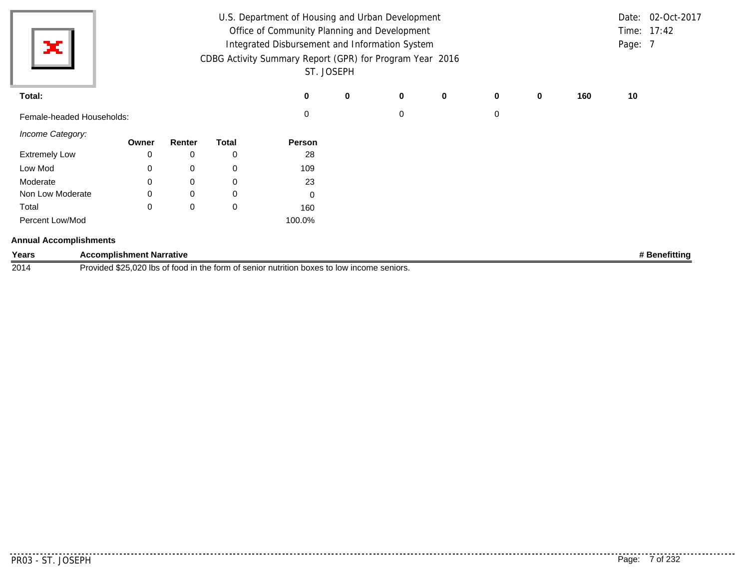|                           |       |        |              | U.S. Department of Housing and Urban Development         |            |             |             |             |             |     |         | Date: 02-Oct-2017 |
|---------------------------|-------|--------|--------------|----------------------------------------------------------|------------|-------------|-------------|-------------|-------------|-----|---------|-------------------|
|                           |       |        |              | Office of Community Planning and Development             |            |             |             |             |             |     |         | Time: 17:42       |
| ×                         |       |        |              | Integrated Disbursement and Information System           |            |             |             |             |             |     | Page: 7 |                   |
|                           |       |        |              | CDBG Activity Summary Report (GPR) for Program Year 2016 |            |             |             |             |             |     |         |                   |
|                           |       |        |              |                                                          | ST. JOSEPH |             |             |             |             |     |         |                   |
| Total:                    |       |        |              | 0                                                        | $\bf{0}$   | $\mathbf 0$ | $\mathbf 0$ | $\mathbf 0$ | $\mathbf 0$ | 160 | 10      |                   |
| Female-headed Households: |       |        |              | 0                                                        |            | 0           |             | $\mathbf 0$ |             |     |         |                   |
| Income Category:          | Owner | Renter | <b>Total</b> | Person                                                   |            |             |             |             |             |     |         |                   |
| <b>Extremely Low</b>      | 0     | 0      | 0            | 28                                                       |            |             |             |             |             |     |         |                   |
| Low Mod                   | 0     | 0      | 0            | 109                                                      |            |             |             |             |             |     |         |                   |
| Moderate                  | 0     | 0      | 0            | 23                                                       |            |             |             |             |             |     |         |                   |
| Non Low Moderate          | 0     | 0      | 0            | 0                                                        |            |             |             |             |             |     |         |                   |
| Total                     | 0     | 0      | 0            | 160                                                      |            |             |             |             |             |     |         |                   |
| Percent Low/Mod           |       |        |              | 100.0%                                                   |            |             |             |             |             |     |         |                   |

**Years Accomplishment Narrative # Benefitting** 2014 Provided \$25,020 lbs of food in the form of senior nutrition boxes to low income seniors.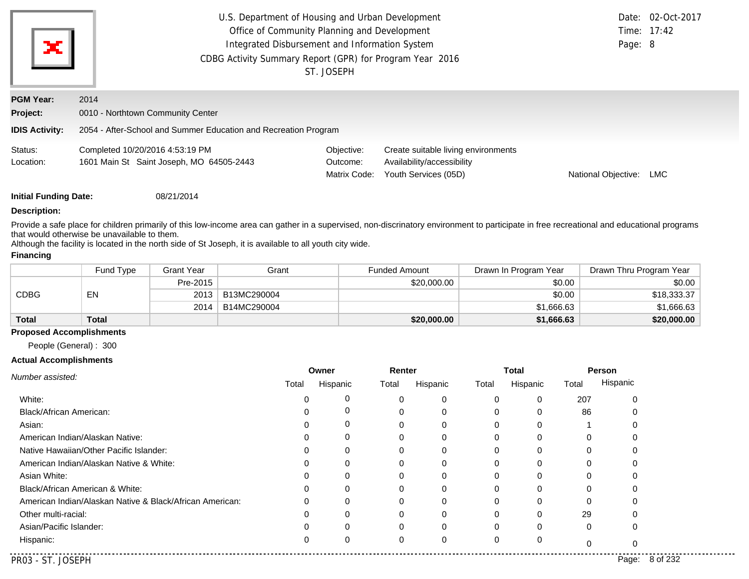| ×                            | U.S. Department of Housing and Urban Development<br>Office of Community Planning and Development<br>Integrated Disbursement and Information System<br>CDBG Activity Summary Report (GPR) for Program Year 2016<br>ST. JOSEPH |                                        |                                                                                           |                     |     |  |  |  |
|------------------------------|------------------------------------------------------------------------------------------------------------------------------------------------------------------------------------------------------------------------------|----------------------------------------|-------------------------------------------------------------------------------------------|---------------------|-----|--|--|--|
| <b>PGM Year:</b><br>Project: | 2014<br>0010 - Northtown Community Center                                                                                                                                                                                    |                                        |                                                                                           |                     |     |  |  |  |
| <b>IDIS Activity:</b>        | 2054 - After-School and Summer Education and Recreation Program                                                                                                                                                              |                                        |                                                                                           |                     |     |  |  |  |
| Status:<br>Location:         | Completed 10/20/2016 4:53:19 PM<br>1601 Main St Saint Joseph, MO 64505-2443                                                                                                                                                  | Objective:<br>Outcome:<br>Matrix Code: | Create suitable living environments<br>Availability/accessibility<br>Youth Services (05D) | National Objective: | LMC |  |  |  |
| <b>Initial Funding Date:</b> |                                                                                                                                                                                                                              |                                        |                                                                                           |                     |     |  |  |  |

#### **Description:**

Provide a safe place for children primarily of this low-income area can gather in a supervised, non-discrinatory environment to participate in free recreational and educational programs that would otherwise be unavailable to them.

Although the facility is located in the north side of St Joseph, it is available to all youth city wide.

## **Financing**

|              | Fund Type    | Grant Year | Grant       | <b>Funded Amount</b> | Drawn In Program Year | Drawn Thru Program Year |
|--------------|--------------|------------|-------------|----------------------|-----------------------|-------------------------|
|              |              | Pre-2015   |             | \$20,000.00          | \$0.00                | \$0.00                  |
| <b>CDBG</b>  | EN           | 2013       | B13MC290004 |                      | \$0.00                | \$18,333.37             |
|              |              | 2014       | B14MC290004 |                      | \$1,666.63            | \$1,666,63              |
| <b>Total</b> | <b>Total</b> |            |             | \$20,000.00          | \$1,666.63            | \$20,000.00             |

#### **Proposed Accomplishments**

People (General) : 300

#### **Actual Accomplishments**

|                                                          |       | Owner    | Renter   |          |          | Total    | Person |          |
|----------------------------------------------------------|-------|----------|----------|----------|----------|----------|--------|----------|
| Number assisted:                                         | Total | Hispanic | Total    | Hispanic | Total    | Hispanic | Total  | Hispanic |
| White:                                                   |       |          | 0        | 0        | 0        | $\Omega$ | 207    |          |
| Black/African American:                                  |       |          | 0        | 0        | 0        | 0        | 86     |          |
| Asian:                                                   |       |          | 0        |          |          |          |        |          |
| American Indian/Alaskan Native:                          |       | 0        | 0        | 0        | 0        | 0        |        |          |
| Native Hawaiian/Other Pacific Islander:                  |       |          | 0        |          |          |          |        |          |
| American Indian/Alaskan Native & White:                  |       | C        | 0        | 0        |          | $\Omega$ |        |          |
| Asian White:                                             |       |          | 0        | 0        |          | $\Omega$ |        |          |
| Black/African American & White:                          |       |          | 0        | 0        |          | $\Omega$ |        |          |
| American Indian/Alaskan Native & Black/African American: |       | O        | 0        | 0        | 0        |          |        |          |
| Other multi-racial:                                      |       |          | 0        | 0        |          |          | 29     |          |
| Asian/Pacific Islander:                                  |       | ∩        | $\Omega$ | $\Omega$ | $\Omega$ | $\Omega$ | 0      |          |
| Hispanic:                                                |       | C        | 0        | 0        | 0        |          |        |          |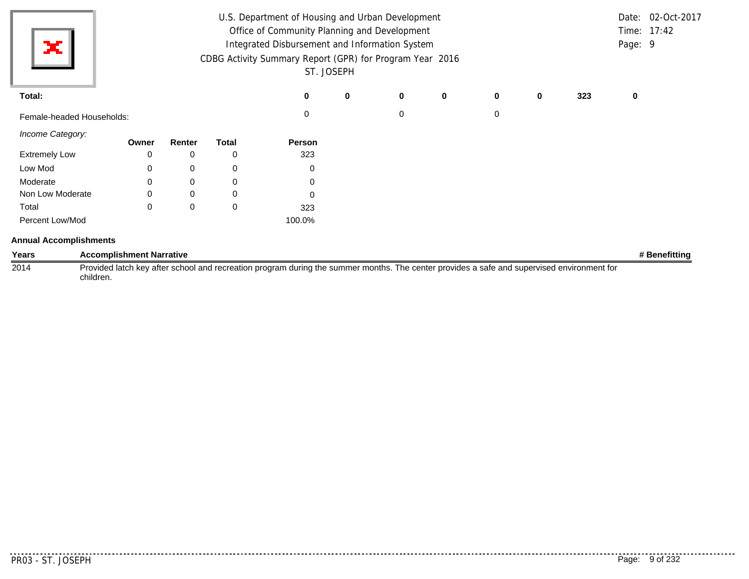|                               |                                 |             |              | U.S. Department of Housing and Urban Development         |            |   |             |             |   |     |         | Date: 02-Oct-2017 |
|-------------------------------|---------------------------------|-------------|--------------|----------------------------------------------------------|------------|---|-------------|-------------|---|-----|---------|-------------------|
|                               |                                 |             |              | Office of Community Planning and Development             |            |   |             |             |   |     |         | Time: 17:42       |
| ЭC.                           |                                 |             |              | Integrated Disbursement and Information System           |            |   |             |             |   |     | Page: 9 |                   |
|                               |                                 |             |              | CDBG Activity Summary Report (GPR) for Program Year 2016 |            |   |             |             |   |     |         |                   |
|                               |                                 |             |              |                                                          | ST. JOSEPH |   |             |             |   |     |         |                   |
| Total:                        |                                 |             |              | 0                                                        | 0          | 0 | $\mathbf 0$ | $\mathbf 0$ | 0 | 323 | 0       |                   |
| Female-headed Households:     |                                 |             |              | 0                                                        |            | 0 |             | 0           |   |     |         |                   |
| Income Category:              |                                 |             | <b>Total</b> |                                                          |            |   |             |             |   |     |         |                   |
| <b>Extremely Low</b>          | Owner<br>0                      | Renter<br>0 | 0            | Person<br>323                                            |            |   |             |             |   |     |         |                   |
| Low Mod                       | 0                               | 0           | 0            | 0                                                        |            |   |             |             |   |     |         |                   |
| Moderate                      | 0                               | 0           | 0            | 0                                                        |            |   |             |             |   |     |         |                   |
| Non Low Moderate              | 0                               | 0           | 0            | 0                                                        |            |   |             |             |   |     |         |                   |
| Total                         | $\Omega$                        | 0           | 0            | 323                                                      |            |   |             |             |   |     |         |                   |
| Percent Low/Mod               |                                 |             |              | 100.0%                                                   |            |   |             |             |   |     |         |                   |
| <b>Annual Accomplishments</b> |                                 |             |              |                                                          |            |   |             |             |   |     |         |                   |
| Years                         | <b>Accomplishment Narrative</b> |             |              |                                                          |            |   |             |             |   |     |         | # Benefitting     |

2014 Provided latch key after school and recreation program during the summer months. The center provides a safe and supervised environment for children.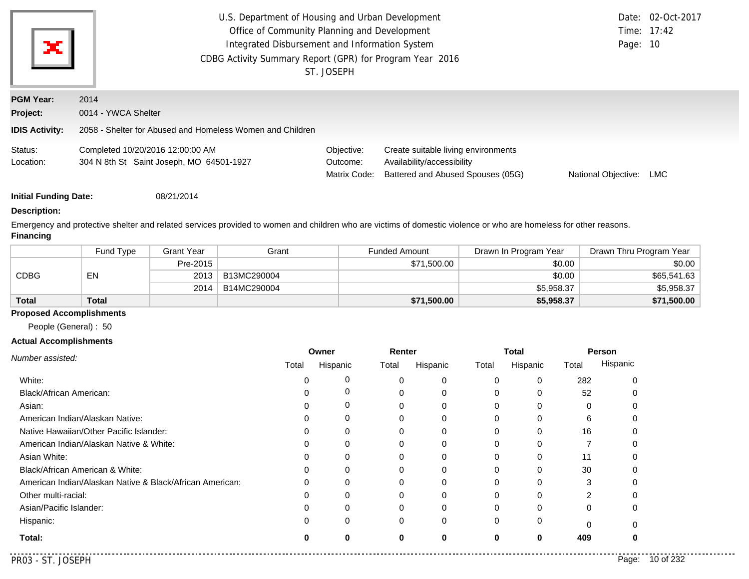| ×                            | U.S. Department of Housing and Urban Development<br>Office of Community Planning and Development<br>Integrated Disbursement and Information System<br>CDBG Activity Summary Report (GPR) for Program Year 2016<br>ST. JOSEPH |              | Page: 10                            | Date: 02-Oct-2017<br>Time: 17:42 |     |
|------------------------------|------------------------------------------------------------------------------------------------------------------------------------------------------------------------------------------------------------------------------|--------------|-------------------------------------|----------------------------------|-----|
| <b>PGM Year:</b>             | 2014                                                                                                                                                                                                                         |              |                                     |                                  |     |
| Project:                     | 0014 - YWCA Shelter                                                                                                                                                                                                          |              |                                     |                                  |     |
| <b>IDIS Activity:</b>        | 2058 - Shelter for Abused and Homeless Women and Children                                                                                                                                                                    |              |                                     |                                  |     |
| Status:                      | Completed 10/20/2016 12:00:00 AM                                                                                                                                                                                             | Objective:   | Create suitable living environments |                                  |     |
| Location:                    | 304 N 8th St Saint Joseph, MO 64501-1927                                                                                                                                                                                     | Outcome:     | Availability/accessibility          |                                  |     |
|                              |                                                                                                                                                                                                                              | Matrix Code: | Battered and Abused Spouses (05G)   | National Objective:              | LMC |
| <b>Initial Funding Date:</b> | 08/21/2014                                                                                                                                                                                                                   |              |                                     |                                  |     |
| <b>Description:</b>          |                                                                                                                                                                                                                              |              |                                     |                                  |     |

Emergency and protective shelter and related services provided to women and children who are victims of domestic violence or who are homeless for other reasons. **Financing**

|              | Fund Type    | <b>Grant Year</b> | Grant       | <b>Funded Amount</b> | Drawn In Program Year | Drawn Thru Program Year |
|--------------|--------------|-------------------|-------------|----------------------|-----------------------|-------------------------|
|              |              | Pre-2015          |             | \$71,500.00          | \$0.00                | \$0.00                  |
| CDBG         | EN           | 2013              | B13MC290004 |                      | \$0.00                | \$65,541.63             |
|              |              | 2014              | B14MC290004 |                      | \$5,958.37            | \$5,958.37              |
| <b>Total</b> | <b>Total</b> |                   |             | \$71,500.00          | \$5,958.37            | \$71,500.00             |

## **Proposed Accomplishments**

People (General) : 50

#### **Actual Accomplishments**

|                                                          |       | Owner    | Renter |          |          | <b>Total</b> | Person |          |
|----------------------------------------------------------|-------|----------|--------|----------|----------|--------------|--------|----------|
| Number assisted:                                         | Total | Hispanic | Total  | Hispanic | Total    | Hispanic     | Total  | Hispanic |
| White:                                                   |       |          | 0      | 0        | 0        | 0            | 282    |          |
| Black/African American:                                  |       | 0        |        | 0        | 0        | 0            | 52     |          |
| Asian:                                                   |       | 0        |        | 0        |          |              |        |          |
| American Indian/Alaskan Native:                          |       | 0        | 0      | 0        | 0        | 0            | 6      |          |
| Native Hawaiian/Other Pacific Islander:                  |       | $\Omega$ | 0      | 0        | 0        | $\Omega$     | 16     |          |
| American Indian/Alaskan Native & White:                  |       | 0        |        | 0        |          |              |        |          |
| Asian White:                                             |       | $\Omega$ | 0      | 0        | $\Omega$ | 0            | 11     |          |
| Black/African American & White:                          |       |          |        | 0        | 0        |              | 30     |          |
| American Indian/Alaskan Native & Black/African American: |       | 0        | 0      | 0        | 0        |              | 3      |          |
| Other multi-racial:                                      |       | 0        | 0      | 0        | $\Omega$ | 0            | 2      |          |
| Asian/Pacific Islander:                                  |       |          | 0      | 0        | 0        | $\Omega$     | 0      |          |
| Hispanic:                                                |       | 0        | 0      | 0        | 0        | 0            |        |          |
| Total:                                                   |       | 0        | 0      | 0        | 0        | 0            | 409    |          |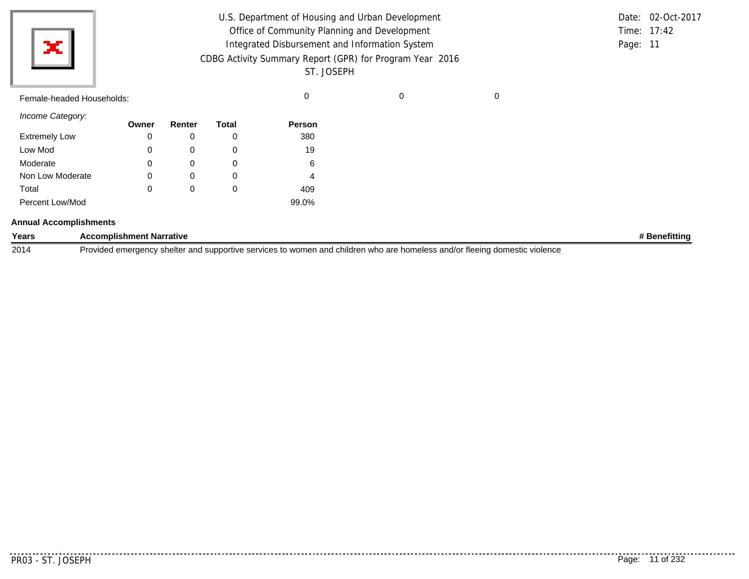|                           |                                                          |        |              | U.S. Department of Housing and Urban Development |  |  | Date: 02-Oct-2017 |  |  |  |
|---------------------------|----------------------------------------------------------|--------|--------------|--------------------------------------------------|--|--|-------------------|--|--|--|
|                           |                                                          |        |              | Office of Community Planning and Development     |  |  | Time: 17:42       |  |  |  |
|                           | ×l<br>Integrated Disbursement and Information System     |        |              |                                                  |  |  |                   |  |  |  |
|                           | CDBG Activity Summary Report (GPR) for Program Year 2016 |        |              |                                                  |  |  |                   |  |  |  |
|                           |                                                          |        |              | ST. JOSEPH                                       |  |  |                   |  |  |  |
| Female-headed Households: |                                                          |        |              | $\Omega$                                         |  |  |                   |  |  |  |
| Income Category:          |                                                          |        |              |                                                  |  |  |                   |  |  |  |
|                           | Owner                                                    | Renter | <b>Total</b> | Person                                           |  |  |                   |  |  |  |
| <b>Extremely Low</b>      | 0                                                        |        |              | 380                                              |  |  |                   |  |  |  |

**Years Accomplishment Narrative # Benefitting**

2014 Provided emergency shelter and supportive services to women and children who are homeless and/or fleeing domestic violence

Low Mod Moderate

Total

Non Low Moderate

Percent Low/Mod

**Annual Accomplishments**

<u>..........</u>.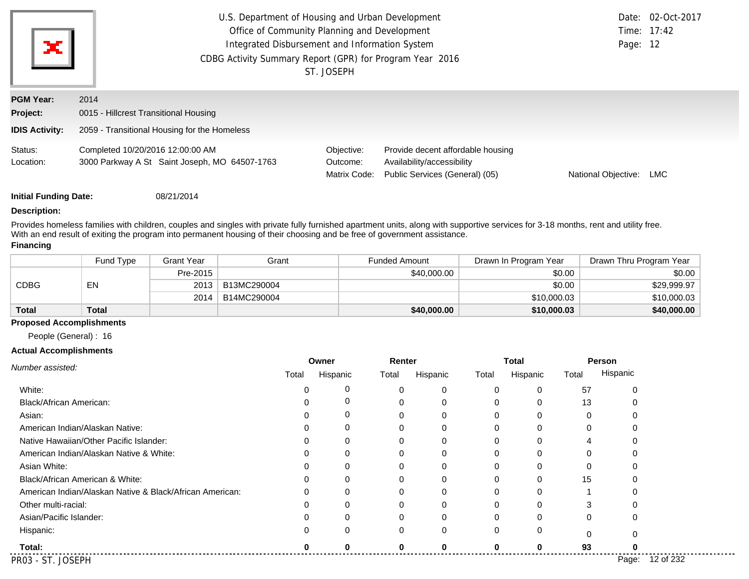| ×                            | U.S. Department of Housing and Urban Development<br>Office of Community Planning and Development<br>Integrated Disbursement and Information System<br>CDBG Activity Summary Report (GPR) for Program Year 2016<br>ST. JOSEPH |                                        |                                                                                                   |                     |     |  |
|------------------------------|------------------------------------------------------------------------------------------------------------------------------------------------------------------------------------------------------------------------------|----------------------------------------|---------------------------------------------------------------------------------------------------|---------------------|-----|--|
| <b>PGM Year:</b><br>Project: | 2014<br>0015 - Hillcrest Transitional Housing                                                                                                                                                                                |                                        |                                                                                                   |                     |     |  |
| <b>IDIS Activity:</b>        | 2059 - Transitional Housing for the Homeless                                                                                                                                                                                 |                                        |                                                                                                   |                     |     |  |
| Status:<br>Location:         | Completed 10/20/2016 12:00:00 AM<br>3000 Parkway A St Saint Joseph, MO 64507-1763                                                                                                                                            | Objective:<br>Outcome:<br>Matrix Code: | Provide decent affordable housing<br>Availability/accessibility<br>Public Services (General) (05) | National Objective: | LMC |  |
| <b>Initial Funding Date:</b> | 08/21/2014                                                                                                                                                                                                                   |                                        |                                                                                                   |                     |     |  |

#### **Description:**

Provides homeless families with children, couples and singles with private fully furnished apartment units, along with supportive services for 3-18 months, rent and utility free. With an end result of exiting the program into permanent housing of their choosing and be free of government assistance.

#### **Financing**

|              | Fund Type    | <b>Grant Year</b> | Grant       | <b>Funded Amount</b> | Drawn In Program Year | Drawn Thru Program Year |
|--------------|--------------|-------------------|-------------|----------------------|-----------------------|-------------------------|
| <b>CDBG</b>  | EN           | Pre-2015          |             | \$40,000.00          | \$0.00                | \$0.00                  |
|              |              | 2013              | B13MC290004 |                      | \$0.00                | \$29,999.97             |
|              |              | 2014              | B14MC290004 |                      | \$10,000.03           | \$10,000.03             |
| <b>Total</b> | <b>Total</b> |                   |             | \$40,000.00          | \$10,000.03           | \$40,000.00             |

#### **Proposed Accomplishments**

People (General) : 16

#### **Actual Accomplishments**

|                                                          | Owner |          | Renter   |          |       | <b>Total</b> |          | Person   |  |
|----------------------------------------------------------|-------|----------|----------|----------|-------|--------------|----------|----------|--|
| Number assisted:                                         | Total | Hispanic | Total    | Hispanic | Total | Hispanic     | Total    | Hispanic |  |
| White:                                                   |       | 0        |          | 0        |       | 0            | 57       |          |  |
| Black/African American:                                  |       | 0        |          | 0        |       | 0            | 13       |          |  |
| Asian:                                                   |       | 0        |          | $\Omega$ |       | 0            |          |          |  |
| American Indian/Alaskan Native:                          |       | 0        |          | 0        |       | 0            |          |          |  |
| Native Hawaiian/Other Pacific Islander:                  |       | 0        | 0        | 0        |       | 0            |          |          |  |
| American Indian/Alaskan Native & White:                  |       | 0        | 0        | $\Omega$ |       | 0            |          |          |  |
| Asian White:                                             |       | $\Omega$ |          | $\Omega$ |       | 0            |          |          |  |
| Black/African American & White:                          |       | 0        | 0        | 0        |       | 0            | 15       |          |  |
| American Indian/Alaskan Native & Black/African American: |       | 0        |          | 0        |       | 0            |          |          |  |
| Other multi-racial:                                      |       | $\Omega$ |          | $\Omega$ |       | 0            |          |          |  |
| Asian/Pacific Islander:                                  |       | 0        |          | 0        |       | 0            | 0        |          |  |
| Hispanic:                                                |       | $\Omega$ | $\Omega$ | 0        | 0     | 0            | $\Omega$ |          |  |
| Total:                                                   |       |          |          | O        |       | ŋ            | 93       |          |  |
| PR03 - ST. JOSEPH                                        |       |          |          |          |       |              |          | Page:    |  |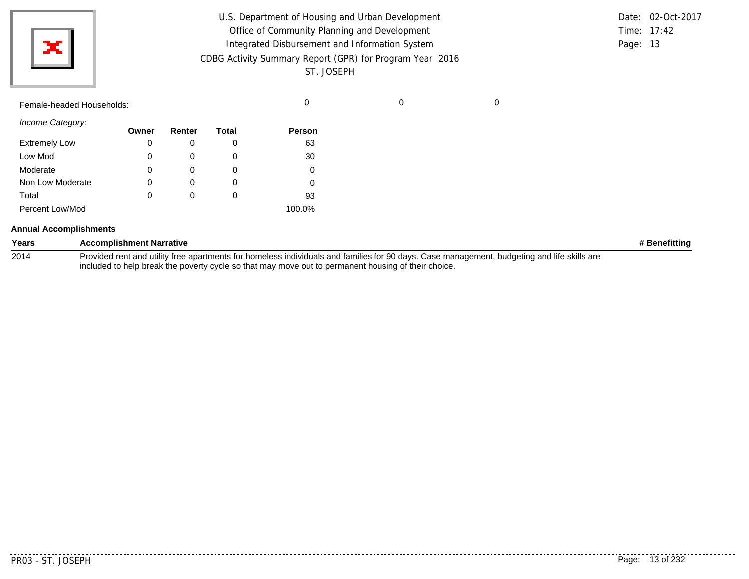| ж                         | U.S. Department of Housing and Urban Development<br>Office of Community Planning and Development<br>Integrated Disbursement and Information System<br>CDBG Activity Summary Report (GPR) for Program Year 2016<br>ST. JOSEPH |        |              |        |   |   |  |  |  |
|---------------------------|------------------------------------------------------------------------------------------------------------------------------------------------------------------------------------------------------------------------------|--------|--------------|--------|---|---|--|--|--|
| Female-headed Households: |                                                                                                                                                                                                                              |        |              | 0      | 0 | 0 |  |  |  |
| Income Category:          | Owner                                                                                                                                                                                                                        | Renter | <b>Total</b> | Person |   |   |  |  |  |
| <b>Extremely Low</b>      | 0                                                                                                                                                                                                                            | 0      | 0            | 63     |   |   |  |  |  |
| Low Mod                   | 0                                                                                                                                                                                                                            | 0      | $\mathbf 0$  | 30     |   |   |  |  |  |
| Moderate                  | 0                                                                                                                                                                                                                            | 0      | 0            | 0      |   |   |  |  |  |
| Non Low Moderate          | $\mathbf 0$                                                                                                                                                                                                                  | 0      | 0            | 0      |   |   |  |  |  |
| Total                     | 0                                                                                                                                                                                                                            | 0      | $\Omega$     | 93     |   |   |  |  |  |
| Percent Low/Mod           |                                                                                                                                                                                                                              |        |              | 100.0% |   |   |  |  |  |

#### **Annual Accomplishments**

| Years | <b>Accomplishment Narrative</b>                                                                                                             | # Benefittina |
|-------|---------------------------------------------------------------------------------------------------------------------------------------------|---------------|
| 2014  | Provided rent and utility free apartments for homeless individuals and families for 90 days. Case management, budgeting and life skills are |               |
|       | included to help break the poverty cycle so that may move out to permanent housing of their choice.                                         |               |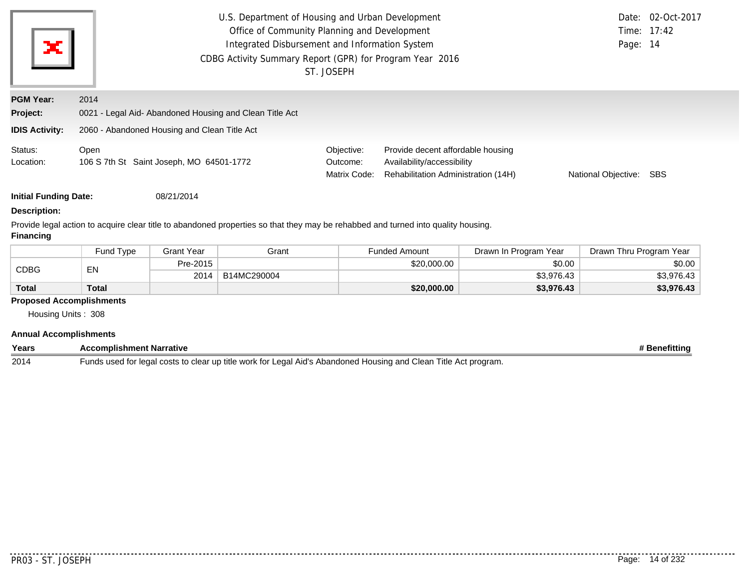| ×                                                     | U.S. Department of Housing and Urban Development<br>Office of Community Planning and Development<br>Integrated Disbursement and Information System<br>CDBG Activity Summary Report (GPR) for Program Year 2016<br>ST. JOSEPH |                                        | Page: 14                                                                                               | Date: 02-Oct-2017<br>Time: 17:42 |            |
|-------------------------------------------------------|------------------------------------------------------------------------------------------------------------------------------------------------------------------------------------------------------------------------------|----------------------------------------|--------------------------------------------------------------------------------------------------------|----------------------------------|------------|
| <b>PGM Year:</b><br>Project:<br><b>IDIS Activity:</b> | 2014<br>0021 - Legal Aid- Abandoned Housing and Clean Title Act<br>2060 - Abandoned Housing and Clean Title Act                                                                                                              |                                        |                                                                                                        |                                  |            |
| Status:<br>Location:                                  | Open<br>106 S 7th St Saint Joseph, MO 64501-1772                                                                                                                                                                             | Objective:<br>Outcome:<br>Matrix Code: | Provide decent affordable housing<br>Availability/accessibility<br>Rehabilitation Administration (14H) | National Objective:              | <b>SBS</b> |
| <b>Initial Funding Date:</b>                          | 08/21/2014                                                                                                                                                                                                                   |                                        |                                                                                                        |                                  |            |

#### **Description:**

Provide legal action to acquire clear title to abandoned properties so that they may be rehabbed and turned into quality housing. **Financing**

|              | <b>Fund Type</b> | <b>Grant Year</b> | Grant       | <b>Funded Amount</b> | Drawn In Program Year | Drawn Thru Program Year |
|--------------|------------------|-------------------|-------------|----------------------|-----------------------|-------------------------|
| <b>CDBG</b>  | EN               | Pre-2015          |             | \$20,000.00          | \$0.00                | \$0.00                  |
|              |                  | 2014              | B14MC290004 |                      | \$3.976.43            | \$3,976.43              |
| <b>Total</b> | Total            |                   |             | \$20,000.00          | \$3,976.43            | \$3,976.43              |

#### **Proposed Accomplishments**

Housing Units : 308

| Annual               | <b>Accomplishments</b> |   |                           |  |     |      |               |
|----------------------|------------------------|---|---------------------------|--|-----|------|---------------|
| Years                | omplishment Narrative: |   |                           |  |     |      | etittinc<br>~ |
| $\sim$ $\sim$ $\sim$ |                        | . | .<br>$\ddot{\phantom{1}}$ |  | . . | $-1$ |               |

2014 Funds used for legal costs to clear up title work for Legal Aid's Abandoned Housing and Clean Title Act program.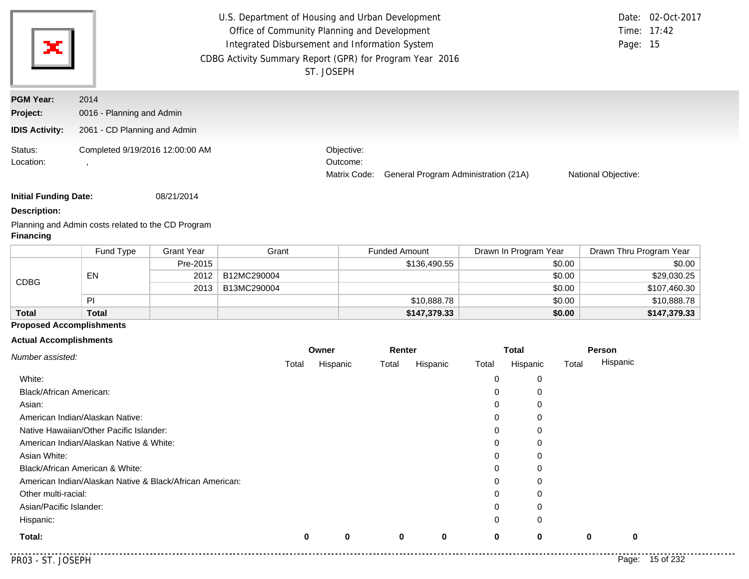| ×                            | U.S. Department of Housing and Urban Development<br>Office of Community Planning and Development<br>Integrated Disbursement and Information System<br>CDBG Activity Summary Report (GPR) for Program Year 2016 | ST. JOSEPH                             |                                      | Page: 15                   | Date: 02-Oct-2017<br>Time: 17:42 |
|------------------------------|----------------------------------------------------------------------------------------------------------------------------------------------------------------------------------------------------------------|----------------------------------------|--------------------------------------|----------------------------|----------------------------------|
| <b>PGM Year:</b><br>Project: | 2014<br>0016 - Planning and Admin                                                                                                                                                                              |                                        |                                      |                            |                                  |
| <b>IDIS Activity:</b>        | 2061 - CD Planning and Admin                                                                                                                                                                                   |                                        |                                      |                            |                                  |
| Status:<br>Location:         | Completed 9/19/2016 12:00:00 AM                                                                                                                                                                                | Objective:<br>Outcome:<br>Matrix Code: | General Program Administration (21A) | <b>National Objective:</b> |                                  |

**Initial Funding Date:** 08/21/2014

**Description:**

Planning and Admin costs related to the CD Program **Financing**

|              | Fund Type    | Grant Year | Grant       | <b>Funded Amount</b> | Drawn In Program Year | Drawn Thru Program Year |
|--------------|--------------|------------|-------------|----------------------|-----------------------|-------------------------|
| <b>CDBG</b>  |              | Pre-2015   |             | \$136,490.55         | \$0.00                | \$0.00                  |
|              | EN           | 2012       | B12MC290004 |                      | \$0.00                | \$29,030.25             |
|              |              | 2013       | B13MC290004 |                      | \$0.00                | \$107,460.30            |
|              | PI           |            |             | \$10,888.78          | \$0.00                | \$10,888.78             |
| <b>Total</b> | <b>Total</b> |            |             | \$147,379.33         | \$0.00                | \$147,379.33            |

# **Proposed Accomplishments**

## **Actual Accomplishments**

|                                                          |       | Owner    |       | Renter   |       | <b>Total</b> |             | Person      |           |
|----------------------------------------------------------|-------|----------|-------|----------|-------|--------------|-------------|-------------|-----------|
| Number assisted:                                         | Total | Hispanic | Total | Hispanic | Total | Hispanic     | Total       | Hispanic    |           |
| White:                                                   |       |          |       |          | 0     | 0            |             |             |           |
| Black/African American:                                  |       |          |       |          | 0     | 0            |             |             |           |
| Asian:                                                   |       |          |       |          | 0     | $\mathbf 0$  |             |             |           |
| American Indian/Alaskan Native:                          |       |          |       |          | 0     | 0            |             |             |           |
| Native Hawaiian/Other Pacific Islander:                  |       |          |       |          | 0     | 0            |             |             |           |
| American Indian/Alaskan Native & White:                  |       |          |       |          | 0     | 0            |             |             |           |
| Asian White:                                             |       |          |       |          | 0     | 0            |             |             |           |
| Black/African American & White:                          |       |          |       |          | 0     | $\mathbf 0$  |             |             |           |
| American Indian/Alaskan Native & Black/African American: |       |          |       |          | 0     | $\mathbf 0$  |             |             |           |
| Other multi-racial:                                      |       |          |       |          | 0     | 0            |             |             |           |
| Asian/Pacific Islander:                                  |       |          |       |          | 0     | 0            |             |             |           |
| Hispanic:                                                |       |          |       |          | 0     | $\mathbf 0$  |             |             |           |
| Total:                                                   | 0     | $\bf{0}$ | 0     | 0        | 0     | $\mathbf 0$  | $\mathbf 0$ | $\mathbf 0$ |           |
| PR03 - ST. JOSEPH                                        |       |          |       |          |       |              |             | Page:       | 15 of 232 |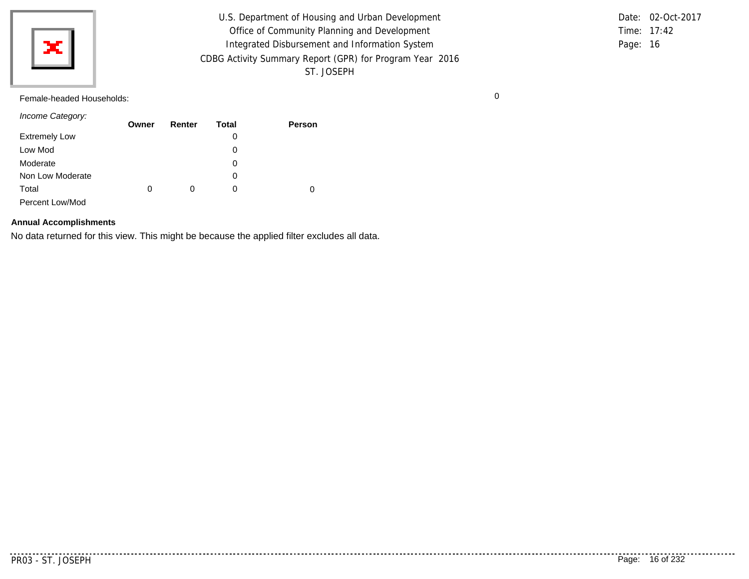

U.S. Department of Housing and Urban Development Office of Community Planning and Development Integrated Disbursement and Information System CDBG Activity Summary Report (GPR) for Program Year 2016 ST. JOSEPH

Time: 17:42 Page: 16 Date: 02-Oct-2017

Female-headed Households: 0

*Income Category:*

|                      | Owner | Renter | Total | <b>Person</b> |
|----------------------|-------|--------|-------|---------------|
| <b>Extremely Low</b> |       |        | 0     |               |
| Low Mod              |       |        | 0     |               |
| Moderate             |       |        | 0     |               |
| Non Low Moderate     |       |        | 0     |               |
| Total                | 0     | 0      | 0     | 0             |
| Percent Low/Mod      |       |        |       |               |

#### **Annual Accomplishments**

No data returned for this view. This might be because the applied filter excludes all data.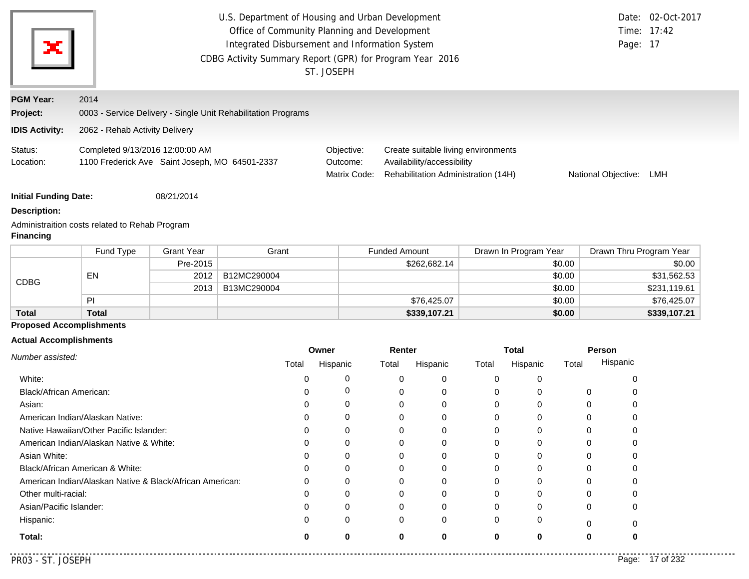|                                 |                                                          |                                                | U.S. Department of Housing and Urban Development<br>Office of Community Planning and Development<br>Integrated Disbursement and Information System<br>CDBG Activity Summary Report (GPR) for Program Year 2016 | ST. JOSEPH                             |                      |                                                                                                          |          |                       |                  | Page: 17                | Date: 02-Oct-2017<br>Time: 17:42 |
|---------------------------------|----------------------------------------------------------|------------------------------------------------|----------------------------------------------------------------------------------------------------------------------------------------------------------------------------------------------------------------|----------------------------------------|----------------------|----------------------------------------------------------------------------------------------------------|----------|-----------------------|------------------|-------------------------|----------------------------------|
| <b>PGM Year:</b>                | 2014                                                     |                                                |                                                                                                                                                                                                                |                                        |                      |                                                                                                          |          |                       |                  |                         |                                  |
| Project:                        |                                                          |                                                | 0003 - Service Delivery - Single Unit Rehabilitation Programs                                                                                                                                                  |                                        |                      |                                                                                                          |          |                       |                  |                         |                                  |
| <b>IDIS Activity:</b>           | 2062 - Rehab Activity Delivery                           |                                                |                                                                                                                                                                                                                |                                        |                      |                                                                                                          |          |                       |                  |                         |                                  |
| Status:<br>Location:            | Completed 9/13/2016 12:00:00 AM                          | 1100 Frederick Ave Saint Joseph, MO 64501-2337 |                                                                                                                                                                                                                | Objective:<br>Outcome:<br>Matrix Code: |                      | Create suitable living environments<br>Availability/accessibility<br>Rehabilitation Administration (14H) |          |                       |                  | National Objective: LMH |                                  |
| <b>Initial Funding Date:</b>    |                                                          | 08/21/2014                                     |                                                                                                                                                                                                                |                                        |                      |                                                                                                          |          |                       |                  |                         |                                  |
| <b>Description:</b>             |                                                          |                                                |                                                                                                                                                                                                                |                                        |                      |                                                                                                          |          |                       |                  |                         |                                  |
| <b>Financing</b>                | Administraition costs related to Rehab Program           |                                                |                                                                                                                                                                                                                |                                        |                      |                                                                                                          |          |                       |                  |                         |                                  |
|                                 | Fund Type                                                | <b>Grant Year</b>                              | Grant                                                                                                                                                                                                          |                                        | <b>Funded Amount</b> |                                                                                                          |          | Drawn In Program Year |                  | Drawn Thru Program Year |                                  |
|                                 |                                                          | Pre-2015                                       |                                                                                                                                                                                                                |                                        |                      | \$262,682.14                                                                                             |          |                       | \$0.00           |                         | \$0.00                           |
| <b>CDBG</b>                     | EN                                                       | 2012                                           | B12MC290004                                                                                                                                                                                                    |                                        |                      |                                                                                                          |          |                       | \$0.00           |                         | \$31,562.53                      |
|                                 | PI                                                       | 2013                                           | B13MC290004                                                                                                                                                                                                    |                                        |                      |                                                                                                          |          |                       | \$0.00           |                         | \$231,119.61                     |
| <b>Total</b>                    | <b>Total</b>                                             |                                                |                                                                                                                                                                                                                |                                        |                      | \$76,425.07<br>\$339,107.21                                                                              |          |                       | \$0.00<br>\$0.00 |                         | \$76,425.07<br>\$339,107.21      |
| <b>Proposed Accomplishments</b> |                                                          |                                                |                                                                                                                                                                                                                |                                        |                      |                                                                                                          |          |                       |                  |                         |                                  |
| <b>Actual Accomplishments</b>   |                                                          |                                                |                                                                                                                                                                                                                |                                        |                      |                                                                                                          |          |                       |                  |                         |                                  |
|                                 |                                                          |                                                |                                                                                                                                                                                                                | Owner                                  | Renter               |                                                                                                          |          | <b>Total</b>          |                  | Person                  |                                  |
| Number assisted:                |                                                          |                                                | Total                                                                                                                                                                                                          | Hispanic                               | Total                | Hispanic                                                                                                 | Total    | Hispanic              | Total            | Hispanic                |                                  |
| White:                          |                                                          |                                                | 0                                                                                                                                                                                                              | 0                                      | 0                    | 0                                                                                                        | 0        | 0                     |                  | 0                       |                                  |
| Black/African American:         |                                                          |                                                | 0                                                                                                                                                                                                              | 0                                      | 0                    | 0                                                                                                        | 0        | 0                     |                  | 0<br>0                  |                                  |
| Asian:                          |                                                          |                                                | 0                                                                                                                                                                                                              | 0                                      | 0                    | 0                                                                                                        | 0        | 0                     |                  | 0<br>0                  |                                  |
|                                 | American Indian/Alaskan Native:                          |                                                | 0                                                                                                                                                                                                              | 0                                      | 0                    | 0                                                                                                        | 0        | 0                     |                  | 0<br>0                  |                                  |
|                                 | Native Hawaiian/Other Pacific Islander:                  |                                                | 0                                                                                                                                                                                                              | 0                                      | 0                    | 0                                                                                                        | 0        | 0                     |                  | 0<br>0                  |                                  |
|                                 | American Indian/Alaskan Native & White:                  |                                                | 0                                                                                                                                                                                                              | 0                                      | 0                    | 0                                                                                                        | 0        | 0                     |                  | 0<br><sup>0</sup>       |                                  |
| Asian White:                    |                                                          |                                                |                                                                                                                                                                                                                | 0                                      | 0                    | 0                                                                                                        | 0        | 0                     |                  | 0                       |                                  |
|                                 | Black/African American & White:                          |                                                | 0                                                                                                                                                                                                              | 0                                      | 0                    | 0                                                                                                        | 0        | 0                     |                  | 0                       |                                  |
|                                 | American Indian/Alaskan Native & Black/African American: |                                                | 0                                                                                                                                                                                                              | 0                                      | 0                    | 0                                                                                                        | 0        | 0                     |                  | 0                       |                                  |
| Other multi-racial:             |                                                          |                                                | 0                                                                                                                                                                                                              | ∩                                      | ∩                    | 0                                                                                                        | O        | 0                     |                  | 0<br>∩                  |                                  |
| Asian/Pacific Islander:         |                                                          |                                                | 0                                                                                                                                                                                                              | 0                                      | 0                    | 0                                                                                                        | 0        | 0                     |                  | 0                       |                                  |
| Hispanic:                       |                                                          |                                                | 0                                                                                                                                                                                                              | 0                                      | 0                    | 0                                                                                                        | $\Omega$ | O                     |                  | 0<br>0                  |                                  |
| Total:                          |                                                          |                                                | Λ                                                                                                                                                                                                              | 0                                      | O                    | 0                                                                                                        | $\bf{0}$ | $\bf{0}$              |                  | 0                       |                                  |

PR03 - ST. JOSEPH Page: 17 of 232

. . . . . . . . . .

**0 0 0**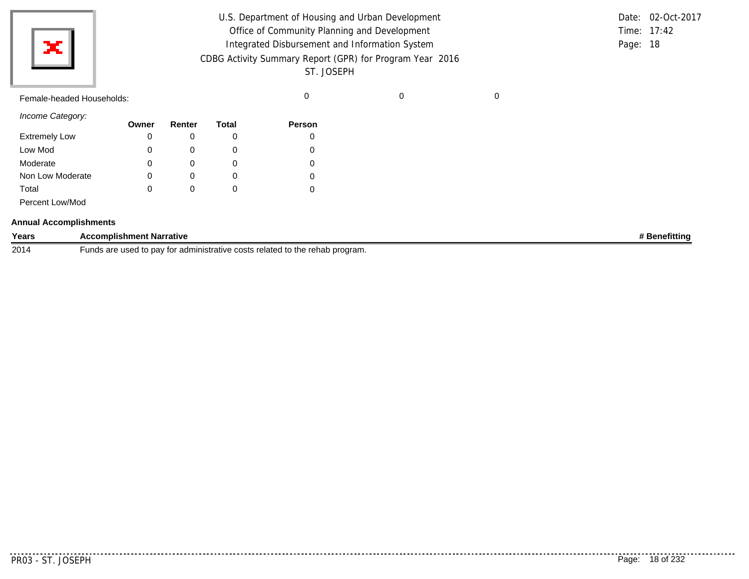| $\mathbf{x}$              | U.S. Department of Housing and Urban Development<br>Office of Community Planning and Development<br>Integrated Disbursement and Information System<br>CDBG Activity Summary Report (GPR) for Program Year 2016<br>ST. JOSEPH |  | Date: 02-Oct-2017<br>Time: $17:42$<br>Page: 18 |
|---------------------------|------------------------------------------------------------------------------------------------------------------------------------------------------------------------------------------------------------------------------|--|------------------------------------------------|
| Female-headed Households: |                                                                                                                                                                                                                              |  |                                                |

| Income Category:     |       |          |       |        |
|----------------------|-------|----------|-------|--------|
|                      | Owner | Renter   | Total | Person |
| <b>Extremely Low</b> | 0     |          | 0     | 0      |
| Low Mod              | 0     | 0        | 0     | 0      |
| Moderate             | 0     | $\Omega$ | 0     | 0      |
| Non Low Moderate     |       | 0        | 0     | 0      |
| Total                |       |          | 0     | 0      |
| Percent Low/Mod      |       |          |       |        |

|  | <b>Annual Accomplishments</b> |  |
|--|-------------------------------|--|
|--|-------------------------------|--|

| Years | ımplish<br><b>Narrative</b><br>nment                                                                                 | enefittina |
|-------|----------------------------------------------------------------------------------------------------------------------|------------|
| 2014  | related<br>rogram.<br>`administrative costs<br>$. + \sim$<br>rehab:<br>the<br>ח ד<br>' usec<br>, uav<br>ินเเ<br>- 19 |            |

...........

<u>. . . . . . . . . . . .</u>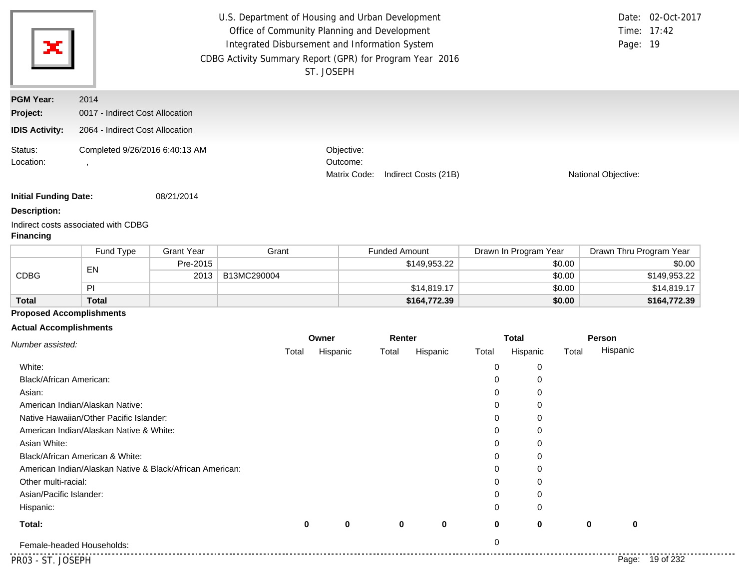| Ж                             |                                                          |                   | U.S. Department of Housing and Urban Development<br>Office of Community Planning and Development<br>Integrated Disbursement and Information System<br>CDBG Activity Summary Report (GPR) for Program Year 2016 | ST. JOSEPH |                                        |                      |                      |          |                       |        |                     | Date: 02-Oct-2017<br>Time: 17:42<br>Page: 19 |
|-------------------------------|----------------------------------------------------------|-------------------|----------------------------------------------------------------------------------------------------------------------------------------------------------------------------------------------------------------|------------|----------------------------------------|----------------------|----------------------|----------|-----------------------|--------|---------------------|----------------------------------------------|
| <b>PGM Year:</b>              | 2014                                                     |                   |                                                                                                                                                                                                                |            |                                        |                      |                      |          |                       |        |                     |                                              |
| Project:                      | 0017 - Indirect Cost Allocation                          |                   |                                                                                                                                                                                                                |            |                                        |                      |                      |          |                       |        |                     |                                              |
| <b>IDIS Activity:</b>         | 2064 - Indirect Cost Allocation                          |                   |                                                                                                                                                                                                                |            |                                        |                      |                      |          |                       |        |                     |                                              |
| Status:<br>Location:          | Completed 9/26/2016 6:40:13 AM                           |                   |                                                                                                                                                                                                                |            | Objective:<br>Outcome:<br>Matrix Code: |                      | Indirect Costs (21B) |          |                       |        | National Objective: |                                              |
| <b>Initial Funding Date:</b>  |                                                          | 08/21/2014        |                                                                                                                                                                                                                |            |                                        |                      |                      |          |                       |        |                     |                                              |
| <b>Description:</b>           |                                                          |                   |                                                                                                                                                                                                                |            |                                        |                      |                      |          |                       |        |                     |                                              |
| <b>Financing</b>              | Indirect costs associated with CDBG                      |                   |                                                                                                                                                                                                                |            |                                        |                      |                      |          |                       |        |                     |                                              |
|                               | Fund Type                                                | <b>Grant Year</b> | Grant                                                                                                                                                                                                          |            |                                        | <b>Funded Amount</b> |                      |          | Drawn In Program Year |        |                     | Drawn Thru Program Year                      |
|                               | EN                                                       | Pre-2015          |                                                                                                                                                                                                                |            |                                        |                      | \$149,953.22         |          |                       | \$0.00 |                     | \$0.00                                       |
| CDBG                          |                                                          | 2013              | B13MC290004                                                                                                                                                                                                    |            |                                        |                      |                      |          |                       | \$0.00 |                     | \$149,953.22                                 |
|                               | PI                                                       |                   |                                                                                                                                                                                                                |            |                                        |                      | \$14,819.17          |          | \$0.00                |        |                     | \$14,819.17                                  |
| <b>Total</b>                  | <b>Total</b>                                             |                   |                                                                                                                                                                                                                |            |                                        |                      | \$164,772.39         |          |                       | \$0.00 |                     | \$164,772.39                                 |
| <b>Actual Accomplishments</b> | <b>Proposed Accomplishments</b>                          |                   |                                                                                                                                                                                                                |            |                                        |                      |                      |          |                       |        |                     |                                              |
|                               |                                                          |                   |                                                                                                                                                                                                                | Owner      |                                        | Renter               |                      |          | <b>Total</b>          |        | Person              |                                              |
| Number assisted:              |                                                          |                   | Total                                                                                                                                                                                                          |            | Hispanic                               | Total                | Hispanic             | Total    | Hispanic              | Total  | Hispanic            |                                              |
| White:                        |                                                          |                   |                                                                                                                                                                                                                |            |                                        |                      |                      | 0        | 0                     |        |                     |                                              |
| Black/African American:       |                                                          |                   |                                                                                                                                                                                                                |            |                                        |                      |                      | 0        | 0                     |        |                     |                                              |
| Asian:                        |                                                          |                   |                                                                                                                                                                                                                |            |                                        |                      |                      | 0        | 0                     |        |                     |                                              |
|                               | American Indian/Alaskan Native:                          |                   |                                                                                                                                                                                                                |            |                                        |                      |                      | 0        | 0                     |        |                     |                                              |
|                               | Native Hawaiian/Other Pacific Islander:                  |                   |                                                                                                                                                                                                                |            |                                        |                      |                      | 0        | 0                     |        |                     |                                              |
|                               | American Indian/Alaskan Native & White:                  |                   |                                                                                                                                                                                                                |            |                                        |                      |                      | 0        | 0                     |        |                     |                                              |
| Asian White:                  |                                                          |                   |                                                                                                                                                                                                                |            |                                        |                      |                      | 0        | 0                     |        |                     |                                              |
|                               | Black/African American & White:                          |                   |                                                                                                                                                                                                                |            |                                        |                      |                      | 0        | 0                     |        |                     |                                              |
|                               | American Indian/Alaskan Native & Black/African American: |                   |                                                                                                                                                                                                                |            |                                        |                      |                      | $\Omega$ | 0                     |        |                     |                                              |
|                               |                                                          |                   |                                                                                                                                                                                                                |            |                                        |                      |                      | 0        | 0                     |        |                     |                                              |
| Other multi-racial:           |                                                          |                   |                                                                                                                                                                                                                |            |                                        |                      |                      | 0        | 0                     |        |                     |                                              |
| Asian/Pacific Islander:       |                                                          |                   |                                                                                                                                                                                                                |            |                                        |                      |                      |          |                       |        |                     |                                              |
| Hispanic:                     |                                                          |                   |                                                                                                                                                                                                                |            |                                        |                      |                      | 0        | 0                     |        |                     |                                              |
| Total:                        |                                                          |                   |                                                                                                                                                                                                                | 0          | $\mathbf{0}$                           | 0                    | 0                    | 0        | $\bf{0}$              |        | 0                   | 0                                            |
|                               | Female-headed Households:                                |                   |                                                                                                                                                                                                                |            |                                        |                      |                      | 0        |                       |        |                     |                                              |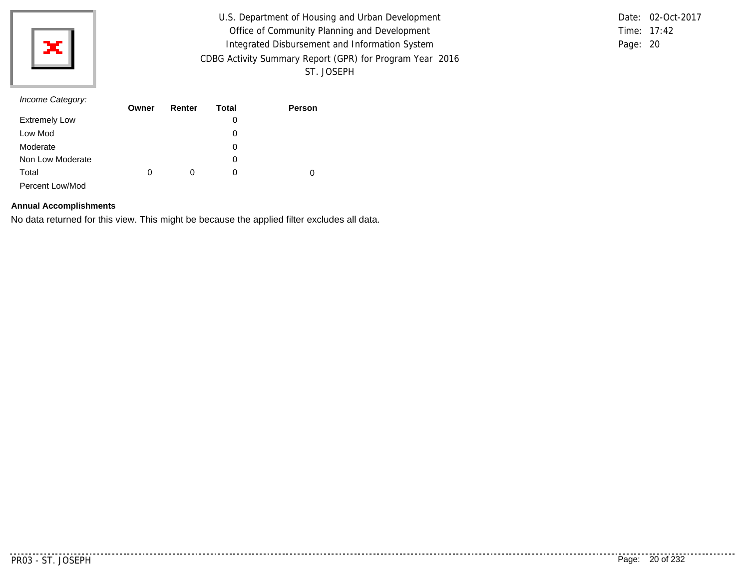

U.S. Department of Housing and Urban Development Office of Community Planning and Development Integrated Disbursement and Information System CDBG Activity Summary Report (GPR) for Program Year 2016 ST. JOSEPH

Time: 17:42 Page: 20 Date: 02-Oct-2017

#### *Income Category:*

|                      | Owner | Renter | Total | <b>Person</b> |
|----------------------|-------|--------|-------|---------------|
| <b>Extremely Low</b> |       |        | 0     |               |
| Low Mod              |       |        | 0     |               |
| Moderate             |       |        | 0     |               |
| Non Low Moderate     |       |        | 0     |               |
| Total                | 0     | 0      | O     | 0             |
| Percent Low/Mod      |       |        |       |               |

#### **Annual Accomplishments**

No data returned for this view. This might be because the applied filter excludes all data.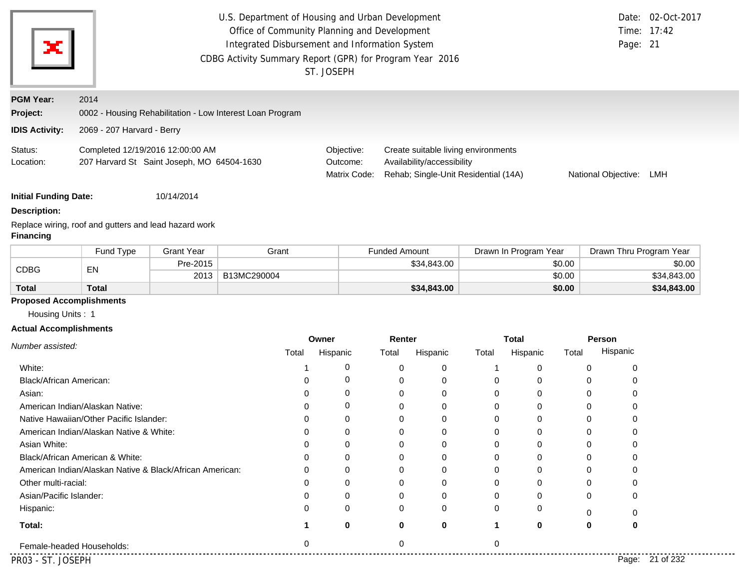| ж                                                   | U.S. Department of Housing and Urban Development<br>Office of Community Planning and Development<br>Time: 17:42<br>Integrated Disbursement and Information System<br>Page: 21<br>CDBG Activity Summary Report (GPR) for Program Year 2016<br>ST. JOSEPH      |                   |                                                           |                   |                      |             |       |                          |        | Date: 02-Oct-2017       |             |
|-----------------------------------------------------|--------------------------------------------------------------------------------------------------------------------------------------------------------------------------------------------------------------------------------------------------------------|-------------------|-----------------------------------------------------------|-------------------|----------------------|-------------|-------|--------------------------|--------|-------------------------|-------------|
| <b>PGM Year:</b>                                    | 2014                                                                                                                                                                                                                                                         |                   |                                                           |                   |                      |             |       |                          |        |                         |             |
| Project:                                            |                                                                                                                                                                                                                                                              |                   | 0002 - Housing Rehabilitation - Low Interest Loan Program |                   |                      |             |       |                          |        |                         |             |
| <b>IDIS Activity:</b>                               | 2069 - 207 Harvard - Berry                                                                                                                                                                                                                                   |                   |                                                           |                   |                      |             |       |                          |        |                         |             |
| Status:<br>Location:                                | Completed 12/19/2016 12:00:00 AM<br>Create suitable living environments<br>Objective:<br>207 Harvard St Saint Joseph, MO 64504-1630<br>Availability/accessibility<br>Outcome:<br>Rehab; Single-Unit Residential (14A)<br>Matrix Code:<br>National Objective: |                   |                                                           |                   |                      |             |       | LMH                      |        |                         |             |
| <b>Initial Funding Date:</b>                        |                                                                                                                                                                                                                                                              | 10/14/2014        |                                                           |                   |                      |             |       |                          |        |                         |             |
| <b>Description:</b>                                 |                                                                                                                                                                                                                                                              |                   |                                                           |                   |                      |             |       |                          |        |                         |             |
| <b>Financing</b>                                    | Replace wiring, roof and gutters and lead hazard work                                                                                                                                                                                                        |                   |                                                           |                   |                      |             |       |                          |        |                         |             |
|                                                     | Fund Type                                                                                                                                                                                                                                                    | <b>Grant Year</b> | Grant                                                     |                   | <b>Funded Amount</b> |             |       | Drawn In Program Year    |        | Drawn Thru Program Year |             |
| <b>CDBG</b>                                         | EN                                                                                                                                                                                                                                                           | Pre-2015          |                                                           |                   |                      | \$34,843.00 |       |                          | \$0.00 |                         | \$0.00      |
|                                                     |                                                                                                                                                                                                                                                              | 2013              | B13MC290004                                               |                   |                      |             |       |                          | \$0.00 |                         | \$34,843.00 |
| <b>Total</b>                                        | <b>Total</b>                                                                                                                                                                                                                                                 |                   |                                                           |                   |                      | \$34,843.00 |       |                          | \$0.00 |                         | \$34,843.00 |
| <b>Proposed Accomplishments</b><br>Housing Units: 1 |                                                                                                                                                                                                                                                              |                   |                                                           |                   |                      |             |       |                          |        |                         |             |
| <b>Actual Accomplishments</b>                       |                                                                                                                                                                                                                                                              |                   |                                                           |                   |                      |             |       |                          |        |                         |             |
| Number assisted:                                    |                                                                                                                                                                                                                                                              |                   | Total                                                     | Owner<br>Hispanic | Renter<br>Total      | Hispanic    | Total | <b>Total</b><br>Hispanic | Total  | Person<br>Hispanic      |             |
| White:                                              |                                                                                                                                                                                                                                                              |                   | $\mathbf 1$                                               | 0                 | 0                    | $\mathbf 0$ | -1    | 0                        |        | 0<br>0                  |             |

| .                                                        |          |          |   |          |          |                 |  |
|----------------------------------------------------------|----------|----------|---|----------|----------|-----------------|--|
| <b>Black/African American:</b>                           |          |          | 0 | U        | 0        |                 |  |
| Asian:                                                   | $\Omega$ |          | 0 | 0        | $\Omega$ |                 |  |
| American Indian/Alaskan Native:                          | O        | 0        | 0 | 0        | 0        |                 |  |
| Native Hawaiian/Other Pacific Islander:                  | 0        | 0        | 0 | 0        | $\Omega$ |                 |  |
| American Indian/Alaskan Native & White:                  | 0        | 0        | 0 | 0        | 0        |                 |  |
| Asian White:                                             | O        | ∩        | 0 | 0        | $\Omega$ |                 |  |
| Black/African American & White:                          |          |          | O | 0        |          |                 |  |
| American Indian/Alaskan Native & Black/African American: | $\Omega$ | $\Omega$ | 0 | $\Omega$ | $\Omega$ |                 |  |
| Other multi-racial:                                      |          |          | 0 | $\Omega$ | $\Omega$ |                 |  |
| Asian/Pacific Islander:                                  | 0        | $\Omega$ | 0 | $\Omega$ | $\Omega$ |                 |  |
| Hispanic:                                                | 0        | 0        | 0 | 0        | $\Omega$ |                 |  |
| Total:                                                   | 0        | $\bf{0}$ | 0 | $\bf{0}$ | $\bf{0}$ |                 |  |
| Female-headed Households:                                |          | ∩        |   |          |          |                 |  |
| PR03 - ST. JOSEPH                                        |          |          |   |          |          | Page: 21 of 232 |  |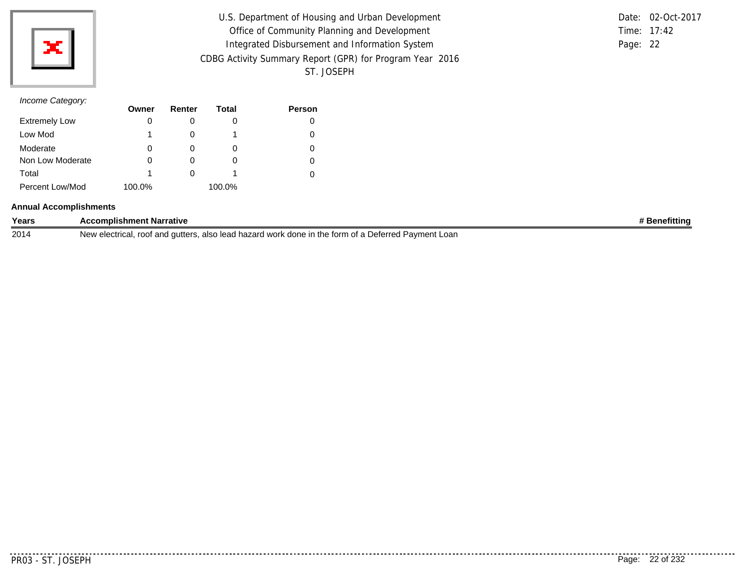

| U.S. Department of Housing and Urban Development         |             | Date: 02-Oct-2017 |
|----------------------------------------------------------|-------------|-------------------|
| Office of Community Planning and Development             | Time: 17:42 |                   |
| Integrated Disbursement and Information System           | Page: 22    |                   |
| CDBG Activity Summary Report (GPR) for Program Year 2016 |             |                   |
| ST. JOSEPH                                               |             |                   |

|          | Date: 02-Oct-2017 |
|----------|-------------------|
|          | Time: $17.42$     |
| Page: 22 |                   |

# *Income Category:*

|                      | Owner  | Renter | Total  | <b>Person</b> |
|----------------------|--------|--------|--------|---------------|
| <b>Extremely Low</b> | 0      |        |        |               |
| Low Mod              | 1      |        |        |               |
| Moderate             | 0      |        | O      |               |
| Non Low Moderate     | 0      |        |        |               |
| Total                | 1      |        |        |               |
| Percent Low/Mod      | 100.0% |        | 100.0% |               |

#### **Annual Accomplishments**

| Years | <b>Accomplishment Narrative</b>                                                                     | <b>Benefitting</b> |
|-------|-----------------------------------------------------------------------------------------------------|--------------------|
| 2014  | New electrical, root and gutters, also lead hazard work done in the form of a Deferred Payment Loan |                    |

. . . . . . .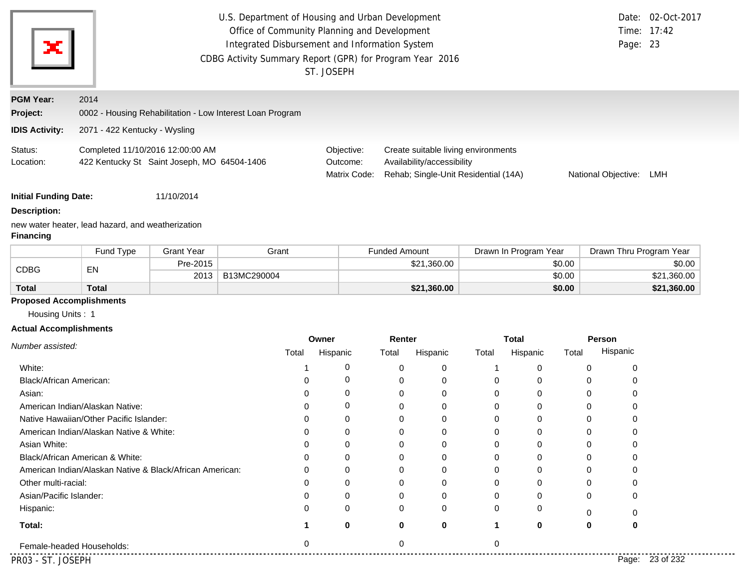| ×                             |                                                                                 |                   | U.S. Department of Housing and Urban Development<br>Office of Community Planning and Development<br>Integrated Disbursement and Information System<br>CDBG Activity Summary Report (GPR) for Program Year 2016 |          | ST. JOSEPH                             |                      |                                                                                                           |              |                       |          | Page: 23                | Date: 02-Oct-2017<br>Time: 17:42 |
|-------------------------------|---------------------------------------------------------------------------------|-------------------|----------------------------------------------------------------------------------------------------------------------------------------------------------------------------------------------------------------|----------|----------------------------------------|----------------------|-----------------------------------------------------------------------------------------------------------|--------------|-----------------------|----------|-------------------------|----------------------------------|
| <b>PGM Year:</b>              | 2014                                                                            |                   |                                                                                                                                                                                                                |          |                                        |                      |                                                                                                           |              |                       |          |                         |                                  |
| Project:                      |                                                                                 |                   | 0002 - Housing Rehabilitation - Low Interest Loan Program                                                                                                                                                      |          |                                        |                      |                                                                                                           |              |                       |          |                         |                                  |
| <b>IDIS Activity:</b>         | 2071 - 422 Kentucky - Wysling                                                   |                   |                                                                                                                                                                                                                |          |                                        |                      |                                                                                                           |              |                       |          |                         |                                  |
| Status:<br>Location:          | Completed 11/10/2016 12:00:00 AM<br>422 Kentucky St Saint Joseph, MO 64504-1406 |                   |                                                                                                                                                                                                                |          | Objective:<br>Outcome:<br>Matrix Code: |                      | Create suitable living environments<br>Availability/accessibility<br>Rehab; Single-Unit Residential (14A) |              |                       |          | National Objective: LMH |                                  |
| <b>Initial Funding Date:</b>  |                                                                                 | 11/10/2014        |                                                                                                                                                                                                                |          |                                        |                      |                                                                                                           |              |                       |          |                         |                                  |
| <b>Description:</b>           |                                                                                 |                   |                                                                                                                                                                                                                |          |                                        |                      |                                                                                                           |              |                       |          |                         |                                  |
| <b>Financing</b>              | new water heater, lead hazard, and weatherization                               |                   |                                                                                                                                                                                                                |          |                                        |                      |                                                                                                           |              |                       |          |                         |                                  |
|                               | Fund Type                                                                       | <b>Grant Year</b> | Grant                                                                                                                                                                                                          |          |                                        | <b>Funded Amount</b> |                                                                                                           |              | Drawn In Program Year |          | Drawn Thru Program Year |                                  |
| <b>CDBG</b>                   | EN                                                                              | Pre-2015          |                                                                                                                                                                                                                |          |                                        |                      | \$21,360.00                                                                                               |              |                       | \$0.00   |                         | \$0.00                           |
|                               |                                                                                 | 2013              | B13MC290004                                                                                                                                                                                                    |          |                                        |                      |                                                                                                           |              |                       | \$0.00   |                         | \$21,360.00                      |
| <b>Total</b>                  | <b>Total</b>                                                                    |                   |                                                                                                                                                                                                                |          |                                        |                      | \$21,360.00                                                                                               |              |                       | \$0.00   |                         | \$21,360.00                      |
| Housing Units: 1              | <b>Proposed Accomplishments</b>                                                 |                   |                                                                                                                                                                                                                |          |                                        |                      |                                                                                                           |              |                       |          |                         |                                  |
| <b>Actual Accomplishments</b> |                                                                                 |                   |                                                                                                                                                                                                                |          |                                        |                      |                                                                                                           |              |                       |          |                         |                                  |
|                               |                                                                                 |                   |                                                                                                                                                                                                                |          | Owner                                  | Renter               |                                                                                                           |              | <b>Total</b>          |          | Person                  |                                  |
| Number assisted:              |                                                                                 |                   |                                                                                                                                                                                                                | Total    | Hispanic                               | Total                | Hispanic                                                                                                  | Total        | Hispanic              | Total    | Hispanic                |                                  |
| White:                        |                                                                                 |                   |                                                                                                                                                                                                                |          | 0                                      | 0                    | 0                                                                                                         | -1           | 0                     | $\Omega$ | 0                       |                                  |
| Black/African American:       |                                                                                 |                   |                                                                                                                                                                                                                | 0        | 0                                      | 0                    | 0                                                                                                         | 0            | 0                     | 0        | 0                       |                                  |
| Asian:                        |                                                                                 |                   |                                                                                                                                                                                                                | 0        | 0                                      | 0                    | 0                                                                                                         | 0            | 0                     | 0        | 0                       |                                  |
|                               | American Indian/Alaskan Native:                                                 |                   |                                                                                                                                                                                                                |          | 0                                      | 0                    | 0                                                                                                         | 0            | 0                     | 0        | 0                       |                                  |
|                               | Native Hawaiian/Other Pacific Islander:                                         |                   |                                                                                                                                                                                                                |          | 0                                      | ∩                    | 0                                                                                                         | 0            | 0                     | 0        |                         |                                  |
|                               | American Indian/Alaskan Native & White:                                         |                   |                                                                                                                                                                                                                | 0        | 0                                      | 0                    | 0                                                                                                         | 0            | 0                     | $\Omega$ | 0                       |                                  |
| Asian White:                  |                                                                                 |                   |                                                                                                                                                                                                                | n        | ∩                                      | 0                    | 0                                                                                                         | 0            | 0                     | $\Omega$ |                         |                                  |
|                               | Black/African American & White:                                                 |                   |                                                                                                                                                                                                                |          | $\Omega$                               | 0                    | 0                                                                                                         | 0            | 0                     | 0        |                         |                                  |
|                               | American Indian/Alaskan Native & Black/African American:                        |                   |                                                                                                                                                                                                                |          | ∩                                      | $\Omega$             | 0                                                                                                         | $\mathbf 0$  | 0                     | ∩        |                         |                                  |
| Other multi-racial:           |                                                                                 |                   |                                                                                                                                                                                                                |          | 0                                      |                      | 0                                                                                                         | 0            | 0                     |          |                         |                                  |
| Asian/Pacific Islander:       |                                                                                 |                   |                                                                                                                                                                                                                |          | ∩                                      |                      | 0                                                                                                         | O            | 0                     | $\Omega$ |                         |                                  |
| Hispanic:                     |                                                                                 |                   |                                                                                                                                                                                                                |          | 0                                      | O                    | 0                                                                                                         | 0            | 0                     | 0        |                         |                                  |
| Total:                        |                                                                                 |                   |                                                                                                                                                                                                                |          | 0                                      | 0                    | 0                                                                                                         | $\mathbf{1}$ | 0                     | 0        | 0                       |                                  |
|                               | Female-headed Households:                                                       |                   |                                                                                                                                                                                                                | $\Omega$ |                                        | $\Omega$             |                                                                                                           | $\mathbf 0$  |                       |          |                         |                                  |
| PR03 - ST. JOSEPH             |                                                                                 |                   |                                                                                                                                                                                                                |          |                                        |                      |                                                                                                           |              |                       |          |                         | Page: 23 of 232                  |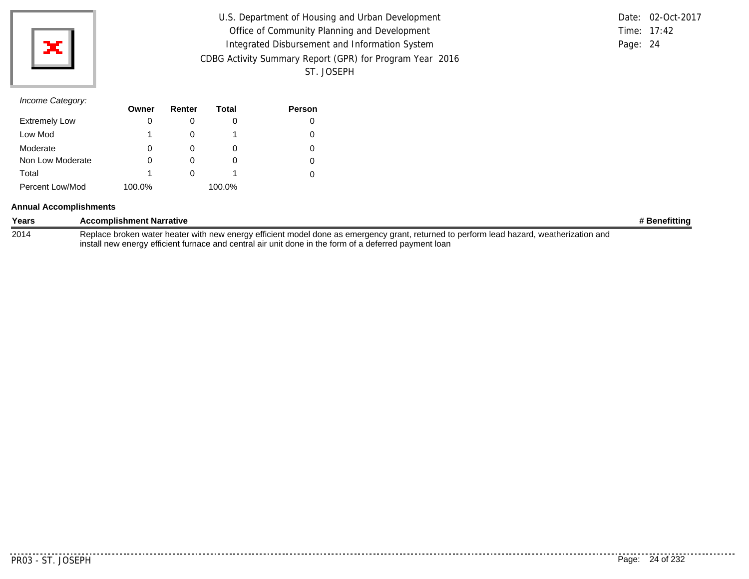

| U.S. Department of Housing and Urban Development         |          | Date: 02-Oct-2017 |
|----------------------------------------------------------|----------|-------------------|
| Office of Community Planning and Development             |          | Time: 17:42       |
| Integrated Disbursement and Information System           | Page: 24 |                   |
| CDBG Activity Summary Report (GPR) for Program Year 2016 |          |                   |
| ST. JOSEPH                                               |          |                   |

## *Income Category:*

|                      | Owner  | Renter   | Total    | Person |
|----------------------|--------|----------|----------|--------|
| <b>Extremely Low</b> | 0      |          |          | 0      |
| Low Mod              | 1      |          |          | 0      |
| Moderate             | 0      |          | $\Omega$ | 0      |
| Non Low Moderate     | 0      |          |          | 0      |
| Total                | 1      | $\Omega$ |          |        |
| Percent Low/Mod      | 100.0% |          | 100.0%   |        |

#### **Annual Accomplishments**

| Years | <b>Accomplishment Narrative</b>                                                                                                          | # Benefitting |
|-------|------------------------------------------------------------------------------------------------------------------------------------------|---------------|
| 2014  | Replace broken water heater with new energy efficient model done as emergency grant, returned to perform lead hazard, weatherization and |               |
|       | install new energy efficient furnace and central air unit done in the form of a deferred payment loan                                    |               |

PR03 - ST. JOSEPH Page: 24 of 232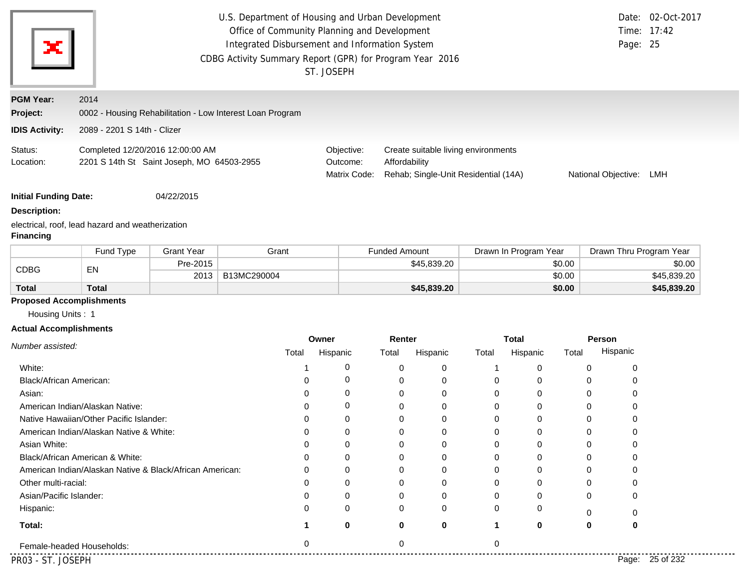| ж                             |                                                                                |                   | U.S. Department of Housing and Urban Development<br>CDBG Activity Summary Report (GPR) for Program Year 2016 |          | Office of Community Planning and Development<br>Integrated Disbursement and Information System<br>ST. JOSEPH |                      |             |                                                                             |                       |          | Page: 25            | Date: 02-Oct-2017<br>Time: 17:42 |
|-------------------------------|--------------------------------------------------------------------------------|-------------------|--------------------------------------------------------------------------------------------------------------|----------|--------------------------------------------------------------------------------------------------------------|----------------------|-------------|-----------------------------------------------------------------------------|-----------------------|----------|---------------------|----------------------------------|
| <b>PGM Year:</b>              | 2014                                                                           |                   |                                                                                                              |          |                                                                                                              |                      |             |                                                                             |                       |          |                     |                                  |
| Project:                      | 0002 - Housing Rehabilitation - Low Interest Loan Program                      |                   |                                                                                                              |          |                                                                                                              |                      |             |                                                                             |                       |          |                     |                                  |
| <b>IDIS Activity:</b>         | 2089 - 2201 S 14th - Clizer                                                    |                   |                                                                                                              |          |                                                                                                              |                      |             |                                                                             |                       |          |                     |                                  |
| Status:<br>Location:          | Completed 12/20/2016 12:00:00 AM<br>2201 S 14th St Saint Joseph, MO 64503-2955 |                   |                                                                                                              |          | Objective:<br>Outcome:<br>Matrix Code:                                                                       | Affordability        |             | Create suitable living environments<br>Rehab; Single-Unit Residential (14A) |                       |          | National Objective: | LMH                              |
| <b>Initial Funding Date:</b>  |                                                                                | 04/22/2015        |                                                                                                              |          |                                                                                                              |                      |             |                                                                             |                       |          |                     |                                  |
| <b>Description:</b>           |                                                                                |                   |                                                                                                              |          |                                                                                                              |                      |             |                                                                             |                       |          |                     |                                  |
| <b>Financing</b>              | electrical, roof, lead hazard and weatherization                               |                   |                                                                                                              |          |                                                                                                              |                      |             |                                                                             |                       |          |                     |                                  |
|                               | Fund Type                                                                      | <b>Grant Year</b> |                                                                                                              | Grant    |                                                                                                              | <b>Funded Amount</b> |             |                                                                             | Drawn In Program Year |          |                     | Drawn Thru Program Year          |
| <b>CDBG</b>                   | EN                                                                             | Pre-2015          |                                                                                                              |          |                                                                                                              |                      | \$45,839.20 |                                                                             |                       | \$0.00   |                     | \$0.00                           |
|                               |                                                                                | 2013              | B13MC290004                                                                                                  |          |                                                                                                              |                      |             |                                                                             |                       | \$0.00   |                     | \$45,839.20                      |
| <b>Total</b>                  | <b>Total</b>                                                                   |                   |                                                                                                              |          |                                                                                                              |                      | \$45,839.20 |                                                                             |                       | \$0.00   |                     | \$45,839.20                      |
| Housing Units: 1              | <b>Proposed Accomplishments</b>                                                |                   |                                                                                                              |          |                                                                                                              |                      |             |                                                                             |                       |          |                     |                                  |
|                               |                                                                                |                   |                                                                                                              |          |                                                                                                              |                      |             |                                                                             |                       |          |                     |                                  |
| <b>Actual Accomplishments</b> |                                                                                |                   |                                                                                                              |          | Owner                                                                                                        | Renter               |             |                                                                             | <b>Total</b>          |          | Person              |                                  |
| Number assisted:              |                                                                                |                   |                                                                                                              | Total    | Hispanic                                                                                                     | Total                | Hispanic    | Total                                                                       | Hispanic              | Total    | Hispanic            |                                  |
| White:                        |                                                                                |                   |                                                                                                              |          | 0                                                                                                            | 0                    | 0           | 1                                                                           | 0                     | 0        | 0                   |                                  |
| Black/African American:       |                                                                                |                   |                                                                                                              | 0        | 0                                                                                                            | 0                    | 0           | 0                                                                           | 0                     | 0        | 0                   |                                  |
| Asian:                        |                                                                                |                   |                                                                                                              | ∩        | 0                                                                                                            | 0                    | 0           | 0                                                                           | 0                     | 0        | 0                   |                                  |
|                               | American Indian/Alaskan Native:                                                |                   |                                                                                                              | 0        | 0                                                                                                            | 0                    | 0           | 0                                                                           | 0                     | 0        | 0                   |                                  |
|                               | Native Hawaiian/Other Pacific Islander:                                        |                   |                                                                                                              |          | 0                                                                                                            |                      | 0           | 0                                                                           | 0                     | 0        | 0                   |                                  |
|                               | American Indian/Alaskan Native & White:                                        |                   |                                                                                                              | 0        | 0                                                                                                            | 0                    | 0           | $\Omega$                                                                    | 0                     | $\Omega$ | 0                   |                                  |
| Asian White:                  |                                                                                |                   |                                                                                                              | n        | 0                                                                                                            | 0                    | 0           | 0                                                                           | 0                     | 0        | 0                   |                                  |
|                               | Black/African American & White:                                                |                   |                                                                                                              |          | $\Omega$                                                                                                     | 0                    | 0           | 0                                                                           | 0                     | 0        | 0                   |                                  |
|                               | American Indian/Alaskan Native & Black/African American:                       |                   |                                                                                                              |          | 0                                                                                                            |                      | 0           | 0                                                                           | 0                     | 0        |                     |                                  |
| Other multi-racial:           |                                                                                |                   |                                                                                                              |          | O                                                                                                            |                      | 0           | 0                                                                           | 0                     | 0        |                     |                                  |
| Asian/Pacific Islander:       |                                                                                |                   |                                                                                                              |          | 0                                                                                                            |                      | O           | $\Omega$                                                                    | 0                     | O        |                     |                                  |
| Hispanic:                     |                                                                                |                   |                                                                                                              |          | 0                                                                                                            | O                    | 0           | 0                                                                           | 0                     | 0        | 0                   |                                  |
| Total:                        |                                                                                |                   |                                                                                                              |          | 0                                                                                                            | 0                    | 0           | 1                                                                           | 0                     | 0        | 0                   |                                  |
| Female-headed Households:     |                                                                                |                   |                                                                                                              | $\Omega$ |                                                                                                              | $\Omega$             |             | $\Omega$                                                                    |                       |          |                     |                                  |
|                               |                                                                                |                   |                                                                                                              |          |                                                                                                              |                      |             |                                                                             |                       |          |                     |                                  |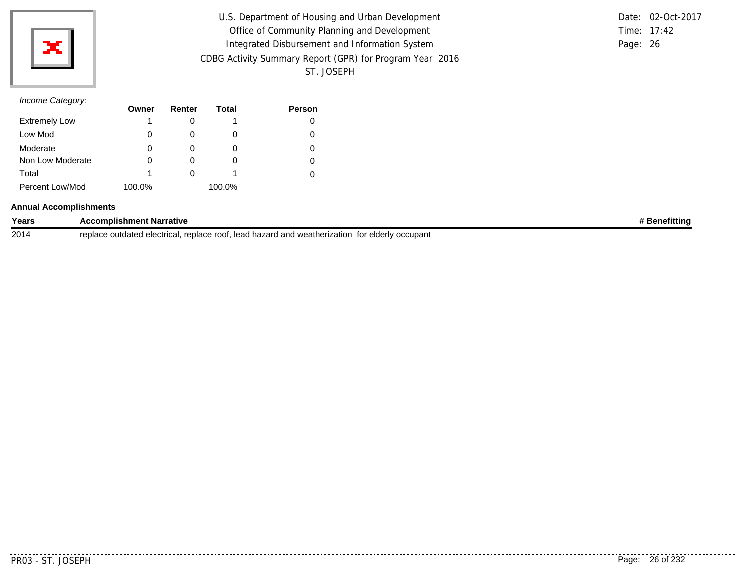

| U.S. Department of Housing and Urban Development         | Date: 02-Oct-2017 |  |
|----------------------------------------------------------|-------------------|--|
| Office of Community Planning and Development             | Time: 17:42       |  |
| Integrated Disbursement and Information System           | Page: 26          |  |
| CDBG Activity Summary Report (GPR) for Program Year 2016 |                   |  |
| ST. JOSEPH                                               |                   |  |

|          | Date: 02-Oct-2017 |
|----------|-------------------|
|          | Time: $17.42$     |
| Page: 26 |                   |

# *Income Category:*

|                      | Owner  | Renter | Total  | <b>Person</b> |
|----------------------|--------|--------|--------|---------------|
| <b>Extremely Low</b> | 1      |        |        | 0             |
| Low Mod              | 0      |        |        | 0             |
| Moderate             | 0      |        |        |               |
| Non Low Moderate     | 0      |        |        | 0             |
| Total                | 1      |        |        |               |
| Percent Low/Mod      | 100.0% |        | 100.0% |               |

#### **Annual Accomplishments**

| Years | <b>Accomplishment Narrative</b>                                                                      | <b>3enefittina</b> |
|-------|------------------------------------------------------------------------------------------------------|--------------------|
| 2014  | ', replace root, lead hazard and weatherization for elderly occupant<br>replace outdated electrical. |                    |

PR03 - ST. JOSEPH Page: 26 of 232

. . . . . .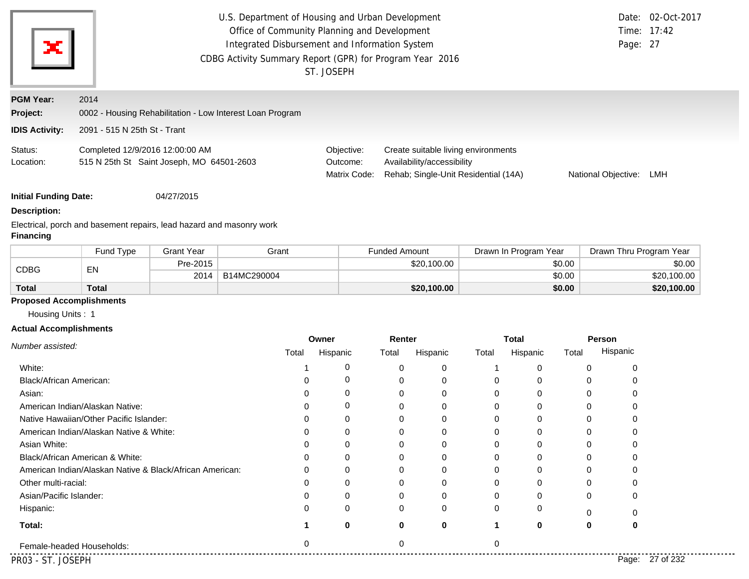| ×                                                     | Time: 17:42<br>Page: 27                                                                           | Date: 02-Oct-2017                      |                                                                                                           |                     |     |
|-------------------------------------------------------|---------------------------------------------------------------------------------------------------|----------------------------------------|-----------------------------------------------------------------------------------------------------------|---------------------|-----|
| <b>PGM Year:</b><br>Project:<br><b>IDIS Activity:</b> | 2014<br>0002 - Housing Rehabilitation - Low Interest Loan Program<br>2091 - 515 N 25th St - Trant |                                        |                                                                                                           |                     |     |
| Status:<br>Location:                                  | Completed 12/9/2016 12:00:00 AM<br>515 N 25th St Saint Joseph, MO 64501-2603                      | Objective:<br>Outcome:<br>Matrix Code: | Create suitable living environments<br>Availability/accessibility<br>Rehab; Single-Unit Residential (14A) | National Objective: | LMH |
| <b>Initial Funding Date:</b><br><b>Description:</b>   | 04/27/2015                                                                                        |                                        |                                                                                                           |                     |     |

Electrical, porch and basement repairs, lead hazard and masonry work **Financing**

|              | <b>Fund Type</b>  | <b>Grant Year</b> | Grant       | <b>Funded Amount</b> | Drawn In Program Year | Drawn Thru Program Year |
|--------------|-------------------|-------------------|-------------|----------------------|-----------------------|-------------------------|
|              | EN<br><b>CDBG</b> | Pre-2015          |             | \$20,100.00          | \$0.00                | \$0.00                  |
|              |                   | 2014              | B14MC290004 |                      | \$0.00                | \$20,100.00             |
| <b>Total</b> | Total             |                   |             | \$20,100.00          | \$0.00                | \$20,100.00             |

## **Proposed Accomplishments**

Housing Units : 1

## **Actual Accomplishments**

| Number assisted:                                         | Owner |          | Renter |             | <b>Total</b> |          |          | Person          |
|----------------------------------------------------------|-------|----------|--------|-------------|--------------|----------|----------|-----------------|
|                                                          | Total | Hispanic | Total  | Hispanic    | Total        | Hispanic | Total    | Hispanic        |
| White:                                                   |       | 0        |        | 0           |              | 0        |          |                 |
| Black/African American:                                  |       | 0        |        | 0           |              | 0        |          |                 |
| Asian:                                                   |       | $\Omega$ |        | 0           |              | 0        |          |                 |
| American Indian/Alaskan Native:                          |       | 0        |        | $\Omega$    |              | 0        |          |                 |
| Native Hawaiian/Other Pacific Islander:                  |       | $\Omega$ |        | 0           |              | 0        |          |                 |
| American Indian/Alaskan Native & White:                  |       | $\Omega$ |        | $\Omega$    | $\Omega$     | 0        |          |                 |
| Asian White:                                             |       | $\Omega$ |        | $\Omega$    |              | 0        |          |                 |
| Black/African American & White:                          |       | $\Omega$ |        | $\Omega$    |              | 0        |          |                 |
| American Indian/Alaskan Native & Black/African American: |       | $\Omega$ |        | $\Omega$    |              | 0        |          |                 |
| Other multi-racial:                                      |       | $\Omega$ |        | $\Omega$    |              | 0        |          |                 |
| Asian/Pacific Islander:                                  |       | $\Omega$ |        | $\Omega$    |              | 0        | $\Omega$ |                 |
| Hispanic:                                                | 0     | $\Omega$ |        | 0           |              | 0        | ∩        |                 |
| Total:                                                   |       | $\bf{0}$ |        | $\mathbf 0$ |              | 0        | 0        |                 |
| Female-headed Households:                                |       |          |        |             |              |          |          |                 |
| PR03 - ST. JOSEPH                                        |       |          |        |             |              |          |          | Page: 27 of 232 |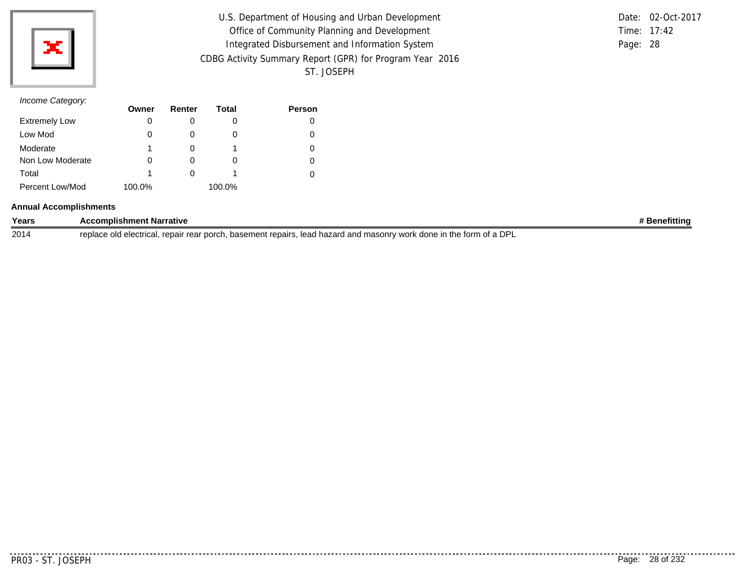

| U.S. Department of Housing and Urban Development         |          | Date: 02-Oct-2017 |
|----------------------------------------------------------|----------|-------------------|
| Office of Community Planning and Development             |          | Time: 17:42       |
| Integrated Disbursement and Information System           | Page: 28 |                   |
| CDBG Activity Summary Report (GPR) for Program Year 2016 |          |                   |
| ST. JOSEPH                                               |          |                   |

# *Income Category:*

|                      | Owner  | Renter | Total  | <b>Person</b> |
|----------------------|--------|--------|--------|---------------|
| <b>Extremely Low</b> | 0      |        |        |               |
| Low Mod              | 0      |        |        | O             |
| Moderate             | 1      |        |        |               |
| Non Low Moderate     | 0      |        | O)     | O             |
| Total                | 1      |        |        |               |
| Percent Low/Mod      | 100.0% |        | 100.0% |               |

#### **Annual Accomplishments**

| Years | Accomplishment Narrative                                                                                                                    | <b>Renefitting</b> |
|-------|---------------------------------------------------------------------------------------------------------------------------------------------|--------------------|
| 2014  | <b>DPI</b><br>. lead hazard and masonry work<br>. basement repairs.<br>k done in the form<br>. repair rear porch<br>replace old electrical. |                    |

..........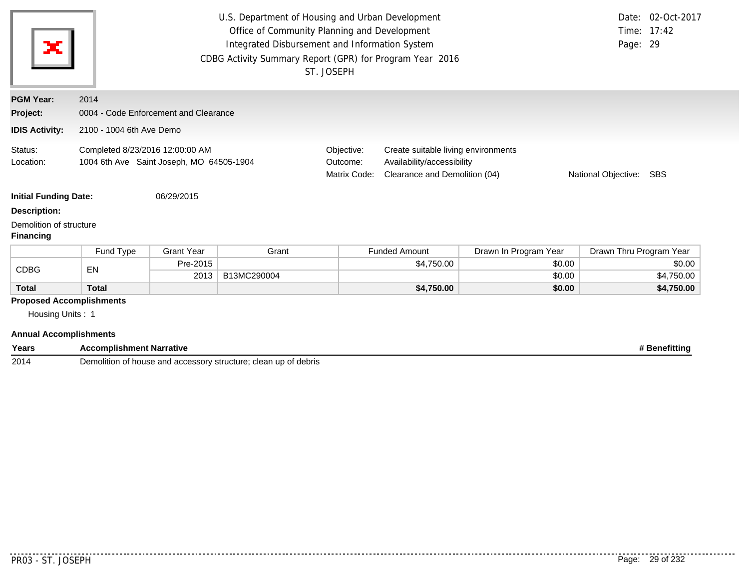| U.S. Department of Housing and Urban Development<br>Office of Community Planning and Development<br>×<br>Integrated Disbursement and Information System<br>Page: 29<br>CDBG Activity Summary Report (GPR) for Program Year 2016<br>ST. JOSEPH |                                                                             |                   |             |                                        | Date: 02-Oct-2017<br>Time: 17:42                                                                   |                         |                         |            |
|-----------------------------------------------------------------------------------------------------------------------------------------------------------------------------------------------------------------------------------------------|-----------------------------------------------------------------------------|-------------------|-------------|----------------------------------------|----------------------------------------------------------------------------------------------------|-------------------------|-------------------------|------------|
| <b>PGM Year:</b>                                                                                                                                                                                                                              | 2014                                                                        |                   |             |                                        |                                                                                                    |                         |                         |            |
| Project:                                                                                                                                                                                                                                      | 0004 - Code Enforcement and Clearance                                       |                   |             |                                        |                                                                                                    |                         |                         |            |
| <b>IDIS Activity:</b>                                                                                                                                                                                                                         | 2100 - 1004 6th Ave Demo                                                    |                   |             |                                        |                                                                                                    |                         |                         |            |
| Status:<br>Location:                                                                                                                                                                                                                          | Completed 8/23/2016 12:00:00 AM<br>1004 6th Ave Saint Joseph, MO 64505-1904 |                   |             | Objective:<br>Outcome:<br>Matrix Code: | Create suitable living environments<br>Availability/accessibility<br>Clearance and Demolition (04) | National Objective: SBS |                         |            |
| <b>Initial Funding Date:</b>                                                                                                                                                                                                                  |                                                                             | 06/29/2015        |             |                                        |                                                                                                    |                         |                         |            |
| <b>Description:</b>                                                                                                                                                                                                                           |                                                                             |                   |             |                                        |                                                                                                    |                         |                         |            |
| Demolition of structure<br><b>Financing</b>                                                                                                                                                                                                   |                                                                             |                   |             |                                        |                                                                                                    |                         |                         |            |
|                                                                                                                                                                                                                                               | Fund Type                                                                   | <b>Grant Year</b> | Grant       |                                        | <b>Funded Amount</b>                                                                               | Drawn In Program Year   | Drawn Thru Program Year |            |
| <b>CDBG</b>                                                                                                                                                                                                                                   | EN                                                                          | Pre-2015          |             |                                        | \$4,750.00                                                                                         | \$0.00                  |                         | \$0.00     |
|                                                                                                                                                                                                                                               |                                                                             | 2013              | B13MC290004 |                                        |                                                                                                    | \$0.00                  |                         | \$4,750.00 |
| <b>Total</b>                                                                                                                                                                                                                                  | <b>Total</b>                                                                |                   |             |                                        | \$4,750.00                                                                                         | \$0.00                  |                         | \$4,750.00 |
| <b>Proposed Accomplishments</b>                                                                                                                                                                                                               |                                                                             |                   |             |                                        |                                                                                                    |                         |                         |            |
| Housing Units: 1                                                                                                                                                                                                                              |                                                                             |                   |             |                                        |                                                                                                    |                         |                         |            |

| Years | $- -$<br>. Narratıve<br><b>⊌omplishment</b>                                                                                   | enemtunt |
|-------|-------------------------------------------------------------------------------------------------------------------------------|----------|
| 2014  | Demol <sup>.</sup><br>structure<br>debris<br>up of<br>.)USP<br>clean<br>ssory<br>$\sim$<br><b>……</b><br>ıtı∩r<br>and<br>duudo |          |

<u>. . . . . . .</u>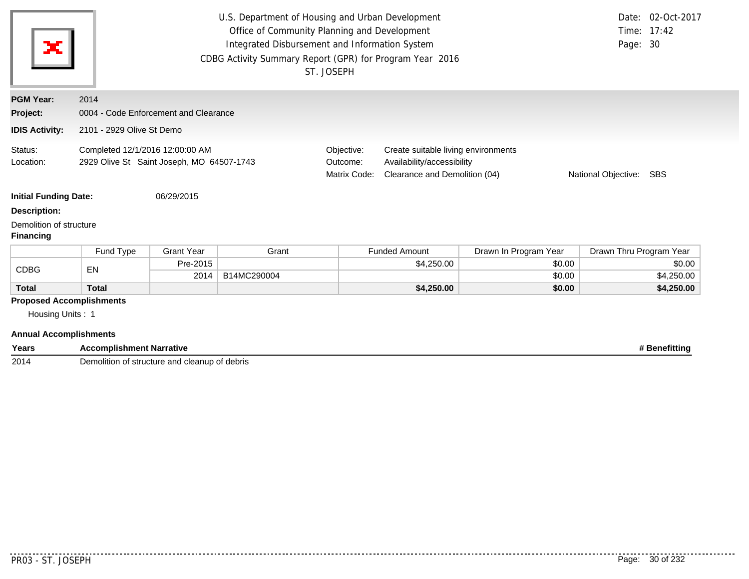| ×                                                                                    | U.S. Department of Housing and Urban Development<br>Office of Community Planning and Development<br>Integrated Disbursement and Information System<br>Page: 30<br>CDBG Activity Summary Report (GPR) for Program Year 2016<br>ST. JOSEPH |                   |             |  |                                                                                                                                                                         |                       |                         | Date: 02-Oct-2017<br>Time: 17:42 |  |
|--------------------------------------------------------------------------------------|------------------------------------------------------------------------------------------------------------------------------------------------------------------------------------------------------------------------------------------|-------------------|-------------|--|-------------------------------------------------------------------------------------------------------------------------------------------------------------------------|-----------------------|-------------------------|----------------------------------|--|
| <b>PGM Year:</b>                                                                     | 2014                                                                                                                                                                                                                                     |                   |             |  |                                                                                                                                                                         |                       |                         |                                  |  |
| Project:                                                                             | 0004 - Code Enforcement and Clearance                                                                                                                                                                                                    |                   |             |  |                                                                                                                                                                         |                       |                         |                                  |  |
| <b>IDIS Activity:</b>                                                                | 2101 - 2929 Olive St Demo                                                                                                                                                                                                                |                   |             |  |                                                                                                                                                                         |                       |                         |                                  |  |
| Status:<br>Location:<br><b>Initial Funding Date:</b>                                 | Completed 12/1/2016 12:00:00 AM<br>2929 Olive St Saint Joseph, MO 64507-1743<br>06/29/2015                                                                                                                                               |                   |             |  | Create suitable living environments<br>Objective:<br>Outcome:<br>Availability/accessibility<br>Matrix Code:<br>Clearance and Demolition (04)<br>National Objective: SBS |                       |                         |                                  |  |
| <b>Description:</b>                                                                  |                                                                                                                                                                                                                                          |                   |             |  |                                                                                                                                                                         |                       |                         |                                  |  |
| Demolition of structure<br><b>Financing</b>                                          |                                                                                                                                                                                                                                          |                   |             |  |                                                                                                                                                                         |                       |                         |                                  |  |
|                                                                                      | Fund Type                                                                                                                                                                                                                                | <b>Grant Year</b> | Grant       |  | <b>Funded Amount</b>                                                                                                                                                    | Drawn In Program Year | Drawn Thru Program Year |                                  |  |
| <b>CDBG</b>                                                                          | EN                                                                                                                                                                                                                                       | Pre-2015          |             |  | \$4,250.00                                                                                                                                                              | \$0.00                |                         | \$0.00                           |  |
|                                                                                      |                                                                                                                                                                                                                                          | 2014              | B14MC290004 |  |                                                                                                                                                                         | \$0.00                |                         | \$4,250.00                       |  |
| <b>Total</b>                                                                         | <b>Total</b>                                                                                                                                                                                                                             |                   |             |  | \$4,250.00                                                                                                                                                              | \$0.00                |                         | \$4,250.00                       |  |
| <b>Proposed Accomplishments</b><br>Housing Units: 1<br><b>Annual Accomplishments</b> |                                                                                                                                                                                                                                          |                   |             |  |                                                                                                                                                                         |                       |                         |                                  |  |

| Years | --<br><b>Accomplishment Narrative</b><br>. 166°                        | ⊦Benefittinc |
|-------|------------------------------------------------------------------------|--------------|
| 2014  | <b>Demolition</b><br>ו of structure and cleanup<br>of debris<br>veniu. |              |

. . . . . . .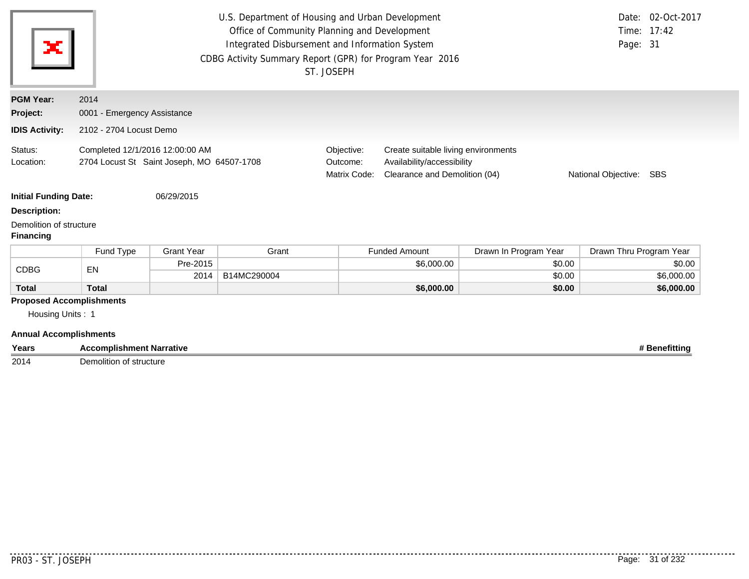| ×                                                                                    | U.S. Department of Housing and Urban Development<br>Office of Community Planning and Development<br>Time: 17:42<br>Integrated Disbursement and Information System<br>Page: 31<br>CDBG Activity Summary Report (GPR) for Program Year 2016<br>ST. JOSEPH |                   |             |                                                                                                                                                                         |                      |                       |                         | Date: 02-Oct-2017 |
|--------------------------------------------------------------------------------------|---------------------------------------------------------------------------------------------------------------------------------------------------------------------------------------------------------------------------------------------------------|-------------------|-------------|-------------------------------------------------------------------------------------------------------------------------------------------------------------------------|----------------------|-----------------------|-------------------------|-------------------|
| <b>PGM Year:</b>                                                                     | 2014                                                                                                                                                                                                                                                    |                   |             |                                                                                                                                                                         |                      |                       |                         |                   |
| Project:                                                                             | 0001 - Emergency Assistance                                                                                                                                                                                                                             |                   |             |                                                                                                                                                                         |                      |                       |                         |                   |
| <b>IDIS Activity:</b>                                                                | 2102 - 2704 Locust Demo                                                                                                                                                                                                                                 |                   |             |                                                                                                                                                                         |                      |                       |                         |                   |
| Status:<br>Location:                                                                 | Completed 12/1/2016 12:00:00 AM<br>2704 Locust St Saint Joseph, MO 64507-1708                                                                                                                                                                           |                   |             | Objective:<br>Create suitable living environments<br>Outcome:<br>Availability/accessibility<br>Clearance and Demolition (04)<br>Matrix Code:<br>National Objective: SBS |                      |                       |                         |                   |
| <b>Initial Funding Date:</b>                                                         |                                                                                                                                                                                                                                                         | 06/29/2015        |             |                                                                                                                                                                         |                      |                       |                         |                   |
| <b>Description:</b>                                                                  |                                                                                                                                                                                                                                                         |                   |             |                                                                                                                                                                         |                      |                       |                         |                   |
| Demolition of structure<br><b>Financing</b>                                          |                                                                                                                                                                                                                                                         |                   |             |                                                                                                                                                                         |                      |                       |                         |                   |
|                                                                                      | Fund Type                                                                                                                                                                                                                                               | <b>Grant Year</b> | Grant       |                                                                                                                                                                         | <b>Funded Amount</b> | Drawn In Program Year | Drawn Thru Program Year |                   |
| <b>CDBG</b>                                                                          | EN                                                                                                                                                                                                                                                      | Pre-2015          |             |                                                                                                                                                                         | \$6,000.00           | \$0.00                |                         | \$0.00            |
|                                                                                      |                                                                                                                                                                                                                                                         | 2014              | B14MC290004 |                                                                                                                                                                         |                      | \$0.00                |                         | \$6,000.00        |
| <b>Total</b>                                                                         | <b>Total</b>                                                                                                                                                                                                                                            |                   |             |                                                                                                                                                                         | \$6,000.00           | \$0.00                |                         | \$6,000.00        |
| <b>Proposed Accomplishments</b><br>Housing Units: 1<br><b>Annual Accomplishments</b> |                                                                                                                                                                                                                                                         |                   |             |                                                                                                                                                                         |                      |                       |                         |                   |

**Years Accomplishment Narrative # Benefitting # Benefitting # Benefitting # Benefitting # Benefitting** Demolition of structure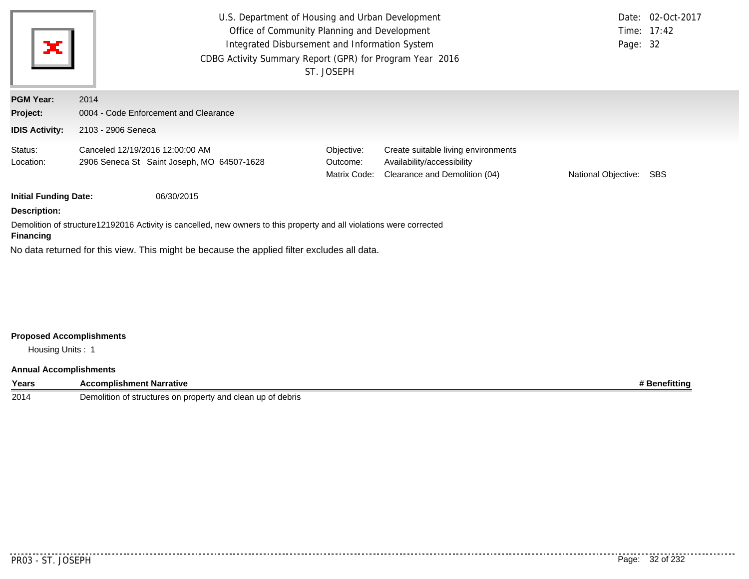| U.S. Department of Housing and Urban Development<br>Office of Community Planning and Development<br>×<br>Integrated Disbursement and Information System<br>CDBG Activity Summary Report (GPR) for Program Year 2016<br>ST. JOSEPH |                                                                                             |                                        |                                                                                                    |                         | Date: 02-Oct-2017<br>Time: 17:42<br>Page: 32 |  |
|-----------------------------------------------------------------------------------------------------------------------------------------------------------------------------------------------------------------------------------|---------------------------------------------------------------------------------------------|----------------------------------------|----------------------------------------------------------------------------------------------------|-------------------------|----------------------------------------------|--|
| <b>PGM Year:</b>                                                                                                                                                                                                                  | 2014                                                                                        |                                        |                                                                                                    |                         |                                              |  |
| Project:                                                                                                                                                                                                                          | 0004 - Code Enforcement and Clearance                                                       |                                        |                                                                                                    |                         |                                              |  |
| <b>IDIS Activity:</b>                                                                                                                                                                                                             | 2103 - 2906 Seneca                                                                          |                                        |                                                                                                    |                         |                                              |  |
| Status:<br>Location:                                                                                                                                                                                                              | Canceled 12/19/2016 12:00:00 AM<br>2906 Seneca St Saint Joseph, MO 64507-1628               | Objective:<br>Outcome:<br>Matrix Code: | Create suitable living environments<br>Availability/accessibility<br>Clearance and Demolition (04) | National Objective: SBS |                                              |  |
| <b>Initial Funding Date:</b>                                                                                                                                                                                                      | 06/30/2015                                                                                  |                                        |                                                                                                    |                         |                                              |  |
| <b>Description:</b>                                                                                                                                                                                                               |                                                                                             |                                        |                                                                                                    |                         |                                              |  |
| Demolition of structure12192016 Activity is cancelled, new owners to this property and all violations were corrected<br><b>Financing</b>                                                                                          |                                                                                             |                                        |                                                                                                    |                         |                                              |  |
|                                                                                                                                                                                                                                   | No data returned for this view. This might be because the applied filter excludes all data. |                                        |                                                                                                    |                         |                                              |  |

# **Proposed Accomplishments**

Housing Units : 1

## **Annual Accomplishments**

| Years | :omplishment Narrative                                                             | <b>eneritting</b> |
|-------|------------------------------------------------------------------------------------|-------------------|
| 2014  | of debris<br>Demolitior<br>ीtructures on property and $\sqrt{ }$<br>clean<br>nt st |                   |

..........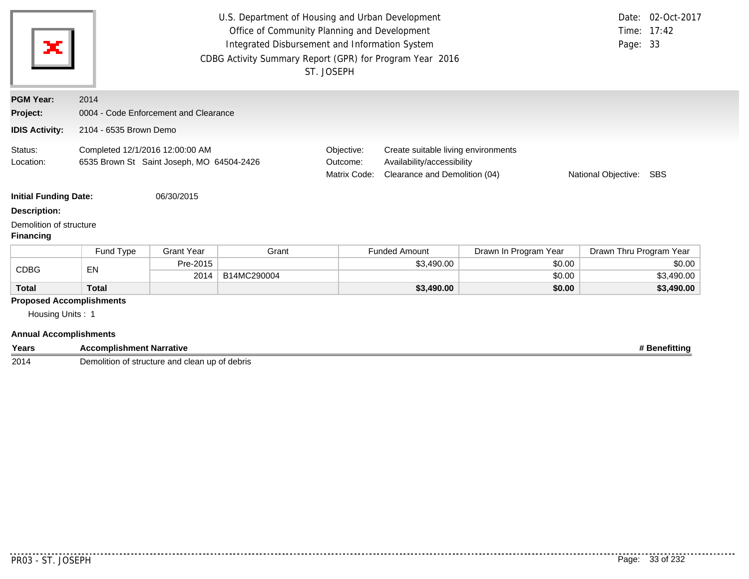| ×                                                                                    |                                                                              |                                       | U.S. Department of Housing and Urban Development<br>Office of Community Planning and Development<br>Integrated Disbursement and Information System<br>CDBG Activity Summary Report (GPR) for Program Year 2016 | ST. JOSEPH                                                                                                                                                                        |                      |                       | Page: 33                | Date: 02-Oct-2017<br>Time: 17:42 |  |
|--------------------------------------------------------------------------------------|------------------------------------------------------------------------------|---------------------------------------|----------------------------------------------------------------------------------------------------------------------------------------------------------------------------------------------------------------|-----------------------------------------------------------------------------------------------------------------------------------------------------------------------------------|----------------------|-----------------------|-------------------------|----------------------------------|--|
| <b>PGM Year:</b>                                                                     | 2014                                                                         |                                       |                                                                                                                                                                                                                |                                                                                                                                                                                   |                      |                       |                         |                                  |  |
| Project:                                                                             |                                                                              | 0004 - Code Enforcement and Clearance |                                                                                                                                                                                                                |                                                                                                                                                                                   |                      |                       |                         |                                  |  |
| <b>IDIS Activity:</b>                                                                |                                                                              | 2104 - 6535 Brown Demo                |                                                                                                                                                                                                                |                                                                                                                                                                                   |                      |                       |                         |                                  |  |
| Status:<br>Location:<br><b>Initial Funding Date:</b>                                 | Completed 12/1/2016 12:00:00 AM<br>6535 Brown St Saint Joseph, MO 64504-2426 | 06/30/2015                            |                                                                                                                                                                                                                | Objective:<br>Create suitable living environments<br>Availability/accessibility<br>Outcome:<br>Matrix Code:<br>Clearance and Demolition (04)<br>National Objective:<br><b>SBS</b> |                      |                       |                         |                                  |  |
| <b>Description:</b>                                                                  |                                                                              |                                       |                                                                                                                                                                                                                |                                                                                                                                                                                   |                      |                       |                         |                                  |  |
| Demolition of structure<br><b>Financing</b>                                          |                                                                              |                                       |                                                                                                                                                                                                                |                                                                                                                                                                                   |                      |                       |                         |                                  |  |
|                                                                                      | Fund Type                                                                    | <b>Grant Year</b>                     | Grant                                                                                                                                                                                                          |                                                                                                                                                                                   | <b>Funded Amount</b> | Drawn In Program Year | Drawn Thru Program Year |                                  |  |
| <b>CDBG</b>                                                                          | EN                                                                           | Pre-2015                              |                                                                                                                                                                                                                |                                                                                                                                                                                   | \$3,490.00           | \$0.00                |                         | \$0.00                           |  |
|                                                                                      |                                                                              | 2014                                  | B14MC290004                                                                                                                                                                                                    |                                                                                                                                                                                   |                      | \$0.00                |                         | \$3,490.00                       |  |
| <b>Total</b>                                                                         | <b>Total</b>                                                                 |                                       |                                                                                                                                                                                                                |                                                                                                                                                                                   | \$3,490.00           | \$0.00                |                         | \$3,490.00                       |  |
| <b>Proposed Accomplishments</b><br>Housing Units: 1<br><b>Annual Accomplishments</b> |                                                                              |                                       |                                                                                                                                                                                                                |                                                                                                                                                                                   |                      |                       |                         |                                  |  |

**Years Accomplishment Narrative # Benefitting**

2014 Demolition of structure and clean up of debris

. . . . . . . . .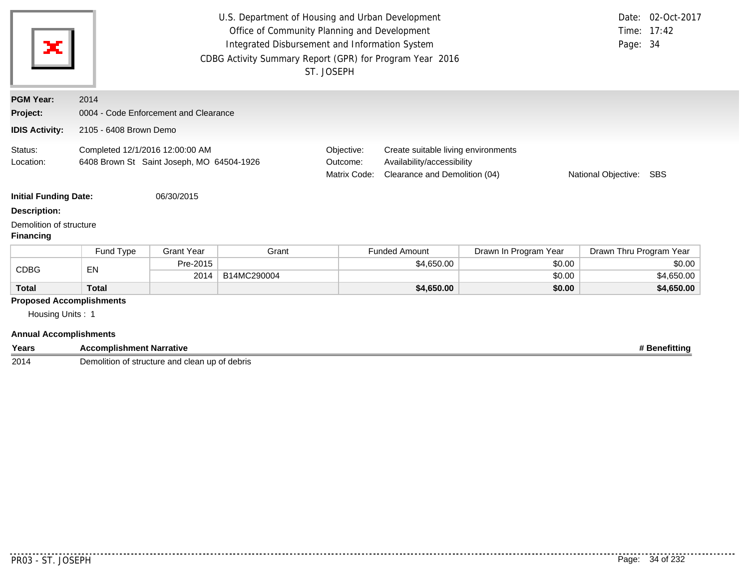| ×                                                                                                                                                  |                                 |                                       | U.S. Department of Housing and Urban Development<br>Office of Community Planning and Development<br>Integrated Disbursement and Information System<br>CDBG Activity Summary Report (GPR) for Program Year 2016 | ST. JOSEPH                                                                                                                                                              |                      |                       | Page: 34                | Date: 02-Oct-2017<br>Time: 17:42 |  |
|----------------------------------------------------------------------------------------------------------------------------------------------------|---------------------------------|---------------------------------------|----------------------------------------------------------------------------------------------------------------------------------------------------------------------------------------------------------------|-------------------------------------------------------------------------------------------------------------------------------------------------------------------------|----------------------|-----------------------|-------------------------|----------------------------------|--|
| <b>PGM Year:</b>                                                                                                                                   | 2014                            |                                       |                                                                                                                                                                                                                |                                                                                                                                                                         |                      |                       |                         |                                  |  |
| Project:                                                                                                                                           |                                 | 0004 - Code Enforcement and Clearance |                                                                                                                                                                                                                |                                                                                                                                                                         |                      |                       |                         |                                  |  |
| <b>IDIS Activity:</b>                                                                                                                              |                                 | 2105 - 6408 Brown Demo                |                                                                                                                                                                                                                |                                                                                                                                                                         |                      |                       |                         |                                  |  |
| Status:<br>Completed 12/1/2016 12:00:00 AM<br>6408 Brown St Saint Joseph, MO 64504-1926<br>Location:<br><b>Initial Funding Date:</b><br>06/30/2015 |                                 |                                       |                                                                                                                                                                                                                | Objective:<br>Create suitable living environments<br>Availability/accessibility<br>Outcome:<br>Matrix Code:<br>Clearance and Demolition (04)<br>National Objective: SBS |                      |                       |                         |                                  |  |
| <b>Description:</b>                                                                                                                                |                                 |                                       |                                                                                                                                                                                                                |                                                                                                                                                                         |                      |                       |                         |                                  |  |
| Demolition of structure<br><b>Financing</b>                                                                                                        |                                 |                                       |                                                                                                                                                                                                                |                                                                                                                                                                         |                      |                       |                         |                                  |  |
|                                                                                                                                                    | Fund Type                       | <b>Grant Year</b>                     | Grant                                                                                                                                                                                                          |                                                                                                                                                                         | <b>Funded Amount</b> | Drawn In Program Year | Drawn Thru Program Year |                                  |  |
| <b>CDBG</b>                                                                                                                                        | EN                              | Pre-2015                              |                                                                                                                                                                                                                |                                                                                                                                                                         | \$4,650.00           | \$0.00                |                         | \$0.00                           |  |
|                                                                                                                                                    |                                 | 2014                                  | B14MC290004                                                                                                                                                                                                    |                                                                                                                                                                         |                      | \$0.00                |                         | \$4,650.00                       |  |
| <b>Total</b>                                                                                                                                       | <b>Total</b>                    |                                       |                                                                                                                                                                                                                |                                                                                                                                                                         | \$4,650.00           | \$0.00                |                         | \$4,650.00                       |  |
| Housing Units: 1<br><b>Annual Accomplishments</b>                                                                                                  | <b>Proposed Accomplishments</b> |                                       |                                                                                                                                                                                                                |                                                                                                                                                                         |                      |                       |                         |                                  |  |

| ′ears | : Narrative<br><b>Accomplishment</b> |  | enttin |
|-------|--------------------------------------|--|--------|
|-------|--------------------------------------|--|--------|

2014 Demolition of structure and clean up of debris

.........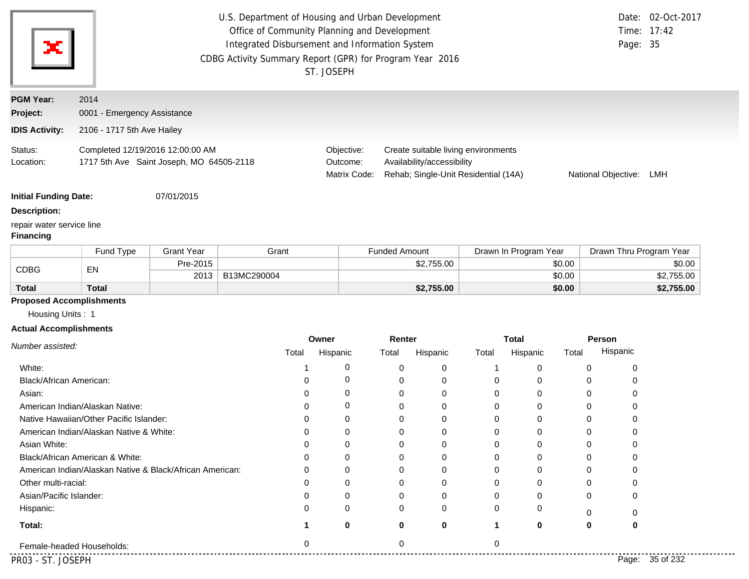| ×                                             |                                                                              |                   | U.S. Department of Housing and Urban Development<br>Office of Community Planning and Development<br>Integrated Disbursement and Information System<br>CDBG Activity Summary Report (GPR) for Program Year 2016 | ST. JOSEPH                                                                                                                                                                        |                      |                       | Page: 35                | Date: 02-Oct-2017<br>Time: 17:42 |  |
|-----------------------------------------------|------------------------------------------------------------------------------|-------------------|----------------------------------------------------------------------------------------------------------------------------------------------------------------------------------------------------------------|-----------------------------------------------------------------------------------------------------------------------------------------------------------------------------------|----------------------|-----------------------|-------------------------|----------------------------------|--|
| <b>PGM Year:</b>                              | 2014                                                                         |                   |                                                                                                                                                                                                                |                                                                                                                                                                                   |                      |                       |                         |                                  |  |
| Project:                                      | 0001 - Emergency Assistance                                                  |                   |                                                                                                                                                                                                                |                                                                                                                                                                                   |                      |                       |                         |                                  |  |
| <b>IDIS Activity:</b>                         | 2106 - 1717 5th Ave Hailey                                                   |                   |                                                                                                                                                                                                                |                                                                                                                                                                                   |                      |                       |                         |                                  |  |
| Status:<br>Location:                          | Completed 12/19/2016 12:00:00 AM<br>1717 5th Ave Saint Joseph, MO 64505-2118 |                   |                                                                                                                                                                                                                | Objective:<br>Create suitable living environments<br>Availability/accessibility<br>Outcome:<br>Matrix Code:<br>Rehab; Single-Unit Residential (14A)<br>National Objective:<br>LMH |                      |                       |                         |                                  |  |
| <b>Initial Funding Date:</b>                  |                                                                              | 07/01/2015        |                                                                                                                                                                                                                |                                                                                                                                                                                   |                      |                       |                         |                                  |  |
| <b>Description:</b>                           |                                                                              |                   |                                                                                                                                                                                                                |                                                                                                                                                                                   |                      |                       |                         |                                  |  |
| repair water service line<br><b>Financing</b> |                                                                              |                   |                                                                                                                                                                                                                |                                                                                                                                                                                   |                      |                       |                         |                                  |  |
|                                               | Fund Type                                                                    | <b>Grant Year</b> | Grant                                                                                                                                                                                                          |                                                                                                                                                                                   | <b>Funded Amount</b> | Drawn In Program Year | Drawn Thru Program Year |                                  |  |
| <b>CDBG</b>                                   | EN                                                                           | Pre-2015          |                                                                                                                                                                                                                |                                                                                                                                                                                   | \$2,755.00           | \$0.00                |                         | \$0.00                           |  |
|                                               |                                                                              | 2013              | B13MC290004                                                                                                                                                                                                    |                                                                                                                                                                                   |                      | \$0.00                |                         | \$2,755.00                       |  |
| <b>Total</b>                                  | <b>Total</b>                                                                 |                   |                                                                                                                                                                                                                |                                                                                                                                                                                   | \$2,755.00           | \$0.00                |                         | \$2,755.00                       |  |
| <b>Proposed Accomplishments</b>               |                                                                              |                   |                                                                                                                                                                                                                |                                                                                                                                                                                   |                      |                       |                         |                                  |  |

Housing Units : 1

## **Actual Accomplishments**

|                                                          | Owner |          | Renter |              | <b>Total</b> |          |       | Person             |
|----------------------------------------------------------|-------|----------|--------|--------------|--------------|----------|-------|--------------------|
| Number assisted:                                         | Total | Hispanic | Total  | Hispanic     | Total        | Hispanic | Total | Hispanic           |
| White:                                                   |       | 0        |        | ∩            |              |          |       |                    |
| Black/African American:                                  |       | 0        |        |              |              |          |       |                    |
| Asian:                                                   |       | 0        |        |              |              | 0        |       |                    |
| American Indian/Alaskan Native:                          |       | 0        |        |              |              |          |       |                    |
| Native Hawaiian/Other Pacific Islander:                  |       | 0        |        |              |              |          |       |                    |
| American Indian/Alaskan Native & White:                  |       | 0        |        |              |              |          |       |                    |
| Asian White:                                             |       | O        |        |              |              |          |       |                    |
| Black/African American & White:                          |       | 0        |        |              |              |          |       |                    |
| American Indian/Alaskan Native & Black/African American: |       | 0        |        |              |              |          |       |                    |
| Other multi-racial:                                      |       | 0        |        |              |              | 0        | 0     |                    |
| Asian/Pacific Islander:                                  |       | 0        |        |              |              |          | 0     | 0                  |
| Hispanic:                                                |       | 0        |        | <sup>0</sup> | $\Omega$     | 0        |       |                    |
| Total:                                                   |       | 0        | 0      | 0            |              | 0        | 0     | 0                  |
| Female-headed Households:                                | 0     |          |        |              |              |          |       |                    |
| PR03 - ST. JOSEPH                                        |       |          |        |              |              |          |       | 35 of 232<br>Page: |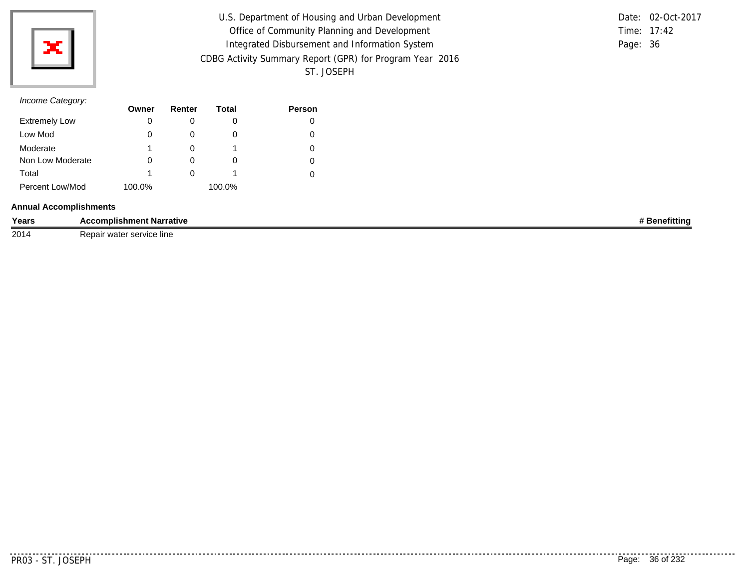

| U.S. Department of Housing and Urban Development         |          | Date: 02-Oct-2017 |
|----------------------------------------------------------|----------|-------------------|
| Office of Community Planning and Development             |          | Time: $17:42$     |
| Integrated Disbursement and Information System           | Page: 36 |                   |
| CDBG Activity Summary Report (GPR) for Program Year 2016 |          |                   |
| ST. JOSEPH                                               |          |                   |

# *Income Category:*

|                      | Owner  | Renter       | Total  | <b>Person</b> |
|----------------------|--------|--------------|--------|---------------|
| <b>Extremely Low</b> | 0      |              | O      |               |
| Low Mod              | 0      |              | O      |               |
| Moderate             | 1      |              |        |               |
| Non Low Moderate     | 0      | $\mathbf{0}$ | 0      |               |
| Total                | 1      | $\mathbf{0}$ |        |               |
| Percent Low/Mod      | 100.0% |              | 100.0% |               |

#### **Annual Accomplishments**

| Years | ∶omplishm<br>t Narrative<br>ent<br>$\cdots$                     | .<br>৲fittin⊾ |
|-------|-----------------------------------------------------------------|---------------|
| 2014  | * service line<br>- - -<br>$\sim$ wintor<br>m<br>7 c na<br>walt |               |

. . . . . . . . . . .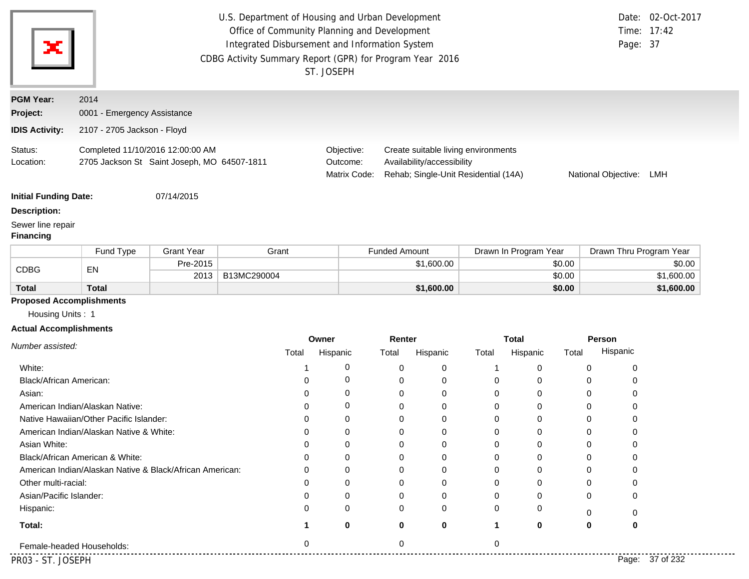|                                       |                                                                                 |                   | U.S. Department of Housing and Urban Development<br>Office of Community Planning and Development<br>Integrated Disbursement and Information System<br>CDBG Activity Summary Report (GPR) for Program Year 2016 | ST. JOSEPH        |                                                                                                                                                                                |            |          |                          |        | Page: 37                  | Date: 02-Oct-2017<br>Time: 17:42 |
|---------------------------------------|---------------------------------------------------------------------------------|-------------------|----------------------------------------------------------------------------------------------------------------------------------------------------------------------------------------------------------------|-------------------|--------------------------------------------------------------------------------------------------------------------------------------------------------------------------------|------------|----------|--------------------------|--------|---------------------------|----------------------------------|
| <b>PGM Year:</b>                      | 2014                                                                            |                   |                                                                                                                                                                                                                |                   |                                                                                                                                                                                |            |          |                          |        |                           |                                  |
| Project:                              | 0001 - Emergency Assistance                                                     |                   |                                                                                                                                                                                                                |                   |                                                                                                                                                                                |            |          |                          |        |                           |                                  |
| <b>IDIS Activity:</b>                 | 2107 - 2705 Jackson - Floyd                                                     |                   |                                                                                                                                                                                                                |                   |                                                                                                                                                                                |            |          |                          |        |                           |                                  |
| Status:<br>Location:                  | Completed 11/10/2016 12:00:00 AM<br>2705 Jackson St Saint Joseph, MO 64507-1811 |                   |                                                                                                                                                                                                                |                   | Objective:<br>Create suitable living environments<br>Availability/accessibility<br>Outcome:<br>Rehab; Single-Unit Residential (14A)<br>Matrix Code:<br>National Objective: LMH |            |          |                          |        |                           |                                  |
| <b>Initial Funding Date:</b>          |                                                                                 | 07/14/2015        |                                                                                                                                                                                                                |                   |                                                                                                                                                                                |            |          |                          |        |                           |                                  |
| <b>Description:</b>                   |                                                                                 |                   |                                                                                                                                                                                                                |                   |                                                                                                                                                                                |            |          |                          |        |                           |                                  |
| Sewer line repair<br><b>Financing</b> |                                                                                 |                   |                                                                                                                                                                                                                |                   |                                                                                                                                                                                |            |          |                          |        |                           |                                  |
|                                       | Fund Type                                                                       | <b>Grant Year</b> | Grant                                                                                                                                                                                                          |                   | <b>Funded Amount</b>                                                                                                                                                           |            |          | Drawn In Program Year    |        | Drawn Thru Program Year   |                                  |
| <b>CDBG</b>                           | EN                                                                              | Pre-2015          |                                                                                                                                                                                                                |                   |                                                                                                                                                                                | \$1,600.00 |          |                          | \$0.00 |                           | \$0.00                           |
|                                       |                                                                                 | 2013              | B13MC290004                                                                                                                                                                                                    |                   |                                                                                                                                                                                |            |          |                          | \$0.00 |                           | \$1,600.00                       |
| <b>Total</b>                          | <b>Total</b>                                                                    |                   |                                                                                                                                                                                                                |                   |                                                                                                                                                                                | \$1,600.00 |          |                          | \$0.00 |                           | \$1,600.00                       |
| <b>Proposed Accomplishments</b>       |                                                                                 |                   |                                                                                                                                                                                                                |                   |                                                                                                                                                                                |            |          |                          |        |                           |                                  |
| Housing Units: 1                      |                                                                                 |                   |                                                                                                                                                                                                                |                   |                                                                                                                                                                                |            |          |                          |        |                           |                                  |
| <b>Actual Accomplishments</b>         |                                                                                 |                   |                                                                                                                                                                                                                |                   |                                                                                                                                                                                |            |          |                          |        |                           |                                  |
| Number assisted:                      |                                                                                 |                   | Total                                                                                                                                                                                                          | Owner<br>Hispanic | Renter<br>Total                                                                                                                                                                | Hispanic   | Total    | <b>Total</b><br>Hispanic | Total  | <b>Person</b><br>Hispanic |                                  |
| White:                                |                                                                                 |                   | 1                                                                                                                                                                                                              | 0                 | 0                                                                                                                                                                              | 0          | -1       | 0                        |        | 0<br>0                    |                                  |
| Black/African American:               |                                                                                 |                   | 0                                                                                                                                                                                                              | 0                 | 0                                                                                                                                                                              | 0          | 0        | 0                        |        | 0<br>0                    |                                  |
| Asian:                                |                                                                                 |                   | 0                                                                                                                                                                                                              | 0                 | 0                                                                                                                                                                              | 0          | 0        | 0                        |        | 0<br>0                    |                                  |
|                                       | American Indian/Alaskan Native:                                                 |                   | 0                                                                                                                                                                                                              | 0                 | 0                                                                                                                                                                              | 0          | 0        | 0                        |        | 0<br>0                    |                                  |
|                                       | Native Hawaiian/Other Pacific Islander:                                         |                   | 0                                                                                                                                                                                                              | 0                 | 0                                                                                                                                                                              | 0          | 0        | 0                        |        | 0<br>0                    |                                  |
|                                       | American Indian/Alaskan Native & White:                                         |                   | $\Omega$                                                                                                                                                                                                       | $\Omega$          | $\Omega$                                                                                                                                                                       | $\Omega$   | $\Omega$ | $\cap$                   |        | $\Omega$<br>$\Omega$      |                                  |
| Asian White:                          |                                                                                 |                   |                                                                                                                                                                                                                | 0                 | 0                                                                                                                                                                              | 0          | 0        | 0                        |        | 0<br>O                    |                                  |
|                                       | Black/African American & White:                                                 |                   |                                                                                                                                                                                                                | ∩                 | 0                                                                                                                                                                              | 0          | 0        | 0                        |        | 0                         |                                  |
|                                       | American Indian/Alaskan Native & Black/African American:                        |                   | O                                                                                                                                                                                                              | ∩                 | 0                                                                                                                                                                              | 0          | 0        | O                        |        | 0                         |                                  |
| Other multi-racial:                   |                                                                                 |                   |                                                                                                                                                                                                                |                   | 0                                                                                                                                                                              |            | 0        |                          |        | 0                         |                                  |
| Asian/Pacific Islander:               |                                                                                 |                   |                                                                                                                                                                                                                |                   | 0                                                                                                                                                                              |            | 0        |                          |        | 0<br>O                    |                                  |
| Hispanic:                             |                                                                                 |                   |                                                                                                                                                                                                                | O                 | 0                                                                                                                                                                              | 0          | 0        | O                        |        | 0<br>0                    |                                  |
| Total:                                |                                                                                 |                   |                                                                                                                                                                                                                | 0                 | 0                                                                                                                                                                              | 0          |          | 0                        |        | 0<br>0                    |                                  |

Female-headed Households: 0 0 0

. . . .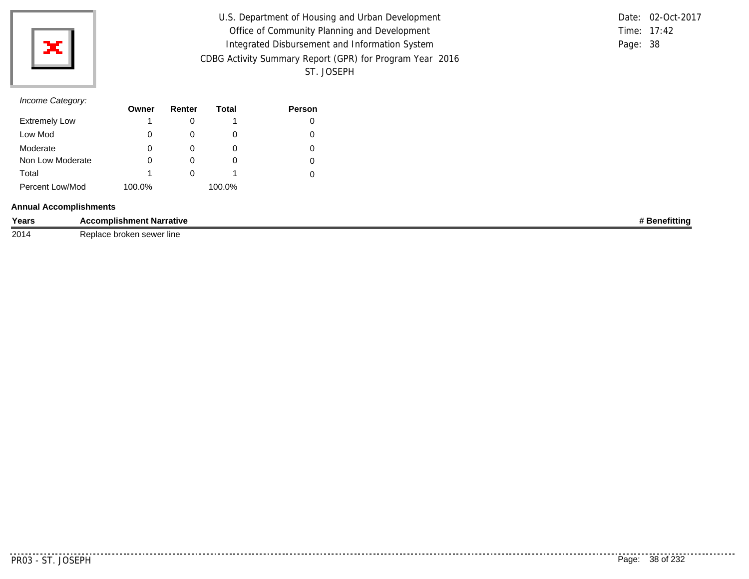

| U.S. Department of Housing and Urban Development         |          | Date: 02-Oct-2017 |
|----------------------------------------------------------|----------|-------------------|
| Office of Community Planning and Development             |          | Time: 17:42       |
| Integrated Disbursement and Information System           | Page: 38 |                   |
| CDBG Activity Summary Report (GPR) for Program Year 2016 |          |                   |
| ST. JOSEPH                                               |          |                   |

# *Income Category:*

|                      | Owner  | Renter | Total  | <b>Person</b> |
|----------------------|--------|--------|--------|---------------|
| <b>Extremely Low</b> | 1      |        |        |               |
| Low Mod              | 0      |        |        |               |
| Moderate             | 0      | O)     | O      | O             |
| Non Low Moderate     | 0      |        | O      |               |
| Total                | 1      |        |        |               |
| Percent Low/Mod      | 100.0% |        | 100.0% |               |

### **Annual Accomplishments**

| Years | <b>Accomplishment Narrative</b><br>. | entum |
|-------|--------------------------------------|-------|
| 2014  | Replace<br>∘ broken sewer line⊹      |       |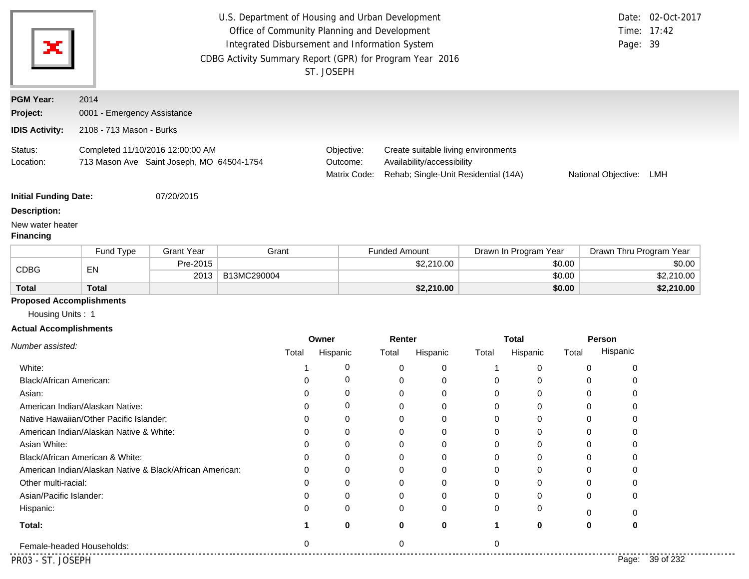| х                                                           | U.S. Department of Housing and Urban Development<br>Time: 17:42<br>Office of Community Planning and Development<br>Integrated Disbursement and Information System<br>Page: 39<br>CDBG Activity Summary Report (GPR) for Program Year 2016<br>ST. JOSEPH |                   |             |             |                                                                                                                                                     |                      |            |          |                       |        | Date: 02-Oct-2017       |            |
|-------------------------------------------------------------|---------------------------------------------------------------------------------------------------------------------------------------------------------------------------------------------------------------------------------------------------------|-------------------|-------------|-------------|-----------------------------------------------------------------------------------------------------------------------------------------------------|----------------------|------------|----------|-----------------------|--------|-------------------------|------------|
| <b>PGM Year:</b>                                            | 2014                                                                                                                                                                                                                                                    |                   |             |             |                                                                                                                                                     |                      |            |          |                       |        |                         |            |
| Project:                                                    | 0001 - Emergency Assistance                                                                                                                                                                                                                             |                   |             |             |                                                                                                                                                     |                      |            |          |                       |        |                         |            |
| <b>IDIS Activity:</b>                                       | 2108 - 713 Mason - Burks                                                                                                                                                                                                                                |                   |             |             |                                                                                                                                                     |                      |            |          |                       |        |                         |            |
| Status:<br>Location:                                        | Completed 11/10/2016 12:00:00 AM<br>713 Mason Ave Saint Joseph, MO 64504-1754                                                                                                                                                                           |                   |             |             | Create suitable living environments<br>Objective:<br>Availability/accessibility<br>Outcome:<br>Matrix Code:<br>Rehab; Single-Unit Residential (14A) |                      |            |          |                       |        | National Objective: LMH |            |
| <b>Initial Funding Date:</b>                                |                                                                                                                                                                                                                                                         | 07/20/2015        |             |             |                                                                                                                                                     |                      |            |          |                       |        |                         |            |
| <b>Description:</b><br>New water heater<br><b>Financing</b> |                                                                                                                                                                                                                                                         |                   |             |             |                                                                                                                                                     |                      |            |          |                       |        |                         |            |
|                                                             | Fund Type                                                                                                                                                                                                                                               | <b>Grant Year</b> | Grant       |             |                                                                                                                                                     | <b>Funded Amount</b> |            |          | Drawn In Program Year |        | Drawn Thru Program Year |            |
| <b>CDBG</b>                                                 | EN                                                                                                                                                                                                                                                      | Pre-2015          |             |             |                                                                                                                                                     |                      | \$2,210.00 |          |                       | \$0.00 |                         | \$0.00     |
|                                                             |                                                                                                                                                                                                                                                         | 2013              | B13MC290004 |             |                                                                                                                                                     |                      |            |          |                       | \$0.00 |                         | \$2,210.00 |
| <b>Total</b>                                                | <b>Total</b>                                                                                                                                                                                                                                            |                   |             |             |                                                                                                                                                     |                      | \$2,210.00 |          |                       | \$0.00 |                         | \$2,210.00 |
| <b>Proposed Accomplishments</b>                             |                                                                                                                                                                                                                                                         |                   |             |             |                                                                                                                                                     |                      |            |          |                       |        |                         |            |
| Housing Units: 1                                            |                                                                                                                                                                                                                                                         |                   |             |             |                                                                                                                                                     |                      |            |          |                       |        |                         |            |
| <b>Actual Accomplishments</b>                               |                                                                                                                                                                                                                                                         |                   |             | Owner       |                                                                                                                                                     | Renter               |            |          | <b>Total</b>          |        | Person                  |            |
| Number assisted:                                            |                                                                                                                                                                                                                                                         |                   | Total       |             | Hispanic                                                                                                                                            | Total                | Hispanic   | Total    | Hispanic              | Total  | Hispanic                |            |
|                                                             |                                                                                                                                                                                                                                                         |                   |             |             |                                                                                                                                                     |                      |            |          |                       |        |                         |            |
| White:                                                      |                                                                                                                                                                                                                                                         |                   |             | 1           | 0<br>0                                                                                                                                              | 0                    | 0          | 1        | 0                     |        | 0<br>0                  |            |
| Black/African American:<br>Asian:                           |                                                                                                                                                                                                                                                         |                   |             | 0<br>0      | 0                                                                                                                                                   | 0<br>0               | 0<br>0     | 0<br>0   | 0<br>0                |        | 0<br>0<br>0<br>0        |            |
|                                                             | American Indian/Alaskan Native:                                                                                                                                                                                                                         |                   |             | 0           | 0                                                                                                                                                   | 0                    | 0          | 0        | 0                     |        | 0<br>0                  |            |
|                                                             | Native Hawaiian/Other Pacific Islander:                                                                                                                                                                                                                 |                   |             | 0           | 0                                                                                                                                                   | 0                    | 0          | 0        | 0                     |        | 0<br>0                  |            |
|                                                             |                                                                                                                                                                                                                                                         |                   |             | 0           | 0                                                                                                                                                   | 0                    | $\Omega$   | $\Omega$ | 0                     |        | $\Omega$<br>$\Omega$    |            |
| American Indian/Alaskan Native & White:<br>Asian White:     |                                                                                                                                                                                                                                                         |                   |             | 0           | 0                                                                                                                                                   | 0                    | 0          | 0        | 0                     |        | 0<br>$\Omega$           |            |
|                                                             | Black/African American & White:                                                                                                                                                                                                                         |                   |             | 0           | 0                                                                                                                                                   | 0                    | 0          | 0        | 0                     |        | 0                       |            |
|                                                             | American Indian/Alaskan Native & Black/African American:                                                                                                                                                                                                |                   |             | 0           | 0                                                                                                                                                   | 0                    | 0          | 0        | 0                     |        | 0                       |            |
| Other multi-racial:                                         |                                                                                                                                                                                                                                                         |                   |             | 0           | 0                                                                                                                                                   | 0                    | 0          | 0        | 0                     |        | 0                       |            |
| Asian/Pacific Islander:                                     |                                                                                                                                                                                                                                                         |                   |             | 0           | 0                                                                                                                                                   | 0                    | 0          | 0        | ∩                     |        | 0                       |            |
| Hispanic:                                                   |                                                                                                                                                                                                                                                         |                   |             | 0           | 0                                                                                                                                                   | 0                    | 0          | 0        | 0                     |        |                         |            |
| Total:                                                      |                                                                                                                                                                                                                                                         |                   |             | $\mathbf 1$ | 0                                                                                                                                                   | 0                    | 0          | 1        | 0                     |        | 0<br>0<br>0<br>0        |            |
|                                                             |                                                                                                                                                                                                                                                         |                   |             |             |                                                                                                                                                     |                      |            |          |                       |        |                         |            |

. . . .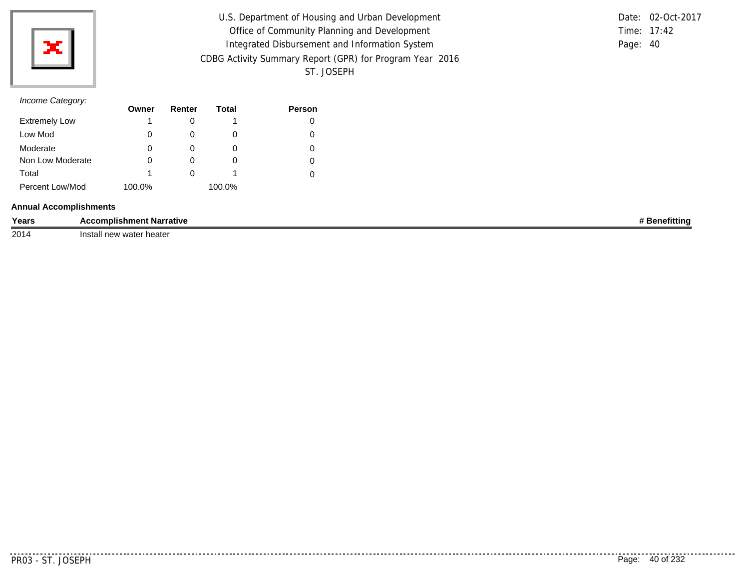

| U.S. Department of Housing and Urban Development         |          | Date: 02-Oct-2017 |
|----------------------------------------------------------|----------|-------------------|
| Office of Community Planning and Development             |          | Time: 17:42       |
| Integrated Disbursement and Information System           | Page: 40 |                   |
| CDBG Activity Summary Report (GPR) for Program Year 2016 |          |                   |
| ST. JOSEPH                                               |          |                   |

# *Income Category:*

|                      | Owner  | Renter   | Total  | <b>Person</b> |
|----------------------|--------|----------|--------|---------------|
| <b>Extremely Low</b> |        |          |        |               |
| Low Mod              | 0      |          |        |               |
| Moderate             | 0      | $\Omega$ | O      |               |
| Non Low Moderate     | 0      | $\Omega$ | $\cup$ |               |
| Total                |        |          |        |               |
| Percent Low/Mod      | 100.0% |          | 100.0% |               |

### **Annual Accomplishments**

| Years | complishment Narrative        | enetittina |
|-------|-------------------------------|------------|
| 2014  | heater<br>∕ water<br>Ine<br>. |            |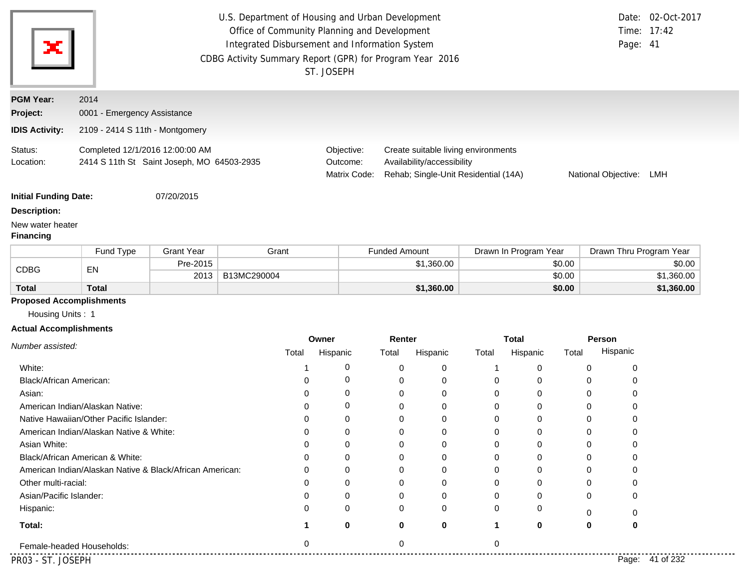| x                                                   | U.S. Department of Housing and Urban Development<br>Office of Community Planning and Development<br>Integrated Disbursement and Information System<br>CDBG Activity Summary Report (GPR) for Program Year 2016<br>ST. JOSEPH |                   |             |          |                        |                                                                                                                           |            | Page: 41              | Date: 02-Oct-2017<br>Time: 17:42 |        |                         |                 |
|-----------------------------------------------------|------------------------------------------------------------------------------------------------------------------------------------------------------------------------------------------------------------------------------|-------------------|-------------|----------|------------------------|---------------------------------------------------------------------------------------------------------------------------|------------|-----------------------|----------------------------------|--------|-------------------------|-----------------|
| <b>PGM Year:</b>                                    | 2014                                                                                                                                                                                                                         |                   |             |          |                        |                                                                                                                           |            |                       |                                  |        |                         |                 |
| Project:                                            | 0001 - Emergency Assistance                                                                                                                                                                                                  |                   |             |          |                        |                                                                                                                           |            |                       |                                  |        |                         |                 |
| <b>IDIS Activity:</b>                               | 2109 - 2414 S 11th - Montgomery                                                                                                                                                                                              |                   |             |          |                        |                                                                                                                           |            |                       |                                  |        |                         |                 |
| Status:<br>Location:                                | Completed 12/1/2016 12:00:00 AM<br>2414 S 11th St Saint Joseph, MO 64503-2935                                                                                                                                                |                   |             |          | Objective:<br>Outcome: | Create suitable living environments<br>Availability/accessibility<br>Rehab; Single-Unit Residential (14A)<br>Matrix Code: |            |                       |                                  |        | National Objective:     | LMH             |
| <b>Initial Funding Date:</b>                        |                                                                                                                                                                                                                              | 07/20/2015        |             |          |                        |                                                                                                                           |            |                       |                                  |        |                         |                 |
| <b>Description:</b>                                 |                                                                                                                                                                                                                              |                   |             |          |                        |                                                                                                                           |            |                       |                                  |        |                         |                 |
| New water heater<br><b>Financing</b>                |                                                                                                                                                                                                                              |                   |             |          |                        |                                                                                                                           |            |                       |                                  |        |                         |                 |
|                                                     | Fund Type                                                                                                                                                                                                                    | <b>Grant Year</b> | Grant       |          |                        | <b>Funded Amount</b>                                                                                                      |            | Drawn In Program Year |                                  |        | Drawn Thru Program Year |                 |
| <b>CDBG</b>                                         | EN                                                                                                                                                                                                                           | Pre-2015          |             |          |                        |                                                                                                                           | \$1,360.00 |                       |                                  | \$0.00 |                         | \$0.00          |
|                                                     |                                                                                                                                                                                                                              | 2013              | B13MC290004 |          |                        |                                                                                                                           |            |                       |                                  | \$0.00 |                         | \$1,360.00      |
| <b>Total</b>                                        | <b>Total</b>                                                                                                                                                                                                                 |                   |             |          |                        |                                                                                                                           | \$1,360.00 |                       |                                  | \$0.00 |                         | \$1,360.00      |
| <b>Proposed Accomplishments</b><br>Housing Units: 1 |                                                                                                                                                                                                                              |                   |             |          |                        |                                                                                                                           |            |                       |                                  |        |                         |                 |
| <b>Actual Accomplishments</b>                       |                                                                                                                                                                                                                              |                   |             |          |                        |                                                                                                                           |            |                       |                                  |        |                         |                 |
| Number assisted:                                    |                                                                                                                                                                                                                              |                   |             |          | Owner                  | Renter                                                                                                                    |            |                       | <b>Total</b>                     |        | <b>Person</b>           |                 |
|                                                     |                                                                                                                                                                                                                              |                   |             | Total    | Hispanic               | Total                                                                                                                     | Hispanic   | Total                 | Hispanic                         | Total  | Hispanic                |                 |
| White:                                              |                                                                                                                                                                                                                              |                   |             |          | 0                      | 0                                                                                                                         | 0          | 1                     | 0                                | 0      | 0                       |                 |
| <b>Black/African American:</b>                      |                                                                                                                                                                                                                              |                   |             | 0        | 0                      | 0                                                                                                                         | 0          | 0                     | 0                                | 0      | 0                       |                 |
| Asian:                                              |                                                                                                                                                                                                                              |                   |             | 0        | 0                      | 0                                                                                                                         | 0          | 0                     | 0                                | 0      | 0                       |                 |
|                                                     | American Indian/Alaskan Native:                                                                                                                                                                                              |                   |             | 0        | 0                      | 0                                                                                                                         | 0          | 0                     | 0                                | 0      | 0                       |                 |
|                                                     | Native Hawaiian/Other Pacific Islander:                                                                                                                                                                                      |                   |             | 0        | 0                      | 0                                                                                                                         | 0          | 0                     | 0                                | 0      | 0                       |                 |
|                                                     | American Indian/Alaskan Native & White:                                                                                                                                                                                      |                   |             | 0        | 0                      | 0                                                                                                                         | 0          | 0                     | 0                                | 0      | 0                       |                 |
| Asian White:                                        | Black/African American & White:                                                                                                                                                                                              |                   |             | 0        | 0<br>0                 | 0<br>0                                                                                                                    | 0          | 0<br>0                | 0                                | 0<br>0 | 0<br>0                  |                 |
|                                                     | American Indian/Alaskan Native & Black/African American:                                                                                                                                                                     |                   |             | ∩        | 0                      | $\Omega$                                                                                                                  | 0<br>0     | 0                     | 0<br>0                           | 0      | 0                       |                 |
| Other multi-racial:                                 |                                                                                                                                                                                                                              |                   |             | ი        | 0                      | $\Omega$                                                                                                                  | 0          | 0                     | 0                                | 0      | 0                       |                 |
| Asian/Pacific Islander:                             |                                                                                                                                                                                                                              |                   |             | ი        | 0                      | 0                                                                                                                         | 0          | 0                     | 0                                | 0      | 0                       |                 |
| Hispanic:                                           |                                                                                                                                                                                                                              |                   |             |          | 0                      | O                                                                                                                         | 0          | 0                     | 0                                |        |                         |                 |
|                                                     |                                                                                                                                                                                                                              |                   |             |          |                        |                                                                                                                           |            |                       |                                  | 0      | 0                       |                 |
| Total:                                              |                                                                                                                                                                                                                              |                   |             |          | $\bf{0}$               | 0                                                                                                                         | 0          | 1                     | $\bf{0}$                         | 0      | 0                       |                 |
|                                                     | Female-headed Households:                                                                                                                                                                                                    |                   |             | $\Omega$ |                        | 0                                                                                                                         |            | 0                     |                                  |        |                         |                 |
| PR03 - ST. JOSEPH                                   |                                                                                                                                                                                                                              |                   |             |          |                        |                                                                                                                           |            |                       |                                  |        |                         | Page: 41 of 232 |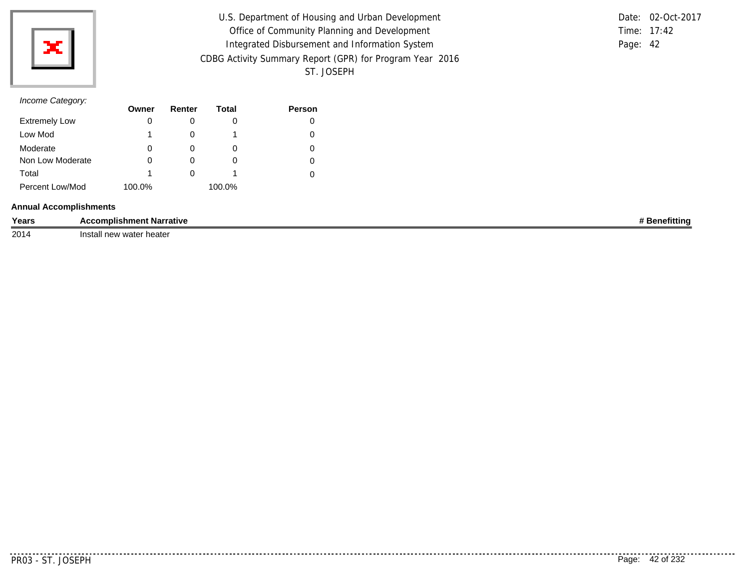

| U.S. Department of Housing and Urban Development         |          | Date: 02-Oct-2017 |
|----------------------------------------------------------|----------|-------------------|
| Office of Community Planning and Development             |          | Time: 17:42       |
| Integrated Disbursement and Information System           | Page: 42 |                   |
| CDBG Activity Summary Report (GPR) for Program Year 2016 |          |                   |
| ST. JOSEPH                                               |          |                   |

# *Income Category:*

|                      | Owner  | Renter | Total  | <b>Person</b> |
|----------------------|--------|--------|--------|---------------|
| <b>Extremely Low</b> | 0      |        | O      |               |
| Low Mod              |        |        |        |               |
| Moderate             | 0      | O)     | O      | O             |
| Non Low Moderate     | 0      |        | O      |               |
| Total                |        |        |        |               |
| Percent Low/Mod      | 100.0% |        | 100.0% |               |

### **Annual Accomplishments**

| Years | complishment Narrative  | าefittinc |
|-------|-------------------------|-----------|
| 2014  | heater :<br>∠water<br>. |           |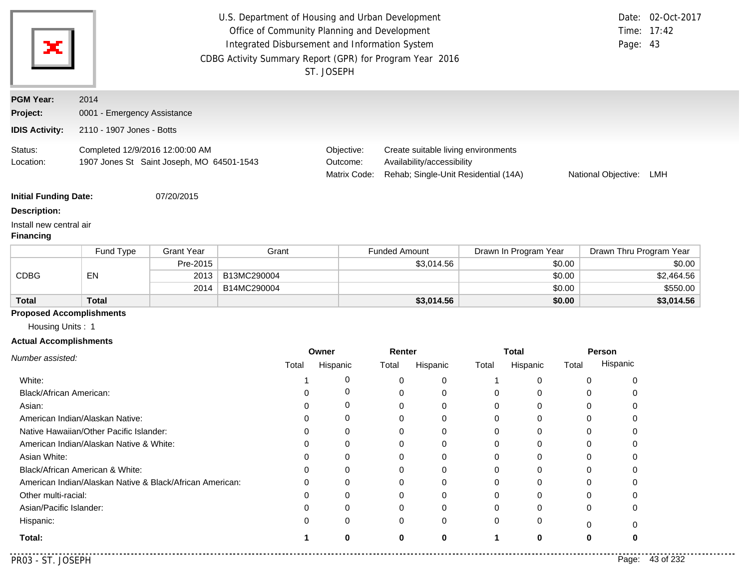| ЭC.                                         |                                                                              |                   | U.S. Department of Housing and Urban Development<br>Office of Community Planning and Development<br>Integrated Disbursement and Information System<br>CDBG Activity Summary Report (GPR) for Program Year 2016 | ST. JOSEPH                             |                                                                                                                                         |                       | Page: 43                | Date: 02-Oct-2017<br>Time: 17:42 |  |
|---------------------------------------------|------------------------------------------------------------------------------|-------------------|----------------------------------------------------------------------------------------------------------------------------------------------------------------------------------------------------------------|----------------------------------------|-----------------------------------------------------------------------------------------------------------------------------------------|-----------------------|-------------------------|----------------------------------|--|
| <b>PGM Year:</b>                            | 2014                                                                         |                   |                                                                                                                                                                                                                |                                        |                                                                                                                                         |                       |                         |                                  |  |
| Project:                                    | 0001 - Emergency Assistance                                                  |                   |                                                                                                                                                                                                                |                                        |                                                                                                                                         |                       |                         |                                  |  |
| <b>IDIS Activity:</b>                       | 2110 - 1907 Jones - Botts                                                    |                   |                                                                                                                                                                                                                |                                        |                                                                                                                                         |                       |                         |                                  |  |
| Status:<br>Location:                        | Completed 12/9/2016 12:00:00 AM<br>1907 Jones St Saint Joseph, MO 64501-1543 |                   |                                                                                                                                                                                                                | Objective:<br>Outcome:<br>Matrix Code: | Create suitable living environments<br>Availability/accessibility<br>Rehab; Single-Unit Residential (14A)<br>National Objective:<br>LMH |                       |                         |                                  |  |
| <b>Initial Funding Date:</b>                |                                                                              | 07/20/2015        |                                                                                                                                                                                                                |                                        |                                                                                                                                         |                       |                         |                                  |  |
| <b>Description:</b>                         |                                                                              |                   |                                                                                                                                                                                                                |                                        |                                                                                                                                         |                       |                         |                                  |  |
| Install new central air<br><b>Financing</b> |                                                                              |                   |                                                                                                                                                                                                                |                                        |                                                                                                                                         |                       |                         |                                  |  |
|                                             | Fund Type                                                                    | <b>Grant Year</b> | Grant                                                                                                                                                                                                          |                                        | <b>Funded Amount</b>                                                                                                                    | Drawn In Program Year | Drawn Thru Program Year |                                  |  |
|                                             |                                                                              | Pre-2015          |                                                                                                                                                                                                                |                                        | \$3,014.56                                                                                                                              | \$0.00                |                         | \$0.00                           |  |
| <b>CDBG</b>                                 | EN                                                                           | 2013              | B13MC290004                                                                                                                                                                                                    |                                        |                                                                                                                                         | \$0.00                |                         | \$2,464.56                       |  |
|                                             |                                                                              | 2014              | B14MC290004                                                                                                                                                                                                    |                                        |                                                                                                                                         | \$0.00                |                         | \$550.00                         |  |
| <b>Total</b>                                | <b>Total</b>                                                                 |                   |                                                                                                                                                                                                                |                                        | \$3,014.56                                                                                                                              | \$0.00                |                         | \$3,014.56                       |  |
| <b>Proposed Accomplishments</b>             |                                                                              |                   |                                                                                                                                                                                                                |                                        |                                                                                                                                         |                       |                         |                                  |  |

Housing Units : 1

## **Actual Accomplishments**

|                                                          | Owner |          | Renter |          | <b>Total</b> |          |       | Person             |
|----------------------------------------------------------|-------|----------|--------|----------|--------------|----------|-------|--------------------|
| Number assisted:                                         | Total | Hispanic | Total  | Hispanic | Total        | Hispanic | Total | Hispanic           |
| White:                                                   |       |          |        | 0        |              |          |       |                    |
| Black/African American:                                  |       |          |        | 0        |              |          |       |                    |
| Asian:                                                   |       |          | Ω      | $\Omega$ | 0            |          | 0     |                    |
| American Indian/Alaskan Native:                          |       | 0        |        | $\Omega$ | 0            |          | 0     |                    |
| Native Hawaiian/Other Pacific Islander:                  |       |          |        | $\Omega$ | 0            |          |       |                    |
| American Indian/Alaskan Native & White:                  |       |          |        | 0        |              |          |       |                    |
| Asian White:                                             |       |          |        | 0        |              |          |       |                    |
| Black/African American & White:                          |       |          |        | 0        | 0            |          |       |                    |
| American Indian/Alaskan Native & Black/African American: |       | 0        | 0      | $\Omega$ | 0            | 0        | 0     |                    |
| Other multi-racial:                                      |       |          |        | 0        | 0            |          |       |                    |
| Asian/Pacific Islander:                                  |       |          |        | $\Omega$ | 0            |          | O     |                    |
| Hispanic:                                                |       | O        | 0      | 0        | 0            | 0        |       |                    |
| Total:                                                   |       | 0        | 0      | 0        |              | 0        | 0     | 0                  |
| PR03 - ST. JOSEPH                                        |       |          |        |          |              |          |       | 43 of 232<br>Page: |

...........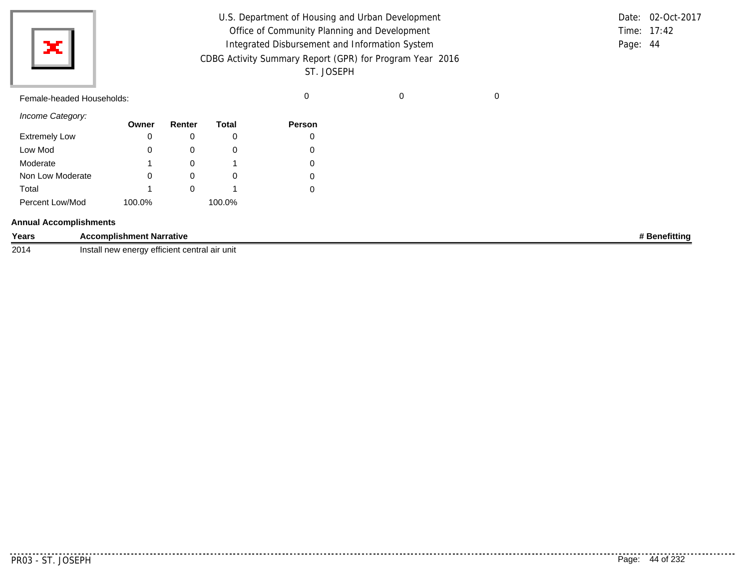| U.S. Department of Housing and Urban Development         |          | Date: 02-Oct-2017 |
|----------------------------------------------------------|----------|-------------------|
| Office of Community Planning and Development             |          | Time: $17:42$     |
| Integrated Disbursement and Information System           | Page: 44 |                   |
| CDBG Activity Summary Report (GPR) for Program Year 2016 |          |                   |
| ST. JOSEPH                                               |          |                   |
|                                                          |          |                   |

Female-headed Households: 0 0 0

×

*Income Category:* Low Mod Moderate Extremely Low Non Low Moderate Total Percent Low/Mod **Owner** 0 0 1 0 1 100.0% **Renter** 0 0 0 0 0 **Total** 0 0 1 0 1 100.0% **Person** 0 0 0 0 0

#### **Annual Accomplishments**

| Years | rrative<br>Narr<br>omplishm.<br>ent                                                                                           | ïttino |
|-------|-------------------------------------------------------------------------------------------------------------------------------|--------|
| 2014  | `air unit l<br>central<br><b>Atticiant</b><br>$n_{N}$<br>nsta<br>S <sub>0</sub><br>11CW<br>GIIGIU<br><u>cilinici i</u><br>. . |        |

..........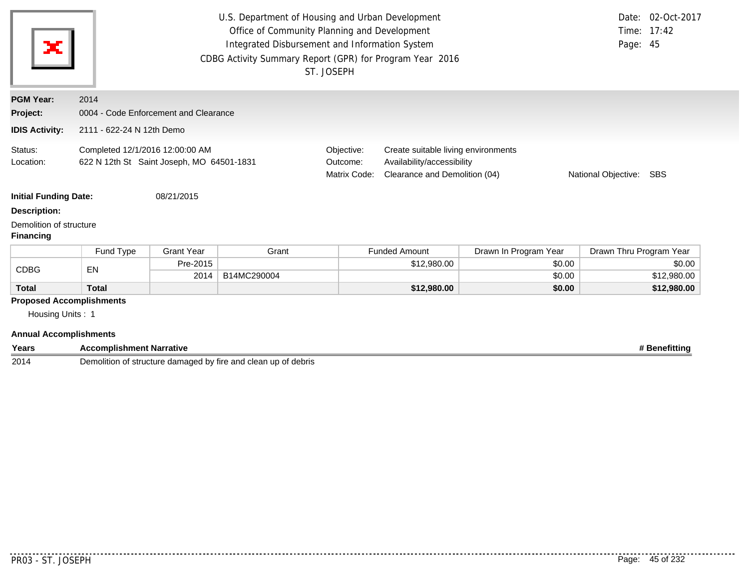| ×                                                   | U.S. Department of Housing and Urban Development<br>Office of Community Planning and Development<br>Integrated Disbursement and Information System<br>Page: 45<br>CDBG Activity Summary Report (GPR) for Program Year 2016<br>ST. JOSEPH |                   |             |                                        |                                                                                                                               |                       |                         | Date: 02-Oct-2017<br>Time: 17:42 |
|-----------------------------------------------------|------------------------------------------------------------------------------------------------------------------------------------------------------------------------------------------------------------------------------------------|-------------------|-------------|----------------------------------------|-------------------------------------------------------------------------------------------------------------------------------|-----------------------|-------------------------|----------------------------------|
| <b>PGM Year:</b>                                    | 2014                                                                                                                                                                                                                                     |                   |             |                                        |                                                                                                                               |                       |                         |                                  |
| Project:                                            | 0004 - Code Enforcement and Clearance                                                                                                                                                                                                    |                   |             |                                        |                                                                                                                               |                       |                         |                                  |
| <b>IDIS Activity:</b>                               | 2111 - 622-24 N 12th Demo                                                                                                                                                                                                                |                   |             |                                        |                                                                                                                               |                       |                         |                                  |
| Status:<br>Location:                                | Completed 12/1/2016 12:00:00 AM<br>622 N 12th St Saint Joseph, MO 64501-1831                                                                                                                                                             |                   |             | Objective:<br>Outcome:<br>Matrix Code: | Create suitable living environments<br>Availability/accessibility<br>Clearance and Demolition (04)<br>National Objective: SBS |                       |                         |                                  |
| <b>Initial Funding Date:</b>                        |                                                                                                                                                                                                                                          | 08/21/2015        |             |                                        |                                                                                                                               |                       |                         |                                  |
| <b>Description:</b>                                 |                                                                                                                                                                                                                                          |                   |             |                                        |                                                                                                                               |                       |                         |                                  |
| Demolition of structure<br><b>Financing</b>         |                                                                                                                                                                                                                                          |                   |             |                                        |                                                                                                                               |                       |                         |                                  |
|                                                     | Fund Type                                                                                                                                                                                                                                | <b>Grant Year</b> | Grant       |                                        | <b>Funded Amount</b>                                                                                                          | Drawn In Program Year | Drawn Thru Program Year |                                  |
| <b>CDBG</b>                                         | EN                                                                                                                                                                                                                                       | Pre-2015          |             |                                        | \$12,980.00                                                                                                                   | \$0.00                |                         | \$0.00                           |
|                                                     |                                                                                                                                                                                                                                          | 2014              | B14MC290004 |                                        |                                                                                                                               | \$0.00                |                         | \$12,980.00                      |
| <b>Total</b>                                        | <b>Total</b>                                                                                                                                                                                                                             |                   |             |                                        | \$12,980.00                                                                                                                   | \$0.00                |                         | \$12,980.00                      |
| <b>Proposed Accomplishments</b><br>Housing Units: 1 |                                                                                                                                                                                                                                          |                   |             |                                        |                                                                                                                               |                       |                         |                                  |

| Years | Accomplishment Narrative                                                                   | Benefitting |
|-------|--------------------------------------------------------------------------------------------|-------------|
| 2014  | $\Delta$ d hv<br>l clean ur<br>Demo⊮<br>up of debris<br>ר of structure damaged<br>tire and |             |

. . . . . . . .

...........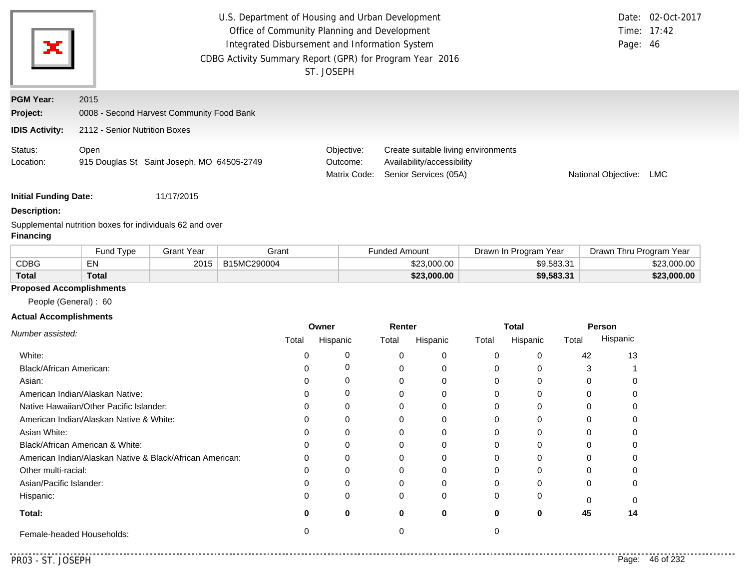| ×                                                            | U.S. Department of Housing and Urban Development<br>Date: 02-Oct-2017<br>Office of Community Planning and Development<br>Time: 17:42<br>Integrated Disbursement and Information System<br>Page: 46<br>CDBG Activity Summary Report (GPR) for Program Year 2016<br>ST. JOSEPH |                                        |                                                                                            |                     |     |  |
|--------------------------------------------------------------|------------------------------------------------------------------------------------------------------------------------------------------------------------------------------------------------------------------------------------------------------------------------------|----------------------------------------|--------------------------------------------------------------------------------------------|---------------------|-----|--|
| <b>PGM Year:</b><br><b>Project:</b><br><b>IDIS Activity:</b> | 2015<br>0008 - Second Harvest Community Food Bank<br>2112 - Senior Nutrition Boxes                                                                                                                                                                                           |                                        |                                                                                            |                     |     |  |
| Status:<br>Location:                                         | Open<br>915 Douglas St Saint Joseph, MO 64505-2749                                                                                                                                                                                                                           | Objective:<br>Outcome:<br>Matrix Code: | Create suitable living environments<br>Availability/accessibility<br>Senior Services (05A) | National Objective: | LMC |  |

**Description:**

Supplemental nutrition boxes for individuals 62 and over **Financing**

|              | Fund Type    | Grant Year | Grant       | <b>Funded Amount</b> | Drawn In Program Year | Drawn Thru Program Year |
|--------------|--------------|------------|-------------|----------------------|-----------------------|-------------------------|
| <b>CDBG</b>  | −N.          | 2015       | B15MC290004 | \$23.000.00          | \$9,583.31            | \$23,000.00             |
| <b>Total</b> | <b>Total</b> |            |             | \$23,000.00          | \$9,583.31            | \$23,000.00             |

# **Proposed Accomplishments**

People (General) : 60

### **Actual Accomplishments**

|                                                          | Owner |          |          | Renter   |       | <b>Total</b> |       | Person   |  |
|----------------------------------------------------------|-------|----------|----------|----------|-------|--------------|-------|----------|--|
| Number assisted:                                         | Total | Hispanic | Total    | Hispanic | Total | Hispanic     | Total | Hispanic |  |
| White:                                                   |       |          |          | $\Omega$ |       | 0            | 42    | 13       |  |
| Black/African American:                                  |       |          |          |          |       |              |       |          |  |
| Asian:                                                   |       |          |          | 0        |       | 0            |       |          |  |
| American Indian/Alaskan Native:                          |       |          |          | 0        |       | 0            |       |          |  |
| Native Hawaiian/Other Pacific Islander:                  |       |          |          | 0        |       | 0            |       |          |  |
| American Indian/Alaskan Native & White:                  |       |          |          |          |       | 0            |       |          |  |
| Asian White:                                             |       |          |          |          |       |              |       |          |  |
| Black/African American & White:                          |       |          |          | 0        |       | o            |       |          |  |
| American Indian/Alaskan Native & Black/African American: | 0     | 0        |          | $\Omega$ |       | 0            |       |          |  |
| Other multi-racial:                                      |       |          |          |          |       | U            |       |          |  |
| Asian/Pacific Islander:                                  |       |          |          |          |       | ი            |       |          |  |
| Hispanic:                                                |       | $\Omega$ | $\Omega$ | $\Omega$ |       | 0            |       |          |  |
| Total:                                                   |       | 0        | 0        | 0        | 0     | 0            | 45    | 14       |  |
| Female-headed Households:                                |       |          |          |          |       |              |       |          |  |

 $- - -$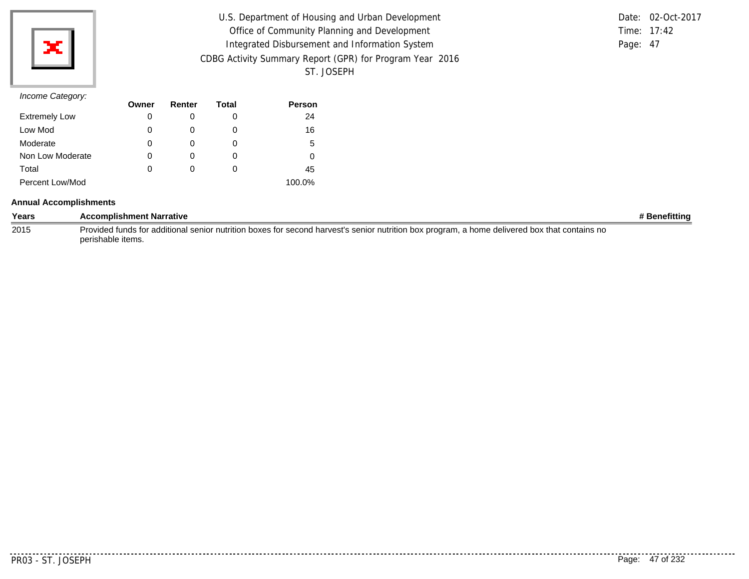

| U.S. Department of Housing and Urban Development         |          | Date: 02-Oct-2017 |
|----------------------------------------------------------|----------|-------------------|
| Office of Community Planning and Development             |          | Time: $17:42$     |
| Integrated Disbursement and Information System           | Page: 47 |                   |
| CDBG Activity Summary Report (GPR) for Program Year 2016 |          |                   |
| ST. JOSEPH                                               |          |                   |

|               | Date: 02-Oct-2017 |
|---------------|-------------------|
| Time: $17:42$ |                   |
| Page: 47      |                   |

|                      | Owner | Renter | Total | Person |
|----------------------|-------|--------|-------|--------|
| <b>Extremely Low</b> | 0     |        | 0     | 24     |
| Low Mod              | 0     |        | O     | 16     |
| Moderate             | 0     |        | O     | 5      |
| Non Low Moderate     | 0     |        | O     | 0      |
| Total                | 0     |        | 0     | 45     |
| Percent Low/Mod      |       |        |       | 100.0% |

### **Annual Accomplishments**

| Years | <b>Accomplishment Narrative</b>                                                                                                               | # Benefitting |
|-------|-----------------------------------------------------------------------------------------------------------------------------------------------|---------------|
| 2015  | Provided funds for additional senior nutrition boxes for second harvest's senior nutrition box program, a home delivered box that contains no |               |
|       | perishable items.                                                                                                                             |               |

. . . . . . . . . . .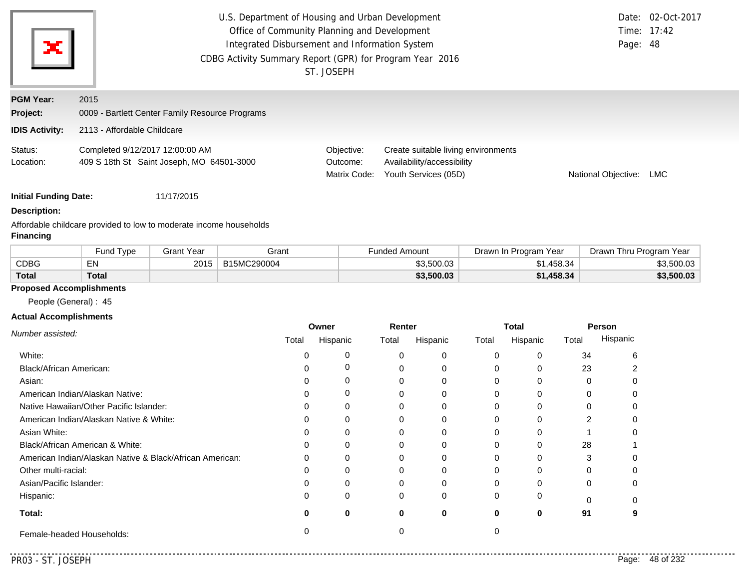| ж                            | U.S. Department of Housing and Urban Development<br>Office of Community Planning and Development<br>Integrated Disbursement and Information System<br>CDBG Activity Summary Report (GPR) for Program Year 2016<br>ST. JOSEPH | Page: 48                               | Date: 02-Oct-2017<br>Time: 17:42                                                          |                     |     |
|------------------------------|------------------------------------------------------------------------------------------------------------------------------------------------------------------------------------------------------------------------------|----------------------------------------|-------------------------------------------------------------------------------------------|---------------------|-----|
| <b>PGM Year:</b><br>Project: | 2015<br>0009 - Bartlett Center Family Resource Programs                                                                                                                                                                      |                                        |                                                                                           |                     |     |
| <b>IDIS Activity:</b>        | 2113 - Affordable Childcare                                                                                                                                                                                                  |                                        |                                                                                           |                     |     |
| Status:<br>Location:         | Completed 9/12/2017 12:00:00 AM<br>409 S 18th St Saint Joseph, MO 64501-3000                                                                                                                                                 | Objective:<br>Outcome:<br>Matrix Code: | Create suitable living environments<br>Availability/accessibility<br>Youth Services (05D) | National Objective: | LMC |

### **Description:**

Affordable childcare provided to low to moderate income households **Financing**

|              | Fund Type | <b>Grant Year</b> | Grant       | Funded Amount | Drawn In Program Year | Drawn Thru Program Year |
|--------------|-----------|-------------------|-------------|---------------|-----------------------|-------------------------|
| <b>CDBG</b>  | EN.<br>EN | 2015              | B15MC290004 | \$3,500.03    | .458.34               | \$3,500.03              |
| <b>Total</b> | Total     |                   |             | \$3,500.03    | \$1,458.34            | \$3,500.03              |

### **Proposed Accomplishments**

People (General) : 45

### **Actual Accomplishments**

|                                                          | Owner |          | Renter   |          | <b>Total</b> |          | Person   |          |
|----------------------------------------------------------|-------|----------|----------|----------|--------------|----------|----------|----------|
| Number assisted:                                         | Total | Hispanic | Total    | Hispanic | Total        | Hispanic | Total    | Hispanic |
| White:                                                   |       |          | $\Omega$ | $\Omega$ |              |          | 34       | h        |
| Black/African American:                                  |       |          |          | 0        |              |          | 23       |          |
| Asian:                                                   |       |          | $\Omega$ | $\Omega$ | 0            |          | $\Omega$ |          |
| American Indian/Alaskan Native:                          |       |          | 0        | $\Omega$ |              |          |          |          |
| Native Hawaiian/Other Pacific Islander:                  |       |          | 0        | $\Omega$ |              |          |          |          |
| American Indian/Alaskan Native & White:                  |       |          | $\Omega$ | $\Omega$ |              |          | 2        |          |
| Asian White:                                             |       |          |          | $\Omega$ |              |          |          |          |
| Black/African American & White:                          |       |          |          | $\Omega$ |              |          | 28       |          |
| American Indian/Alaskan Native & Black/African American: | 0     | O        | 0        | $\Omega$ | 0            |          | 3        |          |
| Other multi-racial:                                      |       |          | $\Omega$ | $\Omega$ |              |          |          |          |
| Asian/Pacific Islander:                                  |       |          | 0        | $\Omega$ |              |          |          |          |
| Hispanic:                                                |       |          | $\Omega$ | $\Omega$ | 0            |          |          |          |
| Total:                                                   | Ω     |          | 0        | 0        | 0            | 0        | 91       |          |
| Female-headed Households:                                |       |          |          |          |              |          |          |          |

<u>..........</u>.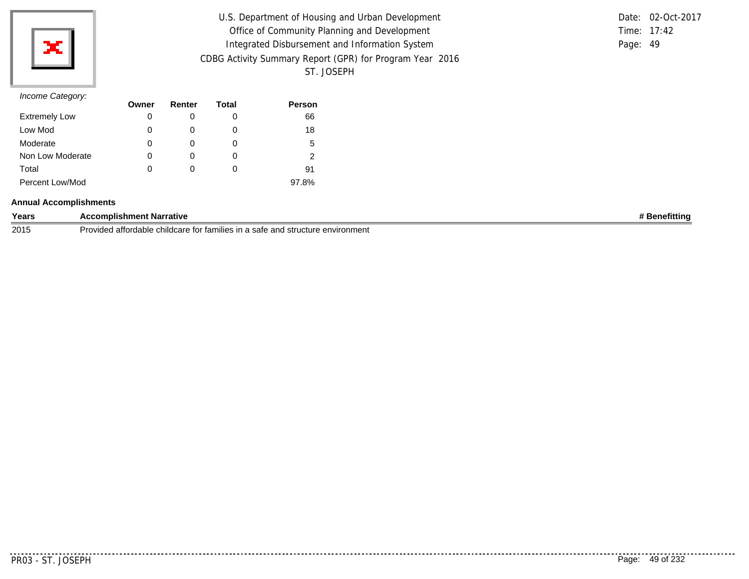

| U.S. Department of Housing and Urban Development         |          | Date: 02-Oct-2017 |
|----------------------------------------------------------|----------|-------------------|
| Office of Community Planning and Development             |          | Time: 17:42       |
| Integrated Disbursement and Information System           | Page: 49 |                   |
| CDBG Activity Summary Report (GPR) for Program Year 2016 |          |                   |
| ST. JOSEPH                                               |          |                   |

|          | Date: 02-Oct-2017 |
|----------|-------------------|
|          | Time: $17:42$     |
| Page: 49 |                   |

| $11001110$ catogory. | Owner | Renter | Total | <b>Person</b> |
|----------------------|-------|--------|-------|---------------|
| <b>Extremely Low</b> | 0     |        | O     | 66            |
| Low Mod              | 0     |        | O     | 18            |
| Moderate             | 0     |        | 0     | 5             |
| Non Low Moderate     | 0     | 0      | 0     | 2             |
| Total                | 0     |        | O     | 91            |
| Percent Low/Mod      |       |        |       | 97.8%         |

### **Annual Accomplishments**

| Years | <b>Narrative</b><br>mplishment                                                             | *ittin∟ |
|-------|--------------------------------------------------------------------------------------------|---------|
| 2015  | attordable<br>e and structure environment<br>childcare<br>Provided<br>tor families<br>sate |         |

. . . . . . .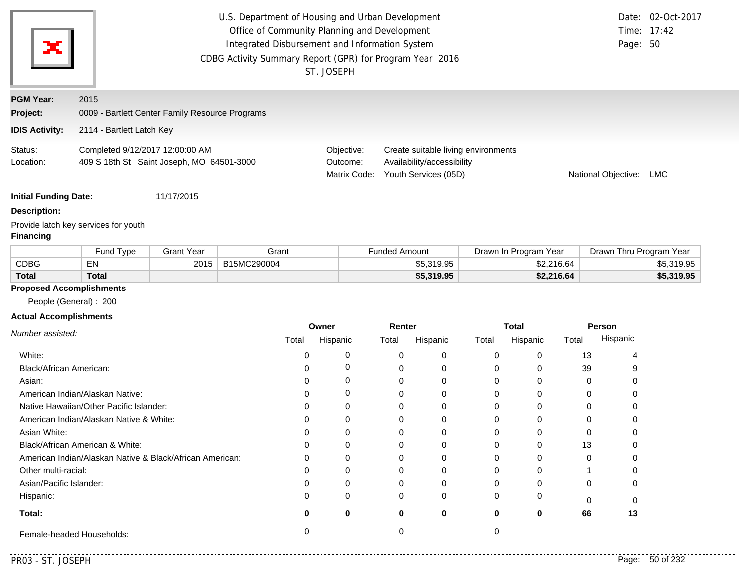| ×                            | U.S. Department of Housing and Urban Development<br>Office of Community Planning and Development<br>Integrated Disbursement and Information System<br>CDBG Activity Summary Report (GPR) for Program Year 2016<br>ST. JOSEPH | Page: 50                               | Date: 02-Oct-2017<br>Time: 17:42                                                          |                     |     |
|------------------------------|------------------------------------------------------------------------------------------------------------------------------------------------------------------------------------------------------------------------------|----------------------------------------|-------------------------------------------------------------------------------------------|---------------------|-----|
| <b>PGM Year:</b><br>Project: | 2015<br>0009 - Bartlett Center Family Resource Programs                                                                                                                                                                      |                                        |                                                                                           |                     |     |
| <b>IDIS Activity:</b>        | 2114 - Bartlett Latch Key                                                                                                                                                                                                    |                                        |                                                                                           |                     |     |
| Status:<br>Location:         | Completed 9/12/2017 12:00:00 AM<br>409 S 18th St Saint Joseph, MO 64501-3000                                                                                                                                                 | Objective:<br>Outcome:<br>Matrix Code: | Create suitable living environments<br>Availability/accessibility<br>Youth Services (05D) | National Objective: | LMC |
| <b>Initial Funding Date:</b> | 11/17/2015                                                                                                                                                                                                                   |                                        |                                                                                           |                     |     |

**Description:**

Provide latch key services for youth

### **Financing**

|              | Fund Type    | Grant Year | Grant       | Funded Amount | Drawn In Program Year | Drawn Thru Program Year |
|--------------|--------------|------------|-------------|---------------|-----------------------|-------------------------|
| <b>CDBG</b>  | EN           | 2015       | B15MC290004 | \$5,319.95    | \$2,216.64            | \$5,319.95              |
| <b>Total</b> | <b>Total</b> |            |             | \$5,319.95    | \$2,216.64            | \$5,319.95              |

# **Proposed Accomplishments**

People (General) : 200

### **Actual Accomplishments**

|                                                          | Owner |          | Renter   |          | <b>Total</b> |          | Person   |          |
|----------------------------------------------------------|-------|----------|----------|----------|--------------|----------|----------|----------|
| Number assisted:                                         | Total | Hispanic | Total    | Hispanic | Total        | Hispanic | Total    | Hispanic |
| White:                                                   |       |          | $\Omega$ | 0        |              |          | 13       |          |
| Black/African American:                                  |       |          |          | 0        |              |          | 39       |          |
| Asian:                                                   |       |          |          | 0        |              |          | $\Omega$ |          |
| American Indian/Alaskan Native:                          |       | 0        |          | 0        |              |          | 0        |          |
| Native Hawaiian/Other Pacific Islander:                  |       |          |          | $\Omega$ |              |          |          |          |
| American Indian/Alaskan Native & White:                  |       |          |          | 0        |              |          |          |          |
| Asian White:                                             |       |          |          | 0        |              |          |          |          |
| Black/African American & White:                          |       |          |          | 0        |              |          | 13       |          |
| American Indian/Alaskan Native & Black/African American: | 0     | 0        | ი        | $\Omega$ |              |          | $\Omega$ |          |
| Other multi-racial:                                      |       |          | ი        | $\Omega$ |              |          |          |          |
| Asian/Pacific Islander:                                  |       |          |          | 0        |              |          |          |          |
| Hispanic:                                                |       | 0        | 0        | $\Omega$ |              |          | $\cap$   |          |
| Total:                                                   | o     | 0        | 0        | 0        |              | 0        | 66       | 13       |
| Female-headed Households:                                |       |          |          |          |              |          |          |          |

<u>Lista Lista Li</u>

..........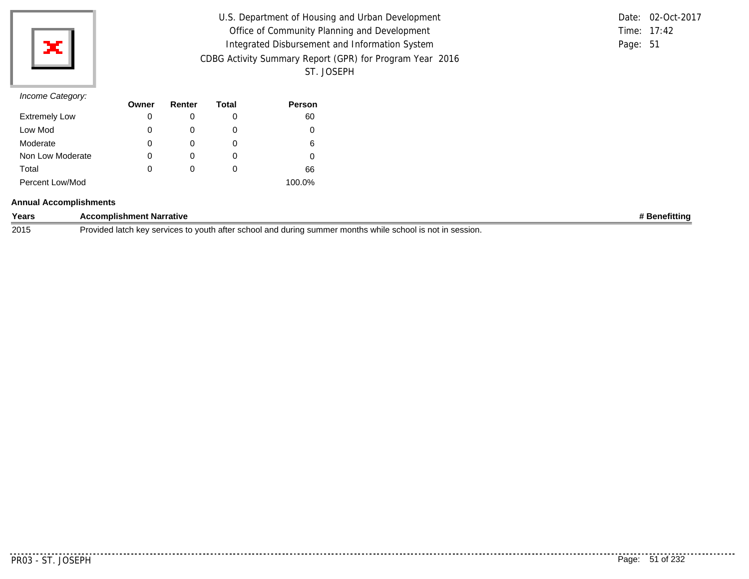

| U.S. Department of Housing and Urban Development         | Date: 02-Oct-2017 |
|----------------------------------------------------------|-------------------|
| Office of Community Planning and Development             | Time: 17:42       |
| Integrated Disbursement and Information System           | Page: 51          |
| CDBG Activity Summary Report (GPR) for Program Year 2016 |                   |
| ST. JOSEPH                                               |                   |

|          | Date: 02-Oct-2017 |
|----------|-------------------|
|          | Time: $17:42$     |
| Page: 51 |                   |

|                      | Owner | Renter | Total | <b>Person</b> |
|----------------------|-------|--------|-------|---------------|
| <b>Extremely Low</b> | 0     |        | 0     | 60            |
| Low Mod              | 0     |        | 0     | 0             |
| Moderate             | 0     |        | O     | 6             |
| Non Low Moderate     | 0     |        | 0     |               |
| Total                | 0     |        | O     | 66            |
| Percent Low/Mod      |       |        |       | 100.0%        |

### **Annual Accomplishments**

| Years | Narrative<br>omplishment                                                                                                                                                                                                              | netittina |
|-------|---------------------------------------------------------------------------------------------------------------------------------------------------------------------------------------------------------------------------------------|-----------|
| 2015  | Provided<br>. In sessio <sup>,</sup><br>ำครอย<br>$\mathbf{z}$<br>durina<br>vouth<br>nontns<br>.001<br>- הה<br>summer<br>school<br>scnor<br>ו בזונ<br>is no<br>an<br>'' session.<br>iditi<br>VVII<br>nc'<br>งเบธอ เบ<br><br>$\epsilon$ |           |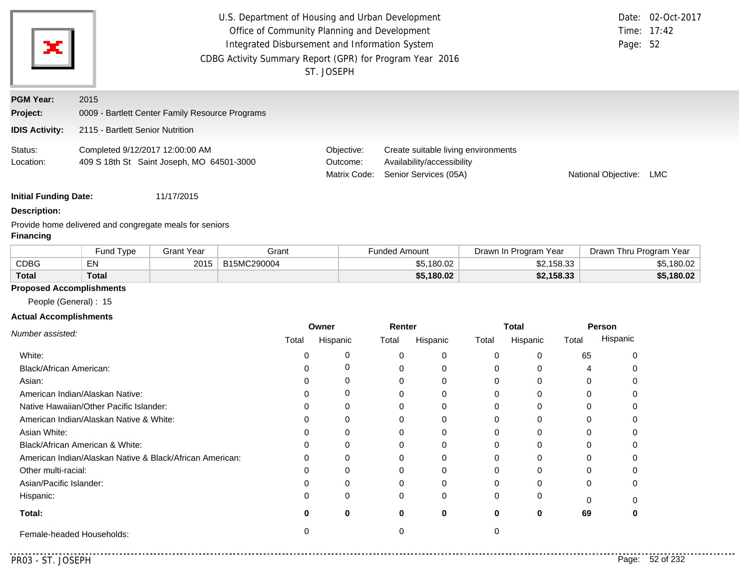| ×                            | U.S. Department of Housing and Urban Development<br>Date: 02-Oct-2017<br>Office of Community Planning and Development<br>Integrated Disbursement and Information System<br>Page: 52<br>CDBG Activity Summary Report (GPR) for Program Year 2016<br>ST. JOSEPH |                                        |                                                                                            |                     |            |  |  |
|------------------------------|---------------------------------------------------------------------------------------------------------------------------------------------------------------------------------------------------------------------------------------------------------------|----------------------------------------|--------------------------------------------------------------------------------------------|---------------------|------------|--|--|
| <b>PGM Year:</b><br>Project: | 2015<br>0009 - Bartlett Center Family Resource Programs                                                                                                                                                                                                       |                                        |                                                                                            |                     |            |  |  |
| <b>IDIS Activity:</b>        | 2115 - Bartlett Senior Nutrition                                                                                                                                                                                                                              |                                        |                                                                                            |                     |            |  |  |
| Status:<br>Location:         | Completed 9/12/2017 12:00:00 AM<br>409 S 18th St Saint Joseph, MO 64501-3000                                                                                                                                                                                  | Objective:<br>Outcome:<br>Matrix Code: | Create suitable living environments<br>Availability/accessibility<br>Senior Services (05A) | National Objective: | <b>LMC</b> |  |  |

### **Description:**

Provide home delivered and congregate meals for seniors **Financing**

|              | Fund Type   | <b>Grant Year</b> | Grant       | Funded Amount | Drawn In Program Year | Drawn Thru Program<br>Year |
|--------------|-------------|-------------------|-------------|---------------|-----------------------|----------------------------|
| CDBG         | $-$ Ni<br>ᇊ | 2015              | B15MC290004 | \$5,180.02    | \$2,158.33            | \$5,180.02                 |
| <b>Total</b> | Total       |                   |             | \$5,180.02    | \$2,158.33            | \$5,180.02                 |

# **Proposed Accomplishments**

People (General) : 15

### **Actual Accomplishments**

|                                                          | Owner |          | Renter   |          | <b>Total</b> |          | Person |          |
|----------------------------------------------------------|-------|----------|----------|----------|--------------|----------|--------|----------|
| Number assisted:                                         | Total | Hispanic | Total    | Hispanic | Total        | Hispanic | Total  | Hispanic |
| White:                                                   |       |          |          | $\Omega$ |              | 0        | 65     |          |
| Black/African American:                                  |       |          |          | 0        |              |          |        |          |
| Asian:                                                   |       |          |          | 0        |              | 0        |        |          |
| American Indian/Alaskan Native:                          |       |          |          | 0        |              | 0        |        |          |
| Native Hawaiian/Other Pacific Islander:                  |       |          |          | 0        |              | 0        |        |          |
| American Indian/Alaskan Native & White:                  |       |          |          | 0        |              | U        |        |          |
| Asian White:                                             |       |          |          |          |              | n        |        |          |
| Black/African American & White:                          |       |          |          | 0        |              | o        |        |          |
| American Indian/Alaskan Native & Black/African American: | 0     | $\Omega$ |          | $\Omega$ |              | 0        |        |          |
| Other multi-racial:                                      |       |          |          |          |              | U        |        |          |
| Asian/Pacific Islander:                                  |       |          |          |          |              | ი        |        |          |
| Hispanic:                                                | 0     | 0        | $\Omega$ | $\Omega$ |              | 0        |        |          |
| Total:                                                   |       | 0        | 0        | $\bf{0}$ | 0            | 0        | 69     |          |
| Female-headed Households:                                |       |          |          |          |              |          |        |          |

 $- - -$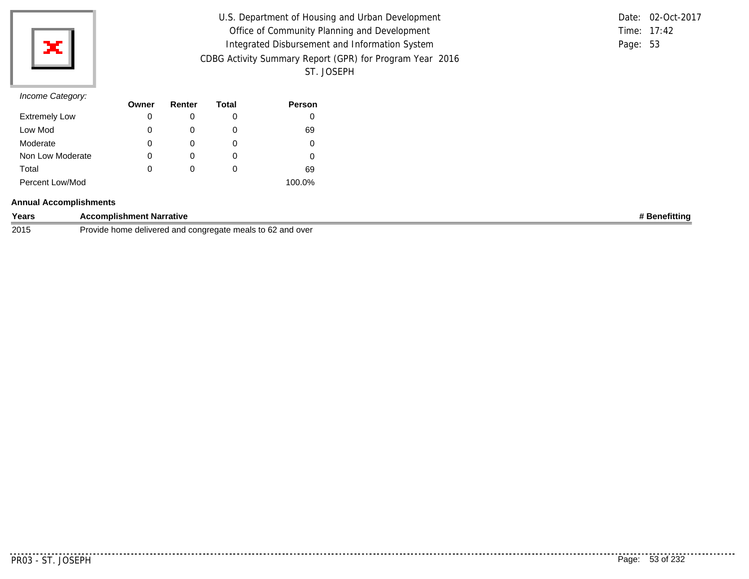

| U.S. Department of Housing and Urban Development         |          | Date: 02-Oct-2017 |
|----------------------------------------------------------|----------|-------------------|
| Office of Community Planning and Development             |          | Time: $17:42$     |
| Integrated Disbursement and Information System           | Page: 53 |                   |
| CDBG Activity Summary Report (GPR) for Program Year 2016 |          |                   |
| ST. JOSEPH                                               |          |                   |

|          | Date: 02-Oct-2017 |
|----------|-------------------|
|          | Time: $17:42$     |
| Page: 53 |                   |

|                      | Owner | Renter | Total | <b>Person</b> |
|----------------------|-------|--------|-------|---------------|
| <b>Extremely Low</b> | 0     |        | O     |               |
| Low Mod              | 0     |        | 0     | 69            |
| Moderate             | 0     |        | O     |               |
| Non Low Moderate     | 0     |        | O     |               |
| Total                | 0     |        | O     | 69            |
| Percent Low/Mod      |       |        |       | 100.0%        |

#### **Annual Accomplishments**

| Years | <b>Accomplishment Narrative</b>                                      | <b>Benefitting</b> |
|-------|----------------------------------------------------------------------|--------------------|
| 2015  | 2 and over<br>e delivered and congregate meals to 62<br>Provide home |                    |

 $- - - - -$ 

..........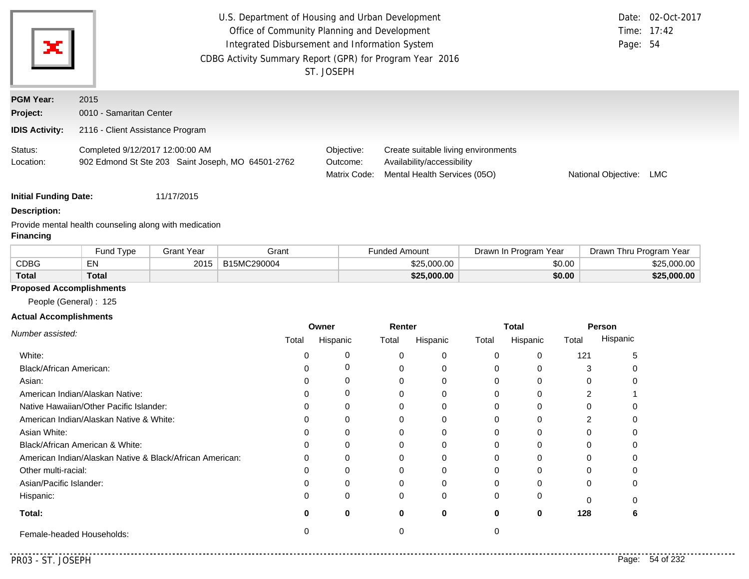| ж                            | U.S. Department of Housing and Urban Development<br>Office of Community Planning and Development<br>Integrated Disbursement and Information System<br>CDBG Activity Summary Report (GPR) for Program Year 2016<br>ST. JOSEPH |                                        |                                                                                                   |                     |     |  |
|------------------------------|------------------------------------------------------------------------------------------------------------------------------------------------------------------------------------------------------------------------------|----------------------------------------|---------------------------------------------------------------------------------------------------|---------------------|-----|--|
| <b>PGM Year:</b><br>Project: | 2015<br>0010 - Samaritan Center                                                                                                                                                                                              |                                        |                                                                                                   |                     |     |  |
| <b>IDIS Activity:</b>        | 2116 - Client Assistance Program                                                                                                                                                                                             |                                        |                                                                                                   |                     |     |  |
| Status:<br>Location:         | Completed 9/12/2017 12:00:00 AM<br>902 Edmond St Ste 203 Saint Joseph, MO 64501-2762                                                                                                                                         | Objective:<br>Outcome:<br>Matrix Code: | Create suitable living environments<br>Availability/accessibility<br>Mental Health Services (05O) | National Objective: | LMC |  |

### **Description:**

Provide mental health counseling along with medication

# **Financing**

|              | Fund Type | Grant Year | Grant       | <b>Funded Amount</b> | Drawn In Program Year | Drawn Thru Program Year |
|--------------|-----------|------------|-------------|----------------------|-----------------------|-------------------------|
| <b>CDBG</b>  | EN        | 2015       | B15MC290004 | \$25,000.00          | \$0.00                | \$25,000,00             |
| <b>Total</b> | Total     |            |             | \$25,000.00          | \$0.00                | \$25,000.00             |

# **Proposed Accomplishments**

People (General) : 125

### **Actual Accomplishments**

|                                                          | Owner |          | Renter   |          | <b>Total</b> |          | Person |          |
|----------------------------------------------------------|-------|----------|----------|----------|--------------|----------|--------|----------|
| Number assisted:                                         | Total | Hispanic | Total    | Hispanic | Total        | Hispanic | Total  | Hispanic |
| White:                                                   |       |          |          | 0        |              | 0        | 121    |          |
| Black/African American:                                  |       |          |          | 0        |              | o        |        |          |
| Asian:                                                   |       |          |          | $\Omega$ |              | U        |        |          |
| American Indian/Alaskan Native:                          |       |          |          | 0        |              | 0        |        |          |
| Native Hawaiian/Other Pacific Islander:                  |       |          |          | 0        |              | 0        |        |          |
| American Indian/Alaskan Native & White:                  |       |          |          |          |              | O        |        |          |
| Asian White:                                             |       |          |          |          |              |          |        |          |
| Black/African American & White:                          |       |          |          | 0        |              | 0        |        |          |
| American Indian/Alaskan Native & Black/African American: | O     | ∩        |          | $\Omega$ |              | U        |        |          |
| Other multi-racial:                                      |       |          |          |          |              | ი        |        |          |
| Asian/Pacific Islander:                                  |       |          |          |          |              | U        |        |          |
| Hispanic:                                                |       | $\Omega$ | $\Omega$ | $\Omega$ |              | 0        |        |          |
| Total:                                                   |       | 0        | 0        | 0        | 0            | 0        | 128    | n        |
| Female-headed Households:                                |       |          |          |          |              |          |        |          |

 $- - -$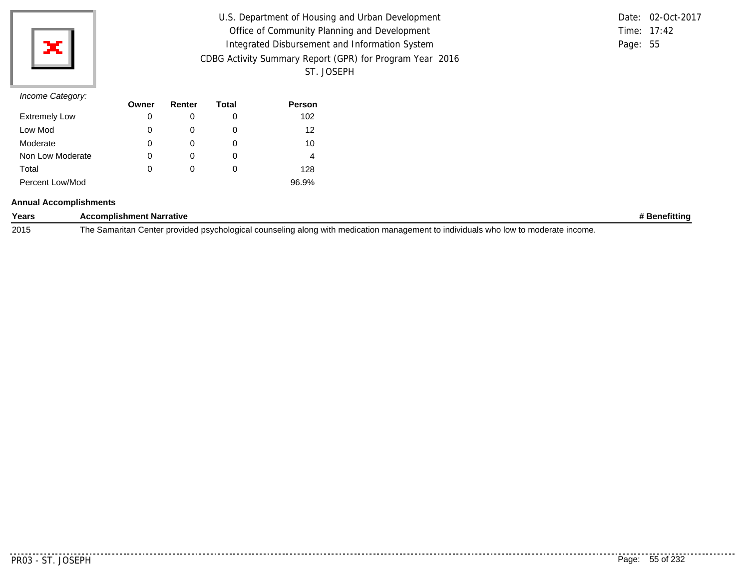

| U.S. Department of Housing and Urban Development         | Date: 02-Oct-2017 |
|----------------------------------------------------------|-------------------|
| Office of Community Planning and Development             | Time: 17:42       |
| Integrated Disbursement and Information System           | Page: 55          |
| CDBG Activity Summary Report (GPR) for Program Year 2016 |                   |
| ST. JOSEPH                                               |                   |

|          | Date: 02-Oct-2017 |
|----------|-------------------|
|          | Time: $17:42$     |
| Page: 55 |                   |

|                      | Owner | Renter | Total | Person |
|----------------------|-------|--------|-------|--------|
| <b>Extremely Low</b> | 0     |        | O     | 102    |
| Low Mod              | 0     |        | 0     | 12     |
| Moderate             | 0     |        | O     | 10     |
| Non Low Moderate     | 0     |        | 0     | 4      |
| Total                | 0     |        | O     | 128    |
| Percent Low/Mod      |       |        |       | 96.9%  |

### **Annual Accomplishments**

| Years | complishment Narrative:<br>$\cdots$                                                                                                               | .tittinc |
|-------|---------------------------------------------------------------------------------------------------------------------------------------------------|----------|
| 2015  | moderate income.<br>Samaritan<br>nro<br>` Whu<br>Cente<br>counsel<br>مراصد.<br>' he<br>wider<br>:hologica<br>ıemer<br>manadı<br>τО<br>with<br>onc |          |

. . . . . . . . . .

. . . . . . . . . . . . . .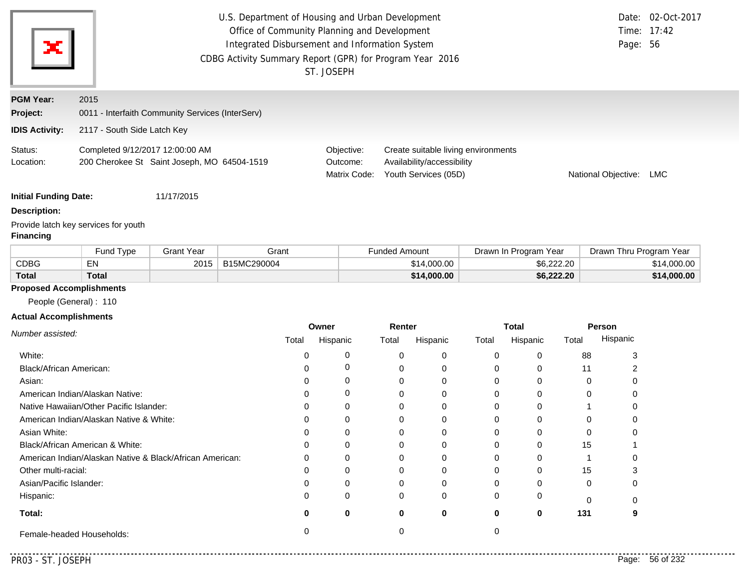| ×                            | U.S. Department of Housing and Urban Development<br>Office of Community Planning and Development<br>Integrated Disbursement and Information System<br>CDBG Activity Summary Report (GPR) for Program Year 2016 | ST. JOSEPH                             |                                                                                           | Page: 56                | Date: 02-Oct-2017<br>Time: 17:42 |  |
|------------------------------|----------------------------------------------------------------------------------------------------------------------------------------------------------------------------------------------------------------|----------------------------------------|-------------------------------------------------------------------------------------------|-------------------------|----------------------------------|--|
| <b>PGM Year:</b>             | 2015                                                                                                                                                                                                           |                                        |                                                                                           |                         |                                  |  |
| Project:                     | 0011 - Interfaith Community Services (InterServ)                                                                                                                                                               |                                        |                                                                                           |                         |                                  |  |
| <b>IDIS Activity:</b>        | 2117 - South Side Latch Key                                                                                                                                                                                    |                                        |                                                                                           |                         |                                  |  |
| Status:<br>Location:         | Completed 9/12/2017 12:00:00 AM<br>200 Cherokee St Saint Joseph, MO 64504-1519                                                                                                                                 | Objective:<br>Outcome:<br>Matrix Code: | Create suitable living environments<br>Availability/accessibility<br>Youth Services (05D) | National Objective: LMC |                                  |  |
| <b>Initial Funding Date:</b> | 11/17/2015                                                                                                                                                                                                     |                                        |                                                                                           |                         |                                  |  |
| <b>Description:</b>          |                                                                                                                                                                                                                |                                        |                                                                                           |                         |                                  |  |
| <b>Financing</b>             | Provide latch key services for youth                                                                                                                                                                           |                                        |                                                                                           |                         |                                  |  |

|              | <b>Fund Type</b> | Grant Year | Grant       | <sup>⊏</sup> unded Amount | Drawn In Program Year | Drawn Thru Program Year |
|--------------|------------------|------------|-------------|---------------------------|-----------------------|-------------------------|
| <b>CDBG</b>  | EN               | 2015       | B15MC290004 | \$14,000.00               | \$6,222,20            | \$14,000.00             |
| <b>Total</b> | Total            |            |             | \$14,000.00               | \$6,222.20            | \$14,000.00             |

# **Proposed Accomplishments**

People (General) : 110

## **Actual Accomplishments**

|                                                          | Owner |          | Renter |          | <b>Total</b> |          | Person   |          |
|----------------------------------------------------------|-------|----------|--------|----------|--------------|----------|----------|----------|
| Number assisted:                                         | Total | Hispanic | Total  | Hispanic | Total        | Hispanic | Total    | Hispanic |
| White:                                                   |       |          | 0      | 0        |              |          | 88       |          |
| Black/African American:                                  |       |          |        | 0        |              |          | 11       |          |
| Asian:                                                   |       | 0        | 0      | $\Omega$ |              |          | $\Omega$ |          |
| American Indian/Alaskan Native:                          |       | O        | 0      | 0        |              |          | 0        |          |
| Native Hawaiian/Other Pacific Islander:                  |       | 0        |        | $\Omega$ |              |          |          |          |
| American Indian/Alaskan Native & White:                  |       |          |        | 0        |              |          |          |          |
| Asian White:                                             |       |          |        | 0        |              |          |          |          |
| Black/African American & White:                          | 0     | 0        |        | $\Omega$ |              |          | 15       |          |
| American Indian/Alaskan Native & Black/African American: | ი     |          | ი      | $\Omega$ |              |          |          |          |
| Other multi-racial:                                      |       |          |        | $\Omega$ |              |          | 15       |          |
| Asian/Pacific Islander:                                  |       |          | 0      | $\Omega$ |              |          | $\Omega$ |          |
| Hispanic:                                                | 0     | 0        | 0      | 0        |              |          |          |          |
| Total:                                                   | o     | 0        | 0      | 0        |              | 0        | 131      |          |
| Female-headed Households:                                |       |          |        |          |              |          |          |          |

. . . .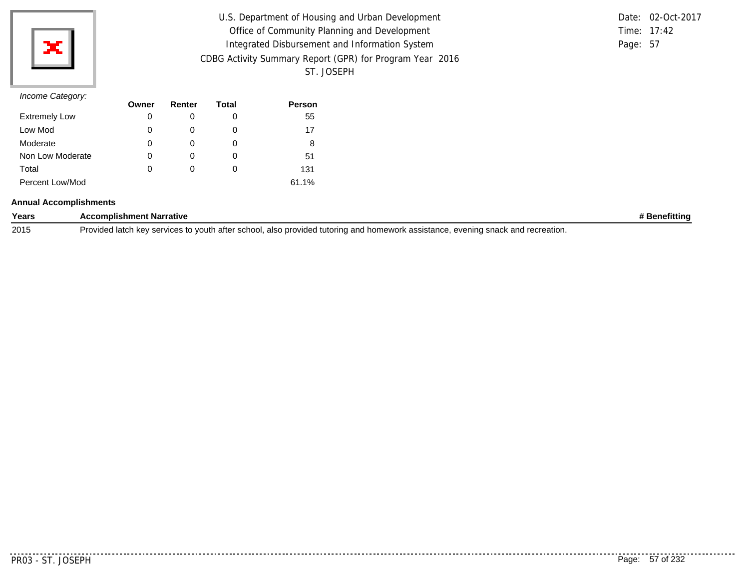

| U.S. Department of Housing and Urban Development         |          | Date: 02-Oct-2017 |
|----------------------------------------------------------|----------|-------------------|
| Office of Community Planning and Development             |          | Time: $17:42$     |
| Integrated Disbursement and Information System           | Page: 57 |                   |
| CDBG Activity Summary Report (GPR) for Program Year 2016 |          |                   |
| ST. JOSEPH                                               |          |                   |

|          | Date: 02-Oct-2017 |
|----------|-------------------|
|          | Time: $17:42$     |
| Page: 57 |                   |

|                      | Owner | Renter | Total | <b>Person</b> |
|----------------------|-------|--------|-------|---------------|
| <b>Extremely Low</b> | 0     |        | O     | 55            |
| Low Mod              | 0     |        | 0     | 17            |
| Moderate             | 0     |        | O     | 8             |
| Non Low Moderate     | 0     |        | 0     | 51            |
| Total                | 0     |        | O     | 131           |
| Percent Low/Mod      |       |        |       | 61.1%         |

### **Annual Accomplishments**

| Years | <b>Accomplishment Narrative</b>                                                                                                       | <b>Benefitting</b> |
|-------|---------------------------------------------------------------------------------------------------------------------------------------|--------------------|
| 2015  | Provided latch key services to youth after school, also provided tutoring and homework assistance.<br>. evening snack and recreation. |                    |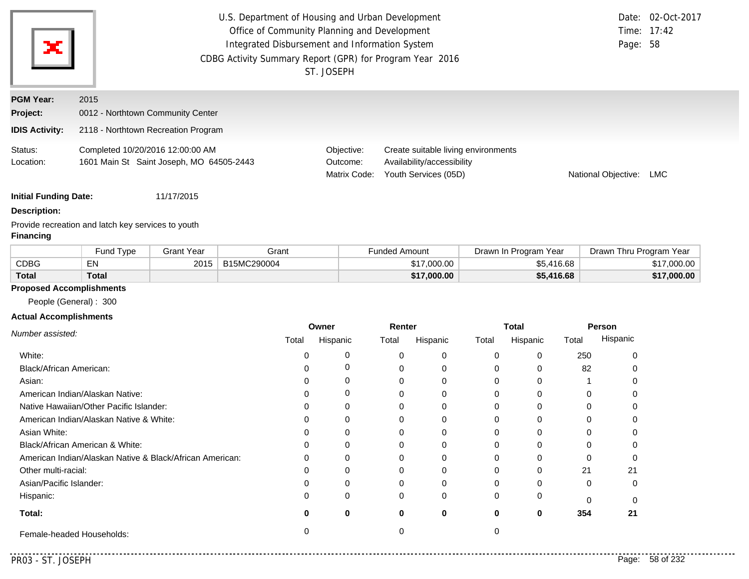| ×                            | U.S. Department of Housing and Urban Development<br>Office of Community Planning and Development<br>Integrated Disbursement and Information System<br>CDBG Activity Summary Report (GPR) for Program Year 2016<br>ST. JOSEPH | Page: 58                               | Date: 02-Oct-2017<br>Time: 17:42                                                          |                     |            |  |
|------------------------------|------------------------------------------------------------------------------------------------------------------------------------------------------------------------------------------------------------------------------|----------------------------------------|-------------------------------------------------------------------------------------------|---------------------|------------|--|
| <b>PGM Year:</b><br>Project: | 2015<br>0012 - Northtown Community Center                                                                                                                                                                                    |                                        |                                                                                           |                     |            |  |
| <b>IDIS Activity:</b>        | 2118 - Northtown Recreation Program                                                                                                                                                                                          |                                        |                                                                                           |                     |            |  |
| Status:<br>Location:         | Completed 10/20/2016 12:00:00 AM<br>1601 Main St Saint Joseph, MO 64505-2443                                                                                                                                                 | Objective:<br>Outcome:<br>Matrix Code: | Create suitable living environments<br>Availability/accessibility<br>Youth Services (05D) | National Objective: | <b>LMC</b> |  |

### **Description:**

Provide recreation and latch key services to youth **Financing**

|              | Fund Type | Grant Year | Grant       | Funded Amount | Drawn In Program Year | Drawn Thru Program Year |
|--------------|-----------|------------|-------------|---------------|-----------------------|-------------------------|
| <b>CDBG</b>  | EN        | 2015       | B15MC290004 | \$17,000.00   | \$5,416.68            | \$17,000.00             |
| <b>Total</b> | Total     |            |             | \$17,000.00   | \$5,416.68            | \$17,000.00             |

# **Proposed Accomplishments**

People (General) : 300

### **Actual Accomplishments**

| Number assisted:                                         | Owner |          | Renter   |          | <b>Total</b> |          | Person |          |
|----------------------------------------------------------|-------|----------|----------|----------|--------------|----------|--------|----------|
|                                                          | Total | Hispanic | Total    | Hispanic | Total        | Hispanic | Total  | Hispanic |
| White:                                                   |       |          |          | 0        |              | 0        | 250    |          |
| Black/African American:                                  |       |          |          | 0        |              | 0        | 82     |          |
| Asian:                                                   |       |          |          | 0        |              | 0        |        |          |
| American Indian/Alaskan Native:                          |       | 0        |          | 0        |              | 0        |        |          |
| Native Hawaiian/Other Pacific Islander:                  |       |          |          | 0        |              | 0        |        |          |
| American Indian/Alaskan Native & White:                  |       |          |          | $\Omega$ |              | U        |        |          |
| Asian White:                                             |       |          |          |          |              | n        |        |          |
| Black/African American & White:                          |       |          |          | 0        |              | o        |        |          |
| American Indian/Alaskan Native & Black/African American: | 0     | $\Omega$ |          | $\Omega$ |              | 0        |        |          |
| Other multi-racial:                                      |       |          |          |          |              | 0        | 21     | 21       |
| Asian/Pacific Islander:                                  |       |          |          |          |              | o        | 0      |          |
| Hispanic:                                                | 0     | 0        | $\Omega$ | 0        |              | 0        |        |          |
| Total:                                                   | O     | 0        | 0        | $\bf{0}$ | 0            | 0        | 354    | 21       |
| Female-headed Households:                                |       |          |          |          |              |          |        |          |

 $- - -$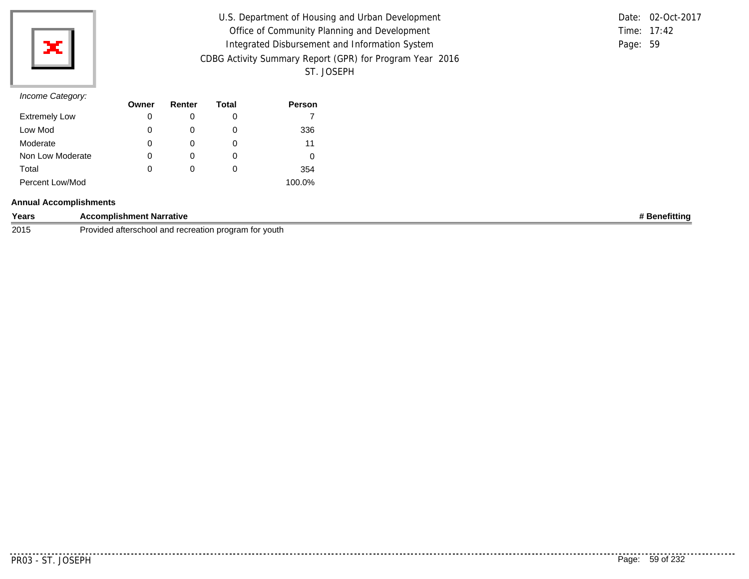

| U.S. Department of Housing and Urban Development         |          | Date: 02-Oct-2017 |
|----------------------------------------------------------|----------|-------------------|
| Office of Community Planning and Development             |          | Time: $17:42$     |
| Integrated Disbursement and Information System           | Page: 59 |                   |
| CDBG Activity Summary Report (GPR) for Program Year 2016 |          |                   |
| ST. JOSEPH                                               |          |                   |

|          | Date: 02-Oct-2017 |
|----------|-------------------|
|          | Time: $17:42$     |
| Page: 59 |                   |

| -                    | Owner | Renter | Total | <b>Person</b> |
|----------------------|-------|--------|-------|---------------|
| <b>Extremely Low</b> | 0     |        | 0     |               |
| Low Mod              | 0     |        | O     | 336           |
| Moderate             | 0     |        | 0     | 11            |
| Non Low Moderate     | 0     |        | O     |               |
| Total                | 0     |        | 0     | 354           |
| Percent Low/Mod      |       |        |       | 100.0%        |

### **Annual Accomplishments**

| Years | <b>nt Narrative</b><br>omplishment                                   | tittin) |
|-------|----------------------------------------------------------------------|---------|
| 2015  | afterschool<br>voutl<br>Provided<br>ı program<br>and recreation<br>. |         |

<u>. . . . . . .</u> .

..........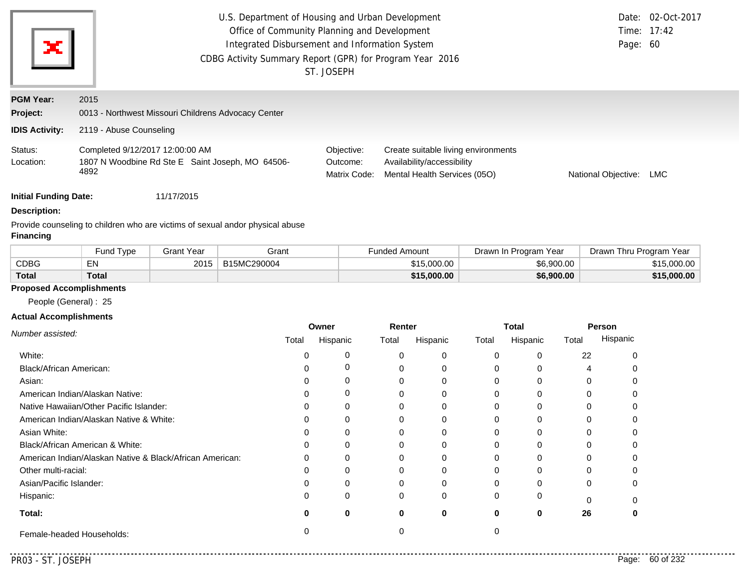|                       | U.S. Department of Housing and Urban Development                                            |                                        | Date: 02-Oct-2017                                                                                 |                     |             |
|-----------------------|---------------------------------------------------------------------------------------------|----------------------------------------|---------------------------------------------------------------------------------------------------|---------------------|-------------|
|                       | Office of Community Planning and Development                                                |                                        |                                                                                                   |                     | Time: 17:42 |
| ×                     | Integrated Disbursement and Information System                                              |                                        |                                                                                                   | Page: 60            |             |
|                       |                                                                                             |                                        |                                                                                                   |                     |             |
|                       |                                                                                             | ST. JOSEPH                             |                                                                                                   |                     |             |
| <b>PGM Year:</b>      | 2015                                                                                        |                                        |                                                                                                   |                     |             |
| Project:              | 0013 - Northwest Missouri Childrens Advocacy Center                                         |                                        |                                                                                                   |                     |             |
| <b>IDIS Activity:</b> | 2119 - Abuse Counseling                                                                     |                                        |                                                                                                   |                     |             |
| Status:<br>Location:  | Completed 9/12/2017 12:00:00 AM<br>1807 N Woodbine Rd Ste E Saint Joseph, MO 64506-<br>4892 | Objective:<br>Outcome:<br>Matrix Code: | Create suitable living environments<br>Availability/accessibility<br>Mental Health Services (05O) | National Objective: | LMC         |

### **Description:**

Provide counseling to children who are victims of sexual andor physical abuse

# **Financing**

|              | Fund Type | Grant Year | Grant       | Funded Amount | Year<br>Drawn In Program | Drawn 1<br>Thru Program Year |
|--------------|-----------|------------|-------------|---------------|--------------------------|------------------------------|
| CDBG         | EN        | 2015       | B15MC290004 | \$15,000.00   | \$6,900.00               | 15,000.00                    |
| <b>Total</b> | Total     |            |             | \$15,000.00   | \$6,900.00               | \$15,000.00                  |

### **Proposed Accomplishments**

People (General) : 25

### **Actual Accomplishments**

|                                                          | Owner |          | Renter |          | <b>Total</b> |          | Person |          |
|----------------------------------------------------------|-------|----------|--------|----------|--------------|----------|--------|----------|
| Number assisted:                                         | Total | Hispanic | Total  | Hispanic | Total        | Hispanic | Total  | Hispanic |
| White:                                                   |       |          |        |          |              |          | 22     |          |
| Black/African American:                                  |       |          |        |          | 0            |          |        |          |
| Asian:                                                   |       |          |        |          |              |          |        |          |
| American Indian/Alaskan Native:                          |       | O        |        |          |              |          |        |          |
| Native Hawaiian/Other Pacific Islander:                  |       |          |        |          |              |          |        |          |
| American Indian/Alaskan Native & White:                  |       |          |        |          |              |          |        |          |
| Asian White:                                             |       |          |        |          |              |          |        |          |
| Black/African American & White:                          |       | 0        |        |          | 0            |          |        |          |
| American Indian/Alaskan Native & Black/African American: | ∩     | U        |        |          |              |          |        |          |
| Other multi-racial:                                      |       |          |        |          |              |          |        |          |
| Asian/Pacific Islander:                                  |       |          |        |          |              |          |        |          |
| Hispanic:                                                |       | 0        |        |          | 0            |          |        |          |
| Total:                                                   |       | 0        |        | 0        | o            | 0        | 26     |          |
| Female-headed Households:                                |       |          |        |          |              |          |        |          |

. . . . .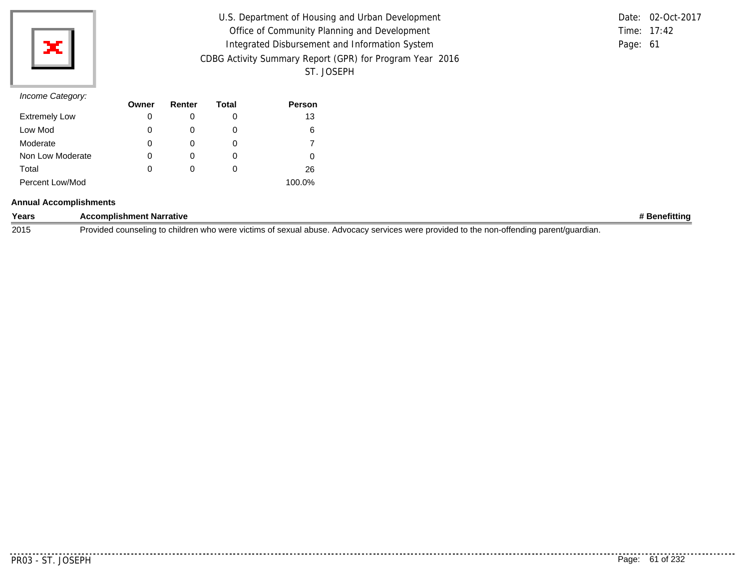

| U.S. Department of Housing and Urban Development         |          | Date: 02-Oct-2017 |
|----------------------------------------------------------|----------|-------------------|
| Office of Community Planning and Development             |          | Time: $17:42$     |
| Integrated Disbursement and Information System           | Page: 61 |                   |
| CDBG Activity Summary Report (GPR) for Program Year 2016 |          |                   |
| ST. JOSEPH                                               |          |                   |

## *Income Category:*

|                      | Owner | Renter | Total | <b>Person</b> |
|----------------------|-------|--------|-------|---------------|
| <b>Extremely Low</b> | 0     |        | O     | 13            |
| Low Mod              | 0     |        | 0     | 6             |
| Moderate             | 0     |        | O     |               |
| Non Low Moderate     | 0     |        | O     |               |
| Total                | 0     |        | O     | 26            |
| Percent Low/Mod      |       |        |       | 100.0%        |

### **Annual Accomplishments**

| Years | <b>Accomplishment Narrative</b>                                                                                                         |  |
|-------|-----------------------------------------------------------------------------------------------------------------------------------------|--|
| 2015  | Provided counseling to children who were victims of sexual abuse. Advocacy services were provided to the non-offending parent/guardian. |  |

. . . . . . . . .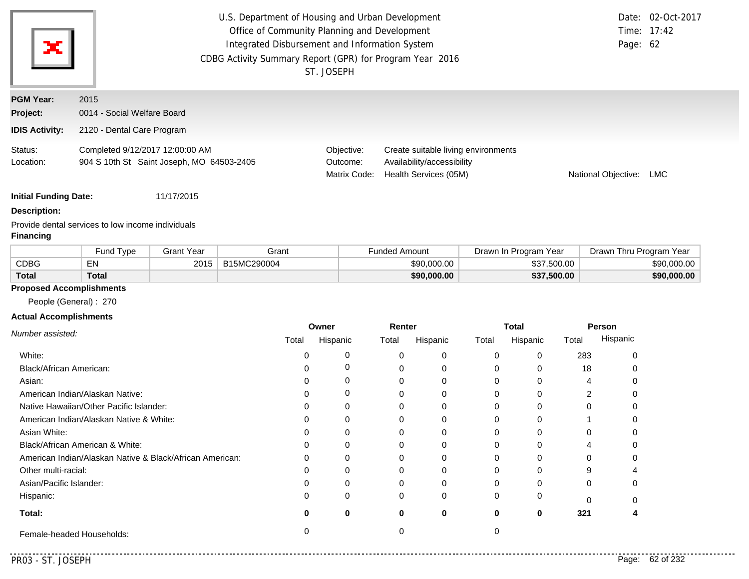| ×                                                     | U.S. Department of Housing and Urban Development<br>Date: 02-Oct-2017<br>Office of Community Planning and Development<br>Time: 17:42<br>Integrated Disbursement and Information System<br>Page: 62<br>CDBG Activity Summary Report (GPR) for Program Year 2016<br>ST. JOSEPH |                                        |                                                                                            |                     |            |  |
|-------------------------------------------------------|------------------------------------------------------------------------------------------------------------------------------------------------------------------------------------------------------------------------------------------------------------------------------|----------------------------------------|--------------------------------------------------------------------------------------------|---------------------|------------|--|
| <b>PGM Year:</b><br>Project:<br><b>IDIS Activity:</b> | 2015<br>0014 - Social Welfare Board<br>2120 - Dental Care Program                                                                                                                                                                                                            |                                        |                                                                                            |                     |            |  |
| Status:<br>Location:                                  | Completed 9/12/2017 12:00:00 AM<br>904 S 10th St Saint Joseph, MO 64503-2405                                                                                                                                                                                                 | Objective:<br>Outcome:<br>Matrix Code: | Create suitable living environments<br>Availability/accessibility<br>Health Services (05M) | National Objective: | <b>LMC</b> |  |

### **Description:**

Provide dental services to low income individuals

## **Financing**

|              | Fund Type | Grant Year | Grant       | <b>Funded Amount</b> | Drawn In Program<br>Year | Drawn Thru Program Year |
|--------------|-----------|------------|-------------|----------------------|--------------------------|-------------------------|
| <b>CDBG</b>  | EN        | 2015       | B15MC290004 | \$90,000,00          | \$37,500.00              | \$90,000.00             |
| <b>Total</b> | Total     |            |             | \$90,000.00          | \$37,500.00              | \$90,000.00             |

# **Proposed Accomplishments**

People (General) : 270

### **Actual Accomplishments**

|                                                          | Owner |          | Renter   |          | <b>Total</b> |          | Person |          |
|----------------------------------------------------------|-------|----------|----------|----------|--------------|----------|--------|----------|
| Number assisted:                                         | Total | Hispanic | Total    | Hispanic | Total        | Hispanic | Total  | Hispanic |
| White:                                                   |       |          |          | 0        |              | 0        | 283    |          |
| Black/African American:                                  |       |          |          |          |              | o        | 18     |          |
| Asian:                                                   |       |          |          | 0        |              | 0        |        |          |
| American Indian/Alaskan Native:                          |       |          |          | $\Omega$ |              | 0        |        |          |
| Native Hawaiian/Other Pacific Islander:                  |       |          |          |          |              | 0        |        |          |
| American Indian/Alaskan Native & White:                  |       |          |          |          |              | O        |        |          |
| Asian White:                                             |       |          |          |          |              | n        |        |          |
| Black/African American & White:                          |       |          |          | 0        |              |          |        |          |
| American Indian/Alaskan Native & Black/African American: | 0     | 0        |          | $\Omega$ |              | 0        |        |          |
| Other multi-racial:                                      |       |          |          |          |              | U        |        |          |
| Asian/Pacific Islander:                                  |       |          |          |          |              |          |        |          |
| Hispanic:                                                |       | 0        | $\Omega$ | 0        |              | 0        |        |          |
| Total:                                                   |       | 0        | 0        | $\bf{0}$ | 0            | 0        | 321    |          |
| Female-headed Households:                                |       |          |          |          |              |          |        |          |

 $-1$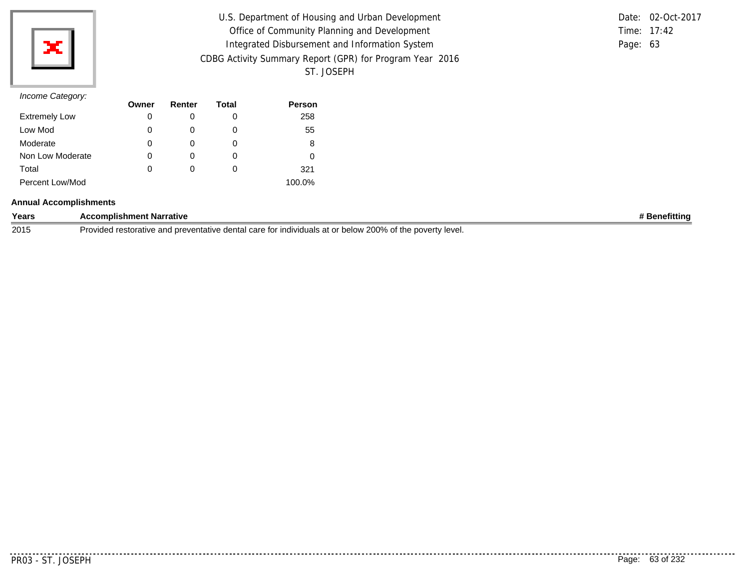

| U.S. Department of Housing and Urban Development         |          | Date: 02-Oct-2017 |
|----------------------------------------------------------|----------|-------------------|
| Office of Community Planning and Development             |          | Time: 17:42       |
| Integrated Disbursement and Information System           | Page: 63 |                   |
| CDBG Activity Summary Report (GPR) for Program Year 2016 |          |                   |
| ST. JOSEPH                                               |          |                   |

|          | Date: 02-Oct-2017 |
|----------|-------------------|
|          | Time: $17:42$     |
| Page: 63 |                   |

|                      | Owner | Renter | Total | <b>Person</b> |
|----------------------|-------|--------|-------|---------------|
| <b>Extremely Low</b> | 0     |        | O     | 258           |
| Low Mod              | 0     |        | 0     | 55            |
| Moderate             | 0     |        | O     | 8             |
| Non Low Moderate     | 0     |        | O     |               |
| Total                | 0     |        | O     | 321           |
| Percent Low/Mod      |       |        |       | 100.0%        |

### **Annual Accomplishments**

| Years | :omplishment Narrative<br>$     -$<br>. . <i>.</i>                                                                                                         | efittina<br>on. |
|-------|------------------------------------------------------------------------------------------------------------------------------------------------------------|-----------------|
| 2015  | 200%<br>് ∩f th∈.<br>Provided<br><sup>'</sup> level.<br>. dental care '<br>indiv<br>below<br>. povertv '<br>nre<br>e ano<br>ventative.<br>oranve<br>.<br>. |                 |

<u>..........</u>.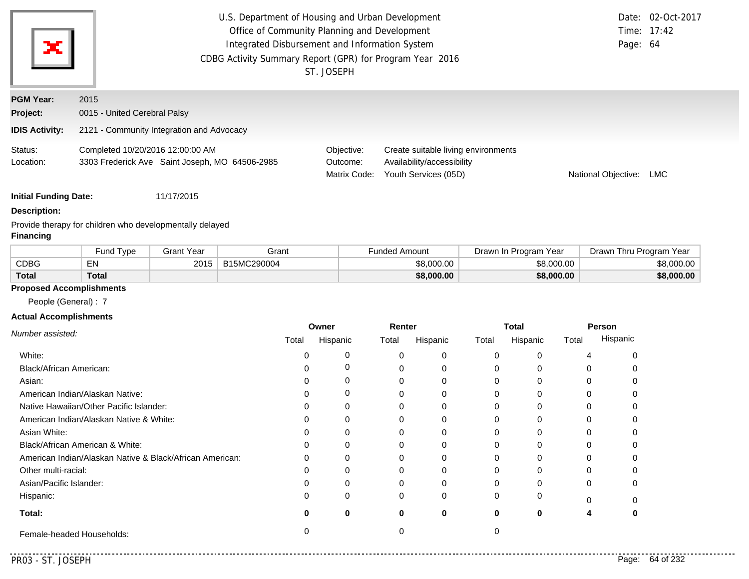| ×                            | U.S. Department of Housing and Urban Development<br>Office of Community Planning and Development<br>Integrated Disbursement and Information System<br>CDBG Activity Summary Report (GPR) for Program Year 2016<br>ST. JOSEPH | Page: 64                               | Date: 02-Oct-2017<br>Time: 17:42                                                          |                     |     |
|------------------------------|------------------------------------------------------------------------------------------------------------------------------------------------------------------------------------------------------------------------------|----------------------------------------|-------------------------------------------------------------------------------------------|---------------------|-----|
| <b>PGM Year:</b>             | 2015                                                                                                                                                                                                                         |                                        |                                                                                           |                     |     |
| Project:                     | 0015 - United Cerebral Palsy                                                                                                                                                                                                 |                                        |                                                                                           |                     |     |
| <b>IDIS Activity:</b>        | 2121 - Community Integration and Advocacy                                                                                                                                                                                    |                                        |                                                                                           |                     |     |
| Status:<br>Location:         | Completed 10/20/2016 12:00:00 AM<br>3303 Frederick Ave Saint Joseph, MO 64506-2985                                                                                                                                           | Objective:<br>Outcome:<br>Matrix Code: | Create suitable living environments<br>Availability/accessibility<br>Youth Services (05D) | National Objective: | LMC |
| <b>Initial Funding Date:</b> | 11/17/2015                                                                                                                                                                                                                   |                                        |                                                                                           |                     |     |

#### **Description:**

Provide therapy for children who developmentally delayed **Financing**

|             | und Type <sup>-</sup> | 3rant Year | Grant       | Funded Amount | Drawn In Program Year | Yea<br>Drawn Thru Program |
|-------------|-----------------------|------------|-------------|---------------|-----------------------|---------------------------|
| <b>CDBG</b> | $-$ N $\sim$          | 201        | B15MC290004 | \$8,000.00    | \$8,000.00            | \$8,000.00                |
| Total       | Total                 |            |             | \$8,000.00    | \$8,000.00            | \$8,000.00                |

# **Proposed Accomplishments**

People (General) : 7

### **Actual Accomplishments**

|                                                          | Owner |          | Renter |          | Total |          | Person |          |
|----------------------------------------------------------|-------|----------|--------|----------|-------|----------|--------|----------|
| Number assisted:                                         | Total | Hispanic | Total  | Hispanic | Total | Hispanic | Total  | Hispanic |
| White:                                                   |       |          | 0      | $\Omega$ |       |          |        |          |
| Black/African American:                                  |       |          |        | 0        |       |          |        |          |
| Asian:                                                   |       |          |        | 0        |       |          |        |          |
| American Indian/Alaskan Native:                          |       | O        |        | $\Omega$ |       |          |        |          |
| Native Hawaiian/Other Pacific Islander:                  |       |          |        | 0        |       |          |        |          |
| American Indian/Alaskan Native & White:                  |       |          |        | $\Omega$ |       |          |        |          |
| Asian White:                                             |       |          |        | 0        |       |          |        |          |
| Black/African American & White:                          |       |          |        | 0        |       |          |        |          |
| American Indian/Alaskan Native & Black/African American: | 0     | 0        |        | 0        |       |          |        |          |
| Other multi-racial:                                      |       |          |        | $\Omega$ |       |          | U      |          |
| Asian/Pacific Islander:                                  |       |          |        | 0        |       |          |        |          |
| Hispanic:                                                |       | $\Omega$ | 0      | $\Omega$ |       |          | n      |          |
| Total:                                                   | O     | 0        | 0      | 0        |       | 0        |        |          |
| Female-headed Households:                                |       |          |        |          |       |          |        |          |

 $\sim$   $\sim$   $\sim$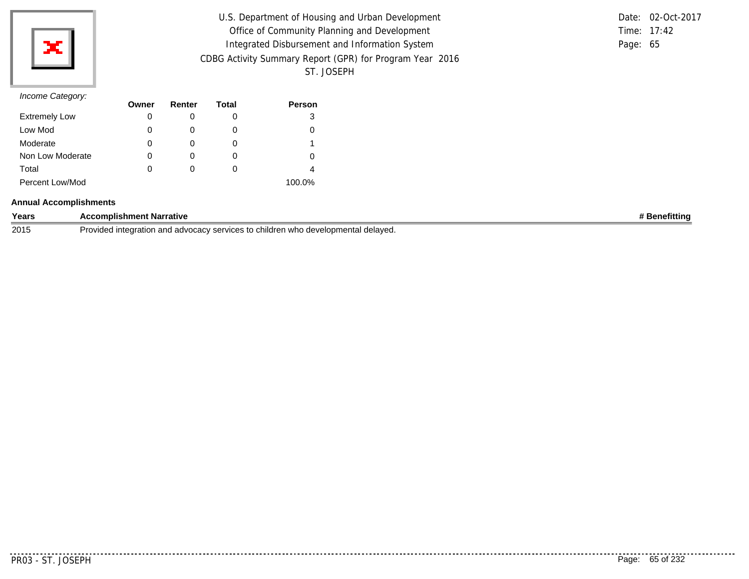

| U.S. Department of Housing and Urban Development         |          | Date: 02-Oct-2017 |
|----------------------------------------------------------|----------|-------------------|
| Office of Community Planning and Development             |          | Time: $17:42$     |
| Integrated Disbursement and Information System           | Page: 65 |                   |
| CDBG Activity Summary Report (GPR) for Program Year 2016 |          |                   |
| ST. JOSEPH                                               |          |                   |

|          | Date: 02-Oct-2017 |
|----------|-------------------|
|          | Time: $17:42$     |
| Page: 65 |                   |

| $11001110$ catogory. | Owner | Renter | Total | <b>Person</b> |
|----------------------|-------|--------|-------|---------------|
| <b>Extremely Low</b> | 0     |        | O     | 3             |
| Low Mod              | 0     | O      | O     |               |
| Moderate             | 0     |        | O     |               |
| Non Low Moderate     | 0     | 0      | 0     |               |
| Total                | 0     | O      | O     | 4             |
| Percent Low/Mod      |       |        |       | 100.0%        |

### **Annual Accomplishments**

| Years | omplishment Narrative                                                                            | . etittina. |
|-------|--------------------------------------------------------------------------------------------------|-------------|
| 2015  | rvices to children who developmental delaved.<br>P<br>integration<br>and<br>0.000000<br>advocacy |             |

. . . . . . . . . . .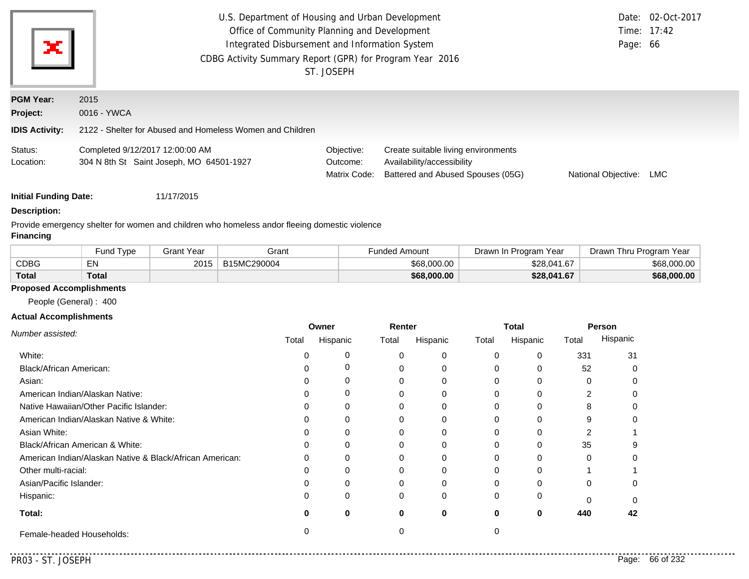| U.S. Department of Housing and Urban Development<br>Office of Community Planning and Development<br>ж<br>Integrated Disbursement and Information System<br>CDBG Activity Summary Report (GPR) for Program Year 2016<br>ST. JOSEPH |                                                                             |                                        |                                                                                                        |                     | Date: 02-Oct-2017<br>Time: 17:42<br>Page: 66 |
|-----------------------------------------------------------------------------------------------------------------------------------------------------------------------------------------------------------------------------------|-----------------------------------------------------------------------------|----------------------------------------|--------------------------------------------------------------------------------------------------------|---------------------|----------------------------------------------|
| <b>PGM Year:</b><br>Project:                                                                                                                                                                                                      | 2015<br>0016 - YWCA                                                         |                                        |                                                                                                        |                     |                                              |
| <b>IDIS Activity:</b>                                                                                                                                                                                                             | 2122 - Shelter for Abused and Homeless Women and Children                   |                                        |                                                                                                        |                     |                                              |
| Status:<br>Location:                                                                                                                                                                                                              | Completed 9/12/2017 12:00:00 AM<br>304 N 8th St Saint Joseph, MO 64501-1927 | Objective:<br>Outcome:<br>Matrix Code: | Create suitable living environments<br>Availability/accessibility<br>Battered and Abused Spouses (05G) | National Objective: | LMC                                          |
| <b>Initial Funding Date:</b>                                                                                                                                                                                                      | 11/17/2015                                                                  |                                        |                                                                                                        |                     |                                              |

#### **Description:**

Provide emergency shelter for women and children who homeless andor fleeing domestic violence

#### **Financing**

|              | Fund Type         | Grant Year | Grant       | Funded Amount | Year<br>Drawn In Program | Drawn<br>Thru Program Year |
|--------------|-------------------|------------|-------------|---------------|--------------------------|----------------------------|
| <b>CDBG</b>  | EN.<br><b>EIV</b> | 2015       | B15MC290004 | \$68,000,00   | \$28,041.67              | \$68,000.00                |
| <b>Total</b> | Total             |            |             | \$68,000.00   | \$28,041.67              | \$68,000.00                |

### **Proposed Accomplishments**

People (General) : 400

### **Actual Accomplishments**

|                                                          | Owner |          | Renter |          | <b>Total</b> |          | Person |          |
|----------------------------------------------------------|-------|----------|--------|----------|--------------|----------|--------|----------|
| Number assisted:                                         | Total | Hispanic | Total  | Hispanic | Total        | Hispanic | Total  | Hispanic |
| White:                                                   |       |          |        |          |              |          | 331    | 31       |
| Black/African American:                                  |       |          |        |          | 0            |          | 52     |          |
| Asian:                                                   |       |          |        |          |              |          |        |          |
| American Indian/Alaskan Native:                          |       | 0        |        |          |              |          |        |          |
| Native Hawaiian/Other Pacific Islander:                  |       |          |        |          |              |          |        |          |
| American Indian/Alaskan Native & White:                  |       |          |        |          |              |          |        |          |
| Asian White:                                             |       |          |        |          |              |          |        |          |
| Black/African American & White:                          |       | 0        |        |          | 0            |          | 35     |          |
| American Indian/Alaskan Native & Black/African American: | ∩     | ი        |        |          |              |          |        |          |
| Other multi-racial:                                      |       |          |        |          |              |          |        |          |
| Asian/Pacific Islander:                                  |       |          |        |          |              |          |        |          |
| Hispanic:                                                |       | 0        |        |          | 0            |          |        |          |
| Total:                                                   |       | 0        |        | 0        | o            | 0        | 440    | 42       |
| Female-headed Households:                                |       |          |        |          |              |          |        |          |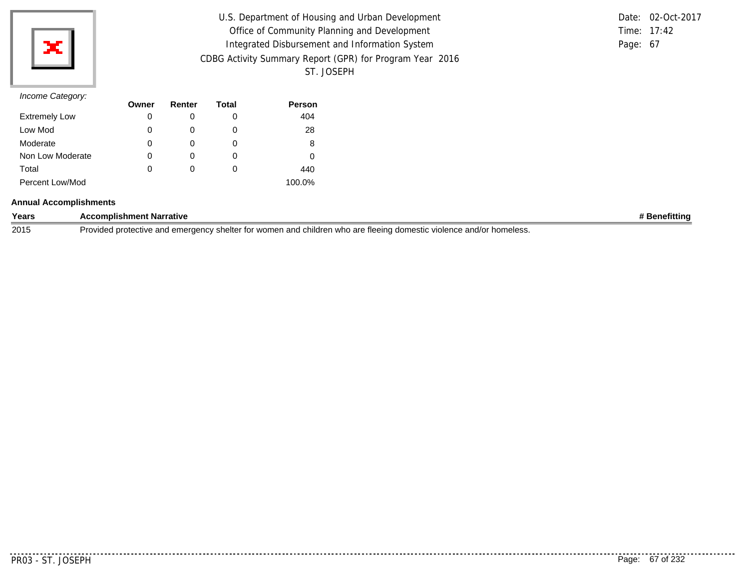

| U.S. Department of Housing and Urban Development         |          | Date: 02-Oct-2017 |
|----------------------------------------------------------|----------|-------------------|
| Office of Community Planning and Development             |          | Time: $17:42$     |
| Integrated Disbursement and Information System           | Page: 67 |                   |
| CDBG Activity Summary Report (GPR) for Program Year 2016 |          |                   |
| ST. JOSEPH                                               |          |                   |

## *Income Category:*

| $11001110$ catogory. | Owner | Renter | Total | Person |
|----------------------|-------|--------|-------|--------|
| <b>Extremely Low</b> | 0     |        | 0     | 404    |
| Low Mod              | 0     |        | O     | 28     |
| Moderate             | 0     |        | O     | 8      |
| Non Low Moderate     | 0     | 0      | 0     | 0      |
| Total                | 0     | 0      | 0     | 440    |
| Percent Low/Mod      |       |        |       | 100.0% |

### **Annual Accomplishments**

| Years | <b>Accomplishment Narrative</b>                                                                                     | `Benefitting |
|-------|---------------------------------------------------------------------------------------------------------------------|--------------|
| 2015  | Provided protective and emergency shelter for women and children who are fleeing domestic violence and/or homeless. |              |

. . . . . . . . . .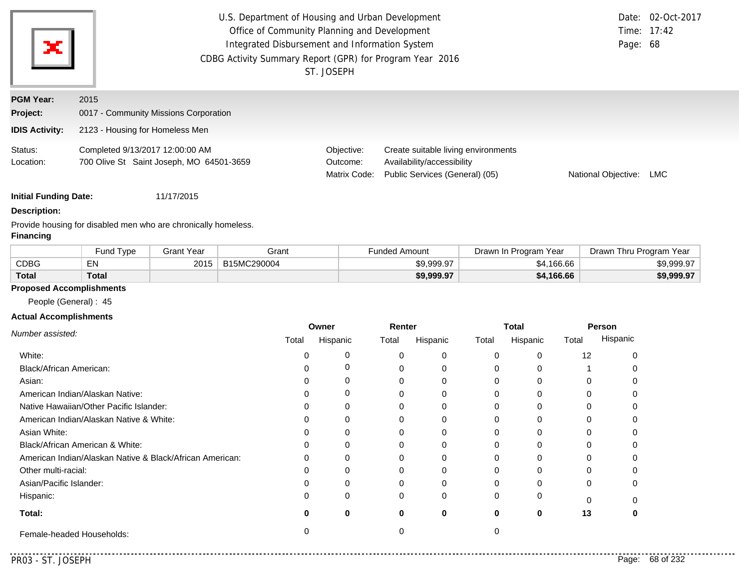| ×                            | U.S. Department of Housing and Urban Development<br>Office of Community Planning and Development<br>Integrated Disbursement and Information System<br>CDBG Activity Summary Report (GPR) for Program Year 2016<br>ST. JOSEPH |                                        |                                                                                                     |                     |     |  |
|------------------------------|------------------------------------------------------------------------------------------------------------------------------------------------------------------------------------------------------------------------------|----------------------------------------|-----------------------------------------------------------------------------------------------------|---------------------|-----|--|
| <b>PGM Year:</b><br>Project: | 2015<br>0017 - Community Missions Corporation                                                                                                                                                                                |                                        |                                                                                                     |                     |     |  |
| <b>IDIS Activity:</b>        | 2123 - Housing for Homeless Men                                                                                                                                                                                              |                                        |                                                                                                     |                     |     |  |
| Status:<br>Location:         | Completed 9/13/2017 12:00:00 AM<br>700 Olive St Saint Joseph, MO 64501-3659                                                                                                                                                  | Objective:<br>Outcome:<br>Matrix Code: | Create suitable living environments<br>Availability/accessibility<br>Public Services (General) (05) | National Objective: | LMC |  |

## **Description:**

Provide housing for disabled men who are chronically homeless. **Financing**

|       | Fund Type | <b>Grant Year</b> | Grant       | Funded Amount | Drawn In Program Year | Drawn Thru Program Year |
|-------|-----------|-------------------|-------------|---------------|-----------------------|-------------------------|
| CDBG  | EN.<br>ΕМ | 2015              | B15MC290004 | \$9,999.97    | \$4,166.66            | \$9,999.97              |
| Total | Total     |                   |             | \$9,999.97    | \$4,166.66            | \$9,999.97              |

### **Proposed Accomplishments**

People (General) : 45

### **Actual Accomplishments**

|                                                          | Owner |          | Renter |          | Total |          | Person |          |
|----------------------------------------------------------|-------|----------|--------|----------|-------|----------|--------|----------|
| Number assisted:                                         | Total | Hispanic | Total  | Hispanic | Total | Hispanic | Total  | Hispanic |
| White:                                                   |       |          | 0      | $\Omega$ |       |          | 12     |          |
| Black/African American:                                  |       |          |        | 0        |       |          |        |          |
| Asian:                                                   |       |          |        | 0        |       |          |        |          |
| American Indian/Alaskan Native:                          |       | O        |        | $\Omega$ |       |          |        |          |
| Native Hawaiian/Other Pacific Islander:                  |       |          |        | $\Omega$ |       |          |        |          |
| American Indian/Alaskan Native & White:                  |       |          |        | $\Omega$ |       |          |        |          |
| Asian White:                                             |       |          |        | 0        |       |          |        |          |
| Black/African American & White:                          |       |          |        | 0        |       |          |        |          |
| American Indian/Alaskan Native & Black/African American: | 0     | 0        | 0      | 0        |       |          |        |          |
| Other multi-racial:                                      |       |          | ი      | $\Omega$ |       |          | U      |          |
| Asian/Pacific Islander:                                  |       |          |        | 0        |       |          | 0      |          |
| Hispanic:                                                | 0     | $\Omega$ | 0      | $\Omega$ |       |          | $\cap$ |          |
| Total:                                                   | O     | 0        | 0      | 0        |       | 0        | 13     |          |
| Female-headed Households:                                |       |          |        |          |       |          |        |          |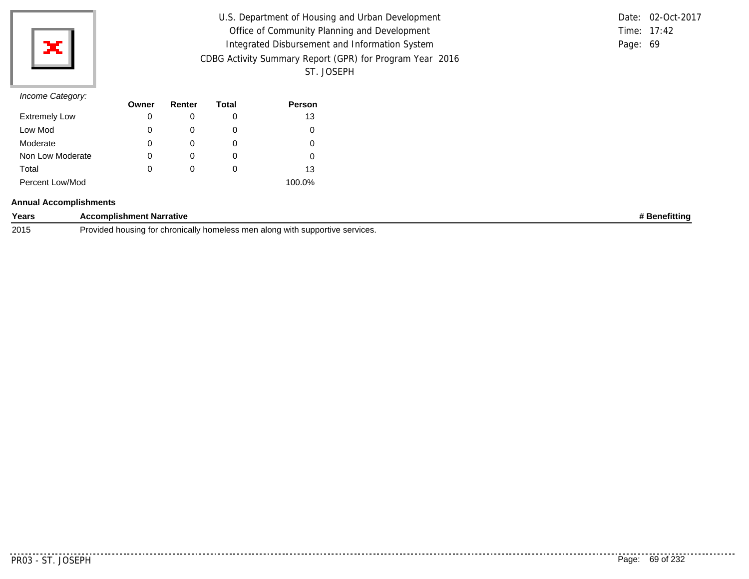

| U.S. Department of Housing and Urban Development         |          | Date: 02-Oct-2017 |
|----------------------------------------------------------|----------|-------------------|
| Office of Community Planning and Development             |          | Time: 17:42       |
| Integrated Disbursement and Information System           | Page: 69 |                   |
| CDBG Activity Summary Report (GPR) for Program Year 2016 |          |                   |
| ST. JOSEPH                                               |          |                   |

|          | Date: 02-Oct-2017 |
|----------|-------------------|
|          | Time: $17:42$     |
| Page: 69 |                   |

|                      | Owner | Renter   | Total | <b>Person</b> |
|----------------------|-------|----------|-------|---------------|
| <b>Extremely Low</b> | 0     |          | O     | 13            |
| Low Mod              | 0     |          | O     |               |
| Moderate             | 0     | $\Omega$ | O     | 0             |
| Non Low Moderate     | 0     | $\Omega$ | O     |               |
| Total                | 0     | 0        | O     | 13            |
| Percent Low/Mod      |       |          |       | 100.0%        |

### **Annual Accomplishments**

| Years | ccomplishment Narrative                                                                                                                   | →fitting |
|-------|-------------------------------------------------------------------------------------------------------------------------------------------|----------|
| 2015  | i supportive services.<br>ally homeless,<br><sup>*</sup> men along<br>,,,,,,,,<br>na for<br>housinc<br>∵chronica.<br><b>ANITE</b><br>VVIL |          |

. . . . . . . . . . .

..........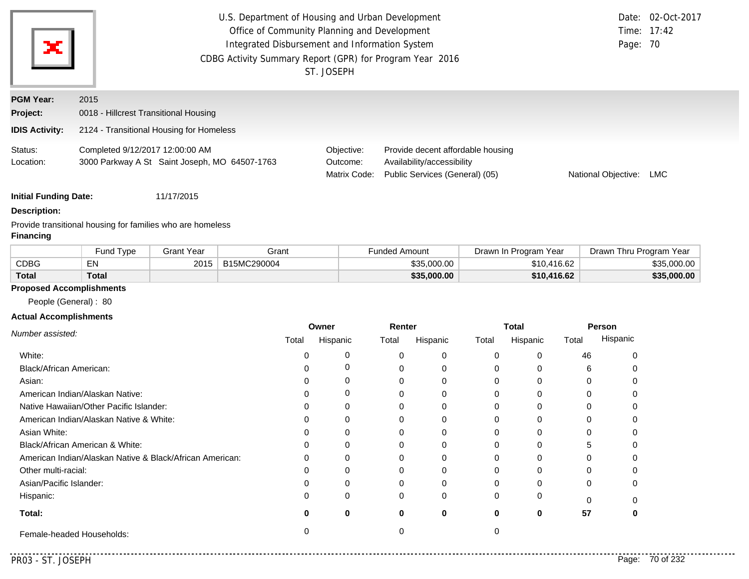| ×                            | U.S. Department of Housing and Urban Development<br>Date: 02-Oct-2017<br>Office of Community Planning and Development<br>Time: 17:42<br>Integrated Disbursement and Information System<br>Page: 70<br>CDBG Activity Summary Report (GPR) for Program Year 2016<br>ST. JOSEPH |                                        |                                                                                                   |                     |     |
|------------------------------|------------------------------------------------------------------------------------------------------------------------------------------------------------------------------------------------------------------------------------------------------------------------------|----------------------------------------|---------------------------------------------------------------------------------------------------|---------------------|-----|
| <b>PGM Year:</b><br>Project: | 2015<br>0018 - Hillcrest Transitional Housing                                                                                                                                                                                                                                |                                        |                                                                                                   |                     |     |
| <b>IDIS Activity:</b>        | 2124 - Transitional Housing for Homeless                                                                                                                                                                                                                                     |                                        |                                                                                                   |                     |     |
| Status:<br>Location:         | Completed 9/12/2017 12:00:00 AM<br>3000 Parkway A St Saint Joseph, MO 64507-1763                                                                                                                                                                                             | Objective:<br>Outcome:<br>Matrix Code: | Provide decent affordable housing<br>Availability/accessibility<br>Public Services (General) (05) | National Objective: | LMC |

### **Description:**

Provide transitional housing for families who are homeless **Financing**

|             | Fund Type | 3rant Year | Grant       | Funded Amount | Drawn In Program Year | Drawn <sup>⊣</sup><br>Thru Program Year |
|-------------|-----------|------------|-------------|---------------|-----------------------|-----------------------------------------|
| <b>CDBG</b> | с٨.       | 201        | B15MC290004 | \$35.000.00   | \$10,416.62           | \$35,000.00                             |
| Total       | Total     |            |             | \$35,000.00   | \$10,416.62           | \$35,000.00                             |

# **Proposed Accomplishments**

People (General) : 80

### **Actual Accomplishments**

|                                                          | Owner |          | Renter   |          | <b>Total</b> |          | Person |          |
|----------------------------------------------------------|-------|----------|----------|----------|--------------|----------|--------|----------|
| Number assisted:                                         | Total | Hispanic | Total    | Hispanic | Total        | Hispanic | Total  | Hispanic |
| White:                                                   |       |          |          | $\Omega$ |              | U        | 46     |          |
| Black/African American:                                  |       |          |          | 0        |              |          |        |          |
| Asian:                                                   |       |          |          | 0        |              | 0        |        |          |
| American Indian/Alaskan Native:                          |       |          |          | 0        |              | 0        |        |          |
| Native Hawaiian/Other Pacific Islander:                  |       |          |          | 0        |              | 0        |        |          |
| American Indian/Alaskan Native & White:                  |       |          |          | 0        |              | U        |        |          |
| Asian White:                                             |       |          |          |          |              |          |        |          |
| Black/African American & White:                          |       |          |          | 0        |              |          |        |          |
| American Indian/Alaskan Native & Black/African American: | 0     | $\Omega$ |          | $\Omega$ |              | 0        |        |          |
| Other multi-racial:                                      |       |          |          |          |              | U        |        |          |
| Asian/Pacific Islander:                                  |       |          |          |          |              | ი        |        |          |
| Hispanic:                                                | 0     | 0        | $\Omega$ | $\Omega$ |              | 0        |        |          |
| Total:                                                   |       | 0        | 0        | $\bf{0}$ | 0            | 0        | 57     |          |
| Female-headed Households:                                |       |          |          |          |              |          |        |          |

 $-1$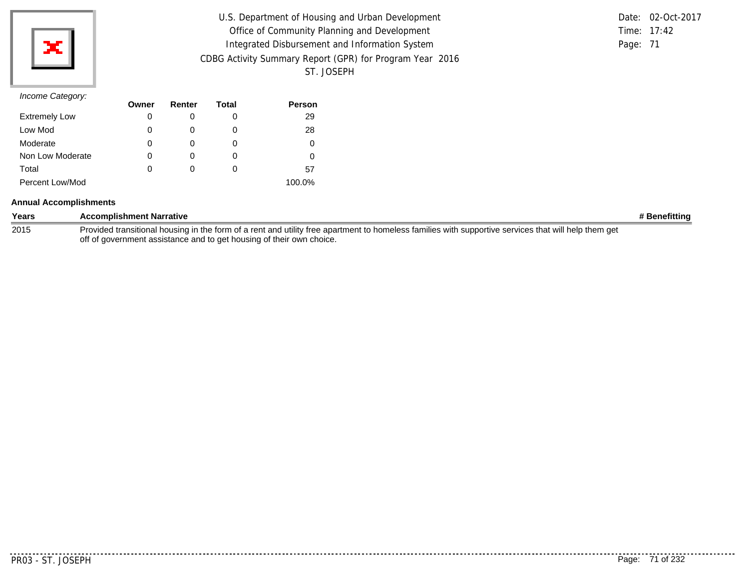| U.S. Department of Housing and Urban Development         | Date: 02-Oct-2017 |
|----------------------------------------------------------|-------------------|
| Office of Community Planning and Development             | Time: 17:42       |
| Integrated Disbursement and Information System           | Page: 71          |
| CDBG Activity Summary Report (GPR) for Program Year 2016 |                   |
| ST. JOSEPH                                               |                   |

#### *Income Category:*

|                      | Owner | Renter | Total | <b>Person</b> |
|----------------------|-------|--------|-------|---------------|
| <b>Extremely Low</b> | 0     |        | O     | 29            |
| Low Mod              | 0     |        | 0     | 28            |
| Moderate             | 0     |        | O     |               |
| Non Low Moderate     | 0     |        | O     |               |
| Total                | 0     |        | O     | 57            |
| Percent Low/Mod      |       |        |       | 100.0%        |

#### **Annual Accomplishments**

| Years | <b>Accomplishment Narrative</b>                                                                                                                      | # Benefitting |
|-------|------------------------------------------------------------------------------------------------------------------------------------------------------|---------------|
| 2015  | Provided transitional housing in the form of a rent and utility free apartment to homeless families with supportive services that will help them get |               |
|       | off of government assistance and to get housing of their own choice.                                                                                 |               |

PR03 - ST. JOSEPH Page: 71 of 232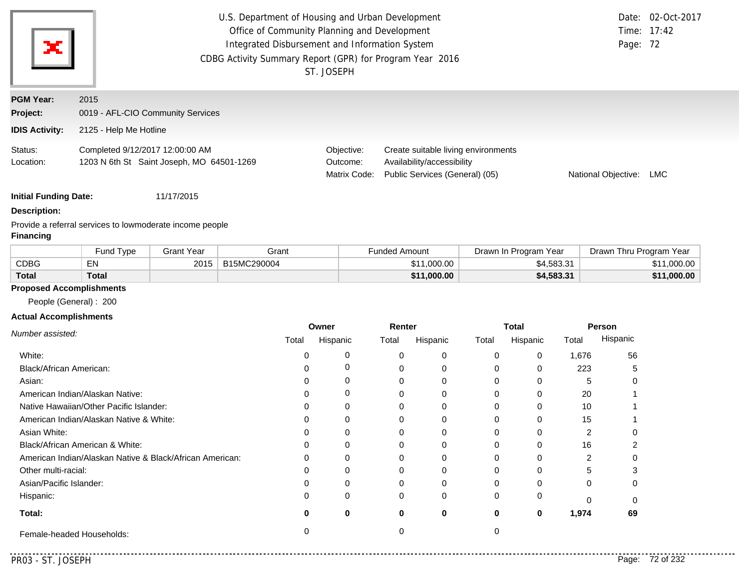| ×                                                     | U.S. Department of Housing and Urban Development<br>Office of Community Planning and Development<br>Integrated Disbursement and Information System<br>CDBG Activity Summary Report (GPR) for Program Year 2016<br>ST. JOSEPH |                                        |                                                                                                     |                     | Date: 02-Oct-2017<br>Time: 17:42<br>Page: 72 |
|-------------------------------------------------------|------------------------------------------------------------------------------------------------------------------------------------------------------------------------------------------------------------------------------|----------------------------------------|-----------------------------------------------------------------------------------------------------|---------------------|----------------------------------------------|
| <b>PGM Year:</b><br>Project:<br><b>IDIS Activity:</b> | 2015<br>0019 - AFL-CIO Community Services<br>2125 - Help Me Hotline                                                                                                                                                          |                                        |                                                                                                     |                     |                                              |
| Status:<br>Location:                                  | Completed 9/12/2017 12:00:00 AM<br>1203 N 6th St Saint Joseph, MO 64501-1269                                                                                                                                                 | Objective:<br>Outcome:<br>Matrix Code: | Create suitable living environments<br>Availability/accessibility<br>Public Services (General) (05) | National Objective: | LMC.                                         |

### **Description:**

Provide a referral services to lowmoderate income people **Financing**

|              | Fund Type    | Grant Year | Grant       | Funded Amount | Drawn In Program Year | Drawn Thru Program Year            |
|--------------|--------------|------------|-------------|---------------|-----------------------|------------------------------------|
| <b>CDBG</b>  | EN           | 2015       | B15MC290004 | \$11,000.00   | \$4,583.31            | 1,000.00<br><b>C</b> <sub>11</sub> |
| <b>Total</b> | <b>Total</b> |            |             | \$11,000.00   | \$4,583.31            | \$11,000.00                        |

### **Proposed Accomplishments**

People (General) : 200

### **Actual Accomplishments**

|                                                          | Owner |          | Renter |          | <b>Total</b> |          | <b>Person</b> |          |
|----------------------------------------------------------|-------|----------|--------|----------|--------------|----------|---------------|----------|
| Number assisted:                                         | Total | Hispanic | Total  | Hispanic | Total        | Hispanic | Total         | Hispanic |
| White:                                                   |       |          |        | 0        | 0            | 0        | 1,676         | 56       |
| Black/African American:                                  |       |          |        | 0        | 0            | 0        | 223           |          |
| Asian:                                                   |       |          |        | 0        | 0            |          |               | U        |
| American Indian/Alaskan Native:                          |       |          |        |          | 0            | ი        | 20            |          |
| Native Hawaiian/Other Pacific Islander:                  |       |          |        | 0        | 0            | 0        | 10            |          |
| American Indian/Alaskan Native & White:                  |       |          |        |          | 0            |          | 15            |          |
| Asian White:                                             |       |          |        |          | 0            |          |               |          |
| Black/African American & White:                          |       |          |        | 0        | 0            | 0        | 16            |          |
| American Indian/Alaskan Native & Black/African American: | U     |          |        |          | 0            |          |               |          |
| Other multi-racial:                                      |       |          |        |          | 0            |          |               |          |
| Asian/Pacific Islander:                                  |       |          |        |          | 0            |          |               | 0        |
| Hispanic:                                                | O     |          |        | $\Omega$ | 0            | ი        |               |          |
| Total:                                                   |       | 0        | U      | 0        | 0            | 0        | 1,974         | 69       |
| Female-headed Households:                                |       |          |        |          |              |          |               |          |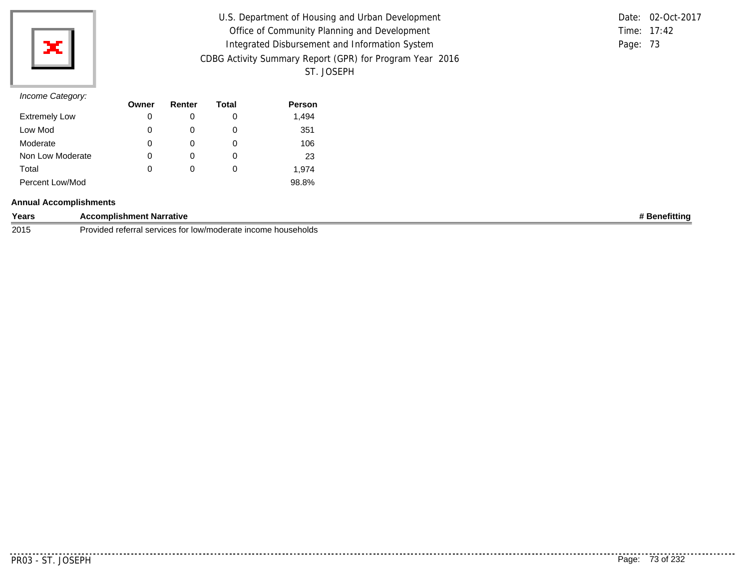

| U.S. Department of Housing and Urban Development         |          | Date: 02-Oct-2017 |
|----------------------------------------------------------|----------|-------------------|
| Office of Community Planning and Development             |          | Time: 17:42       |
| Integrated Disbursement and Information System           | Page: 73 |                   |
| CDBG Activity Summary Report (GPR) for Program Year 2016 |          |                   |
| ST. JOSEPH                                               |          |                   |

## *Income Category:*

|                      | Owner | Renter | Total | <b>Person</b> |
|----------------------|-------|--------|-------|---------------|
| <b>Extremely Low</b> | 0     |        | O     | 1,494         |
| Low Mod              | 0     |        | 0     | 351           |
| Moderate             | 0     |        | O     | 106           |
| Non Low Moderate     | 0     |        | 0     | 23            |
| Total                | 0     | Ω      | O     | 1.974         |
| Percent Low/Mod      |       |        |       | 98.8%         |

### **Annual Accomplishments**

| Years | omplishment Narrative                                                                  | enefittinc |
|-------|----------------------------------------------------------------------------------------|------------|
| 2015  | Provided:<br>≧ income nouseholds ≀<br>ided referral.<br>⊦services for<br>∵low/moderate |            |

..........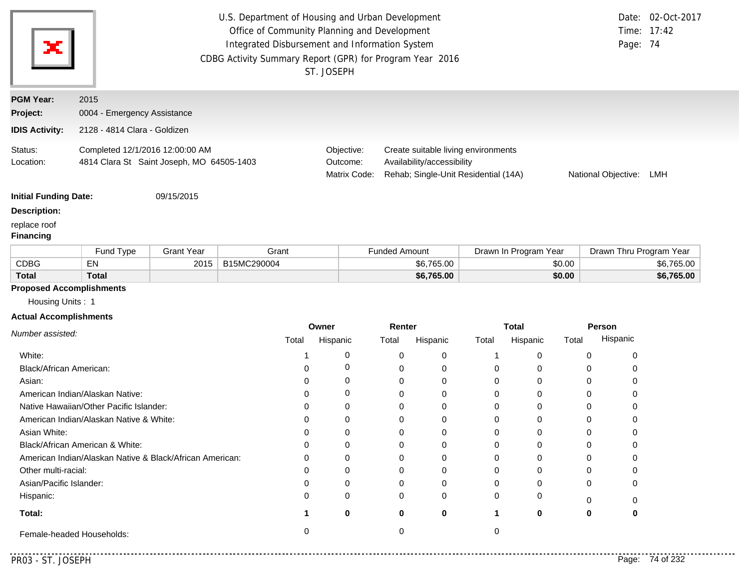|                                                                                                          | U.S. Department of Housing and Urban Development<br>Office of Community Planning and Development                         |                   |             |                                        |                                                                                                                                         |                       |                         | Date: 02-Oct-2017<br>Time: 17:42 |
|----------------------------------------------------------------------------------------------------------|--------------------------------------------------------------------------------------------------------------------------|-------------------|-------------|----------------------------------------|-----------------------------------------------------------------------------------------------------------------------------------------|-----------------------|-------------------------|----------------------------------|
| ×                                                                                                        | Integrated Disbursement and Information System<br>CDBG Activity Summary Report (GPR) for Program Year 2016<br>ST. JOSEPH |                   |             |                                        |                                                                                                                                         | Page: 74              |                         |                                  |
| <b>PGM Year:</b>                                                                                         | 2015                                                                                                                     |                   |             |                                        |                                                                                                                                         |                       |                         |                                  |
| Project:                                                                                                 | 0004 - Emergency Assistance                                                                                              |                   |             |                                        |                                                                                                                                         |                       |                         |                                  |
| <b>IDIS Activity:</b>                                                                                    | 2128 - 4814 Clara - Goldizen                                                                                             |                   |             |                                        |                                                                                                                                         |                       |                         |                                  |
| Status:<br>Location:                                                                                     | Completed 12/1/2016 12:00:00 AM<br>4814 Clara St Saint Joseph, MO 64505-1403                                             |                   |             | Objective:<br>Outcome:<br>Matrix Code: | Create suitable living environments<br>Availability/accessibility<br>Rehab; Single-Unit Residential (14A)<br>National Objective:<br>LMH |                       |                         |                                  |
| <b>Initial Funding Date:</b>                                                                             |                                                                                                                          | 09/15/2015        |             |                                        |                                                                                                                                         |                       |                         |                                  |
| <b>Description:</b>                                                                                      |                                                                                                                          |                   |             |                                        |                                                                                                                                         |                       |                         |                                  |
| replace roof<br><b>Financing</b>                                                                         |                                                                                                                          |                   |             |                                        |                                                                                                                                         |                       |                         |                                  |
|                                                                                                          | Fund Type                                                                                                                | <b>Grant Year</b> | Grant       |                                        | <b>Funded Amount</b>                                                                                                                    | Drawn In Program Year | Drawn Thru Program Year |                                  |
| <b>CDBG</b>                                                                                              | EN                                                                                                                       | 2015              | B15MC290004 |                                        | \$6,765.00                                                                                                                              | \$0.00                |                         | \$6,765.00                       |
| <b>Total</b>                                                                                             | <b>Total</b>                                                                                                             |                   |             |                                        | \$6,765.00                                                                                                                              | \$0.00                |                         | \$6,765.00                       |
| <b>Proposed Accomplishments</b><br>$\mathbf{r}$ , and $\mathbf{r}$ , and $\mathbf{r}$ , and $\mathbf{r}$ |                                                                                                                          |                   |             |                                        |                                                                                                                                         |                       |                         |                                  |

Housing Units : 1

#### **Actual Accomplishments**

|                                                          | Owner |          | Renter |          | <b>Total</b> |              | Person |          |
|----------------------------------------------------------|-------|----------|--------|----------|--------------|--------------|--------|----------|
| Number assisted:                                         | Total | Hispanic | Total  | Hispanic | Total        | Hispanic     | Total  | Hispanic |
| White:                                                   |       | 0        |        | 0        |              |              | 0      |          |
| Black/African American:                                  |       | 0        |        |          | $\Omega$     | U            |        |          |
| Asian:                                                   |       | 0        |        | 0        | 0            |              |        |          |
| American Indian/Alaskan Native:                          |       | 0        |        |          | 0            |              |        |          |
| Native Hawaiian/Other Pacific Islander:                  |       | 0        |        |          | 0            |              |        |          |
| American Indian/Alaskan Native & White:                  |       | $\Omega$ |        |          | 0            |              |        |          |
| Asian White:                                             |       | 0        |        |          | 0            |              |        |          |
| Black/African American & White:                          |       | 0        |        | 0        | $\Omega$     |              | 0      |          |
| American Indian/Alaskan Native & Black/African American: |       | 0        |        | 0        | $\Omega$     | <sup>0</sup> |        |          |
| Other multi-racial:                                      |       | 0        |        | ∩        | $\Omega$     |              |        |          |
| Asian/Pacific Islander:                                  |       | 0        |        |          | 0            |              | O      |          |
| Hispanic:                                                |       | $\Omega$ | 0      | 0        | 0            | 0            |        |          |
| Total:                                                   |       | $\bf{0}$ | ŋ      | 0        |              | 0            | 0      |          |
| Female-headed Households:                                |       |          |        |          |              |              |        |          |

. . . . . . . . . . . .

. . . . . .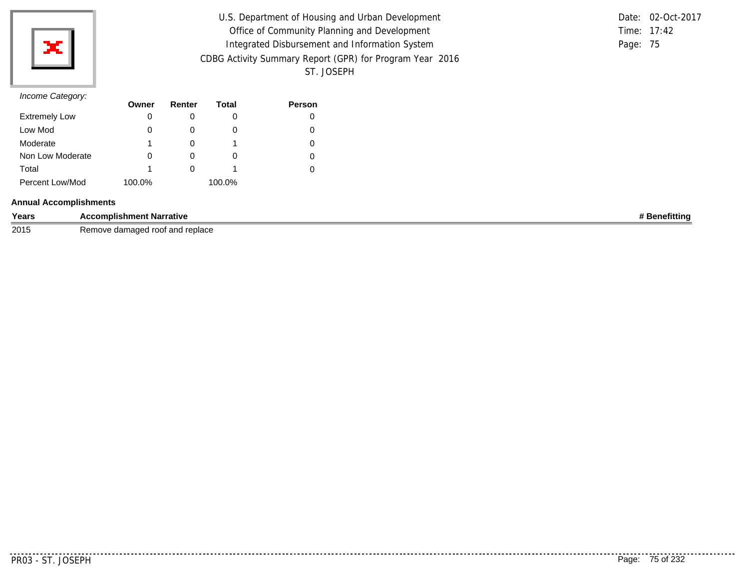

| U.S. Department of Housing and Urban Development         | Date: 02-Oct-2017 |
|----------------------------------------------------------|-------------------|
| Office of Community Planning and Development             | Time: 17:42       |
| Integrated Disbursement and Information System           | Page: 75          |
| CDBG Activity Summary Report (GPR) for Program Year 2016 |                   |
| ST. JOSEPH                                               |                   |

|               | Date: 02-Oct-2017 |
|---------------|-------------------|
| Time: $17:42$ |                   |
| Page: 75      |                   |

## *Income Category:*

| $11001110$ catogory. | Owner  | Renter       | Total  | <b>Person</b> |
|----------------------|--------|--------------|--------|---------------|
| <b>Extremely Low</b> | 0      | O            |        |               |
| Low Mod              | 0      |              |        |               |
| Moderate             | 1      |              |        |               |
| Non Low Moderate     | 0      | O            | 0      |               |
| Total                | 1      | $\mathbf{0}$ |        |               |
| Percent Low/Mod      | 100.0% |              | 100.0% |               |

## **Annual Accomplishments**

| Years | <b>Accomplishment Narrative</b>                                  | ∧efittina |
|-------|------------------------------------------------------------------|-----------|
| 2015  | l raniaca<br>' root∶<br>damaded<br>⊰emove<br>and<br>Teniace<br>. |           |

...........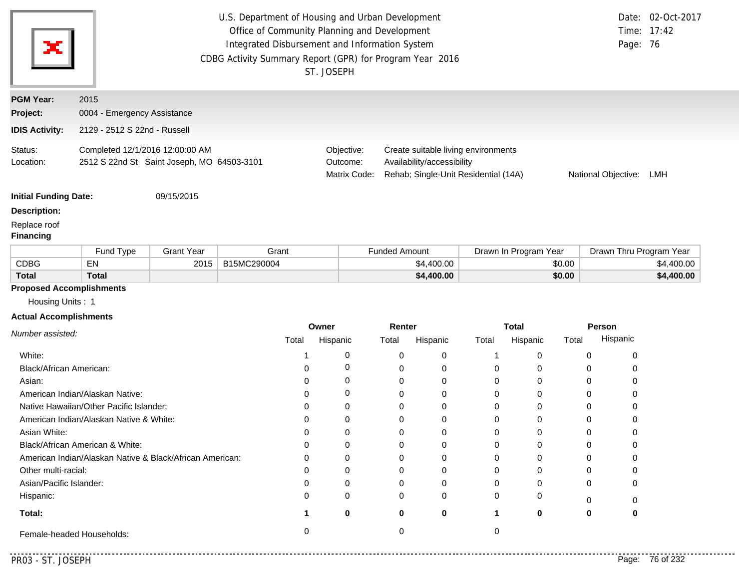|                                  | U.S. Department of Housing and Urban Development<br>Time: 17:42<br>Office of Community Planning and Development<br>Integrated Disbursement and Information System<br>Page: 76<br>CDBG Activity Summary Report (GPR) for Program Year 2016<br>ST. JOSEPH |                   |             |          |                                                                                                                                                     |                      |             |          | Date: 02-Oct-2017     |        |                         |            |
|----------------------------------|---------------------------------------------------------------------------------------------------------------------------------------------------------------------------------------------------------------------------------------------------------|-------------------|-------------|----------|-----------------------------------------------------------------------------------------------------------------------------------------------------|----------------------|-------------|----------|-----------------------|--------|-------------------------|------------|
| <b>PGM Year:</b>                 | 2015                                                                                                                                                                                                                                                    |                   |             |          |                                                                                                                                                     |                      |             |          |                       |        |                         |            |
| Project:                         | 0004 - Emergency Assistance                                                                                                                                                                                                                             |                   |             |          |                                                                                                                                                     |                      |             |          |                       |        |                         |            |
| <b>IDIS Activity:</b>            | 2129 - 2512 S 22nd - Russell                                                                                                                                                                                                                            |                   |             |          |                                                                                                                                                     |                      |             |          |                       |        |                         |            |
| Status:<br>Location:             | Completed 12/1/2016 12:00:00 AM<br>2512 S 22nd St Saint Joseph, MO 64503-3101                                                                                                                                                                           |                   |             |          | Create suitable living environments<br>Objective:<br>Outcome:<br>Availability/accessibility<br>Matrix Code:<br>Rehab; Single-Unit Residential (14A) |                      |             |          | National Objective:   |        | LMH                     |            |
| <b>Initial Funding Date:</b>     |                                                                                                                                                                                                                                                         | 09/15/2015        |             |          |                                                                                                                                                     |                      |             |          |                       |        |                         |            |
| <b>Description:</b>              |                                                                                                                                                                                                                                                         |                   |             |          |                                                                                                                                                     |                      |             |          |                       |        |                         |            |
| Replace roof<br><b>Financing</b> |                                                                                                                                                                                                                                                         |                   |             |          |                                                                                                                                                     |                      |             |          |                       |        |                         |            |
|                                  | Fund Type                                                                                                                                                                                                                                               | <b>Grant Year</b> | Grant       |          |                                                                                                                                                     | <b>Funded Amount</b> |             |          | Drawn In Program Year |        | Drawn Thru Program Year |            |
| <b>CDBG</b>                      | EN                                                                                                                                                                                                                                                      | 2015              | B15MC290004 |          |                                                                                                                                                     |                      | \$4,400.00  |          |                       | \$0.00 |                         | \$4,400.00 |
| <b>Total</b>                     | <b>Total</b>                                                                                                                                                                                                                                            |                   |             |          |                                                                                                                                                     |                      | \$4,400.00  |          |                       | \$0.00 |                         | \$4,400.00 |
| <b>Proposed Accomplishments</b>  |                                                                                                                                                                                                                                                         |                   |             |          |                                                                                                                                                     |                      |             |          |                       |        |                         |            |
| Housing Units: 1                 |                                                                                                                                                                                                                                                         |                   |             |          |                                                                                                                                                     |                      |             |          |                       |        |                         |            |
| <b>Actual Accomplishments</b>    |                                                                                                                                                                                                                                                         |                   |             |          |                                                                                                                                                     |                      |             |          |                       |        |                         |            |
| Number assisted:                 |                                                                                                                                                                                                                                                         |                   |             | Owner    |                                                                                                                                                     | Renter               |             |          | <b>Total</b>          |        | Person                  |            |
|                                  |                                                                                                                                                                                                                                                         |                   | Total       | Hispanic |                                                                                                                                                     | Total                | Hispanic    | Total    | Hispanic              | Total  | Hispanic                |            |
| White:                           |                                                                                                                                                                                                                                                         |                   | 1           |          | 0                                                                                                                                                   | 0                    | 0           | 1        | 0                     |        | 0<br>0                  |            |
| Black/African American:          |                                                                                                                                                                                                                                                         |                   | 0           |          | 0                                                                                                                                                   | 0                    | 0           | 0        | 0                     |        | 0<br>0                  |            |
| Asian:                           |                                                                                                                                                                                                                                                         |                   | $\Omega$    |          | 0                                                                                                                                                   | 0                    | $\mathbf 0$ | 0        | $\Omega$              |        | 0<br>0                  |            |
|                                  | American Indian/Alaskan Native:                                                                                                                                                                                                                         |                   | 0           |          | 0                                                                                                                                                   | 0                    | 0           | 0        | 0                     |        | 0<br>0                  |            |
|                                  | Native Hawaiian/Other Pacific Islander:                                                                                                                                                                                                                 |                   | 0           |          | 0                                                                                                                                                   | 0                    | $\Omega$    | 0        | $\Omega$              |        | 0<br>0                  |            |
|                                  | American Indian/Alaskan Native & White:                                                                                                                                                                                                                 |                   | 0           |          | 0                                                                                                                                                   | 0                    | 0           | 0        | 0                     |        | 0<br>0                  |            |
| Asian White:                     |                                                                                                                                                                                                                                                         |                   | $\Omega$    |          | 0                                                                                                                                                   | 0                    | $\Omega$    | 0        | $\Omega$              |        | 0<br>0                  |            |
|                                  | Black/African American & White:                                                                                                                                                                                                                         |                   | 0           |          | 0                                                                                                                                                   | 0                    | 0           | 0        | 0                     |        | 0<br>0                  |            |
|                                  | American Indian/Alaskan Native & Black/African American:                                                                                                                                                                                                |                   | $\Omega$    |          | 0                                                                                                                                                   | 0                    | $\Omega$    | 0        | $\Omega$              |        | 0<br>0                  |            |
| Other multi-racial:              |                                                                                                                                                                                                                                                         |                   | 0           |          | 0                                                                                                                                                   | 0                    | 0           | 0        | $\Omega$              |        | 0<br>0                  |            |
| Asian/Pacific Islander:          |                                                                                                                                                                                                                                                         |                   | $\Omega$    |          | $\Omega$                                                                                                                                            | $\Omega$             | $\Omega$    | $\Omega$ | $\Omega$              |        | $\Omega$<br>$\Omega$    |            |

**1 0**

Female-headed Households: 0 0 0

**0**

0 0

**0**

0

0 **1 0 0**

0 0

**Total:**

Hispanic:

. . . . . . . . .

0

**0**

0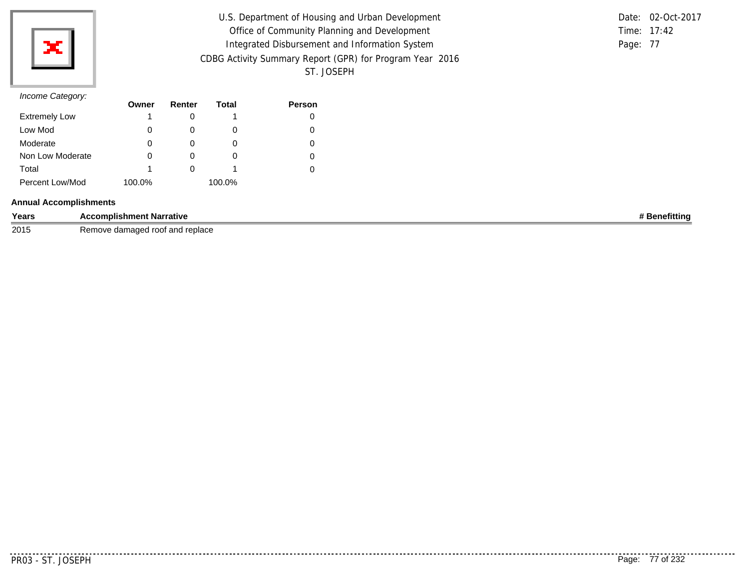

| U.S. Department of Housing and Urban Development         |          | Date: 02-Oct-2017 |
|----------------------------------------------------------|----------|-------------------|
| Office of Community Planning and Development             |          | Time: 17:42       |
| Integrated Disbursement and Information System           | Page: 77 |                   |
| CDBG Activity Summary Report (GPR) for Program Year 2016 |          |                   |
| ST. JOSEPH                                               |          |                   |

## *Income Category:*

| $11001110$ catogory. | Owner  | Renter | Total  | <b>Person</b> |
|----------------------|--------|--------|--------|---------------|
| <b>Extremely Low</b> |        |        |        |               |
| Low Mod              | 0      | O      | O      |               |
| Moderate             | 0      |        | O      |               |
| Non Low Moderate     | 0      | O      | O      |               |
| Total                | 1      |        |        |               |
| Percent Low/Mod      | 100.0% |        | 100.0% |               |

### **Annual Accomplishments**

| Years | <b>Accomplishment Narrative</b>      | Benefitting |
|-------|--------------------------------------|-------------|
| 2015  | damaged roof and replace ?<br>≺emove |             |

. . . . . . . . . . .

. . . . . . . . . . . . . .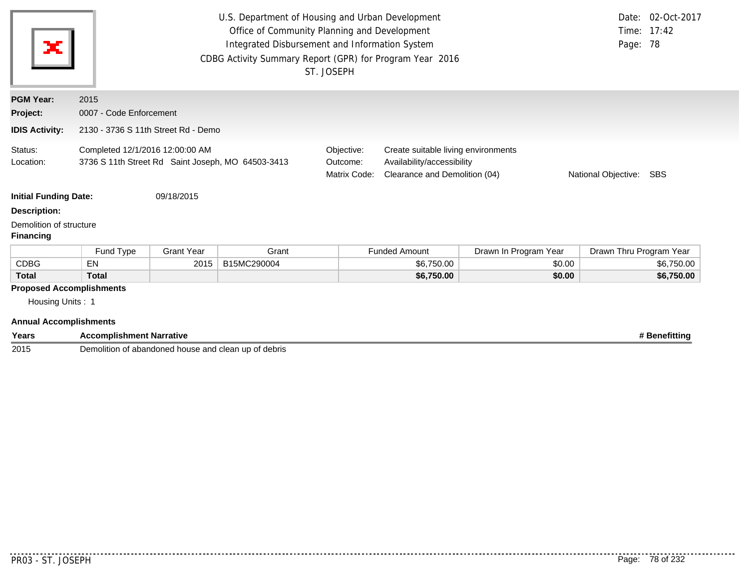| ×                                                                                    | U.S. Department of Housing and Urban Development<br>Office of Community Planning and Development<br>Integrated Disbursement and Information System<br>CDBG Activity Summary Report (GPR) for Program Year 2016<br>ST. JOSEPH |                   |             |                                        |                                                                                                    |                       |                         | Date: 02-Oct-2017<br>Time: 17:42<br>Page: 78 |
|--------------------------------------------------------------------------------------|------------------------------------------------------------------------------------------------------------------------------------------------------------------------------------------------------------------------------|-------------------|-------------|----------------------------------------|----------------------------------------------------------------------------------------------------|-----------------------|-------------------------|----------------------------------------------|
| <b>PGM Year:</b>                                                                     | 2015                                                                                                                                                                                                                         |                   |             |                                        |                                                                                                    |                       |                         |                                              |
| Project:                                                                             | 0007 - Code Enforcement                                                                                                                                                                                                      |                   |             |                                        |                                                                                                    |                       |                         |                                              |
| <b>IDIS Activity:</b>                                                                | 2130 - 3736 S 11th Street Rd - Demo                                                                                                                                                                                          |                   |             |                                        |                                                                                                    |                       |                         |                                              |
| Status:<br>Location:                                                                 | Completed 12/1/2016 12:00:00 AM<br>3736 S 11th Street Rd Saint Joseph, MO 64503-3413                                                                                                                                         |                   |             | Objective:<br>Outcome:<br>Matrix Code: | Create suitable living environments<br>Availability/accessibility<br>Clearance and Demolition (04) |                       | National Objective:     | SBS                                          |
| <b>Initial Funding Date:</b>                                                         |                                                                                                                                                                                                                              | 09/18/2015        |             |                                        |                                                                                                    |                       |                         |                                              |
| <b>Description:</b>                                                                  |                                                                                                                                                                                                                              |                   |             |                                        |                                                                                                    |                       |                         |                                              |
| Demolition of structure<br><b>Financing</b>                                          |                                                                                                                                                                                                                              |                   |             |                                        |                                                                                                    |                       |                         |                                              |
|                                                                                      | Fund Type                                                                                                                                                                                                                    | <b>Grant Year</b> | Grant       |                                        | <b>Funded Amount</b>                                                                               | Drawn In Program Year | Drawn Thru Program Year |                                              |
| <b>CDBG</b>                                                                          | <b>EN</b>                                                                                                                                                                                                                    | 2015              | B15MC290004 |                                        | \$6,750.00                                                                                         | \$0.00                |                         | \$6,750.00                                   |
| <b>Total</b>                                                                         | <b>Total</b>                                                                                                                                                                                                                 |                   |             |                                        | \$6,750.00                                                                                         | \$0.00                |                         | \$6,750.00                                   |
| <b>Proposed Accomplishments</b><br>Housing Units: 1<br><b>Annual Accomplishments</b> |                                                                                                                                                                                                                              |                   |             |                                        |                                                                                                    |                       |                         |                                              |

| Years | <b>Accomplishment Narrative</b>                                                | <b>lenefittina</b> |
|-------|--------------------------------------------------------------------------------|--------------------|
| 2015  | ⊃emc<br>∘of debris i<br>ı of abandoned<br>house and u<br>clean up<br>Nition of |                    |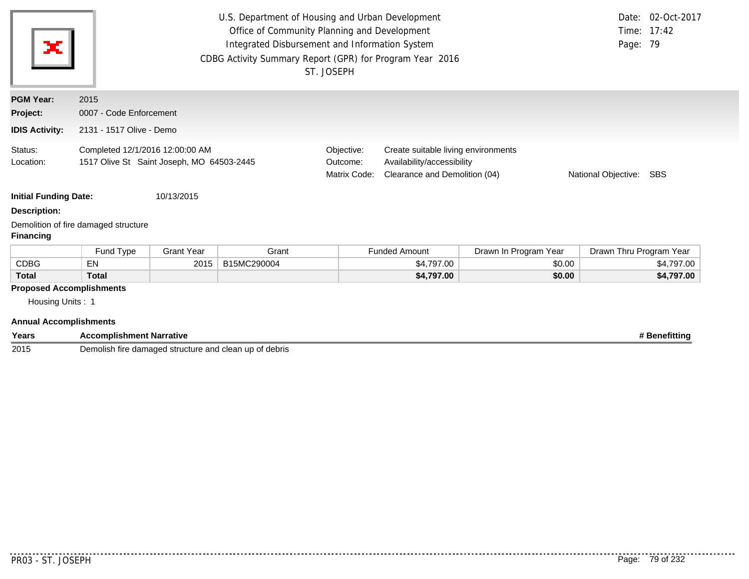| ×                               | U.S. Department of Housing and Urban Development<br>Office of Community Planning and Development<br>Integrated Disbursement and Information System<br>CDBG Activity Summary Report (GPR) for Program Year 2016<br>ST. JOSEPH |                   |             |                                        |                                                                                                    |                       | Page: 79                | Date: 02-Oct-2017<br>Time: 17:42 |
|---------------------------------|------------------------------------------------------------------------------------------------------------------------------------------------------------------------------------------------------------------------------|-------------------|-------------|----------------------------------------|----------------------------------------------------------------------------------------------------|-----------------------|-------------------------|----------------------------------|
| <b>PGM Year:</b>                | 2015                                                                                                                                                                                                                         |                   |             |                                        |                                                                                                    |                       |                         |                                  |
| Project:                        | 0007 - Code Enforcement                                                                                                                                                                                                      |                   |             |                                        |                                                                                                    |                       |                         |                                  |
| <b>IDIS Activity:</b>           | 2131 - 1517 Olive - Demo                                                                                                                                                                                                     |                   |             |                                        |                                                                                                    |                       |                         |                                  |
| Status:<br>Location:            | Completed 12/1/2016 12:00:00 AM<br>1517 Olive St Saint Joseph, MO 64503-2445                                                                                                                                                 |                   |             | Objective:<br>Outcome:<br>Matrix Code: | Create suitable living environments<br>Availability/accessibility<br>Clearance and Demolition (04) |                       | National Objective:     | <b>SBS</b>                       |
| <b>Initial Funding Date:</b>    |                                                                                                                                                                                                                              | 10/13/2015        |             |                                        |                                                                                                    |                       |                         |                                  |
| <b>Description:</b>             |                                                                                                                                                                                                                              |                   |             |                                        |                                                                                                    |                       |                         |                                  |
| <b>Financing</b>                | Demolition of fire damaged structure                                                                                                                                                                                         |                   |             |                                        |                                                                                                    |                       |                         |                                  |
|                                 | Fund Type                                                                                                                                                                                                                    | <b>Grant Year</b> | Grant       |                                        | <b>Funded Amount</b>                                                                               | Drawn In Program Year | Drawn Thru Program Year |                                  |
| <b>CDBG</b>                     | <b>EN</b>                                                                                                                                                                                                                    | 2015              | B15MC290004 |                                        | \$4,797.00                                                                                         | \$0.00                |                         | \$4,797.00                       |
| <b>Total</b>                    | <b>Total</b>                                                                                                                                                                                                                 |                   |             |                                        | \$4,797.00                                                                                         | \$0.00                |                         | \$4,797.00                       |
| <b>Proposed Accomplishments</b> |                                                                                                                                                                                                                              |                   |             |                                        |                                                                                                    |                       |                         |                                  |

Housing Units : 1

### **Annual Accomplishments**

| Years | Accomplishment Narrative                                                            | $\sim$ |
|-------|-------------------------------------------------------------------------------------|--------|
| 2015  | Demolish fire<br>debris :<br>e damaged<br>' structure a<br>ı up<br>Οt<br>.id clean. |        |

. . . . . . . . . . . .

. . . . . . . . . . .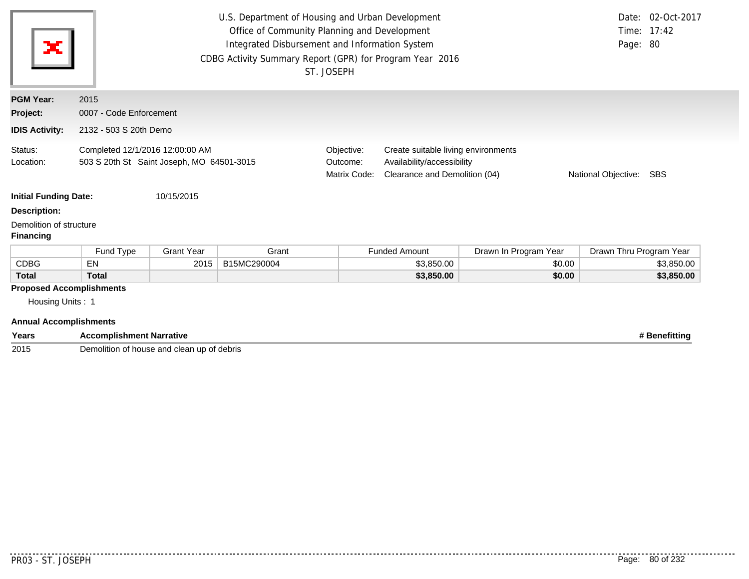| ×                                                                                    | U.S. Department of Housing and Urban Development<br>Office of Community Planning and Development<br>Integrated Disbursement and Information System<br>CDBG Activity Summary Report (GPR) for Program Year 2016<br>ST. JOSEPH |                   |             |                                        |                                                                                                    |                       | Page: 80                | Date: 02-Oct-2017<br>Time: 17:42 |
|--------------------------------------------------------------------------------------|------------------------------------------------------------------------------------------------------------------------------------------------------------------------------------------------------------------------------|-------------------|-------------|----------------------------------------|----------------------------------------------------------------------------------------------------|-----------------------|-------------------------|----------------------------------|
| <b>PGM Year:</b>                                                                     | 2015                                                                                                                                                                                                                         |                   |             |                                        |                                                                                                    |                       |                         |                                  |
| Project:                                                                             | 0007 - Code Enforcement                                                                                                                                                                                                      |                   |             |                                        |                                                                                                    |                       |                         |                                  |
| <b>IDIS Activity:</b>                                                                | 2132 - 503 S 20th Demo                                                                                                                                                                                                       |                   |             |                                        |                                                                                                    |                       |                         |                                  |
| Status:<br>Location:                                                                 | Completed 12/1/2016 12:00:00 AM<br>503 S 20th St Saint Joseph, MO 64501-3015                                                                                                                                                 |                   |             | Objective:<br>Outcome:<br>Matrix Code: | Create suitable living environments<br>Availability/accessibility<br>Clearance and Demolition (04) |                       | National Objective:     | SBS                              |
| <b>Initial Funding Date:</b>                                                         |                                                                                                                                                                                                                              | 10/15/2015        |             |                                        |                                                                                                    |                       |                         |                                  |
| <b>Description:</b>                                                                  |                                                                                                                                                                                                                              |                   |             |                                        |                                                                                                    |                       |                         |                                  |
| Demolition of structure<br><b>Financing</b>                                          |                                                                                                                                                                                                                              |                   |             |                                        |                                                                                                    |                       |                         |                                  |
|                                                                                      | Fund Type                                                                                                                                                                                                                    | <b>Grant Year</b> | Grant       |                                        | <b>Funded Amount</b>                                                                               | Drawn In Program Year | Drawn Thru Program Year |                                  |
| <b>CDBG</b>                                                                          | EN                                                                                                                                                                                                                           | 2015              | B15MC290004 |                                        | \$3,850.00                                                                                         | \$0.00                |                         | \$3,850.00                       |
| <b>Total</b>                                                                         | <b>Total</b>                                                                                                                                                                                                                 |                   |             |                                        | \$3,850.00                                                                                         | \$0.00                |                         | \$3,850.00                       |
| <b>Proposed Accomplishments</b><br>Housing Units: 1<br><b>Annual Accomplishments</b> |                                                                                                                                                                                                                              |                   |             |                                        |                                                                                                    |                       |                         |                                  |

| Years | <b>Accomplishment Narrative</b>                 | <b>* Benefitting</b> |
|-------|-------------------------------------------------|----------------------|
| 2015  | n of house and clean up of debris<br>Demolition |                      |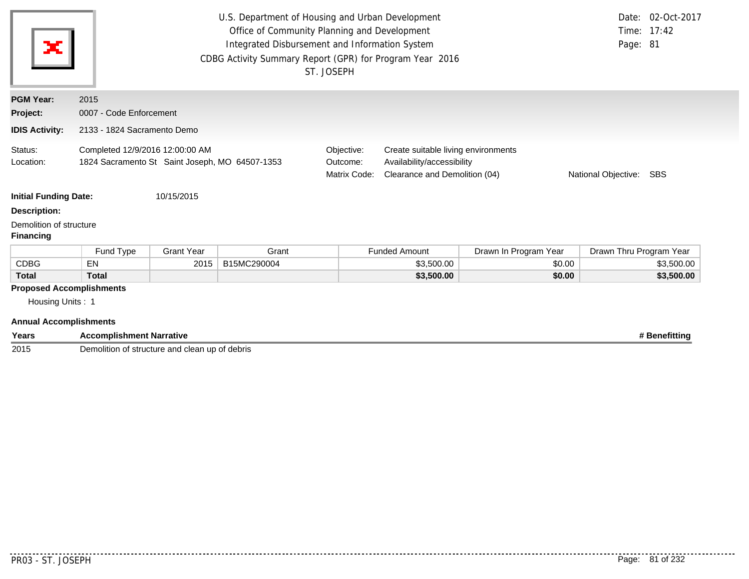| ×                                                                                    | U.S. Department of Housing and Urban Development<br>Date: 02-Oct-2017<br>Office of Community Planning and Development<br>Time: 17:42<br>Integrated Disbursement and Information System<br>Page: 81<br>CDBG Activity Summary Report (GPR) for Program Year 2016<br>ST. JOSEPH |                   |             |                                        |                                                                                                                           |                       |                         |            |
|--------------------------------------------------------------------------------------|------------------------------------------------------------------------------------------------------------------------------------------------------------------------------------------------------------------------------------------------------------------------------|-------------------|-------------|----------------------------------------|---------------------------------------------------------------------------------------------------------------------------|-----------------------|-------------------------|------------|
| <b>PGM Year:</b>                                                                     | 2015                                                                                                                                                                                                                                                                         |                   |             |                                        |                                                                                                                           |                       |                         |            |
| Project:                                                                             | 0007 - Code Enforcement                                                                                                                                                                                                                                                      |                   |             |                                        |                                                                                                                           |                       |                         |            |
| <b>IDIS Activity:</b>                                                                | 2133 - 1824 Sacramento Demo                                                                                                                                                                                                                                                  |                   |             |                                        |                                                                                                                           |                       |                         |            |
| Status:<br>Location:                                                                 | Completed 12/9/2016 12:00:00 AM<br>1824 Sacramento St Saint Joseph, MO 64507-1353                                                                                                                                                                                            |                   |             | Objective:<br>Outcome:<br>Matrix Code: | Create suitable living environments<br>Availability/accessibility<br>Clearance and Demolition (04)<br>National Objective: |                       |                         | SBS        |
| <b>Initial Funding Date:</b>                                                         |                                                                                                                                                                                                                                                                              | 10/15/2015        |             |                                        |                                                                                                                           |                       |                         |            |
| <b>Description:</b><br>Demolition of structure                                       |                                                                                                                                                                                                                                                                              |                   |             |                                        |                                                                                                                           |                       |                         |            |
| <b>Financing</b>                                                                     |                                                                                                                                                                                                                                                                              |                   |             |                                        |                                                                                                                           |                       |                         |            |
|                                                                                      | Fund Type                                                                                                                                                                                                                                                                    | <b>Grant Year</b> | Grant       |                                        | <b>Funded Amount</b>                                                                                                      | Drawn In Program Year | Drawn Thru Program Year |            |
| <b>CDBG</b>                                                                          | <b>EN</b>                                                                                                                                                                                                                                                                    | 2015              | B15MC290004 |                                        | \$3,500.00                                                                                                                | \$0.00                |                         | \$3,500.00 |
| <b>Total</b>                                                                         | <b>Total</b>                                                                                                                                                                                                                                                                 |                   |             |                                        | \$3,500.00                                                                                                                | \$0.00                |                         | \$3,500.00 |
| <b>Proposed Accomplishments</b><br>Housing Units: 1<br><b>Annual Accomplishments</b> |                                                                                                                                                                                                                                                                              |                   |             |                                        |                                                                                                                           |                       |                         |            |

**Years Accomplishment Narrative # Benefitting** Demolition of structure and clean up of debris

. . . . .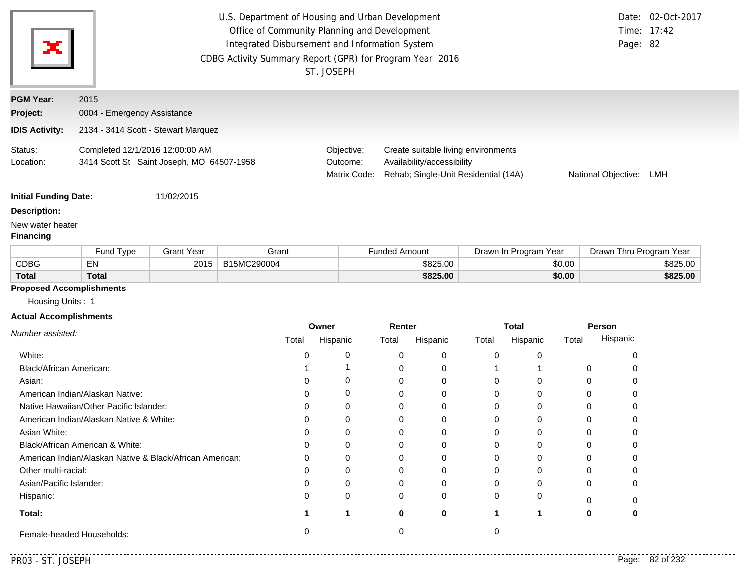| ×                            | CDBG Activity Summary Report (GPR) for Program Year 2016                     | U.S. Department of Housing and Urban Development<br>Office of Community Planning and Development<br>Integrated Disbursement and Information System<br>ST. JOSEPH |                                                                                                           | Page: 82            | Date: 02-Oct-2017<br>Time: 17:42 |
|------------------------------|------------------------------------------------------------------------------|------------------------------------------------------------------------------------------------------------------------------------------------------------------|-----------------------------------------------------------------------------------------------------------|---------------------|----------------------------------|
| <b>PGM Year:</b><br>Project: | 2015<br>0004 - Emergency Assistance                                          |                                                                                                                                                                  |                                                                                                           |                     |                                  |
| <b>IDIS Activity:</b>        | 2134 - 3414 Scott - Stewart Marquez                                          |                                                                                                                                                                  |                                                                                                           |                     |                                  |
| Status:<br>Location:         | Completed 12/1/2016 12:00:00 AM<br>3414 Scott St Saint Joseph, MO 64507-1958 | Objective:<br>Outcome:<br>Matrix Code:                                                                                                                           | Create suitable living environments<br>Availability/accessibility<br>Rehab; Single-Unit Residential (14A) | National Objective: | LMH                              |
| <b>Initial Funding Date:</b> | 11/02/2015                                                                   |                                                                                                                                                                  |                                                                                                           |                     |                                  |
| <b>Description:</b>          |                                                                              |                                                                                                                                                                  |                                                                                                           |                     |                                  |
| New water heater             |                                                                              |                                                                                                                                                                  |                                                                                                           |                     |                                  |

# **Financing**

|             | und Type <del>-</del> | <b>Grant Year</b> | Grant       | Drawn In Program Year<br>Funded Amount |        | Drawn Thru Program Year |
|-------------|-----------------------|-------------------|-------------|----------------------------------------|--------|-------------------------|
| <b>CDBG</b> | - -<br>EN             | 2015              | B15MC290004 | \$825.00                               | \$0.00 | \$825.00                |
| Total       | Total                 |                   |             | \$825.00                               | \$0.00 | \$825.00                |

## **Proposed Accomplishments**

Housing Units : 1

### **Actual Accomplishments**

|                                                          | Owner |          | Renter |          | <b>Total</b> |              | Person |          |
|----------------------------------------------------------|-------|----------|--------|----------|--------------|--------------|--------|----------|
| Number assisted:                                         | Total | Hispanic | Total  | Hispanic | Total        | Hispanic     | Total  | Hispanic |
| White:                                                   |       | 0        |        | 0        | $\Omega$     |              |        |          |
| Black/African American:                                  |       |          |        | 0        |              |              | 0      |          |
| Asian:                                                   |       | 0        |        |          | $\Omega$     |              |        |          |
| American Indian/Alaskan Native:                          |       | 0        |        | 0        | 0            |              |        |          |
| Native Hawaiian/Other Pacific Islander:                  |       | 0        |        |          | 0            |              |        |          |
| American Indian/Alaskan Native & White:                  |       | $\Omega$ |        |          | 0            |              |        |          |
| Asian White:                                             |       | 0        |        |          | 0            |              |        |          |
| Black/African American & White:                          |       | 0        |        | 0        | $\Omega$     |              | 0      |          |
| American Indian/Alaskan Native & Black/African American: |       | $\Omega$ |        |          | $\Omega$     | <sup>0</sup> |        |          |
| Other multi-racial:                                      |       | 0        |        | ∩        | 0            |              |        |          |
| Asian/Pacific Islander:                                  |       | $\Omega$ |        |          | <sup>0</sup> |              | 0      |          |
| Hispanic:                                                |       | 0        | 0      | 0        | $\Omega$     | 0            |        |          |
| Total:                                                   |       |          | ŋ      | 0        |              |              | 0      |          |
| Female-headed Households:                                |       |          |        |          |              |              |        |          |

..........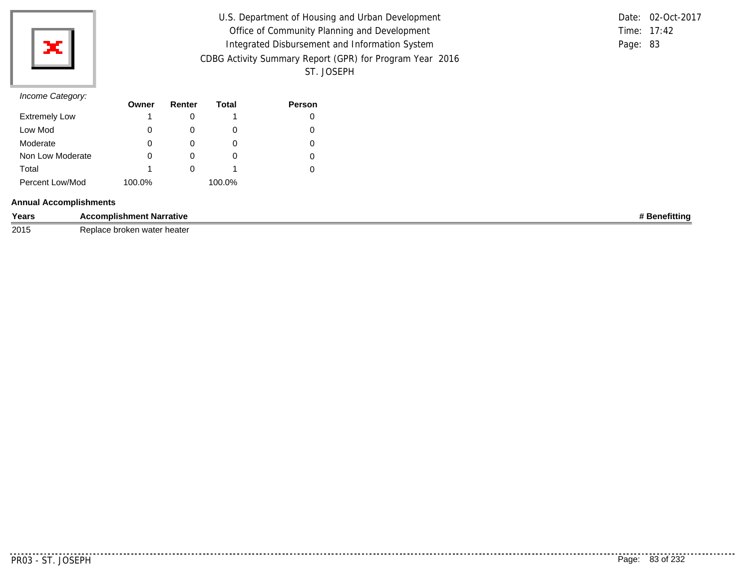

| U.S. Department of Housing and Urban Development         |          | Date: 02-Oct-2017 |
|----------------------------------------------------------|----------|-------------------|
| Office of Community Planning and Development             |          | Time: 17:42       |
| Integrated Disbursement and Information System           | Page: 83 |                   |
| CDBG Activity Summary Report (GPR) for Program Year 2016 |          |                   |
| ST. JOSEPH                                               |          |                   |

## *Income Category:*

| $11001110$ catogory. | Owner  | Renter | Total  | <b>Person</b> |
|----------------------|--------|--------|--------|---------------|
| <b>Extremely Low</b> |        |        |        |               |
| Low Mod              | 0      |        | O      |               |
| Moderate             | 0      |        | 0      |               |
| Non Low Moderate     | 0      |        | O      |               |
| Total                |        |        |        |               |
| Percent Low/Mod      | 100.0% |        | 100.0% |               |

### **Annual Accomplishments**

| Years | ---------<br><b>Narrative</b><br>ısnmen | $\cdots$<br>™ittin⊾ |
|-------|-----------------------------------------|---------------------|
| 2015  | heate<br>water<br><b>UIUNGII</b>        |                     |

. . . . . . . . . . .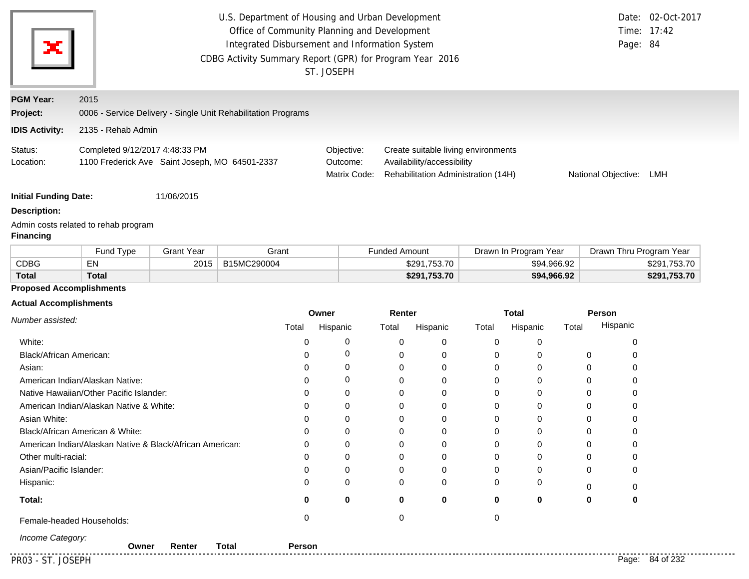|                               | U.S. Department of Housing and Urban Development<br>Office of Community Planning and Development<br>Integrated Disbursement and Information System<br>CDBG Activity Summary Report (GPR) for Program Year 2016<br>ST. JOSEPH |                        |                                                               |          |                                                                                                          |                      |              |             |                       | Page: 84 | Date: 02-Oct-2017<br>Time: 17:42 |              |
|-------------------------------|------------------------------------------------------------------------------------------------------------------------------------------------------------------------------------------------------------------------------|------------------------|---------------------------------------------------------------|----------|----------------------------------------------------------------------------------------------------------|----------------------|--------------|-------------|-----------------------|----------|----------------------------------|--------------|
| <b>PGM Year:</b>              | 2015                                                                                                                                                                                                                         |                        |                                                               |          |                                                                                                          |                      |              |             |                       |          |                                  |              |
| Project:                      |                                                                                                                                                                                                                              |                        | 0006 - Service Delivery - Single Unit Rehabilitation Programs |          |                                                                                                          |                      |              |             |                       |          |                                  |              |
| <b>IDIS Activity:</b>         | 2135 - Rehab Admin                                                                                                                                                                                                           |                        |                                                               |          |                                                                                                          |                      |              |             |                       |          |                                  |              |
| Status:<br>Location:          | Completed 9/12/2017 4:48:33 PM<br>1100 Frederick Ave Saint Joseph, MO 64501-2337                                                                                                                                             | Objective:<br>Outcome: | Matrix Code:                                                  |          | Create suitable living environments<br>Availability/accessibility<br>Rehabilitation Administration (14H) |                      |              |             | National Objective:   | LMH      |                                  |              |
| <b>Initial Funding Date:</b>  |                                                                                                                                                                                                                              | 11/06/2015             |                                                               |          |                                                                                                          |                      |              |             |                       |          |                                  |              |
| <b>Description:</b>           |                                                                                                                                                                                                                              |                        |                                                               |          |                                                                                                          |                      |              |             |                       |          |                                  |              |
| <b>Financing</b>              | Admin costs related to rehab program                                                                                                                                                                                         |                        |                                                               |          |                                                                                                          |                      |              |             |                       |          |                                  |              |
|                               | Fund Type                                                                                                                                                                                                                    | <b>Grant Year</b>      | Grant                                                         |          |                                                                                                          | <b>Funded Amount</b> |              |             | Drawn In Program Year |          | Drawn Thru Program Year          |              |
| <b>CDBG</b>                   | EN                                                                                                                                                                                                                           | 2015                   | B15MC290004                                                   |          |                                                                                                          |                      | \$291,753.70 |             | \$94,966.92           |          |                                  | \$291,753.70 |
| <b>Total</b>                  | <b>Total</b>                                                                                                                                                                                                                 |                        |                                                               |          |                                                                                                          |                      | \$291,753.70 |             | \$94,966.92           |          |                                  | \$291,753.70 |
|                               | <b>Proposed Accomplishments</b>                                                                                                                                                                                              |                        |                                                               |          |                                                                                                          |                      |              |             |                       |          |                                  |              |
| <b>Actual Accomplishments</b> |                                                                                                                                                                                                                              |                        |                                                               |          |                                                                                                          |                      |              |             |                       |          |                                  |              |
| Number assisted:              |                                                                                                                                                                                                                              |                        |                                                               | Owner    |                                                                                                          | Renter               |              |             | <b>Total</b>          |          | <b>Person</b><br>Hispanic        |              |
|                               |                                                                                                                                                                                                                              |                        | Total                                                         | Hispanic |                                                                                                          | Total                | Hispanic     | Total       | Hispanic              | Total    |                                  |              |
| White:                        |                                                                                                                                                                                                                              |                        | 0                                                             |          | 0                                                                                                        | 0                    | 0            | 0           | 0                     |          | 0                                |              |
| Black/African American:       |                                                                                                                                                                                                                              |                        | 0                                                             |          | 0                                                                                                        | 0                    | 0            | 0           | 0                     |          | 0<br>0                           |              |
| Asian:                        |                                                                                                                                                                                                                              |                        | $\Omega$                                                      |          | 0                                                                                                        | 0                    | 0            | 0           | 0                     |          | 0<br>0                           |              |
|                               | American Indian/Alaskan Native:                                                                                                                                                                                              |                        | $\Omega$                                                      |          | 0                                                                                                        | $\mathbf 0$          | $\Omega$     | $\mathbf 0$ | $\Omega$              |          | 0<br>$\mathbf 0$                 |              |
|                               | Native Hawaiian/Other Pacific Islander:                                                                                                                                                                                      |                        | $\Omega$                                                      |          | $\mathbf 0$                                                                                              | $\mathbf 0$          | 0            | $\mathbf 0$ | 0                     |          | $\Omega$<br>$\mathbf 0$          |              |
|                               | American Indian/Alaskan Native & White:                                                                                                                                                                                      |                        | 0                                                             |          | 0                                                                                                        | $\mathbf 0$          | 0            | $\mathbf 0$ | $\mathbf 0$           |          | $\mathbf 0$<br>0                 |              |
| Asian White:                  |                                                                                                                                                                                                                              |                        | 0                                                             |          | 0                                                                                                        | 0                    | 0            | 0           | $\mathbf 0$           |          | 0<br>0                           |              |
|                               | Black/African American & White:                                                                                                                                                                                              |                        | 0                                                             |          | 0                                                                                                        | 0                    | 0            | 0           | 0                     |          | 0<br>0                           |              |
|                               | American Indian/Alaskan Native & Black/African American:                                                                                                                                                                     |                        | $\Omega$                                                      |          | $\Omega$                                                                                                 | $\Omega$             | $\Omega$     | $\Omega$    | $\Omega$              |          | $\Omega$<br><sup>0</sup>         |              |

**0 0**

**Owner Renter Total Person**

**0**

0 0 0 0 0 0 0 0

**0**

0 0 0 0 **0 0 0**

0 0 0 0 0 0 0 0

Female-headed Households: 0 0 0

*Income Category:*

Other multi-racial: Asian/Pacific Islander:

**Total:**

Hispanic:

PR03 - ST. JOSEPH Page: 84 of 232

. . . . . . . . .

0

0

0

**0**

0

0 0 0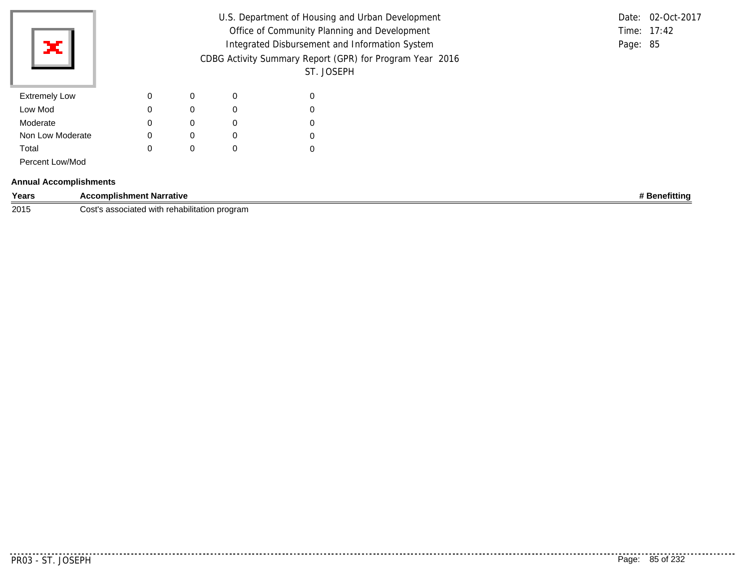| Ж                             |                                 |             |             |             | ST. JOSEPH  | U.S. Department of Housing and Urban Development<br>Office of Community Planning and Development<br>Integrated Disbursement and Information System<br>CDBG Activity Summary Report (GPR) for Program Year 2016 | Page: 85 | Date: 02-Oct-2017<br>Time: 17:42 |
|-------------------------------|---------------------------------|-------------|-------------|-------------|-------------|----------------------------------------------------------------------------------------------------------------------------------------------------------------------------------------------------------------|----------|----------------------------------|
| <b>Extremely Low</b>          |                                 | $\mathbf 0$ | $\mathbf 0$ | $\Omega$    | 0           |                                                                                                                                                                                                                |          |                                  |
| Low Mod                       |                                 | 0           | $\mathbf 0$ | $\Omega$    | 0           |                                                                                                                                                                                                                |          |                                  |
| Moderate                      |                                 | $\mathbf 0$ | 0           | $\mathbf 0$ | $\mathbf 0$ |                                                                                                                                                                                                                |          |                                  |
| Non Low Moderate              |                                 | 0           | $\mathbf 0$ | $\mathbf 0$ | 0           |                                                                                                                                                                                                                |          |                                  |
| Total                         |                                 | 0           | 0           | $\Omega$    | 0           |                                                                                                                                                                                                                |          |                                  |
| Percent Low/Mod               |                                 |             |             |             |             |                                                                                                                                                                                                                |          |                                  |
| <b>Annual Accomplishments</b> |                                 |             |             |             |             |                                                                                                                                                                                                                |          |                                  |
| Years                         | <b>Accomplishment Narrative</b> |             |             |             |             |                                                                                                                                                                                                                |          | # Benefitting                    |

**2015** Cost's associated with rehabilitation program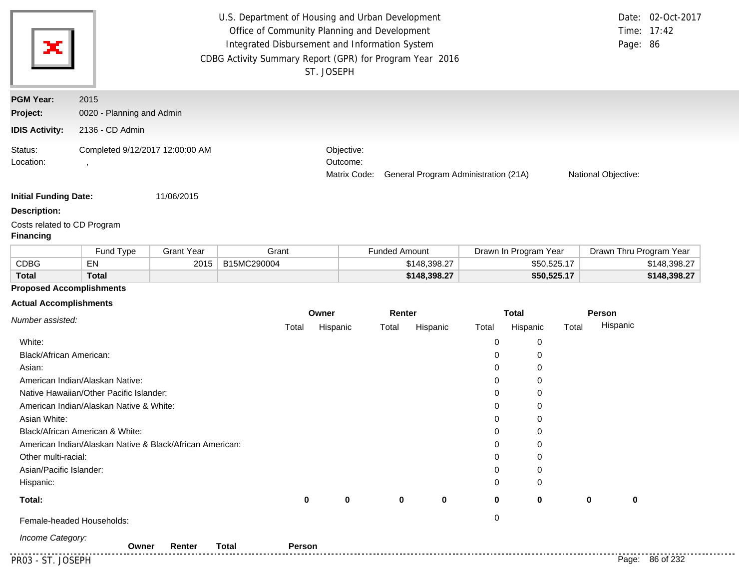| ×                                                     | U.S. Department of Housing and Urban Development<br>Date: 02-Oct-2017<br>Office of Community Planning and Development<br>Time: 17:42<br>Integrated Disbursement and Information System<br>Page: 86<br>CDBG Activity Summary Report (GPR) for Program Year 2016<br>ST. JOSEPH |                                                                                |                     |  |  |  |  |
|-------------------------------------------------------|------------------------------------------------------------------------------------------------------------------------------------------------------------------------------------------------------------------------------------------------------------------------------|--------------------------------------------------------------------------------|---------------------|--|--|--|--|
| <b>PGM Year:</b><br>Project:<br><b>IDIS Activity:</b> | 2015<br>0020 - Planning and Admin<br>2136 - CD Admin                                                                                                                                                                                                                         |                                                                                |                     |  |  |  |  |
| Status:<br>Location:                                  | Completed 9/12/2017 12:00:00 AM                                                                                                                                                                                                                                              | Objective:<br>Outcome:<br>General Program Administration (21A)<br>Matrix Code: | National Objective: |  |  |  |  |
| <b>Initial Funding Date:</b>                          | 11/06/2015                                                                                                                                                                                                                                                                   |                                                                                |                     |  |  |  |  |

**Description:**

Costs related to CD Program

### **Financing**

|              | <b>Fund Type</b> | Grant Year | Grant       | Funded Amount | Drawn In Program Year | Drawn Thru Program Year |
|--------------|------------------|------------|-------------|---------------|-----------------------|-------------------------|
| CDBG         | EN               | 2015       | B15MC290004 | \$148,398.27  | \$50,525.17           | \$148.398.27            |
| <b>Total</b> | Total            |            |             | \$148,398.27  | \$50,525.17           | \$148,398.27            |

# **Proposed Accomplishments**

### **Actual Accomplishments**

| Number assisted:                                         |             | Owner       |          | Renter      |             | <b>Total</b> |       | Person          |  |
|----------------------------------------------------------|-------------|-------------|----------|-------------|-------------|--------------|-------|-----------------|--|
|                                                          | Total       | Hispanic    | Total    | Hispanic    | Total       | Hispanic     | Total | Hispanic        |  |
| White:                                                   |             |             |          |             | 0           | 0            |       |                 |  |
| Black/African American:                                  |             |             |          |             | 0           | $\mathbf 0$  |       |                 |  |
| Asian:                                                   |             |             |          |             | 0           | $\mathbf 0$  |       |                 |  |
| American Indian/Alaskan Native:                          |             |             |          |             | 0           | 0            |       |                 |  |
| Native Hawaiian/Other Pacific Islander:                  |             |             |          |             | 0           | $\mathbf 0$  |       |                 |  |
| American Indian/Alaskan Native & White:                  |             |             |          |             | 0           | 0            |       |                 |  |
| Asian White:                                             |             |             |          |             | 0           | 0            |       |                 |  |
| Black/African American & White:                          |             |             |          |             | 0           | 0            |       |                 |  |
| American Indian/Alaskan Native & Black/African American: |             |             |          |             | $\Omega$    | 0            |       |                 |  |
| Other multi-racial:                                      |             |             |          |             | 0           | $\mathbf 0$  |       |                 |  |
| Asian/Pacific Islander:                                  |             |             |          |             | 0           | 0            |       |                 |  |
| Hispanic:                                                |             |             |          |             | $\Omega$    | $\mathbf 0$  |       |                 |  |
| Total:                                                   | $\mathbf 0$ | $\mathbf 0$ | $\bf{0}$ | $\mathbf 0$ | $\mathbf 0$ | $\mathbf 0$  | 0     | $\mathbf 0$     |  |
| Female-headed Households:                                |             |             |          |             | 0           |              |       |                 |  |
| Income Category:<br><b>Total</b><br>Renter<br>Owner      | Person      |             |          |             |             |              |       |                 |  |
| PR03 - ST. JOSEPH                                        |             |             |          |             |             |              |       | Page: 86 of 232 |  |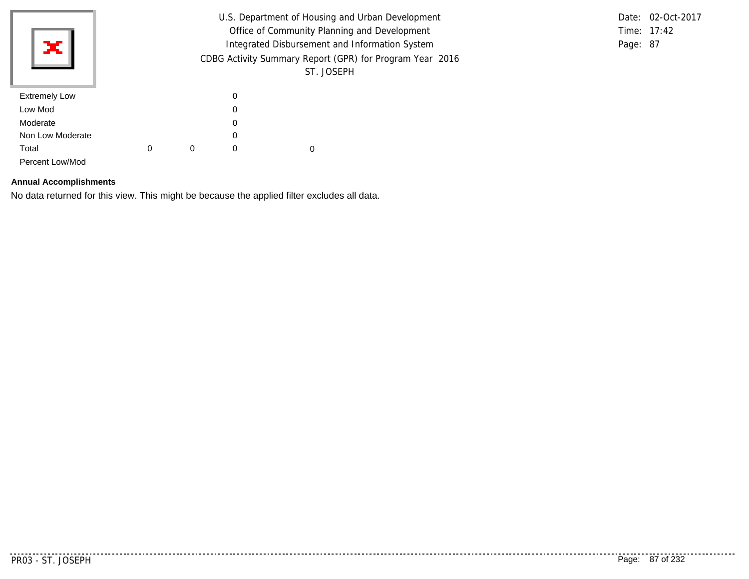|                      |                                                |                                                          |          | U.S. Department of Housing and Urban Development |  |  | Date: 02-Oct-2017 |
|----------------------|------------------------------------------------|----------------------------------------------------------|----------|--------------------------------------------------|--|--|-------------------|
|                      | Office of Community Planning and Development   |                                                          |          |                                                  |  |  | Time: 17:42       |
| ×Ш                   | Integrated Disbursement and Information System |                                                          |          |                                                  |  |  | Page: 87          |
|                      |                                                | CDBG Activity Summary Report (GPR) for Program Year 2016 |          |                                                  |  |  |                   |
|                      |                                                |                                                          |          | ST. JOSEPH                                       |  |  |                   |
| <b>Extremely Low</b> |                                                |                                                          | 0        |                                                  |  |  |                   |
| Low Mod              |                                                |                                                          | 0        |                                                  |  |  |                   |
| Moderate             |                                                |                                                          | 0        |                                                  |  |  |                   |
| Non Low Moderate     |                                                |                                                          | 0        |                                                  |  |  |                   |
| Total                | 0                                              | 0                                                        | $\Omega$ | 0                                                |  |  |                   |
| Percent Low/Mod      |                                                |                                                          |          |                                                  |  |  |                   |

## **Annual Accomplishments**

No data returned for this view. This might be because the applied filter excludes all data.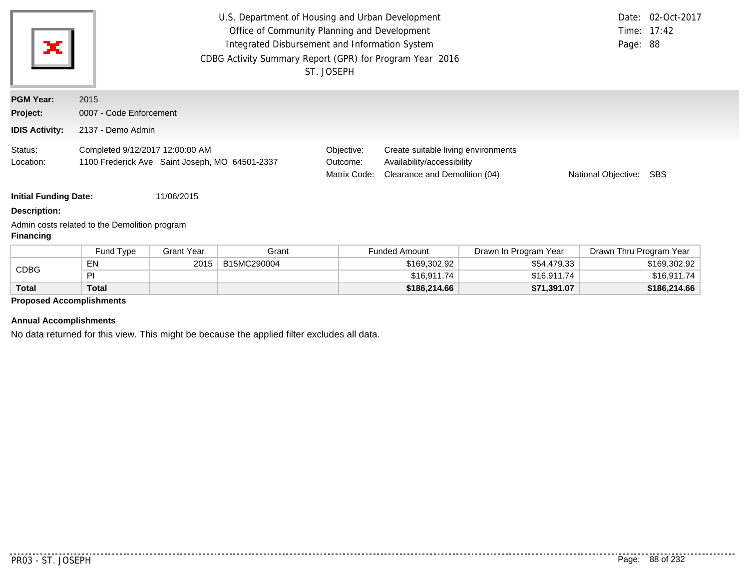| ×                                                                       | U.S. Department of Housing and Urban Development<br>Office of Community Planning and Development<br>Integrated Disbursement and Information System<br>CDBG Activity Summary Report (GPR) for Program Year 2016 | ST. JOSEPH                             |                                                                                                    | Page: 88            | Date: 02-Oct-2017<br>Time: $17:42$ |
|-------------------------------------------------------------------------|----------------------------------------------------------------------------------------------------------------------------------------------------------------------------------------------------------------|----------------------------------------|----------------------------------------------------------------------------------------------------|---------------------|------------------------------------|
| <b>PGM Year:</b><br>Project:<br><b>IDIS Activity:</b>                   | 2015<br>0007 - Code Enforcement<br>2137 - Demo Admin                                                                                                                                                           |                                        |                                                                                                    |                     |                                    |
| Status:<br>Location:                                                    | Completed 9/12/2017 12:00:00 AM<br>1100 Frederick Ave Saint Joseph, MO 64501-2337                                                                                                                              | Objective:<br>Outcome:<br>Matrix Code: | Create suitable living environments<br>Availability/accessibility<br>Clearance and Demolition (04) | National Objective: | SBS                                |
| <b>Initial Funding Date:</b><br><b>Description:</b><br><b>Financing</b> | 11/06/2015<br>Admin costs related to the Demolition program                                                                                                                                                    |                                        |                                                                                                    |                     |                                    |

|              | Fund Type    | Grant Year | Grant       | <b>Funded Amount</b> | Drawn In Program Year | Drawn Thru Program Year |
|--------------|--------------|------------|-------------|----------------------|-----------------------|-------------------------|
| CDBG         | ΕN           | 2015       | B15MC290004 | \$169,302.92         | \$54,479.33           | \$169,302.92            |
|              | D.           |            |             | \$16,911.74          | \$16,911.74           | \$16,911.74             |
| <b>Total</b> | <b>Total</b> |            |             | \$186,214.66         | \$71,391.07           | \$186,214.66            |

# **Proposed Accomplishments**

### **Annual Accomplishments**

No data returned for this view. This might be because the applied filter excludes all data.

..........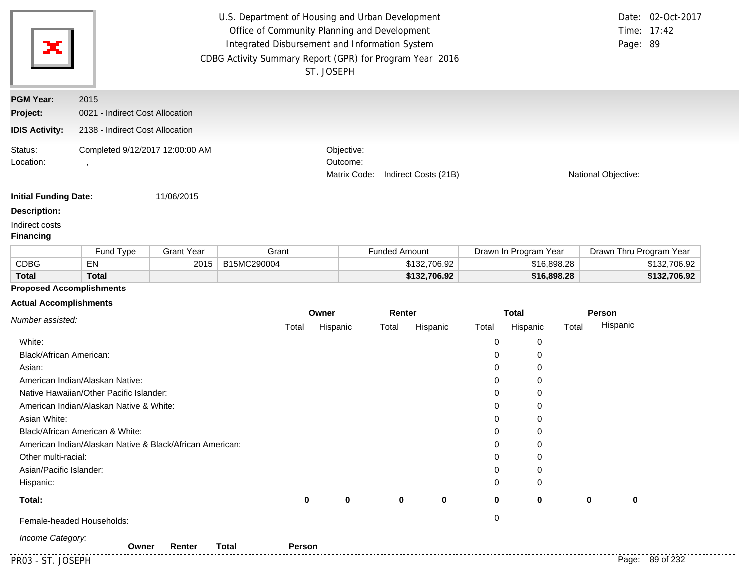|                                                                    | U.S. Department of Housing and Urban Development<br>Office of Community Planning and Development<br>Integrated Disbursement and Information System<br>CDBG Activity Summary Report (GPR) for Program Year 2016<br>ST. JOSEPH |                   |             |                                                                |                      |              |                     |                       |             | Page: 89                | Date: 02-Oct-2017<br>Time: 17:42 |
|--------------------------------------------------------------------|------------------------------------------------------------------------------------------------------------------------------------------------------------------------------------------------------------------------------|-------------------|-------------|----------------------------------------------------------------|----------------------|--------------|---------------------|-----------------------|-------------|-------------------------|----------------------------------|
| <b>PGM Year:</b>                                                   | 2015                                                                                                                                                                                                                         |                   |             |                                                                |                      |              |                     |                       |             |                         |                                  |
| Project:                                                           | 0021 - Indirect Cost Allocation                                                                                                                                                                                              |                   |             |                                                                |                      |              |                     |                       |             |                         |                                  |
| <b>IDIS Activity:</b>                                              | 2138 - Indirect Cost Allocation                                                                                                                                                                                              |                   |             |                                                                |                      |              |                     |                       |             |                         |                                  |
| Status:<br>Completed 9/12/2017 12:00:00 AM<br>Location:<br>$\cdot$ |                                                                                                                                                                                                                              |                   |             | Objective:<br>Outcome:<br>Matrix Code:<br>Indirect Costs (21B) |                      |              | National Objective: |                       |             |                         |                                  |
| <b>Initial Funding Date:</b>                                       |                                                                                                                                                                                                                              | 11/06/2015        |             |                                                                |                      |              |                     |                       |             |                         |                                  |
| <b>Description:</b>                                                |                                                                                                                                                                                                                              |                   |             |                                                                |                      |              |                     |                       |             |                         |                                  |
| Indirect costs<br><b>Financing</b>                                 |                                                                                                                                                                                                                              |                   |             |                                                                |                      |              |                     |                       |             |                         |                                  |
|                                                                    | Fund Type                                                                                                                                                                                                                    | <b>Grant Year</b> | Grant       |                                                                | <b>Funded Amount</b> |              |                     | Drawn In Program Year |             | Drawn Thru Program Year |                                  |
| <b>CDBG</b>                                                        | EN                                                                                                                                                                                                                           | 2015              | B15MC290004 |                                                                |                      | \$132,706.92 |                     |                       | \$16,898.28 |                         | \$132,706.92                     |
| <b>Total</b>                                                       | <b>Total</b>                                                                                                                                                                                                                 |                   |             |                                                                |                      | \$132,706.92 |                     |                       | \$16,898.28 |                         | \$132,706.92                     |
| <b>Proposed Accomplishments</b>                                    |                                                                                                                                                                                                                              |                   |             |                                                                |                      |              |                     |                       |             |                         |                                  |
| <b>Actual Accomplishments</b>                                      |                                                                                                                                                                                                                              |                   |             |                                                                |                      |              |                     |                       |             |                         |                                  |
| Number assisted:                                                   |                                                                                                                                                                                                                              |                   |             | Owner                                                          | Renter               |              |                     | <b>Total</b>          |             | Person<br>Hispanic      |                                  |
|                                                                    |                                                                                                                                                                                                                              |                   | Total       | Hispanic                                                       | Total                | Hispanic     | Total               | Hispanic              | Total       |                         |                                  |
| White:                                                             |                                                                                                                                                                                                                              |                   |             |                                                                |                      |              | 0                   | 0                     |             |                         |                                  |
| <b>Black/African American:</b>                                     |                                                                                                                                                                                                                              |                   |             |                                                                |                      |              | 0                   | 0                     |             |                         |                                  |
| Asian:                                                             |                                                                                                                                                                                                                              |                   |             |                                                                |                      |              | 0                   | 0                     |             |                         |                                  |
|                                                                    | American Indian/Alaskan Native:                                                                                                                                                                                              |                   |             |                                                                |                      |              | 0                   | 0                     |             |                         |                                  |
|                                                                    | Native Hawaiian/Other Pacific Islander:<br>American Indian/Alaskan Native & White:                                                                                                                                           |                   |             |                                                                |                      |              | 0<br>0              | 0<br>0                |             |                         |                                  |
| Asian White:                                                       |                                                                                                                                                                                                                              |                   |             |                                                                |                      |              | 0                   | 0                     |             |                         |                                  |
|                                                                    | Black/African American & White:                                                                                                                                                                                              |                   |             |                                                                |                      |              | 0                   | 0                     |             |                         |                                  |
|                                                                    | American Indian/Alaskan Native & Black/African American:                                                                                                                                                                     |                   |             |                                                                |                      |              |                     | 0                     |             |                         |                                  |
|                                                                    |                                                                                                                                                                                                                              |                   |             |                                                                |                      |              | 0                   |                       |             |                         |                                  |

**0 0**

**0 0**

0 0

0 0 **0 0 0**

| Asian/Pacific Islander: |  |
|-------------------------|--|
|                         |  |

Hispanic:

**Total:**

Female-headed Households: 0

*Income Category:*

PR03 - ST. JOSEPH Page: 89 of 232 **Owner Renter Total Person**

. . . . . .

**0**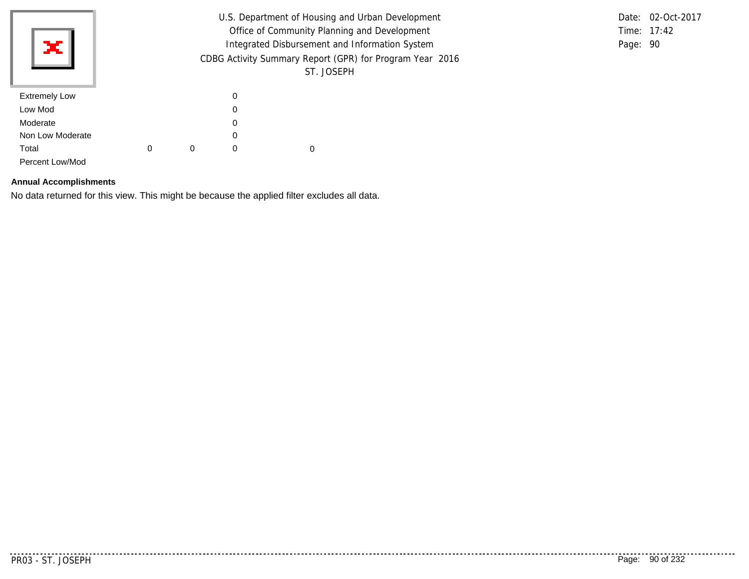|                      |                                                |                                                          |          |   | U.S. Department of Housing and Urban Development |  | Date: 02-Oct-2017 |
|----------------------|------------------------------------------------|----------------------------------------------------------|----------|---|--------------------------------------------------|--|-------------------|
|                      | Office of Community Planning and Development   |                                                          |          |   |                                                  |  | Time: 17:42       |
| жI                   | Integrated Disbursement and Information System |                                                          |          |   |                                                  |  | Page: 90          |
|                      |                                                | CDBG Activity Summary Report (GPR) for Program Year 2016 |          |   |                                                  |  |                   |
|                      |                                                |                                                          |          |   | ST. JOSEPH                                       |  |                   |
| <b>Extremely Low</b> |                                                |                                                          | 0        |   |                                                  |  |                   |
| Low Mod              |                                                |                                                          | 0        |   |                                                  |  |                   |
| Moderate             |                                                |                                                          | 0        |   |                                                  |  |                   |
| Non Low Moderate     |                                                |                                                          | 0        |   |                                                  |  |                   |
| Total                | 0                                              | 0                                                        | $\Omega$ | 0 |                                                  |  |                   |
| Percent Low/Mod      |                                                |                                                          |          |   |                                                  |  |                   |

## **Annual Accomplishments**

No data returned for this view. This might be because the applied filter excludes all data.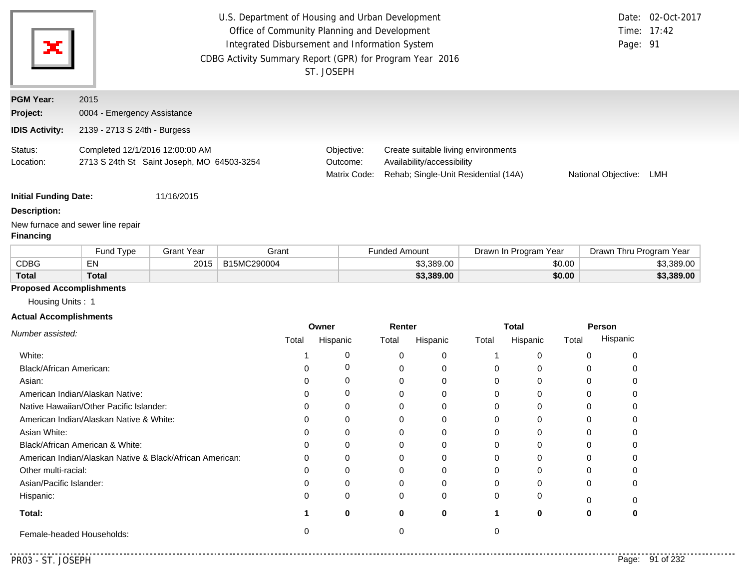| ×                            | U.S. Department of Housing and Urban Development<br>Office of Community Planning and Development<br>Integrated Disbursement and Information System<br>CDBG Activity Summary Report (GPR) for Program Year 2016<br>ST. JOSEPH | Page: 91                               | Date: 02-Oct-2017<br>Time: 17:42                                                                          |                     |     |
|------------------------------|------------------------------------------------------------------------------------------------------------------------------------------------------------------------------------------------------------------------------|----------------------------------------|-----------------------------------------------------------------------------------------------------------|---------------------|-----|
| <b>PGM Year:</b>             | 2015                                                                                                                                                                                                                         |                                        |                                                                                                           |                     |     |
| Project:                     | 0004 - Emergency Assistance                                                                                                                                                                                                  |                                        |                                                                                                           |                     |     |
| <b>IDIS Activity:</b>        | 2139 - 2713 S 24th - Burgess                                                                                                                                                                                                 |                                        |                                                                                                           |                     |     |
| Status:<br>Location:         | Completed 12/1/2016 12:00:00 AM<br>2713 S 24th St Saint Joseph, MO 64503-3254                                                                                                                                                | Objective:<br>Outcome:<br>Matrix Code: | Create suitable living environments<br>Availability/accessibility<br>Rehab; Single-Unit Residential (14A) | National Objective: | LMH |
| <b>Initial Funding Date:</b> | 11/16/2015                                                                                                                                                                                                                   |                                        |                                                                                                           |                     |     |

**Description:**

New furnace and sewer line repair

## **Financing**

|              | <b>Fund Type</b> | Grant Year | Grant       | <b>Funded Amount</b> | Drawn In Program Year | Drawn Thru Program Year |  |
|--------------|------------------|------------|-------------|----------------------|-----------------------|-------------------------|--|
| <b>CDBG</b>  | EN               | 2015       | B15MC290004 | \$3,389.00           | \$0.00                | \$3,389,00              |  |
| <b>Total</b> | Total            |            |             | \$3,389.00           | \$0.00                | \$3,389.00              |  |

### **Proposed Accomplishments**

Housing Units : 1

### **Actual Accomplishments**

|                                                          | Owner |          | Renter   |          | <b>Total</b> |          | Person |          |
|----------------------------------------------------------|-------|----------|----------|----------|--------------|----------|--------|----------|
| Number assisted:                                         | Total | Hispanic | Total    | Hispanic | Total        | Hispanic | Total  | Hispanic |
| White:                                                   |       |          |          |          |              |          |        |          |
| Black/African American:                                  |       |          |          | 0        |              | o        |        |          |
| Asian:                                                   |       |          |          | $\Omega$ |              | O        |        |          |
| American Indian/Alaskan Native:                          |       |          |          | 0        |              | 0        |        |          |
| Native Hawaiian/Other Pacific Islander:                  |       |          |          | 0        |              | 0        |        |          |
| American Indian/Alaskan Native & White:                  |       |          |          |          |              | n        |        |          |
| Asian White:                                             |       |          |          |          |              |          |        |          |
| Black/African American & White:                          |       |          |          | 0        |              | o        |        |          |
| American Indian/Alaskan Native & Black/African American: | C     | ∩        |          | $\Omega$ |              | U        |        |          |
| Other multi-racial:                                      |       |          |          |          |              | U        |        |          |
| Asian/Pacific Islander:                                  |       |          |          | 0        |              | o        |        |          |
| Hispanic:                                                |       | $\Omega$ | $\Omega$ | $\Omega$ |              | 0        |        |          |
| Total:                                                   |       | 0        | 0        | 0        |              | 0        | 0      |          |
| Female-headed Households:                                |       |          |          |          |              |          |        |          |

. . . . . . . . . . .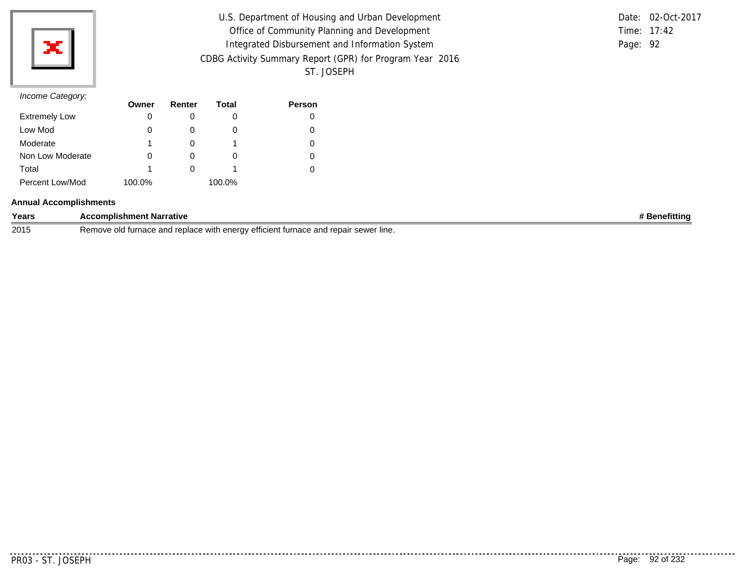

| U.S. Department of Housing and Urban Development         |          | Date: 02-Oct-2017 |
|----------------------------------------------------------|----------|-------------------|
| Office of Community Planning and Development             |          | Time: 17:42       |
| Integrated Disbursement and Information System           | Page: 92 |                   |
| CDBG Activity Summary Report (GPR) for Program Year 2016 |          |                   |
| ST. JOSEPH                                               |          |                   |

|          | Date: 02-Oct-2017 |
|----------|-------------------|
|          | Time: $17:42$     |
| Page: 92 |                   |

## *Income Category:*

|                      | Owner  | Renter | Total  | <b>Person</b> |
|----------------------|--------|--------|--------|---------------|
| <b>Extremely Low</b> | O      |        | 0      | 0             |
| Low Mod              | O      |        | O      | 0             |
| Moderate             |        |        |        | 0             |
| Non Low Moderate     | 0      |        | O      | 0             |
| Total                |        |        |        | 0             |
| Percent Low/Mod      | 100.0% |        | 100.0% |               |

### **Annual Accomplishments**

| Years | <b>Narrative</b><br><b>mplishme</b><br>ent                                                                                                                                       | <br>nefittinc |
|-------|----------------------------------------------------------------------------------------------------------------------------------------------------------------------------------|---------------|
| 2015  | repair<br>CONIOT<br>– Remo <sup>.</sup><br>∵lıne.<br>∴enera∨<br>efficient<br>. <i>\AI\</i> I <sup>+</sup><br>urna,<br><u>turnace</u><br>'iaut<br><b>36W6L</b><br>VVILI<br>.<br>ີ |               |

. . . . . . . . .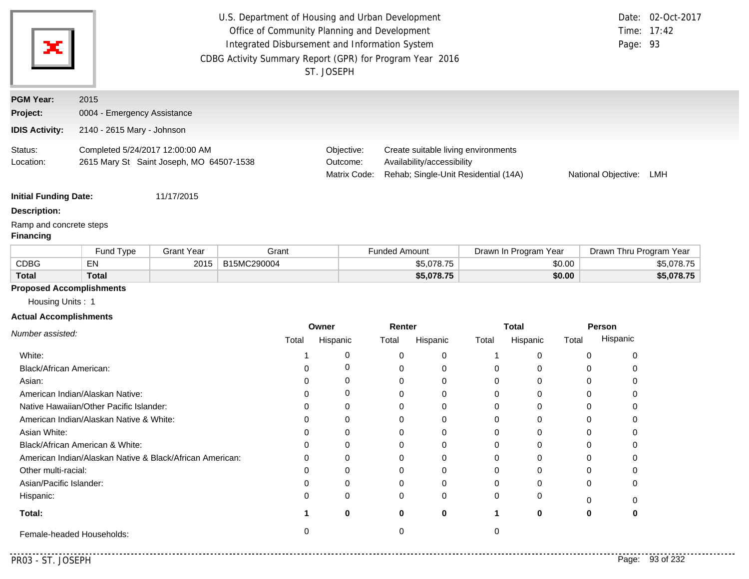| ×                            | U.S. Department of Housing and Urban Development<br>Office of Community Planning and Development<br>Integrated Disbursement and Information System<br>CDBG Activity Summary Report (GPR) for Program Year 2016<br>ST. JOSEPH | Page: 93                               | Date: 02-Oct-2017<br>Time: 17:42                                                                          |                     |     |
|------------------------------|------------------------------------------------------------------------------------------------------------------------------------------------------------------------------------------------------------------------------|----------------------------------------|-----------------------------------------------------------------------------------------------------------|---------------------|-----|
| <b>PGM Year:</b><br>Project: | 2015<br>0004 - Emergency Assistance                                                                                                                                                                                          |                                        |                                                                                                           |                     |     |
| <b>IDIS Activity:</b>        | 2140 - 2615 Mary - Johnson                                                                                                                                                                                                   |                                        |                                                                                                           |                     |     |
| Status:<br>Location:         | Completed 5/24/2017 12:00:00 AM<br>2615 Mary St Saint Joseph, MO 64507-1538                                                                                                                                                  | Objective:<br>Outcome:<br>Matrix Code: | Create suitable living environments<br>Availability/accessibility<br>Rehab; Single-Unit Residential (14A) | National Objective: | LMH |
| <b>Initial Funding Date:</b> | 11/17/2015                                                                                                                                                                                                                   |                                        |                                                                                                           |                     |     |

**Description:**

Ramp and concrete steps

## **Financing**

|       | Fund Type   | Grant Year | Grant       | Funded Amount | Drawn In Program Year | Drawn Thru Program Year |
|-------|-------------|------------|-------------|---------------|-----------------------|-------------------------|
| CDBG  | $-$ M<br>ΕМ | 2015       | B15MC290004 | \$5,078.75    | \$0.00                | \$5.078.75              |
| Total | Total       |            |             | \$5,078.75    | \$0.00                | \$5,078.75              |

### **Proposed Accomplishments**

Housing Units : 1

### **Actual Accomplishments**

|                                                          | Owner |          | Renter |          | <b>Total</b> |          | Person |          |
|----------------------------------------------------------|-------|----------|--------|----------|--------------|----------|--------|----------|
| Number assisted:                                         | Total | Hispanic | Total  | Hispanic | Total        | Hispanic | Total  | Hispanic |
| White:                                                   |       |          |        | $\Omega$ |              |          |        |          |
| Black/African American:                                  |       |          |        | 0        |              |          |        |          |
| Asian:                                                   |       |          |        | 0        |              |          |        |          |
| American Indian/Alaskan Native:                          |       |          |        | $\Omega$ |              |          |        |          |
| Native Hawaiian/Other Pacific Islander:                  |       |          |        | $\Omega$ |              |          |        |          |
| American Indian/Alaskan Native & White:                  |       |          |        | O        |              |          |        |          |
| Asian White:                                             |       |          |        | 0        |              |          |        |          |
| Black/African American & White:                          |       |          |        | 0        |              |          |        |          |
| American Indian/Alaskan Native & Black/African American: |       |          |        | $\Omega$ |              |          |        |          |
| Other multi-racial:                                      |       |          |        | 0        |              |          |        |          |
| Asian/Pacific Islander:                                  |       |          |        | 0        |              |          |        |          |
| Hispanic:                                                |       | O        | 0      | $\Omega$ |              |          |        |          |
| Total:                                                   |       | 0        | 0      | 0        |              | 0        | 0      |          |
| Female-headed Households:                                |       |          |        |          |              |          |        |          |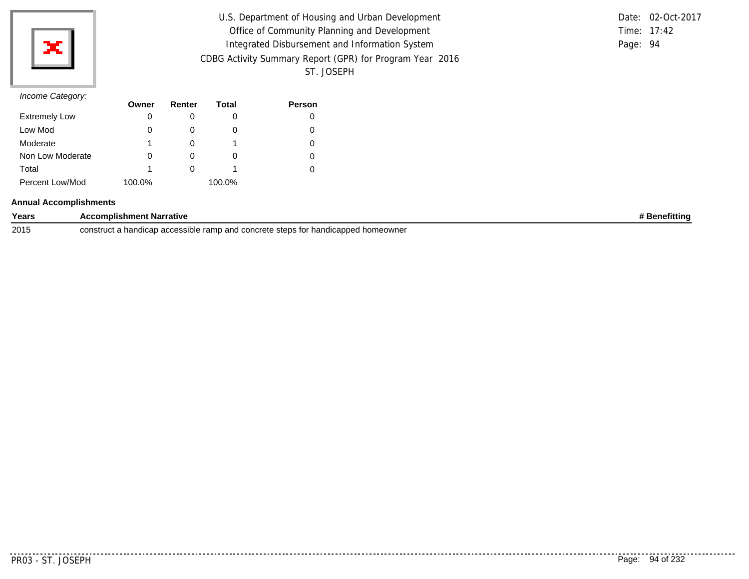

| U.S. Department of Housing and Urban Development         |          | Date: 02-Oct-2017 |
|----------------------------------------------------------|----------|-------------------|
| Office of Community Planning and Development             |          | Time: 17:42       |
| Integrated Disbursement and Information System           | Page: 94 |                   |
| CDBG Activity Summary Report (GPR) for Program Year 2016 |          |                   |
| ST. JOSEPH                                               |          |                   |

|          | Date: 02-Oct-2017 |
|----------|-------------------|
|          | Time: $17:42$     |
| Page: 94 |                   |

## *Income Category:*

|                      | Owner  | Renter | Total  | <b>Person</b> |
|----------------------|--------|--------|--------|---------------|
| <b>Extremely Low</b> | O      |        | 0      | 0             |
| Low Mod              | O      |        | O      | 0             |
| Moderate             |        |        |        | 0             |
| Non Low Moderate     | 0      |        | O      | 0             |
| Total                |        |        |        | 0             |
| Percent Low/Mod      | 100.0% |        | 100.0% |               |

### **Annual Accomplishments**

| Years | omplishment Narrative                                                                                                     | efittina<br>÷аn. |
|-------|---------------------------------------------------------------------------------------------------------------------------|------------------|
| 2015  | construct<br>u a handican accessible. .<br>ramp and concrete<br>homeownei<br>* handicapped.<br>. steps f<br>,au<br>a<br>. |                  |

. . . . . . .

..........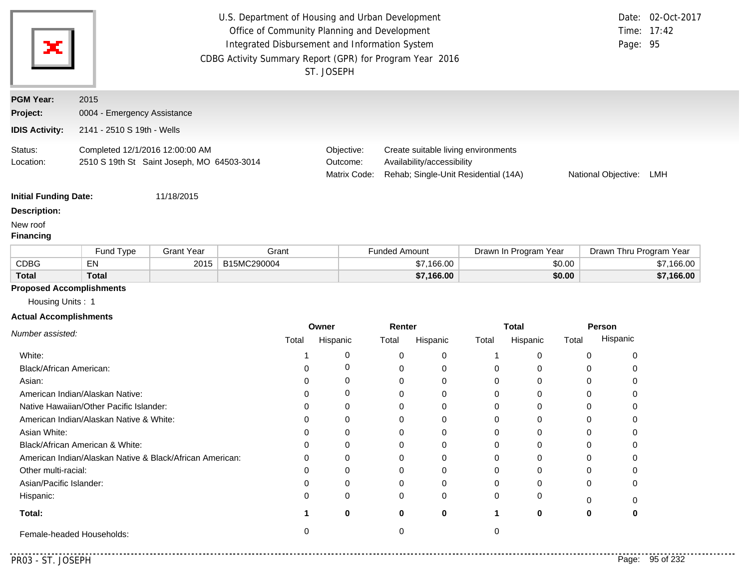| ×                                                   | U.S. Department of Housing and Urban Development<br>Time: 17:42<br>Office of Community Planning and Development<br>Integrated Disbursement and Information System<br>Page: 95<br>CDBG Activity Summary Report (GPR) for Program Year 2016<br>ST. JOSEPH |                   |                                        |                                                                                                           |                      |                       | Date: 02-Oct-2017       |            |
|-----------------------------------------------------|---------------------------------------------------------------------------------------------------------------------------------------------------------------------------------------------------------------------------------------------------------|-------------------|----------------------------------------|-----------------------------------------------------------------------------------------------------------|----------------------|-----------------------|-------------------------|------------|
| <b>PGM Year:</b>                                    | 2015                                                                                                                                                                                                                                                    |                   |                                        |                                                                                                           |                      |                       |                         |            |
| Project:                                            | 0004 - Emergency Assistance                                                                                                                                                                                                                             |                   |                                        |                                                                                                           |                      |                       |                         |            |
| <b>IDIS Activity:</b>                               | 2141 - 2510 S 19th - Wells                                                                                                                                                                                                                              |                   |                                        |                                                                                                           |                      |                       |                         |            |
| Status:<br>Location:                                | Completed 12/1/2016 12:00:00 AM<br>2510 S 19th St Saint Joseph, MO 64503-3014                                                                                                                                                                           |                   | Objective:<br>Outcome:<br>Matrix Code: | Create suitable living environments<br>Availability/accessibility<br>Rehab; Single-Unit Residential (14A) |                      | National Objective:   | LMH                     |            |
| <b>Initial Funding Date:</b>                        |                                                                                                                                                                                                                                                         | 11/18/2015        |                                        |                                                                                                           |                      |                       |                         |            |
| <b>Description:</b>                                 |                                                                                                                                                                                                                                                         |                   |                                        |                                                                                                           |                      |                       |                         |            |
| New roof<br><b>Financing</b>                        |                                                                                                                                                                                                                                                         |                   |                                        |                                                                                                           |                      |                       |                         |            |
|                                                     | Fund Type                                                                                                                                                                                                                                               | <b>Grant Year</b> | Grant                                  |                                                                                                           | <b>Funded Amount</b> | Drawn In Program Year | Drawn Thru Program Year |            |
| <b>CDBG</b>                                         | EN                                                                                                                                                                                                                                                      | 2015              | B15MC290004                            |                                                                                                           | \$7,166.00           | \$0.00                |                         | \$7,166.00 |
| <b>Total</b>                                        | <b>Total</b>                                                                                                                                                                                                                                            |                   |                                        |                                                                                                           | \$7,166.00           | \$0.00                |                         | \$7,166.00 |
| <b>Proposed Accomplishments</b><br>Housing Units: 1 |                                                                                                                                                                                                                                                         |                   |                                        |                                                                                                           |                      |                       |                         |            |
| <b>Actual Accomplishments</b>                       |                                                                                                                                                                                                                                                         |                   |                                        | Owner                                                                                                     | <b>Dantar</b>        | <b>Total</b>          | <b>Darcon</b>           |            |

|                                                          | Owner |          | Renter |          |       | <b>Total</b> | Person |          |
|----------------------------------------------------------|-------|----------|--------|----------|-------|--------------|--------|----------|
| Number assisted:                                         | Total | Hispanic | Total  | Hispanic | Total | Hispanic     | Total  | Hispanic |
| White:                                                   |       |          |        | 0        |       |              |        |          |
| Black/African American:                                  |       |          |        |          | 0     |              |        |          |
| Asian:                                                   |       |          |        |          | 0     |              |        |          |
| American Indian/Alaskan Native:                          |       |          |        |          | 0     |              |        |          |
| Native Hawaiian/Other Pacific Islander:                  |       |          |        |          | 0     |              |        |          |
| American Indian/Alaskan Native & White:                  |       |          |        |          | 0     |              |        |          |
| Asian White:                                             |       |          |        |          | 0     |              |        |          |
| Black/African American & White:                          |       |          |        |          | 0     |              |        |          |
| American Indian/Alaskan Native & Black/African American: |       |          |        |          | 0     |              |        |          |
| Other multi-racial:                                      |       |          |        |          | ŋ     |              |        |          |
| Asian/Pacific Islander:                                  |       |          |        |          | 0     |              |        | 0        |
| Hispanic:                                                |       |          |        | $\Omega$ | 0     |              |        |          |
| Total:                                                   |       | 0        |        | 0        |       | o            |        | o        |
| Female-headed Households:                                |       |          |        |          |       |              |        |          |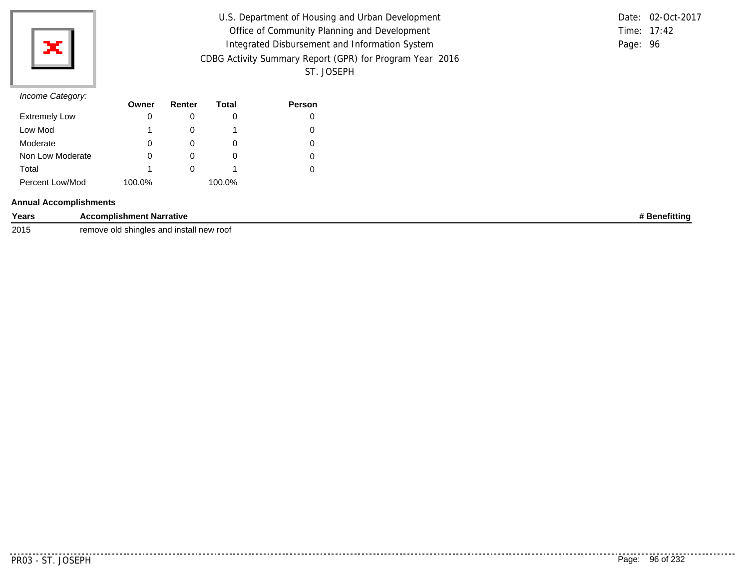

| U.S. Department of Housing and Urban Development         |          | Date: 02-Oct-2017 |
|----------------------------------------------------------|----------|-------------------|
| Office of Community Planning and Development             |          | Time: 17:42       |
| Integrated Disbursement and Information System           | Page: 96 |                   |
| CDBG Activity Summary Report (GPR) for Program Year 2016 |          |                   |
| ST. JOSEPH                                               |          |                   |

### *Income Category:*

| $\overline{\phantom{a}}$ | Owner  | Renter | Total  | <b>Person</b> |
|--------------------------|--------|--------|--------|---------------|
| <b>Extremely Low</b>     | 0      |        | O      |               |
| Low Mod                  |        |        |        |               |
| Moderate                 | 0      |        | O      |               |
| Non Low Moderate         |        |        | O      |               |
| Total                    |        |        |        |               |
| Percent Low/Mod          | 100.0% |        | 100.0% |               |

### **Annual Accomplishments**

| Years | <b>Accomplishment Narrative</b> | efittin.<br>en. |
|-------|---------------------------------|-----------------|
|       |                                 |                 |

2015 remove old shingles and install new roof

. . . . . . . . .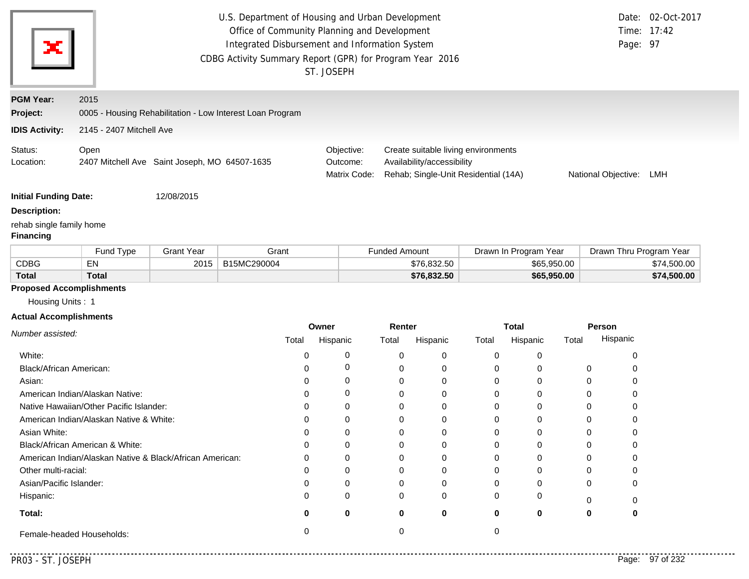|                                              | Date: 02-Oct-2017<br>U.S. Department of Housing and Urban Development<br>Office of Community Planning and Development<br>Time: 17:42<br>Integrated Disbursement and Information System<br>Page: 97<br>CDBG Activity Summary Report (GPR) for Program Year 2016<br>ST. JOSEPH |                   |                                                           |          |                                        |                      |                                                                                                           |          |                       |       |                         |             |
|----------------------------------------------|------------------------------------------------------------------------------------------------------------------------------------------------------------------------------------------------------------------------------------------------------------------------------|-------------------|-----------------------------------------------------------|----------|----------------------------------------|----------------------|-----------------------------------------------------------------------------------------------------------|----------|-----------------------|-------|-------------------------|-------------|
| <b>PGM Year:</b>                             | 2015                                                                                                                                                                                                                                                                         |                   |                                                           |          |                                        |                      |                                                                                                           |          |                       |       |                         |             |
| Project:                                     |                                                                                                                                                                                                                                                                              |                   | 0005 - Housing Rehabilitation - Low Interest Loan Program |          |                                        |                      |                                                                                                           |          |                       |       |                         |             |
| <b>IDIS Activity:</b>                        | 2145 - 2407 Mitchell Ave                                                                                                                                                                                                                                                     |                   |                                                           |          |                                        |                      |                                                                                                           |          |                       |       |                         |             |
| Status:<br>Location:                         | Open<br>2407 Mitchell Ave Saint Joseph, MO 64507-1635                                                                                                                                                                                                                        |                   |                                                           |          | Objective:<br>Outcome:<br>Matrix Code: |                      | Create suitable living environments<br>Availability/accessibility<br>Rehab; Single-Unit Residential (14A) |          |                       |       | National Objective:     | LMH         |
| <b>Initial Funding Date:</b>                 |                                                                                                                                                                                                                                                                              | 12/08/2015        |                                                           |          |                                        |                      |                                                                                                           |          |                       |       |                         |             |
| <b>Description:</b>                          |                                                                                                                                                                                                                                                                              |                   |                                                           |          |                                        |                      |                                                                                                           |          |                       |       |                         |             |
| rehab single family home<br><b>Financing</b> |                                                                                                                                                                                                                                                                              |                   |                                                           |          |                                        |                      |                                                                                                           |          |                       |       |                         |             |
|                                              | Fund Type                                                                                                                                                                                                                                                                    | <b>Grant Year</b> | Grant                                                     |          |                                        | <b>Funded Amount</b> |                                                                                                           |          | Drawn In Program Year |       | Drawn Thru Program Year |             |
| <b>CDBG</b>                                  | EN                                                                                                                                                                                                                                                                           | 2015              | B15MC290004                                               |          |                                        |                      | \$76,832.50                                                                                               |          | \$65,950.00           |       |                         | \$74,500.00 |
| <b>Total</b>                                 | <b>Total</b>                                                                                                                                                                                                                                                                 |                   |                                                           |          |                                        |                      | \$76,832.50                                                                                               |          | \$65,950.00           |       |                         | \$74,500.00 |
| <b>Proposed Accomplishments</b>              |                                                                                                                                                                                                                                                                              |                   |                                                           |          |                                        |                      |                                                                                                           |          |                       |       |                         |             |
| Housing Units: 1                             |                                                                                                                                                                                                                                                                              |                   |                                                           |          |                                        |                      |                                                                                                           |          |                       |       |                         |             |
| <b>Actual Accomplishments</b>                |                                                                                                                                                                                                                                                                              |                   |                                                           | Owner    |                                        | Renter               |                                                                                                           |          | <b>Total</b>          |       | Person                  |             |
| Number assisted:                             |                                                                                                                                                                                                                                                                              |                   | Total                                                     | Hispanic |                                        | Total                | Hispanic                                                                                                  | Total    | Hispanic              | Total | Hispanic                |             |
| White:                                       |                                                                                                                                                                                                                                                                              |                   | 0                                                         |          | 0                                      | 0                    | 0                                                                                                         | 0        | 0                     |       | 0                       |             |
| Black/African American:                      |                                                                                                                                                                                                                                                                              |                   | 0                                                         |          | 0                                      | 0                    | 0                                                                                                         | 0        | 0                     |       | 0<br>0                  |             |
| Asian:                                       |                                                                                                                                                                                                                                                                              |                   | 0                                                         |          | 0                                      | 0                    | 0                                                                                                         | 0        | 0                     |       | 0<br>0                  |             |
|                                              | American Indian/Alaskan Native:                                                                                                                                                                                                                                              |                   | 0                                                         |          | 0                                      | 0                    | 0                                                                                                         | 0        | 0                     |       | 0<br>0                  |             |
|                                              | Native Hawaiian/Other Pacific Islander:                                                                                                                                                                                                                                      |                   | 0                                                         |          | 0                                      | 0                    | 0                                                                                                         | 0        | 0                     |       | 0<br>0                  |             |
|                                              | American Indian/Alaskan Native & White:                                                                                                                                                                                                                                      |                   | 0                                                         |          | 0                                      | 0                    | 0                                                                                                         | 0        | 0                     |       | 0<br>0                  |             |
| Asian White:                                 |                                                                                                                                                                                                                                                                              |                   | $\Omega$                                                  |          | 0                                      | $\Omega$             | $\Omega$                                                                                                  | $\Omega$ | 0                     |       | $\Omega$<br>$\Omega$    |             |
|                                              | Black/African American & White:                                                                                                                                                                                                                                              |                   | 0                                                         |          | 0                                      | 0                    | 0                                                                                                         | 0        | 0                     |       | 0<br>0                  |             |
|                                              | American Indian/Alaskan Native & Black/African American:                                                                                                                                                                                                                     |                   | 0                                                         |          | 0                                      | 0                    | 0                                                                                                         | 0        | 0                     |       | 0<br>0                  |             |
| Other multi-racial:                          |                                                                                                                                                                                                                                                                              |                   | 0                                                         |          | 0                                      | 0                    | 0                                                                                                         | 0        | 0                     |       | 0<br>0                  |             |
| Asian/Pacific Islander:                      |                                                                                                                                                                                                                                                                              |                   | 0                                                         |          | 0                                      | $\Omega$             | 0                                                                                                         | 0        | 0                     |       | 0<br>0                  |             |
| Hispanic:                                    |                                                                                                                                                                                                                                                                              |                   | 0                                                         |          | 0                                      | 0                    | 0                                                                                                         | 0        | 0                     |       | 0<br>0                  |             |
| Total:                                       |                                                                                                                                                                                                                                                                              |                   | 0                                                         |          | 0                                      | 0                    | 0                                                                                                         | 0        | 0                     |       | 0<br>0                  |             |
|                                              | Female-headed Households:                                                                                                                                                                                                                                                    |                   | 0                                                         |          |                                        | 0                    |                                                                                                           | 0        |                       |       |                         |             |

PR03 - ST. JOSEPH Page: 97 of 232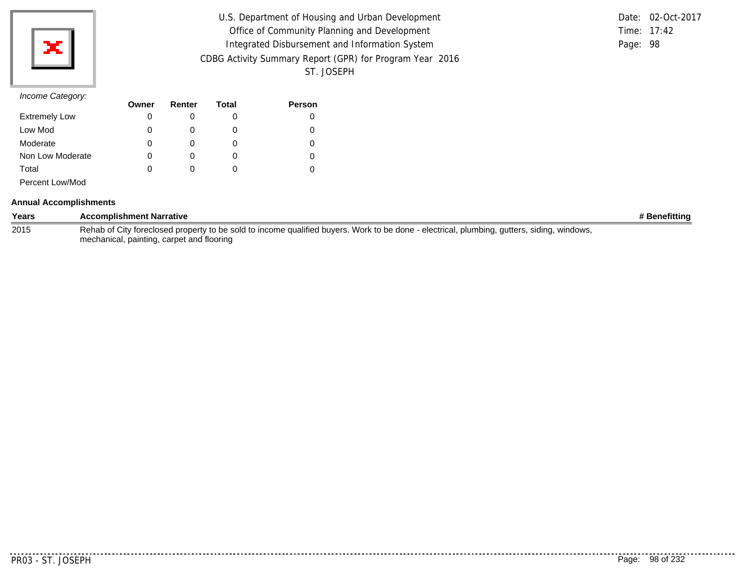| U.S. Department of Housing and Urban Development         |               | Date: 02-Oct-2017 |
|----------------------------------------------------------|---------------|-------------------|
| Office of Community Planning and Development             | Time: $17:42$ |                   |
| Integrated Disbursement and Information System           | Page: 98      |                   |
| CDBG Activity Summary Report (GPR) for Program Year 2016 |               |                   |
| ST. JOSEPH                                               |               |                   |

|          | Date: 02-Oct-2017 |
|----------|-------------------|
|          | Time: $17:42$     |
| Page: 98 |                   |

## *Income Category:*

| $\overline{\phantom{a}}$ | Owner | Renter | Total | <b>Person</b> |
|--------------------------|-------|--------|-------|---------------|
| <b>Extremely Low</b>     | 0     |        | O     |               |
| Low Mod                  |       |        | O     |               |
| Moderate                 | 0     |        | O     |               |
| Non Low Moderate         | 0     |        | O     |               |
| Total                    | 0     |        | O     |               |
| Percent Low/Mod          |       |        |       |               |

#### **Annual Accomplishments**

| Years | <b>Accomplishment Narrative</b>                                                                                                            | # Benefitting |
|-------|--------------------------------------------------------------------------------------------------------------------------------------------|---------------|
| 2015  | Rehab of City foreclosed property to be sold to income qualified buyers. Work to be done - electrical, plumbing, gutters, siding, windows, |               |
|       | mechanical, painting, carpet and flooring                                                                                                  |               |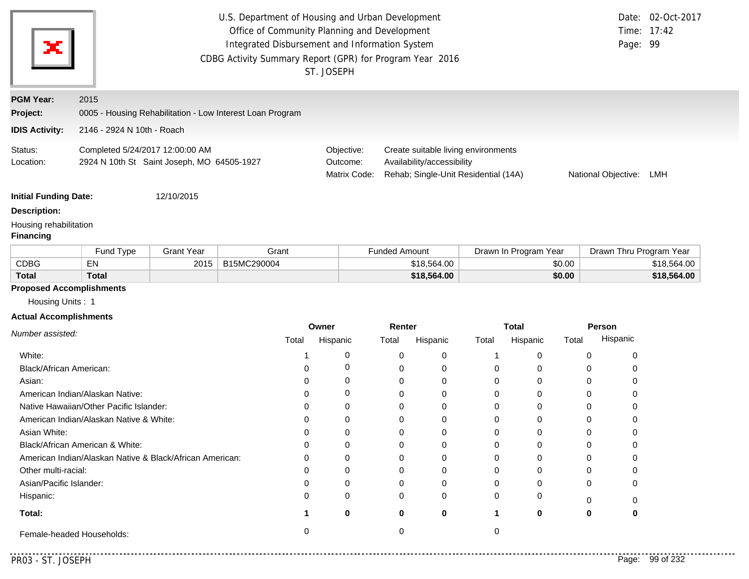| х                                                                 | U.S. Department of Housing and Urban Development<br>Office of Community Planning and Development<br>Integrated Disbursement and Information System<br>CDBG Activity Summary Report (GPR) for Program Year 2016<br>ST. JOSEPH |                                            |                                                           |                                        |                      |                                                                                                           |          |                          |                 |                     | Date: 02-Oct-2017<br>Time: 17:42<br>Page: 99 |
|-------------------------------------------------------------------|------------------------------------------------------------------------------------------------------------------------------------------------------------------------------------------------------------------------------|--------------------------------------------|-----------------------------------------------------------|----------------------------------------|----------------------|-----------------------------------------------------------------------------------------------------------|----------|--------------------------|-----------------|---------------------|----------------------------------------------|
| <b>PGM Year:</b>                                                  | 2015                                                                                                                                                                                                                         |                                            |                                                           |                                        |                      |                                                                                                           |          |                          |                 |                     |                                              |
| Project:                                                          |                                                                                                                                                                                                                              |                                            | 0005 - Housing Rehabilitation - Low Interest Loan Program |                                        |                      |                                                                                                           |          |                          |                 |                     |                                              |
| <b>IDIS Activity:</b>                                             | 2146 - 2924 N 10th - Roach                                                                                                                                                                                                   |                                            |                                                           |                                        |                      |                                                                                                           |          |                          |                 |                     |                                              |
| Status:<br>Location:                                              | Completed 5/24/2017 12:00:00 AM                                                                                                                                                                                              | 2924 N 10th St Saint Joseph, MO 64505-1927 |                                                           | Objective:<br>Outcome:<br>Matrix Code: |                      | Create suitable living environments<br>Availability/accessibility<br>Rehab; Single-Unit Residential (14A) |          |                          |                 | National Objective: | LMH                                          |
| <b>Initial Funding Date:</b>                                      |                                                                                                                                                                                                                              | 12/10/2015                                 |                                                           |                                        |                      |                                                                                                           |          |                          |                 |                     |                                              |
| <b>Description:</b><br>Housing rehabilitation<br><b>Financing</b> |                                                                                                                                                                                                                              |                                            |                                                           |                                        |                      |                                                                                                           |          |                          |                 |                     |                                              |
|                                                                   | Fund Type                                                                                                                                                                                                                    | <b>Grant Year</b>                          | Grant                                                     |                                        | <b>Funded Amount</b> |                                                                                                           |          | Drawn In Program Year    |                 |                     | Drawn Thru Program Year                      |
| <b>CDBG</b>                                                       | EN                                                                                                                                                                                                                           | 2015                                       | B15MC290004                                               |                                        |                      | \$18,564.00                                                                                               |          |                          | \$0.00          |                     | \$18,564.00                                  |
| <b>Total</b>                                                      | <b>Total</b>                                                                                                                                                                                                                 |                                            |                                                           |                                        |                      | \$18,564.00                                                                                               |          |                          | \$0.00          |                     | \$18,564.00                                  |
| <b>Proposed Accomplishments</b>                                   |                                                                                                                                                                                                                              |                                            |                                                           |                                        |                      |                                                                                                           |          |                          |                 |                     |                                              |
|                                                                   |                                                                                                                                                                                                                              |                                            |                                                           |                                        |                      |                                                                                                           |          |                          |                 |                     |                                              |
| Housing Units: 1                                                  |                                                                                                                                                                                                                              |                                            |                                                           |                                        |                      |                                                                                                           |          |                          |                 |                     |                                              |
| <b>Actual Accomplishments</b>                                     |                                                                                                                                                                                                                              |                                            |                                                           |                                        |                      |                                                                                                           |          |                          |                 |                     |                                              |
| Number assisted:                                                  |                                                                                                                                                                                                                              |                                            | Total                                                     | Owner<br>Hispanic                      | Renter<br>Total      | Hispanic                                                                                                  | Total    | <b>Total</b><br>Hispanic | Person<br>Total | Hispanic            |                                              |
| White:                                                            |                                                                                                                                                                                                                              |                                            | -1                                                        | 0                                      | 0                    | 0                                                                                                         | 1        | 0                        | 0               | 0                   |                                              |
| Black/African American:                                           |                                                                                                                                                                                                                              |                                            | $\Omega$                                                  | 0                                      | 0                    | 0                                                                                                         | 0        | 0                        | 0               | 0                   |                                              |
| Asian:                                                            |                                                                                                                                                                                                                              |                                            | 0                                                         | 0                                      | 0                    | 0                                                                                                         | 0        | 0                        | 0               | 0                   |                                              |
|                                                                   | American Indian/Alaskan Native:                                                                                                                                                                                              |                                            | $\Omega$                                                  | 0                                      | 0                    | 0                                                                                                         | 0        | 0                        | 0               | 0                   |                                              |
|                                                                   | Native Hawaiian/Other Pacific Islander:                                                                                                                                                                                      |                                            | 0                                                         | 0                                      | 0                    | 0                                                                                                         | 0        | 0                        | 0               | 0                   |                                              |
|                                                                   | American Indian/Alaskan Native & White:                                                                                                                                                                                      |                                            | 0                                                         | 0                                      | 0                    | 0                                                                                                         | 0        | 0                        | 0               | 0                   |                                              |
| Asian White:                                                      |                                                                                                                                                                                                                              |                                            | $\Omega$                                                  | 0                                      | $\Omega$             | 0                                                                                                         | $\Omega$ | $\Omega$                 | $\Omega$        | 0                   |                                              |
|                                                                   | Black/African American & White:                                                                                                                                                                                              |                                            | $\Omega$                                                  | 0                                      | 0                    | 0                                                                                                         | 0        | 0                        | 0               | 0                   |                                              |
|                                                                   | American Indian/Alaskan Native & Black/African American:                                                                                                                                                                     |                                            | $\Omega$                                                  | 0                                      | 0                    | 0                                                                                                         | 0        | 0                        | 0               | 0                   |                                              |
| Other multi-racial:                                               |                                                                                                                                                                                                                              |                                            | $\Omega$                                                  | 0                                      | $\mathbf 0$          | 0                                                                                                         | 0        | 0                        | 0               | 0                   |                                              |
| Asian/Pacific Islander:                                           |                                                                                                                                                                                                                              |                                            | 0                                                         | 0                                      | $\mathbf 0$          | 0                                                                                                         | 0        | 0                        | 0               | 0                   |                                              |
| Hispanic:                                                         |                                                                                                                                                                                                                              |                                            | $\Omega$                                                  | $\Omega$                               | $\Omega$             | 0                                                                                                         | 0        | 0                        | 0               | 0                   |                                              |
| Total:                                                            |                                                                                                                                                                                                                              |                                            | 1                                                         | $\bf{0}$                               | $\mathbf 0$          | $\mathbf 0$                                                                                               | 1        | 0                        | 0               | 0                   |                                              |

 $- - - - -$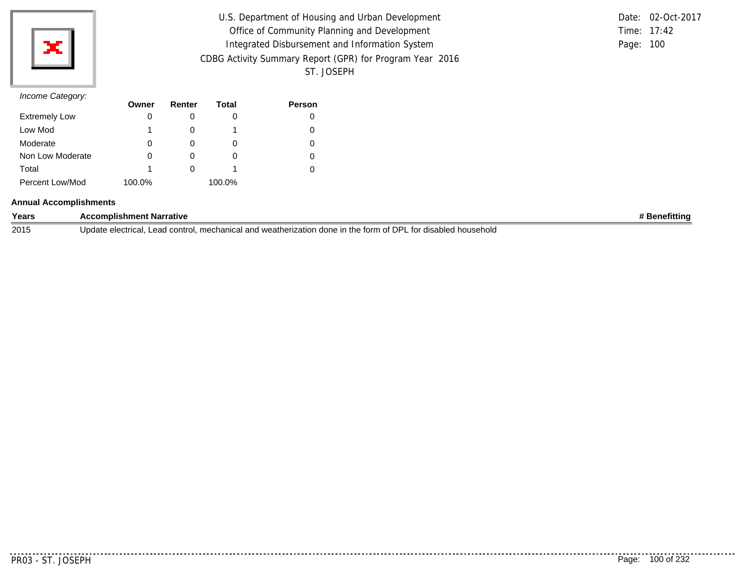

| U.S. Department of Housing and Urban Development         |           | Date: 02-Oct-2017 |
|----------------------------------------------------------|-----------|-------------------|
| Office of Community Planning and Development             |           | Time: 17:42       |
| Integrated Disbursement and Information System           | Page: 100 |                   |
| CDBG Activity Summary Report (GPR) for Program Year 2016 |           |                   |
| ST. JOSEPH                                               |           |                   |

|           | Date: 02-Oct-2017 |
|-----------|-------------------|
|           | Time: $17:42$     |
| Page: 100 |                   |

## *Income Category:*

|                      | Owner  | Renter | Total  | <b>Person</b> |
|----------------------|--------|--------|--------|---------------|
| <b>Extremely Low</b> | O      |        | O      | 0             |
| Low Mod              |        |        |        | 0             |
| Moderate             | 0      |        | O      | 0             |
| Non Low Moderate     | 0      |        | O      | 0             |
| Total                |        |        |        | 0             |
| Percent Low/Mod      | 100.0% |        | 100.0% |               |

#### **Annual Accomplishments**

| Years | omplishment Narrative:                                                                                                                | etitting |
|-------|---------------------------------------------------------------------------------------------------------------------------------------|----------|
| 2015  | of DPL<br>I and weatherization<br>' householo<br>Jndate.<br>alootrice<br>mechanica<br>the form<br>done in<br>∟ for disabled<br>contro |          |

. . . . . . . . .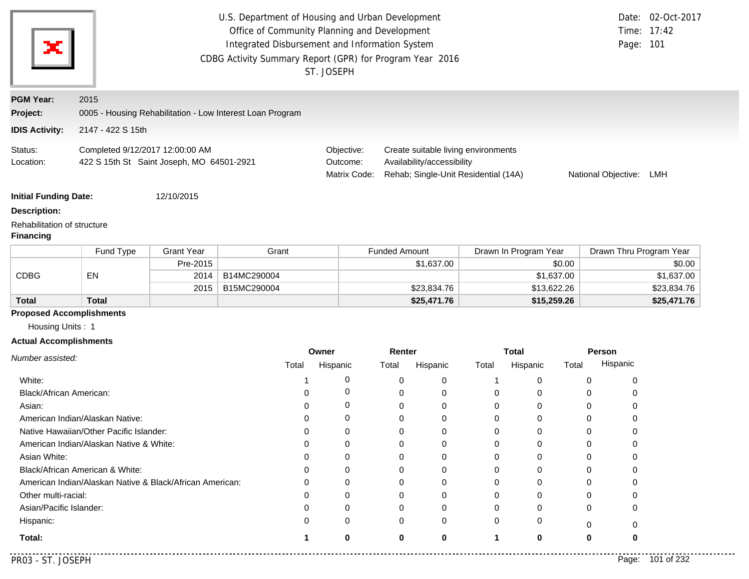|                                                                        |                                         |                                                          | U.S. Department of Housing and Urban Development<br>Office of Community Planning and Development<br>Integrated Disbursement and Information System<br>CDBG Activity Summary Report (GPR) for Program Year 2016 | ST. JOSEPH        |                            |                                                                                                           |          |                          |             | Page: 101               | Date: 02-Oct-2017<br>Time: 17:42 |
|------------------------------------------------------------------------|-----------------------------------------|----------------------------------------------------------|----------------------------------------------------------------------------------------------------------------------------------------------------------------------------------------------------------------|-------------------|----------------------------|-----------------------------------------------------------------------------------------------------------|----------|--------------------------|-------------|-------------------------|----------------------------------|
| <b>PGM Year:</b><br>Project:                                           | 2015                                    |                                                          | 0005 - Housing Rehabilitation - Low Interest Loan Program                                                                                                                                                      |                   |                            |                                                                                                           |          |                          |             |                         |                                  |
| <b>IDIS Activity:</b>                                                  | 2147 - 422 S 15th                       |                                                          |                                                                                                                                                                                                                |                   |                            |                                                                                                           |          |                          |             |                         |                                  |
|                                                                        |                                         |                                                          |                                                                                                                                                                                                                |                   |                            |                                                                                                           |          |                          |             |                         |                                  |
| Status:<br>Location:                                                   | Completed 9/12/2017 12:00:00 AM         | 422 S 15th St Saint Joseph, MO 64501-2921                |                                                                                                                                                                                                                | Outcome:          | Objective:<br>Matrix Code: | Create suitable living environments<br>Availability/accessibility<br>Rehab; Single-Unit Residential (14A) |          |                          |             | National Objective:     | LMH                              |
| <b>Initial Funding Date:</b>                                           |                                         | 12/10/2015                                               |                                                                                                                                                                                                                |                   |                            |                                                                                                           |          |                          |             |                         |                                  |
| <b>Description:</b><br>Rehabilitation of structure<br><b>Financing</b> |                                         |                                                          |                                                                                                                                                                                                                |                   |                            |                                                                                                           |          |                          |             |                         |                                  |
|                                                                        | Fund Type                               | <b>Grant Year</b>                                        | Grant                                                                                                                                                                                                          |                   | <b>Funded Amount</b>       |                                                                                                           |          | Drawn In Program Year    |             | Drawn Thru Program Year |                                  |
|                                                                        |                                         | Pre-2015                                                 |                                                                                                                                                                                                                |                   |                            | \$1,637.00                                                                                                |          |                          | \$0.00      |                         | \$0.00                           |
| <b>CDBG</b>                                                            | EN                                      | 2014                                                     | B14MC290004                                                                                                                                                                                                    |                   |                            |                                                                                                           |          |                          | \$1,637.00  |                         | \$1,637.00                       |
|                                                                        |                                         | 2015                                                     | B15MC290004                                                                                                                                                                                                    |                   |                            | \$23,834.76                                                                                               |          |                          | \$13,622.26 |                         | \$23,834.76                      |
| <b>Total</b>                                                           | <b>Total</b>                            |                                                          |                                                                                                                                                                                                                |                   |                            | \$25,471.76                                                                                               |          |                          | \$15,259.26 |                         | \$25,471.76                      |
| <b>Proposed Accomplishments</b><br>Housing Units: 1                    |                                         |                                                          |                                                                                                                                                                                                                |                   |                            |                                                                                                           |          |                          |             |                         |                                  |
| <b>Actual Accomplishments</b>                                          |                                         |                                                          |                                                                                                                                                                                                                |                   |                            |                                                                                                           |          |                          |             |                         |                                  |
| Number assisted:                                                       |                                         |                                                          | Total                                                                                                                                                                                                          | Owner<br>Hispanic | Total                      | Renter<br>Hispanic                                                                                        | Total    | <b>Total</b><br>Hispanic | Total       | Person<br>Hispanic      |                                  |
| White:                                                                 |                                         |                                                          |                                                                                                                                                                                                                |                   | 0                          | 0<br>0                                                                                                    | -1       | 0                        |             | 0<br>0                  |                                  |
| Black/African American:                                                |                                         |                                                          | 0                                                                                                                                                                                                              |                   | 0                          | 0<br>0                                                                                                    | 0        | 0                        |             | 0<br>0                  |                                  |
| Asian:                                                                 |                                         |                                                          | 0                                                                                                                                                                                                              |                   | 0                          | 0<br>0                                                                                                    | 0        | 0                        |             | 0<br>0                  |                                  |
|                                                                        | American Indian/Alaskan Native:         |                                                          | 0                                                                                                                                                                                                              |                   | 0                          | 0<br>0                                                                                                    | 0        | 0                        |             | 0<br>0                  |                                  |
|                                                                        | Native Hawaiian/Other Pacific Islander: |                                                          | 0                                                                                                                                                                                                              |                   | 0                          | 0<br>0                                                                                                    | $\Omega$ | 0                        |             | $\Omega$<br>0           |                                  |
|                                                                        | American Indian/Alaskan Native & White: |                                                          | 0                                                                                                                                                                                                              |                   | 0                          | 0<br>0                                                                                                    | 0        | 0                        |             | 0<br>O                  |                                  |
| Asian White:                                                           |                                         |                                                          | 0                                                                                                                                                                                                              |                   | 0                          | 0<br>0                                                                                                    | 0        | 0                        |             | 0<br>O                  |                                  |
|                                                                        | Black/African American & White:         |                                                          | 0                                                                                                                                                                                                              |                   | 0                          | 0<br>0                                                                                                    | $\Omega$ | $\Omega$                 |             | 0<br>∩                  |                                  |
|                                                                        |                                         | American Indian/Alaskan Native & Black/African American: | O                                                                                                                                                                                                              |                   | 0                          | 0<br>0                                                                                                    | 0        | 0                        |             | 0                       |                                  |
| Other multi-racial:                                                    |                                         |                                                          | 0                                                                                                                                                                                                              |                   | O                          | 0<br>0                                                                                                    | 0        | O                        |             | 0                       |                                  |
| Asian/Pacific Islander:                                                |                                         |                                                          | 0                                                                                                                                                                                                              |                   | 0                          | ∩<br>0                                                                                                    | O        | 0                        |             | 0<br>ი                  |                                  |
| Hispanic:                                                              |                                         |                                                          | 0                                                                                                                                                                                                              |                   | 0                          | 0<br>0                                                                                                    | $\Omega$ | 0                        |             | 0<br>0                  |                                  |
| Total:                                                                 |                                         |                                                          |                                                                                                                                                                                                                |                   | 0                          | 0<br>0                                                                                                    | 1        | 0                        |             | 0<br>0                  |                                  |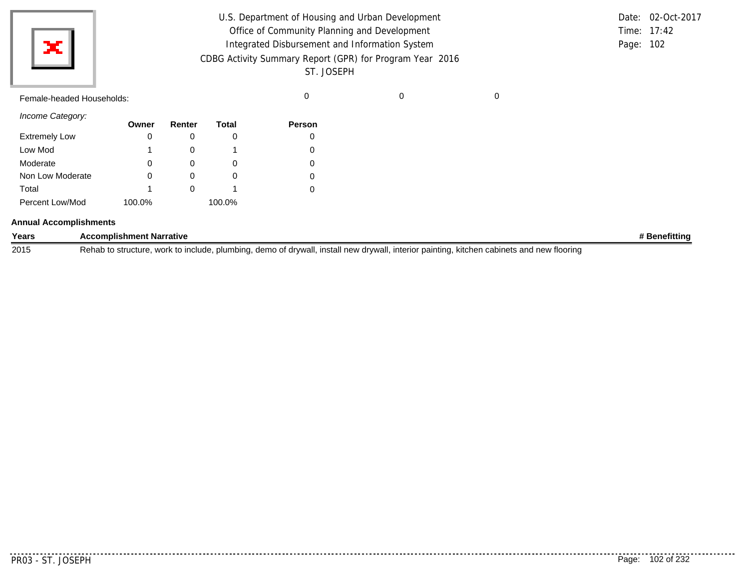| ×l<br>$\equiv$            | U.S. Department of Housing and Urban Development<br>Office of Community Planning and Development<br>Integrated Disbursement and Information System<br>CDBG Activity Summary Report (GPR) for Program Year 2016<br>ST. JOSEPH |  | Date: 02-Oct-2017<br>Time: 17:42<br>Page: 102 |
|---------------------------|------------------------------------------------------------------------------------------------------------------------------------------------------------------------------------------------------------------------------|--|-----------------------------------------------|
| Female-headed Households: |                                                                                                                                                                                                                              |  |                                               |

*Income Category:*

| <i><u>HICOHE Calegory.</u></i> | Owner  | Renter | Total  | <b>Person</b> |
|--------------------------------|--------|--------|--------|---------------|
| <b>Extremely Low</b>           | 0      | 0      |        | 0             |
| Low Mod                        | 1      | 0      |        |               |
| Moderate                       | 0      | 0      | O      | 0             |
| Non Low Moderate               | 0      | O      | O      |               |
| Total                          |        | O      |        |               |
| Percent Low/Mod                | 100.0% |        | 100.0% |               |

### **Annual Accomplishments**

| Years | <b>Omplishment Narrative</b>                                                                                                                                                              | nefittino |
|-------|-------------------------------------------------------------------------------------------------------------------------------------------------------------------------------------------|-----------|
| 2015  | install new drvwal<br>' floorin⊾<br>demo of drvwall<br>interior painting<br>Rehab<br>plumbina<br><b>include</b><br>work<br>cabinets<br>kitchen<br>and<br>, structure<br>∩ nev.<br>'' udu. |           |

. . . . . . . . . . .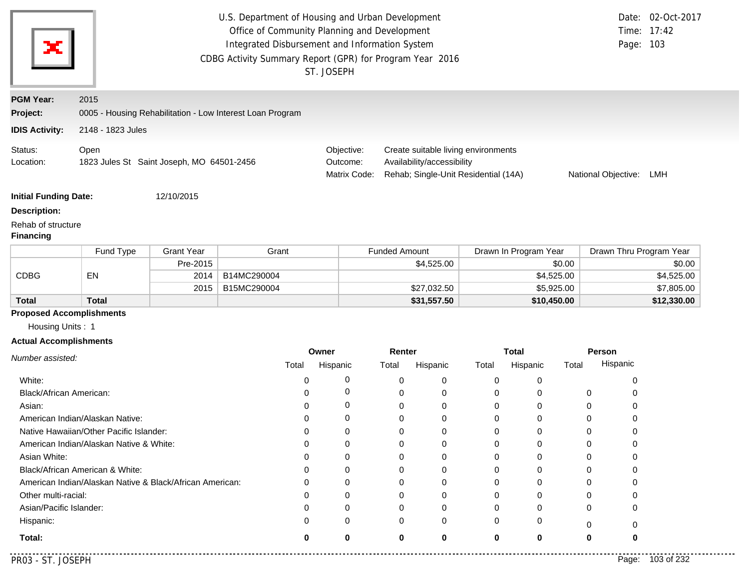| x                                      |                                                           |                   | U.S. Department of Housing and Urban Development<br>CDBG Activity Summary Report (GPR) for Program Year 2016 |                                        | Office of Community Planning and Development<br>Integrated Disbursement and Information System<br>ST. JOSEPH |                                                                                                           |             |             |                       |                         | Page: 103 | Date: 02-Oct-2017<br>Time: 17:42 |  |
|----------------------------------------|-----------------------------------------------------------|-------------------|--------------------------------------------------------------------------------------------------------------|----------------------------------------|--------------------------------------------------------------------------------------------------------------|-----------------------------------------------------------------------------------------------------------|-------------|-------------|-----------------------|-------------------------|-----------|----------------------------------|--|
| <b>PGM Year:</b>                       | 2015                                                      |                   |                                                                                                              |                                        |                                                                                                              |                                                                                                           |             |             |                       |                         |           |                                  |  |
| Project:                               | 0005 - Housing Rehabilitation - Low Interest Loan Program |                   |                                                                                                              |                                        |                                                                                                              |                                                                                                           |             |             |                       |                         |           |                                  |  |
| <b>IDIS Activity:</b>                  | 2148 - 1823 Jules                                         |                   |                                                                                                              |                                        |                                                                                                              |                                                                                                           |             |             |                       |                         |           |                                  |  |
|                                        |                                                           |                   |                                                                                                              |                                        |                                                                                                              |                                                                                                           |             |             |                       |                         |           |                                  |  |
| Status:<br>Location:                   | Open<br>1823 Jules St Saint Joseph, MO 64501-2456         |                   |                                                                                                              | Objective:<br>Outcome:<br>Matrix Code: |                                                                                                              | Create suitable living environments<br>Availability/accessibility<br>Rehab; Single-Unit Residential (14A) |             |             |                       | National Objective: LMH |           |                                  |  |
| <b>Initial Funding Date:</b>           |                                                           | 12/10/2015        |                                                                                                              |                                        |                                                                                                              |                                                                                                           |             |             |                       |                         |           |                                  |  |
| <b>Description:</b>                    |                                                           |                   |                                                                                                              |                                        |                                                                                                              |                                                                                                           |             |             |                       |                         |           |                                  |  |
| Rehab of structure<br><b>Financing</b> |                                                           |                   |                                                                                                              |                                        |                                                                                                              |                                                                                                           |             |             |                       |                         |           |                                  |  |
|                                        | Fund Type                                                 | <b>Grant Year</b> | Grant                                                                                                        |                                        |                                                                                                              | <b>Funded Amount</b>                                                                                      |             |             | Drawn In Program Year |                         |           | Drawn Thru Program Year          |  |
|                                        |                                                           | Pre-2015          |                                                                                                              |                                        |                                                                                                              |                                                                                                           | \$4,525.00  | \$0.00      |                       |                         | \$0.00    |                                  |  |
| <b>CDBG</b>                            | EN                                                        | 2014              | B14MC290004                                                                                                  |                                        |                                                                                                              |                                                                                                           |             | \$4,525.00  |                       |                         |           | \$4,525.00                       |  |
|                                        |                                                           | 2015              | B15MC290004                                                                                                  |                                        |                                                                                                              |                                                                                                           | \$27,032.50 |             | \$5,925.00            |                         |           | \$7,805.00                       |  |
| <b>Total</b>                           | <b>Total</b>                                              |                   |                                                                                                              |                                        |                                                                                                              |                                                                                                           | \$31,557.50 |             | \$10,450.00           |                         |           | \$12,330.00                      |  |
| <b>Proposed Accomplishments</b>        |                                                           |                   |                                                                                                              |                                        |                                                                                                              |                                                                                                           |             |             |                       |                         |           |                                  |  |
| Housing Units: 1                       |                                                           |                   |                                                                                                              |                                        |                                                                                                              |                                                                                                           |             |             |                       |                         |           |                                  |  |
| <b>Actual Accomplishments</b>          |                                                           |                   |                                                                                                              |                                        | Owner                                                                                                        | Renter                                                                                                    |             |             | <b>Total</b>          |                         | Person    |                                  |  |
| Number assisted:                       |                                                           |                   |                                                                                                              | Total                                  | Hispanic                                                                                                     | Total                                                                                                     | Hispanic    | Total       | Hispanic              | Total                   | Hispanic  |                                  |  |
| White:                                 |                                                           |                   |                                                                                                              | 0                                      | 0                                                                                                            | 0                                                                                                         | 0           | 0           | 0                     |                         | 0         |                                  |  |
| Black/African American:                |                                                           |                   |                                                                                                              | 0                                      | 0                                                                                                            | 0                                                                                                         | 0           | 0           | 0                     | 0                       | 0         |                                  |  |
| Asian:                                 |                                                           |                   |                                                                                                              | O                                      | 0                                                                                                            | $\Omega$                                                                                                  | 0           | 0           | 0                     | 0                       | 0         |                                  |  |
|                                        | American Indian/Alaskan Native:                           |                   |                                                                                                              | O                                      | 0                                                                                                            | $\Omega$                                                                                                  | 0           | 0           | 0                     | 0                       |           |                                  |  |
|                                        | Native Hawaiian/Other Pacific Islander:                   |                   |                                                                                                              | 0                                      | 0                                                                                                            | $\Omega$                                                                                                  | $\Omega$    | $\mathbf 0$ | 0                     | $\Omega$                | 0         |                                  |  |
|                                        | American Indian/Alaskan Native & White:                   |                   |                                                                                                              | ∩                                      | ∩                                                                                                            | 0                                                                                                         | 0           | 0           | 0                     | 0                       | O         |                                  |  |
| Asian White:                           |                                                           |                   |                                                                                                              |                                        | 0                                                                                                            | 0                                                                                                         | 0           | 0           | 0                     | 0                       | O         |                                  |  |
|                                        | Black/African American & White:                           |                   |                                                                                                              |                                        | ∩                                                                                                            | ∩                                                                                                         | 0           | 0           | 0                     | $\Omega$                |           |                                  |  |
|                                        | American Indian/Alaskan Native & Black/African American:  |                   |                                                                                                              |                                        |                                                                                                              |                                                                                                           | 0           | 0           | 0                     |                         |           |                                  |  |
| Other multi-racial:                    |                                                           |                   |                                                                                                              |                                        |                                                                                                              |                                                                                                           | 0           | 0           | 0                     | O                       |           |                                  |  |
| Asian/Pacific Islander:                |                                                           |                   |                                                                                                              |                                        | 0                                                                                                            |                                                                                                           | 0           | 0           | 0                     | 0                       |           |                                  |  |
| Hispanic:                              |                                                           |                   |                                                                                                              |                                        | 0                                                                                                            | 0                                                                                                         | 0           | 0           | 0                     | 0                       | 0         |                                  |  |
|                                        |                                                           |                   |                                                                                                              |                                        |                                                                                                              |                                                                                                           |             |             | 0                     |                         |           |                                  |  |
| Total:                                 |                                                           |                   |                                                                                                              | 0                                      | 0                                                                                                            | 0                                                                                                         | 0           | 0           |                       | 0                       |           |                                  |  |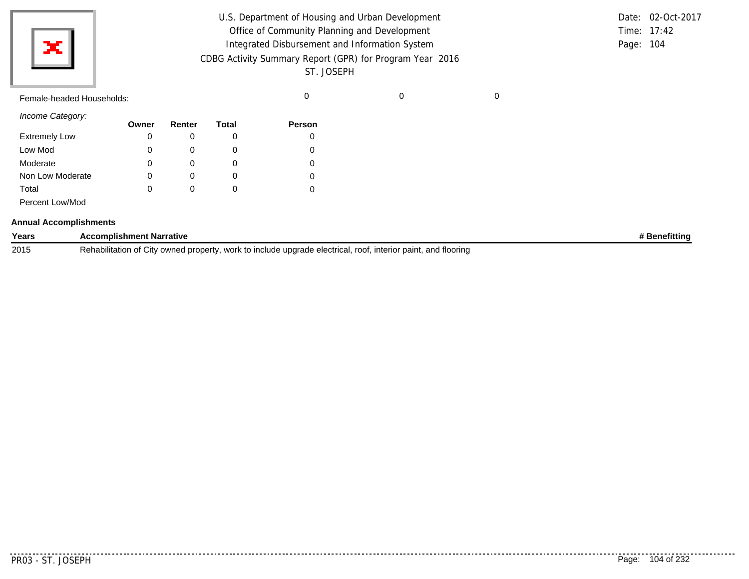Female-headed Households: example and the control of the control of the control of the control of the control o

*Income Category:*

|                      | Owner | Renter | Total    | <b>Person</b> |
|----------------------|-------|--------|----------|---------------|
| <b>Extremely Low</b> | 0     | O      |          | 0             |
| Low Mod              | 0     | O      |          | 0             |
| Moderate             | 0     |        | Ω        | 0             |
| Non Low Moderate     | 0     |        | O        | 0             |
| Total                | 0     |        | $\Omega$ | 0             |
| Percent Low/Mod      |       |        |          |               |

### **Annual Accomplishments**

| Years | <b>Accomplishment Narrative</b>                                                                                                                  | <b>Benefitting</b> |
|-------|--------------------------------------------------------------------------------------------------------------------------------------------------|--------------------|
| 2015  | and flooring<br><b>Rehabilitation</b><br>roof.<br>, work to include upgrade electrical.<br>. interior paint.<br>f City owned property.<br>$\sim$ |                    |

. . . . . . . .

. . . . . . . . . . . . . .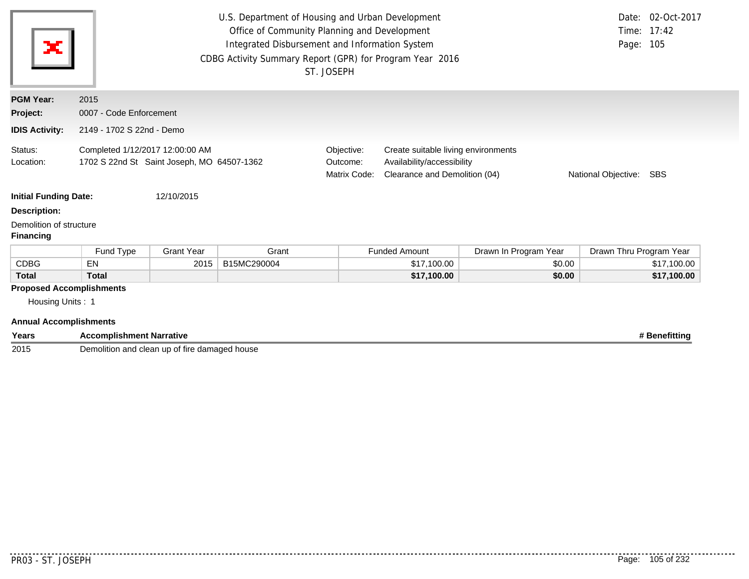| ×                                                                                    |                                                                               |                   | U.S. Department of Housing and Urban Development<br>Office of Community Planning and Development<br>Integrated Disbursement and Information System<br>CDBG Activity Summary Report (GPR) for Program Year 2016 | ST. JOSEPH                             |                                                                                                    |                       | Page: 105               | Date: 02-Oct-2017<br>Time: 17:42 |  |  |
|--------------------------------------------------------------------------------------|-------------------------------------------------------------------------------|-------------------|----------------------------------------------------------------------------------------------------------------------------------------------------------------------------------------------------------------|----------------------------------------|----------------------------------------------------------------------------------------------------|-----------------------|-------------------------|----------------------------------|--|--|
| <b>PGM Year:</b>                                                                     | 2015                                                                          |                   |                                                                                                                                                                                                                |                                        |                                                                                                    |                       |                         |                                  |  |  |
| Project:                                                                             | 0007 - Code Enforcement                                                       |                   |                                                                                                                                                                                                                |                                        |                                                                                                    |                       |                         |                                  |  |  |
| <b>IDIS Activity:</b>                                                                | 2149 - 1702 S 22nd - Demo                                                     |                   |                                                                                                                                                                                                                |                                        |                                                                                                    |                       |                         |                                  |  |  |
| Status:<br>Location:                                                                 | Completed 1/12/2017 12:00:00 AM<br>1702 S 22nd St Saint Joseph, MO 64507-1362 |                   |                                                                                                                                                                                                                | Objective:<br>Outcome:<br>Matrix Code: | Create suitable living environments<br>Availability/accessibility<br>Clearance and Demolition (04) |                       |                         | National Objective:<br>SBS       |  |  |
| <b>Initial Funding Date:</b>                                                         |                                                                               | 12/10/2015        |                                                                                                                                                                                                                |                                        |                                                                                                    |                       |                         |                                  |  |  |
| <b>Description:</b>                                                                  |                                                                               |                   |                                                                                                                                                                                                                |                                        |                                                                                                    |                       |                         |                                  |  |  |
| Demolition of structure<br><b>Financing</b>                                          |                                                                               |                   |                                                                                                                                                                                                                |                                        |                                                                                                    |                       |                         |                                  |  |  |
|                                                                                      | Fund Type                                                                     | <b>Grant Year</b> | Grant                                                                                                                                                                                                          |                                        | <b>Funded Amount</b>                                                                               | Drawn In Program Year | Drawn Thru Program Year |                                  |  |  |
| <b>CDBG</b>                                                                          | EN                                                                            | 2015              | B15MC290004                                                                                                                                                                                                    |                                        | \$17,100.00                                                                                        | \$0.00                |                         | \$17,100.00                      |  |  |
| <b>Total</b><br><b>Total</b>                                                         |                                                                               |                   |                                                                                                                                                                                                                |                                        | \$17,100.00                                                                                        | \$0.00                |                         | \$17,100.00                      |  |  |
| <b>Proposed Accomplishments</b><br>Housing Units: 1<br><b>Annual Accomplishments</b> |                                                                               |                   |                                                                                                                                                                                                                |                                        |                                                                                                    |                       |                         |                                  |  |  |

| Years | <b>Accomplishment Narrative</b>                         | Benefittino |
|-------|---------------------------------------------------------|-------------|
| 2015  | .<br>Demolition and clean up of fire<br>damaged house . |             |

. . . . . . . . . . . . . . . . . . .

 $- - - - - -$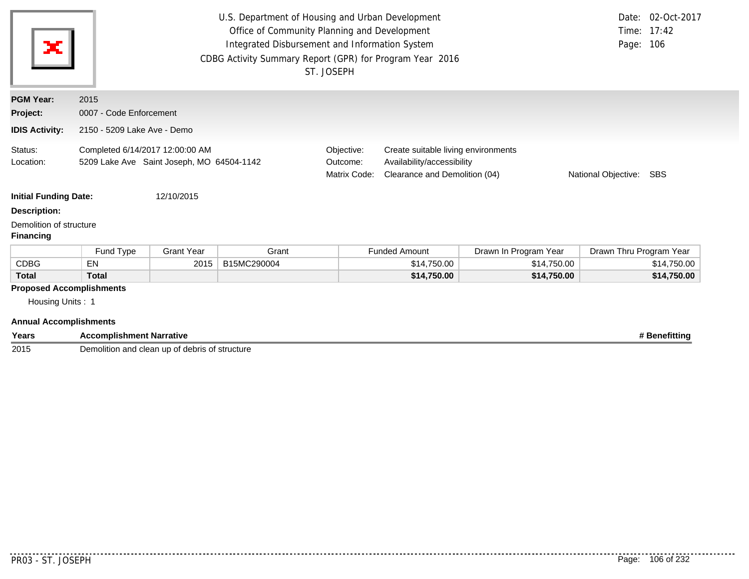| ×                                                                                    | U.S. Department of Housing and Urban Development<br>Date: 02-Oct-2017<br>Time: 17:42<br>Office of Community Planning and Development<br>Integrated Disbursement and Information System<br>Page: 106<br>CDBG Activity Summary Report (GPR) for Program Year 2016<br>ST. JOSEPH |                   |             |                                        |                                                                                                                               |                       |                         |             |  |  |
|--------------------------------------------------------------------------------------|-------------------------------------------------------------------------------------------------------------------------------------------------------------------------------------------------------------------------------------------------------------------------------|-------------------|-------------|----------------------------------------|-------------------------------------------------------------------------------------------------------------------------------|-----------------------|-------------------------|-------------|--|--|
| <b>PGM Year:</b>                                                                     | 2015                                                                                                                                                                                                                                                                          |                   |             |                                        |                                                                                                                               |                       |                         |             |  |  |
| Project:                                                                             | 0007 - Code Enforcement                                                                                                                                                                                                                                                       |                   |             |                                        |                                                                                                                               |                       |                         |             |  |  |
| <b>IDIS Activity:</b>                                                                | 2150 - 5209 Lake Ave - Demo                                                                                                                                                                                                                                                   |                   |             |                                        |                                                                                                                               |                       |                         |             |  |  |
| Status:<br>Location:                                                                 | Completed 6/14/2017 12:00:00 AM<br>5209 Lake Ave Saint Joseph, MO 64504-1142                                                                                                                                                                                                  |                   |             | Objective:<br>Outcome:<br>Matrix Code: | Create suitable living environments<br>Availability/accessibility<br>Clearance and Demolition (04)<br>National Objective: SBS |                       |                         |             |  |  |
| <b>Initial Funding Date:</b>                                                         |                                                                                                                                                                                                                                                                               | 12/10/2015        |             |                                        |                                                                                                                               |                       |                         |             |  |  |
| <b>Description:</b>                                                                  |                                                                                                                                                                                                                                                                               |                   |             |                                        |                                                                                                                               |                       |                         |             |  |  |
| Demolition of structure<br><b>Financing</b>                                          |                                                                                                                                                                                                                                                                               |                   |             |                                        |                                                                                                                               |                       |                         |             |  |  |
|                                                                                      | Fund Type                                                                                                                                                                                                                                                                     | <b>Grant Year</b> | Grant       |                                        | <b>Funded Amount</b>                                                                                                          | Drawn In Program Year | Drawn Thru Program Year |             |  |  |
| <b>CDBG</b>                                                                          | <b>EN</b>                                                                                                                                                                                                                                                                     | 2015              | B15MC290004 |                                        | \$14,750.00                                                                                                                   | \$14,750.00           |                         | \$14,750.00 |  |  |
| <b>Total</b>                                                                         | <b>Total</b>                                                                                                                                                                                                                                                                  |                   |             |                                        | \$14,750.00                                                                                                                   | \$14,750.00           |                         | \$14,750.00 |  |  |
| <b>Proposed Accomplishments</b><br>Housing Units: 1<br><b>Annual Accomplishments</b> |                                                                                                                                                                                                                                                                               |                   |             |                                        |                                                                                                                               |                       |                         |             |  |  |

| Years | ---<br>. Narrative<br>omplishme<br>'nτ                                               | efittina،. |
|-------|--------------------------------------------------------------------------------------|------------|
| 2015  | Demolitio<br>' structure<br>and<br><b>Nahric</b><br>clean<br>-up<br>^+<br>ucuus<br>. |            |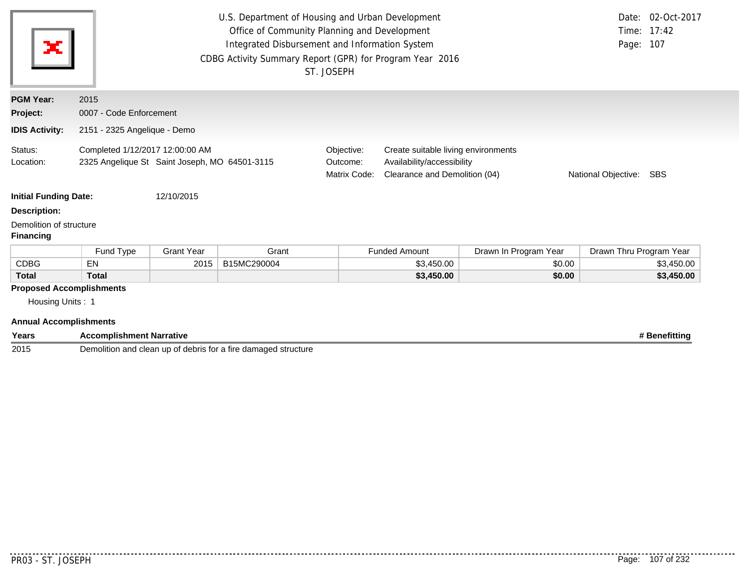| ×                                                                                    | U.S. Department of Housing and Urban Development<br>Date: 02-Oct-2017<br>Office of Community Planning and Development<br>Time: 17:42<br>Integrated Disbursement and Information System<br>Page: 107<br>CDBG Activity Summary Report (GPR) for Program Year 2016<br>ST. JOSEPH |                   |             |                                        |                                                                                                    |                       |                         |            |  |  |
|--------------------------------------------------------------------------------------|-------------------------------------------------------------------------------------------------------------------------------------------------------------------------------------------------------------------------------------------------------------------------------|-------------------|-------------|----------------------------------------|----------------------------------------------------------------------------------------------------|-----------------------|-------------------------|------------|--|--|
| <b>PGM Year:</b>                                                                     | 2015                                                                                                                                                                                                                                                                          |                   |             |                                        |                                                                                                    |                       |                         |            |  |  |
| Project:                                                                             | 0007 - Code Enforcement                                                                                                                                                                                                                                                       |                   |             |                                        |                                                                                                    |                       |                         |            |  |  |
| <b>IDIS Activity:</b>                                                                | 2151 - 2325 Angelique - Demo                                                                                                                                                                                                                                                  |                   |             |                                        |                                                                                                    |                       |                         |            |  |  |
| Status:<br>Location:                                                                 | Completed 1/12/2017 12:00:00 AM<br>2325 Angelique St Saint Joseph, MO 64501-3115                                                                                                                                                                                              |                   |             | Objective:<br>Outcome:<br>Matrix Code: | Create suitable living environments<br>Availability/accessibility<br>Clearance and Demolition (04) |                       | National Objective: SBS |            |  |  |
| <b>Initial Funding Date:</b>                                                         |                                                                                                                                                                                                                                                                               | 12/10/2015        |             |                                        |                                                                                                    |                       |                         |            |  |  |
| <b>Description:</b>                                                                  |                                                                                                                                                                                                                                                                               |                   |             |                                        |                                                                                                    |                       |                         |            |  |  |
| Demolition of structure<br><b>Financing</b>                                          |                                                                                                                                                                                                                                                                               |                   |             |                                        |                                                                                                    |                       |                         |            |  |  |
|                                                                                      | Fund Type                                                                                                                                                                                                                                                                     | <b>Grant Year</b> | Grant       |                                        | <b>Funded Amount</b>                                                                               | Drawn In Program Year | Drawn Thru Program Year |            |  |  |
| <b>CDBG</b>                                                                          | EN                                                                                                                                                                                                                                                                            | 2015              | B15MC290004 |                                        | \$3,450.00                                                                                         | \$0.00                |                         | \$3,450.00 |  |  |
| <b>Total</b>                                                                         | <b>Total</b>                                                                                                                                                                                                                                                                  |                   |             |                                        | \$3,450.00                                                                                         | \$0.00                |                         | \$3,450.00 |  |  |
| <b>Proposed Accomplishments</b><br>Housing Units: 1<br><b>Annual Accomplishments</b> |                                                                                                                                                                                                                                                                               |                   |             |                                        |                                                                                                    |                       |                         |            |  |  |

| Years | Accomplishment<br><b>া Narrative</b>                                   | -≀on |
|-------|------------------------------------------------------------------------|------|
| 2015  | Demolition and<br>structure<br>amaded<br>debris for a fire da<br>clean |      |

. . . . . . . . .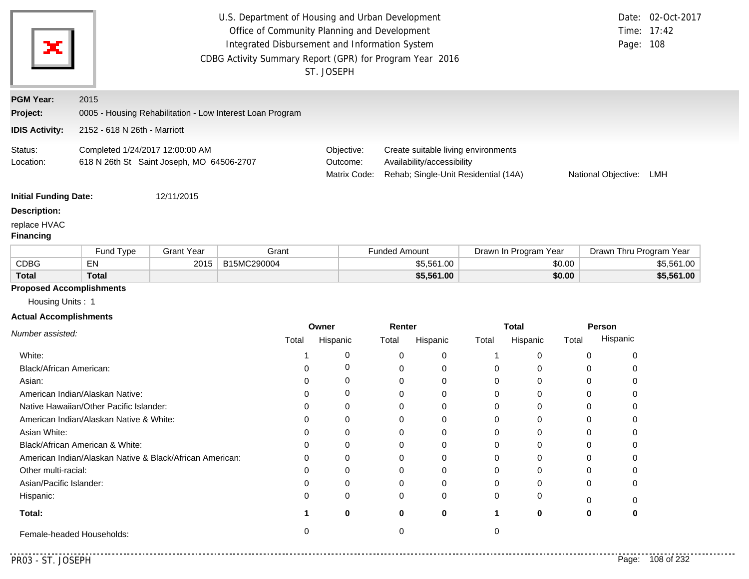| U.S. Department of Housing and Urban Development<br>Office of Community Planning and Development<br>Integrated Disbursement and Information System<br>CDBG Activity Summary Report (GPR) for Program Year 2016<br>ST. JOSEPH |                                                                              |                   |                                                           |          |                                                                                                                                                                                |                      |            |          |                       |        | Page: 108               | Date: 02-Oct-2017<br>Time: 17:42 |  |
|------------------------------------------------------------------------------------------------------------------------------------------------------------------------------------------------------------------------------|------------------------------------------------------------------------------|-------------------|-----------------------------------------------------------|----------|--------------------------------------------------------------------------------------------------------------------------------------------------------------------------------|----------------------|------------|----------|-----------------------|--------|-------------------------|----------------------------------|--|
| <b>PGM Year:</b><br>Project:                                                                                                                                                                                                 | 2015                                                                         |                   | 0005 - Housing Rehabilitation - Low Interest Loan Program |          |                                                                                                                                                                                |                      |            |          |                       |        |                         |                                  |  |
| <b>IDIS Activity:</b>                                                                                                                                                                                                        | 2152 - 618 N 26th - Marriott                                                 |                   |                                                           |          |                                                                                                                                                                                |                      |            |          |                       |        |                         |                                  |  |
| Status:<br>Location:                                                                                                                                                                                                         | Completed 1/24/2017 12:00:00 AM<br>618 N 26th St Saint Joseph, MO 64506-2707 |                   |                                                           |          | Objective:<br>Create suitable living environments<br>Outcome:<br>Availability/accessibility<br>Matrix Code:<br>Rehab; Single-Unit Residential (14A)<br>National Objective: LMH |                      |            |          |                       |        |                         |                                  |  |
| <b>Initial Funding Date:</b><br><b>Description:</b><br>replace HVAC<br><b>Financing</b>                                                                                                                                      |                                                                              | 12/11/2015        |                                                           |          |                                                                                                                                                                                |                      |            |          |                       |        |                         |                                  |  |
|                                                                                                                                                                                                                              | Fund Type                                                                    | <b>Grant Year</b> | Grant                                                     |          |                                                                                                                                                                                | <b>Funded Amount</b> |            |          | Drawn In Program Year |        | Drawn Thru Program Year |                                  |  |
| <b>CDBG</b>                                                                                                                                                                                                                  | EN                                                                           | 2015              | B15MC290004                                               |          |                                                                                                                                                                                |                      | \$5,561.00 |          |                       | \$0.00 |                         | \$5,561.00                       |  |
| <b>Total</b>                                                                                                                                                                                                                 | <b>Total</b>                                                                 |                   |                                                           |          |                                                                                                                                                                                |                      | \$5,561.00 |          |                       | \$0.00 |                         | \$5,561.00                       |  |
| <b>Proposed Accomplishments</b><br>Housing Units: 1<br><b>Actual Accomplishments</b>                                                                                                                                         |                                                                              |                   |                                                           | Owner    |                                                                                                                                                                                | Renter               |            |          | <b>Total</b>          |        | Person                  |                                  |  |
| Number assisted:                                                                                                                                                                                                             |                                                                              |                   | Total                                                     | Hispanic |                                                                                                                                                                                | Total                | Hispanic   | Total    | Hispanic              | Total  | Hispanic                |                                  |  |
| White:                                                                                                                                                                                                                       |                                                                              |                   | 1                                                         |          | 0                                                                                                                                                                              | 0                    | 0          | 1        | 0                     |        | 0<br>0                  |                                  |  |
| Black/African American:                                                                                                                                                                                                      |                                                                              |                   | 0                                                         |          | 0                                                                                                                                                                              | 0                    | 0          | 0        | 0                     |        | 0<br>0                  |                                  |  |
| Asian:                                                                                                                                                                                                                       |                                                                              |                   | 0                                                         |          | 0                                                                                                                                                                              | 0                    | 0          | 0        | 0                     |        | 0<br>0                  |                                  |  |
|                                                                                                                                                                                                                              | American Indian/Alaskan Native:                                              |                   | 0                                                         |          | 0                                                                                                                                                                              | 0                    | 0          | 0        | 0                     |        | 0<br>0                  |                                  |  |
|                                                                                                                                                                                                                              | Native Hawaiian/Other Pacific Islander:                                      |                   | 0                                                         |          | 0                                                                                                                                                                              | 0                    | 0          | 0        | 0                     |        | 0<br>0                  |                                  |  |
|                                                                                                                                                                                                                              | American Indian/Alaskan Native & White:                                      |                   | 0                                                         |          | 0                                                                                                                                                                              | 0                    | 0          | 0        | 0                     |        | 0<br>0                  |                                  |  |
| Asian White:                                                                                                                                                                                                                 |                                                                              |                   | 0                                                         |          | 0                                                                                                                                                                              | 0                    | 0          | $\Omega$ | 0                     |        | 0<br>0                  |                                  |  |
|                                                                                                                                                                                                                              | Black/African American & White:                                              |                   | 0                                                         |          | 0                                                                                                                                                                              | 0                    | 0          | 0        | 0                     |        | 0<br>0                  |                                  |  |
|                                                                                                                                                                                                                              | American Indian/Alaskan Native & Black/African American:                     |                   | ი                                                         |          |                                                                                                                                                                                | 0                    | 0          | 0        | 0                     |        | 0<br>0                  |                                  |  |
| Other multi-racial:                                                                                                                                                                                                          |                                                                              |                   | ი                                                         |          | 0                                                                                                                                                                              | 0                    | 0          | 0        | 0                     |        | 0<br>0                  |                                  |  |
| Asian/Pacific Islander:                                                                                                                                                                                                      |                                                                              |                   | 0                                                         |          |                                                                                                                                                                                | 0                    | 0          |          | 0                     |        | 0<br>0                  |                                  |  |
| Hispanic:                                                                                                                                                                                                                    |                                                                              |                   | ი                                                         |          | 0                                                                                                                                                                              | 0                    | 0          | 0        | 0                     |        | 0<br>0                  |                                  |  |
| Total:                                                                                                                                                                                                                       |                                                                              |                   | 1                                                         |          | 0                                                                                                                                                                              | 0                    | 0          | 1        | 0                     |        | 0<br>0                  |                                  |  |
|                                                                                                                                                                                                                              | Female-headed Households:                                                    |                   | 0                                                         |          |                                                                                                                                                                                | 0                    |            | 0        |                       |        |                         |                                  |  |

. . . . . . . . .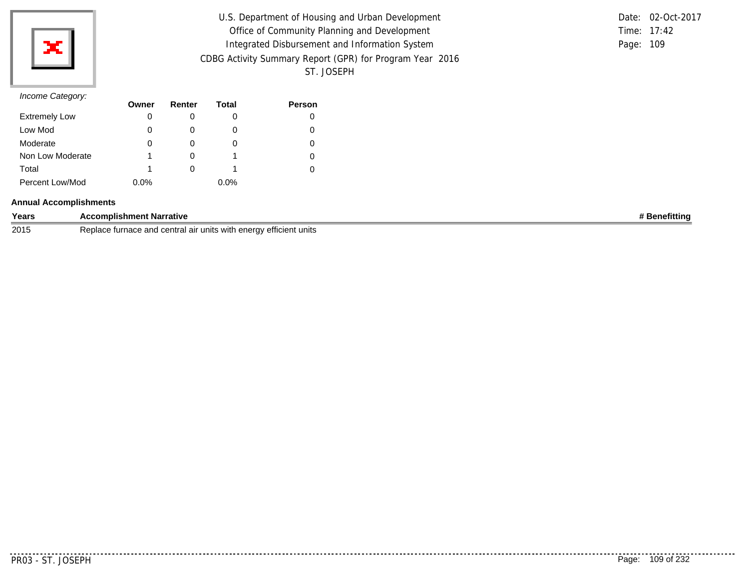

| U.S. Department of Housing and Urban Development         |           | Date: 02-Oct-2017 |
|----------------------------------------------------------|-----------|-------------------|
|                                                          |           |                   |
| Office of Community Planning and Development             |           | Time: 17:42       |
| Integrated Disbursement and Information System           | Page: 109 |                   |
| CDBG Activity Summary Report (GPR) for Program Year 2016 |           |                   |
| ST. JOSEPH                                               |           |                   |

|           | Date: 02-Oct-2017 |
|-----------|-------------------|
|           | Time: $17:42$     |
| Page: 109 |                   |

| $11001110$ catogory. | Owner   | Renter | Total | <b>Person</b> |
|----------------------|---------|--------|-------|---------------|
| <b>Extremely Low</b> | 0       |        | O     |               |
| Low Mod              | 0       |        | O     |               |
| Moderate             |         |        | O     |               |
| Non Low Moderate     |         |        |       |               |
| Total                |         |        |       |               |
| Percent Low/Mod      | $0.0\%$ |        | 0.0%  |               |

#### **Annual Accomplishments**

| Years | :omplishment Narrative                                                                                         |  |
|-------|----------------------------------------------------------------------------------------------------------------|--|
| 2015  | <br><sup>,</sup> efficient units<br>enerav<br>air units<br>$\ldots$ us with $\sim$<br>turnace<br>ша<br>- 611 1 |  |

<u>..........</u>.

. . . . . . . . . . .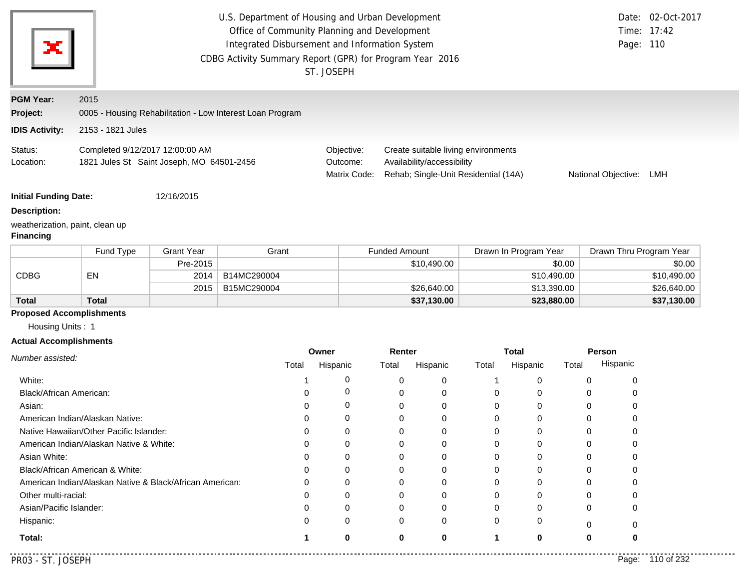|                                                                                                            |                                                                              |                   | U.S. Department of Housing and Urban Development<br>Office of Community Planning and Development<br>Integrated Disbursement and Information System<br>CDBG Activity Summary Report (GPR) for Program Year 2016 | ST. JOSEPH             |                      |                                                                                                           |        |                       |        | Page: 110                  | Date: 02-Oct-2017<br>Time: 17:42 |
|------------------------------------------------------------------------------------------------------------|------------------------------------------------------------------------------|-------------------|----------------------------------------------------------------------------------------------------------------------------------------------------------------------------------------------------------------|------------------------|----------------------|-----------------------------------------------------------------------------------------------------------|--------|-----------------------|--------|----------------------------|----------------------------------|
| <b>PGM Year:</b>                                                                                           | 2015                                                                         |                   |                                                                                                                                                                                                                |                        |                      |                                                                                                           |        |                       |        |                            |                                  |
| Project:                                                                                                   |                                                                              |                   | 0005 - Housing Rehabilitation - Low Interest Loan Program                                                                                                                                                      |                        |                      |                                                                                                           |        |                       |        |                            |                                  |
| <b>IDIS Activity:</b>                                                                                      | 2153 - 1821 Jules                                                            |                   |                                                                                                                                                                                                                |                        |                      |                                                                                                           |        |                       |        |                            |                                  |
| Status:<br>Location:                                                                                       | Completed 9/12/2017 12:00:00 AM<br>1821 Jules St Saint Joseph, MO 64501-2456 |                   |                                                                                                                                                                                                                | Objective:<br>Outcome: | Matrix Code:         | Create suitable living environments<br>Availability/accessibility<br>Rehab; Single-Unit Residential (14A) |        |                       |        | National Objective:        | LMH                              |
| <b>Initial Funding Date:</b><br><b>Description:</b><br>weatherization, paint, clean up<br><b>Financing</b> |                                                                              | 12/16/2015        |                                                                                                                                                                                                                |                        |                      |                                                                                                           |        |                       |        |                            |                                  |
|                                                                                                            | Fund Type                                                                    | <b>Grant Year</b> | Grant                                                                                                                                                                                                          |                        | <b>Funded Amount</b> |                                                                                                           |        | Drawn In Program Year |        | Drawn Thru Program Year    |                                  |
|                                                                                                            |                                                                              | Pre-2015          |                                                                                                                                                                                                                |                        |                      | \$10,490.00                                                                                               |        |                       | \$0.00 |                            | \$0.00                           |
| <b>CDBG</b>                                                                                                | EN                                                                           | 2014              | B14MC290004                                                                                                                                                                                                    |                        |                      |                                                                                                           |        | \$10,490.00           |        |                            | \$10,490.00                      |
|                                                                                                            |                                                                              | 2015              | B15MC290004                                                                                                                                                                                                    |                        |                      | \$26,640.00                                                                                               |        | \$13,390.00           |        |                            | \$26,640.00                      |
| <b>Total</b>                                                                                               | <b>Total</b>                                                                 |                   |                                                                                                                                                                                                                |                        |                      | \$37,130.00                                                                                               |        | \$23,880.00           |        |                            | \$37,130.00                      |
| <b>Proposed Accomplishments</b>                                                                            |                                                                              |                   |                                                                                                                                                                                                                |                        |                      |                                                                                                           |        |                       |        |                            |                                  |
| Housing Units: 1                                                                                           |                                                                              |                   |                                                                                                                                                                                                                |                        |                      |                                                                                                           |        |                       |        |                            |                                  |
| <b>Actual Accomplishments</b>                                                                              |                                                                              |                   |                                                                                                                                                                                                                |                        |                      |                                                                                                           |        |                       |        |                            |                                  |
| Number assisted:                                                                                           |                                                                              |                   |                                                                                                                                                                                                                | Owner                  |                      | Renter                                                                                                    |        | <b>Total</b>          |        | Person<br>Hispanic         |                                  |
|                                                                                                            |                                                                              |                   | Total                                                                                                                                                                                                          | Hispanic               | Total                | Hispanic                                                                                                  | Total  | Hispanic              | Total  |                            |                                  |
| White:                                                                                                     |                                                                              |                   |                                                                                                                                                                                                                |                        | 0<br>0               | 0                                                                                                         | 1      | 0                     |        | 0<br>0                     |                                  |
| Black/African American:                                                                                    |                                                                              |                   | 0                                                                                                                                                                                                              |                        | 0<br>0               | 0                                                                                                         | 0      | 0                     |        | 0<br>0                     |                                  |
| Asian:                                                                                                     |                                                                              |                   | 0                                                                                                                                                                                                              |                        | 0<br>0<br>0          | 0                                                                                                         | 0      | 0                     |        | 0<br>0                     |                                  |
|                                                                                                            | American Indian/Alaskan Native:<br>Native Hawaiian/Other Pacific Islander:   |                   | 0<br>0                                                                                                                                                                                                         |                        | 0<br>0<br>0          | 0<br>0                                                                                                    | 0<br>0 | 0<br>0                |        | 0<br>0<br>0<br>$\mathbf 0$ |                                  |
|                                                                                                            | American Indian/Alaskan Native & White:                                      |                   | 0                                                                                                                                                                                                              |                        | 0<br>0               | 0                                                                                                         | 0      | 0                     |        | 0<br>0                     |                                  |
| Asian White:                                                                                               |                                                                              |                   | 0                                                                                                                                                                                                              |                        | 0<br>0               | 0                                                                                                         | 0      | 0                     |        | 0<br>0                     |                                  |
|                                                                                                            | Black/African American & White:                                              |                   | O                                                                                                                                                                                                              |                        | 0<br>0               | 0                                                                                                         | 0      | 0                     |        | 0<br>0                     |                                  |
|                                                                                                            | American Indian/Alaskan Native & Black/African American:                     |                   | 0                                                                                                                                                                                                              |                        | 0<br>0               | 0                                                                                                         | 0      | 0                     |        | 0<br>0                     |                                  |
| Other multi-racial:                                                                                        |                                                                              |                   | 0                                                                                                                                                                                                              |                        | 0<br>0               | 0                                                                                                         | 0      | 0                     |        | 0<br>0                     |                                  |
| Asian/Pacific Islander:                                                                                    |                                                                              |                   | 0                                                                                                                                                                                                              |                        | $\Omega$<br>0        | 0                                                                                                         | 0      | 0                     |        | 0<br>0                     |                                  |
| Hispanic:                                                                                                  |                                                                              |                   | 0                                                                                                                                                                                                              |                        | 0<br>0               | 0                                                                                                         | 0      | 0                     |        | 0<br>0                     |                                  |

**1 0**

**0**

**0**

**Total:**

--------

**0**

**1 0 0**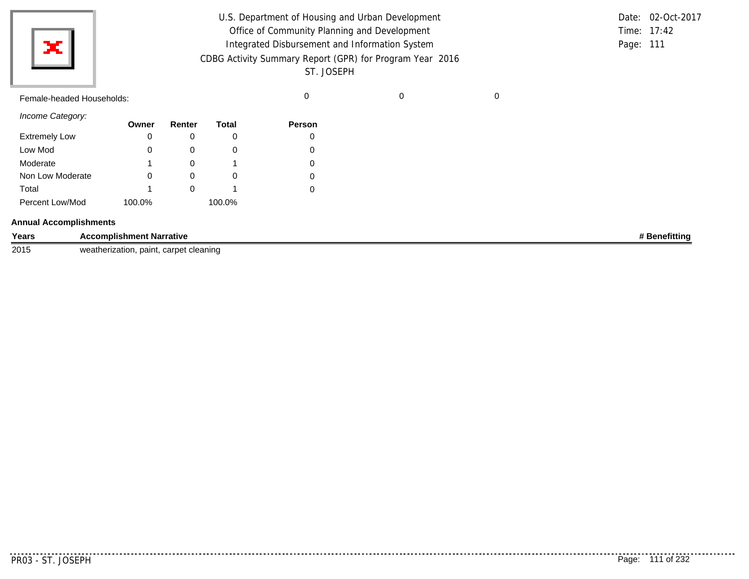|                           | U.S. Department of Housing and Urban Development<br>Office of Community Planning and Development<br>Integrated Disbursement and Information System |   | Time: 17:42<br>Page: 111 | Date: 02-Oct-2017 |
|---------------------------|----------------------------------------------------------------------------------------------------------------------------------------------------|---|--------------------------|-------------------|
| ×l                        | CDBG Activity Summary Report (GPR) for Program Year 2016<br>ST. JOSEPH                                                                             |   |                          |                   |
| Female-headed Households: |                                                                                                                                                    | 0 |                          |                   |
| Income Category:          |                                                                                                                                                    |   |                          |                   |

|                      | Owner  | Renter | <b>Total</b> | <b>Person</b> |
|----------------------|--------|--------|--------------|---------------|
| <b>Extremely Low</b> |        |        | O            | 0             |
| Low Mod              |        |        | O            | 0             |
| Moderate             |        |        |              | 0             |
| Non Low Moderate     |        |        | O            | 0             |
| Total                |        |        |              | 0             |
| Percent Low/Mod      | 100.0% |        | 100.0%       |               |

#### **Annual Accomplishments**

| Years | ccomplishment Narrative<br><b>Acc</b><br>.      | <b>'enefittin</b> d |
|-------|-------------------------------------------------|---------------------|
| 2015  | carpet cleaning<br>wea<br>herization.<br>paint. |                     |

. . . . . . . . .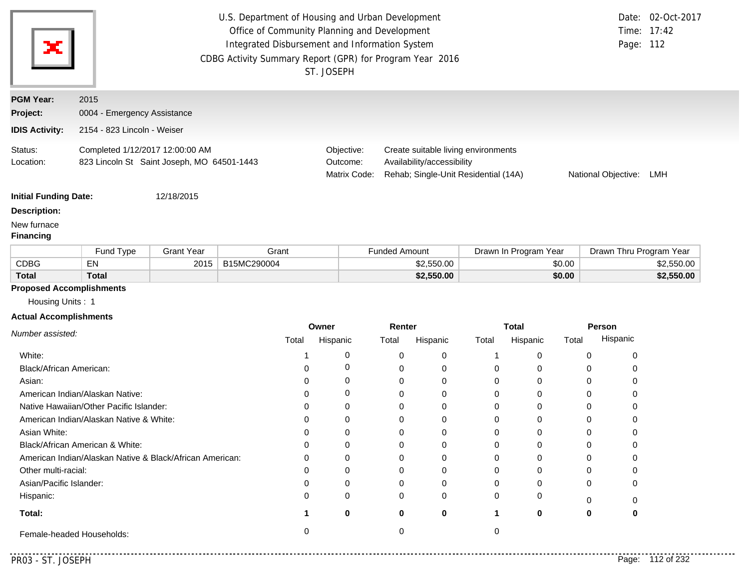| ×                               | U.S. Department of Housing and Urban Development<br>Office of Community Planning and Development<br>Integrated Disbursement and Information System<br>CDBG Activity Summary Report (GPR) for Program Year 2016<br>ST. JOSEPH |                   |             |                                        |                                                                                                           |                       | Page: 112               | Date: 02-Oct-2017<br>Time: 17:42 |
|---------------------------------|------------------------------------------------------------------------------------------------------------------------------------------------------------------------------------------------------------------------------|-------------------|-------------|----------------------------------------|-----------------------------------------------------------------------------------------------------------|-----------------------|-------------------------|----------------------------------|
| <b>PGM Year:</b>                | 2015                                                                                                                                                                                                                         |                   |             |                                        |                                                                                                           |                       |                         |                                  |
| Project:                        | 0004 - Emergency Assistance                                                                                                                                                                                                  |                   |             |                                        |                                                                                                           |                       |                         |                                  |
| <b>IDIS Activity:</b>           | 2154 - 823 Lincoln - Weiser                                                                                                                                                                                                  |                   |             |                                        |                                                                                                           |                       |                         |                                  |
| Status:<br>Location:            | Completed 1/12/2017 12:00:00 AM<br>823 Lincoln St Saint Joseph, MO 64501-1443                                                                                                                                                |                   |             | Objective:<br>Outcome:<br>Matrix Code: | Create suitable living environments<br>Availability/accessibility<br>Rehab; Single-Unit Residential (14A) |                       | National Objective:     | LMH                              |
| <b>Initial Funding Date:</b>    |                                                                                                                                                                                                                              | 12/18/2015        |             |                                        |                                                                                                           |                       |                         |                                  |
| <b>Description:</b>             |                                                                                                                                                                                                                              |                   |             |                                        |                                                                                                           |                       |                         |                                  |
| New furnace<br><b>Financing</b> |                                                                                                                                                                                                                              |                   |             |                                        |                                                                                                           |                       |                         |                                  |
|                                 | Fund Type                                                                                                                                                                                                                    | <b>Grant Year</b> | Grant       |                                        | <b>Funded Amount</b>                                                                                      | Drawn In Program Year | Drawn Thru Program Year |                                  |
| <b>CDBG</b>                     | EN                                                                                                                                                                                                                           | 2015              | B15MC290004 |                                        | \$2,550.00                                                                                                | \$0.00                |                         | \$2,550.00                       |

# **Proposed Accomplishments**

**Total**

Housing Units : 1

**Total**

### **Actual Accomplishments**

|                                                          | Owner |          | Renter |          | <b>Total</b> |          | Person |          |
|----------------------------------------------------------|-------|----------|--------|----------|--------------|----------|--------|----------|
| Number assisted:                                         | Total | Hispanic | Total  | Hispanic | Total        | Hispanic | Total  | Hispanic |
| White:                                                   |       |          |        | 0        |              |          |        |          |
| Black/African American:                                  |       |          |        | 0        |              |          |        |          |
| Asian:                                                   |       |          |        | 0        |              |          |        |          |
| American Indian/Alaskan Native:                          |       |          |        | 0        |              |          |        |          |
| Native Hawaiian/Other Pacific Islander:                  |       |          |        | 0        |              |          |        |          |
| American Indian/Alaskan Native & White:                  | 0     |          |        |          |              |          |        |          |
| Asian White:                                             |       |          |        |          |              |          |        |          |
| Black/African American & White:                          | 0     | 0        |        | 0        |              |          |        |          |
| American Indian/Alaskan Native & Black/African American: | 0     |          |        | 0        |              |          |        |          |
| Other multi-racial:                                      |       |          |        | 0        |              |          |        |          |
| Asian/Pacific Islander:                                  | ი     |          |        |          |              |          |        |          |
| Hispanic:                                                | 0     | 0        | 0      | $\Omega$ |              |          |        |          |
| Total:                                                   |       | 0        | 0      | 0        |              |          | 0      |          |
| Female-headed Households:                                |       |          |        |          |              |          |        |          |

 $-1$ 

**\$2,550.00 \$0.00 \$2,550.00**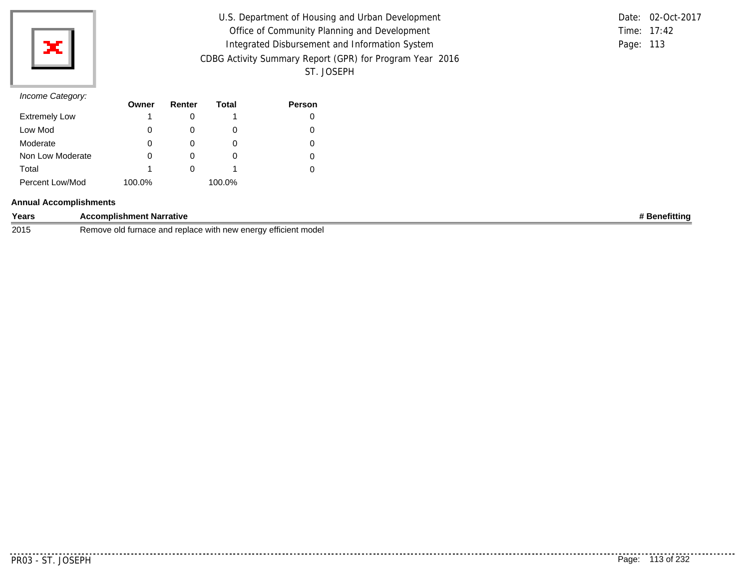

| U.S. Department of Housing and Urban Development         |           | Date: 02-Oct-2017 |
|----------------------------------------------------------|-----------|-------------------|
| Office of Community Planning and Development             |           | Time: 17:42       |
| Integrated Disbursement and Information System           | Page: 113 |                   |
| CDBG Activity Summary Report (GPR) for Program Year 2016 |           |                   |
| ST. JOSEPH                                               |           |                   |

|           | Date: 02-Oct-2017 |
|-----------|-------------------|
|           | Time: $17:42$     |
| Page: 113 |                   |

|                      | Owner  | Renter | Total  | Person |
|----------------------|--------|--------|--------|--------|
| <b>Extremely Low</b> |        |        |        | 0      |
| Low Mod              | O      |        | O      | 0      |
| Moderate             | O      |        | O      | 0      |
| Non Low Moderate     | 0      |        | O      | 0      |
| Total                |        |        |        | 0      |
| Percent Low/Mod      | 100.0% |        | 100.0% |        |

#### **Annual Accomplishments**

| Years | ∶omplishment Narrative                                                                          | lenefittina |
|-------|-------------------------------------------------------------------------------------------------|-------------|
| 2015  | e with new enerav efficient model<br>Remove old<br>⊺turnace and<br>raniac<br>s anu iculauc<br>ີ |             |

 $- - - - -$ 

.........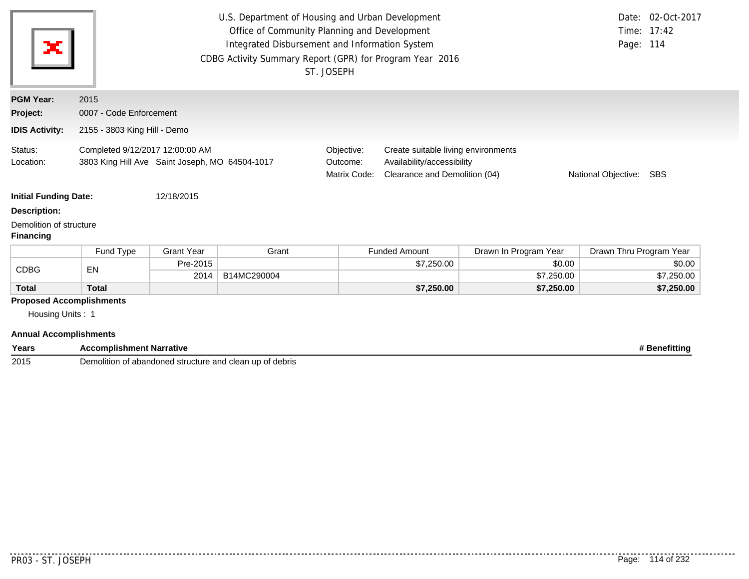| ×                                           |                                                                                   |                              | U.S. Department of Housing and Urban Development<br>Office of Community Planning and Development<br>Integrated Disbursement and Information System<br>CDBG Activity Summary Report (GPR) for Program Year 2016 | ST. JOSEPH                             |                                                                                                                                         |                       | Date: 02-Oct-2017<br>Time: 17:42<br>Page: 114 |  |  |  |  |
|---------------------------------------------|-----------------------------------------------------------------------------------|------------------------------|----------------------------------------------------------------------------------------------------------------------------------------------------------------------------------------------------------------|----------------------------------------|-----------------------------------------------------------------------------------------------------------------------------------------|-----------------------|-----------------------------------------------|--|--|--|--|
| <b>PGM Year:</b>                            | 2015                                                                              |                              |                                                                                                                                                                                                                |                                        |                                                                                                                                         |                       |                                               |  |  |  |  |
| Project:                                    | 0007 - Code Enforcement                                                           |                              |                                                                                                                                                                                                                |                                        |                                                                                                                                         |                       |                                               |  |  |  |  |
| <b>IDIS Activity:</b>                       |                                                                                   | 2155 - 3803 King Hill - Demo |                                                                                                                                                                                                                |                                        |                                                                                                                                         |                       |                                               |  |  |  |  |
| Status:<br>Location:                        | Completed 9/12/2017 12:00:00 AM<br>3803 King Hill Ave Saint Joseph, MO 64504-1017 |                              |                                                                                                                                                                                                                | Objective:<br>Outcome:<br>Matrix Code: | Create suitable living environments<br>Availability/accessibility<br>Clearance and Demolition (04)<br>National Objective:<br><b>SBS</b> |                       |                                               |  |  |  |  |
| <b>Initial Funding Date:</b>                |                                                                                   | 12/18/2015                   |                                                                                                                                                                                                                |                                        |                                                                                                                                         |                       |                                               |  |  |  |  |
| <b>Description:</b>                         |                                                                                   |                              |                                                                                                                                                                                                                |                                        |                                                                                                                                         |                       |                                               |  |  |  |  |
| Demolition of structure<br><b>Financing</b> |                                                                                   |                              |                                                                                                                                                                                                                |                                        |                                                                                                                                         |                       |                                               |  |  |  |  |
|                                             | Fund Type                                                                         | <b>Grant Year</b>            | Grant                                                                                                                                                                                                          |                                        | <b>Funded Amount</b>                                                                                                                    | Drawn In Program Year | Drawn Thru Program Year                       |  |  |  |  |
| <b>CDBG</b>                                 | EN                                                                                | Pre-2015                     |                                                                                                                                                                                                                |                                        | \$7,250.00                                                                                                                              | \$0.00                | \$0.00                                        |  |  |  |  |
|                                             |                                                                                   | 2014                         | B14MC290004                                                                                                                                                                                                    |                                        |                                                                                                                                         | \$7,250.00            | \$7,250.00                                    |  |  |  |  |
|                                             |                                                                                   |                              |                                                                                                                                                                                                                |                                        | \$7,250.00                                                                                                                              | \$7,250.00            | \$7,250.00                                    |  |  |  |  |

|  | <b>Annual Accomplishments</b> |
|--|-------------------------------|
|--|-------------------------------|

| Years | --<br><b>COMDU</b> <sup>1</sup><br>olishment Narrative<br>AC <sup>-</sup>     | attınc |
|-------|-------------------------------------------------------------------------------|--------|
| 2015  | debris<br>' structure a.<br><b>UD</b><br>abandoned<br>clean<br>ilitio<br>אווש |        |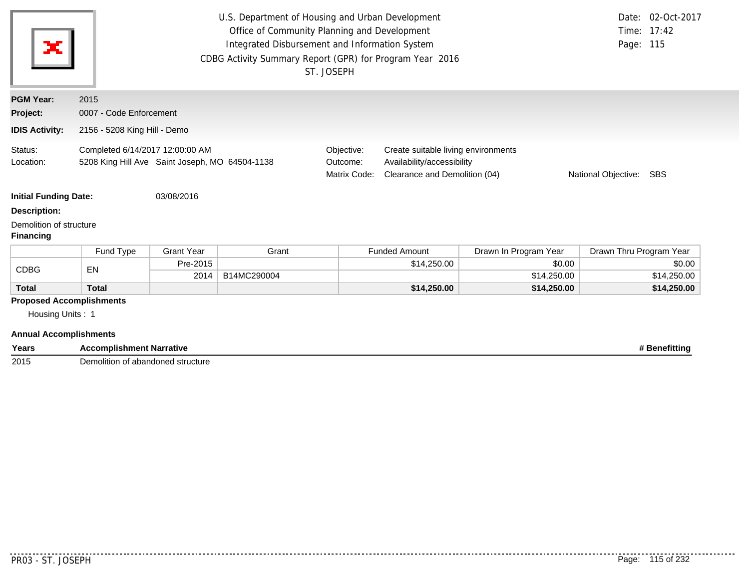| ×                                                                                    |                                                                                   |                   | U.S. Department of Housing and Urban Development<br>Office of Community Planning and Development<br>Integrated Disbursement and Information System<br>CDBG Activity Summary Report (GPR) for Program Year 2016 | ST. JOSEPH                                                                                                                                                              |                      |                       | Page: 115               | Date: 02-Oct-2017<br>Time: 17:42 |  |  |
|--------------------------------------------------------------------------------------|-----------------------------------------------------------------------------------|-------------------|----------------------------------------------------------------------------------------------------------------------------------------------------------------------------------------------------------------|-------------------------------------------------------------------------------------------------------------------------------------------------------------------------|----------------------|-----------------------|-------------------------|----------------------------------|--|--|
| <b>PGM Year:</b>                                                                     | 2015                                                                              |                   |                                                                                                                                                                                                                |                                                                                                                                                                         |                      |                       |                         |                                  |  |  |
| Project:                                                                             | 0007 - Code Enforcement                                                           |                   |                                                                                                                                                                                                                |                                                                                                                                                                         |                      |                       |                         |                                  |  |  |
| <b>IDIS Activity:</b>                                                                | 2156 - 5208 King Hill - Demo                                                      |                   |                                                                                                                                                                                                                |                                                                                                                                                                         |                      |                       |                         |                                  |  |  |
| Status:<br>Location:                                                                 | Completed 6/14/2017 12:00:00 AM<br>5208 King Hill Ave Saint Joseph, MO 64504-1138 |                   |                                                                                                                                                                                                                | Objective:<br>Create suitable living environments<br>Availability/accessibility<br>Outcome:<br>Clearance and Demolition (04)<br>Matrix Code:<br>National Objective: SBS |                      |                       |                         |                                  |  |  |
| <b>Initial Funding Date:</b>                                                         |                                                                                   | 03/08/2016        |                                                                                                                                                                                                                |                                                                                                                                                                         |                      |                       |                         |                                  |  |  |
| <b>Description:</b>                                                                  |                                                                                   |                   |                                                                                                                                                                                                                |                                                                                                                                                                         |                      |                       |                         |                                  |  |  |
| Demolition of structure<br><b>Financing</b>                                          |                                                                                   |                   |                                                                                                                                                                                                                |                                                                                                                                                                         |                      |                       |                         |                                  |  |  |
|                                                                                      | Fund Type                                                                         | <b>Grant Year</b> | Grant                                                                                                                                                                                                          |                                                                                                                                                                         | <b>Funded Amount</b> | Drawn In Program Year | Drawn Thru Program Year |                                  |  |  |
| <b>CDBG</b>                                                                          | EN                                                                                | Pre-2015          |                                                                                                                                                                                                                |                                                                                                                                                                         | \$14,250.00          | \$0.00                |                         | \$0.00                           |  |  |
|                                                                                      |                                                                                   | 2014              | B14MC290004                                                                                                                                                                                                    |                                                                                                                                                                         |                      | \$14,250.00           |                         | \$14,250.00                      |  |  |
| <b>Total</b>                                                                         | <b>Total</b>                                                                      |                   |                                                                                                                                                                                                                |                                                                                                                                                                         | \$14,250.00          | \$14,250.00           |                         | \$14,250.00                      |  |  |
| <b>Proposed Accomplishments</b><br>Housing Units: 1<br><b>Annual Accomplishments</b> |                                                                                   |                   |                                                                                                                                                                                                                |                                                                                                                                                                         |                      |                       |                         |                                  |  |  |

**Years Accomplishment Narrative # Benefitting # Benefitting # Benefitting 2015 Demolition of abandoned structure** Demolition of abandoned structure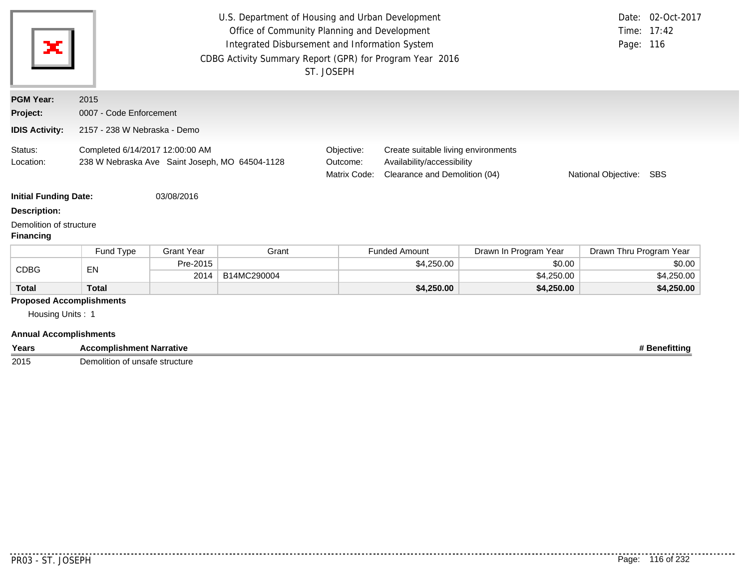| ×                                           |                                                                                   |                              | U.S. Department of Housing and Urban Development<br>Office of Community Planning and Development<br>Integrated Disbursement and Information System<br>CDBG Activity Summary Report (GPR) for Program Year 2016 | ST. JOSEPH                             |                                                                                                                           |                       | Page: 116               | Date: 02-Oct-2017<br>Time: 17:42 |  |  |
|---------------------------------------------|-----------------------------------------------------------------------------------|------------------------------|----------------------------------------------------------------------------------------------------------------------------------------------------------------------------------------------------------------|----------------------------------------|---------------------------------------------------------------------------------------------------------------------------|-----------------------|-------------------------|----------------------------------|--|--|
| <b>PGM Year:</b>                            | 2015                                                                              |                              |                                                                                                                                                                                                                |                                        |                                                                                                                           |                       |                         |                                  |  |  |
| Project:                                    | 0007 - Code Enforcement                                                           |                              |                                                                                                                                                                                                                |                                        |                                                                                                                           |                       |                         |                                  |  |  |
| <b>IDIS Activity:</b>                       |                                                                                   | 2157 - 238 W Nebraska - Demo |                                                                                                                                                                                                                |                                        |                                                                                                                           |                       |                         |                                  |  |  |
| Status:<br>Location:                        | Completed 6/14/2017 12:00:00 AM<br>238 W Nebraska Ave Saint Joseph, MO 64504-1128 |                              |                                                                                                                                                                                                                | Objective:<br>Outcome:<br>Matrix Code: | Create suitable living environments<br>Availability/accessibility<br>Clearance and Demolition (04)<br>National Objective: |                       |                         | SBS                              |  |  |
| <b>Initial Funding Date:</b>                |                                                                                   | 03/08/2016                   |                                                                                                                                                                                                                |                                        |                                                                                                                           |                       |                         |                                  |  |  |
| Description:                                |                                                                                   |                              |                                                                                                                                                                                                                |                                        |                                                                                                                           |                       |                         |                                  |  |  |
| Demolition of structure<br><b>Financing</b> |                                                                                   |                              |                                                                                                                                                                                                                |                                        |                                                                                                                           |                       |                         |                                  |  |  |
|                                             | Fund Type                                                                         | <b>Grant Year</b>            | Grant                                                                                                                                                                                                          |                                        | <b>Funded Amount</b>                                                                                                      | Drawn In Program Year | Drawn Thru Program Year |                                  |  |  |
| <b>CDBG</b>                                 | EN                                                                                | Pre-2015                     |                                                                                                                                                                                                                |                                        | \$4,250.00                                                                                                                | \$0.00                |                         | \$0.00                           |  |  |
|                                             |                                                                                   | 2014                         | B14MC290004                                                                                                                                                                                                    |                                        |                                                                                                                           | \$4,250.00            |                         | \$4,250.00                       |  |  |
| <b>Total</b>                                | <b>Total</b>                                                                      |                              |                                                                                                                                                                                                                |                                        | \$4,250.00                                                                                                                | \$4,250.00            |                         | \$4,250.00                       |  |  |
| Housing Units: 1                            | <b>Proposed Accomplishments</b>                                                   |                              |                                                                                                                                                                                                                |                                        |                                                                                                                           |                       |                         |                                  |  |  |
| <b>Annual Accomplishments</b>               |                                                                                   |                              |                                                                                                                                                                                                                |                                        |                                                                                                                           |                       |                         |                                  |  |  |
| Years                                       | <b>Accomplishment Narrative</b>                                                   |                              |                                                                                                                                                                                                                |                                        |                                                                                                                           |                       |                         | # Benefitting                    |  |  |

**2015** Demolition of unsafe structure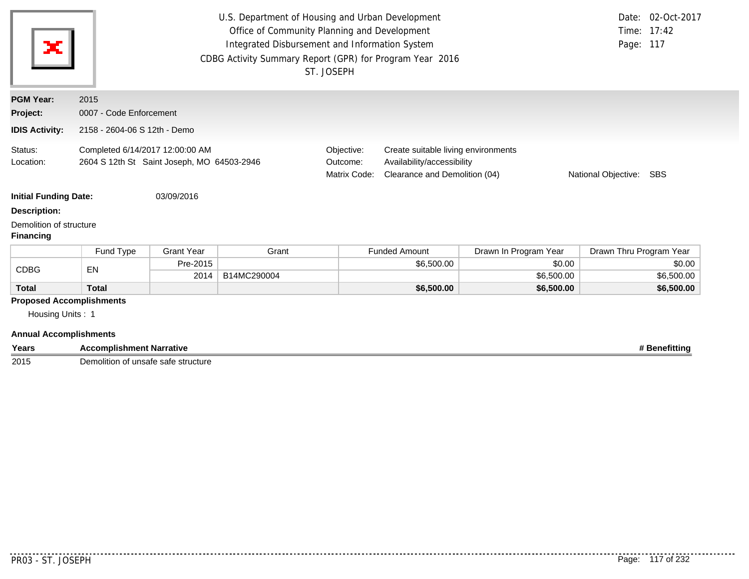|                                             |                                                                               |                              | U.S. Department of Housing and Urban Development         |                                                                                                                                              |                      |                       |                         | Date: 02-Oct-2017 |  |  |  |
|---------------------------------------------|-------------------------------------------------------------------------------|------------------------------|----------------------------------------------------------|----------------------------------------------------------------------------------------------------------------------------------------------|----------------------|-----------------------|-------------------------|-------------------|--|--|--|
|                                             |                                                                               |                              | Time: 17:42                                              |                                                                                                                                              |                      |                       |                         |                   |  |  |  |
| ×                                           |                                                                               |                              | Integrated Disbursement and Information System           |                                                                                                                                              |                      |                       | Page: 117               |                   |  |  |  |
|                                             |                                                                               |                              | CDBG Activity Summary Report (GPR) for Program Year 2016 |                                                                                                                                              |                      |                       |                         |                   |  |  |  |
|                                             |                                                                               |                              |                                                          | ST. JOSEPH                                                                                                                                   |                      |                       |                         |                   |  |  |  |
| <b>PGM Year:</b>                            | 2015                                                                          |                              |                                                          |                                                                                                                                              |                      |                       |                         |                   |  |  |  |
| Project:                                    |                                                                               | 0007 - Code Enforcement      |                                                          |                                                                                                                                              |                      |                       |                         |                   |  |  |  |
| <b>IDIS Activity:</b>                       |                                                                               | 2158 - 2604-06 S 12th - Demo |                                                          |                                                                                                                                              |                      |                       |                         |                   |  |  |  |
| Status:<br>Location:                        | Completed 6/14/2017 12:00:00 AM<br>2604 S 12th St Saint Joseph, MO 64503-2946 |                              |                                                          | Objective:<br>Create suitable living environments<br>Availability/accessibility<br>Outcome:<br>Matrix Code:<br>Clearance and Demolition (04) |                      |                       | National Objective:     | <b>SBS</b>        |  |  |  |
| <b>Initial Funding Date:</b>                |                                                                               | 03/09/2016                   |                                                          |                                                                                                                                              |                      |                       |                         |                   |  |  |  |
| <b>Description:</b>                         |                                                                               |                              |                                                          |                                                                                                                                              |                      |                       |                         |                   |  |  |  |
| Demolition of structure<br><b>Financing</b> |                                                                               |                              |                                                          |                                                                                                                                              |                      |                       |                         |                   |  |  |  |
|                                             | Fund Type                                                                     | <b>Grant Year</b>            | Grant                                                    |                                                                                                                                              | <b>Funded Amount</b> | Drawn In Program Year | Drawn Thru Program Year |                   |  |  |  |
| <b>CDBG</b>                                 | EN                                                                            | Pre-2015                     |                                                          |                                                                                                                                              | \$6,500.00           | \$0.00                |                         | \$0.00            |  |  |  |
|                                             |                                                                               | 2014                         | B14MC290004                                              |                                                                                                                                              |                      | \$6,500.00            |                         | \$6,500.00        |  |  |  |
| <b>Total</b>                                | <b>Total</b>                                                                  |                              |                                                          |                                                                                                                                              | \$6,500.00           | \$6,500.00            |                         | \$6,500.00        |  |  |  |
|                                             | <b>Proposed Accomplishments</b>                                               |                              |                                                          |                                                                                                                                              |                      |                       |                         |                   |  |  |  |
| Housing Units: 1                            |                                                                               |                              |                                                          |                                                                                                                                              |                      |                       |                         |                   |  |  |  |
| <b>Annual Accomplishments</b>               |                                                                               |                              |                                                          |                                                                                                                                              |                      |                       |                         |                   |  |  |  |
| Years                                       | <b>Accomplishment Narrative</b>                                               |                              |                                                          |                                                                                                                                              |                      |                       |                         | # Benefitting     |  |  |  |

**2015** Demolition of unsafe safe structure

. . . . . . . . . . .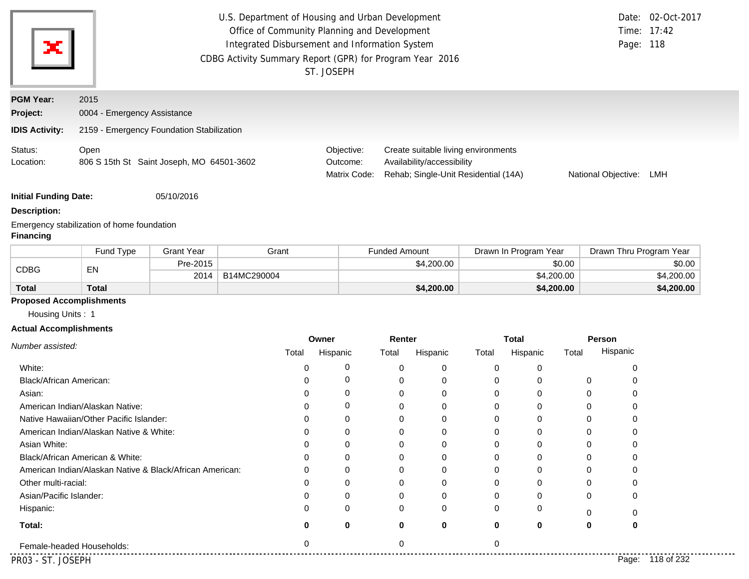| ×                            |                                                   | U.S. Department of Housing and Urban Development<br>Date: 02-Oct-2017<br>Office of Community Planning and Development<br>Time: 17:42<br>Integrated Disbursement and Information System<br>Page: 118<br>CDBG Activity Summary Report (GPR) for Program Year 2016<br>ST. JOSEPH |                                                                                                           |                     |     |  |  |  |  |
|------------------------------|---------------------------------------------------|-------------------------------------------------------------------------------------------------------------------------------------------------------------------------------------------------------------------------------------------------------------------------------|-----------------------------------------------------------------------------------------------------------|---------------------|-----|--|--|--|--|
| <b>PGM Year:</b><br>Project: | 2015<br>0004 - Emergency Assistance               |                                                                                                                                                                                                                                                                               |                                                                                                           |                     |     |  |  |  |  |
| <b>IDIS Activity:</b>        | 2159 - Emergency Foundation Stabilization         |                                                                                                                                                                                                                                                                               |                                                                                                           |                     |     |  |  |  |  |
| Status:<br>Location:         | Open<br>806 S 15th St Saint Joseph, MO 64501-3602 | Objective:<br>Outcome:<br>Matrix Code:                                                                                                                                                                                                                                        | Create suitable living environments<br>Availability/accessibility<br>Rehab; Single-Unit Residential (14A) | National Objective: | LMH |  |  |  |  |

**Initial Funding Date:** 05/10/2016

#### **Description:**

Emergency stabilization of home foundation

### **Financing**

|              | Fund Type    | <b>Grant Year</b> | Grant       | <b>Funded Amount</b> | Drawn In Program Year | Drawn Thru Program Year |
|--------------|--------------|-------------------|-------------|----------------------|-----------------------|-------------------------|
| <b>CDBG</b>  | EN           | Pre-2015          |             | \$4,200.00           | \$0.00                | \$0.00                  |
|              |              | 2014              | B14MC290004 |                      | \$4,200.00            | \$4,200.00              |
| <b>Total</b> | <b>Total</b> |                   |             | \$4,200.00           | \$4,200.00            | \$4,200.00              |

### **Proposed Accomplishments**

Housing Units : 1

#### **Actual Accomplishments**

| Number assisted:                                         | Owner |          | Renter |             | <b>Total</b> |          |          | Person              |
|----------------------------------------------------------|-------|----------|--------|-------------|--------------|----------|----------|---------------------|
|                                                          | Total | Hispanic | Total  | Hispanic    | Total        | Hispanic | Total    | Hispanic            |
| White:                                                   |       | 0        | 0      | 0           | O            | 0        |          |                     |
| <b>Black/African American:</b>                           |       | 0        | 0      | 0           | 0            | 0        | 0        |                     |
| Asian:                                                   |       | 0        | 0      | 0           | 0            | 0        | 0        |                     |
| American Indian/Alaskan Native:                          |       | 0        | 0      | 0           | O            | 0        | 0        |                     |
| Native Hawaiian/Other Pacific Islander:                  |       | 0        | 0      | $\mathbf 0$ | 0            | 0        | O        |                     |
| American Indian/Alaskan Native & White:                  |       | $\Omega$ | 0      | 0           | 0            | 0        | O        |                     |
| Asian White:                                             |       | $\Omega$ | 0      | $\mathbf 0$ | O            | 0        |          |                     |
| Black/African American & White:                          |       | $\Omega$ | 0      | $\Omega$    |              | 0        |          |                     |
| American Indian/Alaskan Native & Black/African American: |       | 0        | 0      | $\Omega$    |              | 0        |          |                     |
| Other multi-racial:                                      |       | $\Omega$ | 0      | 0           |              | 0        |          |                     |
| Asian/Pacific Islander:                                  |       | 0        |        | $\mathbf 0$ |              | 0        | 0        | 0                   |
| Hispanic:                                                |       | 0        | 0      | $\mathbf 0$ | 0            | 0        | $\Omega$ |                     |
| Total:                                                   | O     | 0        | 0      | 0           | $\bf{0}$     | 0        | 0        | 0                   |
| Female-headed Households:                                |       |          |        |             |              |          |          |                     |
| PR03 - ST. JOSEPH                                        |       |          |        |             |              |          |          | 118 of 232<br>Page: |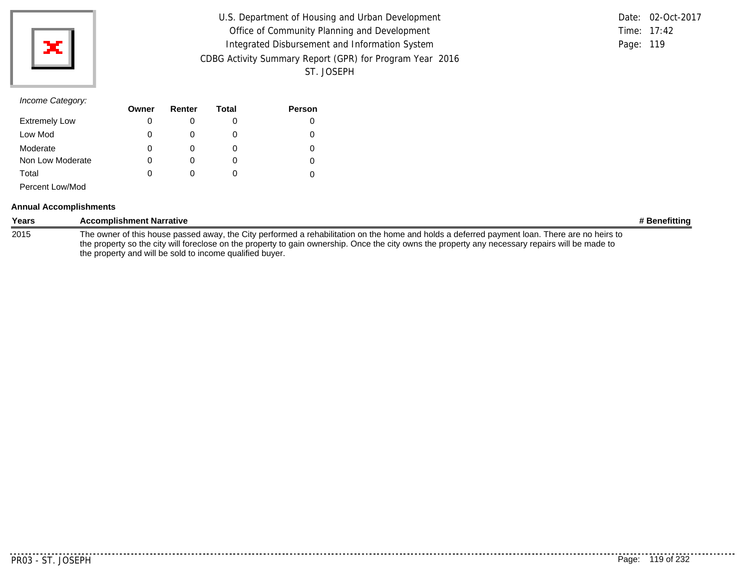

|                                                          |           | Date: 02-Oct-2017 |
|----------------------------------------------------------|-----------|-------------------|
| U.S. Department of Housing and Urban Development         |           |                   |
| Office of Community Planning and Development             |           | Time: 17:42       |
| Integrated Disbursement and Information System           | Page: 119 |                   |
| CDBG Activity Summary Report (GPR) for Program Year 2016 |           |                   |
| ST. JOSEPH                                               |           |                   |

## *Income Category:*

|                      | Owner | Renter | Total | <b>Person</b> |
|----------------------|-------|--------|-------|---------------|
| <b>Extremely Low</b> | 0     |        |       | 0             |
| Low Mod              | 0     | O      |       | 0             |
| Moderate             | 0     | O      |       | 0             |
| Non Low Moderate     | 0     | O      |       | 0             |
| Total                | 0     | 0      |       |               |
| Percent Low/Mod      |       |        |       |               |

#### **Annual Accomplishments**

| Years | <b>Accomplishment Narrative</b>                                                                                                                                                                                                                                                                                                                               | # Benefitting |
|-------|---------------------------------------------------------------------------------------------------------------------------------------------------------------------------------------------------------------------------------------------------------------------------------------------------------------------------------------------------------------|---------------|
| 2015  | The owner of this house passed away, the City performed a rehabilitation on the home and holds a deferred payment loan. There are no heirs to<br>the property so the city will foreclose on the property to gain ownership. Once the city owns the property any necessary repairs will be made to<br>the property and will be sold to income qualified buyer. |               |

. . . . . . . .

. . . . . . . . . . .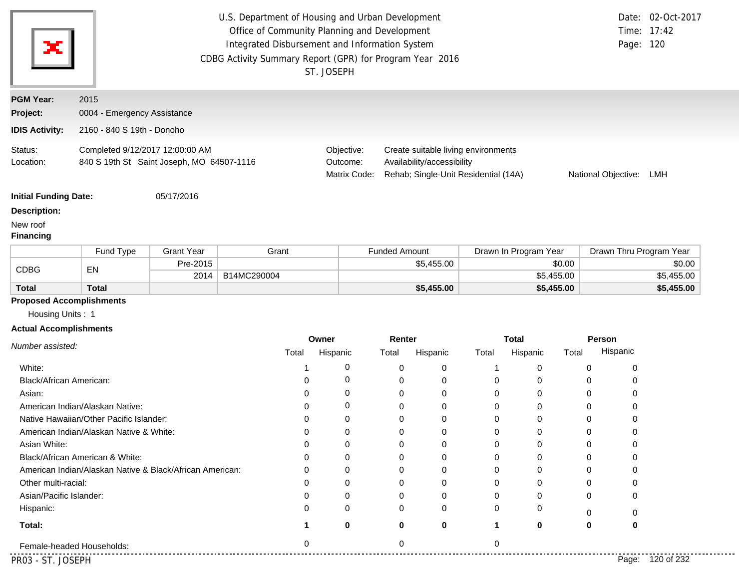|                                                     | U.S. Department of Housing and Urban Development<br>Office of Community Planning and Development<br>Integrated Disbursement and Information System<br>Page: 120<br>CDBG Activity Summary Report (GPR) for Program Year 2016<br>ST. JOSEPH |                   |             |                                        |                      |                            |                                                                             |                       | Date: 02-Oct-2017<br>Time: 17:42 |                         |                         |
|-----------------------------------------------------|-------------------------------------------------------------------------------------------------------------------------------------------------------------------------------------------------------------------------------------------|-------------------|-------------|----------------------------------------|----------------------|----------------------------|-----------------------------------------------------------------------------|-----------------------|----------------------------------|-------------------------|-------------------------|
| <b>PGM Year:</b>                                    | 2015                                                                                                                                                                                                                                      |                   |             |                                        |                      |                            |                                                                             |                       |                                  |                         |                         |
| Project:                                            | 0004 - Emergency Assistance                                                                                                                                                                                                               |                   |             |                                        |                      |                            |                                                                             |                       |                                  |                         |                         |
| <b>IDIS Activity:</b>                               | 2160 - 840 S 19th - Donoho                                                                                                                                                                                                                |                   |             |                                        |                      |                            |                                                                             |                       |                                  |                         |                         |
| Status:<br>Location:                                | Completed 9/12/2017 12:00:00 AM<br>840 S 19th St Saint Joseph, MO 64507-1116                                                                                                                                                              |                   |             | Objective:<br>Outcome:<br>Matrix Code: |                      | Availability/accessibility | Create suitable living environments<br>Rehab; Single-Unit Residential (14A) |                       |                                  | National Objective: LMH |                         |
| <b>Initial Funding Date:</b>                        |                                                                                                                                                                                                                                           | 05/17/2016        |             |                                        |                      |                            |                                                                             |                       |                                  |                         |                         |
| <b>Description:</b><br>New roof<br><b>Financing</b> |                                                                                                                                                                                                                                           |                   |             |                                        |                      |                            |                                                                             |                       |                                  |                         |                         |
|                                                     | Fund Type                                                                                                                                                                                                                                 | <b>Grant Year</b> | Grant       |                                        | <b>Funded Amount</b> |                            |                                                                             | Drawn In Program Year |                                  |                         | Drawn Thru Program Year |
| <b>CDBG</b>                                         |                                                                                                                                                                                                                                           | Pre-2015          |             |                                        | \$5,455.00           |                            |                                                                             | \$0.00                |                                  | \$0.00                  |                         |
|                                                     | EN                                                                                                                                                                                                                                        | 2014              | B14MC290004 |                                        |                      |                            |                                                                             | \$5,455.00            |                                  |                         | \$5,455.00              |
| <b>Total</b>                                        | <b>Total</b>                                                                                                                                                                                                                              |                   |             |                                        |                      | \$5,455.00                 |                                                                             | \$5,455.00            |                                  |                         | \$5,455.00              |
|                                                     | <b>Proposed Accomplishments</b>                                                                                                                                                                                                           |                   |             |                                        |                      |                            |                                                                             |                       |                                  |                         |                         |
| Housing Units: 1                                    |                                                                                                                                                                                                                                           |                   |             |                                        |                      |                            |                                                                             |                       |                                  |                         |                         |
| <b>Actual Accomplishments</b>                       |                                                                                                                                                                                                                                           |                   |             |                                        |                      |                            |                                                                             |                       |                                  |                         |                         |
| Number assisted:                                    |                                                                                                                                                                                                                                           |                   | Total       | Owner<br>Hispanic                      | Renter<br>Total      | Hispanic                   | <b>Total</b><br>Total                                                       | Hispanic              | Person<br>Total                  | Hispanic                |                         |
| White:                                              |                                                                                                                                                                                                                                           |                   | 1           | 0                                      | 0                    | 0                          | -1                                                                          | 0                     | 0                                | 0                       |                         |
| Black/African American:                             |                                                                                                                                                                                                                                           |                   | 0           | 0                                      | 0                    | 0                          | 0                                                                           | 0                     | 0                                | 0                       |                         |
| Asian:                                              |                                                                                                                                                                                                                                           |                   | 0           | 0                                      | 0                    | 0                          | 0                                                                           | 0                     | 0                                | 0                       |                         |
|                                                     | American Indian/Alaskan Native:                                                                                                                                                                                                           |                   | 0           | 0                                      | 0                    | 0                          | 0                                                                           | 0                     | 0                                | 0                       |                         |
|                                                     | Native Hawaiian/Other Pacific Islander:                                                                                                                                                                                                   |                   | 0           | 0                                      | 0                    | 0                          | 0                                                                           | 0                     | 0                                | 0                       |                         |
|                                                     | American Indian/Alaskan Native & White:                                                                                                                                                                                                   |                   | $\Omega$    | $\Omega$                               | $\Omega$             | $\Omega$                   | $\Omega$                                                                    | $\Omega$              | $\Omega$                         | $\Omega$                |                         |
| Asian White:                                        |                                                                                                                                                                                                                                           |                   | 0           | 0                                      | 0                    | 0                          | 0                                                                           | 0                     | 0                                |                         |                         |
|                                                     | Black/African American & White:                                                                                                                                                                                                           |                   | O           | O                                      | 0                    | 0                          | 0                                                                           | 0                     | 0                                |                         |                         |
|                                                     | American Indian/Alaskan Native & Black/African American:                                                                                                                                                                                  |                   | 0           | O                                      | 0                    | O                          | 0                                                                           | O                     | 0                                |                         |                         |
| Other multi-racial:                                 |                                                                                                                                                                                                                                           |                   | ი           | 0                                      | 0                    |                            | 0                                                                           |                       | 0                                |                         |                         |
| Asian/Pacific Islander:                             |                                                                                                                                                                                                                                           |                   | O           | O                                      | 0                    |                            | 0                                                                           |                       | 0                                | 0                       |                         |
| Hispanic:                                           |                                                                                                                                                                                                                                           |                   | n           | O                                      | 0                    | 0                          | 0                                                                           | $\mathbf{0}$          |                                  | 0                       |                         |
| Total:                                              |                                                                                                                                                                                                                                           |                   |             | 0                                      | 0                    | 0                          | 1                                                                           | 0                     | 0                                | 0                       |                         |

.......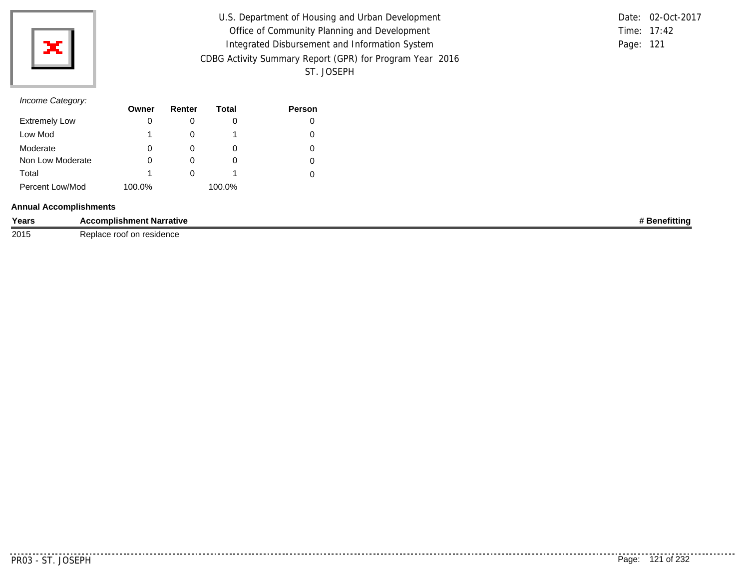

| U.S. Department of Housing and Urban Development         |               | Date: 02-Oct-2017 |
|----------------------------------------------------------|---------------|-------------------|
| Office of Community Planning and Development             | Time: $17:42$ |                   |
| Integrated Disbursement and Information System           | Page: 121     |                   |
| CDBG Activity Summary Report (GPR) for Program Year 2016 |               |                   |
| ST. JOSEPH                                               |               |                   |

# *Income Category:*

|                      | Owner  | Renter       | Total  | <b>Person</b> |
|----------------------|--------|--------------|--------|---------------|
| <b>Extremely Low</b> | 0      |              | O      |               |
| Low Mod              |        |              |        |               |
| Moderate             | 0      | $\mathbf{0}$ | O      |               |
| Non Low Moderate     | 0      |              | O      |               |
| Total                | 1      | $\mathbf{0}$ |        |               |
| Percent Low/Mod      | 100.0% |              | 100.0% |               |

#### **Annual Accomplishments**

| Years | --<br>: Narrative<br><b>Accomplishment</b>                         | . .<br>еншн |
|-------|--------------------------------------------------------------------|-------------|
| 2015  | Replace<br>res<br>$-1 - 2 - 1$<br>' nn<br>ro of<br>ucnut<br>.<br>. |             |

. . . . . . . . . . .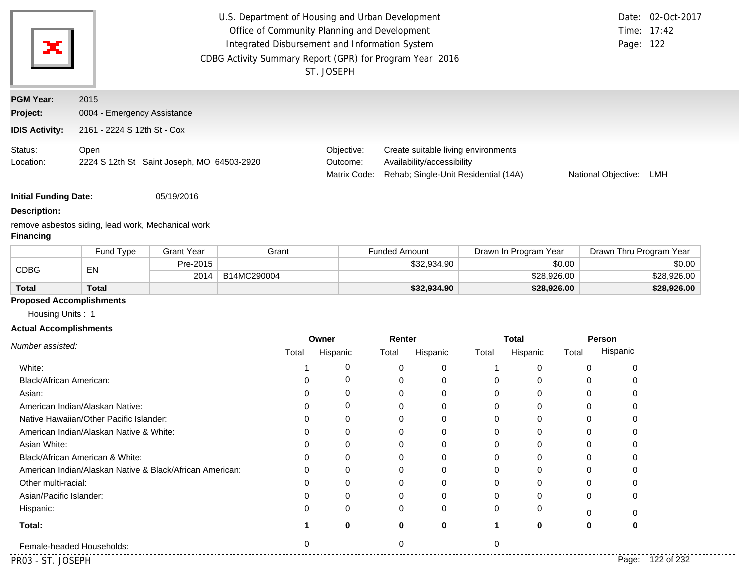| ×.                           | U.S. Department of Housing and Urban Development<br>Date: 02-Oct-2017<br>Office of Community Planning and Development<br>Time: 17:42<br>Integrated Disbursement and Information System<br>Page: 122<br>CDBG Activity Summary Report (GPR) for Program Year 2016<br>ST. JOSEPH |                                        |                                                                                                           |                     |     |  |  |
|------------------------------|-------------------------------------------------------------------------------------------------------------------------------------------------------------------------------------------------------------------------------------------------------------------------------|----------------------------------------|-----------------------------------------------------------------------------------------------------------|---------------------|-----|--|--|
| <b>PGM Year:</b><br>Project: | 2015<br>0004 - Emergency Assistance                                                                                                                                                                                                                                           |                                        |                                                                                                           |                     |     |  |  |
| <b>IDIS Activity:</b>        | 2161 - 2224 S 12th St - Cox                                                                                                                                                                                                                                                   |                                        |                                                                                                           |                     |     |  |  |
| Status:<br>Location:         | Open<br>2224 S 12th St Saint Joseph, MO 64503-2920                                                                                                                                                                                                                            | Objective:<br>Outcome:<br>Matrix Code: | Create suitable living environments<br>Availability/accessibility<br>Rehab; Single-Unit Residential (14A) | National Objective: | LMH |  |  |

**Initial Funding Date:** 05/19/2016

#### **Description:**

remove asbestos siding, lead work, Mechanical work **Financing**

|              | Fund Type | <b>Grant Year</b> | Grant       | <b>Funded Amount</b> | Drawn In Program Year | Drawn Thru Program Year |
|--------------|-----------|-------------------|-------------|----------------------|-----------------------|-------------------------|
|              |           | Pre-2015          |             | \$32,934.90          | \$0.00                | \$0.00                  |
| CDBG<br>EN   |           | 2014              | B14MC290004 |                      | \$28,926.00           | \$28,926.00             |
| <b>Total</b> | Total     |                   |             | \$32,934.90          | \$28,926.00           | \$28,926.00             |

#### **Proposed Accomplishments**

Housing Units : 1

#### **Actual Accomplishments**

| Number assisted:                                         | Owner |          | Renter |             | <b>Total</b> |          | Person |                     |
|----------------------------------------------------------|-------|----------|--------|-------------|--------------|----------|--------|---------------------|
|                                                          | Total | Hispanic | Total  | Hispanic    | Total        | Hispanic | Total  | Hispanic            |
| White:                                                   |       | 0        |        | 0           |              | 0        |        |                     |
| Black/African American:                                  |       | 0        |        | 0           |              | 0        |        |                     |
| Asian:                                                   |       | 0        |        | 0           |              | 0        |        |                     |
| American Indian/Alaskan Native:                          |       | 0        |        | $\Omega$    |              | 0        |        |                     |
| Native Hawaiian/Other Pacific Islander:                  |       | $\Omega$ |        | $\Omega$    |              | 0        |        |                     |
| American Indian/Alaskan Native & White:                  |       | $\Omega$ |        | $\Omega$    |              | 0        |        |                     |
| Asian White:                                             |       | $\Omega$ |        | $\Omega$    |              | 0        |        |                     |
| Black/African American & White:                          |       | ∩        |        | $\Omega$    |              |          |        |                     |
| American Indian/Alaskan Native & Black/African American: |       | $\Omega$ |        | 0           |              |          |        |                     |
| Other multi-racial:                                      |       |          |        | 0           |              | 0        |        |                     |
| Asian/Pacific Islander:                                  |       |          |        | 0           |              | 0        |        |                     |
| Hispanic:                                                | 0     | 0        |        | 0           |              | 0        |        |                     |
| Total:                                                   |       | $\bf{0}$ |        | $\mathbf 0$ |              | 0        | Ω      |                     |
| Female-headed Households:                                |       |          |        |             |              |          |        |                     |
| PR03 - ST. JOSEPH                                        |       |          |        |             |              |          |        | 122 of 232<br>Page: |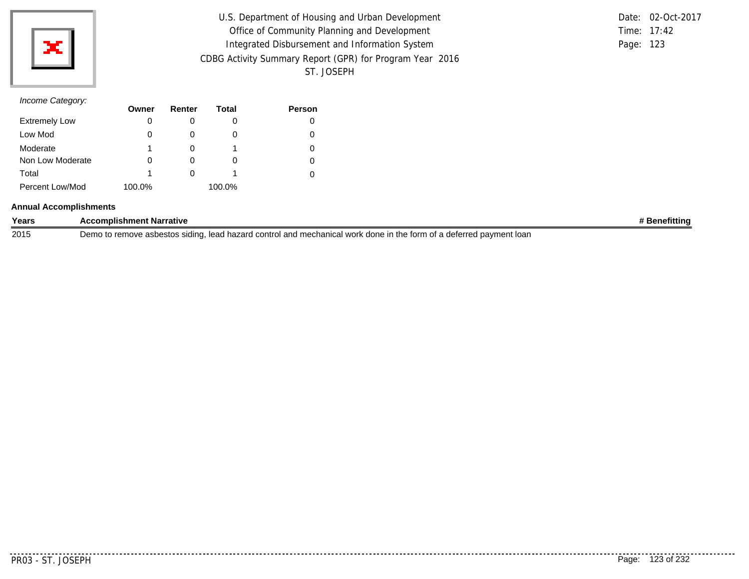

| U.S. Department of Housing and Urban Development         |           | Date: 02-Oct-2017 |
|----------------------------------------------------------|-----------|-------------------|
| Office of Community Planning and Development             |           | Time: 17:42       |
| Integrated Disbursement and Information System           | Page: 123 |                   |
| CDBG Activity Summary Report (GPR) for Program Year 2016 |           |                   |
| ST. JOSEPH                                               |           |                   |

# *Income Category:*

|                      | Owner  | Renter   | Total    | <b>Person</b> |
|----------------------|--------|----------|----------|---------------|
| <b>Extremely Low</b> | 0      |          |          |               |
| Low Mod              | 0      |          |          |               |
| Moderate             | 1      |          |          | 0             |
| Non Low Moderate     | 0      | $\Omega$ | $\Omega$ |               |
| Total                | 1      |          |          |               |
| Percent Low/Mod      | 100.0% |          | 100.0%   |               |

#### **Annual Accomplishments**

| Years | Accomplishment Narrative                                                                                                  | <b>Benefitting</b> |
|-------|---------------------------------------------------------------------------------------------------------------------------|--------------------|
| 2015  | ), lead hazard control and mechanical work done in the form of a deferred payment loan<br>Demo to remove asbestos siding, |                    |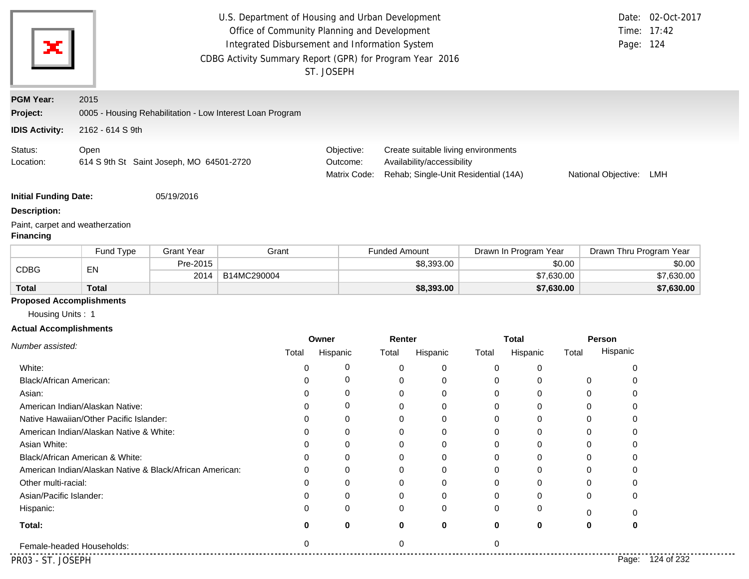|                                                   |                                                           |                   |             |          | U.S. Department of Housing and Urban Development<br>Office of Community Planning and Development<br>Integrated Disbursement and Information System<br>CDBG Activity Summary Report (GPR) for Program Year 2016<br>ST. JOSEPH |                      |                                                                                                           |          |                       |          | Page: 124               | Date: 02-Oct-2017<br>Time: 17:42 |
|---------------------------------------------------|-----------------------------------------------------------|-------------------|-------------|----------|------------------------------------------------------------------------------------------------------------------------------------------------------------------------------------------------------------------------------|----------------------|-----------------------------------------------------------------------------------------------------------|----------|-----------------------|----------|-------------------------|----------------------------------|
| <b>PGM Year:</b>                                  | 2015                                                      |                   |             |          |                                                                                                                                                                                                                              |                      |                                                                                                           |          |                       |          |                         |                                  |
| Project:                                          | 0005 - Housing Rehabilitation - Low Interest Loan Program |                   |             |          |                                                                                                                                                                                                                              |                      |                                                                                                           |          |                       |          |                         |                                  |
| <b>IDIS Activity:</b>                             | 2162 - 614 S 9th                                          |                   |             |          |                                                                                                                                                                                                                              |                      |                                                                                                           |          |                       |          |                         |                                  |
|                                                   |                                                           |                   |             |          |                                                                                                                                                                                                                              |                      |                                                                                                           |          |                       |          |                         |                                  |
| Status:<br>Location:                              | Open<br>614 S 9th St Saint Joseph, MO 64501-2720          |                   |             |          | Objective:<br>Outcome:<br>Matrix Code:                                                                                                                                                                                       |                      | Create suitable living environments<br>Availability/accessibility<br>Rehab; Single-Unit Residential (14A) |          |                       |          | National Objective:     | LMH                              |
| <b>Initial Funding Date:</b>                      |                                                           | 05/19/2016        |             |          |                                                                                                                                                                                                                              |                      |                                                                                                           |          |                       |          |                         |                                  |
| <b>Description:</b>                               |                                                           |                   |             |          |                                                                                                                                                                                                                              |                      |                                                                                                           |          |                       |          |                         |                                  |
| <b>Financing</b>                                  | Paint, carpet and weatherzation                           |                   |             |          |                                                                                                                                                                                                                              |                      |                                                                                                           |          |                       |          |                         |                                  |
|                                                   | Fund Type                                                 | <b>Grant Year</b> |             | Grant    |                                                                                                                                                                                                                              | <b>Funded Amount</b> |                                                                                                           |          | Drawn In Program Year |          | Drawn Thru Program Year |                                  |
| <b>CDBG</b>                                       | EN                                                        | Pre-2015          |             |          |                                                                                                                                                                                                                              |                      | \$8,393.00                                                                                                |          | \$0.00                |          |                         | \$0.00                           |
|                                                   |                                                           | 2014              | B14MC290004 |          |                                                                                                                                                                                                                              |                      |                                                                                                           |          | \$7,630.00            |          |                         | \$7,630.00                       |
| <b>Total</b>                                      | <b>Total</b>                                              |                   |             |          |                                                                                                                                                                                                                              |                      | \$8,393.00                                                                                                |          | \$7,630.00            |          |                         | \$7,630.00                       |
| Housing Units: 1<br><b>Actual Accomplishments</b> | <b>Proposed Accomplishments</b>                           |                   |             |          | Owner                                                                                                                                                                                                                        | Renter               |                                                                                                           |          | <b>Total</b>          |          | Person                  |                                  |
| Number assisted:                                  |                                                           |                   |             | Total    | Hispanic                                                                                                                                                                                                                     | Total                | Hispanic                                                                                                  | Total    | Hispanic              | Total    | Hispanic                |                                  |
| White:                                            |                                                           |                   |             | 0        | 0                                                                                                                                                                                                                            | 0                    | 0                                                                                                         | 0        | 0                     |          | 0                       |                                  |
| Black/African American:                           |                                                           |                   |             | 0        | 0                                                                                                                                                                                                                            | 0                    | 0                                                                                                         | 0        | 0                     | 0        | 0                       |                                  |
| Asian:                                            |                                                           |                   |             | 0        | 0                                                                                                                                                                                                                            | 0                    | 0                                                                                                         | 0        | 0                     | 0        | 0                       |                                  |
|                                                   | American Indian/Alaskan Native:                           |                   |             |          | 0                                                                                                                                                                                                                            | ∩                    | 0                                                                                                         | 0        | 0                     | $\Omega$ | 0                       |                                  |
|                                                   | Native Hawaiian/Other Pacific Islander:                   |                   |             |          | 0                                                                                                                                                                                                                            |                      | 0                                                                                                         | 0        | 0                     | 0        |                         |                                  |
|                                                   | American Indian/Alaskan Native & White:                   |                   |             | $\Omega$ | $\Omega$                                                                                                                                                                                                                     | 0                    | 0                                                                                                         | $\Omega$ | 0                     | $\Omega$ | 0                       |                                  |
| Asian White:                                      |                                                           |                   |             |          | 0                                                                                                                                                                                                                            |                      | 0                                                                                                         | 0        | 0                     | ∩        |                         |                                  |
|                                                   | Black/African American & White:                           |                   |             |          | O                                                                                                                                                                                                                            |                      | 0                                                                                                         | $\Omega$ | 0                     |          |                         |                                  |
|                                                   | American Indian/Alaskan Native & Black/African American:  |                   |             |          | 0                                                                                                                                                                                                                            |                      | 0                                                                                                         | O        | 0                     |          |                         |                                  |
| Other multi-racial:                               |                                                           |                   |             |          | O                                                                                                                                                                                                                            |                      | 0                                                                                                         |          | O                     |          |                         |                                  |
| Asian/Pacific Islander:                           |                                                           |                   |             |          | O                                                                                                                                                                                                                            |                      | O                                                                                                         | ∩        | O                     |          |                         |                                  |
|                                                   |                                                           |                   |             |          | O                                                                                                                                                                                                                            |                      | 0                                                                                                         | O        | 0                     | O        |                         |                                  |
| Hispanic:                                         |                                                           |                   |             |          |                                                                                                                                                                                                                              |                      |                                                                                                           |          |                       |          |                         |                                  |
| Total:                                            |                                                           |                   |             |          | 0                                                                                                                                                                                                                            |                      | 0                                                                                                         | 0        | 0                     | 0        |                         |                                  |
|                                                   | Female-headed Households:                                 |                   |             |          |                                                                                                                                                                                                                              | $\Omega$             |                                                                                                           | $\Omega$ |                       |          |                         |                                  |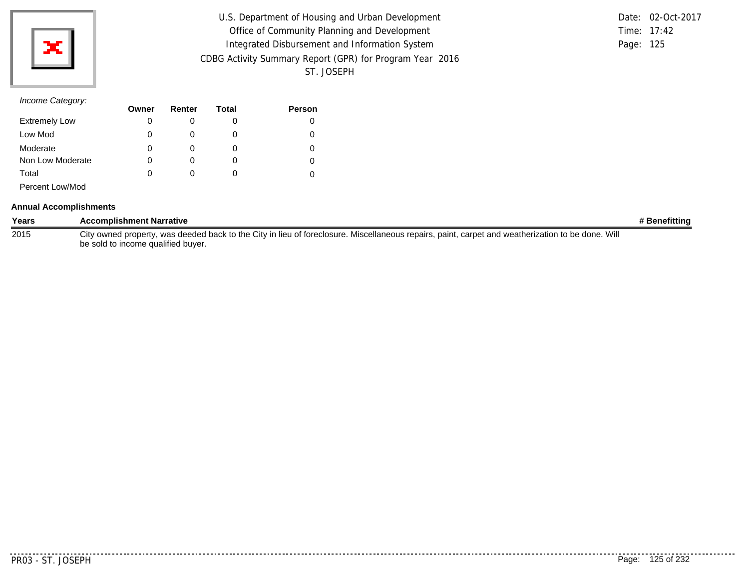

| U.S. Department of Housing and Urban Development         |           | Date: 02-Oct-2017 |
|----------------------------------------------------------|-----------|-------------------|
| Office of Community Planning and Development             |           | Time: 17:42       |
| Integrated Disbursement and Information System           | Page: 125 |                   |
| CDBG Activity Summary Report (GPR) for Program Year 2016 |           |                   |
| ST. JOSEPH                                               |           |                   |

|           | Date: 02-Oct-2017 |
|-----------|-------------------|
|           | Time: $17:42$     |
| Page: 125 |                   |

|                      | Owner | Renter       | Total | <b>Person</b> |
|----------------------|-------|--------------|-------|---------------|
| <b>Extremely Low</b> | 0     |              |       | 0             |
| Low Mod              | 0     |              |       |               |
| Moderate             | 0     |              |       |               |
| Non Low Moderate     | 0     |              |       | 0             |
| Total                | 0     | $\mathbf{0}$ |       |               |
| Percent Low/Mod      |       |              |       |               |

#### **Annual Accomplishments**

| Years | <b>Accomplishment Narrative</b>                                                                                                                   | # Benefitting |
|-------|---------------------------------------------------------------------------------------------------------------------------------------------------|---------------|
| 2015  | City owned property, was deeded back to the City in lieu of foreclosure. Miscellaneous repairs, paint, carpet and weatherization to be done. Will |               |
|       | be sold to income qualified buyer.                                                                                                                |               |

. . . . . . . . .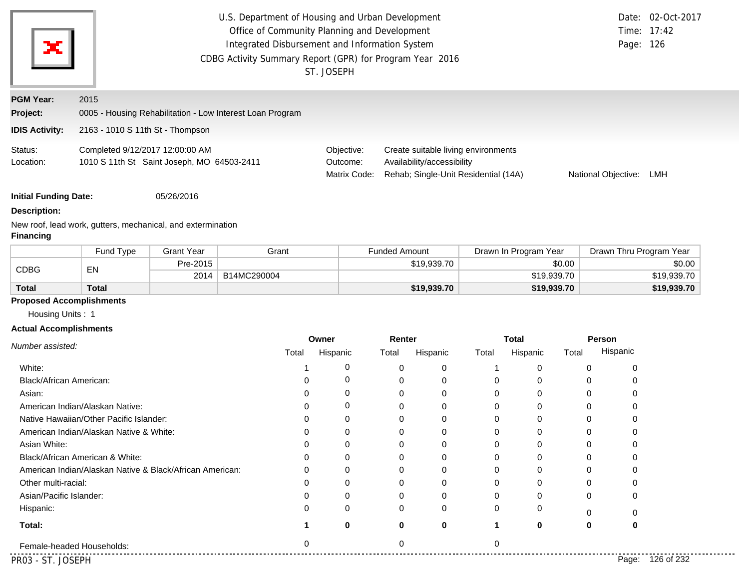| ×                            |                                                                               |                   | U.S. Department of Housing and Urban Development<br>Office of Community Planning and Development<br>Integrated Disbursement and Information System<br>CDBG Activity Summary Report (GPR) for Program Year 2016 | ST. JOSEPH                             |                                                                                                           |                       | Page: 126               | Date: 02-Oct-2017<br>Time: 17:42 |
|------------------------------|-------------------------------------------------------------------------------|-------------------|----------------------------------------------------------------------------------------------------------------------------------------------------------------------------------------------------------------|----------------------------------------|-----------------------------------------------------------------------------------------------------------|-----------------------|-------------------------|----------------------------------|
| <b>PGM Year:</b>             | 2015                                                                          |                   |                                                                                                                                                                                                                |                                        |                                                                                                           |                       |                         |                                  |
| Project:                     |                                                                               |                   | 0005 - Housing Rehabilitation - Low Interest Loan Program                                                                                                                                                      |                                        |                                                                                                           |                       |                         |                                  |
| <b>IDIS Activity:</b>        | 2163 - 1010 S 11th St - Thompson                                              |                   |                                                                                                                                                                                                                |                                        |                                                                                                           |                       |                         |                                  |
| Status:<br>Location:         | Completed 9/12/2017 12:00:00 AM<br>1010 S 11th St Saint Joseph, MO 64503-2411 |                   |                                                                                                                                                                                                                | Objective:<br>Outcome:<br>Matrix Code: | Create suitable living environments<br>Availability/accessibility<br>Rehab; Single-Unit Residential (14A) |                       | National Objective:     | LMH                              |
| <b>Initial Funding Date:</b> |                                                                               | 05/26/2016        |                                                                                                                                                                                                                |                                        |                                                                                                           |                       |                         |                                  |
| <b>Description:</b>          |                                                                               |                   |                                                                                                                                                                                                                |                                        |                                                                                                           |                       |                         |                                  |
| <b>Financing</b>             | New roof, lead work, gutters, mechanical, and extermination                   |                   |                                                                                                                                                                                                                |                                        |                                                                                                           |                       |                         |                                  |
|                              | Fund Type                                                                     | <b>Grant Year</b> | Grant                                                                                                                                                                                                          |                                        | <b>Funded Amount</b>                                                                                      | Drawn In Program Year | Drawn Thru Program Year |                                  |
| <b>CDBG</b>                  | EN                                                                            | Pre-2015          |                                                                                                                                                                                                                |                                        | \$19,939.70                                                                                               | \$0.00                |                         | \$0.00                           |
|                              |                                                                               | 2014              | B14MC290004                                                                                                                                                                                                    |                                        |                                                                                                           | \$19,939.70           |                         | \$19,939.70                      |

# **Proposed Accomplishments**

**Total**

Housing Units : 1

**Total**

## **Actual Accomplishments**

|                                                          | Owner |          | Renter |              |          | <b>Total</b> |       | Person              |
|----------------------------------------------------------|-------|----------|--------|--------------|----------|--------------|-------|---------------------|
| Number assisted:                                         | Total | Hispanic | Total  | Hispanic     | Total    | Hispanic     | Total | Hispanic            |
| White:                                                   |       | 0        |        |              |          |              |       |                     |
| Black/African American:                                  |       | 0        |        |              |          |              |       |                     |
| Asian:                                                   |       | 0        |        |              |          | 0            |       |                     |
| American Indian/Alaskan Native:                          |       | 0        |        |              |          |              |       |                     |
| Native Hawaiian/Other Pacific Islander:                  |       | 0        |        |              |          |              |       |                     |
| American Indian/Alaskan Native & White:                  |       | 0        |        |              |          |              |       |                     |
| Asian White:                                             |       | O        |        |              |          |              |       |                     |
| Black/African American & White:                          |       | 0        |        |              |          |              |       |                     |
| American Indian/Alaskan Native & Black/African American: |       | 0        |        |              |          |              |       |                     |
| Other multi-racial:                                      |       | 0        |        |              |          | 0            | 0     |                     |
| Asian/Pacific Islander:                                  |       | 0        |        |              |          |              | 0     | 0                   |
| Hispanic:                                                |       | 0        |        | <sup>0</sup> | $\Omega$ | 0            |       |                     |
| Total:                                                   |       | 0        | 0      | 0            |          | 0            | 0     | 0                   |
| Female-headed Households:                                | 0     |          |        |              |          |              |       |                     |
| PR03 - ST. JOSEPH                                        |       |          |        |              |          |              |       | 126 of 232<br>Page: |

........

**\$19,939.70 \$19,939.70 \$19,939.70**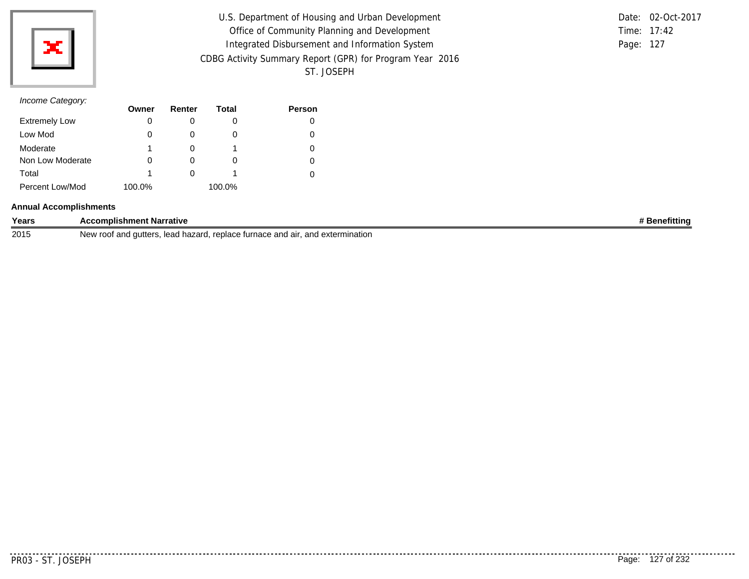

| U.S. Department of Housing and Urban Development         |           | Date: 02-Oct-2017 |
|----------------------------------------------------------|-----------|-------------------|
| Office of Community Planning and Development             |           | Time: 17:42       |
| Integrated Disbursement and Information System           | Page: 127 |                   |
| CDBG Activity Summary Report (GPR) for Program Year 2016 |           |                   |
| ST. JOSEPH                                               |           |                   |

|               | Date: 02-Oct-2017 |
|---------------|-------------------|
| Time: $17:42$ |                   |
| Page: 127     |                   |

|                      | Owner  | Renter | Total  | <b>Person</b> |
|----------------------|--------|--------|--------|---------------|
| <b>Extremely Low</b> | 0      |        |        | 0             |
| Low Mod              | 0      | O      |        | 0             |
| Moderate             | 1      |        |        | 0             |
| Non Low Moderate     | 0      | O      |        | 0             |
| Total                | 1      |        |        |               |
| Percent Low/Mod      | 100.0% |        | 100.0% |               |

#### **Annual Accomplishments**

| Years | <b>Accomplishment Narrative</b>                                                                            | enefittina. |
|-------|------------------------------------------------------------------------------------------------------------|-------------|
| 2015  | : and air.<br>. replace turnace<br>∣ extermination<br>autters<br>hazard<br>≀ root an<br>New<br>and<br>leac |             |

. . . . . . . .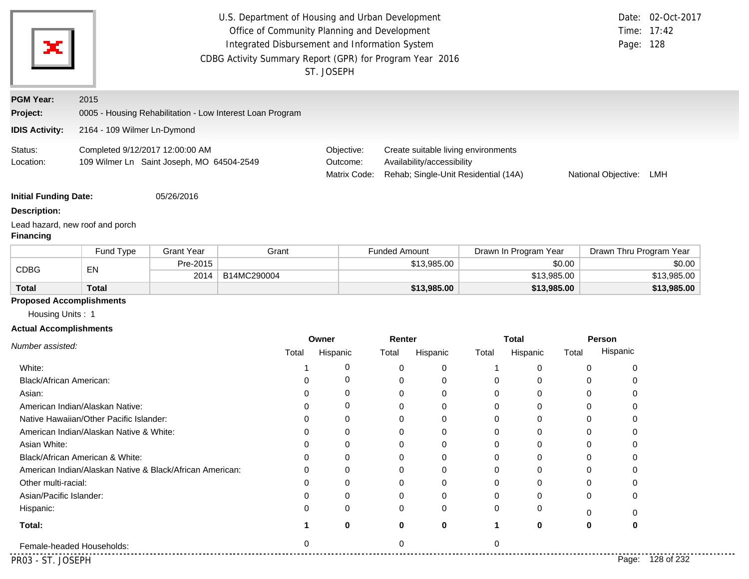| х                                                 |                                                                              |                   | U.S. Department of Housing and Urban Development<br>CDBG Activity Summary Report (GPR) for Program Year 2016 |          | Office of Community Planning and Development<br>Integrated Disbursement and Information System<br>ST. JOSEPH |                      |                                                                                                           |          |                       |          | Page: 128               | Date: 02-Oct-2017<br>Time: 17:42 |
|---------------------------------------------------|------------------------------------------------------------------------------|-------------------|--------------------------------------------------------------------------------------------------------------|----------|--------------------------------------------------------------------------------------------------------------|----------------------|-----------------------------------------------------------------------------------------------------------|----------|-----------------------|----------|-------------------------|----------------------------------|
| <b>PGM Year:</b>                                  | 2015                                                                         |                   |                                                                                                              |          |                                                                                                              |                      |                                                                                                           |          |                       |          |                         |                                  |
| Project:                                          | 0005 - Housing Rehabilitation - Low Interest Loan Program                    |                   |                                                                                                              |          |                                                                                                              |                      |                                                                                                           |          |                       |          |                         |                                  |
| <b>IDIS Activity:</b>                             | 2164 - 109 Wilmer Ln-Dymond                                                  |                   |                                                                                                              |          |                                                                                                              |                      |                                                                                                           |          |                       |          |                         |                                  |
| Status:<br>Location:                              | Completed 9/12/2017 12:00:00 AM<br>109 Wilmer Ln Saint Joseph, MO 64504-2549 |                   |                                                                                                              |          | Objective:<br>Outcome:<br>Matrix Code:                                                                       |                      | Create suitable living environments<br>Availability/accessibility<br>Rehab; Single-Unit Residential (14A) |          |                       |          | National Objective:     | LMH                              |
| <b>Initial Funding Date:</b>                      |                                                                              | 05/26/2016        |                                                                                                              |          |                                                                                                              |                      |                                                                                                           |          |                       |          |                         |                                  |
| <b>Description:</b><br><b>Financing</b>           | Lead hazard, new roof and porch                                              |                   |                                                                                                              |          |                                                                                                              |                      |                                                                                                           |          |                       |          |                         |                                  |
|                                                   | Fund Type                                                                    | <b>Grant Year</b> |                                                                                                              | Grant    |                                                                                                              | <b>Funded Amount</b> |                                                                                                           |          | Drawn In Program Year |          | Drawn Thru Program Year |                                  |
| <b>CDBG</b>                                       | EN                                                                           | Pre-2015          |                                                                                                              |          |                                                                                                              |                      | \$13,985.00                                                                                               |          |                       | \$0.00   |                         | \$0.00                           |
|                                                   |                                                                              | 2014              | B14MC290004                                                                                                  |          |                                                                                                              |                      |                                                                                                           |          | \$13,985.00           |          |                         | \$13,985.00                      |
| <b>Total</b>                                      | <b>Total</b>                                                                 |                   |                                                                                                              |          |                                                                                                              |                      | \$13,985.00                                                                                               |          | \$13,985.00           |          |                         | \$13,985.00                      |
| Housing Units: 1<br><b>Actual Accomplishments</b> | <b>Proposed Accomplishments</b>                                              |                   |                                                                                                              |          | Owner                                                                                                        | Renter               |                                                                                                           |          | <b>Total</b>          |          | Person                  |                                  |
| Number assisted:                                  |                                                                              |                   |                                                                                                              | Total    | Hispanic                                                                                                     | Total                | Hispanic                                                                                                  | Total    | Hispanic              | Total    | Hispanic                |                                  |
| White:                                            |                                                                              |                   |                                                                                                              |          | 0                                                                                                            | 0                    | 0                                                                                                         | 1        | 0                     | 0        | 0                       |                                  |
| Black/African American:                           |                                                                              |                   |                                                                                                              | 0        | 0                                                                                                            | 0                    | 0                                                                                                         | 0        | 0                     | 0        | 0                       |                                  |
| Asian:                                            |                                                                              |                   |                                                                                                              | 0        | 0                                                                                                            | 0                    | 0                                                                                                         | 0        | 0                     | 0        | 0                       |                                  |
|                                                   | American Indian/Alaskan Native:                                              |                   |                                                                                                              | 0        | 0                                                                                                            | 0                    | 0                                                                                                         | 0        | 0                     | 0        | 0                       |                                  |
|                                                   | Native Hawaiian/Other Pacific Islander:                                      |                   |                                                                                                              |          | 0                                                                                                            |                      | 0                                                                                                         | 0        | 0                     | 0        | 0                       |                                  |
|                                                   | American Indian/Alaskan Native & White:                                      |                   |                                                                                                              | 0        | 0                                                                                                            | 0                    | 0                                                                                                         | $\Omega$ | 0                     | $\Omega$ | 0                       |                                  |
|                                                   |                                                                              |                   |                                                                                                              | n        | 0                                                                                                            | 0                    | 0                                                                                                         | 0        | 0                     | 0        | 0                       |                                  |
| Asian White:                                      |                                                                              |                   |                                                                                                              |          | $\Omega$                                                                                                     | 0                    | 0                                                                                                         | 0        | 0                     | 0        | 0                       |                                  |
|                                                   | Black/African American & White:                                              |                   |                                                                                                              |          |                                                                                                              |                      |                                                                                                           | $\Omega$ | 0                     | 0        |                         |                                  |
|                                                   | American Indian/Alaskan Native & Black/African American:                     |                   |                                                                                                              |          | 0                                                                                                            |                      | 0                                                                                                         |          |                       |          |                         |                                  |
| Other multi-racial:                               |                                                                              |                   |                                                                                                              |          | O                                                                                                            |                      | 0                                                                                                         | O        | 0                     | 0        |                         |                                  |
| Asian/Pacific Islander:                           |                                                                              |                   |                                                                                                              |          | 0                                                                                                            |                      | O                                                                                                         | ∩        | 0                     | O        |                         |                                  |
| Hispanic:                                         |                                                                              |                   |                                                                                                              |          | 0                                                                                                            |                      | 0                                                                                                         | 0        | 0                     | 0        | 0                       |                                  |
| Total:                                            |                                                                              |                   |                                                                                                              |          | 0                                                                                                            | 0                    | $\bf{0}$                                                                                                  | 1        | 0                     | 0        | 0                       |                                  |
|                                                   | Female-headed Households:                                                    |                   |                                                                                                              | $\Omega$ |                                                                                                              | $\Omega$             |                                                                                                           | $\Omega$ |                       |          |                         |                                  |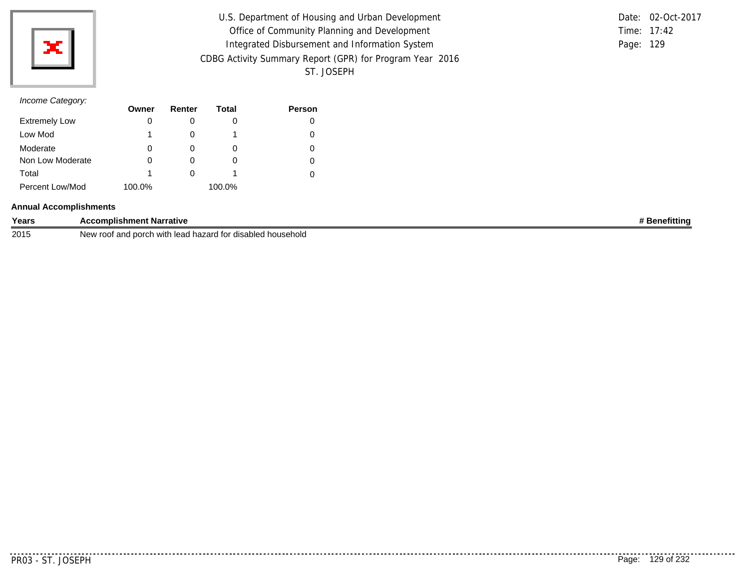

| U.S. Department of Housing and Urban Development         |           | Date: 02-Oct-2017 |
|----------------------------------------------------------|-----------|-------------------|
| Office of Community Planning and Development             |           | Time: 17:42       |
| Integrated Disbursement and Information System           | Page: 129 |                   |
| CDBG Activity Summary Report (GPR) for Program Year 2016 |           |                   |
| ST. JOSEPH                                               |           |                   |

# *Income Category:*

|                      | Owner  | Renter | Total  | <b>Person</b> |
|----------------------|--------|--------|--------|---------------|
| <b>Extremely Low</b> | 0      |        |        |               |
| Low Mod              |        |        |        |               |
| Moderate             | 0      |        | O      |               |
| Non Low Moderate     | 0      |        |        |               |
| Total                |        |        |        |               |
| Percent Low/Mod      | 100.0% |        | 100.0% |               |

#### **Annual Accomplishments**

| Years | <b>Accomplishment Narrative</b>                                                                                      | nefitting<br>ene |
|-------|----------------------------------------------------------------------------------------------------------------------|------------------|
| 2015  | disabled household<br>porch<br>, hazard<br>ہ صدھ ا<br>$+2r$<br>and<br>with<br>، ۱٬۰۰۰<br>ിറ∩<br>'yew<br>ושו<br>icau. |                  |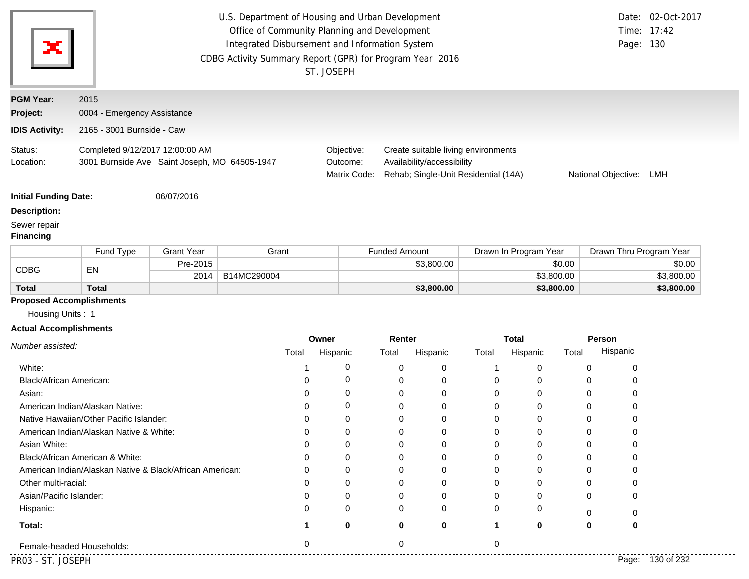|                                                                                         |                                                                                  |                   | U.S. Department of Housing and Urban Development<br>Office of Community Planning and Development<br>Integrated Disbursement and Information System<br>CDBG Activity Summary Report (GPR) for Program Year 2016 |               | ST. JOSEPH                             |                      |                                                                                                           |                  |                       |            | Page: 130               | Date: 02-Oct-2017<br>Time: 17:42 |
|-----------------------------------------------------------------------------------------|----------------------------------------------------------------------------------|-------------------|----------------------------------------------------------------------------------------------------------------------------------------------------------------------------------------------------------------|---------------|----------------------------------------|----------------------|-----------------------------------------------------------------------------------------------------------|------------------|-----------------------|------------|-------------------------|----------------------------------|
| <b>PGM Year:</b>                                                                        | 2015                                                                             |                   |                                                                                                                                                                                                                |               |                                        |                      |                                                                                                           |                  |                       |            |                         |                                  |
| Project:                                                                                | 0004 - Emergency Assistance                                                      |                   |                                                                                                                                                                                                                |               |                                        |                      |                                                                                                           |                  |                       |            |                         |                                  |
| <b>IDIS Activity:</b>                                                                   | 2165 - 3001 Burnside - Caw                                                       |                   |                                                                                                                                                                                                                |               |                                        |                      |                                                                                                           |                  |                       |            |                         |                                  |
| Status:<br>Location:                                                                    | Completed 9/12/2017 12:00:00 AM<br>3001 Burnside Ave Saint Joseph, MO 64505-1947 |                   |                                                                                                                                                                                                                |               | Objective:<br>Outcome:<br>Matrix Code: |                      | Create suitable living environments<br>Availability/accessibility<br>Rehab; Single-Unit Residential (14A) |                  |                       |            | National Objective:     | LMH                              |
| <b>Initial Funding Date:</b><br><b>Description:</b><br>Sewer repair<br><b>Financing</b> |                                                                                  | 06/07/2016        |                                                                                                                                                                                                                |               |                                        |                      |                                                                                                           |                  |                       |            |                         |                                  |
|                                                                                         | Fund Type                                                                        | <b>Grant Year</b> | Grant                                                                                                                                                                                                          |               |                                        | <b>Funded Amount</b> |                                                                                                           |                  | Drawn In Program Year |            | Drawn Thru Program Year |                                  |
| <b>CDBG</b>                                                                             | EN                                                                               | Pre-2015          |                                                                                                                                                                                                                |               |                                        |                      | \$3,800.00                                                                                                | \$0.00           |                       |            |                         | \$0.00                           |
|                                                                                         |                                                                                  | 2014              | B14MC290004                                                                                                                                                                                                    |               |                                        |                      |                                                                                                           |                  |                       | \$3,800.00 |                         | \$3,800.00                       |
| <b>Total</b>                                                                            | <b>Total</b>                                                                     |                   |                                                                                                                                                                                                                |               |                                        |                      | \$3,800.00                                                                                                |                  |                       | \$3,800.00 |                         | \$3,800.00                       |
| <b>Proposed Accomplishments</b>                                                         |                                                                                  |                   |                                                                                                                                                                                                                |               |                                        |                      |                                                                                                           |                  |                       |            |                         |                                  |
| Housing Units: 1                                                                        |                                                                                  |                   |                                                                                                                                                                                                                |               |                                        |                      |                                                                                                           |                  |                       |            |                         |                                  |
| <b>Actual Accomplishments</b>                                                           |                                                                                  |                   |                                                                                                                                                                                                                | Owner         |                                        | Renter               |                                                                                                           |                  | <b>Total</b>          |            | Person                  |                                  |
| Number assisted:                                                                        |                                                                                  |                   | Total                                                                                                                                                                                                          |               | Hispanic                               | Total                | Hispanic                                                                                                  | Total            | Hispanic              | Total      | Hispanic                |                                  |
|                                                                                         |                                                                                  |                   |                                                                                                                                                                                                                |               | 0                                      |                      |                                                                                                           |                  |                       |            |                         |                                  |
| White:<br>Black/African American:                                                       |                                                                                  |                   |                                                                                                                                                                                                                | 0             | 0                                      | 0<br>0               | 0<br>0                                                                                                    | $\mathbf 1$<br>0 | 0<br>0                |            | 0<br>0<br>0<br>0        |                                  |
| Asian:                                                                                  |                                                                                  |                   |                                                                                                                                                                                                                | $\mathbf 0$   | 0                                      | 0                    | 0                                                                                                         | 0                | $\mathbf 0$           |            | 0<br>0                  |                                  |
|                                                                                         | American Indian/Alaskan Native:                                                  |                   |                                                                                                                                                                                                                | 0             | 0                                      | $\pmb{0}$            | 0                                                                                                         | $\boldsymbol{0}$ | 0                     |            | 0<br>0                  |                                  |
|                                                                                         | Native Hawaiian/Other Pacific Islander:                                          |                   |                                                                                                                                                                                                                | $\mathbf 0$   | 0                                      | 0                    | 0                                                                                                         | $\mathbf 0$      | 0                     |            | $\mathbf 0$<br>0        |                                  |
|                                                                                         | American Indian/Alaskan Native & White:                                          |                   |                                                                                                                                                                                                                |               | 0                                      | 0                    |                                                                                                           | 0                |                       |            |                         |                                  |
| Asian White:                                                                            |                                                                                  |                   |                                                                                                                                                                                                                | O             | 0                                      | 0                    | O                                                                                                         | 0                |                       |            |                         |                                  |
|                                                                                         | Black/African American & White:                                                  |                   |                                                                                                                                                                                                                |               | 0                                      | 0                    | 0                                                                                                         | 0                | 0                     |            |                         |                                  |
|                                                                                         | American Indian/Alaskan Native & Black/African American:                         |                   |                                                                                                                                                                                                                | $\mathcal{L}$ | 0                                      | 0                    | 0                                                                                                         | 0                | O                     |            | $\Omega$                |                                  |
| Other multi-racial:                                                                     |                                                                                  |                   |                                                                                                                                                                                                                | 0             | 0                                      | 0                    | O                                                                                                         | 0                | O                     |            | n<br>$\mathbf{0}$       |                                  |
| Asian/Pacific Islander:                                                                 |                                                                                  |                   |                                                                                                                                                                                                                | 0             | 0                                      | 0                    | 0                                                                                                         | 0                | 0                     |            | 0<br>0                  |                                  |
| Hispanic:                                                                               |                                                                                  |                   |                                                                                                                                                                                                                | 0             | 0                                      | 0                    | $\Omega$                                                                                                  | 0                | 0                     |            |                         |                                  |

**1 0**

Female-headed Households: 0 0 0

**0**

**0**

PR03 - ST. JOSEPH Page: 130 of 232

**Total:**

 $\begin{array}{cccccccccc} \bullet & \bullet & \bullet & \bullet & \bullet & \bullet & \bullet \end{array}$ 

0

**0**

0

**1 0 0**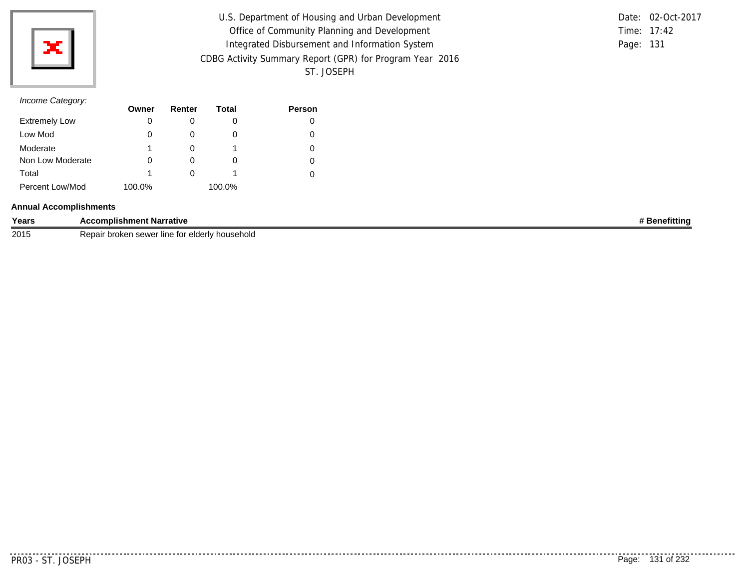

U.S. Department of Housing and Urban Development Office of Community Planning and Development Integrated Disbursement and Information System CDBG Activity Summary Report (GPR) for Program Year 2016 ST. JOSEPH

Time: 17:42 Page: 131 Date: 02-Oct-2017

# *Income Category:*

|                      | Owner  | Renter | Total  | Person |
|----------------------|--------|--------|--------|--------|
| <b>Extremely Low</b> | 0      |        | O      |        |
| Low Mod              | 0      |        | O      | 0      |
| Moderate             |        |        |        | 0      |
| Non Low Moderate     |        |        | O      |        |
| Total                |        |        |        |        |
| Percent Low/Mod      | 100.0% |        | 100.0% |        |

#### **Annual Accomplishments**

| Years | :omplishment Narrative<br>АC                        | -- - -<br>enefittina |
|-------|-----------------------------------------------------|----------------------|
| 2015  | broker<br>' household<br>line for elderly<br>⊧sewer |                      |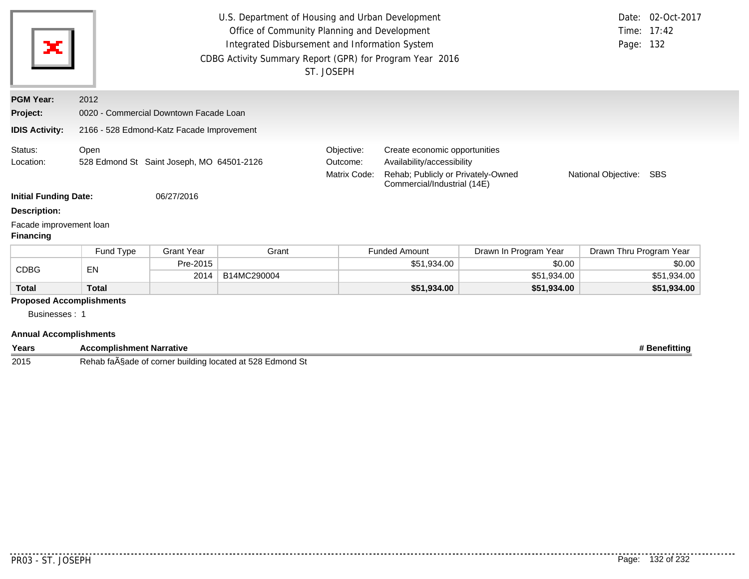| ×                                           |                                                   | Page: 132                                 | Date: 02-Oct-2017<br>Time: 17:42       |                                                                                                                                  |                      |                       |                         |             |
|---------------------------------------------|---------------------------------------------------|-------------------------------------------|----------------------------------------|----------------------------------------------------------------------------------------------------------------------------------|----------------------|-----------------------|-------------------------|-------------|
| <b>PGM Year:</b>                            | 2012                                              |                                           |                                        |                                                                                                                                  |                      |                       |                         |             |
| Project:                                    |                                                   | 0020 - Commercial Downtown Facade Loan    |                                        |                                                                                                                                  |                      |                       |                         |             |
| <b>IDIS Activity:</b>                       |                                                   | 2166 - 528 Edmond-Katz Facade Improvement |                                        |                                                                                                                                  |                      |                       |                         |             |
| Status:<br>Location:                        | Open<br>528 Edmond St Saint Joseph, MO 64501-2126 |                                           | Objective:<br>Outcome:<br>Matrix Code: | Create economic opportunities<br>Availability/accessibility<br>Rehab; Publicly or Privately-Owned<br>Commercial/Industrial (14E) | <b>SBS</b>           |                       |                         |             |
| <b>Initial Funding Date:</b>                |                                                   | 06/27/2016                                |                                        |                                                                                                                                  |                      |                       |                         |             |
| <b>Description:</b>                         |                                                   |                                           |                                        |                                                                                                                                  |                      |                       |                         |             |
| Facade improvement loan<br><b>Financing</b> |                                                   |                                           |                                        |                                                                                                                                  |                      |                       |                         |             |
|                                             | Fund Type                                         | <b>Grant Year</b>                         | Grant                                  |                                                                                                                                  | <b>Funded Amount</b> | Drawn In Program Year | Drawn Thru Program Year |             |
|                                             |                                                   | Pre-2015                                  |                                        |                                                                                                                                  | \$51,934.00          | \$0.00                |                         | \$0.00      |
| <b>CDBG</b>                                 | EN                                                | 2014                                      | B14MC290004                            |                                                                                                                                  |                      | \$51,934.00           |                         | \$51,934.00 |
| <b>Total</b>                                | <b>Total</b>                                      |                                           |                                        |                                                                                                                                  | \$51,934.00          | \$51,934.00           |                         | \$51,934.00 |
| <b>Proposed Accomplishments</b>             |                                                   |                                           |                                        |                                                                                                                                  |                      |                       |                         |             |
| Businesses: 1                               |                                                   |                                           |                                        |                                                                                                                                  |                      |                       |                         |             |

#### **Annual Accomplishments**

| Years | Accomplishment Narrative                                                                                                                             | ⊧ Benefittina |
|-------|------------------------------------------------------------------------------------------------------------------------------------------------------|---------------|
| 2015  | -<br>528<br>$\sim$ $\sim$<br>located at !<br>lmond<br>⊤taA§ade<br>ーヘト<br>. corner<br>'buildina<br>~ *<br>$- \sim$<br>Reliab<br><b>LUI</b><br>ט שווטו |               |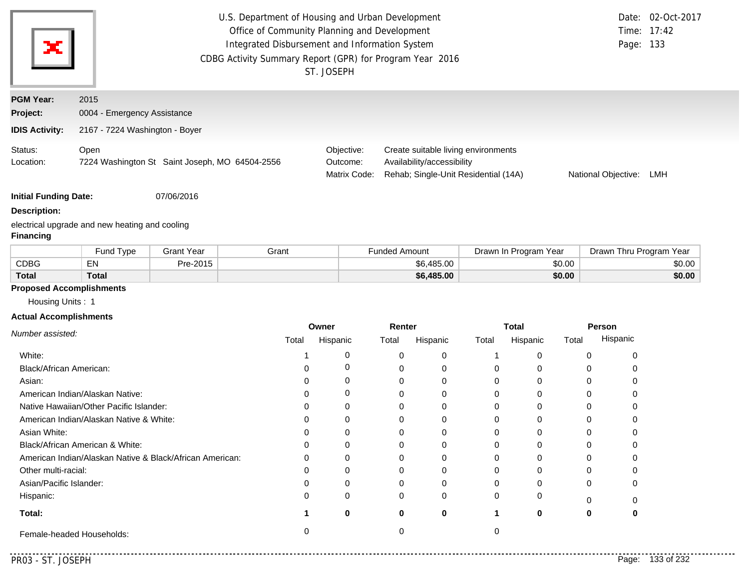| ×                                                     | U.S. Department of Housing and Urban Development<br>Office of Community Planning and Development<br>Integrated Disbursement and Information System<br>CDBG Activity Summary Report (GPR) for Program Year 2016<br>ST. JOSEPH | Page: 133                              | Date: 02-Oct-2017<br>Time: 17:42                                                                          |                     |     |
|-------------------------------------------------------|------------------------------------------------------------------------------------------------------------------------------------------------------------------------------------------------------------------------------|----------------------------------------|-----------------------------------------------------------------------------------------------------------|---------------------|-----|
| <b>PGM Year:</b><br>Project:<br><b>IDIS Activity:</b> | 2015<br>0004 - Emergency Assistance<br>2167 - 7224 Washington - Boyer                                                                                                                                                        |                                        |                                                                                                           |                     |     |
| Status:<br>Location:                                  | Open<br>7224 Washington St Saint Joseph, MO 64504-2556                                                                                                                                                                       | Objective:<br>Outcome:<br>Matrix Code: | Create suitable living environments<br>Availability/accessibility<br>Rehab; Single-Unit Residential (14A) | National Objective: | LMH |

**Initial Funding Date:** 07/06/2016

#### **Description:**

electrical upgrade and new heating and cooling **Financing**

|              | Fund Type    | Grant Year | Grant | <b>Funded Amount</b> | Drawn In Program Year | Drawn Thru Program Year |
|--------------|--------------|------------|-------|----------------------|-----------------------|-------------------------|
| <b>CDBG</b>  | <b>ENL</b>   | Pre-2015   |       | \$6,485.00           | \$0.00                | \$0.00                  |
| <b>Total</b> | <b>Total</b> |            |       | \$6,485.00           | \$0.00                | \$0.00                  |

## **Proposed Accomplishments**

Housing Units : 1

#### **Actual Accomplishments**

|                                                          | Owner |          | Renter |          |       | <b>Total</b> | Person |          |  |
|----------------------------------------------------------|-------|----------|--------|----------|-------|--------------|--------|----------|--|
| Number assisted:                                         | Total | Hispanic | Total  | Hispanic | Total | Hispanic     | Total  | Hispanic |  |
| White:                                                   |       |          |        | $\Omega$ |       |              |        |          |  |
| Black/African American:                                  |       |          |        | 0        |       |              |        |          |  |
| Asian:                                                   |       |          |        | 0        |       |              |        |          |  |
| American Indian/Alaskan Native:                          |       |          |        | $\Omega$ |       |              |        |          |  |
| Native Hawaiian/Other Pacific Islander:                  |       |          |        | $\Omega$ |       |              |        |          |  |
| American Indian/Alaskan Native & White:                  |       |          |        | O        |       |              |        |          |  |
| Asian White:                                             |       |          |        | 0        |       |              |        |          |  |
| Black/African American & White:                          |       |          |        | 0        |       |              |        |          |  |
| American Indian/Alaskan Native & Black/African American: |       |          |        | $\Omega$ |       |              |        |          |  |
| Other multi-racial:                                      |       |          |        | 0        |       |              |        |          |  |
| Asian/Pacific Islander:                                  |       |          |        | 0        |       |              |        |          |  |
| Hispanic:                                                |       | O        | 0      | $\Omega$ |       |              |        |          |  |
| Total:                                                   |       | 0        | 0      | 0        |       | 0            | 0      |          |  |
| Female-headed Households:                                |       |          |        |          |       |              |        |          |  |

. . . . .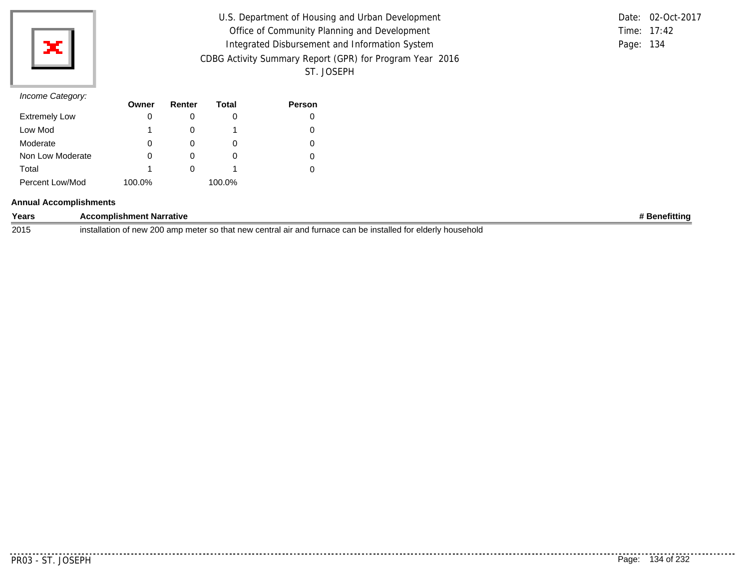

| U.S. Department of Housing and Urban Development         |           | Date: 02-Oct-2017 |
|----------------------------------------------------------|-----------|-------------------|
| Office of Community Planning and Development             |           | Time: 17:42       |
| Integrated Disbursement and Information System           | Page: 134 |                   |
| CDBG Activity Summary Report (GPR) for Program Year 2016 |           |                   |
| ST. JOSEPH                                               |           |                   |

|           | Date: 02-Oct-2017 |
|-----------|-------------------|
|           | Time: $17:42$     |
| Page: 134 |                   |

|                      | Owner  | Renter | Total  | Person |
|----------------------|--------|--------|--------|--------|
| <b>Extremely Low</b> |        |        |        |        |
| Low Mod              |        |        |        | 0      |
| Moderate             | O      |        | O)     |        |
| Non Low Moderate     | 0      | O      | O      | 0      |
| Total                |        |        |        |        |
| Percent Low/Mod      | 100.0% |        | 100.0% |        |

#### **Annual Accomplishments**

| Years | <b>Accomplishment Narrative</b>                                                                                                          | ' Benefittina |
|-------|------------------------------------------------------------------------------------------------------------------------------------------|---------------|
| 2015  | . 200 amr<br>o meter so that new central air and furnace can be installed for elderly.<br>of new<br>/ household<br>.netr<br>. stallation |               |

. . . . . . . . . .

. . . . . . . . . . .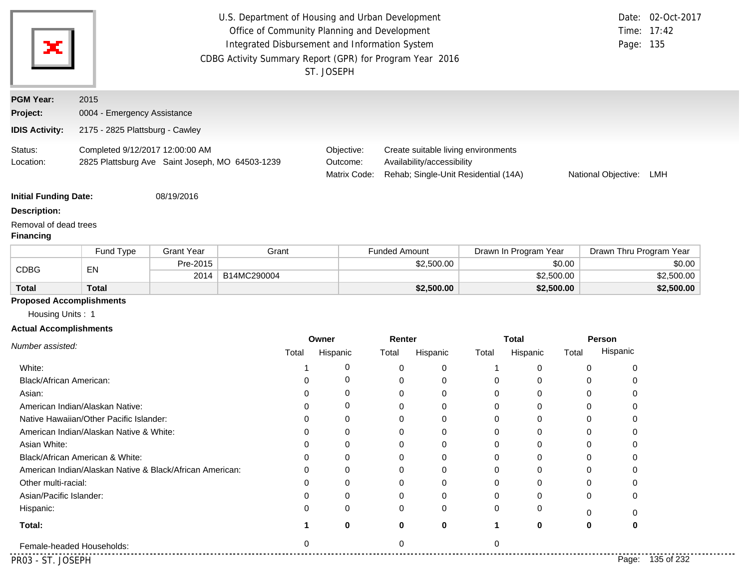| ×                                                                | U.S. Department of Housing and Urban Development<br>Office of Community Planning and Development<br>Time: 17:42<br>Integrated Disbursement and Information System<br>Page: 135<br>CDBG Activity Summary Report (GPR) for Program Year 2016<br>ST. JOSEPH |                   |             |                        |                                                                                                                           |            |       |                          |            | Date: 02-Oct-2017       |            |
|------------------------------------------------------------------|----------------------------------------------------------------------------------------------------------------------------------------------------------------------------------------------------------------------------------------------------------|-------------------|-------------|------------------------|---------------------------------------------------------------------------------------------------------------------------|------------|-------|--------------------------|------------|-------------------------|------------|
| <b>PGM Year:</b>                                                 | 2015                                                                                                                                                                                                                                                     |                   |             |                        |                                                                                                                           |            |       |                          |            |                         |            |
| Project:                                                         | 0004 - Emergency Assistance                                                                                                                                                                                                                              |                   |             |                        |                                                                                                                           |            |       |                          |            |                         |            |
| <b>IDIS Activity:</b>                                            | 2175 - 2825 Plattsburg - Cawley                                                                                                                                                                                                                          |                   |             |                        |                                                                                                                           |            |       |                          |            |                         |            |
| Status:<br>Location:                                             | Completed 9/12/2017 12:00:00 AM<br>2825 Plattsburg Ave Saint Joseph, MO 64503-1239                                                                                                                                                                       |                   |             | Objective:<br>Outcome: | Create suitable living environments<br>Availability/accessibility<br>Rehab; Single-Unit Residential (14A)<br>Matrix Code: |            |       |                          |            | National Objective:     | LMH        |
| <b>Initial Funding Date:</b>                                     |                                                                                                                                                                                                                                                          | 08/19/2016        |             |                        |                                                                                                                           |            |       |                          |            |                         |            |
| <b>Description:</b><br>Removal of dead trees<br><b>Financing</b> |                                                                                                                                                                                                                                                          |                   |             |                        |                                                                                                                           |            |       |                          |            |                         |            |
|                                                                  | Fund Type                                                                                                                                                                                                                                                | <b>Grant Year</b> | Grant       |                        | <b>Funded Amount</b>                                                                                                      |            |       | Drawn In Program Year    |            | Drawn Thru Program Year |            |
| <b>CDBG</b>                                                      | EN                                                                                                                                                                                                                                                       | Pre-2015          |             |                        |                                                                                                                           | \$2,500.00 |       |                          | \$0.00     |                         | \$0.00     |
|                                                                  |                                                                                                                                                                                                                                                          | 2014              | B14MC290004 |                        |                                                                                                                           |            |       |                          | \$2,500.00 |                         | \$2,500.00 |
| <b>Total</b>                                                     | <b>Total</b>                                                                                                                                                                                                                                             |                   |             |                        |                                                                                                                           | \$2,500.00 |       |                          | \$2,500.00 |                         | \$2,500.00 |
| <b>Proposed Accomplishments</b><br>Housing Units: 1              |                                                                                                                                                                                                                                                          |                   |             |                        |                                                                                                                           |            |       |                          |            |                         |            |
| <b>Actual Accomplishments</b>                                    |                                                                                                                                                                                                                                                          |                   |             |                        |                                                                                                                           |            |       |                          |            |                         |            |
| Number assisted:                                                 |                                                                                                                                                                                                                                                          |                   | Total       | Owner<br>Hispanic      | Renter<br>Total                                                                                                           | Hispanic   | Total | <b>Total</b><br>Hispanic | Total      | Person<br>Hispanic      |            |
| White:                                                           |                                                                                                                                                                                                                                                          |                   | 1           | 0                      | 0                                                                                                                         | 0          | 1     | $\mathbf 0$              |            | $\mathbf 0$<br>0        |            |

| .                                                        |   |   |   |   |   |          |                     |  |
|----------------------------------------------------------|---|---|---|---|---|----------|---------------------|--|
| <b>Black/African American:</b>                           |   |   |   | 0 | 0 | 0        |                     |  |
| Asian:                                                   |   |   |   | 0 |   |          |                     |  |
| American Indian/Alaskan Native:                          | 0 |   |   | 0 | 0 | 0        |                     |  |
| Native Hawaiian/Other Pacific Islander:                  | O |   |   | 0 |   |          |                     |  |
| American Indian/Alaskan Native & White:                  |   |   |   | 0 |   |          |                     |  |
| Asian White:                                             |   |   |   | 0 |   |          |                     |  |
| Black/African American & White:                          |   |   |   |   |   |          |                     |  |
| American Indian/Alaskan Native & Black/African American: | O |   |   | 0 |   |          |                     |  |
| Other multi-racial:                                      |   |   |   | 0 |   |          |                     |  |
| Asian/Pacific Islander:                                  | 0 |   | 0 | 0 | 0 | $\Omega$ |                     |  |
| Hispanic:                                                | 0 | 0 |   | 0 | 0 |          |                     |  |
| Total:                                                   | O |   | 0 |   | 0 | 0        |                     |  |
| Female-headed Households:                                |   |   |   |   |   |          |                     |  |
| PR03 - ST. JOSEPH                                        |   |   |   |   |   |          | 135 of 232<br>Page: |  |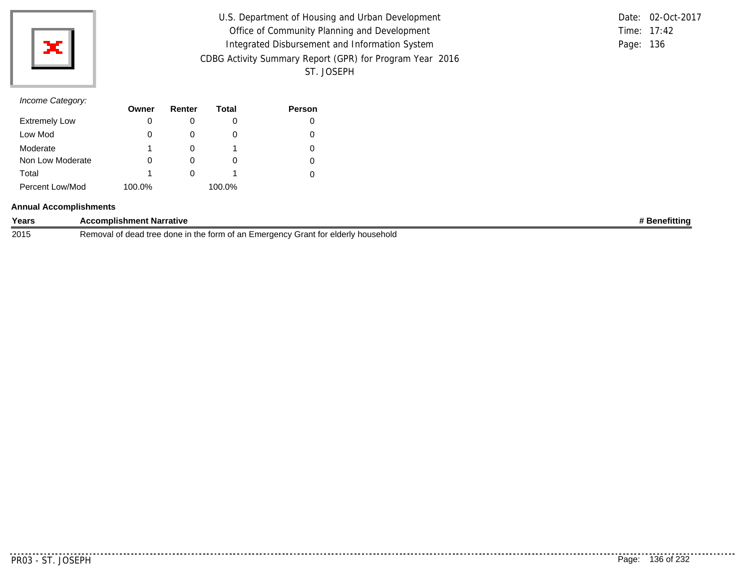

| U.S. Department of Housing and Urban Development         |           | Date: 02-Oct-2017 |
|----------------------------------------------------------|-----------|-------------------|
| Office of Community Planning and Development             |           | Time: 17:42       |
| Integrated Disbursement and Information System           | Page: 136 |                   |
| CDBG Activity Summary Report (GPR) for Program Year 2016 |           |                   |
| ST. JOSEPH                                               |           |                   |

|           | Date: 02-Oct-2017 |
|-----------|-------------------|
|           | Time: $17:42$     |
| Page: 136 |                   |

|                      | Owner  | Renter | Total    | Person |
|----------------------|--------|--------|----------|--------|
| <b>Extremely Low</b> | 0      |        |          | 0      |
| Low Mod              | 0      |        | $\Omega$ | O      |
| Moderate             | 1      |        |          | 0      |
| Non Low Moderate     | 0      |        | $\Omega$ | 0      |
| Total                | 1      |        |          | 0      |
| Percent Low/Mod      | 100.0% |        | 100.0%   |        |

#### **Annual Accomplishments**

| Years | <b>Accomplishment Narrative</b>                                                   | nefittinc |
|-------|-----------------------------------------------------------------------------------|-----------|
| 2015  | Removal of dead tree done in the form of an Emergency Grant for elderly household |           |

 $- - - - - -$ 

.........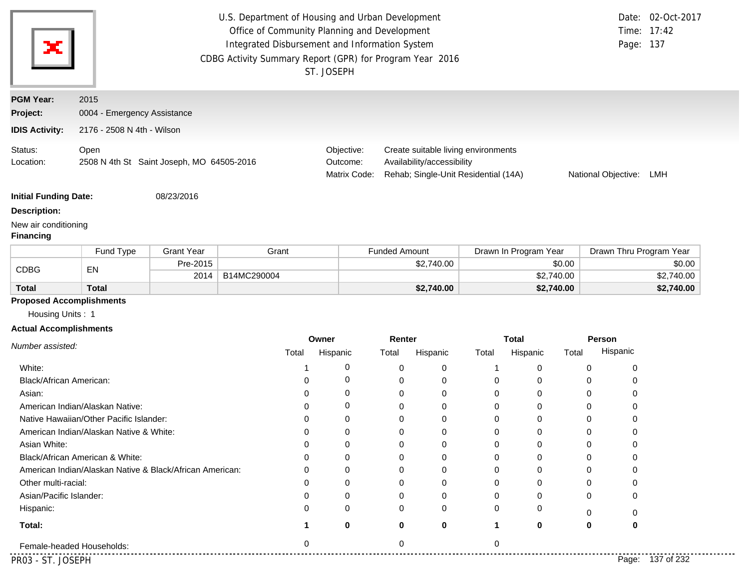|                                                   | U.S. Department of Housing and Urban Development<br>Office of Community Planning and Development<br>Integrated Disbursement and Information System<br>CDBG Activity Summary Report (GPR) for Program Year 2016<br>ST. JOSEPH |                   |             |       |                                        |                                                                                                                                  |             |          |                       |          | Page: 137 | Date: 02-Oct-2017<br>Time: 17:42 |
|---------------------------------------------------|------------------------------------------------------------------------------------------------------------------------------------------------------------------------------------------------------------------------------|-------------------|-------------|-------|----------------------------------------|----------------------------------------------------------------------------------------------------------------------------------|-------------|----------|-----------------------|----------|-----------|----------------------------------|
| <b>PGM Year:</b>                                  | 2015                                                                                                                                                                                                                         |                   |             |       |                                        |                                                                                                                                  |             |          |                       |          |           |                                  |
| Project:                                          | 0004 - Emergency Assistance                                                                                                                                                                                                  |                   |             |       |                                        |                                                                                                                                  |             |          |                       |          |           |                                  |
| <b>IDIS Activity:</b>                             | 2176 - 2508 N 4th - Wilson                                                                                                                                                                                                   |                   |             |       |                                        |                                                                                                                                  |             |          |                       |          |           |                                  |
| Status:<br>Location:                              | Open<br>2508 N 4th St Saint Joseph, MO 64505-2016                                                                                                                                                                            |                   |             |       | Objective:<br>Outcome:<br>Matrix Code: | Create suitable living environments<br>Availability/accessibility<br>Rehab; Single-Unit Residential (14A)<br>National Objective: |             |          |                       |          |           | LMH                              |
| <b>Initial Funding Date:</b>                      |                                                                                                                                                                                                                              | 08/23/2016        |             |       |                                        |                                                                                                                                  |             |          |                       |          |           |                                  |
| <b>Description:</b>                               |                                                                                                                                                                                                                              |                   |             |       |                                        |                                                                                                                                  |             |          |                       |          |           |                                  |
| New air conditioning<br><b>Financing</b>          |                                                                                                                                                                                                                              |                   |             |       |                                        |                                                                                                                                  |             |          |                       |          |           |                                  |
|                                                   | Fund Type                                                                                                                                                                                                                    | <b>Grant Year</b> |             | Grant |                                        | <b>Funded Amount</b>                                                                                                             |             |          | Drawn In Program Year |          |           | Drawn Thru Program Year          |
| <b>CDBG</b>                                       | EN                                                                                                                                                                                                                           | Pre-2015          |             |       |                                        |                                                                                                                                  | \$2,740.00  |          | \$0.00                |          |           | \$0.00                           |
|                                                   |                                                                                                                                                                                                                              | 2014              | B14MC290004 |       |                                        |                                                                                                                                  |             |          | \$2,740.00            |          |           | \$2,740.00                       |
| <b>Total</b>                                      | <b>Total</b>                                                                                                                                                                                                                 |                   |             |       |                                        |                                                                                                                                  | \$2,740.00  |          | \$2,740.00            |          |           | \$2,740.00                       |
| Housing Units: 1<br><b>Actual Accomplishments</b> | <b>Proposed Accomplishments</b>                                                                                                                                                                                              |                   |             |       | Owner                                  | Renter                                                                                                                           |             |          | <b>Total</b>          |          | Person    |                                  |
| Number assisted:                                  |                                                                                                                                                                                                                              |                   |             | Total | Hispanic                               | Total                                                                                                                            | Hispanic    | Total    | Hispanic              | Total    | Hispanic  |                                  |
| White:                                            |                                                                                                                                                                                                                              |                   |             | -1    | 0                                      | 0                                                                                                                                | 0           | 1        | 0                     | 0        | 0         |                                  |
| Black/African American:                           |                                                                                                                                                                                                                              |                   |             | 0     | 0                                      | 0                                                                                                                                | 0           | 0        | 0                     | 0        | 0         |                                  |
| Asian:                                            |                                                                                                                                                                                                                              |                   |             | 0     | 0                                      | 0                                                                                                                                | 0           | 0        | 0                     | 0        | 0         |                                  |
|                                                   | American Indian/Alaskan Native:                                                                                                                                                                                              |                   |             | 0     | 0                                      | 0                                                                                                                                | 0           | 0        | 0                     | 0        | 0         |                                  |
|                                                   | Native Hawaiian/Other Pacific Islander:                                                                                                                                                                                      |                   |             | 0     | 0                                      | 0                                                                                                                                | 0           | 0        | 0                     | 0        | 0         |                                  |
|                                                   | American Indian/Alaskan Native & White:                                                                                                                                                                                      |                   |             | 0     | 0                                      | $\mathbf 0$                                                                                                                      | 0           | 0        | 0                     | 0        | 0         |                                  |
| Asian White:                                      |                                                                                                                                                                                                                              |                   |             |       | 0                                      |                                                                                                                                  | 0           | 0        | 0                     | 0        | 0         |                                  |
|                                                   | Black/African American & White:                                                                                                                                                                                              |                   |             |       | O                                      |                                                                                                                                  | 0           | 0        | 0                     | 0        |           |                                  |
|                                                   | American Indian/Alaskan Native & Black/African American:                                                                                                                                                                     |                   |             |       | 0                                      | 0                                                                                                                                | 0           | 0        | 0                     | $\Omega$ | O         |                                  |
|                                                   |                                                                                                                                                                                                                              |                   |             |       | 0                                      | <sup>0</sup>                                                                                                                     | 0           | 0        | 0                     | ∩        |           |                                  |
| Other multi-racial:                               |                                                                                                                                                                                                                              |                   |             |       |                                        |                                                                                                                                  |             |          | 0                     |          |           |                                  |
| Asian/Pacific Islander:                           |                                                                                                                                                                                                                              |                   |             |       | 0                                      |                                                                                                                                  | 0           | 0        |                       | $\Omega$ | 0         |                                  |
| Hispanic:                                         |                                                                                                                                                                                                                              |                   |             |       | 0                                      |                                                                                                                                  | 0           | 0        | 0                     | 0        | O         |                                  |
| Total:                                            |                                                                                                                                                                                                                              |                   |             |       | 0                                      | 0                                                                                                                                | $\mathbf 0$ | 1        | 0                     | 0        | 0         |                                  |
|                                                   | Female-headed Households:                                                                                                                                                                                                    |                   |             | ∩     |                                        | $\Omega$                                                                                                                         |             | $\Omega$ |                       |          |           |                                  |

 $\overline{\phantom{a}}$ .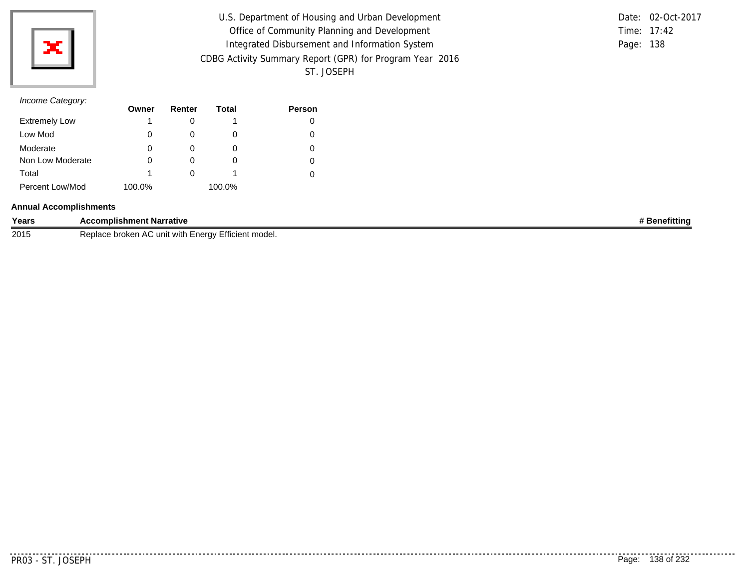

U.S. Department of Housing and Urban Development Office of Community Planning and Development Integrated Disbursement and Information System CDBG Activity Summary Report (GPR) for Program Year 2016 ST. JOSEPH

Time: 17:42 Page: 138 Date: 02-Oct-2017

#### *Income Category:*

|                      | Owner  | Renter       | Total  | <b>Person</b> |
|----------------------|--------|--------------|--------|---------------|
| <b>Extremely Low</b> |        |              |        |               |
| Low Mod              | 0      |              |        |               |
| Moderate             | 0      | $\mathbf{0}$ | O      |               |
| Non Low Moderate     | 0      |              | $\cup$ |               |
| Total                |        |              |        |               |
| Percent Low/Mod      | 100.0% |              | 100.0% |               |

#### **Annual Accomplishments**

| Years | <b>\ccomplishment Narrative</b>                                                     | nefittina |
|-------|-------------------------------------------------------------------------------------|-----------|
| 2015  | AC unit<br>-nerav<br>Replact<br>broken<br>'≒fficient model.<br>with<br>י ב <i>ו</i> |           |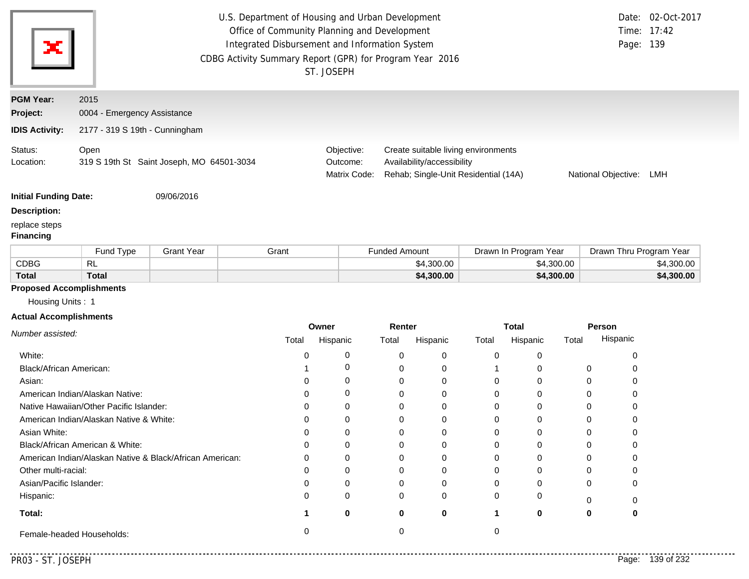|                                   |                                                          |                   | U.S. Department of Housing and Urban Development<br>Office of Community Planning and Development<br>Integrated Disbursement and Information System<br>CDBG Activity Summary Report (GPR) for Program Year 2016 | ST. JOSEPH                             |                      |                            |                                                                             |                       |                     | Date: 02-Oct-2017<br>Time: 17:42<br>Page: 139 |
|-----------------------------------|----------------------------------------------------------|-------------------|----------------------------------------------------------------------------------------------------------------------------------------------------------------------------------------------------------------|----------------------------------------|----------------------|----------------------------|-----------------------------------------------------------------------------|-----------------------|---------------------|-----------------------------------------------|
| <b>PGM Year:</b>                  | 2015                                                     |                   |                                                                                                                                                                                                                |                                        |                      |                            |                                                                             |                       |                     |                                               |
| Project:                          | 0004 - Emergency Assistance                              |                   |                                                                                                                                                                                                                |                                        |                      |                            |                                                                             |                       |                     |                                               |
| <b>IDIS Activity:</b>             | 2177 - 319 S 19th - Cunningham                           |                   |                                                                                                                                                                                                                |                                        |                      |                            |                                                                             |                       |                     |                                               |
| Status:<br>Location:              | Open<br>319 S 19th St Saint Joseph, MO 64501-3034        |                   |                                                                                                                                                                                                                | Objective:<br>Outcome:<br>Matrix Code: |                      | Availability/accessibility | Create suitable living environments<br>Rehab; Single-Unit Residential (14A) |                       | National Objective: | LMH                                           |
| <b>Initial Funding Date:</b>      |                                                          | 09/06/2016        |                                                                                                                                                                                                                |                                        |                      |                            |                                                                             |                       |                     |                                               |
| <b>Description:</b>               |                                                          |                   |                                                                                                                                                                                                                |                                        |                      |                            |                                                                             |                       |                     |                                               |
| replace steps<br><b>Financing</b> |                                                          |                   |                                                                                                                                                                                                                |                                        |                      |                            |                                                                             |                       |                     |                                               |
|                                   | Fund Type                                                | <b>Grant Year</b> | Grant                                                                                                                                                                                                          |                                        | <b>Funded Amount</b> |                            |                                                                             | Drawn In Program Year |                     | Drawn Thru Program Year                       |
| <b>CDBG</b>                       | <b>RL</b>                                                |                   |                                                                                                                                                                                                                |                                        |                      | \$4,300.00                 |                                                                             | \$4,300.00            |                     | \$4,300.00                                    |
| <b>Total</b>                      | <b>Total</b>                                             |                   |                                                                                                                                                                                                                |                                        |                      | \$4,300.00                 |                                                                             | \$4,300.00            |                     | \$4,300.00                                    |
| <b>Proposed Accomplishments</b>   |                                                          |                   |                                                                                                                                                                                                                |                                        |                      |                            |                                                                             |                       |                     |                                               |
| Housing Units: 1                  |                                                          |                   |                                                                                                                                                                                                                |                                        |                      |                            |                                                                             |                       |                     |                                               |
| <b>Actual Accomplishments</b>     |                                                          |                   |                                                                                                                                                                                                                |                                        |                      |                            |                                                                             |                       |                     |                                               |
| Number assisted:                  |                                                          |                   |                                                                                                                                                                                                                | Owner                                  | Renter               |                            | <b>Total</b>                                                                |                       | Person              |                                               |
|                                   |                                                          |                   | Total                                                                                                                                                                                                          | Hispanic                               | Total                | Hispanic                   | Total                                                                       | Hispanic<br>Total     | Hispanic            |                                               |
| White:                            |                                                          |                   | 0                                                                                                                                                                                                              | 0                                      | 0                    | 0                          | 0                                                                           | 0                     |                     | 0                                             |
| Black/African American:           |                                                          |                   |                                                                                                                                                                                                                | 0                                      | 0                    | 0                          | 1                                                                           | 0                     | 0                   | 0                                             |
| Asian:                            |                                                          |                   | 0                                                                                                                                                                                                              | 0                                      | 0                    | 0                          | 0                                                                           | 0                     | 0                   | 0                                             |
|                                   | American Indian/Alaskan Native:                          |                   | 0                                                                                                                                                                                                              | 0                                      | 0                    | 0                          | 0                                                                           | 0                     | 0                   | 0                                             |
|                                   | Native Hawaiian/Other Pacific Islander:                  |                   | 0                                                                                                                                                                                                              | 0                                      | 0                    | $\mathbf 0$                | 0                                                                           | 0                     | 0                   | 0                                             |
|                                   | American Indian/Alaskan Native & White:                  |                   | 0                                                                                                                                                                                                              | 0                                      | 0                    | 0                          | 0                                                                           | 0                     | 0                   | 0                                             |
| Asian White:                      |                                                          |                   | 0                                                                                                                                                                                                              | 0                                      | 0                    | 0                          | 0                                                                           | 0                     | 0                   | 0                                             |
|                                   | Black/African American & White:                          |                   | 0                                                                                                                                                                                                              | 0                                      | 0                    | 0                          | 0                                                                           | 0                     | 0                   |                                               |
|                                   | American Indian/Alaskan Native & Black/African American: |                   |                                                                                                                                                                                                                | 0                                      | 0                    | 0                          | 0                                                                           | 0                     | 0                   | 0                                             |
| Other multi-racial:               |                                                          |                   | 0                                                                                                                                                                                                              | $\Omega$                               | 0                    | 0                          | 0                                                                           | 0                     | 0                   | 0                                             |
| Asian/Pacific Islander:           |                                                          |                   | 0                                                                                                                                                                                                              | 0                                      | 0                    | 0                          | 0                                                                           | 0                     | 0                   | 0                                             |
| Hispanic:                         |                                                          |                   | ∩                                                                                                                                                                                                              | 0                                      | 0                    | 0                          | 0                                                                           | Ω                     | 0                   |                                               |
| Total:                            |                                                          |                   | 1                                                                                                                                                                                                              | 0                                      | 0                    | 0                          | 1                                                                           | 0                     | 0                   | 0                                             |
|                                   | Female-headed Households:                                |                   | 0                                                                                                                                                                                                              |                                        | 0                    |                            | 0                                                                           |                       |                     |                                               |
|                                   |                                                          |                   |                                                                                                                                                                                                                |                                        |                      |                            |                                                                             |                       |                     |                                               |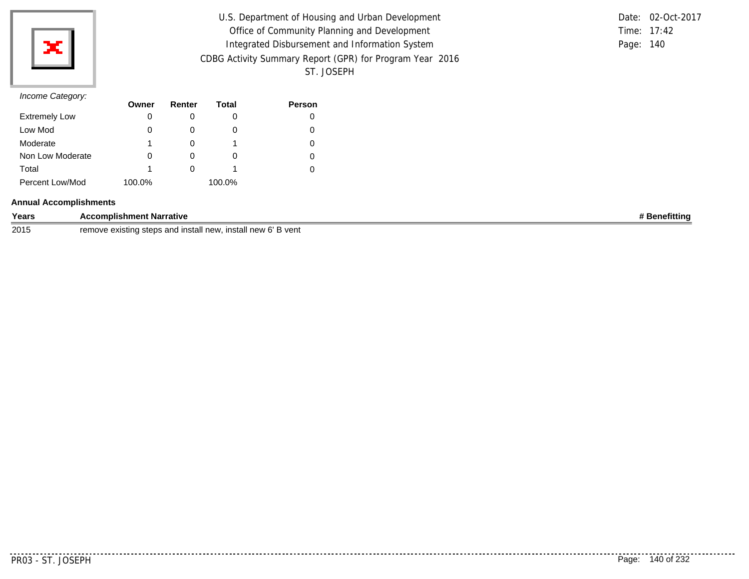

| U.S. Department of Housing and Urban Development         |           | Date: 02-Oct-2017 |
|----------------------------------------------------------|-----------|-------------------|
| Office of Community Planning and Development             |           | Time: 17:42       |
| Integrated Disbursement and Information System           | Page: 140 |                   |
| CDBG Activity Summary Report (GPR) for Program Year 2016 |           |                   |
| ST. JOSEPH                                               |           |                   |

|               | Date: 02-Oct-2017 |
|---------------|-------------------|
| Time: $17:42$ |                   |
| Page: 140     |                   |

| $\overline{\phantom{a}}$ | Owner  | Renter | Total  | <b>Person</b> |
|--------------------------|--------|--------|--------|---------------|
| <b>Extremely Low</b>     | 0      |        | O      |               |
| Low Mod                  |        |        | O      |               |
| Moderate                 |        |        |        |               |
| Non Low Moderate         |        |        | O      |               |
| Total                    |        |        |        |               |
| Percent Low/Mod          | 100.0% |        | 100.0% |               |

#### **Annual Accomplishments**

| Years | ıt Narrative<br>omplishment<br>$\cdots$                                                   | fittiny |
|-------|-------------------------------------------------------------------------------------------|---------|
| 2015  | ՝ vent<br>remove<br>ು and install new<br>et∆ne<br>i new 6'<br>existina steps ؛<br>install |         |

. . . . . . . . . .

. . . . . . . . . . . .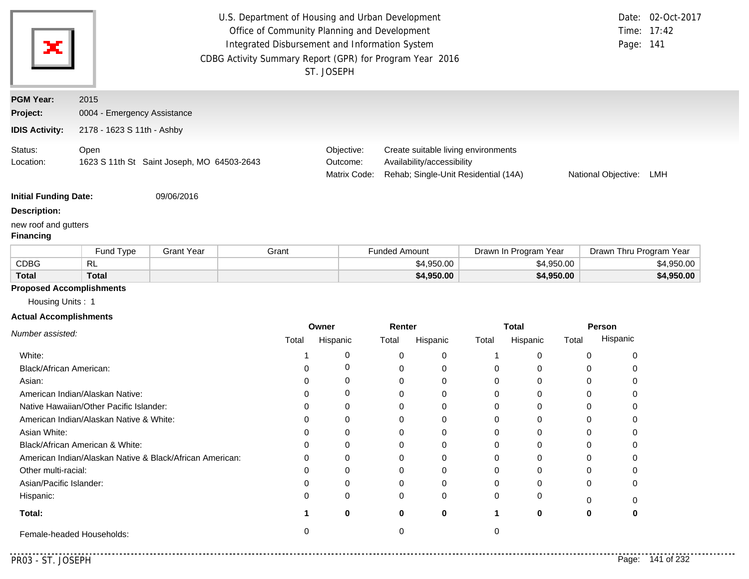| ×                                        |                                                                                                                                                                                                                                         |                   | U.S. Department of Housing and Urban Development<br>Office of Community Planning and Development<br>Integrated Disbursement and Information System<br>ST. JOSEPH | CDBG Activity Summary Report (GPR) for Program Year 2016 |                                                   | Date: 02-Oct-2017<br>Time: 17:42<br>Page: 141 |  |
|------------------------------------------|-----------------------------------------------------------------------------------------------------------------------------------------------------------------------------------------------------------------------------------------|-------------------|------------------------------------------------------------------------------------------------------------------------------------------------------------------|----------------------------------------------------------|---------------------------------------------------|-----------------------------------------------|--|
| <b>PGM Year:</b>                         | 2015                                                                                                                                                                                                                                    |                   |                                                                                                                                                                  |                                                          |                                                   |                                               |  |
| Project:                                 | 0004 - Emergency Assistance                                                                                                                                                                                                             |                   |                                                                                                                                                                  |                                                          |                                                   |                                               |  |
| <b>IDIS Activity:</b>                    | 2178 - 1623 S 11th - Ashby                                                                                                                                                                                                              |                   |                                                                                                                                                                  |                                                          |                                                   |                                               |  |
| Status:<br>Location:                     | Open<br>Create suitable living environments<br>Objective:<br>1623 S 11th St Saint Joseph, MO 64503-2643<br>Availability/accessibility<br>Outcome:<br>Matrix Code:<br>Rehab; Single-Unit Residential (14A)<br>National Objective:<br>LMH |                   |                                                                                                                                                                  |                                                          |                                                   |                                               |  |
| <b>Initial Funding Date:</b>             |                                                                                                                                                                                                                                         | 09/06/2016        |                                                                                                                                                                  |                                                          |                                                   |                                               |  |
| <b>Description:</b>                      |                                                                                                                                                                                                                                         |                   |                                                                                                                                                                  |                                                          |                                                   |                                               |  |
| new roof and gutters<br><b>Financing</b> |                                                                                                                                                                                                                                         |                   |                                                                                                                                                                  |                                                          |                                                   |                                               |  |
|                                          | Fund Type                                                                                                                                                                                                                               | <b>Grant Year</b> | Grant                                                                                                                                                            | <b>Funded Amount</b>                                     | Drawn In Program Year                             | Drawn Thru Program Year                       |  |
| <b>CDBG</b>                              | <b>RL</b>                                                                                                                                                                                                                               |                   |                                                                                                                                                                  | \$4,950.00                                               | \$4,950.00                                        | \$4,950.00                                    |  |
| <b>Total</b>                             | <b>Total</b>                                                                                                                                                                                                                            |                   |                                                                                                                                                                  | \$4,950.00                                               | \$4,950.00                                        | \$4,950.00                                    |  |
| <b>Proposed Accomplishments</b>          |                                                                                                                                                                                                                                         |                   |                                                                                                                                                                  |                                                          |                                                   |                                               |  |
| Housing Units: 1                         |                                                                                                                                                                                                                                         |                   |                                                                                                                                                                  |                                                          |                                                   |                                               |  |
| <b>Actual Accomplishments</b>            |                                                                                                                                                                                                                                         |                   |                                                                                                                                                                  |                                                          |                                                   |                                               |  |
| Number assisted:                         |                                                                                                                                                                                                                                         |                   | Owner<br>Total<br><b>Hispanic</b>                                                                                                                                | Renter<br>Total<br><b>Hispanic</b>                       | <b>Total</b><br><b>Hispanic</b><br>Total<br>Total | <b>Person</b><br>Hispanic                     |  |

| v <i>univer assisteu.</i>                                | Total | Hispanic | Total | Hispanic | Total | Hispanic | Total | Hispanic |
|----------------------------------------------------------|-------|----------|-------|----------|-------|----------|-------|----------|
| White:                                                   |       |          |       |          |       |          |       |          |
| Black/African American:                                  |       |          |       |          |       |          |       |          |
| Asian:                                                   |       |          |       |          |       |          |       |          |
| American Indian/Alaskan Native:                          |       |          |       |          |       |          |       |          |
| Native Hawaiian/Other Pacific Islander:                  |       |          |       |          |       |          |       |          |
| American Indian/Alaskan Native & White:                  |       |          |       |          |       |          |       |          |
| Asian White:                                             |       |          |       |          |       |          |       |          |
| Black/African American & White:                          |       |          |       |          |       |          |       |          |
| American Indian/Alaskan Native & Black/African American: |       |          |       |          |       |          |       |          |
| Other multi-racial:                                      |       |          |       |          |       |          |       |          |
| Asian/Pacific Islander:                                  |       |          |       |          | 0     |          |       |          |
| Hispanic:                                                |       | C        |       | 0        |       |          |       |          |
| Total:                                                   |       | 0        | O     | 0        |       |          |       |          |
| Female-headed Households:                                |       |          |       |          |       |          |       |          |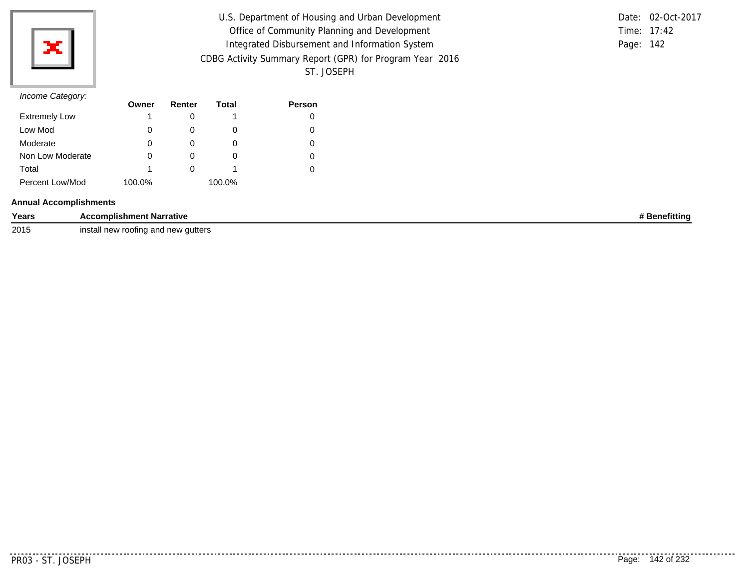

| U.S. Department of Housing and Urban Development         |           | Date: 02-Oct-2017 |
|----------------------------------------------------------|-----------|-------------------|
| Office of Community Planning and Development             |           | Time: 17:42       |
| Integrated Disbursement and Information System           | Page: 142 |                   |
| CDBG Activity Summary Report (GPR) for Program Year 2016 |           |                   |
| ST. JOSEPH                                               |           |                   |

#### *Income Category:*

|                      | Owner  | Renter | Total  | <b>Person</b> |
|----------------------|--------|--------|--------|---------------|
| <b>Extremely Low</b> |        |        |        |               |
| Low Mod              | 0      | O      | O      |               |
| Moderate             | 0      |        |        |               |
| Non Low Moderate     | 0      | O      | O      |               |
| Total                |        |        |        |               |
| Percent Low/Mod      | 100.0% |        | 100.0% |               |

#### **Annual Accomplishments**

| Years | ccomplishment Narrative                                                                                                  | .nefittina |
|-------|--------------------------------------------------------------------------------------------------------------------------|------------|
| 2015  | install<br>≀ roofing and<br><sup>,</sup> autters<br>$\sim$ $\sim$ $\sim$<br>. anu n•<br>$\overline{\phantom{a}}$<br>1999 |            |

<u>. . . . . . . .</u>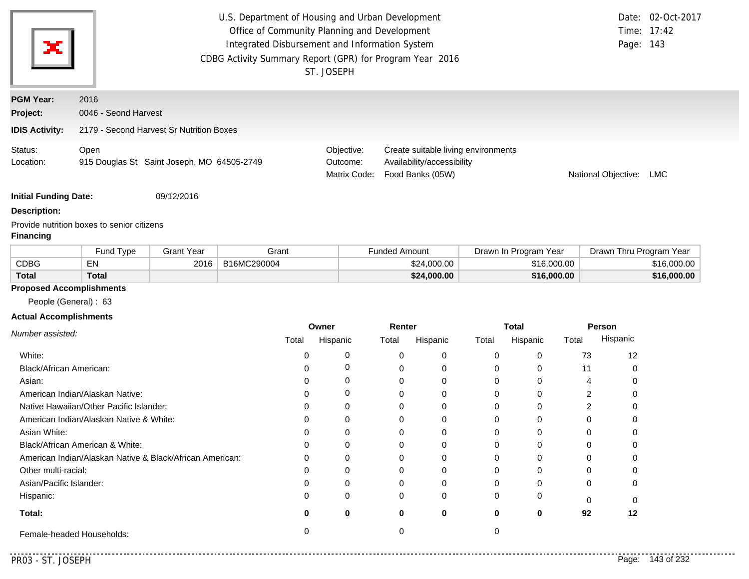| $\mathbf{x}^*$               | U.S. Department of Housing and Urban Development<br>Office of Community Planning and Development<br>Integrated Disbursement and Information System<br>CDBG Activity Summary Report (GPR) for Program Year 2016<br>ST. JOSEPH |                                            |  |                                        |                                                                                       |                         | Date: 02-Oct-2017<br>Time: $17:42$<br>Page: 143 |
|------------------------------|------------------------------------------------------------------------------------------------------------------------------------------------------------------------------------------------------------------------------|--------------------------------------------|--|----------------------------------------|---------------------------------------------------------------------------------------|-------------------------|-------------------------------------------------|
| <b>PGM Year:</b><br>Project: | 2016<br>0046 - Seond Harvest                                                                                                                                                                                                 |                                            |  |                                        |                                                                                       |                         |                                                 |
| <b>IDIS Activity:</b>        |                                                                                                                                                                                                                              | 2179 - Second Harvest Sr Nutrition Boxes   |  |                                        |                                                                                       |                         |                                                 |
| Status:<br>Location:         | Open                                                                                                                                                                                                                         | 915 Douglas St Saint Joseph, MO 64505-2749 |  | Objective:<br>Outcome:<br>Matrix Code: | Create suitable living environments<br>Availability/accessibility<br>Food Banks (05W) | National Objective: LMC |                                                 |
| <b>Initial Funding Date:</b> |                                                                                                                                                                                                                              | 09/12/2016                                 |  |                                        |                                                                                       |                         |                                                 |

#### **Description:**

Provide nutrition boxes to senior citizens

#### **Financing**

|              | Fund Type | Grant Year | Grant       | <b>Funded Amount</b> | Drawn In Program Year | Yea<br>Drawn Thru Program ' |
|--------------|-----------|------------|-------------|----------------------|-----------------------|-----------------------------|
| CDBG         | ΕN        | 2016       | B16MC290004 | \$24,000,00          | \$16,000.00           | \$16,000,00                 |
| <b>Total</b> | Total     |            |             | \$24,000.00          | \$16,000.00           | \$16,000.00                 |

## **Proposed Accomplishments**

People (General) : 63

#### **Actual Accomplishments**

|                                                          | Owner |          | Renter |          | <b>Total</b> |          | Person |          |
|----------------------------------------------------------|-------|----------|--------|----------|--------------|----------|--------|----------|
| Number assisted:                                         | Total | Hispanic | Total  | Hispanic | Total        | Hispanic | Total  | Hispanic |
| White:                                                   |       |          |        | $\Omega$ |              |          | 73     | 12       |
| Black/African American:                                  |       |          |        | 0        |              |          | 11     |          |
| Asian:                                                   |       |          |        | 0        |              |          |        |          |
| American Indian/Alaskan Native:                          |       | 0        |        | $\Omega$ |              |          |        |          |
| Native Hawaiian/Other Pacific Islander:                  |       |          |        | 0        |              |          |        |          |
| American Indian/Alaskan Native & White:                  |       |          |        | 0        |              |          |        |          |
| Asian White:                                             |       |          |        | 0        |              |          |        |          |
| Black/African American & White:                          |       |          |        | 0        |              |          |        |          |
| American Indian/Alaskan Native & Black/African American: | 0     | 0        | 0      | 0        |              |          |        |          |
| Other multi-racial:                                      |       |          |        | $\Omega$ |              |          | U      |          |
| Asian/Pacific Islander:                                  |       |          |        | $\Omega$ |              |          |        |          |
| Hispanic:                                                |       | 0        | 0      | $\Omega$ |              |          | $\cap$ |          |
| Total:                                                   | o     | 0        | 0      | 0        |              | 0        | 92     | 12       |
| Female-headed Households:                                |       |          |        |          |              |          |        |          |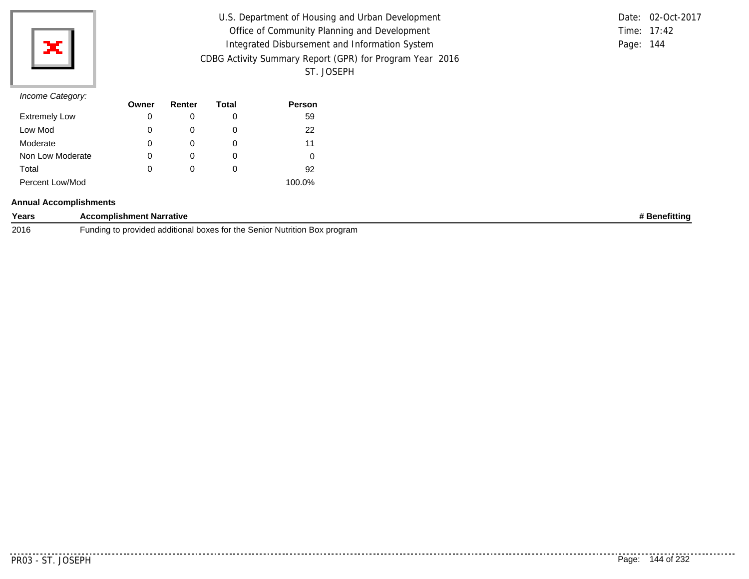

| U.S. Department of Housing and Urban Development         |           | Date: 02-Oct-2017 |
|----------------------------------------------------------|-----------|-------------------|
| Office of Community Planning and Development             |           | Time: 17:42       |
| Integrated Disbursement and Information System           | Page: 144 |                   |
| CDBG Activity Summary Report (GPR) for Program Year 2016 |           |                   |
| ST. JOSEPH                                               |           |                   |

|           | Date: 02-Oct-2017 |
|-----------|-------------------|
|           | Time: $17:42$     |
| Page: 144 |                   |

| $\overline{\phantom{a}}$ | Owner | Renter | Total | <b>Person</b> |
|--------------------------|-------|--------|-------|---------------|
| <b>Extremely Low</b>     | 0     |        | 0     | 59            |
| Low Mod                  | 0     | O      | O     | 22            |
| Moderate                 | 0     | 0      | 0     | 11            |
| Non Low Moderate         | 0     | 0      | O     |               |
| Total                    | 0     | 0      | 0     | 92            |
| Percent Low/Mod          |       |        |       | 100.0%        |

#### **Annual Accomplishments**

| Years | <b>Accomplishment Narrative</b>                                                                    | enefittinoٹ |
|-------|----------------------------------------------------------------------------------------------------|-------------|
| 2016  | Nutrition Box program<br>∙undina to<br>I boxes for the<br>e Senior I<br>) provided<br>i additional |             |

. . . . . . . . .

. . . . . . . . . . . .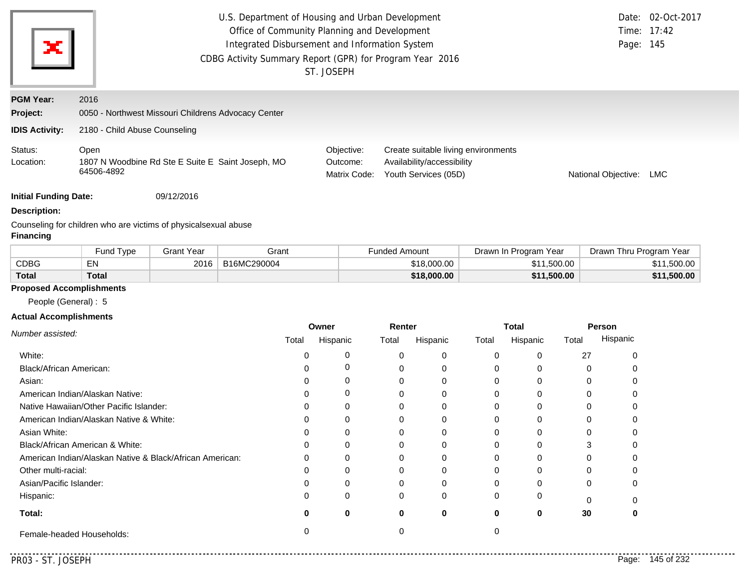| ×                            | U.S. Department of Housing and Urban Development<br>Office of Community Planning and Development<br>Integrated Disbursement and Information System<br>CDBG Activity Summary Report (GPR) for Program Year 2016<br>ST. JOSEPH |  |                                        |                                                                                           |                     | Date: 02-Oct-2017<br>Time: 17:42<br>Page: 145 |
|------------------------------|------------------------------------------------------------------------------------------------------------------------------------------------------------------------------------------------------------------------------|--|----------------------------------------|-------------------------------------------------------------------------------------------|---------------------|-----------------------------------------------|
| <b>PGM Year:</b><br>Project: | 2016<br>0050 - Northwest Missouri Childrens Advocacy Center                                                                                                                                                                  |  |                                        |                                                                                           |                     |                                               |
| <b>IDIS Activity:</b>        | 2180 - Child Abuse Counseling                                                                                                                                                                                                |  |                                        |                                                                                           |                     |                                               |
| Status:<br>Location:         | Open<br>1807 N Woodbine Rd Ste E Suite E Saint Joseph, MO<br>64506-4892                                                                                                                                                      |  | Objective:<br>Outcome:<br>Matrix Code: | Create suitable living environments<br>Availability/accessibility<br>Youth Services (05D) | National Objective: | <b>LMC</b>                                    |

**Initial Funding Date:** 09/12/2016

#### **Description:**

Counseling for children who are victims of physicalsexual abuse **Financing**

|              | Fund Type    | 3rant Year | Grant       | ⊢unded Amount | Drawn In Program Year | Drawn Thru Program Year |
|--------------|--------------|------------|-------------|---------------|-----------------------|-------------------------|
| CDBG         | EN           | 2016       | B16MC290004 | \$18.000.00   | \$11,500.00           | \$11,500.00             |
| <b>Total</b> | <b>Total</b> |            |             | \$18,000,00   | \$11,500.00           | \$11,500.00             |

### **Proposed Accomplishments**

People (General) : 5

#### **Actual Accomplishments**

|                                                          | Owner |          | Renter   |          | <b>Total</b> |          | Person |          |
|----------------------------------------------------------|-------|----------|----------|----------|--------------|----------|--------|----------|
| Number assisted:                                         | Total | Hispanic | Total    | Hispanic | Total        | Hispanic | Total  | Hispanic |
| White:                                                   |       |          |          | 0        |              | 0        | 27     |          |
| Black/African American:                                  |       |          |          | 0        |              | 0        |        |          |
| Asian:                                                   |       |          |          | 0        |              | O        |        |          |
| American Indian/Alaskan Native:                          |       |          |          | 0        |              | 0        |        |          |
| Native Hawaiian/Other Pacific Islander:                  |       |          |          | 0        |              | 0        |        |          |
| American Indian/Alaskan Native & White:                  |       |          |          |          |              | U        |        |          |
| Asian White:                                             |       |          |          |          |              |          |        |          |
| Black/African American & White:                          |       |          |          | 0        |              | 0        |        |          |
| American Indian/Alaskan Native & Black/African American: | O     | ∩        |          | $\Omega$ |              | U        |        |          |
| Other multi-racial:                                      |       |          |          |          |              | 0        |        |          |
| Asian/Pacific Islander:                                  |       |          |          | 0        |              | ი        |        |          |
| Hispanic:                                                |       | $\Omega$ | $\Omega$ | $\Omega$ |              | 0        |        |          |
| Total:                                                   |       | 0        | 0        | $\bf{0}$ | 0            | 0        | 30     |          |
| Female-headed Households:                                |       |          |          |          |              |          |        |          |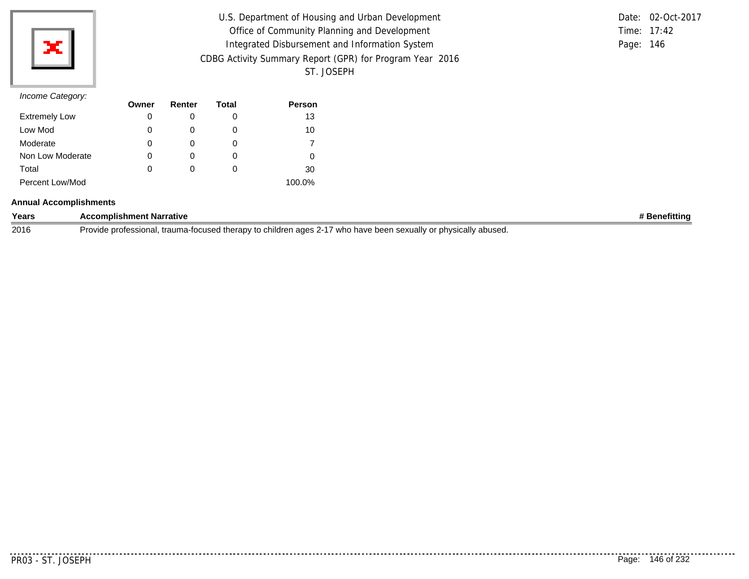

| U.S. Department of Housing and Urban Development         |           | Date: 02-Oct-2017 |
|----------------------------------------------------------|-----------|-------------------|
| Office of Community Planning and Development             |           | Time: 17:42       |
| Integrated Disbursement and Information System           | Page: 146 |                   |
| CDBG Activity Summary Report (GPR) for Program Year 2016 |           |                   |
| ST. JOSEPH                                               |           |                   |

|           | Date: 02-Oct-2017 |
|-----------|-------------------|
|           | Time: $17:42$     |
| Page: 146 |                   |

| $11001110$ catogory. | Owner | Renter | Total | <b>Person</b> |
|----------------------|-------|--------|-------|---------------|
| <b>Extremely Low</b> | 0     |        | O     | 13            |
| Low Mod              | 0     |        | O     | 10            |
| Moderate             | 0     |        | O     |               |
| Non Low Moderate     | 0     |        | 0     | 0             |
| Total                | 0     |        | O     | 30            |
| Percent Low/Mod      |       |        |       | 100.0%        |

#### **Annual Accomplishments**

| Years | complishment Narrative<br>$\cdots$                                                                                                         | Benefitting |
|-------|--------------------------------------------------------------------------------------------------------------------------------------------|-------------|
| 2016  | children ages<br>'Iv abused.<br>who have been sexually or physicall'<br>t therapy to<br>trauma-tu<br>Provide professional.<br>-tocused the |             |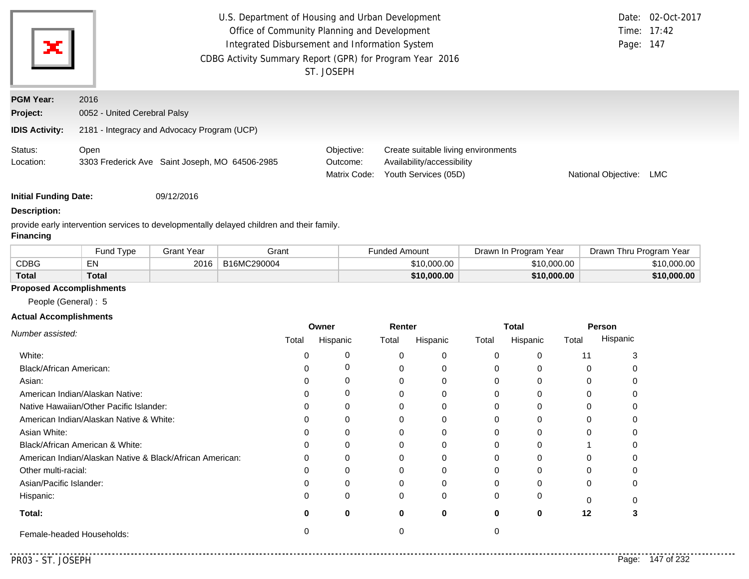| ×                                             | U.S. Department of Housing and Urban Development<br>Office of Community Planning and Development<br>Integrated Disbursement and Information System<br>CDBG Activity Summary Report (GPR) for Program Year 2016<br>ST. JOSEPH | Page: 147                              | Date: 02-Oct-2017<br>Time: 17:42                                                          |                     |     |  |
|-----------------------------------------------|------------------------------------------------------------------------------------------------------------------------------------------------------------------------------------------------------------------------------|----------------------------------------|-------------------------------------------------------------------------------------------|---------------------|-----|--|
| <b>PGM Year:</b><br>Project:                  | 2016<br>0052 - United Cerebral Palsy                                                                                                                                                                                         |                                        |                                                                                           |                     |     |  |
| <b>IDIS Activity:</b><br>Status:<br>Location: | 2181 - Integracy and Advocacy Program (UCP)<br>Open<br>3303 Frederick Ave Saint Joseph, MO 64506-2985                                                                                                                        | Objective:<br>Outcome:<br>Matrix Code: | Create suitable living environments<br>Availability/accessibility<br>Youth Services (05D) | National Objective: | LMC |  |

**Initial Funding Date:** 09/12/2016

#### **Description:**

provide early intervention services to developmentally delayed children and their family.

### **Financing**

|              | Fund Type | Grant Year | Grant       | Funded Amount | Drawn In Program<br>Year | Drawn Thru Program Year |
|--------------|-----------|------------|-------------|---------------|--------------------------|-------------------------|
| CDBG         | EN        | 2016       | B16MC290004 | \$10,000.00   | \$10.000.00              | \$10,000.00             |
| <b>Total</b> | Total     |            |             | \$10,000,00   | \$10,000,00              | \$10,000.00             |

### **Proposed Accomplishments**

People (General) : 5

#### **Actual Accomplishments**

|                                                          | Owner |          | Renter   |          | <b>Total</b> |          | Person |          |
|----------------------------------------------------------|-------|----------|----------|----------|--------------|----------|--------|----------|
| Number assisted:                                         | Total | Hispanic | Total    | Hispanic | Total        | Hispanic | Total  | Hispanic |
| White:                                                   |       |          |          | 0        |              | 0        | 11     |          |
| Black/African American:                                  |       |          |          | 0        |              | O        |        |          |
| Asian:                                                   |       |          |          | 0        |              | 0        |        |          |
| American Indian/Alaskan Native:                          |       |          |          | 0        |              | U        |        |          |
| Native Hawaiian/Other Pacific Islander:                  |       |          |          | 0        |              | 0        |        |          |
| American Indian/Alaskan Native & White:                  |       |          |          | $\Omega$ |              | U        |        |          |
| Asian White:                                             |       |          |          |          |              | n        |        |          |
| Black/African American & White:                          |       |          |          | 0        |              |          |        |          |
| American Indian/Alaskan Native & Black/African American: | 0     |          |          | 0        |              | 0        |        |          |
| Other multi-racial:                                      |       |          |          |          |              | O        |        |          |
| Asian/Pacific Islander:                                  |       |          |          |          |              |          |        |          |
| Hispanic:                                                |       | $\Omega$ | $\Omega$ | 0        |              | 0        |        |          |
| Total:                                                   |       | 0        | O        | $\bf{0}$ | 0            | 0        | 12     |          |
| Female-headed Households:                                |       |          |          |          |              |          |        |          |

 $1.1.1.1$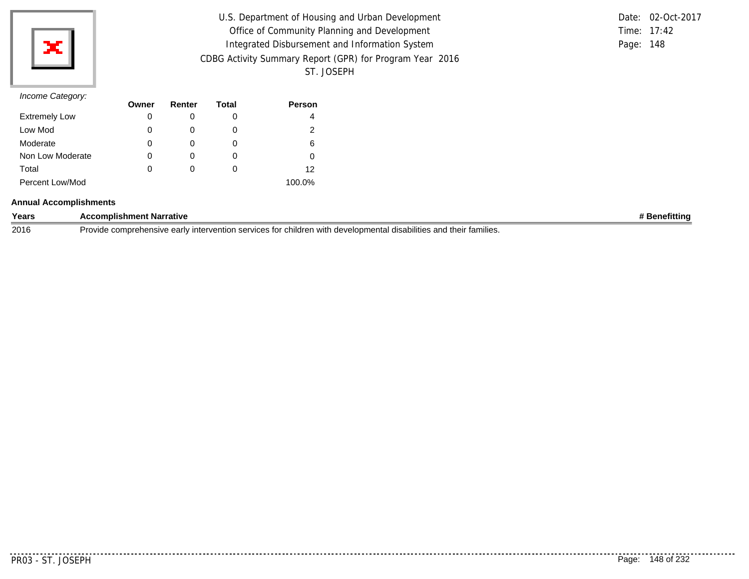

| U.S. Department of Housing and Urban Development         |           | Date: 02-Oct-2017 |
|----------------------------------------------------------|-----------|-------------------|
| Office of Community Planning and Development             |           | Time: 17:42       |
| Integrated Disbursement and Information System           | Page: 148 |                   |
| CDBG Activity Summary Report (GPR) for Program Year 2016 |           |                   |
| ST. JOSEPH                                               |           |                   |

|           | Date: 02-Oct-2017 |
|-----------|-------------------|
|           | Time: $17:42$     |
| Page: 148 |                   |

| $11001110$ catogory. | Owner | Renter | Total | <b>Person</b> |
|----------------------|-------|--------|-------|---------------|
| <b>Extremely Low</b> | 0     |        | O     | 4             |
| Low Mod              | 0     |        | O     | 2             |
| Moderate             | 0     |        | O     | 6             |
| Non Low Moderate     | 0     |        | 0     |               |
| Total                | 0     |        | O     | 12            |
| Percent Low/Mod      |       |        |       | 100.0%        |

#### **Annual Accomplishments**

| Years | t Narrative<br>:omplishment<br>-                                                                                                                                      | efitting |
|-------|-----------------------------------------------------------------------------------------------------------------------------------------------------------------------|----------|
| 2016  | their<br>Jron<br>∵tamilies.<br>e comprehensive early<br>n services for children.<br>with<br>developmental<br>ست∼uuv interventir<br>lities and<br>disabi<br>$\sqrt{2}$ |          |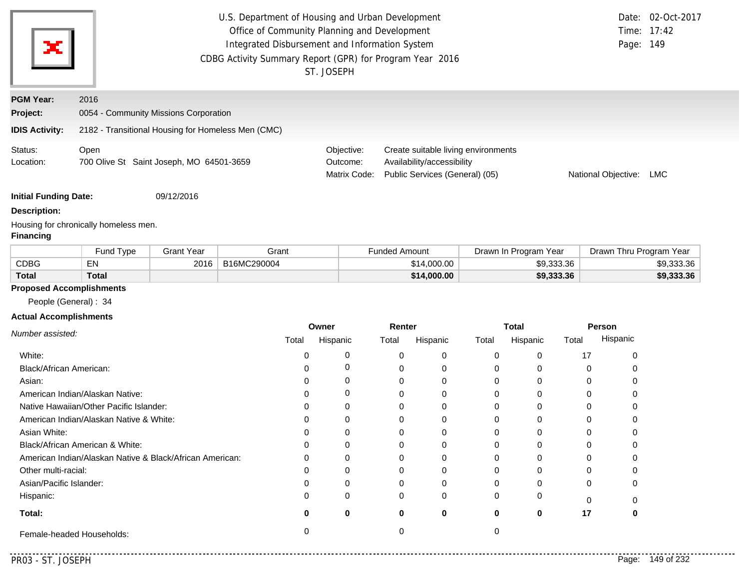| ×                            | U.S. Department of Housing and Urban Development<br>Office of Community Planning and Development<br>Integrated Disbursement and Information System<br>CDBG Activity Summary Report (GPR) for Program Year 2016 | Page: 149                              | Date: 02-Oct-2017<br>Time: 17:42                                                                    |                     |     |
|------------------------------|----------------------------------------------------------------------------------------------------------------------------------------------------------------------------------------------------------------|----------------------------------------|-----------------------------------------------------------------------------------------------------|---------------------|-----|
| <b>PGM Year:</b><br>Project: | 2016<br>0054 - Community Missions Corporation                                                                                                                                                                  |                                        |                                                                                                     |                     |     |
| <b>IDIS Activity:</b>        | 2182 - Transitional Housing for Homeless Men (CMC)                                                                                                                                                             |                                        |                                                                                                     |                     |     |
| Status:<br>Location:         | Open<br>700 Olive St Saint Joseph, MO 64501-3659                                                                                                                                                               | Objective:<br>Outcome:<br>Matrix Code: | Create suitable living environments<br>Availability/accessibility<br>Public Services (General) (05) | National Objective: | LMC |
| <b>Initial Funding Date:</b> | 09/12/2016                                                                                                                                                                                                     |                                        |                                                                                                     |                     |     |
| <b>Description:</b>          |                                                                                                                                                                                                                |                                        |                                                                                                     |                     |     |
|                              | Housing for chronically homeless men.                                                                                                                                                                          |                                        |                                                                                                     |                     |     |

#### **Financing**

|              | Fund Type    | <b>Grant Year</b> | Grant       | <sup>⊏</sup> unded Amount | Drawn In Program Year | Drawn Thru Program Year |
|--------------|--------------|-------------------|-------------|---------------------------|-----------------------|-------------------------|
| CDBG         | EN           | 2016              | B16MC290004 | \$14.000.00               | \$9,333.36            | \$9,333.36              |
| <b>Total</b> | <b>Total</b> |                   |             | \$14,000.00               | \$9,333.36            | \$9,333.36              |

# **Proposed Accomplishments**

People (General) : 34

### **Actual Accomplishments**

|                                                          | Owner |          | Renter |          | Total |          | Person |          |
|----------------------------------------------------------|-------|----------|--------|----------|-------|----------|--------|----------|
| Number assisted:                                         | Total | Hispanic | Total  | Hispanic | Total | Hispanic | Total  | Hispanic |
| White:                                                   |       |          | 0      | 0        |       |          | 17     |          |
| Black/African American:                                  |       |          |        | 0        |       |          |        |          |
| Asian:                                                   |       | 0        |        | $\Omega$ |       |          |        |          |
| American Indian/Alaskan Native:                          |       | O        |        | 0        |       |          |        |          |
| Native Hawaiian/Other Pacific Islander:                  |       |          |        | $\Omega$ |       |          |        |          |
| American Indian/Alaskan Native & White:                  |       |          |        | 0        |       |          |        |          |
| Asian White:                                             |       |          |        | 0        |       |          |        |          |
| Black/African American & White:                          |       |          |        | 0        |       |          |        |          |
| American Indian/Alaskan Native & Black/African American: | ი     |          |        | $\Omega$ |       |          |        |          |
| Other multi-racial:                                      |       |          |        | $\Omega$ |       |          |        |          |
| Asian/Pacific Islander:                                  |       |          |        | $\Omega$ |       |          | 0      |          |
| Hispanic:                                                |       | 0        | 0      | 0        |       |          |        |          |
| Total:                                                   | 0     | 0        | 0      | 0        |       | 0        | 17     |          |
| Female-headed Households:                                |       |          |        |          |       |          |        |          |

 $-1$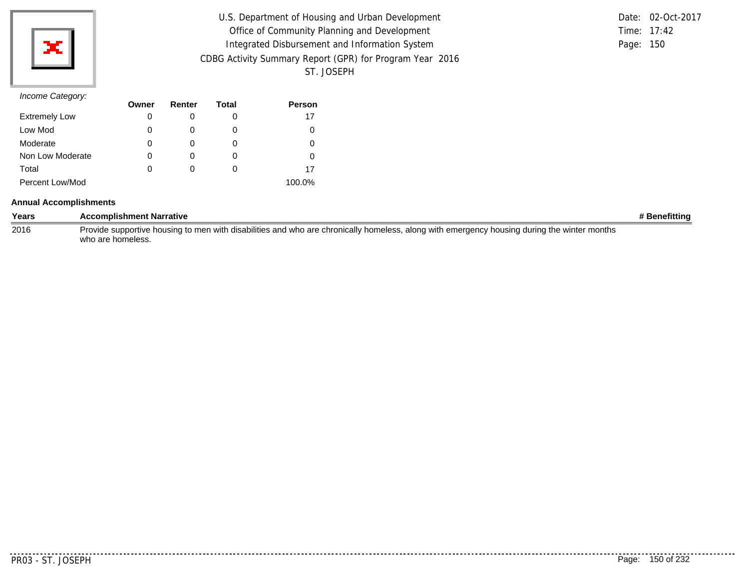

| U.S. Department of Housing and Urban Development         |           | Date: 02-Oct-2017 |
|----------------------------------------------------------|-----------|-------------------|
| Office of Community Planning and Development             |           | Time: 17:42       |
| Integrated Disbursement and Information System           | Page: 150 |                   |
| CDBG Activity Summary Report (GPR) for Program Year 2016 |           |                   |
| ST. JOSEPH                                               |           |                   |

|           | Date: 02-Oct-2017 |
|-----------|-------------------|
|           | Time: $17:42$     |
| Page: 150 |                   |

| $\overline{\phantom{a}}$ | Owner | Renter | Total | <b>Person</b> |
|--------------------------|-------|--------|-------|---------------|
| <b>Extremely Low</b>     | 0     |        | 0     | 17            |
| Low Mod                  | 0     |        | O     |               |
| Moderate                 | 0     |        | O     |               |
| Non Low Moderate         | 0     |        | O     |               |
| Total                    | 0     |        | O     | 17            |
| Percent Low/Mod          |       |        |       | 100.0%        |

#### **Annual Accomplishments**

| Years | <b>Accomplishment Narrative</b>                                                                                                             | # Benefittinq |
|-------|---------------------------------------------------------------------------------------------------------------------------------------------|---------------|
| 2016  | Provide supportive housing to men with disabilities and who are chronically homeless, along with emergency housing during the winter months |               |
|       | who are homeless.                                                                                                                           |               |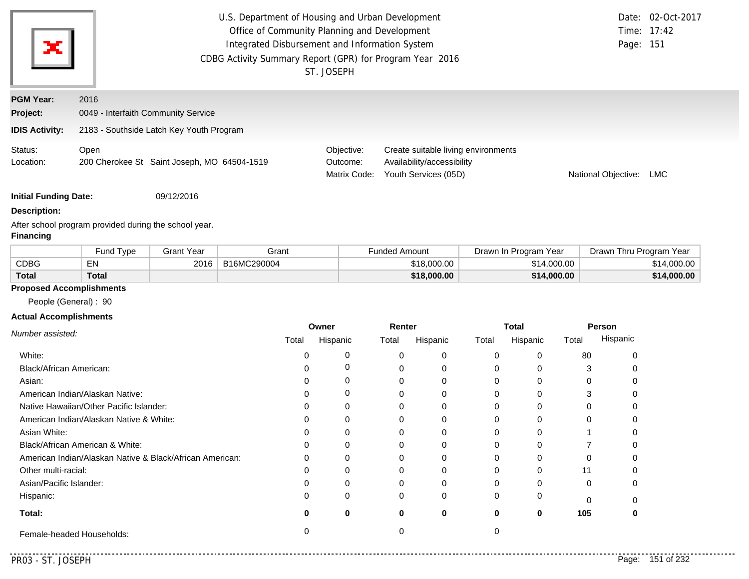| ×                            |                                     | U.S. Department of Housing and Urban Development<br>Office of Community Planning and Development<br>Integrated Disbursement and Information System<br>CDBG Activity Summary Report (GPR) for Program Year 2016<br>ST. JOSEPH |                                        |                                                                                           |                     |     |
|------------------------------|-------------------------------------|------------------------------------------------------------------------------------------------------------------------------------------------------------------------------------------------------------------------------|----------------------------------------|-------------------------------------------------------------------------------------------|---------------------|-----|
| <b>PGM Year:</b>             | 2016                                |                                                                                                                                                                                                                              |                                        |                                                                                           |                     |     |
| Project:                     | 0049 - Interfaith Community Service |                                                                                                                                                                                                                              |                                        |                                                                                           |                     |     |
| <b>IDIS Activity:</b>        |                                     | 2183 - Southside Latch Key Youth Program                                                                                                                                                                                     |                                        |                                                                                           |                     |     |
| Status:<br>Location:         | Open                                | 200 Cherokee St Saint Joseph, MO 64504-1519                                                                                                                                                                                  | Objective:<br>Outcome:<br>Matrix Code: | Create suitable living environments<br>Availability/accessibility<br>Youth Services (05D) | National Objective: | LMC |
| <b>Initial Funding Date:</b> |                                     | 09/12/2016                                                                                                                                                                                                                   |                                        |                                                                                           |                     |     |

#### **Description:**

After school program provided during the school year. **Financing**

|              | Fund Type    | 3rant Year | Grant       | <b>Funded Amount</b> | Drawn In Program Year | Drawn Thru Program Year |
|--------------|--------------|------------|-------------|----------------------|-----------------------|-------------------------|
| CDBG         | ΕN           | 2016       | B16MC290004 | \$18,000.00          | \$14,000.00           | \$14,000.00             |
| <b>Total</b> | <b>Total</b> |            |             | \$18,000.00          | \$14,000.00           | \$14,000.00             |

### **Proposed Accomplishments**

People (General) : 90

### **Actual Accomplishments**

|                                                          | Owner |          | Renter   |          | <b>Total</b> |          | Person |          |
|----------------------------------------------------------|-------|----------|----------|----------|--------------|----------|--------|----------|
| Number assisted:                                         | Total | Hispanic | Total    | Hispanic | Total        | Hispanic | Total  | Hispanic |
| White:                                                   |       |          | $\Omega$ | $\Omega$ |              |          | 80     |          |
| Black/African American:                                  |       |          |          | 0        |              |          |        |          |
| Asian:                                                   |       |          | $\Omega$ | $\Omega$ | 0            |          | 0      |          |
| American Indian/Alaskan Native:                          |       |          | 0        | $\Omega$ |              |          |        |          |
| Native Hawaiian/Other Pacific Islander:                  |       |          | U        | $\Omega$ |              |          |        |          |
| American Indian/Alaskan Native & White:                  |       |          | $\Omega$ | $\Omega$ |              |          |        |          |
| Asian White:                                             |       |          |          | $\Omega$ |              |          |        |          |
| Black/African American & White:                          |       |          |          | 0        |              |          |        |          |
| American Indian/Alaskan Native & Black/African American: | በ     | O        | 0        | $\Omega$ |              |          |        |          |
| Other multi-racial:                                      |       |          | $\Omega$ | $\Omega$ |              |          | 11     |          |
| Asian/Pacific Islander:                                  |       |          | 0        | $\Omega$ |              |          | 0      |          |
| Hispanic:                                                |       |          | $\Omega$ | $\Omega$ | 0            |          |        |          |
| Total:                                                   |       |          | 0        | 0        | 0            | 0        | 105    | 0        |
| Female-headed Households:                                |       |          |          |          |              |          |        |          |

. . . . .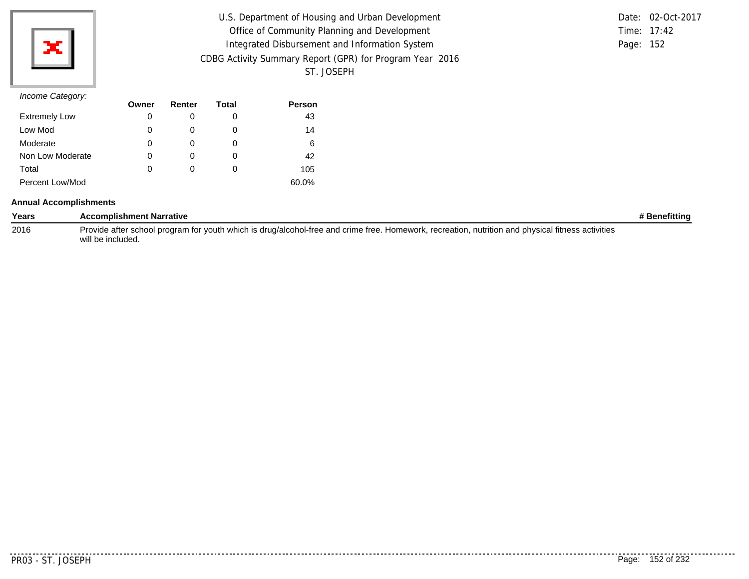| U.S. Department of Housing and Urban Development         |               | Date: 02-Oct-2017 |
|----------------------------------------------------------|---------------|-------------------|
| Office of Community Planning and Development             | Time: $17:42$ |                   |
| Integrated Disbursement and Information System           | Page: 152     |                   |
| CDBG Activity Summary Report (GPR) for Program Year 2016 |               |                   |
| ST. JOSEPH                                               |               |                   |

|               | Date: 02-Oct-2017 |
|---------------|-------------------|
| Time: $17:42$ |                   |
| Page: 152     |                   |

|                      | Owner | Renter | Total | <b>Person</b> |
|----------------------|-------|--------|-------|---------------|
| <b>Extremely Low</b> | 0     |        | O     | 43            |
| Low Mod              | 0     |        | O     | 14            |
| Moderate             | 0     |        | O     | 6             |
| Non Low Moderate     | 0     |        | O     | 42            |
| Total                | 0     |        | O     | 105           |
| Percent Low/Mod      |       |        |       | 60.0%         |

#### **Annual Accomplishments**

| Years | <b>Accomplishment Narrative</b>                                                                                                                   | # Benefitting |
|-------|---------------------------------------------------------------------------------------------------------------------------------------------------|---------------|
| 2016  | Provide after school program for youth which is drug/alcohol-free and crime free. Homework, recreation, nutrition and physical fitness activities |               |
|       | will be included.                                                                                                                                 |               |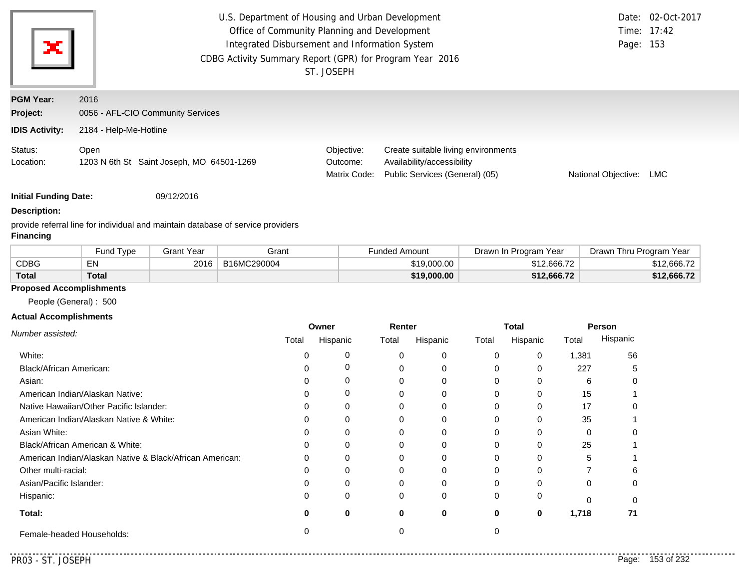| ×                                                     |                                                                     | U.S. Department of Housing and Urban Development<br>Date: 02-Oct-2017<br>Office of Community Planning and Development<br>Time: 17:42<br>Integrated Disbursement and Information System<br>Page: 153<br>CDBG Activity Summary Report (GPR) for Program Year 2016<br>ST. JOSEPH |                                                                                                     |                     |     |  |  |
|-------------------------------------------------------|---------------------------------------------------------------------|-------------------------------------------------------------------------------------------------------------------------------------------------------------------------------------------------------------------------------------------------------------------------------|-----------------------------------------------------------------------------------------------------|---------------------|-----|--|--|
| <b>PGM Year:</b><br>Project:<br><b>IDIS Activity:</b> | 2016<br>0056 - AFL-CIO Community Services<br>2184 - Help-Me-Hotline |                                                                                                                                                                                                                                                                               |                                                                                                     |                     |     |  |  |
| Status:<br>Location:                                  | Open<br>1203 N 6th St Saint Joseph, MO 64501-1269                   | Objective:<br>Outcome:<br>Matrix Code:                                                                                                                                                                                                                                        | Create suitable living environments<br>Availability/accessibility<br>Public Services (General) (05) | National Objective: | LMC |  |  |

**Initial Funding Date:** 09/12/2016

### **Description:**

provide referral line for individual and maintain database of service providers **Financing**

|              | <b>Fund Type</b> | Grant Year | Grant       | Funded Amount | Drawn In Program Year | Drawn Thru Program Year |
|--------------|------------------|------------|-------------|---------------|-----------------------|-------------------------|
| <b>CDBG</b>  | EN               | 2016       | B16MC290004 | \$19,000.00   | \$12,666.72           | \$12,666.72             |
| <b>Total</b> | Total            |            |             | \$19,000.00   | \$12,666.72           | \$12,666.72             |

### **Proposed Accomplishments**

People (General) : 500

#### **Actual Accomplishments**

|                                                          | Renter<br>Owner |          |       | <b>Total</b><br><b>Person</b> |       |          |       |          |
|----------------------------------------------------------|-----------------|----------|-------|-------------------------------|-------|----------|-------|----------|
| Number assisted:                                         | Total           | Hispanic | Total | Hispanic                      | Total | Hispanic | Total | Hispanic |
| White:                                                   |                 |          |       | $\Omega$                      | 0     | 0        | 1,381 | 56       |
| Black/African American:                                  |                 |          |       |                               | 0     |          | 227   | :        |
| Asian:                                                   |                 |          |       | 0                             | 0     | 0        | 6     | O        |
| American Indian/Alaskan Native:                          |                 |          |       |                               | 0     |          | 15    |          |
| Native Hawaiian/Other Pacific Islander:                  |                 |          |       |                               | 0     |          | 17    |          |
| American Indian/Alaskan Native & White:                  |                 |          |       |                               | 0     |          | 35    |          |
| Asian White:                                             |                 |          |       |                               | 0     |          |       |          |
| Black/African American & White:                          |                 |          |       | 0                             | 0     |          | 25    |          |
| American Indian/Alaskan Native & Black/African American: | U               |          |       |                               | 0     |          |       |          |
| Other multi-racial:                                      |                 |          |       |                               | 0     |          |       | 6.       |
| Asian/Pacific Islander:                                  |                 |          |       |                               | 0     |          |       | 0        |
| Hispanic:                                                |                 |          |       | $\Omega$                      | 0     | 0        |       |          |
| Total:                                                   |                 | 0        | 0     | 0                             | 0     | 0        | 1,718 | 71       |
| Female-headed Households:                                |                 |          |       |                               |       |          |       |          |

. . . . .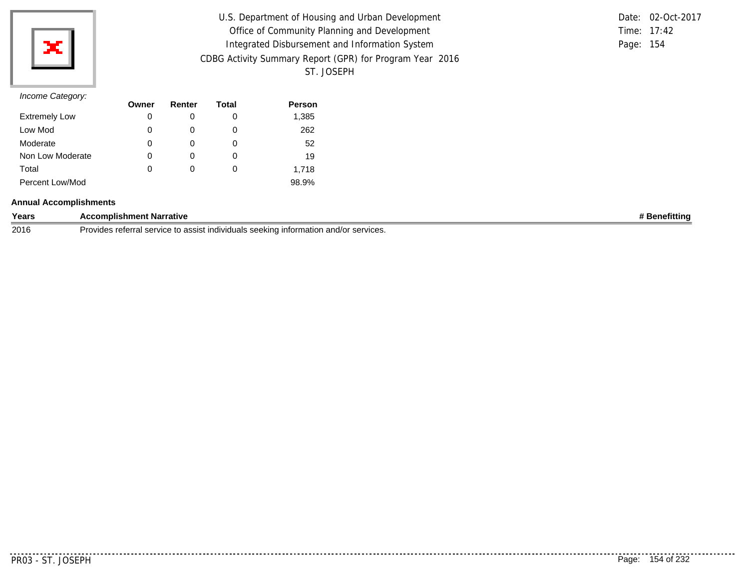

| U.S. Department of Housing and Urban Development         |           | Date: 02-Oct-2017 |
|----------------------------------------------------------|-----------|-------------------|
| Office of Community Planning and Development             |           | Time: 17:42       |
| Integrated Disbursement and Information System           | Page: 154 |                   |
| CDBG Activity Summary Report (GPR) for Program Year 2016 |           |                   |
| ST. JOSEPH                                               |           |                   |

|           | Date: 02-Oct-2017 |
|-----------|-------------------|
|           | Time: $17:42$     |
| Page: 154 |                   |

| $11001110$ catogory. | Owner | Renter | Total | <b>Person</b> |
|----------------------|-------|--------|-------|---------------|
| <b>Extremely Low</b> | 0     |        | O     | 1,385         |
| Low Mod              | 0     | 0      | 0     | 262           |
| Moderate             | 0     |        | 0     | 52            |
| Non Low Moderate     | 0     | 0      | 0     | 19            |
| Total                | 0     | 0      | 0     | 1,718         |
| Percent Low/Mod      |       |        |       | 98.9%         |

#### **Annual Accomplishments**

| Years | <b>pmplishment</b><br>Narrative                                                                                              | fittinc |
|-------|------------------------------------------------------------------------------------------------------------------------------|---------|
| 2016  | Provid <sup>-</sup><br>rotor<br>accict<br>cor"<br>services.<br>indiv<br>$n_{\Omega}$<br>and/c<br>ہ ا<br>न्न न<br>11. JU<br>w |         |

. . . . . . . . .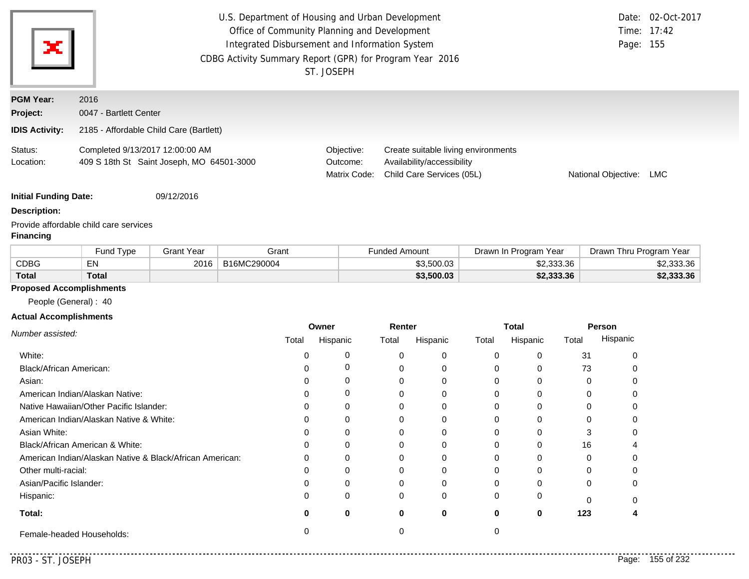| ×                                                     | U.S. Department of Housing and Urban Development<br>Office of Community Planning and Development<br>Integrated Disbursement and Information System<br>CDBG Activity Summary Report (GPR) for Program Year 2016<br>ST. JOSEPH | Page: 155                              | Date: 02-Oct-2017<br>Time: 17:42                                                               |                     |     |
|-------------------------------------------------------|------------------------------------------------------------------------------------------------------------------------------------------------------------------------------------------------------------------------------|----------------------------------------|------------------------------------------------------------------------------------------------|---------------------|-----|
| <b>PGM Year:</b><br>Project:<br><b>IDIS Activity:</b> | 2016<br>0047 - Bartlett Center<br>2185 - Affordable Child Care (Bartlett)                                                                                                                                                    |                                        |                                                                                                |                     |     |
| Status:<br>Location:                                  | Completed 9/13/2017 12:00:00 AM<br>409 S 18th St Saint Joseph, MO 64501-3000                                                                                                                                                 | Objective:<br>Outcome:<br>Matrix Code: | Create suitable living environments<br>Availability/accessibility<br>Child Care Services (05L) | National Objective: | LMC |
| <b>Initial Funding Date:</b><br><b>Description:</b>   | 09/12/2016                                                                                                                                                                                                                   |                                        |                                                                                                |                     |     |

Provide affordable child care services

### **Financing**

|              | Fund Type    | 3rant Year | Grant       | <b>Funded Amount</b> | Drawn In Program Year | Drawn Thru Program Year |
|--------------|--------------|------------|-------------|----------------------|-----------------------|-------------------------|
| CDBG         | ΕN           | 2016       | B16MC290004 | \$3.500.03           | \$2,333.36            | \$2,333.36              |
| <b>Total</b> | <b>Total</b> |            |             | \$3,500.03           | \$2,333.36            | \$2,333.36              |

### **Proposed Accomplishments**

People (General) : 40

### **Actual Accomplishments**

|                                                          | Owner |          | Renter |          | Total |          | <b>Person</b> |          |
|----------------------------------------------------------|-------|----------|--------|----------|-------|----------|---------------|----------|
| Number assisted:                                         | Total | Hispanic | Total  | Hispanic | Total | Hispanic | Total         | Hispanic |
| White:                                                   |       | 0        |        | 0        |       |          | 31            |          |
| Black/African American:                                  |       | 0        |        | 0        |       |          | 73            |          |
| Asian:                                                   |       | 0        |        | 0        |       |          | O             |          |
| American Indian/Alaskan Native:                          |       | $\Omega$ |        | 0        |       |          |               |          |
| Native Hawaiian/Other Pacific Islander:                  |       | $\Omega$ |        | $\Omega$ |       |          |               |          |
| American Indian/Alaskan Native & White:                  |       | 0        |        | 0        |       |          |               |          |
| Asian White:                                             |       |          |        |          |       |          |               |          |
| Black/African American & White:                          |       | 0        |        |          |       |          | 16            |          |
| American Indian/Alaskan Native & Black/African American: | 0     | $\Omega$ |        | 0        |       |          | O             |          |
| Other multi-racial:                                      |       |          |        | $\Omega$ |       |          |               |          |
| Asian/Pacific Islander:                                  |       | 0        |        |          |       |          | 0             |          |
| Hispanic:                                                |       | $\Omega$ | 0      | 0        |       |          |               |          |
| Total:                                                   |       | 0        | 0      | 0        | 0     | 0        | 123           |          |
| Female-headed Households:                                |       |          |        |          |       |          |               |          |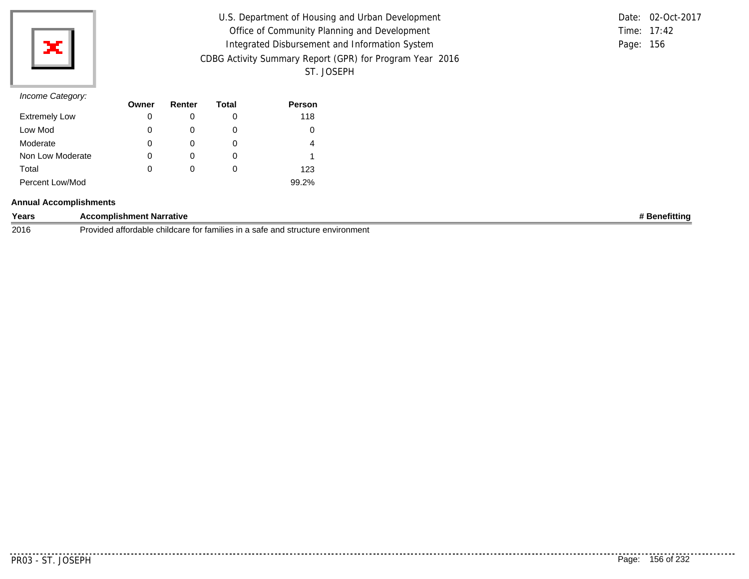

| U.S. Department of Housing and Urban Development         | Date: 02-Oct-2017 |
|----------------------------------------------------------|-------------------|
| Office of Community Planning and Development             | Time: 17:42       |
| Integrated Disbursement and Information System           | Page: 156         |
| CDBG Activity Summary Report (GPR) for Program Year 2016 |                   |
| ST. JOSEPH                                               |                   |

|           | Date: 02-Oct-2017 |
|-----------|-------------------|
|           | Time: $17:42$     |
| Page: 156 |                   |

|                      | Owner | Renter | Total | <b>Person</b> |
|----------------------|-------|--------|-------|---------------|
| <b>Extremely Low</b> | 0     |        | O     | 118           |
| Low Mod              | 0     | O      | O     |               |
| Moderate             | 0     | O)     | O     | 4             |
| Non Low Moderate     | 0     | 0      | O     |               |
| Total                | 0     | 0      | O     | 123           |
| Percent Low/Mod      |       |        |       | 99.2%         |

#### **Annual Accomplishments**

| Years | ccomplishment Narrative                                                                                     | →fitting |
|-------|-------------------------------------------------------------------------------------------------------------|----------|
| 2016  | a sate and structure o<br>e for families in a<br>environment (<br>, attordable<br>1.38011014<br>: childcare |          |

. . . . . . . .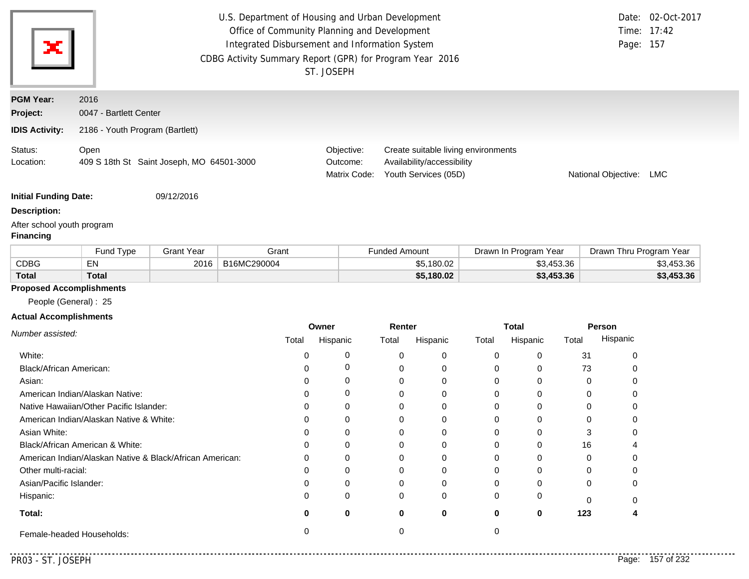| ×                                              | U.S. Department of Housing and Urban Development<br>Office of Community Planning and Development<br>Integrated Disbursement and Information System<br>CDBG Activity Summary Report (GPR) for Program Year 2016<br>ST. JOSEPH |                   |       |                                        |                                                                                           |                       | Page:                   | Date: 02-Oct-2017<br>Time: 17:42<br>157 |
|------------------------------------------------|------------------------------------------------------------------------------------------------------------------------------------------------------------------------------------------------------------------------------|-------------------|-------|----------------------------------------|-------------------------------------------------------------------------------------------|-----------------------|-------------------------|-----------------------------------------|
| <b>PGM Year:</b>                               | 2016                                                                                                                                                                                                                         |                   |       |                                        |                                                                                           |                       |                         |                                         |
| Project:                                       | 0047 - Bartlett Center                                                                                                                                                                                                       |                   |       |                                        |                                                                                           |                       |                         |                                         |
| <b>IDIS Activity:</b>                          | 2186 - Youth Program (Bartlett)                                                                                                                                                                                              |                   |       |                                        |                                                                                           |                       |                         |                                         |
| Status:<br>Location:                           | Open<br>409 S 18th St Saint Joseph, MO 64501-3000                                                                                                                                                                            |                   |       | Objective:<br>Outcome:<br>Matrix Code: | Create suitable living environments<br>Availability/accessibility<br>Youth Services (05D) |                       | National Objective:     | LMC                                     |
| <b>Initial Funding Date:</b>                   |                                                                                                                                                                                                                              | 09/12/2016        |       |                                        |                                                                                           |                       |                         |                                         |
| <b>Description:</b>                            |                                                                                                                                                                                                                              |                   |       |                                        |                                                                                           |                       |                         |                                         |
| After school youth program<br><b>Financing</b> |                                                                                                                                                                                                                              |                   |       |                                        |                                                                                           |                       |                         |                                         |
|                                                | Fund Type                                                                                                                                                                                                                    | <b>Grant Year</b> | Grant |                                        | <b>Funded Amount</b>                                                                      | Drawn In Program Year | Drawn Thru Program Year |                                         |
|                                                |                                                                                                                                                                                                                              |                   |       |                                        |                                                                                           |                       |                         |                                         |

|              | Fund<br>Tvpe | Grant Year | Grant       | -unded Amount | Drawn In Program<br>Year | ⊦Thru Program Year<br>Drawn |
|--------------|--------------|------------|-------------|---------------|--------------------------|-----------------------------|
| <b>CDBG</b>  | EN           | 2016       | B16MC290004 | \$5.180.02    | \$3,453,36               | \$3,453.36                  |
| <b>Total</b> | Total        |            |             | \$5,180.02    | \$3,453.36               | \$3,453.36                  |

### **Proposed Accomplishments**

People (General) : 25

### **Actual Accomplishments**

|                                                          | Owner |          | Renter   |          | <b>Total</b> |          | Person   |          |
|----------------------------------------------------------|-------|----------|----------|----------|--------------|----------|----------|----------|
| Number assisted:                                         | Total | Hispanic | Total    | Hispanic | Total        | Hispanic | Total    | Hispanic |
| White:                                                   |       |          |          | 0        |              |          | 31       |          |
| Black/African American:                                  |       |          |          | 0        | 0            |          | 73       |          |
| Asian:                                                   |       | 0        |          | 0        |              |          | $\Omega$ |          |
| American Indian/Alaskan Native:                          |       | 0        |          | 0        |              |          |          |          |
| Native Hawaiian/Other Pacific Islander:                  |       | 0        |          | $\Omega$ |              |          |          |          |
| American Indian/Alaskan Native & White:                  |       | $\Omega$ |          |          |              |          |          |          |
| Asian White:                                             |       |          |          |          |              |          |          |          |
| Black/African American & White:                          | 0     | 0        |          | 0        | 0            |          | 16       |          |
| American Indian/Alaskan Native & Black/African American: | 0     | $\Omega$ |          | 0        |              |          | O        |          |
| Other multi-racial:                                      |       |          |          | 0        |              |          |          |          |
| Asian/Pacific Islander:                                  |       | 0        |          |          |              |          | 0        |          |
| Hispanic:                                                |       | $\Omega$ | $\Omega$ | 0        |              |          |          |          |
| Total:                                                   |       | $\bf{0}$ | 0        | 0        | 0            | 0        | 123      |          |
| Female-headed Households:                                |       |          |          |          |              |          |          |          |

<u>. . . . . . . .</u>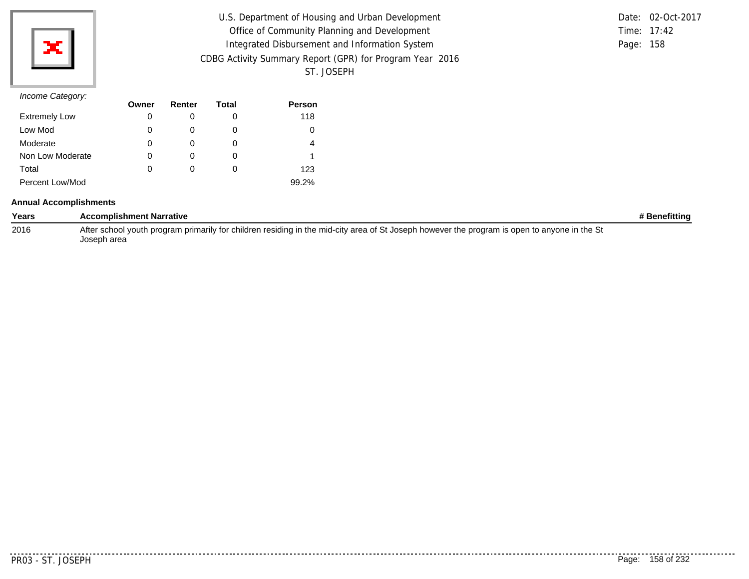| U.S. Department of Housing and Urban Development         |           | Date: 02-Oct-2017 |
|----------------------------------------------------------|-----------|-------------------|
| Office of Community Planning and Development             |           | Time: $17:42$     |
| Integrated Disbursement and Information System           | Page: 158 |                   |
| CDBG Activity Summary Report (GPR) for Program Year 2016 |           |                   |
| ST. JOSEPH                                               |           |                   |

|           | Date: 02-Oct-2017 |
|-----------|-------------------|
|           | Time: $17:42$     |
| Page: 158 |                   |

|                      | Owner | Renter | Total | <b>Person</b> |
|----------------------|-------|--------|-------|---------------|
| <b>Extremely Low</b> | O     |        | O     | 118           |
| Low Mod              | 0     |        | O     |               |
| Moderate             | 0     |        | O     | 4             |
| Non Low Moderate     |       |        | O     |               |
| Total                | 0     |        | O     | 123           |
| Percent Low/Mod      |       |        |       | 99.2%         |

#### **Annual Accomplishments**

| Years | <b>Accomplishment Narrative</b>                                                                                                                             | # Benefittina |
|-------|-------------------------------------------------------------------------------------------------------------------------------------------------------------|---------------|
| 2016  | After school youth program primarily for children residing in the mid-city area of St Joseph however the program is open to anyone in the St<br>Joseph area |               |

..........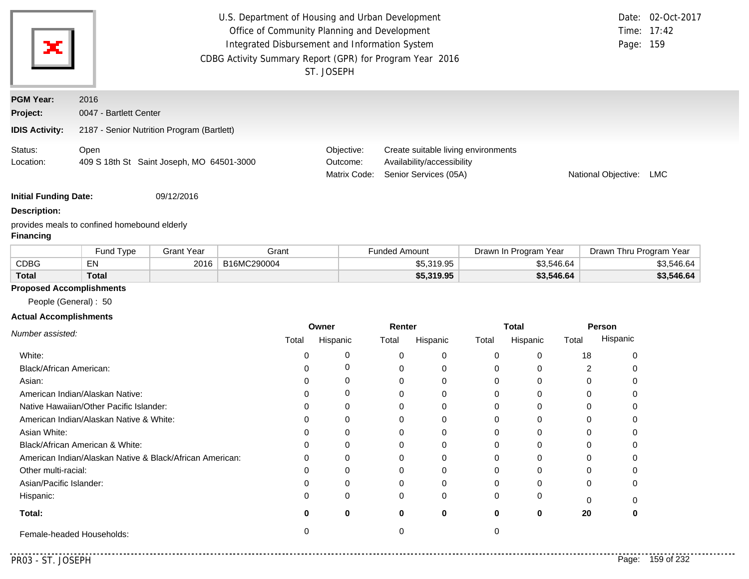| $\mathbf{x}$                                          | U.S. Department of Housing and Urban Development<br>Office of Community Planning and Development<br>Integrated Disbursement and Information System<br>CDBG Activity Summary Report (GPR) for Program Year 2016<br>ST. JOSEPH | Page: 159                              | Date: 02-Oct-2017<br>Time: 17:42                                                           |                     |     |
|-------------------------------------------------------|------------------------------------------------------------------------------------------------------------------------------------------------------------------------------------------------------------------------------|----------------------------------------|--------------------------------------------------------------------------------------------|---------------------|-----|
| <b>PGM Year:</b><br>Project:<br><b>IDIS Activity:</b> | 2016<br>0047 - Bartlett Center<br>2187 - Senior Nutrition Program (Bartlett)                                                                                                                                                 |                                        |                                                                                            |                     |     |
| Status:<br>Location:                                  | Open<br>409 S 18th St Saint Joseph, MO 64501-3000                                                                                                                                                                            | Objective:<br>Outcome:<br>Matrix Code: | Create suitable living environments<br>Availability/accessibility<br>Senior Services (05A) | National Objective: | LMC |

**Initial Funding Date:** 09/12/2016

**Description:**

provides meals to confined homebound elderly

### **Financing**

|              | <b>Fund Type</b> | Grant Year | Grant       | <b>Funded Amount</b> | Drawn In Program Year | Drawn Thru Program Year |
|--------------|------------------|------------|-------------|----------------------|-----------------------|-------------------------|
| <b>CDBG</b>  | EN               | 2016       | B16MC290004 | \$5,319.95           | \$3.546.64            | \$3,546.64              |
| <b>Total</b> | <b>Total</b>     |            |             | \$5,319.95           | \$3,546.64            | \$3,546.64              |

### **Proposed Accomplishments**

People (General) : 50

### **Actual Accomplishments**

|                                                          | Owner |          | Renter |          | <b>Total</b> |          | Person   |          |
|----------------------------------------------------------|-------|----------|--------|----------|--------------|----------|----------|----------|
| Number assisted:                                         | Total | Hispanic | Total  | Hispanic | Total        | Hispanic | Total    | Hispanic |
| White:                                                   |       |          |        | $\Omega$ |              |          | 18       |          |
| Black/African American:                                  |       |          |        | 0        |              |          |          |          |
| Asian:                                                   |       |          | 0      | 0        |              |          | 0        |          |
| American Indian/Alaskan Native:                          |       | 0        |        | 0        |              |          |          |          |
| Native Hawaiian/Other Pacific Islander:                  |       | 0        |        | 0        |              |          |          |          |
| American Indian/Alaskan Native & White:                  |       |          | ი      | $\Omega$ |              |          |          |          |
| Asian White:                                             |       |          |        | 0        |              |          |          |          |
| Black/African American & White:                          |       |          |        | 0        |              |          |          |          |
| American Indian/Alaskan Native & Black/African American: | 0     | $\Omega$ | 0      | $\Omega$ |              |          |          |          |
| Other multi-racial:                                      |       |          |        | $\Omega$ |              |          |          |          |
| Asian/Pacific Islander:                                  |       |          |        | 0        |              |          | 0        |          |
| Hispanic:                                                | 0     | 0        | 0      | $\Omega$ |              |          | $\Omega$ |          |
| Total:                                                   | O     | 0        | 0      | 0        |              | 0        | 20       |          |
| Female-headed Households:                                |       |          |        |          |              |          |          |          |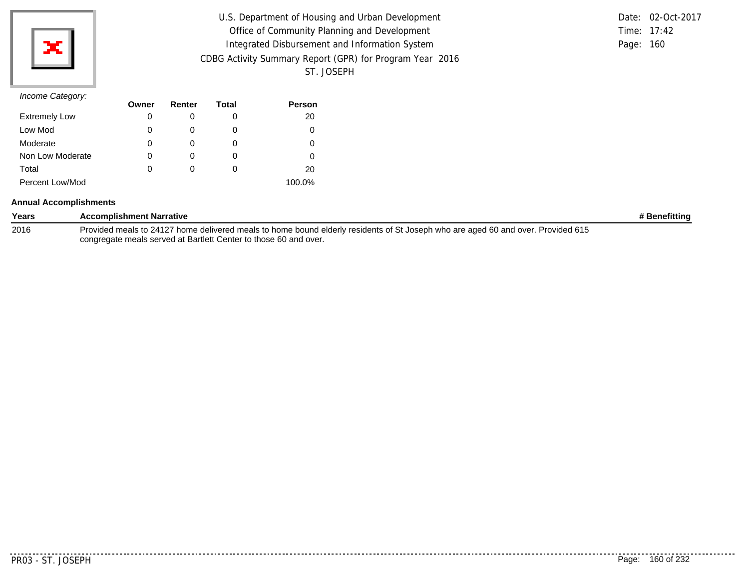| U.S. Department of Housing and Urban Development         |           | Date: 02-Oct-2017 |
|----------------------------------------------------------|-----------|-------------------|
| Office of Community Planning and Development             |           | Time: 17:42       |
| Integrated Disbursement and Information System           | Page: 160 |                   |
| CDBG Activity Summary Report (GPR) for Program Year 2016 |           |                   |
| ST. JOSEPH                                               |           |                   |

|           | Date: 02-Oct-2017 |
|-----------|-------------------|
|           | Time: $17:42$     |
| Page: 160 |                   |

|                      | Owner | Renter | Total | <b>Person</b> |
|----------------------|-------|--------|-------|---------------|
| <b>Extremely Low</b> | 0     |        | O     | 20            |
| Low Mod              | 0     |        | 0     | 0             |
| Moderate             | 0     |        | O     |               |
| Non Low Moderate     | 0     |        | O     |               |
| Total                | 0     |        | O     | 20            |
| Percent Low/Mod      |       |        |       | 100.0%        |

#### **Annual Accomplishments**

| Years | <b>Accomplishment Narrative</b>                                                                                                  | # Benefitting |
|-------|----------------------------------------------------------------------------------------------------------------------------------|---------------|
| 2016  | Provided meals to 24127 home delivered meals to home bound elderly residents of St Joseph who are aged 60 and over. Provided 615 |               |
|       | congregate meals served at Bartlett Center to those 60 and over.                                                                 |               |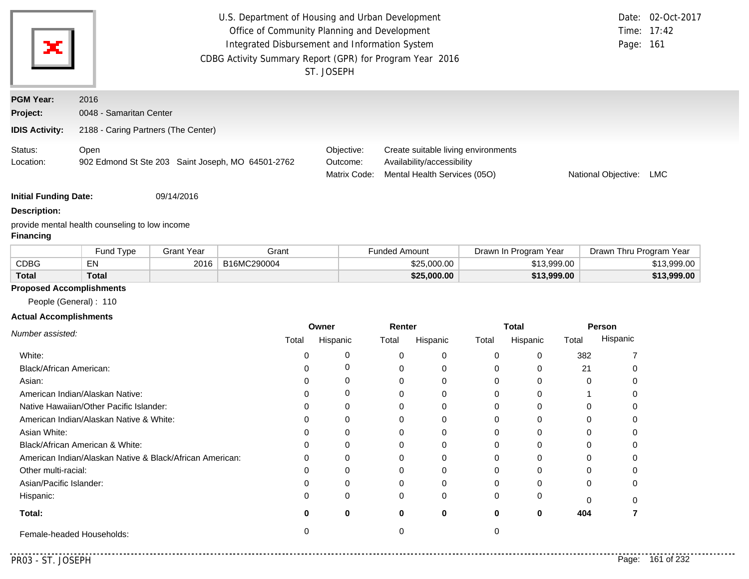| ж                            |                                     | Page: 161                                         | Date: 02-Oct-2017<br>Time: 17:42       |                                                                                                   |                     |     |
|------------------------------|-------------------------------------|---------------------------------------------------|----------------------------------------|---------------------------------------------------------------------------------------------------|---------------------|-----|
| <b>PGM Year:</b><br>Project: | 2016<br>0048 - Samaritan Center     |                                                   |                                        |                                                                                                   |                     |     |
| <b>IDIS Activity:</b>        | 2188 - Caring Partners (The Center) |                                                   |                                        |                                                                                                   |                     |     |
| Status:<br>Location:         | Open                                | 902 Edmond St Ste 203 Saint Joseph, MO 64501-2762 | Objective:<br>Outcome:<br>Matrix Code: | Create suitable living environments<br>Availability/accessibility<br>Mental Health Services (05O) | National Objective: | LMC |

**Initial Funding Date:** 09/14/2016

#### **Description:**

provide mental health counseling to low income

# **Financing**

|              | Fund Tvpe    | <b>Grant Year</b> | Grant       | <b>Funded Amount</b> | Drawn In Program<br>Year | Drawn Thru Program Year |
|--------------|--------------|-------------------|-------------|----------------------|--------------------------|-------------------------|
| <b>CDBG</b>  | E٨           | 2016              | B16MC290004 | \$25,000.00          | \$13.999.00              | \$13,999.00             |
| <b>Total</b> | <b>Total</b> |                   |             | \$25,000,00          | \$13.999.00              | \$13,999.00             |

# **Proposed Accomplishments**

People (General) : 110

### **Actual Accomplishments**

|                                                          | Owner |          | Renter |          | Total |          | Person   |          |
|----------------------------------------------------------|-------|----------|--------|----------|-------|----------|----------|----------|
| Number assisted:                                         | Total | Hispanic | Total  | Hispanic | Total | Hispanic | Total    | Hispanic |
| White:                                                   |       |          | 0      | $\Omega$ |       |          | 382      |          |
| Black/African American:                                  |       |          |        | 0        |       |          | 21       |          |
| Asian:                                                   |       |          |        | 0        |       |          | $\Omega$ |          |
| American Indian/Alaskan Native:                          |       | 0        | 0      | $\Omega$ |       |          |          |          |
| Native Hawaiian/Other Pacific Islander:                  |       |          |        | $\Omega$ |       |          |          |          |
| American Indian/Alaskan Native & White:                  |       |          |        | $\Omega$ |       |          |          |          |
| Asian White:                                             |       |          |        | 0        |       |          |          |          |
| Black/African American & White:                          |       |          |        | 0        |       |          |          |          |
| American Indian/Alaskan Native & Black/African American: | 0     | 0        | 0      | 0        |       |          |          |          |
| Other multi-racial:                                      |       |          | ი      | $\Omega$ |       |          | U        |          |
| Asian/Pacific Islander:                                  |       |          |        | 0        |       |          | 0        |          |
| Hispanic:                                                | 0     | $\Omega$ | 0      | $\Omega$ |       |          | $\cap$   |          |
| Total:                                                   | O     | 0        | 0      | 0        |       | 0        | 404      |          |
| Female-headed Households:                                |       |          |        |          |       |          |          |          |

. . . . .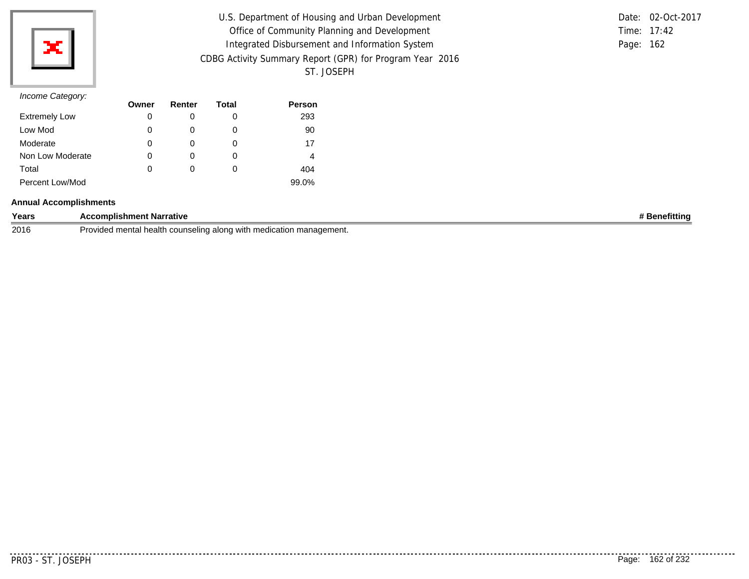

| U.S. Department of Housing and Urban Development         |           | Date: 02-Oct-2017 |
|----------------------------------------------------------|-----------|-------------------|
| Office of Community Planning and Development             |           | Time: 17:42       |
| Integrated Disbursement and Information System           | Page: 162 |                   |
| CDBG Activity Summary Report (GPR) for Program Year 2016 |           |                   |
| ST. JOSEPH                                               |           |                   |

|           | Date: 02-Oct-2017 |
|-----------|-------------------|
|           | Time: $17:42$     |
| Page: 162 |                   |

| $11001110$ catogory. | Owner | Renter | Total | <b>Person</b> |
|----------------------|-------|--------|-------|---------------|
| <b>Extremely Low</b> | 0     |        | 0     | 293           |
| Low Mod              | 0     |        | 0     | 90            |
| Moderate             | 0     |        | O     | 17            |
| Non Low Moderate     | 0     |        | 0     | 4             |
| Total                | 0     |        | O     | 404           |
| Percent Low/Mod      |       |        |       | 99.0%         |

#### **Annual Accomplishments**

| Years | <b>Accomplishment Narrative</b>                                                                   | efitting<br>ene |
|-------|---------------------------------------------------------------------------------------------------|-----------------|
| 2016  | d mental health counseling along with<br>lication management.<br>Jrr<br>. med<br>10000<br>TUVIUEU |                 |

. . . . . . . . . .

..........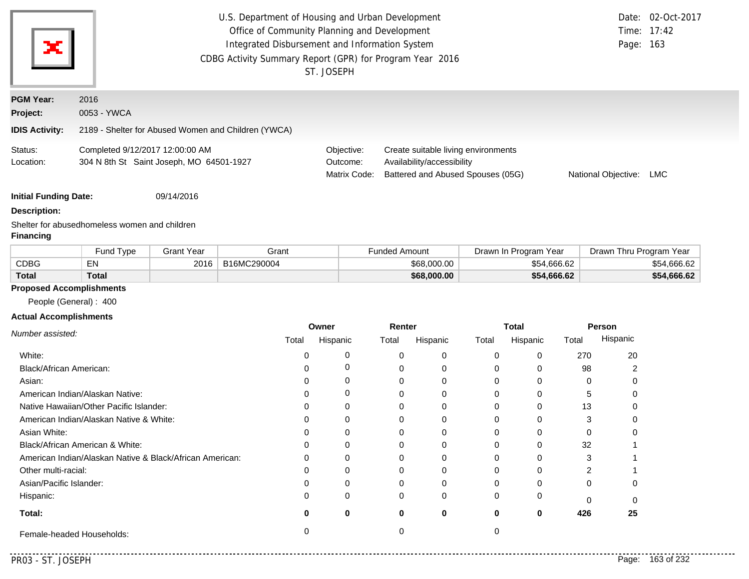| ×                                                            | U.S. Department of Housing and Urban Development<br>Office of Community Planning and Development<br>Integrated Disbursement and Information System<br>CDBG Activity Summary Report (GPR) for Program Year 2016 | ST. JOSEPH                             |                                                                                                        | Page: 163           | Date: 02-Oct-2017<br>Time: 17:42 |
|--------------------------------------------------------------|----------------------------------------------------------------------------------------------------------------------------------------------------------------------------------------------------------------|----------------------------------------|--------------------------------------------------------------------------------------------------------|---------------------|----------------------------------|
| <b>PGM Year:</b><br><b>Project:</b><br><b>IDIS Activity:</b> | 2016<br>0053 - YWCA<br>2189 - Shelter for Abused Women and Children (YWCA)                                                                                                                                     |                                        |                                                                                                        |                     |                                  |
| Status:<br>Location:                                         | Completed 9/12/2017 12:00:00 AM<br>304 N 8th St Saint Joseph, MO 64501-1927                                                                                                                                    | Objective:<br>Outcome:<br>Matrix Code: | Create suitable living environments<br>Availability/accessibility<br>Battered and Abused Spouses (05G) | National Objective: | <b>LMC</b>                       |
| <b>Initial Funding Date:</b>                                 | 09/14/2016                                                                                                                                                                                                     |                                        |                                                                                                        |                     |                                  |

#### **Description:**

Shelter for abusedhomeless women and children

#### **Financing**

|              | Fund Type | Grant Year | Grant       | Funded Amount | Drawn In Program Year | Drawn Thru Program Year |
|--------------|-----------|------------|-------------|---------------|-----------------------|-------------------------|
| <b>CDBG</b>  | EN        | 2016       | B16MC290004 | \$68,000,00   | \$54,666.62           | \$54,666.62             |
| <b>Total</b> | Total     |            |             | \$68,000.00   | \$54,666.62           | \$54,666.62             |

# **Proposed Accomplishments**

People (General) : 400

### **Actual Accomplishments**

|                                                          | Owner |          | Renter   |          |       | <b>Total</b> |       | Person   |
|----------------------------------------------------------|-------|----------|----------|----------|-------|--------------|-------|----------|
| Number assisted:                                         | Total | Hispanic | Total    | Hispanic | Total | Hispanic     | Total | Hispanic |
| White:                                                   |       |          | $\Omega$ | $\Omega$ |       |              | 270   | 20       |
| Black/African American:                                  |       |          | O        | 0        |       |              | 98    |          |
| Asian:                                                   |       |          | $\Omega$ | $\Omega$ | 0     |              | 0     |          |
| American Indian/Alaskan Native:                          |       |          | 0        | $\Omega$ |       |              | 5     |          |
| Native Hawaiian/Other Pacific Islander:                  |       |          | $\Omega$ | $\Omega$ |       |              | 13    |          |
| American Indian/Alaskan Native & White:                  |       |          | $\Omega$ | $\Omega$ |       |              | 3     |          |
| Asian White:                                             |       |          |          | 0        |       |              |       |          |
| Black/African American & White:                          | 0     |          |          | $\Omega$ |       |              | 32    |          |
| American Indian/Alaskan Native & Black/African American: | 0     |          | 0        | $\Omega$ |       |              | 3     |          |
| Other multi-racial:                                      |       |          | 0        | $\Omega$ |       |              |       |          |
| Asian/Pacific Islander:                                  |       |          | $\Omega$ | $\Omega$ |       |              |       |          |
| Hispanic:                                                |       |          | $\Omega$ | $\Omega$ | 0     |              |       |          |
| Total:                                                   |       |          | 0        | 0        | 0     | 0            | 426   | 25       |
| Female-headed Households:                                |       |          |          |          |       |              |       |          |

<u>. . . . . . . .</u>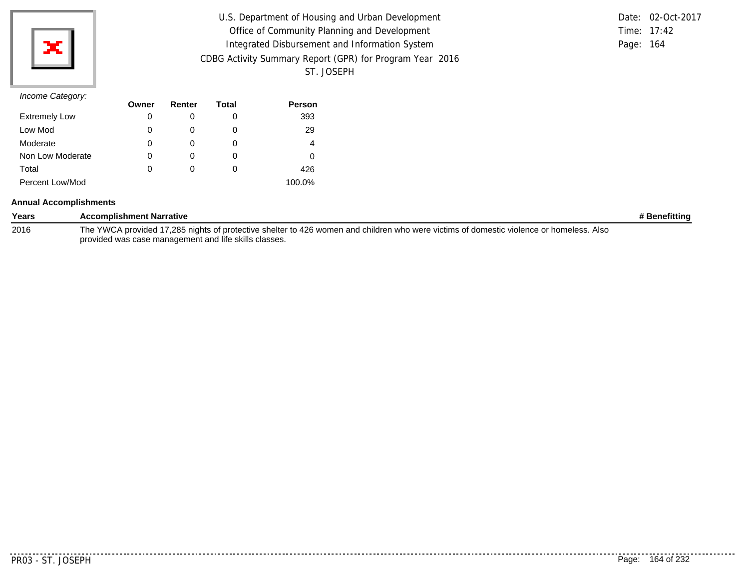| U.S. Department of Housing and Urban Development         |           | Date: 02-Oct-2017 |
|----------------------------------------------------------|-----------|-------------------|
| Office of Community Planning and Development             |           | Time: $17:42$     |
| Integrated Disbursement and Information System           | Page: 164 |                   |
| CDBG Activity Summary Report (GPR) for Program Year 2016 |           |                   |
| ST. JOSEPH                                               |           |                   |

|           | Date: 02-Oct-2017 |
|-----------|-------------------|
|           | Time: $17:42$     |
| Page: 164 |                   |

|                      | Owner | Renter | Total | <b>Person</b> |
|----------------------|-------|--------|-------|---------------|
| <b>Extremely Low</b> | 0     |        | O     | 393           |
| Low Mod              | 0     |        | 0     | 29            |
| Moderate             | 0     |        | O     | 4             |
| Non Low Moderate     | 0     |        | O     | Ω             |
| Total                | 0     |        | O     | 426           |
| Percent Low/Mod      |       |        |       | 100.0%        |

#### **Annual Accomplishments**

| Years | <b>Accomplishment Narrative</b>                                                                                                         | # Benefittina |
|-------|-----------------------------------------------------------------------------------------------------------------------------------------|---------------|
| 2016  | The YWCA provided 17,285 nights of protective shelter to 426 women and children who were victims of domestic violence or homeless. Also |               |
|       | provided was case management and life skills classes.                                                                                   |               |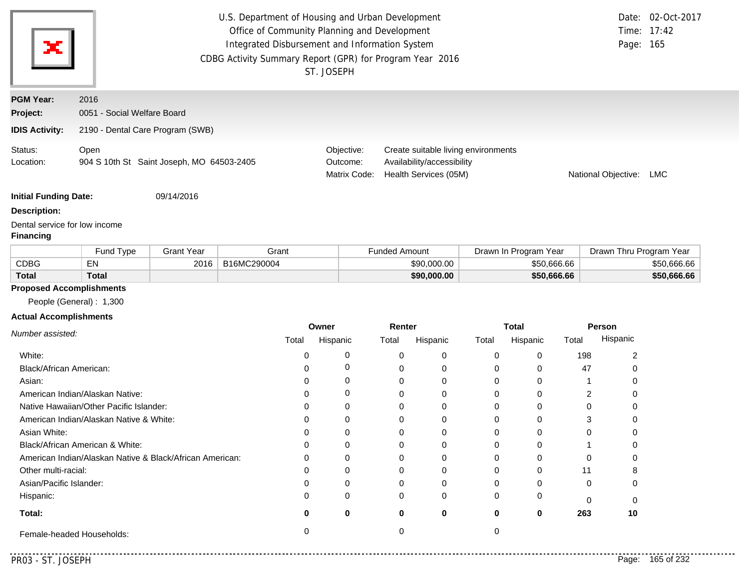|                              | U.S. Department of Housing and Urban Development         |                                                | Date: 02-Oct-2017                                                                          |                     |     |
|------------------------------|----------------------------------------------------------|------------------------------------------------|--------------------------------------------------------------------------------------------|---------------------|-----|
|                              | Office of Community Planning and Development             |                                                | Time: 17:42                                                                                |                     |     |
| $\mathbf{x}$                 |                                                          | Integrated Disbursement and Information System |                                                                                            | Page: 165           |     |
|                              | CDBG Activity Summary Report (GPR) for Program Year 2016 | ST. JOSEPH                                     |                                                                                            |                     |     |
| <b>PGM Year:</b>             | 2016                                                     |                                                |                                                                                            |                     |     |
| Project:                     | 0051 - Social Welfare Board                              |                                                |                                                                                            |                     |     |
| <b>IDIS Activity:</b>        | 2190 - Dental Care Program (SWB)                         |                                                |                                                                                            |                     |     |
| Status:<br>Location:         | Open<br>904 S 10th St Saint Joseph, MO 64503-2405        | Objective:<br>Outcome:<br>Matrix Code:         | Create suitable living environments<br>Availability/accessibility<br>Health Services (05M) | National Objective: | LMC |
| <b>Initial Funding Date:</b> | 09/14/2016                                               |                                                |                                                                                            |                     |     |
| Docerintion:                 |                                                          |                                                |                                                                                            |                     |     |

# **Description:**

Dental service for low income

#### **Financing**

|              | Fund Type    | Grant Year | Grant       | Funded Amount | Drawn In Program Year | Year<br>Drawn Thru Program |
|--------------|--------------|------------|-------------|---------------|-----------------------|----------------------------|
| <b>CDBG</b>  | EN           | 2016       | B16MC290004 | \$90,000,00   | \$50,666,66           | \$50,666.66                |
| <b>Total</b> | <b>Total</b> |            |             | \$90,000.00   | \$50,666.66           | \$50,666.66                |

# **Proposed Accomplishments**

People (General) : 1,300

### **Actual Accomplishments**

|                                                          | Owner |          | Renter |          | <b>Total</b> |          | Person |          |
|----------------------------------------------------------|-------|----------|--------|----------|--------------|----------|--------|----------|
| Number assisted:                                         | Total | Hispanic | Total  | Hispanic | Total        | Hispanic | Total  | Hispanic |
| White:                                                   |       |          |        | 0        |              |          | 198    |          |
| Black/African American:                                  |       |          |        |          |              |          | 47     |          |
| Asian:                                                   | 0     | 0        |        | 0        |              |          |        |          |
| American Indian/Alaskan Native:                          | U     | 0        |        | 0        |              |          |        |          |
| Native Hawaiian/Other Pacific Islander:                  |       |          |        |          |              |          |        |          |
| American Indian/Alaskan Native & White:                  | O     |          |        | 0        |              |          |        |          |
| Asian White:                                             |       |          |        |          |              |          |        |          |
| Black/African American & White:                          | 0     |          |        | 0        |              |          |        |          |
| American Indian/Alaskan Native & Black/African American: | 0     | 0        |        | $\Omega$ |              |          |        |          |
| Other multi-racial:                                      | U     |          |        | $\Omega$ |              |          | 11     |          |
| Asian/Pacific Islander:                                  |       |          |        |          |              |          |        |          |
| Hispanic:                                                | 0     | 0        | 0      | $\Omega$ |              |          |        |          |
| Total:                                                   |       | 0        | 0      | 0        |              | 0        | 263    | 10       |
| Female-headed Households:                                |       |          |        |          |              |          |        |          |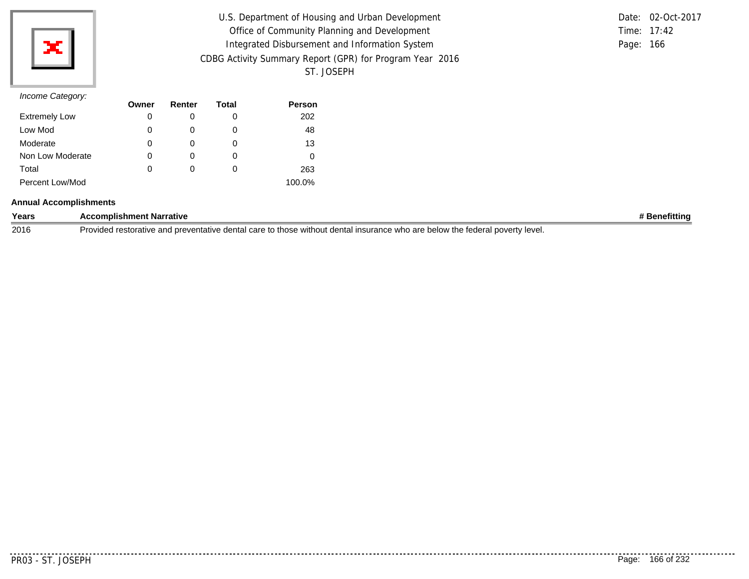

| U.S. Department of Housing and Urban Development         |             | Date: 02-Oct-2017 |
|----------------------------------------------------------|-------------|-------------------|
| Office of Community Planning and Development             | Time: 17:42 |                   |
| Integrated Disbursement and Information System           | Page: 166   |                   |
| CDBG Activity Summary Report (GPR) for Program Year 2016 |             |                   |
| ST. JOSEPH                                               |             |                   |

|           | Date: 02-Oct-2017 |
|-----------|-------------------|
|           | Time: $17:42$     |
| Page: 166 |                   |

| -                    | Owner | Renter | Total | <b>Person</b> |
|----------------------|-------|--------|-------|---------------|
| <b>Extremely Low</b> | 0     |        | 0     | 202           |
| Low Mod              | 0     |        | O     | 48            |
| Moderate             | 0     |        | O     | 13            |
| Non Low Moderate     | 0     |        | O     | 0             |
| Total                | 0     |        | O     | 263           |
| Percent Low/Mod      |       |        |       | 100.0%        |

#### **Annual Accomplishments**

| Years | <b>Accomplishment Narrative</b>                                                                                                                  | .<br>enefitting |
|-------|--------------------------------------------------------------------------------------------------------------------------------------------------|-----------------|
| 2016  | overtv level.<br>∵denta<br>Provided res<br>those<br>' insura<br>low the<br>: without<br>ntal<br>and<br>ative."<br>wno<br>care to<br><b>DEIOW</b> |                 |

. . . . . . . . . .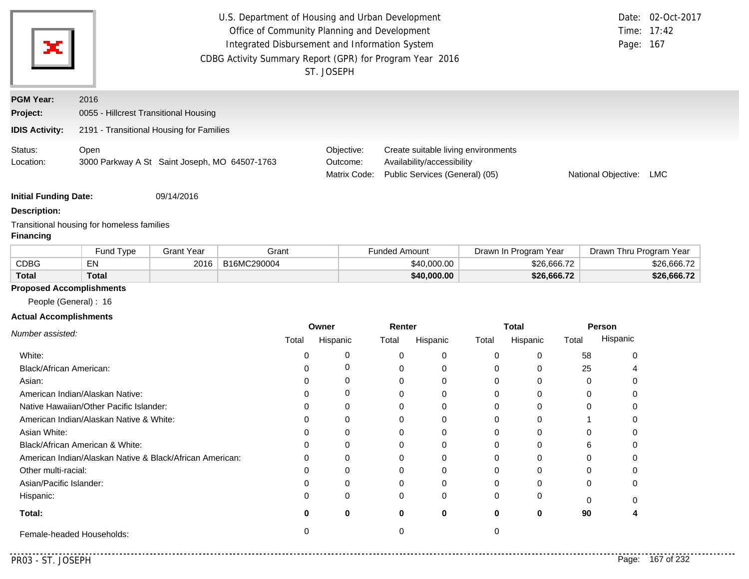| ×                            | U.S. Department of Housing and Urban Development<br>Office of Community Planning and Development<br>Integrated Disbursement and Information System<br>CDBG Activity Summary Report (GPR) for Program Year 2016<br>ST. JOSEPH |                                               |  |                                        |                                                                                                     |                     | Date: 02-Oct-2017<br>Time: 17:42<br>Page: 167 |
|------------------------------|------------------------------------------------------------------------------------------------------------------------------------------------------------------------------------------------------------------------------|-----------------------------------------------|--|----------------------------------------|-----------------------------------------------------------------------------------------------------|---------------------|-----------------------------------------------|
| <b>PGM Year:</b>             | 2016                                                                                                                                                                                                                         |                                               |  |                                        |                                                                                                     |                     |                                               |
| Project:                     | 0055 - Hillcrest Transitional Housing                                                                                                                                                                                        |                                               |  |                                        |                                                                                                     |                     |                                               |
| <b>IDIS Activity:</b>        |                                                                                                                                                                                                                              | 2191 - Transitional Housing for Families      |  |                                        |                                                                                                     |                     |                                               |
| Status:<br>Location:         | Open                                                                                                                                                                                                                         | 3000 Parkway A St Saint Joseph, MO 64507-1763 |  | Objective:<br>Outcome:<br>Matrix Code: | Create suitable living environments<br>Availability/accessibility<br>Public Services (General) (05) | National Objective: | LMC                                           |
| <b>Initial Funding Date:</b> |                                                                                                                                                                                                                              | 09/14/2016                                    |  |                                        |                                                                                                     |                     |                                               |

**Description:**

Transitional housing for homeless families

### **Financing**

|              | <b>Fund Type</b> | Grant Year | Grant       | Funded Amount | Drawn In Program Year | Drawn Thru Program Year |
|--------------|------------------|------------|-------------|---------------|-----------------------|-------------------------|
| <b>CDBG</b>  | EN               | 2016       | B16MC290004 | \$40,000.00   | \$26,666.72           | \$26,666.72             |
| <b>Total</b> | <b>Total</b>     |            |             | \$40,000.00   | \$26,666.72           | \$26,666.72             |

### **Proposed Accomplishments**

People (General) : 16

### **Actual Accomplishments**

|                                                          | Owner |          | Renter |          | <b>Total</b> |          | Person |          |
|----------------------------------------------------------|-------|----------|--------|----------|--------------|----------|--------|----------|
| Number assisted:                                         | Total | Hispanic | Total  | Hispanic | Total        | Hispanic |        | Hispanic |
| White:                                                   |       |          |        | $\Omega$ | 0            |          | 58     |          |
| Black/African American:                                  |       |          |        |          | 0            |          | 25     |          |
| Asian:                                                   |       |          |        | 0        | 0            |          |        |          |
| American Indian/Alaskan Native:                          |       |          |        |          | 0            |          |        |          |
| Native Hawaiian/Other Pacific Islander:                  |       |          |        |          | 0            |          |        |          |
| American Indian/Alaskan Native & White:                  |       |          |        |          | 0            |          |        |          |
| Asian White:                                             |       |          |        |          | 0            |          |        |          |
| Black/African American & White:                          |       |          |        |          | 0            |          |        |          |
| American Indian/Alaskan Native & Black/African American: | U     |          |        |          | 0            |          |        |          |
| Other multi-racial:                                      |       |          |        |          | 0            |          |        |          |
| Asian/Pacific Islander:                                  |       |          |        |          | 0            |          |        |          |
| Hispanic:                                                |       |          |        | 0        | 0            |          |        |          |
| Total:                                                   |       | 0        | o      | 0        | 0            | 0        | 90     |          |
| Female-headed Households:                                |       |          |        |          |              |          |        |          |

. . . . . . . . . . . . .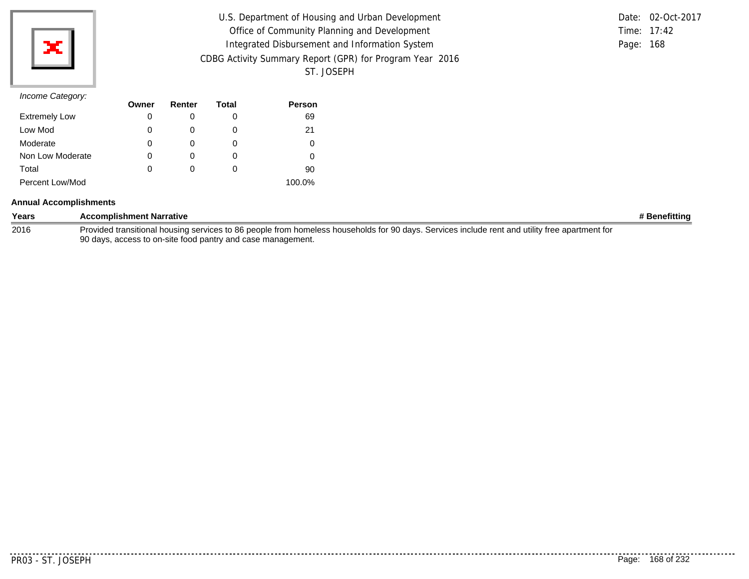| U.S. Department of Housing and Urban Development         |           | Date: 02-Oct-2017 |
|----------------------------------------------------------|-----------|-------------------|
| Office of Community Planning and Development             |           | Time: $17:42$     |
| Integrated Disbursement and Information System           | Page: 168 |                   |
| CDBG Activity Summary Report (GPR) for Program Year 2016 |           |                   |
| ST. JOSEPH                                               |           |                   |

|           | Date: 02-Oct-2017 |
|-----------|-------------------|
|           | Time: $17:42$     |
| Page: 168 |                   |

|                      | Owner | Renter | Total | <b>Person</b> |
|----------------------|-------|--------|-------|---------------|
| <b>Extremely Low</b> | 0     |        | O     | 69            |
| Low Mod              | 0     |        | 0     | 21            |
| Moderate             | 0     |        | O     |               |
| Non Low Moderate     | 0     |        | O     |               |
| Total                | 0     |        | O     | 90            |
| Percent Low/Mod      |       |        |       | 100.0%        |

#### **Annual Accomplishments**

| Years | <b>Accomplishment Narrative</b>                                                                                                                | # Benefitting |
|-------|------------------------------------------------------------------------------------------------------------------------------------------------|---------------|
| 2016  | Provided transitional housing services to 86 people from homeless households for 90 days. Services include rent and utility free apartment for |               |
|       | 90 days, access to on-site food pantry and case management.                                                                                    |               |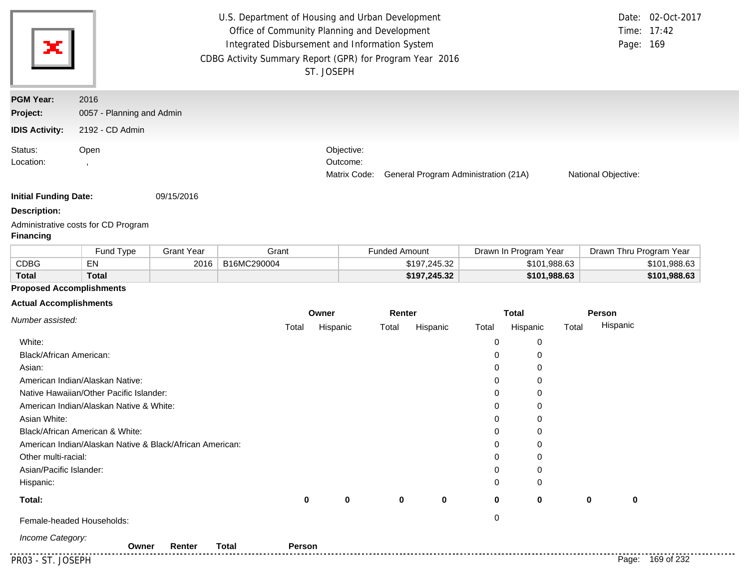| ×                     | U.S. Department of Housing and Urban Development<br>Office of Community Planning and Development<br>Integrated Disbursement and Information System<br>CDBG Activity Summary Report (GPR) for Program Year 2016<br>ST. JOSEPH |  |                                        |                                      |                     |  |  |
|-----------------------|------------------------------------------------------------------------------------------------------------------------------------------------------------------------------------------------------------------------------|--|----------------------------------------|--------------------------------------|---------------------|--|--|
| <b>PGM Year:</b>      | 2016                                                                                                                                                                                                                         |  |                                        |                                      |                     |  |  |
| Project:              | 0057 - Planning and Admin                                                                                                                                                                                                    |  |                                        |                                      |                     |  |  |
| <b>IDIS Activity:</b> | 2192 - CD Admin                                                                                                                                                                                                              |  |                                        |                                      |                     |  |  |
| Status:<br>Location:  | Open                                                                                                                                                                                                                         |  | Objective:<br>Outcome:<br>Matrix Code: | General Program Administration (21A) | National Objective: |  |  |

**Initial Funding Date:** 09/15/2016

#### **Description:**

Administrative costs for CD Program

### **Financing**

|              | Fund Type    | Grant Year | Grant       | Funded Amount | Drawn In Program Year | Drawn Thru Program Year |
|--------------|--------------|------------|-------------|---------------|-----------------------|-------------------------|
| <b>CDBG</b>  | EN           | 2016       | B16MC290004 | \$197,245.32  | \$101,988.63          | \$101,988.63            |
| <b>Total</b> | <b>Total</b> |            |             | \$197,245.32  | \$101,988.63          | \$101,988.63            |

## **Proposed Accomplishments**

#### **Actual Accomplishments**

| Number assisted:                                         | Owner    |             | Renter   |             |          | <b>Total</b> |             | Person           |
|----------------------------------------------------------|----------|-------------|----------|-------------|----------|--------------|-------------|------------------|
|                                                          | Total    | Hispanic    | Total    | Hispanic    | Total    | Hispanic     | Total       | Hispanic         |
| White:                                                   |          |             |          |             | 0        | 0            |             |                  |
| Black/African American:                                  |          |             |          |             | 0        | 0            |             |                  |
| Asian:                                                   |          |             |          |             | $\Omega$ | 0            |             |                  |
| American Indian/Alaskan Native:                          |          |             |          |             | 0        | 0            |             |                  |
| Native Hawaiian/Other Pacific Islander:                  |          |             |          |             | $\Omega$ | 0            |             |                  |
| American Indian/Alaskan Native & White:                  |          |             |          |             | $\Omega$ | 0            |             |                  |
| Asian White:                                             |          |             |          |             | $\Omega$ | 0            |             |                  |
| Black/African American & White:                          |          |             |          |             | 0        | 0            |             |                  |
| American Indian/Alaskan Native & Black/African American: |          |             |          |             | 0        | 0            |             |                  |
| Other multi-racial:                                      |          |             |          |             | $\Omega$ | 0            |             |                  |
| Asian/Pacific Islander:                                  |          |             |          |             | 0        | 0            |             |                  |
| Hispanic:                                                |          |             |          |             | 0        | 0            |             |                  |
| Total:                                                   | $\bf{0}$ | $\mathbf 0$ | $\bf{0}$ | $\mathbf 0$ | 0        | $\bf{0}$     | $\mathbf 0$ | $\bf{0}$         |
| Female-headed Households:                                |          |             |          |             | 0        |              |             |                  |
| Income Category:<br><b>Total</b><br>Renter<br>Owner      | Person   |             |          |             |          |              |             |                  |
| PR03 - ST. JOSEPH                                        |          |             |          |             |          |              |             | Page: 169 of 232 |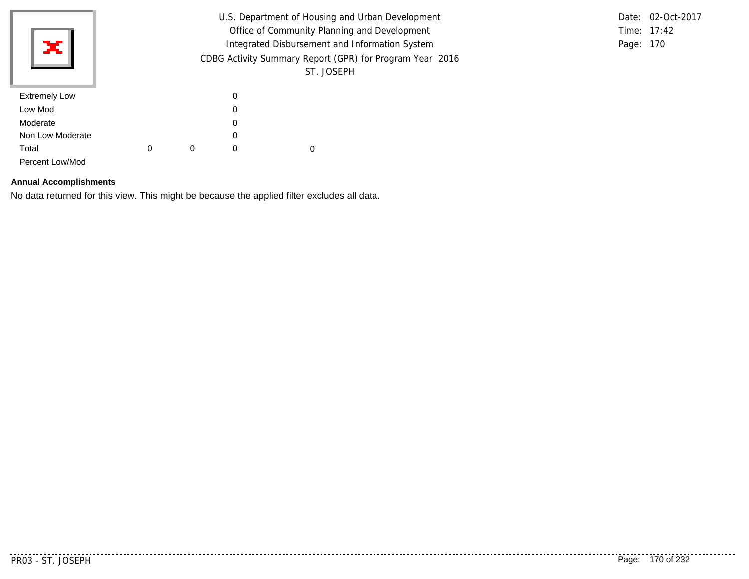|                      | U.S. Department of Housing and Urban Development         |   |          |            |  |  |  |  | Date: 02-Oct-2017 |
|----------------------|----------------------------------------------------------|---|----------|------------|--|--|--|--|-------------------|
|                      | Office of Community Planning and Development             |   |          |            |  |  |  |  | Time: 17:42       |
| ×Ш                   | Integrated Disbursement and Information System           |   |          |            |  |  |  |  | Page: 170         |
|                      | CDBG Activity Summary Report (GPR) for Program Year 2016 |   |          |            |  |  |  |  |                   |
|                      |                                                          |   |          | ST. JOSEPH |  |  |  |  |                   |
| <b>Extremely Low</b> |                                                          |   | 0        |            |  |  |  |  |                   |
| Low Mod              |                                                          |   | 0        |            |  |  |  |  |                   |
| Moderate             |                                                          |   | 0        |            |  |  |  |  |                   |
| Non Low Moderate     |                                                          |   | 0        |            |  |  |  |  |                   |
| Total                | 0                                                        | 0 | $\Omega$ | 0          |  |  |  |  |                   |
| Percent Low/Mod      |                                                          |   |          |            |  |  |  |  |                   |

### **Annual Accomplishments**

No data returned for this view. This might be because the applied filter excludes all data.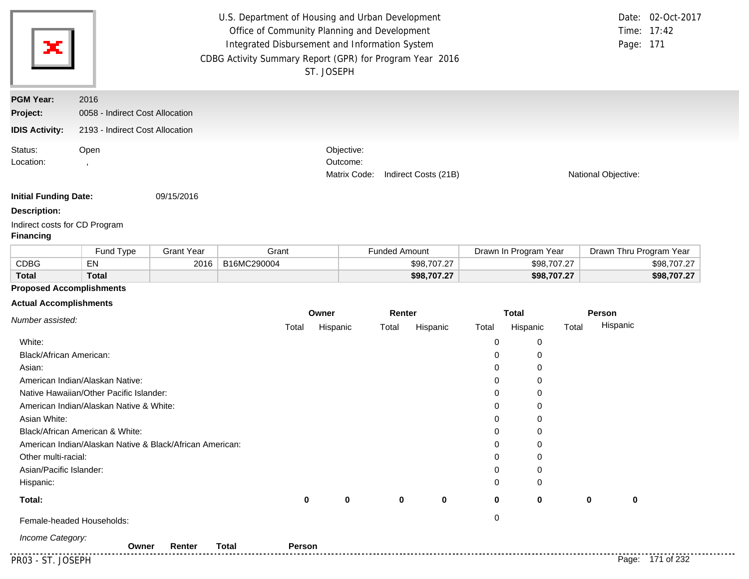|                                                   |                                                                                                    |                   |             | U.S. Department of Housing and Urban Development<br>Office of Community Planning and Development<br>Integrated Disbursement and Information System<br>CDBG Activity Summary Report (GPR) for Program Year 2016<br>ST. JOSEPH |                      |             |              |                       |       | Page: 171               | Date: 02-Oct-2017<br>Time: 17:42 |
|---------------------------------------------------|----------------------------------------------------------------------------------------------------|-------------------|-------------|------------------------------------------------------------------------------------------------------------------------------------------------------------------------------------------------------------------------------|----------------------|-------------|--------------|-----------------------|-------|-------------------------|----------------------------------|
| <b>PGM Year:</b>                                  | 2016                                                                                               |                   |             |                                                                                                                                                                                                                              |                      |             |              |                       |       |                         |                                  |
| Project:                                          | 0058 - Indirect Cost Allocation                                                                    |                   |             |                                                                                                                                                                                                                              |                      |             |              |                       |       |                         |                                  |
| <b>IDIS Activity:</b>                             | 2193 - Indirect Cost Allocation                                                                    |                   |             |                                                                                                                                                                                                                              |                      |             |              |                       |       |                         |                                  |
| Status:<br>Location:                              | Objective:<br>Open<br>Outcome:<br>$\overline{\phantom{a}}$<br>Indirect Costs (21B)<br>Matrix Code: |                   |             |                                                                                                                                                                                                                              |                      |             |              |                       |       | National Objective:     |                                  |
| <b>Initial Funding Date:</b>                      |                                                                                                    | 09/15/2016        |             |                                                                                                                                                                                                                              |                      |             |              |                       |       |                         |                                  |
| <b>Description:</b>                               |                                                                                                    |                   |             |                                                                                                                                                                                                                              |                      |             |              |                       |       |                         |                                  |
| Indirect costs for CD Program<br><b>Financing</b> |                                                                                                    |                   |             |                                                                                                                                                                                                                              |                      |             |              |                       |       |                         |                                  |
|                                                   | Fund Type                                                                                          | <b>Grant Year</b> | Grant       |                                                                                                                                                                                                                              | <b>Funded Amount</b> |             |              | Drawn In Program Year |       | Drawn Thru Program Year |                                  |
| <b>CDBG</b>                                       | EN                                                                                                 | 2016              | B16MC290004 |                                                                                                                                                                                                                              |                      | \$98,707.27 |              | \$98,707.27           |       |                         | \$98,707.27                      |
| <b>Total</b>                                      | <b>Total</b>                                                                                       |                   |             |                                                                                                                                                                                                                              |                      | \$98,707.27 |              | \$98,707.27           |       |                         | \$98,707.27                      |
| <b>Proposed Accomplishments</b>                   |                                                                                                    |                   |             |                                                                                                                                                                                                                              |                      |             |              |                       |       |                         |                                  |
| <b>Actual Accomplishments</b>                     |                                                                                                    |                   |             |                                                                                                                                                                                                                              |                      |             |              |                       |       |                         |                                  |
| Number assisted:                                  |                                                                                                    |                   | Owner       |                                                                                                                                                                                                                              | Renter               |             | <b>Total</b> |                       |       | Person                  |                                  |
|                                                   |                                                                                                    |                   | Total       | Hispanic                                                                                                                                                                                                                     | Total                | Hispanic    | Total        | Hispanic              | Total | Hispanic                |                                  |
| White:                                            |                                                                                                    |                   |             |                                                                                                                                                                                                                              |                      |             | $\mathbf 0$  | $\pmb{0}$             |       |                         |                                  |
| Black/African American:                           |                                                                                                    |                   |             |                                                                                                                                                                                                                              |                      |             | 0            | $\mathbf 0$           |       |                         |                                  |
| Asian:                                            |                                                                                                    |                   |             |                                                                                                                                                                                                                              |                      |             | 0            | $\mathbf 0$           |       |                         |                                  |
|                                                   | American Indian/Alaskan Native:                                                                    |                   |             |                                                                                                                                                                                                                              |                      |             | 0            | $\mathbf 0$           |       |                         |                                  |
|                                                   | Native Hawaiian/Other Pacific Islander:                                                            |                   |             |                                                                                                                                                                                                                              |                      |             | 0            | 0                     |       |                         |                                  |
|                                                   | American Indian/Alaskan Native & White:                                                            |                   |             |                                                                                                                                                                                                                              |                      |             | 0            | 0                     |       |                         |                                  |
| Asian White:                                      |                                                                                                    |                   |             |                                                                                                                                                                                                                              |                      |             | $\Omega$     | $\mathbf 0$           |       |                         |                                  |
|                                                   | Black/African American & White:                                                                    |                   |             |                                                                                                                                                                                                                              |                      |             | 0            | $\mathbf 0$           |       |                         |                                  |
|                                                   | American Indian/Alaskan Native & Black/African American:                                           |                   |             |                                                                                                                                                                                                                              |                      |             | 0            | 0                     |       |                         |                                  |
| Other multi-racial:                               |                                                                                                    |                   |             |                                                                                                                                                                                                                              |                      |             | 0            | 0                     |       |                         |                                  |
| Asian/Pacific Islander:                           |                                                                                                    |                   |             |                                                                                                                                                                                                                              |                      |             | $\Omega$     | $\Omega$              |       |                         |                                  |

**0 0**

**0 0**

0

0 **0 0 0**

**Total:**

Hispanic:

Female-headed Households: 0

*Income Category:*

PR03 - ST. JOSEPH Page: 171 of 232 **Owner Renter Total Person**

. . . . . .

**0**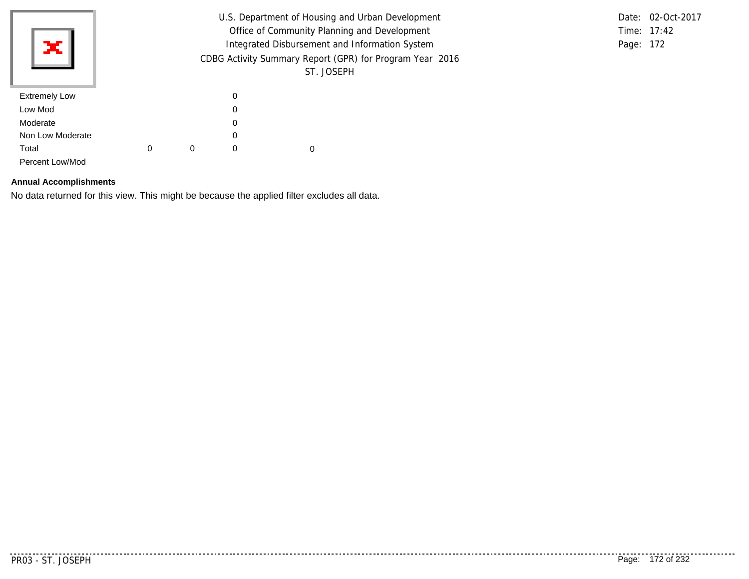|                      |   | U.S. Department of Housing and Urban Development         |           | Date: 02-Oct-2017 |  |  |  |
|----------------------|---|----------------------------------------------------------|-----------|-------------------|--|--|--|
|                      |   |                                                          |           | Time: 17:42       |  |  |  |
| жI                   |   |                                                          | Page: 172 |                   |  |  |  |
|                      |   | CDBG Activity Summary Report (GPR) for Program Year 2016 |           |                   |  |  |  |
|                      |   |                                                          |           | ST. JOSEPH        |  |  |  |
| <b>Extremely Low</b> |   |                                                          | 0         |                   |  |  |  |
| Low Mod              |   |                                                          | 0         |                   |  |  |  |
| Moderate             |   |                                                          | 0         |                   |  |  |  |
| Non Low Moderate     |   |                                                          | 0         |                   |  |  |  |
| Total                | 0 | 0                                                        | $\Omega$  | 0                 |  |  |  |
| Percent Low/Mod      |   |                                                          |           |                   |  |  |  |

### **Annual Accomplishments**

No data returned for this view. This might be because the applied filter excludes all data.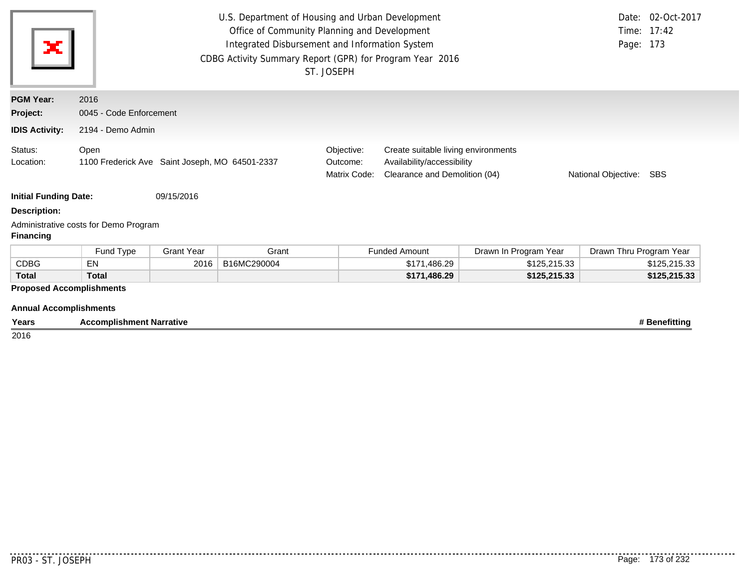| ×                               | U.S. Department of Housing and Urban Development<br>Date: 02-Oct-2017<br>Office of Community Planning and Development<br>Time: 17:42<br>Integrated Disbursement and Information System<br>Page: 173<br>CDBG Activity Summary Report (GPR) for Program Year 2016<br>ST. JOSEPH |                   |             |                                        |                                                                                                    |                       |                         |               |  |  |  |  |
|---------------------------------|-------------------------------------------------------------------------------------------------------------------------------------------------------------------------------------------------------------------------------------------------------------------------------|-------------------|-------------|----------------------------------------|----------------------------------------------------------------------------------------------------|-----------------------|-------------------------|---------------|--|--|--|--|
| <b>PGM Year:</b>                | 2016                                                                                                                                                                                                                                                                          |                   |             |                                        |                                                                                                    |                       |                         |               |  |  |  |  |
| Project:                        | 0045 - Code Enforcement                                                                                                                                                                                                                                                       |                   |             |                                        |                                                                                                    |                       |                         |               |  |  |  |  |
| <b>IDIS Activity:</b>           | 2194 - Demo Admin                                                                                                                                                                                                                                                             |                   |             |                                        |                                                                                                    |                       |                         |               |  |  |  |  |
| Status:<br>Location:            | Open<br>1100 Frederick Ave Saint Joseph, MO 64501-2337                                                                                                                                                                                                                        |                   |             | Objective:<br>Outcome:<br>Matrix Code: | Create suitable living environments<br>Availability/accessibility<br>Clearance and Demolition (04) | National Objective:   | SBS                     |               |  |  |  |  |
| <b>Initial Funding Date:</b>    |                                                                                                                                                                                                                                                                               | 09/15/2016        |             |                                        |                                                                                                    |                       |                         |               |  |  |  |  |
| <b>Description:</b>             |                                                                                                                                                                                                                                                                               |                   |             |                                        |                                                                                                    |                       |                         |               |  |  |  |  |
| <b>Financing</b>                | Administrative costs for Demo Program                                                                                                                                                                                                                                         |                   |             |                                        |                                                                                                    |                       |                         |               |  |  |  |  |
|                                 | Fund Type                                                                                                                                                                                                                                                                     | <b>Grant Year</b> | Grant       |                                        | <b>Funded Amount</b>                                                                               | Drawn In Program Year | Drawn Thru Program Year |               |  |  |  |  |
| <b>CDBG</b>                     | <b>EN</b>                                                                                                                                                                                                                                                                     | 2016              | B16MC290004 |                                        | \$171,486.29                                                                                       | \$125,215.33          |                         | \$125,215.33  |  |  |  |  |
| <b>Total</b>                    | <b>Total</b>                                                                                                                                                                                                                                                                  |                   |             |                                        | \$171,486.29                                                                                       | \$125,215.33          |                         | \$125,215.33  |  |  |  |  |
| <b>Proposed Accomplishments</b> |                                                                                                                                                                                                                                                                               |                   |             |                                        |                                                                                                    |                       |                         |               |  |  |  |  |
| <b>Annual Accomplishments</b>   |                                                                                                                                                                                                                                                                               |                   |             |                                        |                                                                                                    |                       |                         |               |  |  |  |  |
| Years                           | <b>Accomplishment Narrative</b>                                                                                                                                                                                                                                               |                   |             |                                        |                                                                                                    |                       |                         | # Benefitting |  |  |  |  |

 $\frac{1}{2016}$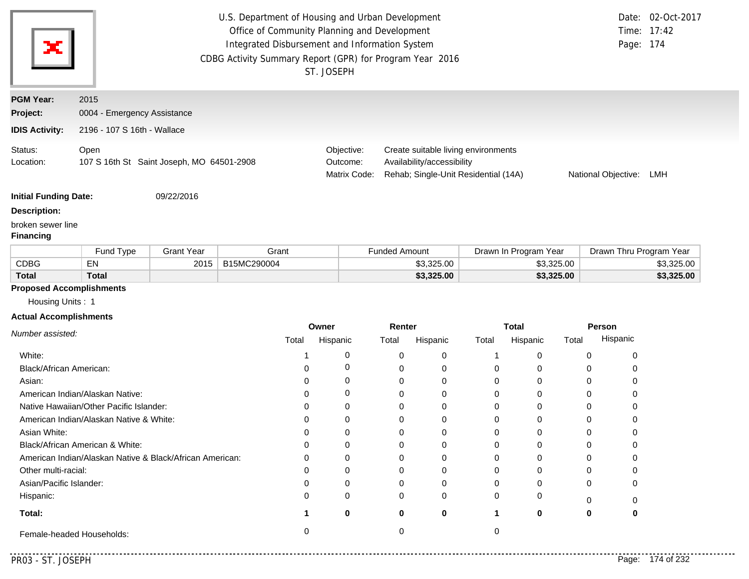| ×                                                                                                     |                                                                    |                                           | U.S. Department of Housing and Urban Development<br>Office of Community Planning and Development<br>Integrated Disbursement and Information System<br>CDBG Activity Summary Report (GPR) for Program Year 2016 | ST. JOSEPH                             |                                                                                                           | Page: 174           | Date: 02-Oct-2017<br>Time: 17:42 |
|-------------------------------------------------------------------------------------------------------|--------------------------------------------------------------------|-------------------------------------------|----------------------------------------------------------------------------------------------------------------------------------------------------------------------------------------------------------------|----------------------------------------|-----------------------------------------------------------------------------------------------------------|---------------------|----------------------------------|
| <b>PGM Year:</b><br>Project:<br><b>IDIS Activity:</b>                                                 | 2015<br>0004 - Emergency Assistance<br>2196 - 107 S 16th - Wallace |                                           |                                                                                                                                                                                                                |                                        |                                                                                                           |                     |                                  |
| Status:<br>Location:                                                                                  | Open                                                               | 107 S 16th St Saint Joseph, MO 64501-2908 |                                                                                                                                                                                                                | Objective:<br>Outcome:<br>Matrix Code: | Create suitable living environments<br>Availability/accessibility<br>Rehab; Single-Unit Residential (14A) | National Objective: | LMH                              |
| <b>Initial Funding Date:</b><br><b>Description:</b><br>$\mathbf{r}$ and $\mathbf{r}$ and $\mathbf{r}$ |                                                                    | 09/22/2016                                |                                                                                                                                                                                                                |                                        |                                                                                                           |                     |                                  |

#### broken sewer line

#### **Financing**

|              | <b>Fund Type</b> | Grant Year | Grant       | Funded Amount | Drawn In Program Year | Drawn Thru Program Year |
|--------------|------------------|------------|-------------|---------------|-----------------------|-------------------------|
| CDBG         | EN               | 2015       | B15MC290004 | \$3,325,00    | \$3,325,00            | \$3.325.00              |
| <b>Total</b> | Total            |            |             | \$3,325.00    | \$3,325.00            | \$3,325.00              |

### **Proposed Accomplishments**

Housing Units : 1

# **Actual Accomplishments**

|                                                          | Owner |          | Renter |          | Total |          | Person |          |
|----------------------------------------------------------|-------|----------|--------|----------|-------|----------|--------|----------|
| Number assisted:                                         | Total | Hispanic | Total  | Hispanic | Total | Hispanic | Total  | Hispanic |
| White:                                                   |       |          | 0      | 0        |       |          |        |          |
| Black/African American:                                  |       |          |        | 0        |       |          |        |          |
| Asian:                                                   |       | 0        |        | $\Omega$ |       |          |        |          |
| American Indian/Alaskan Native:                          |       | O        |        | 0        |       |          |        |          |
| Native Hawaiian/Other Pacific Islander:                  |       |          |        | $\Omega$ |       |          |        |          |
| American Indian/Alaskan Native & White:                  |       |          |        | 0        |       |          |        |          |
| Asian White:                                             |       |          |        | 0        |       |          |        |          |
| Black/African American & White:                          |       |          |        | 0        |       |          |        |          |
| American Indian/Alaskan Native & Black/African American: |       |          |        | $\Omega$ |       |          |        |          |
| Other multi-racial:                                      |       |          |        | 0        |       |          |        |          |
| Asian/Pacific Islander:                                  |       |          |        | $\Omega$ |       |          | 0      |          |
| Hispanic:                                                | ი     | 0        | 0      | 0        |       |          |        |          |
| Total:                                                   |       | 0        | 0      | 0        |       | 0        | 0      |          |
| Female-headed Households:                                |       |          |        |          |       |          |        |          |

. . . . .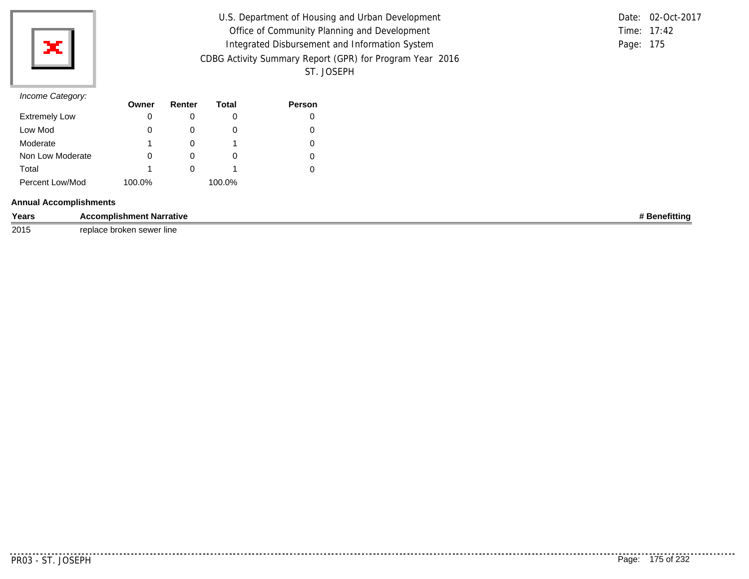

| U.S. Department of Housing and Urban Development         |           | Date: 02-Oct-2017 |
|----------------------------------------------------------|-----------|-------------------|
| Office of Community Planning and Development             |           | Time: 17:42       |
| Integrated Disbursement and Information System           | Page: 175 |                   |
| CDBG Activity Summary Report (GPR) for Program Year 2016 |           |                   |
| ST. JOSEPH                                               |           |                   |

### *Income Category:*

| $11001110$ catogory. | Owner  | Renter       | Total  | <b>Person</b> |
|----------------------|--------|--------------|--------|---------------|
| <b>Extremely Low</b> | 0      |              |        |               |
| Low Mod              | 0      | $\mathbf{0}$ | O      |               |
| Moderate             |        |              |        |               |
| Non Low Moderate     | 0      | O            | O      |               |
| Total                |        |              |        |               |
| Percent Low/Mod      | 100.0% |              | 100.0% |               |

#### **Annual Accomplishments**

| Years | <b>Narrative</b><br>าmplishment                          | nun |
|-------|----------------------------------------------------------|-----|
| 2015  | replace.<br>line<br>CAMAL<br><b>proke</b><br><b>PORT</b> |     |

<u>............</u>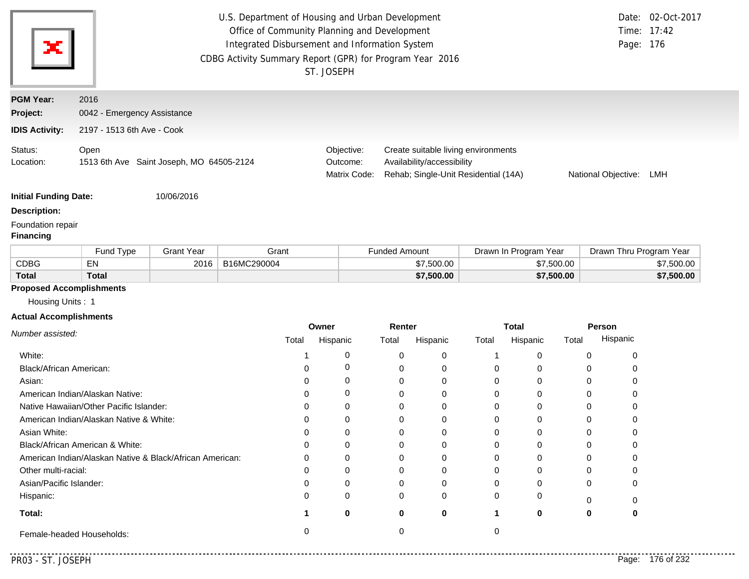| ×                                                   | U.S. Department of Housing and Urban Development<br>Office of Community Planning and Development<br>Integrated Disbursement and Information System<br>CDBG Activity Summary Report (GPR) for Program Year 2016<br>ST. JOSEPH |                                        |                                                                                                           |                     | Date: 02-Oct-2017<br>Time: 17:42<br>Page: 176 |
|-----------------------------------------------------|------------------------------------------------------------------------------------------------------------------------------------------------------------------------------------------------------------------------------|----------------------------------------|-----------------------------------------------------------------------------------------------------------|---------------------|-----------------------------------------------|
| <b>PGM Year:</b><br>Project:                        | 2016<br>0042 - Emergency Assistance                                                                                                                                                                                          |                                        |                                                                                                           |                     |                                               |
| <b>IDIS Activity:</b>                               | 2197 - 1513 6th Ave - Cook                                                                                                                                                                                                   |                                        |                                                                                                           |                     |                                               |
| Status:<br>Location:                                | Open<br>1513 6th Ave Saint Joseph, MO 64505-2124                                                                                                                                                                             | Objective:<br>Outcome:<br>Matrix Code: | Create suitable living environments<br>Availability/accessibility<br>Rehab; Single-Unit Residential (14A) | National Objective: | LMH                                           |
| <b>Initial Funding Date:</b><br><b>Description:</b> | 10/06/2016                                                                                                                                                                                                                   |                                        |                                                                                                           |                     |                                               |

### Foundation repair

#### **Financing**

|              | Fund Type    | Grant Year | Grant       | <sup>⊏</sup> unded Amount | Drawn In Program Year | Drawn Thru Program Year |
|--------------|--------------|------------|-------------|---------------------------|-----------------------|-------------------------|
| <b>CDBG</b>  | EN           | 2016       | B16MC290004 | \$7.500.00                | \$7.500.00            | \$7,500.00              |
| <b>Total</b> | <b>Total</b> |            |             | \$7,500.00                | \$7,500.00            | \$7,500.00              |

# **Proposed Accomplishments**

Housing Units : 1

### **Actual Accomplishments**

|                                                          | Owner |          | Renter |          | <b>Total</b> |          | Person |          |
|----------------------------------------------------------|-------|----------|--------|----------|--------------|----------|--------|----------|
| Number assisted:                                         | Total | Hispanic | Total  | Hispanic | Total        | Hispanic | Total  | Hispanic |
| White:                                                   |       |          |        | $\Omega$ |              |          |        |          |
| Black/African American:                                  |       |          |        | 0        |              |          |        |          |
| Asian:                                                   |       |          |        | 0        |              |          |        |          |
| American Indian/Alaskan Native:                          |       |          |        | $\Omega$ |              |          |        |          |
| Native Hawaiian/Other Pacific Islander:                  |       |          |        | $\Omega$ |              |          |        |          |
| American Indian/Alaskan Native & White:                  |       |          |        | O        |              |          |        |          |
| Asian White:                                             |       |          |        | 0        |              |          |        |          |
| Black/African American & White:                          |       |          |        | 0        |              |          |        |          |
| American Indian/Alaskan Native & Black/African American: |       |          |        | $\Omega$ |              |          |        |          |
| Other multi-racial:                                      |       |          |        | 0        |              |          |        |          |
| Asian/Pacific Islander:                                  |       |          |        | 0        |              |          |        |          |
| Hispanic:                                                |       | O        | 0      | $\Omega$ |              |          |        |          |
| Total:                                                   |       | 0        | 0      | 0        |              | 0        | 0      |          |
| Female-headed Households:                                |       |          |        |          |              |          |        |          |

. . . . .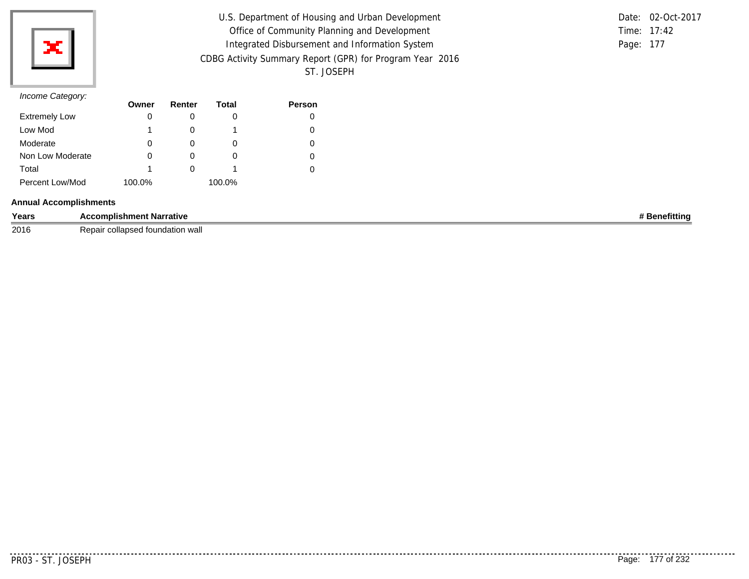

| U.S. Department of Housing and Urban Development         |           | Date: 02-Oct-2017 |
|----------------------------------------------------------|-----------|-------------------|
| Office of Community Planning and Development             |           | Time: 17:42       |
| Integrated Disbursement and Information System           | Page: 177 |                   |
| CDBG Activity Summary Report (GPR) for Program Year 2016 |           |                   |
| ST. JOSEPH                                               |           |                   |

### *Income Category:*

|                      | Owner  | Renter | Total  | <b>Person</b> |
|----------------------|--------|--------|--------|---------------|
| <b>Extremely Low</b> | 0      |        |        |               |
| Low Mod              |        |        |        |               |
| Moderate             | 0      |        |        |               |
| Non Low Moderate     | 0      | O      | O      |               |
| Total                |        |        |        |               |
| Percent Low/Mod      | 100.0% |        | 100.0% |               |

#### **Annual Accomplishments**

| Years | : Narrative<br>nomplishment.      | .<br><b>efittinc</b> |
|-------|-----------------------------------|----------------------|
| 2016  | undation wa<br>י הי<br>7 C.N<br>. |                      |

. . . . . . . . . . .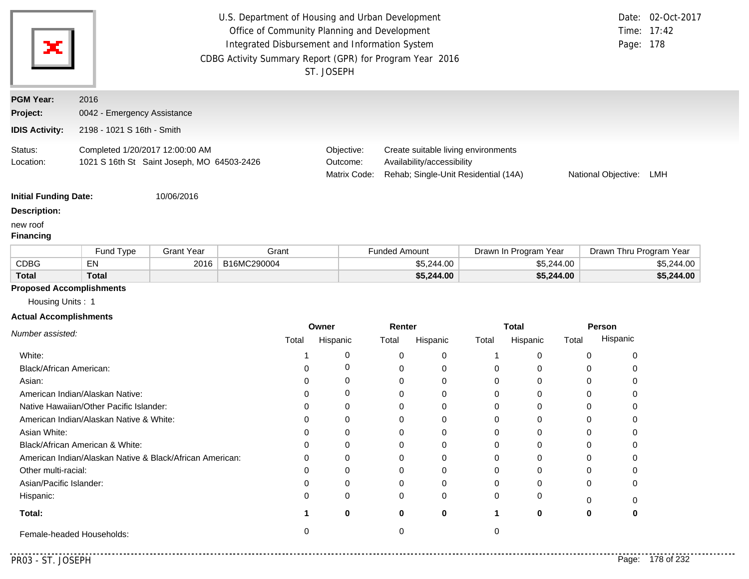| U.S. Department of Housing and Urban Development<br>Office of Community Planning and Development<br>Ж<br>Integrated Disbursement and Information System<br>CDBG Activity Summary Report (GPR) for Program Year 2016<br>ST. JOSEPH |                                                                               |                   |             |                                                                                                                                                                            |                      | Page: 178             | Date: 02-Oct-2017<br>Time: 17:42 |            |  |
|-----------------------------------------------------------------------------------------------------------------------------------------------------------------------------------------------------------------------------------|-------------------------------------------------------------------------------|-------------------|-------------|----------------------------------------------------------------------------------------------------------------------------------------------------------------------------|----------------------|-----------------------|----------------------------------|------------|--|
| <b>PGM Year:</b>                                                                                                                                                                                                                  | 2016                                                                          |                   |             |                                                                                                                                                                            |                      |                       |                                  |            |  |
| Project:                                                                                                                                                                                                                          | 0042 - Emergency Assistance                                                   |                   |             |                                                                                                                                                                            |                      |                       |                                  |            |  |
| <b>IDIS Activity:</b>                                                                                                                                                                                                             | 2198 - 1021 S 16th - Smith                                                    |                   |             |                                                                                                                                                                            |                      |                       |                                  |            |  |
| Status:<br>Location:                                                                                                                                                                                                              | Completed 1/20/2017 12:00:00 AM<br>1021 S 16th St Saint Joseph, MO 64503-2426 |                   |             | Objective:<br>Create suitable living environments<br>Availability/accessibility<br>Outcome:<br>Matrix Code:<br>Rehab; Single-Unit Residential (14A)<br>National Objective: |                      |                       |                                  | LMH        |  |
| <b>Initial Funding Date:</b>                                                                                                                                                                                                      |                                                                               | 10/06/2016        |             |                                                                                                                                                                            |                      |                       |                                  |            |  |
| <b>Description:</b>                                                                                                                                                                                                               |                                                                               |                   |             |                                                                                                                                                                            |                      |                       |                                  |            |  |
| new roof<br><b>Financing</b>                                                                                                                                                                                                      |                                                                               |                   |             |                                                                                                                                                                            |                      |                       |                                  |            |  |
|                                                                                                                                                                                                                                   | Fund Type                                                                     | <b>Grant Year</b> | Grant       |                                                                                                                                                                            | <b>Funded Amount</b> | Drawn In Program Year | Drawn Thru Program Year          |            |  |
| <b>CDBG</b>                                                                                                                                                                                                                       | EN                                                                            | 2016              | B16MC290004 |                                                                                                                                                                            | \$5,244.00           | \$5,244.00            |                                  | \$5,244.00 |  |
| Total                                                                                                                                                                                                                             | <b>Total</b>                                                                  |                   |             |                                                                                                                                                                            | \$5,244.00           | \$5,244.00            |                                  | \$5,244.00 |  |

# **Proposed Accomplishments**

Housing Units : 1

### **Actual Accomplishments**

|                                                                                                                                                                                                                                                                                                                                                                                                               | Owner |          | Renter |          | <b>Total</b> |          | Person |          |
|---------------------------------------------------------------------------------------------------------------------------------------------------------------------------------------------------------------------------------------------------------------------------------------------------------------------------------------------------------------------------------------------------------------|-------|----------|--------|----------|--------------|----------|--------|----------|
| Number assisted:<br>White:<br>Black/African American:<br>Asian:<br>American Indian/Alaskan Native:<br>Native Hawaiian/Other Pacific Islander:<br>American Indian/Alaskan Native & White:<br>Asian White:<br>Black/African American & White:<br>American Indian/Alaskan Native & Black/African American:<br>Other multi-racial:<br>Asian/Pacific Islander:<br>Hispanic:<br>Total:<br>Female-headed Households: | Total | Hispanic | Total  | Hispanic | Total        | Hispanic | Total  | Hispanic |
|                                                                                                                                                                                                                                                                                                                                                                                                               |       |          |        | $\Omega$ |              |          |        |          |
|                                                                                                                                                                                                                                                                                                                                                                                                               |       |          |        | 0        |              |          |        |          |
|                                                                                                                                                                                                                                                                                                                                                                                                               |       |          |        | $\Omega$ |              |          |        |          |
|                                                                                                                                                                                                                                                                                                                                                                                                               |       |          |        | $\Omega$ |              |          |        |          |
|                                                                                                                                                                                                                                                                                                                                                                                                               |       |          |        | $\Omega$ |              |          |        |          |
|                                                                                                                                                                                                                                                                                                                                                                                                               |       |          |        | 0        |              |          |        |          |
|                                                                                                                                                                                                                                                                                                                                                                                                               |       |          |        | 0        |              |          |        |          |
|                                                                                                                                                                                                                                                                                                                                                                                                               |       |          |        | $\Omega$ |              |          |        |          |
|                                                                                                                                                                                                                                                                                                                                                                                                               | O     |          |        | $\Omega$ |              |          |        |          |
|                                                                                                                                                                                                                                                                                                                                                                                                               |       |          |        | $\Omega$ |              |          |        |          |
|                                                                                                                                                                                                                                                                                                                                                                                                               |       |          |        | 0        |              |          |        |          |
|                                                                                                                                                                                                                                                                                                                                                                                                               |       | 0        | 0      | 0        |              |          |        |          |
|                                                                                                                                                                                                                                                                                                                                                                                                               |       | 0        | 0      | 0        |              | o        | 0      |          |
|                                                                                                                                                                                                                                                                                                                                                                                                               |       |          |        |          |              |          |        |          |

. . . . .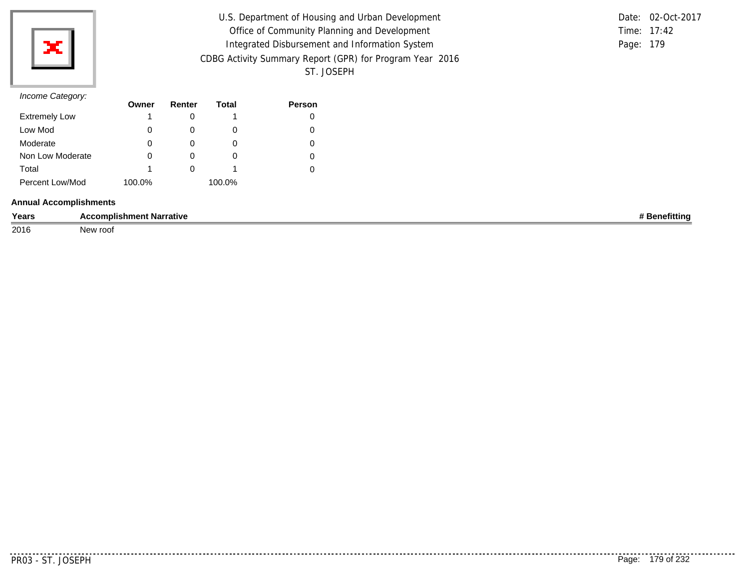

| U.S. Department of Housing and Urban Development         | Date: 02-Oct-2017 |
|----------------------------------------------------------|-------------------|
| Office of Community Planning and Development             | Time: 17:42       |
| Integrated Disbursement and Information System           | Page: 179         |
| CDBG Activity Summary Report (GPR) for Program Year 2016 |                   |
| ST. JOSEPH                                               |                   |

### *Income Category:*

| $11001110$ catogory. | Owner  | Renter | Total  | <b>Person</b> |
|----------------------|--------|--------|--------|---------------|
| <b>Extremely Low</b> |        |        |        |               |
| Low Mod              | 0      |        | O      |               |
| Moderate             | 0      |        | 0      |               |
| Non Low Moderate     | 0      |        | O      |               |
| Total                |        |        |        |               |
| Percent Low/Mod      | 100.0% |        | 100.0% |               |

#### **Annual Accomplishments**

| Years | $- -$<br>.ccomplishment Narrative | etitting |
|-------|-----------------------------------|----------|
| 2016  | New roof                          |          |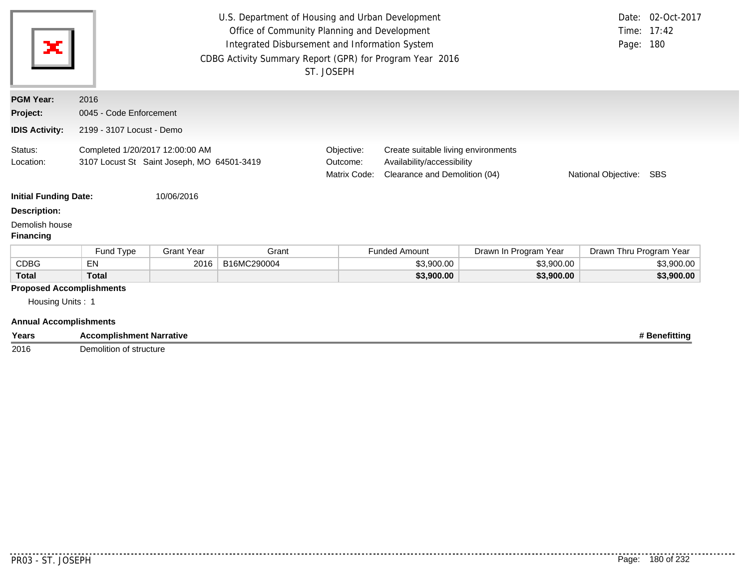| ×                                                                                    | U.S. Department of Housing and Urban Development<br>Date: 02-Oct-2017<br>Time: 17:42<br>Office of Community Planning and Development<br>Integrated Disbursement and Information System<br>Page: 180<br>CDBG Activity Summary Report (GPR) for Program Year 2016<br>ST. JOSEPH |                   |             |  |                      |                       |                         |            |  |
|--------------------------------------------------------------------------------------|-------------------------------------------------------------------------------------------------------------------------------------------------------------------------------------------------------------------------------------------------------------------------------|-------------------|-------------|--|----------------------|-----------------------|-------------------------|------------|--|
| <b>PGM Year:</b>                                                                     | 2016                                                                                                                                                                                                                                                                          |                   |             |  |                      |                       |                         |            |  |
| Project:                                                                             | 0045 - Code Enforcement                                                                                                                                                                                                                                                       |                   |             |  |                      |                       |                         |            |  |
| <b>IDIS Activity:</b>                                                                | 2199 - 3107 Locust - Demo                                                                                                                                                                                                                                                     |                   |             |  |                      |                       |                         |            |  |
| Status:<br>Location:                                                                 | Completed 1/20/2017 12:00:00 AM<br>Objective:<br>Create suitable living environments<br>3107 Locust St Saint Joseph, MO 64501-3419<br>Availability/accessibility<br>Outcome:<br>Clearance and Demolition (04)<br>Matrix Code:<br>National Objective:<br>SBS                   |                   |             |  |                      |                       |                         |            |  |
| <b>Initial Funding Date:</b>                                                         |                                                                                                                                                                                                                                                                               | 10/06/2016        |             |  |                      |                       |                         |            |  |
| <b>Description:</b>                                                                  |                                                                                                                                                                                                                                                                               |                   |             |  |                      |                       |                         |            |  |
| Demolish house<br><b>Financing</b>                                                   |                                                                                                                                                                                                                                                                               |                   |             |  |                      |                       |                         |            |  |
|                                                                                      | Fund Type                                                                                                                                                                                                                                                                     | <b>Grant Year</b> | Grant       |  | <b>Funded Amount</b> | Drawn In Program Year | Drawn Thru Program Year |            |  |
| <b>CDBG</b>                                                                          | EN                                                                                                                                                                                                                                                                            | 2016              | B16MC290004 |  | \$3,900.00           | \$3,900.00            |                         | \$3,900.00 |  |
| <b>Total</b>                                                                         | <b>Total</b>                                                                                                                                                                                                                                                                  |                   |             |  | \$3,900.00           | \$3,900.00            |                         | \$3,900.00 |  |
| <b>Proposed Accomplishments</b><br>Housing Units: 1<br><b>Annual Accomplishments</b> |                                                                                                                                                                                                                                                                               |                   |             |  |                      |                       |                         |            |  |
| Years                                                                                | # Benefitting<br><b>Accomplishment Narrative</b>                                                                                                                                                                                                                              |                   |             |  |                      |                       |                         |            |  |

2016 Demolition of structure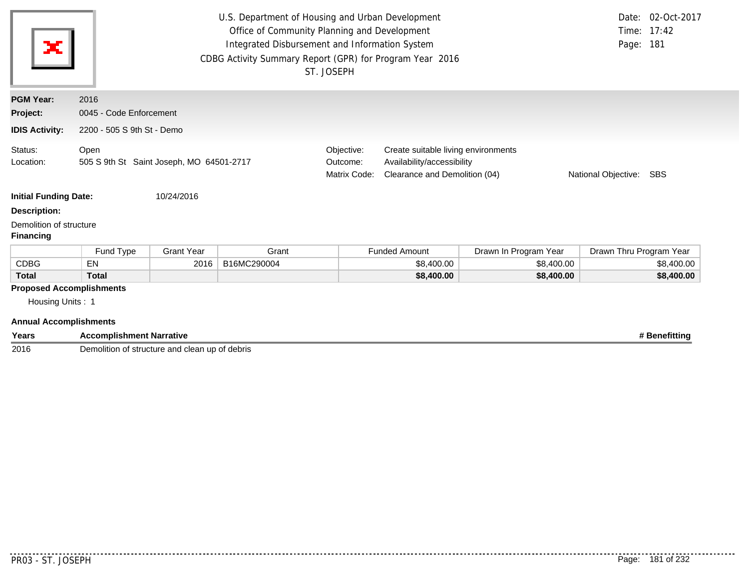| ×                                                                                    | U.S. Department of Housing and Urban Development<br>Office of Community Planning and Development<br>Integrated Disbursement and Information System<br>CDBG Activity Summary Report (GPR) for Program Year 2016<br>ST. JOSEPH |                   |             |  |                      |                       | Page: 181               | Date: 02-Oct-2017<br>Time: 17:42 |
|--------------------------------------------------------------------------------------|------------------------------------------------------------------------------------------------------------------------------------------------------------------------------------------------------------------------------|-------------------|-------------|--|----------------------|-----------------------|-------------------------|----------------------------------|
| <b>PGM Year:</b>                                                                     | 2016                                                                                                                                                                                                                         |                   |             |  |                      |                       |                         |                                  |
| Project:                                                                             | 0045 - Code Enforcement                                                                                                                                                                                                      |                   |             |  |                      |                       |                         |                                  |
| <b>IDIS Activity:</b>                                                                | 2200 - 505 S 9th St - Demo                                                                                                                                                                                                   |                   |             |  |                      |                       |                         |                                  |
| Status:<br>Location:                                                                 | Open<br>Objective:<br>Create suitable living environments<br>505 S 9th St Saint Joseph, MO 64501-2717<br>Availability/accessibility<br>Outcome:<br>Clearance and Demolition (04)<br>Matrix Code:<br>National Objective: SBS  |                   |             |  |                      |                       |                         |                                  |
| <b>Initial Funding Date:</b>                                                         |                                                                                                                                                                                                                              | 10/24/2016        |             |  |                      |                       |                         |                                  |
| <b>Description:</b>                                                                  |                                                                                                                                                                                                                              |                   |             |  |                      |                       |                         |                                  |
| Demolition of structure<br><b>Financing</b>                                          |                                                                                                                                                                                                                              |                   |             |  |                      |                       |                         |                                  |
|                                                                                      | Fund Type                                                                                                                                                                                                                    | <b>Grant Year</b> | Grant       |  | <b>Funded Amount</b> | Drawn In Program Year | Drawn Thru Program Year |                                  |
| <b>CDBG</b>                                                                          | EN                                                                                                                                                                                                                           | 2016              | B16MC290004 |  | \$8,400.00           | \$8,400.00            |                         | \$8,400.00                       |
| <b>Total</b>                                                                         | <b>Total</b>                                                                                                                                                                                                                 |                   |             |  | \$8,400.00           | \$8,400.00            |                         | \$8,400.00                       |
| <b>Proposed Accomplishments</b><br>Housing Units: 1<br><b>Annual Accomplishments</b> |                                                                                                                                                                                                                              |                   |             |  |                      |                       |                         |                                  |
| Years                                                                                | <b>Accomplishment Narrative</b>                                                                                                                                                                                              |                   |             |  |                      |                       |                         | # Benefitting                    |

2016 Demolition of structure and clean up of debris

 $- - - - -$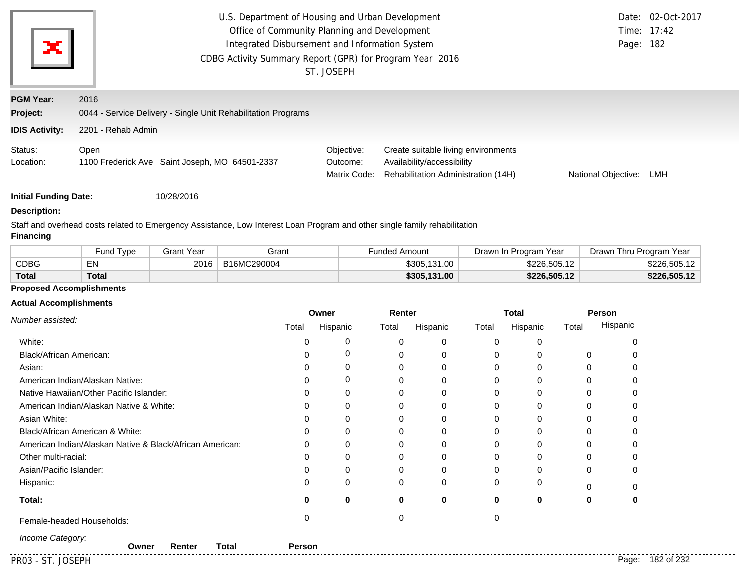|                       | U.S. Department of Housing and Urban Development              |                                        | Date: 02-Oct-2017                                                                                        |                     |     |  |
|-----------------------|---------------------------------------------------------------|----------------------------------------|----------------------------------------------------------------------------------------------------------|---------------------|-----|--|
|                       | Office of Community Planning and Development                  | Time: 17:42                            |                                                                                                          |                     |     |  |
| ×                     | Integrated Disbursement and Information System                |                                        |                                                                                                          | Page: 182           |     |  |
|                       | CDBG Activity Summary Report (GPR) for Program Year 2016      |                                        |                                                                                                          |                     |     |  |
|                       |                                                               | ST. JOSEPH                             |                                                                                                          |                     |     |  |
| <b>PGM Year:</b>      | 2016                                                          |                                        |                                                                                                          |                     |     |  |
| Project:              | 0044 - Service Delivery - Single Unit Rehabilitation Programs |                                        |                                                                                                          |                     |     |  |
| <b>IDIS Activity:</b> | 2201 - Rehab Admin                                            |                                        |                                                                                                          |                     |     |  |
| Status:<br>Location:  | Open<br>1100 Frederick Ave Saint Joseph, MO 64501-2337        | Objective:<br>Outcome:<br>Matrix Code: | Create suitable living environments<br>Availability/accessibility<br>Rehabilitation Administration (14H) | National Objective: | LMH |  |

**Initial Funding Date:** 10/28/2016

# **Description:**

Staff and overhead costs related to Emergency Assistance, Low Interest Loan Program and other single family rehabilitation

#### **Financing**

|              | Fund Type | Grant Year | Grant       | Funded Amount | Year<br>Drawn In Program | Drawn Thru Program Year |
|--------------|-----------|------------|-------------|---------------|--------------------------|-------------------------|
| CDBG         | ΕN        | 2016       | B16MC290004 | \$305,131.00  | \$226,505.12             | \$226.505.12            |
| <b>Total</b> | Total     |            |             | \$305,131.00  | \$226,505.12             | \$226.505.12            |

### **Proposed Accomplishments**

### **Actual Accomplishments**

|                                                          |        | Owner    | Renter |              |          | <b>Total</b> |          | Person           |
|----------------------------------------------------------|--------|----------|--------|--------------|----------|--------------|----------|------------------|
| Number assisted:                                         | Total  | Hispanic | Total  | Hispanic     | Total    | Hispanic     | Total    | Hispanic         |
| White:                                                   | 0      | 0        | 0      | 0            | ∩        | 0            |          |                  |
| <b>Black/African American:</b>                           |        | 0        |        | 0            | $\Omega$ | 0            | $\Omega$ |                  |
| Asian:                                                   |        | 0        |        | 0            | $\Omega$ | 0            | O        |                  |
| American Indian/Alaskan Native:                          |        | 0        |        | 0            | ∩        | 0            |          |                  |
| Native Hawaiian/Other Pacific Islander:                  |        | 0        |        | 0            | n        | 0            |          |                  |
| American Indian/Alaskan Native & White:                  | 0      | 0        |        | 0            |          | 0            |          |                  |
| Asian White:                                             |        | 0        |        | 0            |          | 0            |          |                  |
| Black/African American & White:                          |        | $\Omega$ |        | $\mathbf{0}$ | U        | 0            |          |                  |
| American Indian/Alaskan Native & Black/African American: | ∩      | $\Omega$ |        | $\mathbf 0$  |          | 0            |          |                  |
| Other multi-racial:                                      |        | 0        |        | 0            | O        | 0            |          |                  |
| Asian/Pacific Islander:                                  |        | 0        |        | 0            | O        | 0            | $\Omega$ |                  |
| Hispanic:                                                | 0      | $\Omega$ | ∩      | 0            | $\Omega$ | 0            | ∩        |                  |
| Total:                                                   | 0      | $\bf{0}$ | O      | $\mathbf 0$  | $\bf{0}$ | 0            | 0        |                  |
| Female-headed Households:                                | 0      |          |        |              |          |              |          |                  |
| Income Category:<br><b>Total</b><br>Renter<br>Owner      | Person |          |        |              |          |              |          |                  |
| PR03 - ST. JOSEPH                                        |        |          |        |              |          |              |          | Page: 182 of 232 |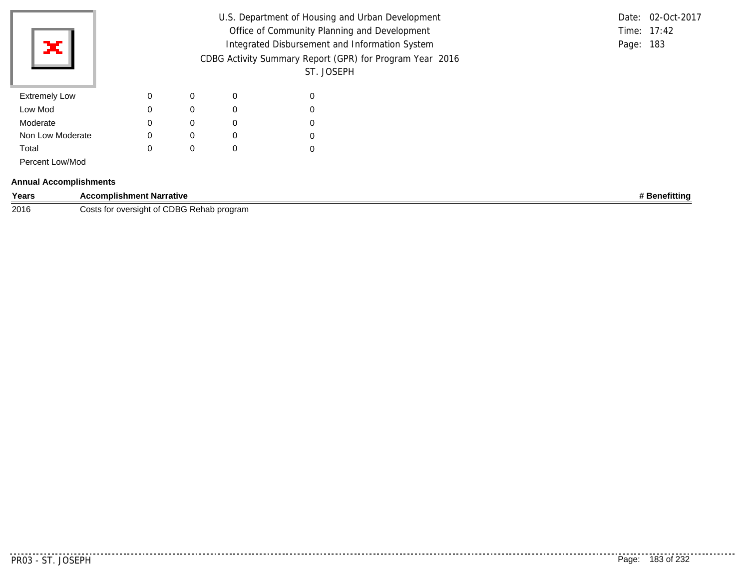| ×                             |                                 |             |             |             | Office of Community Planning and Development<br>Integrated Disbursement and Information System<br>ST. JOSEPH | U.S. Department of Housing and Urban Development<br>CDBG Activity Summary Report (GPR) for Program Year 2016 | Date: 02-Oct-2017<br>Time: 17:42<br>Page: 183 |
|-------------------------------|---------------------------------|-------------|-------------|-------------|--------------------------------------------------------------------------------------------------------------|--------------------------------------------------------------------------------------------------------------|-----------------------------------------------|
| <b>Extremely Low</b>          |                                 | $\mathbf 0$ | 0           | $\mathbf 0$ | 0                                                                                                            |                                                                                                              |                                               |
| Low Mod                       |                                 | $\mathbf 0$ | $\mathbf 0$ | 0           | 0                                                                                                            |                                                                                                              |                                               |
| Moderate                      |                                 | 0           | 0           | 0           | 0                                                                                                            |                                                                                                              |                                               |
| Non Low Moderate              |                                 | $\mathbf 0$ | $\mathbf 0$ | 0           | 0                                                                                                            |                                                                                                              |                                               |
| Total                         |                                 | $\mathbf 0$ | 0           | $\mathbf 0$ | 0                                                                                                            |                                                                                                              |                                               |
| Percent Low/Mod               |                                 |             |             |             |                                                                                                              |                                                                                                              |                                               |
| <b>Annual Accomplishments</b> |                                 |             |             |             |                                                                                                              |                                                                                                              |                                               |
| Years                         | <b>Accomplishment Narrative</b> |             |             |             |                                                                                                              |                                                                                                              | # Benefitting                                 |

**2016** Costs for oversight of CDBG Rehab program

. . . . . .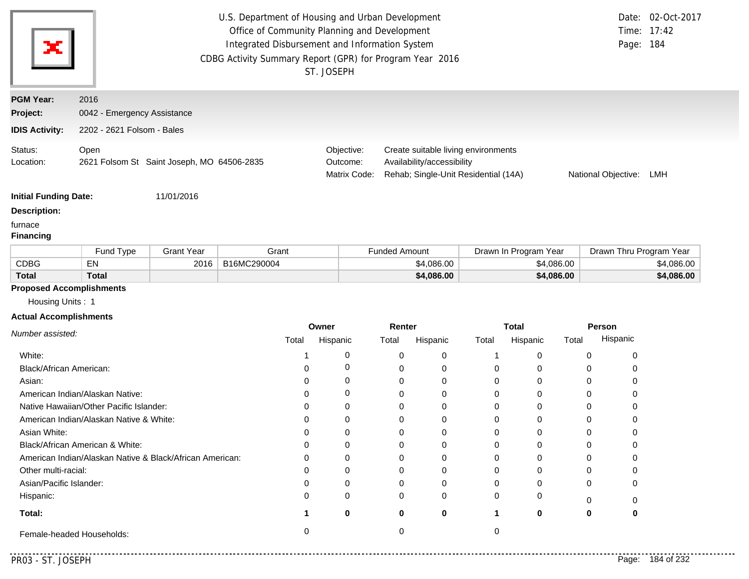| ×                            | CDBG Activity Summary Report (GPR) for Program Year 2016 | U.S. Department of Housing and Urban Development<br>Office of Community Planning and Development<br>Integrated Disbursement and Information System<br>ST. JOSEPH |                                                                                                           | Time: 17:42<br>Page: 184 | Date: 02-Oct-2017 |  |
|------------------------------|----------------------------------------------------------|------------------------------------------------------------------------------------------------------------------------------------------------------------------|-----------------------------------------------------------------------------------------------------------|--------------------------|-------------------|--|
| <b>PGM Year:</b>             | 2016                                                     |                                                                                                                                                                  |                                                                                                           |                          |                   |  |
| Project:                     | 0042 - Emergency Assistance                              |                                                                                                                                                                  |                                                                                                           |                          |                   |  |
| <b>IDIS Activity:</b>        | 2202 - 2621 Folsom - Bales                               |                                                                                                                                                                  |                                                                                                           |                          |                   |  |
| Status:<br>Location:         | Open<br>2621 Folsom St Saint Joseph, MO 64506-2835       | Objective:<br>Outcome:<br>Matrix Code:                                                                                                                           | Create suitable living environments<br>Availability/accessibility<br>Rehab; Single-Unit Residential (14A) | National Objective:      | LMH               |  |
| <b>Initial Funding Date:</b> | 11/01/2016                                               |                                                                                                                                                                  |                                                                                                           |                          |                   |  |
| <b>Description:</b>          |                                                          |                                                                                                                                                                  |                                                                                                           |                          |                   |  |
| furnace<br><b>Financing</b>  |                                                          |                                                                                                                                                                  |                                                                                                           |                          |                   |  |

|              | Fund Type    | Grant Year | Grant       | Funded Amount | Drawn In Program Year | Drawn Thru Program Year |
|--------------|--------------|------------|-------------|---------------|-----------------------|-------------------------|
| <b>CDBG</b>  | EN           | 2016       | B16MC290004 | \$4.086.00    | \$4,086.00            | \$4,086.00              |
| <b>Total</b> | <b>Total</b> |            |             | \$4,086.00    | \$4,086.00            | \$4,086.00              |

# **Proposed Accomplishments**

Housing Units : 1

### **Actual Accomplishments**

|                                                          | Owner |          | Renter |          | <b>Total</b> |          | Person |          |
|----------------------------------------------------------|-------|----------|--------|----------|--------------|----------|--------|----------|
| Number assisted:                                         | Total | Hispanic | Total  | Hispanic | Total        | Hispanic | Total  | Hispanic |
| White:                                                   |       |          |        | $\Omega$ |              |          |        |          |
| Black/African American:                                  |       |          |        | 0        |              |          |        |          |
| Asian:                                                   |       | 0        |        | $\Omega$ |              |          |        |          |
| American Indian/Alaskan Native:                          |       |          |        | $\Omega$ |              |          |        |          |
| Native Hawaiian/Other Pacific Islander:                  |       |          |        | $\Omega$ |              |          |        |          |
| American Indian/Alaskan Native & White:                  |       |          |        | 0        |              |          |        |          |
| Asian White:                                             |       |          |        | 0        |              |          |        |          |
| Black/African American & White:                          |       | 0        |        | 0        |              |          |        |          |
| American Indian/Alaskan Native & Black/African American: | ი     |          |        | $\Omega$ |              |          |        |          |
| Other multi-racial:                                      |       |          |        | 0        |              |          |        |          |
| Asian/Pacific Islander:                                  |       |          |        | $\Omega$ |              |          |        |          |
| Hispanic:                                                |       | 0        | 0      | 0        |              |          |        |          |
| Total:                                                   |       | 0        | 0      | 0        |              | o        | 0      |          |
| Female-headed Households:                                |       |          |        |          |              |          |        |          |

. . . . .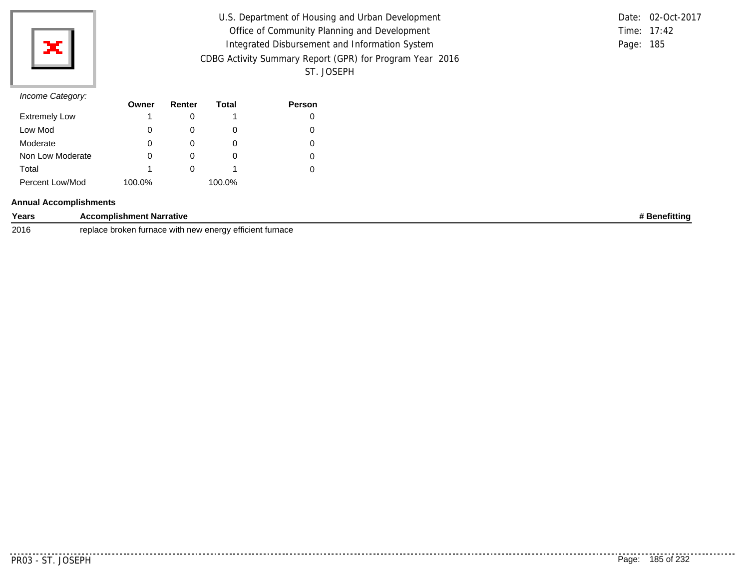

| U.S. Department of Housing and Urban Development         |           | Date: 02-Oct-2017 |
|----------------------------------------------------------|-----------|-------------------|
| Office of Community Planning and Development             |           | Time: 17:42       |
| Integrated Disbursement and Information System           | Page: 185 |                   |
| CDBG Activity Summary Report (GPR) for Program Year 2016 |           |                   |
| ST. JOSEPH                                               |           |                   |

|               | Date: 02-Oct-2017 |
|---------------|-------------------|
| Time: $17:42$ |                   |
| Page: 185     |                   |

|                      | Owner  | Renter | Total  | <b>Person</b> |
|----------------------|--------|--------|--------|---------------|
| <b>Extremely Low</b> |        |        |        |               |
| Low Mod              |        |        | O      |               |
| Moderate             | O      |        | O      |               |
| Non Low Moderate     |        |        | O      |               |
| Total                |        |        |        |               |
| Percent Low/Mod      | 100.0% |        | 100.0% |               |

### **Annual Accomplishments**

| Years | <b>Accomplishment Narrative</b>                                                                          | <b>Mittin</b> |
|-------|----------------------------------------------------------------------------------------------------------|---------------|
| 2016  | replace<br>∶ furnace<br>v efficien.<br>broken<br>turnace<br><b>Anaray</b><br>∖ with<br>i liew eneru<br>ັ |               |

. . . . . . . . .

. . . . . . . . .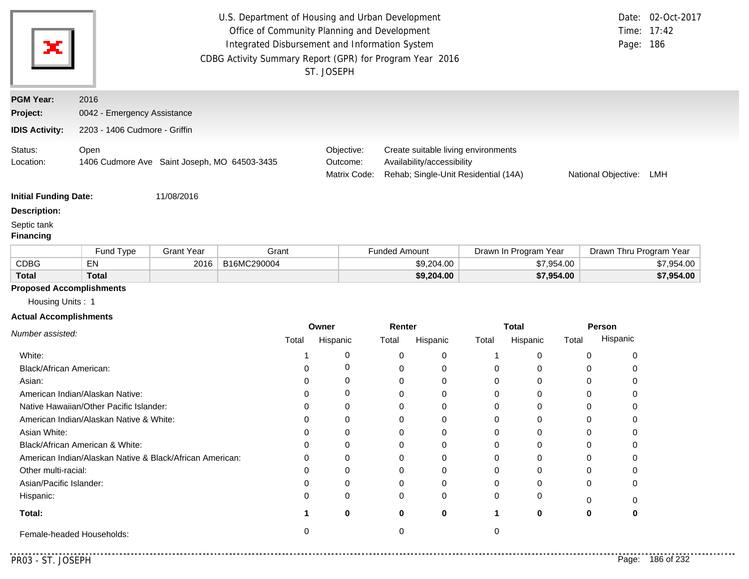| x                               |                                                      |                   | U.S. Department of Housing and Urban Development<br>Office of Community Planning and Development<br>Integrated Disbursement and Information System<br>CDBG Activity Summary Report (GPR) for Program Year 2016 | ST. JOSEPH |                                                                                                           |            |       |                       |                     | Page: 186               | Date: 02-Oct-2017<br>Time: 17:42 |
|---------------------------------|------------------------------------------------------|-------------------|----------------------------------------------------------------------------------------------------------------------------------------------------------------------------------------------------------------|------------|-----------------------------------------------------------------------------------------------------------|------------|-------|-----------------------|---------------------|-------------------------|----------------------------------|
| <b>PGM Year:</b>                | 2016                                                 |                   |                                                                                                                                                                                                                |            |                                                                                                           |            |       |                       |                     |                         |                                  |
| Project:                        | 0042 - Emergency Assistance                          |                   |                                                                                                                                                                                                                |            |                                                                                                           |            |       |                       |                     |                         |                                  |
| <b>IDIS Activity:</b>           | 2203 - 1406 Cudmore - Griffin                        |                   |                                                                                                                                                                                                                |            |                                                                                                           |            |       |                       |                     |                         |                                  |
| Status:<br>Location:            | Open<br>1406 Cudmore Ave Saint Joseph, MO 64503-3435 |                   | Objective:<br>Outcome:<br>Matrix Code:                                                                                                                                                                         |            | Create suitable living environments<br>Availability/accessibility<br>Rehab; Single-Unit Residential (14A) |            |       |                       | National Objective: | LMH                     |                                  |
| <b>Initial Funding Date:</b>    |                                                      | 11/08/2016        |                                                                                                                                                                                                                |            |                                                                                                           |            |       |                       |                     |                         |                                  |
| <b>Description:</b>             |                                                      |                   |                                                                                                                                                                                                                |            |                                                                                                           |            |       |                       |                     |                         |                                  |
| Septic tank<br><b>Financing</b> |                                                      |                   |                                                                                                                                                                                                                |            |                                                                                                           |            |       |                       |                     |                         |                                  |
|                                 | Fund Type                                            | <b>Grant Year</b> | Grant                                                                                                                                                                                                          |            | <b>Funded Amount</b>                                                                                      |            |       | Drawn In Program Year |                     | Drawn Thru Program Year |                                  |
| <b>CDBG</b>                     | EN                                                   | 2016              | B16MC290004                                                                                                                                                                                                    |            |                                                                                                           | \$9,204.00 |       | \$7,954.00            |                     |                         | \$7,954.00                       |
| <b>Total</b>                    | <b>Total</b>                                         |                   |                                                                                                                                                                                                                |            |                                                                                                           | \$9,204.00 |       | \$7,954.00            |                     |                         | \$7,954.00                       |
| <b>Proposed Accomplishments</b> |                                                      |                   |                                                                                                                                                                                                                |            |                                                                                                           |            |       |                       |                     |                         |                                  |
| Housing Units: 1                |                                                      |                   |                                                                                                                                                                                                                |            |                                                                                                           |            |       |                       |                     |                         |                                  |
| <b>Actual Accomplishments</b>   |                                                      |                   |                                                                                                                                                                                                                |            |                                                                                                           |            |       |                       |                     |                         |                                  |
| Number assisted:                |                                                      |                   |                                                                                                                                                                                                                | Owner      | Renter                                                                                                    |            |       | <b>Total</b>          |                     | Person                  |                                  |
|                                 |                                                      |                   | Total                                                                                                                                                                                                          | Hispanic   | Total                                                                                                     | Hispanic   | Total | Hispanic              | Total               | Hispanic                |                                  |
| White:                          |                                                      |                   |                                                                                                                                                                                                                | 0          | 0                                                                                                         | 0          | 1     | 0                     | $\mathbf 0$         | 0                       |                                  |
| Black/African American:         |                                                      |                   | 0                                                                                                                                                                                                              | 0          | 0                                                                                                         | 0          | 0     | 0                     | 0                   | 0                       |                                  |
| Asian:                          |                                                      |                   | $\Omega$                                                                                                                                                                                                       | 0          | 0                                                                                                         | $\Omega$   | 0     | $\Omega$              | $\mathbf 0$         | 0                       |                                  |
|                                 | American Indian/Alaskan Native:                      |                   | $\Omega$                                                                                                                                                                                                       | 0          | 0                                                                                                         | 0          | 0     | 0                     | $\mathbf 0$         | 0                       |                                  |
|                                 | Native Hawaiian/Other Pacific Islander:              |                   | 0                                                                                                                                                                                                              | 0          | 0                                                                                                         | 0          | 0     | 0                     | 0                   | 0                       |                                  |
|                                 | American Indian/Alaskan Native & White:              |                   | 0                                                                                                                                                                                                              | $\Omega$   | 0                                                                                                         | 0          | 0     | 0                     | $\Omega$            | 0                       |                                  |

**1 0**

Female-headed Households: 0 0 0

**0**

**0**

0 0 0 0 0 0 **1 0 0**

Black/African American & White:

American Indian/Alaskan Native & Black/African American:

**Total:**

Hispanic:

Asian White:

Other multi-racial: Asian/Pacific Islander:

. . . . . . . .

0

0

0

0

0

**0**

0

0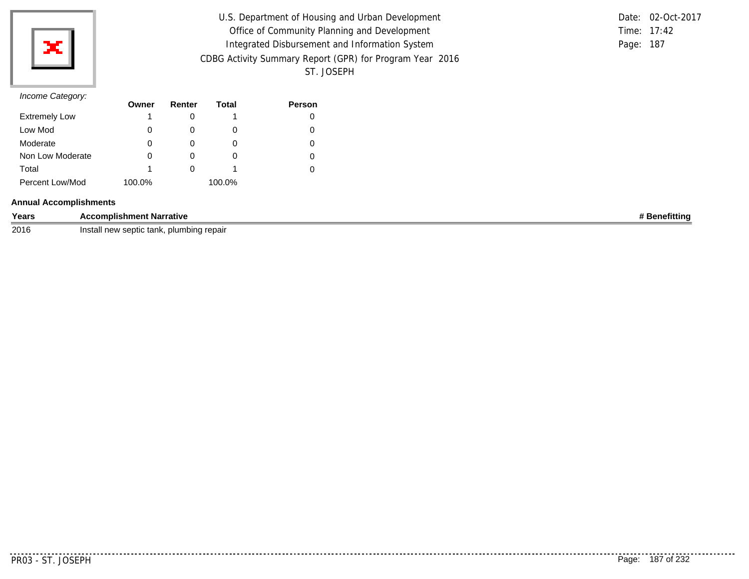

| U.S. Department of Housing and Urban Development         |           | Date: 02-Oct-2017 |
|----------------------------------------------------------|-----------|-------------------|
| Office of Community Planning and Development             |           | Time: 17:42       |
| Integrated Disbursement and Information System           | Page: 187 |                   |
| CDBG Activity Summary Report (GPR) for Program Year 2016 |           |                   |
| ST. JOSEPH                                               |           |                   |

|               | Date: 02-Oct-2017 |
|---------------|-------------------|
| Time: $17:42$ |                   |
| Page: 187     |                   |

|                      | Owner  | Renter | Total  | <b>Person</b> |
|----------------------|--------|--------|--------|---------------|
| <b>Extremely Low</b> |        |        |        |               |
| Low Mod              | 0      |        | O      |               |
| Moderate             | 0      |        |        |               |
| Non Low Moderate     | 0      |        | O      |               |
| Total                |        |        |        |               |
| Percent Low/Mod      | 100.0% |        | 100.0% |               |

### **Annual Accomplishments**

| Years | <b>Accomplishment Narrative</b>                | <b>Benefitting</b> |
|-------|------------------------------------------------|--------------------|
| 2016  | , plumbing repair<br>. Install new septic tank |                    |

. . . . . . . . .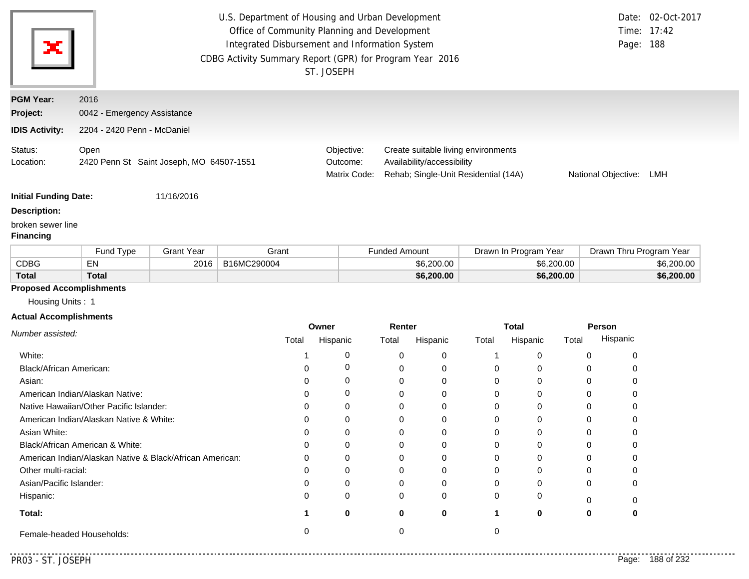| ×                                     | U.S. Department of Housing and Urban Development<br>Office of Community Planning and Development<br>Integrated Disbursement and Information System<br>CDBG Activity Summary Report (GPR) for Program Year 2016 | ST. JOSEPH                             |                                                                                                           | Page: 188           | Date: 02-Oct-2017<br>Time: 17:42 |  |
|---------------------------------------|----------------------------------------------------------------------------------------------------------------------------------------------------------------------------------------------------------------|----------------------------------------|-----------------------------------------------------------------------------------------------------------|---------------------|----------------------------------|--|
| <b>PGM Year:</b>                      | 2016                                                                                                                                                                                                           |                                        |                                                                                                           |                     |                                  |  |
| Project:                              | 0042 - Emergency Assistance                                                                                                                                                                                    |                                        |                                                                                                           |                     |                                  |  |
| <b>IDIS Activity:</b>                 | 2204 - 2420 Penn - McDaniel                                                                                                                                                                                    |                                        |                                                                                                           |                     |                                  |  |
| Status:<br>Location:                  | Open<br>2420 Penn St Saint Joseph, MO 64507-1551                                                                                                                                                               | Objective:<br>Outcome:<br>Matrix Code: | Create suitable living environments<br>Availability/accessibility<br>Rehab; Single-Unit Residential (14A) | National Objective: | LMH                              |  |
| <b>Initial Funding Date:</b>          | 11/16/2016                                                                                                                                                                                                     |                                        |                                                                                                           |                     |                                  |  |
| <b>Description:</b>                   |                                                                                                                                                                                                                |                                        |                                                                                                           |                     |                                  |  |
| broken sewer line<br><b>Financing</b> |                                                                                                                                                                                                                |                                        |                                                                                                           |                     |                                  |  |

|              | Fund Type    | Grant Year | Grant       | <sup>=</sup> unded Amount | Drawn In Program Year | Drawn Thru Program Year |
|--------------|--------------|------------|-------------|---------------------------|-----------------------|-------------------------|
| CDBG         | EN           | 2016       | B16MC290004 | \$6,200.00                | \$6,200,00            | \$6,200.00              |
| <b>Total</b> | <b>Total</b> |            |             | \$6,200.00                | \$6,200.00            | \$6,200.00              |

# **Proposed Accomplishments**

Housing Units : 1

### **Actual Accomplishments**

|                                                          |       | Owner<br>Renter |       |          | Total |          | Person |          |
|----------------------------------------------------------|-------|-----------------|-------|----------|-------|----------|--------|----------|
| Number assisted:                                         | Total | Hispanic        | Total | Hispanic | Total | Hispanic | Total  | Hispanic |
| White:                                                   |       |                 |       |          |       |          |        |          |
| Black/African American:                                  | n     |                 |       | 0        |       |          |        |          |
| Asian:                                                   |       | 0               |       | 0        |       |          |        |          |
| American Indian/Alaskan Native:                          | O     |                 |       |          |       |          |        |          |
| Native Hawaiian/Other Pacific Islander:                  | O     |                 |       | 0        |       |          |        |          |
| American Indian/Alaskan Native & White:                  | O     |                 |       |          |       |          |        |          |
| Asian White:                                             |       |                 |       |          |       |          |        |          |
| Black/African American & White:                          | 0     | 0               |       | 0        |       |          |        |          |
| American Indian/Alaskan Native & Black/African American: | 0     |                 |       | 0        |       |          |        |          |
| Other multi-racial:                                      |       |                 |       |          |       |          |        |          |
| Asian/Pacific Islander:                                  | ი     |                 |       |          |       |          |        |          |
| Hispanic:                                                | O     | 0               | 0     | $\Omega$ |       |          |        |          |
| Total:                                                   |       | 0               | 0     | 0        |       |          | 0      |          |
| Female-headed Households:                                |       |                 |       |          |       |          |        |          |

. . . . .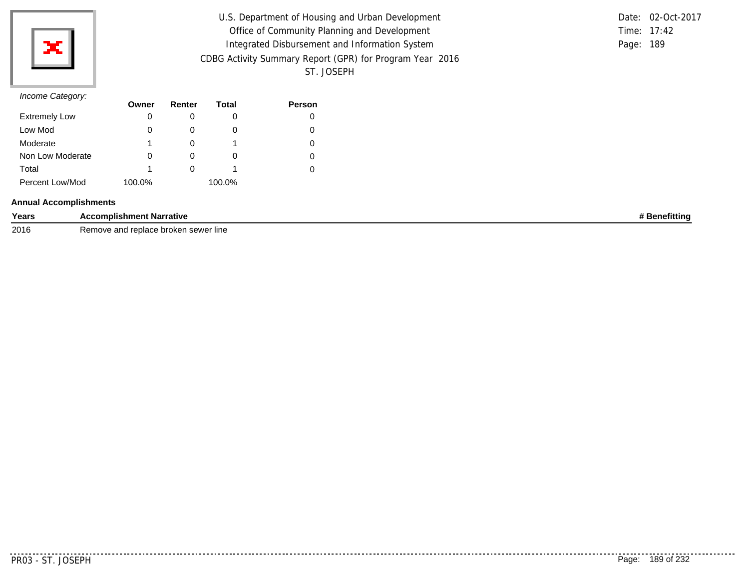

| U.S. Department of Housing and Urban Development         | Date: 02-Oct-2017 |  |
|----------------------------------------------------------|-------------------|--|
| Office of Community Planning and Development             | Time: 17:42       |  |
| Integrated Disbursement and Information System           | Page: 189         |  |
| CDBG Activity Summary Report (GPR) for Program Year 2016 |                   |  |
| ST. JOSEPH                                               |                   |  |

|           | Date: 02-Oct-2017 |
|-----------|-------------------|
|           | Time: $17:42$     |
| Page: 189 |                   |

| $11001110$ catogory. | Owner  | Renter   | Total  | <b>Person</b> |
|----------------------|--------|----------|--------|---------------|
| <b>Extremely Low</b> | 0      |          |        |               |
| Low Mod              | 0      | $\Omega$ | O      |               |
| Moderate             |        |          |        |               |
| Non Low Moderate     | 0      | O        | O      |               |
| Total                |        |          |        |               |
| Percent Low/Mod      | 100.0% |          | 100.0% |               |

### **Annual Accomplishments**

| Years | t Narrative<br><b>Accomplishment</b>                                          | efittinu<br>Δn, |
|-------|-------------------------------------------------------------------------------|-----------------|
| 2016  | ີພດຕະ<br>$\sim$<br>broken<br>roplace<br>ı sewer line<br>Ke⊓<br>euace<br>ה-איש |                 |

. . . . . . . . . . .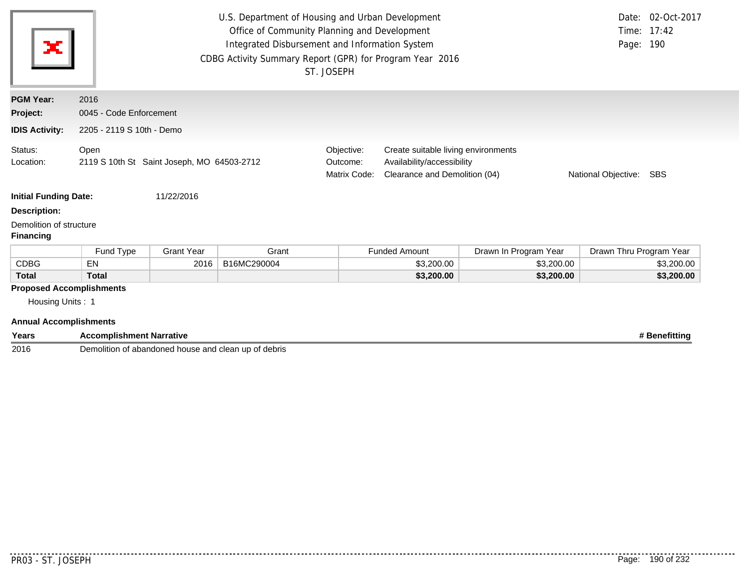| ×                                                                                             | Date: 02-Oct-2017<br>U.S. Department of Housing and Urban Development<br>Office of Community Planning and Development<br>Time: 17:42<br>Page: 190<br>Integrated Disbursement and Information System<br>CDBG Activity Summary Report (GPR) for Program Year 2016<br>ST. JOSEPH<br>2016 |                           |             |                                                                                                                                                                            |                      |                       |                         |               |  |  |  |
|-----------------------------------------------------------------------------------------------|---------------------------------------------------------------------------------------------------------------------------------------------------------------------------------------------------------------------------------------------------------------------------------------|---------------------------|-------------|----------------------------------------------------------------------------------------------------------------------------------------------------------------------------|----------------------|-----------------------|-------------------------|---------------|--|--|--|
| <b>PGM Year:</b>                                                                              |                                                                                                                                                                                                                                                                                       |                           |             |                                                                                                                                                                            |                      |                       |                         |               |  |  |  |
| Project:                                                                                      | 0045 - Code Enforcement                                                                                                                                                                                                                                                               |                           |             |                                                                                                                                                                            |                      |                       |                         |               |  |  |  |
| <b>IDIS Activity:</b>                                                                         |                                                                                                                                                                                                                                                                                       | 2205 - 2119 S 10th - Demo |             |                                                                                                                                                                            |                      |                       |                         |               |  |  |  |
| Status:<br>Location:                                                                          | Open<br>2119 S 10th St Saint Joseph, MO 64503-2712                                                                                                                                                                                                                                    |                           |             | Objective:<br>Create suitable living environments<br>Availability/accessibility<br>Outcome:<br>Clearance and Demolition (04)<br>Matrix Code:<br>National Objective:<br>SBS |                      |                       |                         |               |  |  |  |
| <b>Initial Funding Date:</b>                                                                  |                                                                                                                                                                                                                                                                                       | 11/22/2016                |             |                                                                                                                                                                            |                      |                       |                         |               |  |  |  |
| <b>Description:</b>                                                                           |                                                                                                                                                                                                                                                                                       |                           |             |                                                                                                                                                                            |                      |                       |                         |               |  |  |  |
| Demolition of structure<br><b>Financing</b>                                                   |                                                                                                                                                                                                                                                                                       |                           |             |                                                                                                                                                                            |                      |                       |                         |               |  |  |  |
|                                                                                               | Fund Type                                                                                                                                                                                                                                                                             | <b>Grant Year</b>         | Grant       |                                                                                                                                                                            | <b>Funded Amount</b> | Drawn In Program Year | Drawn Thru Program Year |               |  |  |  |
| <b>CDBG</b>                                                                                   | EN                                                                                                                                                                                                                                                                                    | 2016                      | B16MC290004 |                                                                                                                                                                            | \$3,200.00           | \$3,200.00            |                         | \$3,200.00    |  |  |  |
| <b>Total</b>                                                                                  | <b>Total</b>                                                                                                                                                                                                                                                                          |                           |             |                                                                                                                                                                            | \$3,200.00           | \$3,200.00            |                         | \$3,200.00    |  |  |  |
| <b>Proposed Accomplishments</b><br>Housing Units: 1<br><b>Annual Accomplishments</b><br>Years | <b>Accomplishment Narrative</b>                                                                                                                                                                                                                                                       |                           |             |                                                                                                                                                                            |                      |                       |                         | # Benefitting |  |  |  |

2016 Demolition of abandoned house and clean up of debris

. . . . . . . .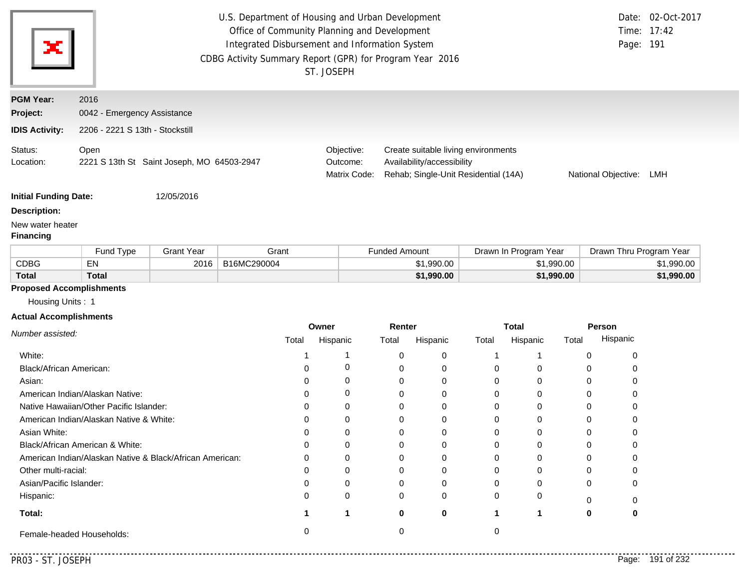| x                                    |                                                          |                   | U.S. Department of Housing and Urban Development<br>Office of Community Planning and Development<br>Integrated Disbursement and Information System<br>CDBG Activity Summary Report (GPR) for Program Year 2016 | ST. JOSEPH |                            |                            |            |                                                                             |                       |            | Date:<br>Page: 191      | 02-Oct-2017<br>Time: 17:42 |
|--------------------------------------|----------------------------------------------------------|-------------------|----------------------------------------------------------------------------------------------------------------------------------------------------------------------------------------------------------------|------------|----------------------------|----------------------------|------------|-----------------------------------------------------------------------------|-----------------------|------------|-------------------------|----------------------------|
| <b>PGM Year:</b>                     | 2016                                                     |                   |                                                                                                                                                                                                                |            |                            |                            |            |                                                                             |                       |            |                         |                            |
| Project:                             | 0042 - Emergency Assistance                              |                   |                                                                                                                                                                                                                |            |                            |                            |            |                                                                             |                       |            |                         |                            |
| <b>IDIS Activity:</b>                | 2206 - 2221 S 13th - Stockstill                          |                   |                                                                                                                                                                                                                |            |                            |                            |            |                                                                             |                       |            |                         |                            |
| Status:<br>Location:                 | Open<br>2221 S 13th St Saint Joseph, MO 64503-2947       |                   |                                                                                                                                                                                                                | Outcome:   | Objective:<br>Matrix Code: | Availability/accessibility |            | Create suitable living environments<br>Rehab; Single-Unit Residential (14A) |                       |            | National Objective: LMH |                            |
| <b>Initial Funding Date:</b>         |                                                          | 12/05/2016        |                                                                                                                                                                                                                |            |                            |                            |            |                                                                             |                       |            |                         |                            |
| <b>Description:</b>                  |                                                          |                   |                                                                                                                                                                                                                |            |                            |                            |            |                                                                             |                       |            |                         |                            |
| New water heater<br><b>Financing</b> |                                                          |                   |                                                                                                                                                                                                                |            |                            |                            |            |                                                                             |                       |            |                         |                            |
|                                      | Fund Type                                                | <b>Grant Year</b> | Grant                                                                                                                                                                                                          |            | <b>Funded Amount</b>       |                            |            |                                                                             | Drawn In Program Year |            | Drawn Thru Program Year |                            |
| <b>CDBG</b>                          | <b>EN</b>                                                | 2016              | B16MC290004                                                                                                                                                                                                    |            |                            |                            | \$1,990.00 |                                                                             |                       | \$1,990.00 |                         | \$1,990.00                 |
| <b>Total</b>                         | <b>Total</b>                                             |                   |                                                                                                                                                                                                                |            |                            |                            | \$1,990.00 |                                                                             |                       | \$1,990.00 |                         | \$1,990.00                 |
| <b>Proposed Accomplishments</b>      |                                                          |                   |                                                                                                                                                                                                                |            |                            |                            |            |                                                                             |                       |            |                         |                            |
| Housing Units: 1                     |                                                          |                   |                                                                                                                                                                                                                |            |                            |                            |            |                                                                             |                       |            |                         |                            |
| <b>Actual Accomplishments</b>        |                                                          |                   |                                                                                                                                                                                                                |            |                            |                            |            |                                                                             |                       |            |                         |                            |
| Number assisted:                     |                                                          |                   |                                                                                                                                                                                                                | Owner      |                            | Renter                     |            |                                                                             | <b>Total</b>          |            | Person                  |                            |
|                                      |                                                          |                   | Total                                                                                                                                                                                                          | Hispanic   | Total                      | Hispanic                   |            | Total                                                                       | Hispanic              | Total      | Hispanic                |                            |
| White:                               |                                                          |                   | -1                                                                                                                                                                                                             |            | 1                          | 0                          | 0          | -1                                                                          | 1                     |            | 0<br>0                  |                            |
| Black/African American:              |                                                          |                   | 0                                                                                                                                                                                                              |            | 0                          | 0                          | 0          | 0                                                                           | 0                     |            | 0<br>0                  |                            |
| Asian:                               |                                                          |                   | 0                                                                                                                                                                                                              |            | 0                          | 0                          | 0          | 0                                                                           | 0                     |            | 0<br>0                  |                            |
|                                      | American Indian/Alaskan Native:                          |                   | $\Omega$                                                                                                                                                                                                       |            | 0                          | 0                          | 0          | 0                                                                           | 0                     |            | 0<br>0                  |                            |
|                                      | Native Hawaiian/Other Pacific Islander:                  |                   | 0                                                                                                                                                                                                              |            | 0                          | 0                          | 0          | 0                                                                           | 0                     |            | 0<br>0                  |                            |
|                                      | American Indian/Alaskan Native & White:                  |                   | 0                                                                                                                                                                                                              |            | 0<br>$\Omega$              | 0<br>$\Omega$              | 0<br>O     | 0<br>$\Omega$                                                               | 0                     |            | 0<br>0<br>$\Omega$      |                            |
| Asian White:                         | Black/African American & White:                          |                   | O                                                                                                                                                                                                              |            | 0                          | 0                          |            | 0                                                                           |                       |            | 0                       |                            |
|                                      | American Indian/Alaskan Native & Black/African American: |                   | ი                                                                                                                                                                                                              |            | O                          | 0                          | 0          | 0                                                                           | 0                     |            | 0                       |                            |
| Other multi-racial:                  |                                                          |                   | ი                                                                                                                                                                                                              |            | 0                          | 0                          |            | 0                                                                           |                       |            | 0                       |                            |
| Asian/Pacific Islander:              |                                                          |                   | 0                                                                                                                                                                                                              |            | 0                          | 0                          | 0          | 0                                                                           | O                     |            | 0                       |                            |
| Hispanic:                            |                                                          |                   | 0                                                                                                                                                                                                              |            | $\Omega$                   | 0                          | 0          | O                                                                           | O                     |            |                         |                            |
|                                      |                                                          |                   |                                                                                                                                                                                                                |            |                            |                            |            |                                                                             |                       |            |                         |                            |

. . . . . . . . .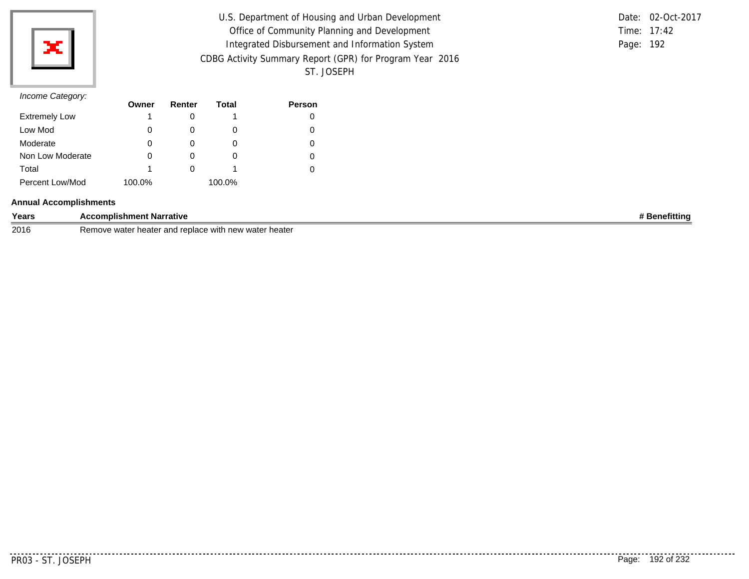

| U.S. Department of Housing and Urban Development         |           | Date: 02-Oct-2017 |
|----------------------------------------------------------|-----------|-------------------|
| Office of Community Planning and Development             |           | Time: 17:42       |
| Integrated Disbursement and Information System           | Page: 192 |                   |
| CDBG Activity Summary Report (GPR) for Program Year 2016 |           |                   |
| ST. JOSEPH                                               |           |                   |

|               | Date: 02-Oct-2017 |
|---------------|-------------------|
| Time: $17:42$ |                   |
| Page: 192     |                   |

|                      | Owner  | Renter | Total  | <b>Person</b> |
|----------------------|--------|--------|--------|---------------|
| <b>Extremely Low</b> |        |        |        |               |
| Low Mod              |        |        | O      |               |
| Moderate             | O      |        | O      |               |
| Non Low Moderate     |        |        | O      |               |
| Total                |        |        |        |               |
| Percent Low/Mod      | 100.0% |        | 100.0% |               |

### **Annual Accomplishments**

| Years | ccomplishment Narrative<br>$\cdots$<br>┄                         | <b>Benefitting</b> |
|-------|------------------------------------------------------------------|--------------------|
| 2016  | water heater<br>er heater and replace with new w<br>Remove water |                    |

. . . . . . . . . .

. . . . . . . . . . .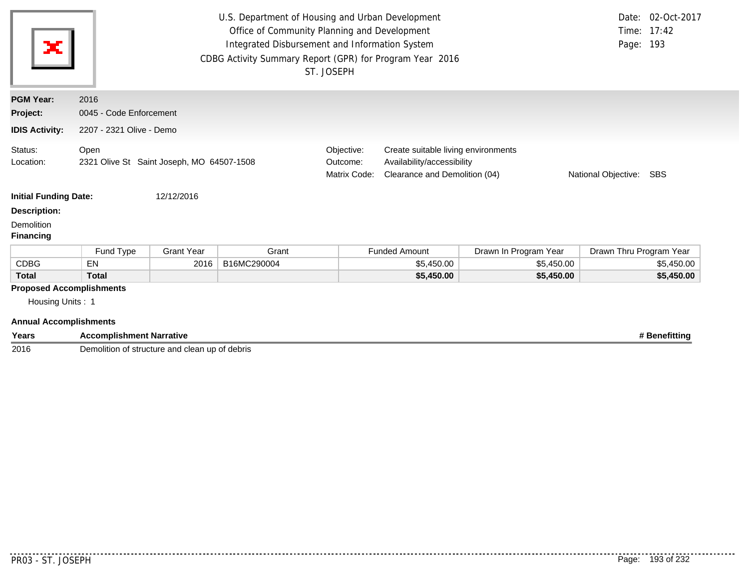| ×                                                                                    | U.S. Department of Housing and Urban Development<br>Date: 02-Oct-2017<br>Office of Community Planning and Development<br>Time: 17:42<br>Integrated Disbursement and Information System<br>Page: 193<br>CDBG Activity Summary Report (GPR) for Program Year 2016<br>ST. JOSEPH |                          |             |                                        |                                                                                                    |                       |                         |            |  |  |
|--------------------------------------------------------------------------------------|-------------------------------------------------------------------------------------------------------------------------------------------------------------------------------------------------------------------------------------------------------------------------------|--------------------------|-------------|----------------------------------------|----------------------------------------------------------------------------------------------------|-----------------------|-------------------------|------------|--|--|
| <b>PGM Year:</b>                                                                     | 2016                                                                                                                                                                                                                                                                          |                          |             |                                        |                                                                                                    |                       |                         |            |  |  |
| Project:                                                                             | 0045 - Code Enforcement                                                                                                                                                                                                                                                       |                          |             |                                        |                                                                                                    |                       |                         |            |  |  |
| <b>IDIS Activity:</b>                                                                |                                                                                                                                                                                                                                                                               | 2207 - 2321 Olive - Demo |             |                                        |                                                                                                    |                       |                         |            |  |  |
| Status:<br>Location:                                                                 | Open<br>2321 Olive St Saint Joseph, MO 64507-1508                                                                                                                                                                                                                             |                          |             | Objective:<br>Outcome:<br>Matrix Code: | Create suitable living environments<br>Availability/accessibility<br>Clearance and Demolition (04) | National Objective:   | SBS                     |            |  |  |
| <b>Initial Funding Date:</b>                                                         |                                                                                                                                                                                                                                                                               | 12/12/2016               |             |                                        |                                                                                                    |                       |                         |            |  |  |
| <b>Description:</b><br>Demolition<br><b>Financing</b>                                |                                                                                                                                                                                                                                                                               |                          |             |                                        |                                                                                                    |                       |                         |            |  |  |
|                                                                                      | Fund Type                                                                                                                                                                                                                                                                     | <b>Grant Year</b>        | Grant       |                                        | <b>Funded Amount</b>                                                                               | Drawn In Program Year | Drawn Thru Program Year |            |  |  |
| <b>CDBG</b>                                                                          | EN                                                                                                                                                                                                                                                                            | 2016                     | B16MC290004 |                                        | \$5,450.00                                                                                         | \$5,450.00            |                         | \$5,450.00 |  |  |
| <b>Total</b>                                                                         | <b>Total</b>                                                                                                                                                                                                                                                                  |                          |             |                                        | \$5,450.00                                                                                         | \$5,450.00            |                         | \$5,450.00 |  |  |
| <b>Proposed Accomplishments</b><br>Housing Units: 1<br><b>Annual Accomplishments</b> |                                                                                                                                                                                                                                                                               |                          |             |                                        |                                                                                                    |                       |                         |            |  |  |

| Years | \ccomplishment Narrative                                               | <b>ittinc</b> |
|-------|------------------------------------------------------------------------|---------------|
| 2016  | Jemolition<br><sup>.</sup> debris<br>∙ up oï<br>f structure and clean_ |               |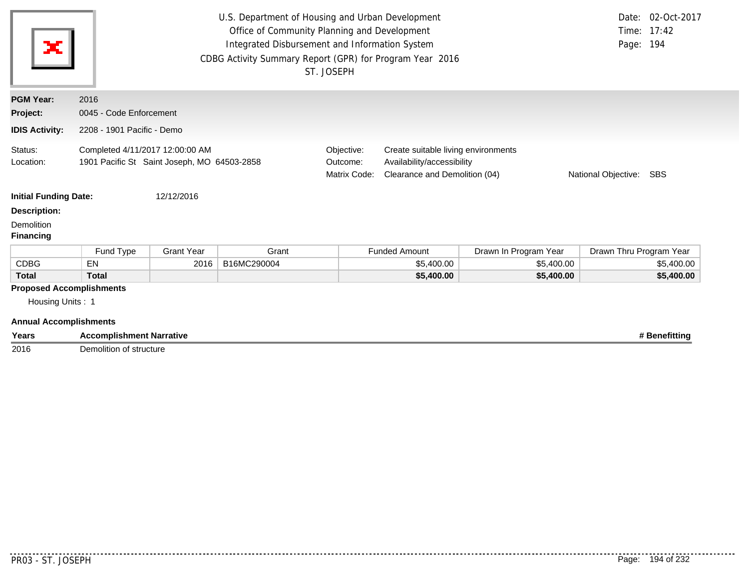| ×                                                   | U.S. Department of Housing and Urban Development<br>Date: 02-Oct-2017<br>Office of Community Planning and Development<br>Time: 17:42<br>Integrated Disbursement and Information System<br>Page: 194<br>CDBG Activity Summary Report (GPR) for Program Year 2016<br>ST. JOSEPH<br>2016 |                   |             |                                                                                                                                                                         |                      |                       |                         |               |  |  |
|-----------------------------------------------------|---------------------------------------------------------------------------------------------------------------------------------------------------------------------------------------------------------------------------------------------------------------------------------------|-------------------|-------------|-------------------------------------------------------------------------------------------------------------------------------------------------------------------------|----------------------|-----------------------|-------------------------|---------------|--|--|
| <b>PGM Year:</b>                                    |                                                                                                                                                                                                                                                                                       |                   |             |                                                                                                                                                                         |                      |                       |                         |               |  |  |
| Project:                                            | 0045 - Code Enforcement                                                                                                                                                                                                                                                               |                   |             |                                                                                                                                                                         |                      |                       |                         |               |  |  |
| <b>IDIS Activity:</b>                               | 2208 - 1901 Pacific - Demo                                                                                                                                                                                                                                                            |                   |             |                                                                                                                                                                         |                      |                       |                         |               |  |  |
| Status:<br>Location:                                | Completed 4/11/2017 12:00:00 AM<br>1901 Pacific St Saint Joseph, MO 64503-2858                                                                                                                                                                                                        |                   |             | Objective:<br>Create suitable living environments<br>Availability/accessibility<br>Outcome:<br>Clearance and Demolition (04)<br>Matrix Code:<br>National Objective: SBS |                      |                       |                         |               |  |  |
| <b>Initial Funding Date:</b>                        |                                                                                                                                                                                                                                                                                       | 12/12/2016        |             |                                                                                                                                                                         |                      |                       |                         |               |  |  |
| <b>Description:</b>                                 |                                                                                                                                                                                                                                                                                       |                   |             |                                                                                                                                                                         |                      |                       |                         |               |  |  |
| Demolition<br><b>Financing</b>                      |                                                                                                                                                                                                                                                                                       |                   |             |                                                                                                                                                                         |                      |                       |                         |               |  |  |
|                                                     | Fund Type                                                                                                                                                                                                                                                                             | <b>Grant Year</b> | Grant       |                                                                                                                                                                         | <b>Funded Amount</b> | Drawn In Program Year | Drawn Thru Program Year |               |  |  |
| <b>CDBG</b>                                         | <b>EN</b>                                                                                                                                                                                                                                                                             | 2016              | B16MC290004 |                                                                                                                                                                         | \$5,400.00           | \$5,400.00            |                         | \$5,400.00    |  |  |
| <b>Total</b>                                        | <b>Total</b>                                                                                                                                                                                                                                                                          |                   |             |                                                                                                                                                                         | \$5,400.00           | \$5,400.00            |                         | \$5,400.00    |  |  |
| <b>Proposed Accomplishments</b><br>Housing Units: 1 |                                                                                                                                                                                                                                                                                       |                   |             |                                                                                                                                                                         |                      |                       |                         |               |  |  |
| <b>Annual Accomplishments</b>                       |                                                                                                                                                                                                                                                                                       |                   |             |                                                                                                                                                                         |                      |                       |                         |               |  |  |
| Years                                               | <b>Accomplishment Narrative</b>                                                                                                                                                                                                                                                       |                   |             |                                                                                                                                                                         |                      |                       |                         | # Benefitting |  |  |

2016 Demolition of structure

. . . . . . . .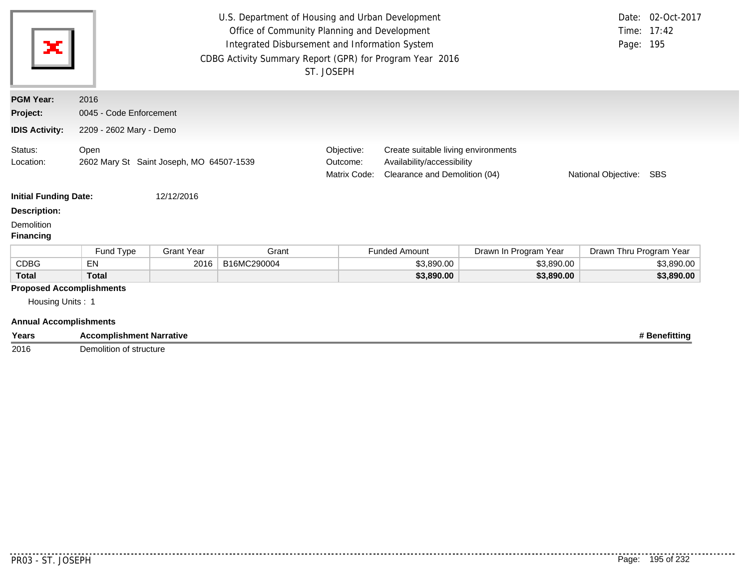| Years                           | <b>Accomplishment Narrative</b>                  |                         |                                                                                                                                                                                                                |                                                                                                                                                                            |                      |                       |                         | # Benefitting                    |  |  |  |
|---------------------------------|--------------------------------------------------|-------------------------|----------------------------------------------------------------------------------------------------------------------------------------------------------------------------------------------------------------|----------------------------------------------------------------------------------------------------------------------------------------------------------------------------|----------------------|-----------------------|-------------------------|----------------------------------|--|--|--|
| <b>Annual Accomplishments</b>   |                                                  |                         |                                                                                                                                                                                                                |                                                                                                                                                                            |                      |                       |                         |                                  |  |  |  |
| Housing Units: 1                |                                                  |                         |                                                                                                                                                                                                                |                                                                                                                                                                            |                      |                       |                         |                                  |  |  |  |
| <b>Proposed Accomplishments</b> |                                                  |                         |                                                                                                                                                                                                                |                                                                                                                                                                            |                      |                       |                         |                                  |  |  |  |
| <b>Total</b>                    | <b>Total</b>                                     |                         |                                                                                                                                                                                                                |                                                                                                                                                                            | \$3,890.00           | \$3,890.00            |                         | \$3,890.00                       |  |  |  |
| <b>CDBG</b>                     | EN                                               | 2016                    | B16MC290004                                                                                                                                                                                                    |                                                                                                                                                                            | \$3,890.00           | \$3,890.00            |                         | \$3,890.00                       |  |  |  |
|                                 | Fund Type                                        | <b>Grant Year</b>       | Grant                                                                                                                                                                                                          |                                                                                                                                                                            | <b>Funded Amount</b> | Drawn In Program Year | Drawn Thru Program Year |                                  |  |  |  |
| <b>Financing</b>                |                                                  |                         |                                                                                                                                                                                                                |                                                                                                                                                                            |                      |                       |                         |                                  |  |  |  |
| Demolition                      |                                                  |                         |                                                                                                                                                                                                                |                                                                                                                                                                            |                      |                       |                         |                                  |  |  |  |
| <b>Description:</b>             |                                                  |                         |                                                                                                                                                                                                                |                                                                                                                                                                            |                      |                       |                         |                                  |  |  |  |
| <b>Initial Funding Date:</b>    |                                                  | 12/12/2016              |                                                                                                                                                                                                                |                                                                                                                                                                            |                      |                       |                         |                                  |  |  |  |
| Status:<br>Location:            | Open<br>2602 Mary St Saint Joseph, MO 64507-1539 |                         |                                                                                                                                                                                                                | Objective:<br>Create suitable living environments<br>Availability/accessibility<br>Outcome:<br>Matrix Code:<br>Clearance and Demolition (04)<br>National Objective:<br>SBS |                      |                       |                         |                                  |  |  |  |
| <b>IDIS Activity:</b>           |                                                  | 2209 - 2602 Mary - Demo |                                                                                                                                                                                                                |                                                                                                                                                                            |                      |                       |                         |                                  |  |  |  |
| Project:                        | 0045 - Code Enforcement                          |                         |                                                                                                                                                                                                                |                                                                                                                                                                            |                      |                       |                         |                                  |  |  |  |
| <b>PGM Year:</b>                | 2016                                             |                         |                                                                                                                                                                                                                |                                                                                                                                                                            |                      |                       |                         |                                  |  |  |  |
| ×                               |                                                  |                         | U.S. Department of Housing and Urban Development<br>Office of Community Planning and Development<br>Integrated Disbursement and Information System<br>CDBG Activity Summary Report (GPR) for Program Year 2016 | ST. JOSEPH                                                                                                                                                                 |                      |                       | Page: 195               | Date: 02-Oct-2017<br>Time: 17:42 |  |  |  |

2016 Demolition of structure

........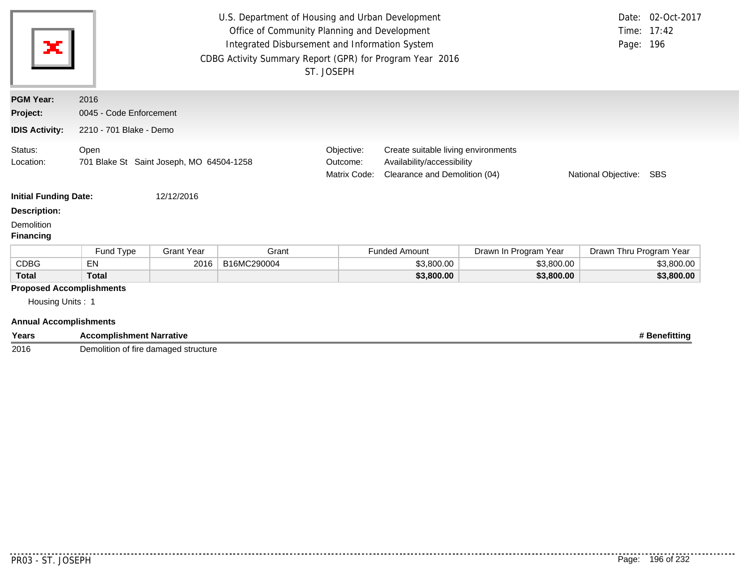| ж                                                                                    | U.S. Department of Housing and Urban Development<br>Date: 02-Oct-2017<br>Office of Community Planning and Development<br>Time: 17:42<br>Integrated Disbursement and Information System<br>Page: 196<br>CDBG Activity Summary Report (GPR) for Program Year 2016<br>ST. JOSEPH<br>2016<br>0045 - Code Enforcement |                         |             |                                                                                                                                                                            |                      |                       |                         |               |  |  |
|--------------------------------------------------------------------------------------|------------------------------------------------------------------------------------------------------------------------------------------------------------------------------------------------------------------------------------------------------------------------------------------------------------------|-------------------------|-------------|----------------------------------------------------------------------------------------------------------------------------------------------------------------------------|----------------------|-----------------------|-------------------------|---------------|--|--|
| <b>PGM Year:</b>                                                                     |                                                                                                                                                                                                                                                                                                                  |                         |             |                                                                                                                                                                            |                      |                       |                         |               |  |  |
| Project:                                                                             |                                                                                                                                                                                                                                                                                                                  |                         |             |                                                                                                                                                                            |                      |                       |                         |               |  |  |
| <b>IDIS Activity:</b>                                                                |                                                                                                                                                                                                                                                                                                                  | 2210 - 701 Blake - Demo |             |                                                                                                                                                                            |                      |                       |                         |               |  |  |
| Status:<br>Location:                                                                 | Open<br>701 Blake St Saint Joseph, MO 64504-1258                                                                                                                                                                                                                                                                 |                         |             | Objective:<br>Create suitable living environments<br>Availability/accessibility<br>Outcome:<br>Clearance and Demolition (04)<br>Matrix Code:<br>National Objective:<br>SBS |                      |                       |                         |               |  |  |
| <b>Initial Funding Date:</b>                                                         |                                                                                                                                                                                                                                                                                                                  | 12/12/2016              |             |                                                                                                                                                                            |                      |                       |                         |               |  |  |
| <b>Description:</b>                                                                  |                                                                                                                                                                                                                                                                                                                  |                         |             |                                                                                                                                                                            |                      |                       |                         |               |  |  |
| Demolition<br><b>Financing</b>                                                       |                                                                                                                                                                                                                                                                                                                  |                         |             |                                                                                                                                                                            |                      |                       |                         |               |  |  |
|                                                                                      | Fund Type                                                                                                                                                                                                                                                                                                        | <b>Grant Year</b>       | Grant       |                                                                                                                                                                            | <b>Funded Amount</b> | Drawn In Program Year | Drawn Thru Program Year |               |  |  |
| <b>CDBG</b>                                                                          | EN                                                                                                                                                                                                                                                                                                               | 2016                    | B16MC290004 |                                                                                                                                                                            | \$3,800.00           | \$3,800.00            |                         | \$3,800.00    |  |  |
| <b>Total</b>                                                                         | <b>Total</b>                                                                                                                                                                                                                                                                                                     |                         |             |                                                                                                                                                                            | \$3,800.00           | \$3,800.00            |                         | \$3,800.00    |  |  |
| <b>Proposed Accomplishments</b><br>Housing Units: 1<br><b>Annual Accomplishments</b> |                                                                                                                                                                                                                                                                                                                  |                         |             |                                                                                                                                                                            |                      |                       |                         |               |  |  |
| Years                                                                                | <b>Accomplishment Narrative</b>                                                                                                                                                                                                                                                                                  |                         |             |                                                                                                                                                                            |                      |                       |                         | # Benefitting |  |  |

2016 Demolition of fire damaged structure

........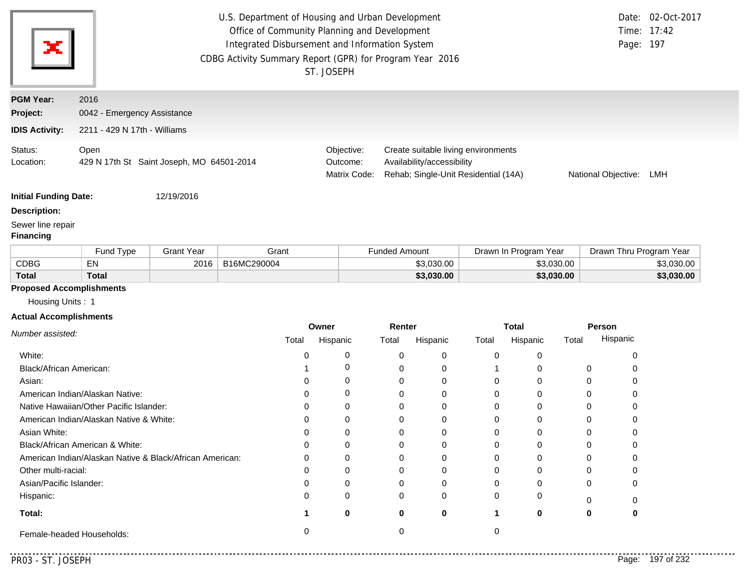| ж                                     |                                                   |                              | U.S. Department of Housing and Urban Development<br>Office of Community Planning and Development<br>Integrated Disbursement and Information System<br>CDBG Activity Summary Report (GPR) for Program Year 2016 | ST. JOSEPH                             |                                                                                                                                         |                       | Time:<br>Page: 197      | Date: 02-Oct-2017<br>17:42 |  |  |
|---------------------------------------|---------------------------------------------------|------------------------------|----------------------------------------------------------------------------------------------------------------------------------------------------------------------------------------------------------------|----------------------------------------|-----------------------------------------------------------------------------------------------------------------------------------------|-----------------------|-------------------------|----------------------------|--|--|
| <b>PGM Year:</b>                      | 2016                                              |                              |                                                                                                                                                                                                                |                                        |                                                                                                                                         |                       |                         |                            |  |  |
| Project:                              |                                                   | 0042 - Emergency Assistance  |                                                                                                                                                                                                                |                                        |                                                                                                                                         |                       |                         |                            |  |  |
| <b>IDIS Activity:</b>                 |                                                   | 2211 - 429 N 17th - Williams |                                                                                                                                                                                                                |                                        |                                                                                                                                         |                       |                         |                            |  |  |
| Status:<br>Location:                  | Open<br>429 N 17th St Saint Joseph, MO 64501-2014 |                              |                                                                                                                                                                                                                | Objective:<br>Outcome:<br>Matrix Code: | Create suitable living environments<br>Availability/accessibility<br>Rehab; Single-Unit Residential (14A)<br>National Objective:<br>LMH |                       |                         |                            |  |  |
| <b>Initial Funding Date:</b>          |                                                   | 12/19/2016                   |                                                                                                                                                                                                                |                                        |                                                                                                                                         |                       |                         |                            |  |  |
| <b>Description:</b>                   |                                                   |                              |                                                                                                                                                                                                                |                                        |                                                                                                                                         |                       |                         |                            |  |  |
| Sewer line repair<br><b>Financing</b> |                                                   |                              |                                                                                                                                                                                                                |                                        |                                                                                                                                         |                       |                         |                            |  |  |
|                                       | Fund Type                                         | <b>Grant Year</b>            | Grant                                                                                                                                                                                                          |                                        | <b>Funded Amount</b>                                                                                                                    | Drawn In Program Year | Drawn Thru Program Year |                            |  |  |
| <b>CDBG</b>                           | EN                                                | 2016                         | B16MC290004                                                                                                                                                                                                    |                                        | \$3,030.00                                                                                                                              | \$3,030.00            |                         | \$3,030.00                 |  |  |
| <b>Total</b>                          | <b>Total</b>                                      |                              |                                                                                                                                                                                                                |                                        | \$3,030.00                                                                                                                              | \$3,030.00            |                         | \$3,030.00                 |  |  |
| <b>Proposed Accomplishments</b>       |                                                   |                              |                                                                                                                                                                                                                |                                        |                                                                                                                                         |                       |                         |                            |  |  |

Housing Units : 1

#### **Actual Accomplishments**

|                                                          | Owner |          | Renter |          | <b>Total</b> |          | Person   |          |
|----------------------------------------------------------|-------|----------|--------|----------|--------------|----------|----------|----------|
| Number assisted:                                         | Total | Hispanic | Total  | Hispanic | Total        | Hispanic | Total    | Hispanic |
| White:                                                   |       |          | 0      | 0        | 0            |          |          |          |
| Black/African American:                                  |       |          |        | 0        |              |          | $\Omega$ |          |
| Asian:                                                   |       | 0        | 0      | 0        | 0            | 0        | 0        |          |
| American Indian/Alaskan Native:                          |       | 0        |        | 0        | 0            |          |          |          |
| Native Hawaiian/Other Pacific Islander:                  |       | $\Omega$ |        | 0        |              |          |          |          |
| American Indian/Alaskan Native & White:                  |       | Ω        |        | 0        |              |          |          |          |
| Asian White:                                             |       |          |        | 0        |              |          |          |          |
| Black/African American & White:                          |       | 0        | 0      | 0        | 0            | 0        | 0        |          |
| American Indian/Alaskan Native & Black/African American: |       | $\Omega$ |        | 0        | 0            | U        | ∩        |          |
| Other multi-racial:                                      |       |          |        | 0        |              |          |          |          |
| Asian/Pacific Islander:                                  |       | 0        | ი      | 0        |              |          | 0        |          |
| Hispanic:                                                |       | 0        | 0      | 0        | $\Omega$     | 0        |          |          |
| Total:                                                   |       | 0        | 0      | 0        |              | 0        | 0        |          |
| Female-headed Households:                                |       |          |        |          |              |          |          |          |

. . . . . . . . . .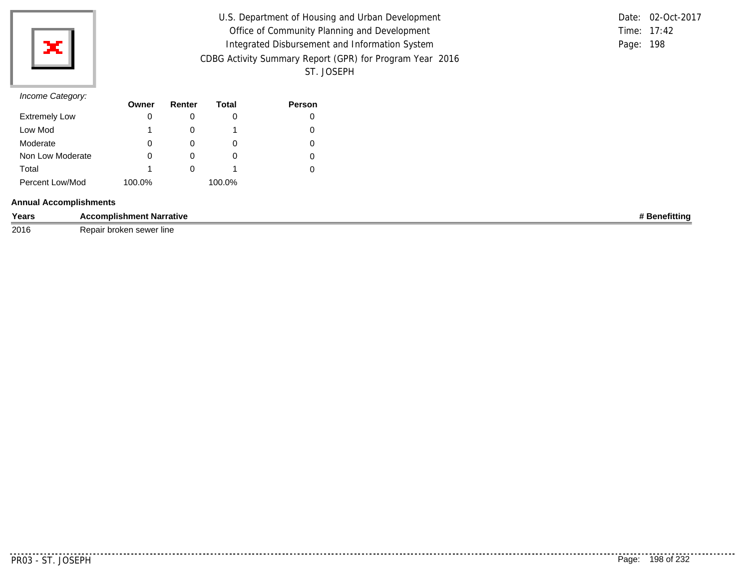

| U.S. Department of Housing and Urban Development         |           | Date: 02-Oct-2017 |
|----------------------------------------------------------|-----------|-------------------|
| Office of Community Planning and Development             |           | Time: 17:42       |
| Integrated Disbursement and Information System           | Page: 198 |                   |
| CDBG Activity Summary Report (GPR) for Program Year 2016 |           |                   |
| ST. JOSEPH                                               |           |                   |

### *Income Category:*

| $11001110$ catogory. | Owner  | Renter | Total  | <b>Person</b> |
|----------------------|--------|--------|--------|---------------|
| <b>Extremely Low</b> | 0      |        |        |               |
| Low Mod              |        |        |        |               |
| Moderate             | 0      |        | O      |               |
| Non Low Moderate     | 0      | O      | O      |               |
| Total                |        |        |        |               |
| Percent Low/Mod      | 100.0% |        | 100.0% |               |

### **Annual Accomplishments**

| Years | mplishme<br><b>Narrative</b><br>ent            | .<br>Tuun |
|-------|------------------------------------------------|-----------|
| 2016  | $\sim$<br>∵lıne<br>…∪U¤∴<br>ו וסיישים והמערכות |           |

. . . . . . . . . . .

. . . . . . . . . . . .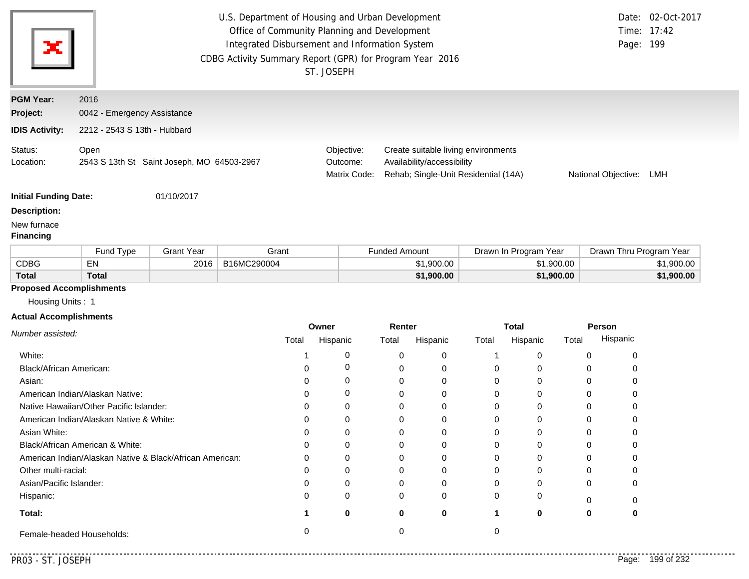|                                                                                      |                                         |                                            | U.S. Department of Housing and Urban Development<br>Office of Community Planning and Development<br>Integrated Disbursement and Information System<br>CDBG Activity Summary Report (GPR) for Program Year 2016 | ST. JOSEPH                             |                      |                            |                                                                             |                       |             | Page: 199               | Date: 02-Oct-2017<br>Time: 17:42 |
|--------------------------------------------------------------------------------------|-----------------------------------------|--------------------------------------------|----------------------------------------------------------------------------------------------------------------------------------------------------------------------------------------------------------------|----------------------------------------|----------------------|----------------------------|-----------------------------------------------------------------------------|-----------------------|-------------|-------------------------|----------------------------------|
| <b>PGM Year:</b>                                                                     | 2016                                    |                                            |                                                                                                                                                                                                                |                                        |                      |                            |                                                                             |                       |             |                         |                                  |
| Project:                                                                             | 0042 - Emergency Assistance             |                                            |                                                                                                                                                                                                                |                                        |                      |                            |                                                                             |                       |             |                         |                                  |
| <b>IDIS Activity:</b>                                                                | 2212 - 2543 S 13th - Hubbard            |                                            |                                                                                                                                                                                                                |                                        |                      |                            |                                                                             |                       |             |                         |                                  |
| Status:<br>Location:                                                                 | Open                                    | 2543 S 13th St Saint Joseph, MO 64503-2967 |                                                                                                                                                                                                                | Objective:<br>Outcome:<br>Matrix Code: |                      | Availability/accessibility | Create suitable living environments<br>Rehab; Single-Unit Residential (14A) |                       |             | National Objective: LMH |                                  |
| <b>Initial Funding Date:</b>                                                         |                                         | 01/10/2017                                 |                                                                                                                                                                                                                |                                        |                      |                            |                                                                             |                       |             |                         |                                  |
| <b>Description:</b>                                                                  |                                         |                                            |                                                                                                                                                                                                                |                                        |                      |                            |                                                                             |                       |             |                         |                                  |
| New furnace<br><b>Financing</b>                                                      |                                         |                                            |                                                                                                                                                                                                                |                                        |                      |                            |                                                                             |                       |             |                         |                                  |
|                                                                                      | Fund Type                               | <b>Grant Year</b>                          | Grant                                                                                                                                                                                                          |                                        | <b>Funded Amount</b> |                            |                                                                             | Drawn In Program Year |             | Drawn Thru Program Year |                                  |
| <b>CDBG</b>                                                                          | EN                                      | 2016                                       | B16MC290004                                                                                                                                                                                                    |                                        |                      | \$1,900.00                 |                                                                             | \$1,900.00            |             |                         | \$1,900.00                       |
| <b>Total</b>                                                                         | <b>Total</b>                            |                                            |                                                                                                                                                                                                                |                                        |                      | \$1,900.00                 |                                                                             | \$1,900.00            |             |                         | \$1,900.00                       |
| <b>Proposed Accomplishments</b><br>Housing Units: 1<br><b>Actual Accomplishments</b> |                                         |                                            |                                                                                                                                                                                                                |                                        |                      |                            |                                                                             |                       |             |                         |                                  |
|                                                                                      |                                         |                                            |                                                                                                                                                                                                                | Owner                                  | Renter               |                            |                                                                             | <b>Total</b>          |             | Person                  |                                  |
| Number assisted:                                                                     |                                         |                                            | Total                                                                                                                                                                                                          | Hispanic                               | Total                | Hispanic                   | Total                                                                       | Hispanic              | Total       | Hispanic                |                                  |
| White:                                                                               |                                         |                                            | 1                                                                                                                                                                                                              | 0                                      | 0                    | 0                          | 1                                                                           | 0                     | 0           | 0                       |                                  |
| Black/African American:                                                              |                                         |                                            | 0                                                                                                                                                                                                              | 0                                      | 0                    | 0                          | 0                                                                           | 0                     | 0           | 0                       |                                  |
| Asian:                                                                               |                                         |                                            | 0                                                                                                                                                                                                              | 0                                      | 0                    | 0                          | 0                                                                           | 0                     | 0           | 0                       |                                  |
|                                                                                      | American Indian/Alaskan Native:         |                                            | 0                                                                                                                                                                                                              | 0                                      | 0                    | 0                          | 0                                                                           | 0                     | $\mathbf 0$ | 0                       |                                  |
|                                                                                      | Native Hawaiian/Other Pacific Islander: |                                            | 0                                                                                                                                                                                                              | $\Omega$                               | $\Omega$             | 0                          | 0                                                                           | 0                     | $\Omega$    | 0                       |                                  |

**1 0**

Female-headed Households: 0 0 0

. . . . . . . . . . . . . . . . .

**0**

**0**

Asian White:

Other multi-racial: Asian/Pacific Islander:

American Indian/Alaskan Native & White:

American Indian/Alaskan Native & Black/African American:

Black/African American & White:

**Total:**

Hispanic:

. . . . . . . .

0

0

0

0

**0**

0

0

0

0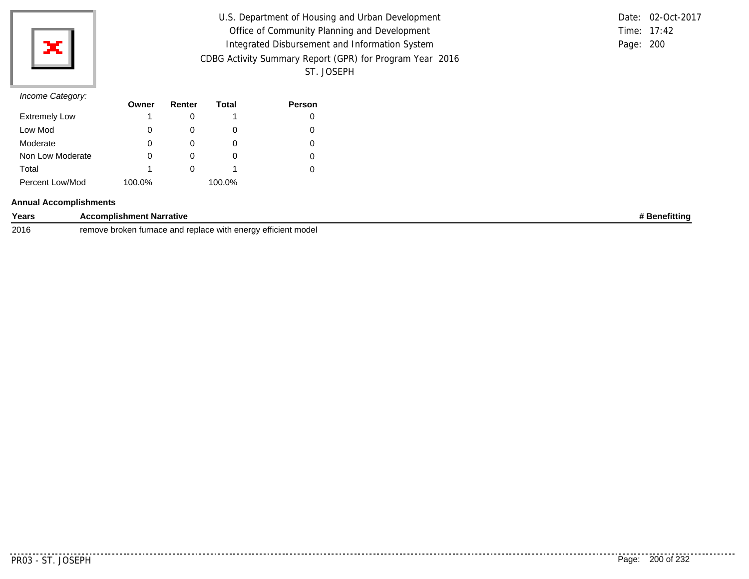

| U.S. Department of Housing and Urban Development         |           | Date: 02-Oct-2017 |
|----------------------------------------------------------|-----------|-------------------|
| Office of Community Planning and Development             |           | Time: 17:42       |
| Integrated Disbursement and Information System           | Page: 200 |                   |
| CDBG Activity Summary Report (GPR) for Program Year 2016 |           |                   |
| ST. JOSEPH                                               |           |                   |

|           | Date: 02-Oct-2017 |
|-----------|-------------------|
|           | Time: $17:42$     |
| Page: 200 |                   |

|                      | Owner  | Renter | Total  | <b>Person</b> |
|----------------------|--------|--------|--------|---------------|
| <b>Extremely Low</b> |        |        |        |               |
| Low Mod              |        |        | O      |               |
| Moderate             | O      |        | O      |               |
| Non Low Moderate     |        |        | O      |               |
| Total                |        |        |        |               |
| Percent Low/Mod      | 100.0% |        | 100.0% |               |

### **Annual Accomplishments**

| Years | t Narrative<br>complishment                                                                              | etittina |
|-------|----------------------------------------------------------------------------------------------------------|----------|
| 2016  | $- - -$<br>≅ efficient modei<br>remove<br>and<br>replace with<br>$\sim$<br>. turnace<br>broken<br>eneruv |          |

 $- - - - - - -$ 

--------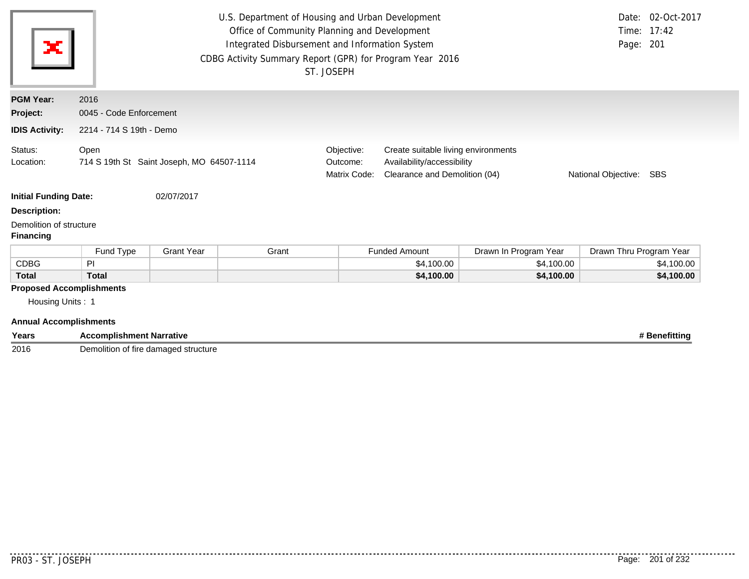| ×                                                                                    | Date: 02-Oct-2017<br>U.S. Department of Housing and Urban Development<br>Office of Community Planning and Development<br>Time: 17:42<br>Integrated Disbursement and Information System<br>Page: 201<br>CDBG Activity Summary Report (GPR) for Program Year 2016<br>ST. JOSEPH |                   |       |                                                                                                                                                                            |                      |                       |                         |               |
|--------------------------------------------------------------------------------------|-------------------------------------------------------------------------------------------------------------------------------------------------------------------------------------------------------------------------------------------------------------------------------|-------------------|-------|----------------------------------------------------------------------------------------------------------------------------------------------------------------------------|----------------------|-----------------------|-------------------------|---------------|
| <b>PGM Year:</b>                                                                     | 2016                                                                                                                                                                                                                                                                          |                   |       |                                                                                                                                                                            |                      |                       |                         |               |
| Project:                                                                             | 0045 - Code Enforcement                                                                                                                                                                                                                                                       |                   |       |                                                                                                                                                                            |                      |                       |                         |               |
| <b>IDIS Activity:</b>                                                                | 2214 - 714 S 19th - Demo                                                                                                                                                                                                                                                      |                   |       |                                                                                                                                                                            |                      |                       |                         |               |
| Status:<br>Location:                                                                 | Open<br>714 S 19th St Saint Joseph, MO 64507-1114                                                                                                                                                                                                                             |                   |       | Objective:<br>Create suitable living environments<br>Availability/accessibility<br>Outcome:<br>Matrix Code:<br>Clearance and Demolition (04)<br>National Objective:<br>SBS |                      |                       |                         |               |
| <b>Initial Funding Date:</b>                                                         |                                                                                                                                                                                                                                                                               | 02/07/2017        |       |                                                                                                                                                                            |                      |                       |                         |               |
| <b>Description:</b>                                                                  |                                                                                                                                                                                                                                                                               |                   |       |                                                                                                                                                                            |                      |                       |                         |               |
| Demolition of structure<br><b>Financing</b>                                          |                                                                                                                                                                                                                                                                               |                   |       |                                                                                                                                                                            |                      |                       |                         |               |
|                                                                                      | Fund Type                                                                                                                                                                                                                                                                     | <b>Grant Year</b> | Grant |                                                                                                                                                                            | <b>Funded Amount</b> | Drawn In Program Year | Drawn Thru Program Year |               |
| <b>CDBG</b>                                                                          | PI                                                                                                                                                                                                                                                                            |                   |       |                                                                                                                                                                            | \$4,100.00           | \$4,100.00            |                         | \$4,100.00    |
| <b>Total</b>                                                                         | <b>Total</b>                                                                                                                                                                                                                                                                  |                   |       |                                                                                                                                                                            | \$4,100.00           | \$4,100.00            |                         | \$4,100.00    |
| <b>Proposed Accomplishments</b><br>Housing Units: 1<br><b>Annual Accomplishments</b> |                                                                                                                                                                                                                                                                               |                   |       |                                                                                                                                                                            |                      |                       |                         |               |
| Years                                                                                | <b>Accomplishment Narrative</b>                                                                                                                                                                                                                                               |                   |       |                                                                                                                                                                            |                      |                       |                         | # Benefitting |

2016 Demolition of fire damaged structure

 $\begin{array}{cccccccccc} \bullet & \bullet & \bullet & \bullet & \bullet & \bullet & \bullet \end{array}$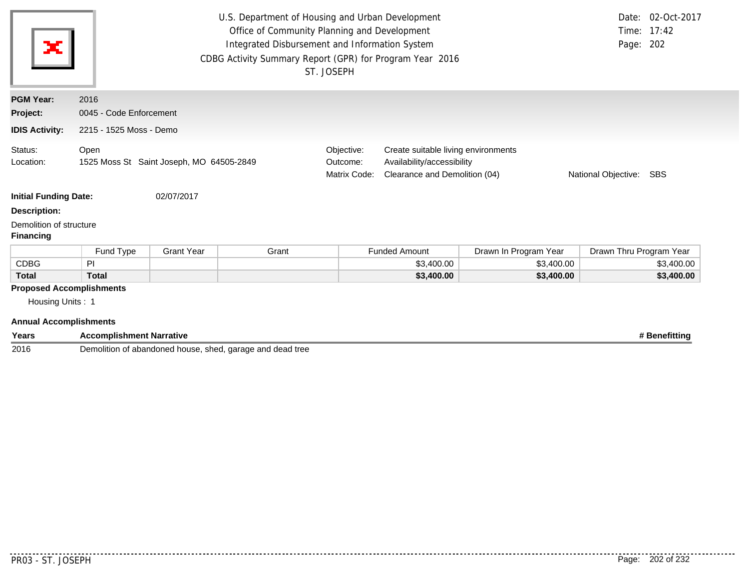| ×                                                                                    |                         |                                          | U.S. Department of Housing and Urban Development<br>Office of Community Planning and Development<br>Integrated Disbursement and Information System<br>CDBG Activity Summary Report (GPR) for Program Year 2016 | ST. JOSEPH                             |                                                                                                                           |                       | Page: 202               | Date: 02-Oct-2017<br>Time: 17:42 |
|--------------------------------------------------------------------------------------|-------------------------|------------------------------------------|----------------------------------------------------------------------------------------------------------------------------------------------------------------------------------------------------------------|----------------------------------------|---------------------------------------------------------------------------------------------------------------------------|-----------------------|-------------------------|----------------------------------|
| <b>PGM Year:</b>                                                                     | 2016                    |                                          |                                                                                                                                                                                                                |                                        |                                                                                                                           |                       |                         |                                  |
| Project:                                                                             | 0045 - Code Enforcement |                                          |                                                                                                                                                                                                                |                                        |                                                                                                                           |                       |                         |                                  |
| <b>IDIS Activity:</b>                                                                | 2215 - 1525 Moss - Demo |                                          |                                                                                                                                                                                                                |                                        |                                                                                                                           |                       |                         |                                  |
| Status:<br>Location:                                                                 | Open                    | 1525 Moss St Saint Joseph, MO 64505-2849 |                                                                                                                                                                                                                | Objective:<br>Outcome:<br>Matrix Code: | Create suitable living environments<br>Availability/accessibility<br>Clearance and Demolition (04)<br>National Objective: |                       |                         | SBS                              |
| <b>Initial Funding Date:</b>                                                         |                         | 02/07/2017                               |                                                                                                                                                                                                                |                                        |                                                                                                                           |                       |                         |                                  |
| <b>Description:</b><br>Demolition of structure<br><b>Financing</b>                   |                         |                                          |                                                                                                                                                                                                                |                                        |                                                                                                                           |                       |                         |                                  |
|                                                                                      | Fund Type               | <b>Grant Year</b>                        | Grant                                                                                                                                                                                                          |                                        | <b>Funded Amount</b>                                                                                                      | Drawn In Program Year | Drawn Thru Program Year |                                  |
| <b>CDBG</b>                                                                          | PI                      |                                          |                                                                                                                                                                                                                |                                        | \$3,400.00                                                                                                                | \$3,400.00            |                         | \$3,400.00                       |
| <b>Total</b>                                                                         | <b>Total</b>            |                                          |                                                                                                                                                                                                                |                                        | \$3,400.00                                                                                                                | \$3,400.00            |                         | \$3,400.00                       |
| <b>Proposed Accomplishments</b><br>Housing Units: 1<br><b>Annual Accomplishments</b> |                         |                                          |                                                                                                                                                                                                                |                                        |                                                                                                                           |                       |                         |                                  |

| Years | <b>Accomplishment Narrative</b>                           | <b>Benefitting</b> |
|-------|-----------------------------------------------------------|--------------------|
| 2016  | Demolition of abandoned house, shed, garage and dead tree |                    |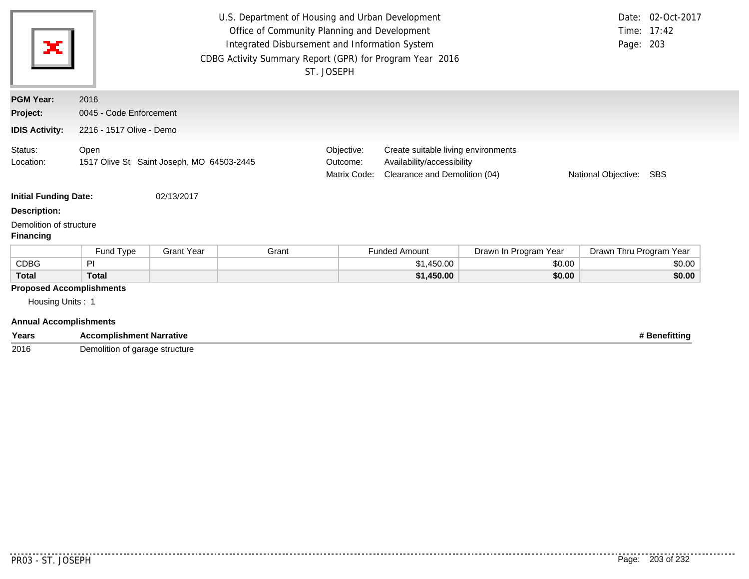| ×                                                                                    | U.S. Department of Housing and Urban Development<br>Date: 02-Oct-2017<br>Time: 17:42<br>Office of Community Planning and Development<br>Integrated Disbursement and Information System<br>Page: 203<br>CDBG Activity Summary Report (GPR) for Program Year 2016<br>ST. JOSEPH |                   |       |                                                                                                                                                                         |                      |                       |                         |               |
|--------------------------------------------------------------------------------------|-------------------------------------------------------------------------------------------------------------------------------------------------------------------------------------------------------------------------------------------------------------------------------|-------------------|-------|-------------------------------------------------------------------------------------------------------------------------------------------------------------------------|----------------------|-----------------------|-------------------------|---------------|
| <b>PGM Year:</b>                                                                     | 2016                                                                                                                                                                                                                                                                          |                   |       |                                                                                                                                                                         |                      |                       |                         |               |
| Project:                                                                             | 0045 - Code Enforcement                                                                                                                                                                                                                                                       |                   |       |                                                                                                                                                                         |                      |                       |                         |               |
| <b>IDIS Activity:</b>                                                                | 2216 - 1517 Olive - Demo                                                                                                                                                                                                                                                      |                   |       |                                                                                                                                                                         |                      |                       |                         |               |
| Status:<br>Location:                                                                 | Open<br>1517 Olive St Saint Joseph, MO 64503-2445                                                                                                                                                                                                                             |                   |       | Objective:<br>Create suitable living environments<br>Availability/accessibility<br>Outcome:<br>Matrix Code:<br>Clearance and Demolition (04)<br>National Objective: SBS |                      |                       |                         |               |
| <b>Initial Funding Date:</b>                                                         |                                                                                                                                                                                                                                                                               | 02/13/2017        |       |                                                                                                                                                                         |                      |                       |                         |               |
| <b>Description:</b>                                                                  |                                                                                                                                                                                                                                                                               |                   |       |                                                                                                                                                                         |                      |                       |                         |               |
| Demolition of structure<br><b>Financing</b>                                          |                                                                                                                                                                                                                                                                               |                   |       |                                                                                                                                                                         |                      |                       |                         |               |
|                                                                                      | Fund Type                                                                                                                                                                                                                                                                     | <b>Grant Year</b> | Grant |                                                                                                                                                                         | <b>Funded Amount</b> | Drawn In Program Year | Drawn Thru Program Year |               |
| <b>CDBG</b>                                                                          | PI                                                                                                                                                                                                                                                                            |                   |       |                                                                                                                                                                         | \$1,450.00           | \$0.00                |                         | \$0.00        |
| <b>Total</b>                                                                         | <b>Total</b>                                                                                                                                                                                                                                                                  |                   |       | \$1,450.00<br>\$0.00                                                                                                                                                    |                      |                       | \$0.00                  |               |
| <b>Proposed Accomplishments</b><br>Housing Units: 1<br><b>Annual Accomplishments</b> |                                                                                                                                                                                                                                                                               |                   |       |                                                                                                                                                                         |                      |                       |                         |               |
| Years                                                                                | <b>Accomplishment Narrative</b>                                                                                                                                                                                                                                               |                   |       |                                                                                                                                                                         |                      |                       |                         | # Benefitting |

2016 Demolition of garage structure

. . . . . . . .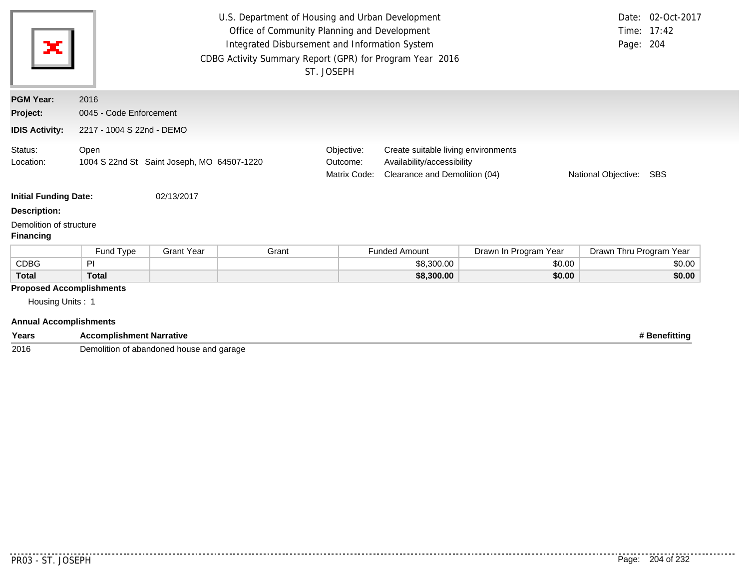| ×                                                                                    | U.S. Department of Housing and Urban Development<br>Office of Community Planning and Development<br>Time: 17:42<br>Integrated Disbursement and Information System<br>Page: 204<br>CDBG Activity Summary Report (GPR) for Program Year 2016<br>ST. JOSEPH |                   |       |                                        |                                                                                                                                  |                       | Date: 02-Oct-2017       |        |
|--------------------------------------------------------------------------------------|----------------------------------------------------------------------------------------------------------------------------------------------------------------------------------------------------------------------------------------------------------|-------------------|-------|----------------------------------------|----------------------------------------------------------------------------------------------------------------------------------|-----------------------|-------------------------|--------|
| <b>PGM Year:</b>                                                                     | 2016                                                                                                                                                                                                                                                     |                   |       |                                        |                                                                                                                                  |                       |                         |        |
| Project:                                                                             | 0045 - Code Enforcement                                                                                                                                                                                                                                  |                   |       |                                        |                                                                                                                                  |                       |                         |        |
| <b>IDIS Activity:</b>                                                                | 2217 - 1004 S 22nd - DEMO                                                                                                                                                                                                                                |                   |       |                                        |                                                                                                                                  |                       |                         |        |
| Status:<br>Location:                                                                 | Open<br>1004 S 22nd St Saint Joseph, MO 64507-1220                                                                                                                                                                                                       |                   |       | Objective:<br>Outcome:<br>Matrix Code: | Create suitable living environments<br>Availability/accessibility<br>Clearance and Demolition (04)<br>National Objective:<br>SBS |                       |                         |        |
| <b>Initial Funding Date:</b>                                                         |                                                                                                                                                                                                                                                          | 02/13/2017        |       |                                        |                                                                                                                                  |                       |                         |        |
| <b>Description:</b>                                                                  |                                                                                                                                                                                                                                                          |                   |       |                                        |                                                                                                                                  |                       |                         |        |
| Demolition of structure<br><b>Financing</b>                                          |                                                                                                                                                                                                                                                          |                   |       |                                        |                                                                                                                                  |                       |                         |        |
|                                                                                      | Fund Type                                                                                                                                                                                                                                                | <b>Grant Year</b> | Grant |                                        | <b>Funded Amount</b>                                                                                                             | Drawn In Program Year | Drawn Thru Program Year |        |
| <b>CDBG</b>                                                                          | PI.                                                                                                                                                                                                                                                      |                   |       |                                        | \$8,300.00                                                                                                                       | \$0.00                |                         | \$0.00 |
| <b>Total</b>                                                                         | <b>Total</b>                                                                                                                                                                                                                                             |                   |       |                                        | \$8,300.00                                                                                                                       | \$0.00                |                         | \$0.00 |
| <b>Proposed Accomplishments</b><br>Housing Units: 1<br><b>Annual Accomplishments</b> |                                                                                                                                                                                                                                                          |                   |       |                                        |                                                                                                                                  |                       |                         |        |

| Years | compl<br>+ Narrative<br>$\mathbf{r}$<br><b>usnmen</b>         | nefittina |
|-------|---------------------------------------------------------------|-----------|
| 2016  | 1000<br>l garage<br>abandone<br><br>.<br>ാd housu<br>- 61<br> |           |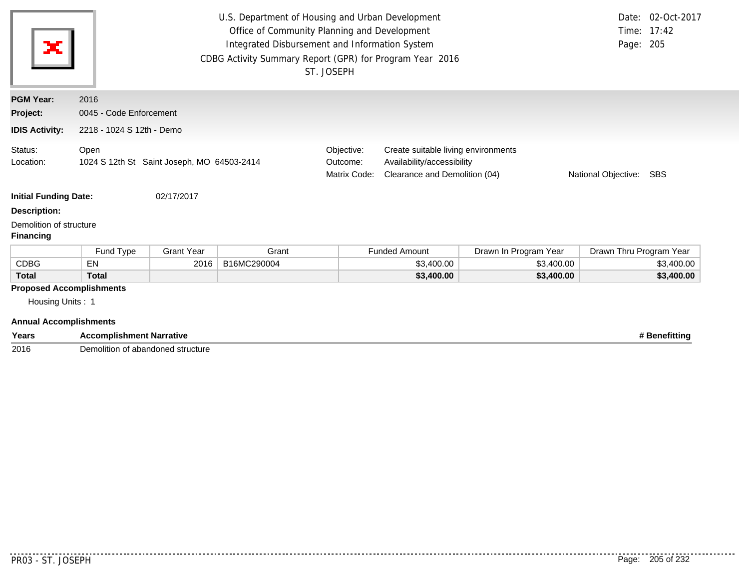| ×                                                                                    |                                                    |                   |             |                                        | U.S. Department of Housing and Urban Development<br>Office of Community Planning and Development<br>Integrated Disbursement and Information System<br>CDBG Activity Summary Report (GPR) for Program Year 2016<br>ST. JOSEPH |                       |                         | Date: 02-Oct-2017<br>Time: 17:42<br>Page: 205 |
|--------------------------------------------------------------------------------------|----------------------------------------------------|-------------------|-------------|----------------------------------------|------------------------------------------------------------------------------------------------------------------------------------------------------------------------------------------------------------------------------|-----------------------|-------------------------|-----------------------------------------------|
| <b>PGM Year:</b>                                                                     | 2016                                               |                   |             |                                        |                                                                                                                                                                                                                              |                       |                         |                                               |
| Project:                                                                             | 0045 - Code Enforcement                            |                   |             |                                        |                                                                                                                                                                                                                              |                       |                         |                                               |
| <b>IDIS Activity:</b>                                                                | 2218 - 1024 S 12th - Demo                          |                   |             |                                        |                                                                                                                                                                                                                              |                       |                         |                                               |
| Status:<br>Location:                                                                 | Open<br>1024 S 12th St Saint Joseph, MO 64503-2414 |                   |             | Objective:<br>Outcome:<br>Matrix Code: | Create suitable living environments<br>Availability/accessibility<br>Clearance and Demolition (04)<br>National Objective: SBS                                                                                                |                       |                         |                                               |
| <b>Initial Funding Date:</b>                                                         |                                                    | 02/17/2017        |             |                                        |                                                                                                                                                                                                                              |                       |                         |                                               |
| <b>Description:</b>                                                                  |                                                    |                   |             |                                        |                                                                                                                                                                                                                              |                       |                         |                                               |
| Demolition of structure<br><b>Financing</b>                                          |                                                    |                   |             |                                        |                                                                                                                                                                                                                              |                       |                         |                                               |
|                                                                                      | Fund Type                                          | <b>Grant Year</b> | Grant       |                                        | <b>Funded Amount</b>                                                                                                                                                                                                         | Drawn In Program Year | Drawn Thru Program Year |                                               |
| <b>CDBG</b>                                                                          | EN                                                 | 2016              | B16MC290004 |                                        | \$3,400.00                                                                                                                                                                                                                   | \$3,400.00            |                         | \$3,400.00                                    |
| <b>Total</b>                                                                         | <b>Total</b>                                       |                   |             |                                        | \$3,400.00                                                                                                                                                                                                                   | \$3,400.00            |                         | \$3,400.00                                    |
| <b>Proposed Accomplishments</b><br>Housing Units: 1<br><b>Annual Accomplishments</b> |                                                    |                   |             |                                        |                                                                                                                                                                                                                              |                       |                         |                                               |
| Years                                                                                | <b>Accomplishment Narrative</b><br># Benefitting   |                   |             |                                        |                                                                                                                                                                                                                              |                       |                         |                                               |

2016 Demolition of abandoned structure

. . . . . . . . . .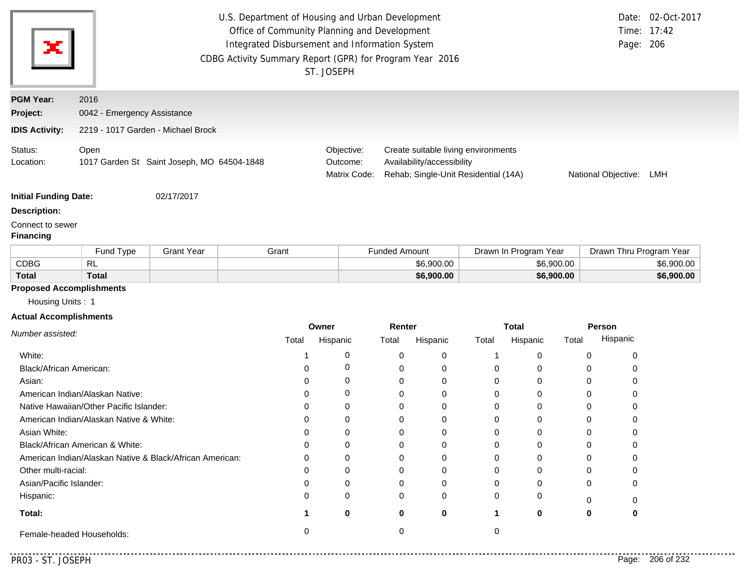| <b>PGM Year:</b><br>2016<br>Project:<br>0042 - Emergency Assistance<br>2219 - 1017 Garden - Michael Brock<br><b>IDIS Activity:</b><br>Objective:<br>Create suitable living environments<br>Open<br>Availability/accessibility<br>1017 Garden St Saint Joseph, MO 64504-1848<br>Outcome:<br>Matrix Code:<br>Rehab; Single-Unit Residential (14A)<br>National Objective:<br>02/17/2017<br><b>Grant Year</b><br>Fund Type<br>Grant<br><b>Funded Amount</b><br>Drawn In Program Year<br><b>CDBG</b><br><b>RL</b><br>\$6,900.00<br>\$6,900.00<br><b>Total</b><br><b>Total</b><br>\$6,900.00<br>\$6,900.00<br>Housing Units: 1<br>Owner<br>Renter<br><b>Total</b><br>Person<br>Number assisted:<br>Hispanic<br>Hispanic<br>Total<br>Hispanic<br>Hispanic<br>Total<br>Total<br>Total<br>0<br>White:<br>0<br>0<br>0<br>0<br>0<br>1<br>0<br>Black/African American:<br>0<br>0<br>0<br>0<br>0<br>0<br>0<br>0<br>0<br>0<br>0<br>0<br>0<br>Asian:<br>0<br>0<br>0<br>American Indian/Alaskan Native:<br>0<br>0<br>0<br>0<br>0<br>0<br>0<br>Native Hawaiian/Other Pacific Islander:<br>0<br>0<br>0<br>0<br>0<br>0<br>0<br>0<br>American Indian/Alaskan Native & White:<br>0<br>0<br>0<br>0<br>0<br>0<br>0<br>0<br>Asian White:<br>0<br>0<br>0<br>0<br>0<br>0<br>0<br>$\mathbf 0$<br>Black/African American & White:<br>0<br>0<br>0<br>0<br>0<br>0<br>0<br>0<br>American Indian/Alaskan Native & Black/African American:<br>0<br>0<br>0<br>0<br>0<br>0<br>0<br>O<br>Other multi-racial:<br>0<br>0<br>0<br>0<br>0<br>0<br>0<br>0<br>Asian/Pacific Islander:<br>0<br>0<br>0<br>0<br>0<br>0<br>0<br>0<br>Hispanic:<br>0<br>0<br>0<br>0<br>0<br>0<br>0<br>0 | Date: 02-Oct-2017<br>Time: 17:42<br>Page: 206 |
|------------------------------------------------------------------------------------------------------------------------------------------------------------------------------------------------------------------------------------------------------------------------------------------------------------------------------------------------------------------------------------------------------------------------------------------------------------------------------------------------------------------------------------------------------------------------------------------------------------------------------------------------------------------------------------------------------------------------------------------------------------------------------------------------------------------------------------------------------------------------------------------------------------------------------------------------------------------------------------------------------------------------------------------------------------------------------------------------------------------------------------------------------------------------------------------------------------------------------------------------------------------------------------------------------------------------------------------------------------------------------------------------------------------------------------------------------------------------------------------------------------------------------------------------------------------------------------------------------------------------------------------|-----------------------------------------------|
|                                                                                                                                                                                                                                                                                                                                                                                                                                                                                                                                                                                                                                                                                                                                                                                                                                                                                                                                                                                                                                                                                                                                                                                                                                                                                                                                                                                                                                                                                                                                                                                                                                          |                                               |
|                                                                                                                                                                                                                                                                                                                                                                                                                                                                                                                                                                                                                                                                                                                                                                                                                                                                                                                                                                                                                                                                                                                                                                                                                                                                                                                                                                                                                                                                                                                                                                                                                                          |                                               |
| Status:<br>Location:                                                                                                                                                                                                                                                                                                                                                                                                                                                                                                                                                                                                                                                                                                                                                                                                                                                                                                                                                                                                                                                                                                                                                                                                                                                                                                                                                                                                                                                                                                                                                                                                                     |                                               |
| <b>Initial Funding Date:</b><br><b>Description:</b><br>Connect to sewer<br><b>Financing</b>                                                                                                                                                                                                                                                                                                                                                                                                                                                                                                                                                                                                                                                                                                                                                                                                                                                                                                                                                                                                                                                                                                                                                                                                                                                                                                                                                                                                                                                                                                                                              | LMH                                           |
|                                                                                                                                                                                                                                                                                                                                                                                                                                                                                                                                                                                                                                                                                                                                                                                                                                                                                                                                                                                                                                                                                                                                                                                                                                                                                                                                                                                                                                                                                                                                                                                                                                          |                                               |
|                                                                                                                                                                                                                                                                                                                                                                                                                                                                                                                                                                                                                                                                                                                                                                                                                                                                                                                                                                                                                                                                                                                                                                                                                                                                                                                                                                                                                                                                                                                                                                                                                                          |                                               |
| <b>Proposed Accomplishments</b><br><b>Actual Accomplishments</b>                                                                                                                                                                                                                                                                                                                                                                                                                                                                                                                                                                                                                                                                                                                                                                                                                                                                                                                                                                                                                                                                                                                                                                                                                                                                                                                                                                                                                                                                                                                                                                         |                                               |
|                                                                                                                                                                                                                                                                                                                                                                                                                                                                                                                                                                                                                                                                                                                                                                                                                                                                                                                                                                                                                                                                                                                                                                                                                                                                                                                                                                                                                                                                                                                                                                                                                                          | Drawn Thru Program Year                       |
|                                                                                                                                                                                                                                                                                                                                                                                                                                                                                                                                                                                                                                                                                                                                                                                                                                                                                                                                                                                                                                                                                                                                                                                                                                                                                                                                                                                                                                                                                                                                                                                                                                          | \$6,900.00                                    |
|                                                                                                                                                                                                                                                                                                                                                                                                                                                                                                                                                                                                                                                                                                                                                                                                                                                                                                                                                                                                                                                                                                                                                                                                                                                                                                                                                                                                                                                                                                                                                                                                                                          | \$6,900.00                                    |
|                                                                                                                                                                                                                                                                                                                                                                                                                                                                                                                                                                                                                                                                                                                                                                                                                                                                                                                                                                                                                                                                                                                                                                                                                                                                                                                                                                                                                                                                                                                                                                                                                                          |                                               |
|                                                                                                                                                                                                                                                                                                                                                                                                                                                                                                                                                                                                                                                                                                                                                                                                                                                                                                                                                                                                                                                                                                                                                                                                                                                                                                                                                                                                                                                                                                                                                                                                                                          |                                               |
|                                                                                                                                                                                                                                                                                                                                                                                                                                                                                                                                                                                                                                                                                                                                                                                                                                                                                                                                                                                                                                                                                                                                                                                                                                                                                                                                                                                                                                                                                                                                                                                                                                          |                                               |
|                                                                                                                                                                                                                                                                                                                                                                                                                                                                                                                                                                                                                                                                                                                                                                                                                                                                                                                                                                                                                                                                                                                                                                                                                                                                                                                                                                                                                                                                                                                                                                                                                                          |                                               |
|                                                                                                                                                                                                                                                                                                                                                                                                                                                                                                                                                                                                                                                                                                                                                                                                                                                                                                                                                                                                                                                                                                                                                                                                                                                                                                                                                                                                                                                                                                                                                                                                                                          |                                               |
|                                                                                                                                                                                                                                                                                                                                                                                                                                                                                                                                                                                                                                                                                                                                                                                                                                                                                                                                                                                                                                                                                                                                                                                                                                                                                                                                                                                                                                                                                                                                                                                                                                          |                                               |
|                                                                                                                                                                                                                                                                                                                                                                                                                                                                                                                                                                                                                                                                                                                                                                                                                                                                                                                                                                                                                                                                                                                                                                                                                                                                                                                                                                                                                                                                                                                                                                                                                                          |                                               |
|                                                                                                                                                                                                                                                                                                                                                                                                                                                                                                                                                                                                                                                                                                                                                                                                                                                                                                                                                                                                                                                                                                                                                                                                                                                                                                                                                                                                                                                                                                                                                                                                                                          |                                               |
|                                                                                                                                                                                                                                                                                                                                                                                                                                                                                                                                                                                                                                                                                                                                                                                                                                                                                                                                                                                                                                                                                                                                                                                                                                                                                                                                                                                                                                                                                                                                                                                                                                          |                                               |
|                                                                                                                                                                                                                                                                                                                                                                                                                                                                                                                                                                                                                                                                                                                                                                                                                                                                                                                                                                                                                                                                                                                                                                                                                                                                                                                                                                                                                                                                                                                                                                                                                                          |                                               |
|                                                                                                                                                                                                                                                                                                                                                                                                                                                                                                                                                                                                                                                                                                                                                                                                                                                                                                                                                                                                                                                                                                                                                                                                                                                                                                                                                                                                                                                                                                                                                                                                                                          |                                               |
|                                                                                                                                                                                                                                                                                                                                                                                                                                                                                                                                                                                                                                                                                                                                                                                                                                                                                                                                                                                                                                                                                                                                                                                                                                                                                                                                                                                                                                                                                                                                                                                                                                          |                                               |
|                                                                                                                                                                                                                                                                                                                                                                                                                                                                                                                                                                                                                                                                                                                                                                                                                                                                                                                                                                                                                                                                                                                                                                                                                                                                                                                                                                                                                                                                                                                                                                                                                                          |                                               |
|                                                                                                                                                                                                                                                                                                                                                                                                                                                                                                                                                                                                                                                                                                                                                                                                                                                                                                                                                                                                                                                                                                                                                                                                                                                                                                                                                                                                                                                                                                                                                                                                                                          |                                               |
|                                                                                                                                                                                                                                                                                                                                                                                                                                                                                                                                                                                                                                                                                                                                                                                                                                                                                                                                                                                                                                                                                                                                                                                                                                                                                                                                                                                                                                                                                                                                                                                                                                          |                                               |
|                                                                                                                                                                                                                                                                                                                                                                                                                                                                                                                                                                                                                                                                                                                                                                                                                                                                                                                                                                                                                                                                                                                                                                                                                                                                                                                                                                                                                                                                                                                                                                                                                                          |                                               |
|                                                                                                                                                                                                                                                                                                                                                                                                                                                                                                                                                                                                                                                                                                                                                                                                                                                                                                                                                                                                                                                                                                                                                                                                                                                                                                                                                                                                                                                                                                                                                                                                                                          |                                               |
| Total:<br>0<br>0<br>0<br>0<br>1<br>0<br>0<br>1                                                                                                                                                                                                                                                                                                                                                                                                                                                                                                                                                                                                                                                                                                                                                                                                                                                                                                                                                                                                                                                                                                                                                                                                                                                                                                                                                                                                                                                                                                                                                                                           |                                               |
| 0<br>0<br>0<br>Female-headed Households:                                                                                                                                                                                                                                                                                                                                                                                                                                                                                                                                                                                                                                                                                                                                                                                                                                                                                                                                                                                                                                                                                                                                                                                                                                                                                                                                                                                                                                                                                                                                                                                                 |                                               |

. . . . . . . . .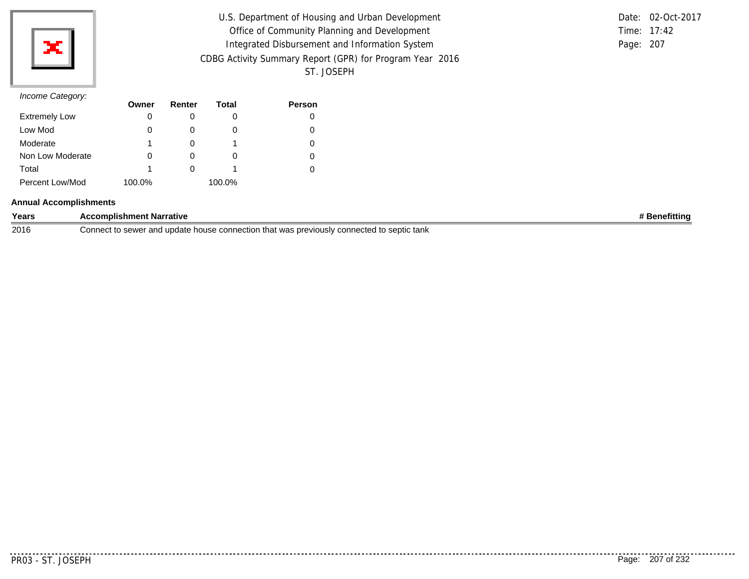

| U.S. Department of Housing and Urban Development         |           | Date: 02-Oct-2017 |
|----------------------------------------------------------|-----------|-------------------|
| Office of Community Planning and Development             |           | Time: 17:42       |
| Integrated Disbursement and Information System           | Page: 207 |                   |
| CDBG Activity Summary Report (GPR) for Program Year 2016 |           |                   |
| ST. JOSEPH                                               |           |                   |

|           | Date: 02-Oct-2017 |
|-----------|-------------------|
|           | Time: $17:42$     |
| Page: 207 |                   |

|                      | Owner  | Renter | Total  | <b>Person</b> |
|----------------------|--------|--------|--------|---------------|
| <b>Extremely Low</b> | 0      |        | O      |               |
| Low Mod              |        |        | O      |               |
| Moderate             |        |        |        |               |
| Non Low Moderate     |        |        | O      |               |
| Total                |        |        |        |               |
| Percent Low/Mod      | 100.0% |        | 100.0% |               |

### **Annual Accomplishments**

| Years | <b>Accomplishment Narrative</b>                                                                                                         | <b>Benefitting</b> |
|-------|-----------------------------------------------------------------------------------------------------------------------------------------|--------------------|
| 2016  | that was ا<br>/ connected to septic tank<br>. was previously $^{\circ}$<br>Connec'<br>. to sewer anr<br>update<br>. connection<br>house |                    |

. . . . . . . . . . .

. . . . . . . . . .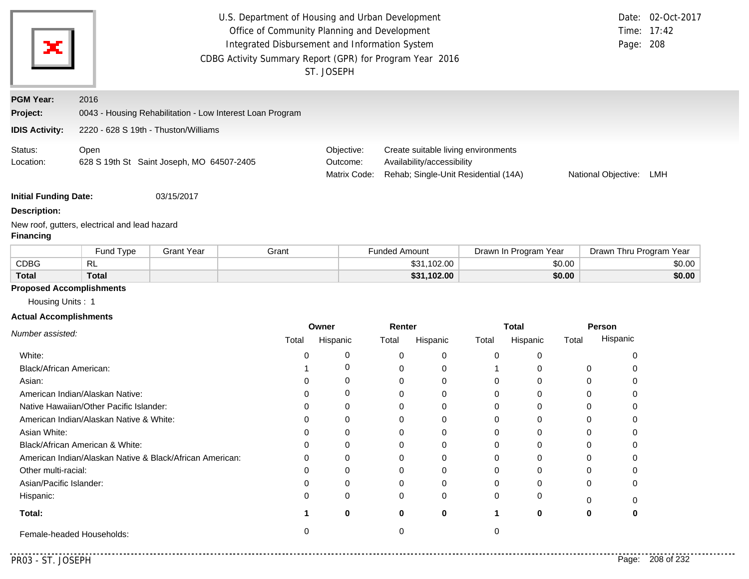|                                                               | U.S. Department of Housing and Urban Development<br>Date: 02-Oct-2017<br>Office of Community Planning and Development<br>17:42<br>Time:<br>Integrated Disbursement and Information System<br>Page: 208<br>CDBG Activity Summary Report (GPR) for Program Year 2016 |                                           |                                                           |                          |                      |                                                                    |             |                       |        |                         |        |
|---------------------------------------------------------------|--------------------------------------------------------------------------------------------------------------------------------------------------------------------------------------------------------------------------------------------------------------------|-------------------------------------------|-----------------------------------------------------------|--------------------------|----------------------|--------------------------------------------------------------------|-------------|-----------------------|--------|-------------------------|--------|
|                                                               |                                                                                                                                                                                                                                                                    |                                           |                                                           | ST. JOSEPH               |                      |                                                                    |             |                       |        |                         |        |
| <b>PGM Year:</b>                                              | 2016                                                                                                                                                                                                                                                               |                                           |                                                           |                          |                      |                                                                    |             |                       |        |                         |        |
| Project:                                                      |                                                                                                                                                                                                                                                                    |                                           | 0043 - Housing Rehabilitation - Low Interest Loan Program |                          |                      |                                                                    |             |                       |        |                         |        |
| <b>IDIS Activity:</b>                                         | 2220 - 628 S 19th - Thuston/Williams                                                                                                                                                                                                                               |                                           |                                                           |                          |                      |                                                                    |             |                       |        |                         |        |
| Status:                                                       | Open                                                                                                                                                                                                                                                               |                                           |                                                           | Objective:               |                      | Create suitable living environments                                |             |                       |        |                         |        |
| Location:                                                     |                                                                                                                                                                                                                                                                    | 628 S 19th St Saint Joseph, MO 64507-2405 |                                                           | Outcome:<br>Matrix Code: |                      | Availability/accessibility<br>Rehab; Single-Unit Residential (14A) |             |                       |        | National Objective:     | LMH    |
| <b>Initial Funding Date:</b>                                  |                                                                                                                                                                                                                                                                    | 03/15/2017                                |                                                           |                          |                      |                                                                    |             |                       |        |                         |        |
| <b>Description:</b>                                           |                                                                                                                                                                                                                                                                    |                                           |                                                           |                          |                      |                                                                    |             |                       |        |                         |        |
| <b>Financing</b>                                              | New roof, gutters, electrical and lead hazard                                                                                                                                                                                                                      |                                           |                                                           |                          |                      |                                                                    |             |                       |        |                         |        |
|                                                               | Fund Type                                                                                                                                                                                                                                                          | <b>Grant Year</b>                         | Grant                                                     |                          | <b>Funded Amount</b> |                                                                    |             | Drawn In Program Year |        | Drawn Thru Program Year |        |
| <b>CDBG</b>                                                   | <b>RL</b>                                                                                                                                                                                                                                                          |                                           |                                                           |                          |                      | \$31,102.00                                                        |             |                       | \$0.00 |                         | \$0.00 |
| <b>Total</b>                                                  | <b>Total</b>                                                                                                                                                                                                                                                       |                                           |                                                           |                          |                      | \$31,102.00                                                        |             |                       | \$0.00 |                         | \$0.00 |
| <b>Proposed Accomplishments</b>                               |                                                                                                                                                                                                                                                                    |                                           |                                                           |                          |                      |                                                                    |             |                       |        |                         |        |
| Housing Units: 1                                              |                                                                                                                                                                                                                                                                    |                                           |                                                           |                          |                      |                                                                    |             |                       |        |                         |        |
| <b>Actual Accomplishments</b>                                 |                                                                                                                                                                                                                                                                    |                                           |                                                           | Owner                    | Renter               |                                                                    |             | <b>Total</b>          |        | <b>Person</b>           |        |
| Number assisted:                                              |                                                                                                                                                                                                                                                                    |                                           | Total                                                     | Hispanic                 | Total                | Hispanic                                                           | Total       | Hispanic              | Total  | Hispanic                |        |
| White:                                                        |                                                                                                                                                                                                                                                                    |                                           | 0                                                         | 0                        | 0                    | 0                                                                  | 0           | 0                     |        | 0                       |        |
| Black/African American:                                       |                                                                                                                                                                                                                                                                    |                                           |                                                           | 0                        | 0                    | 0                                                                  |             | 0                     |        | 0<br>0                  |        |
| Asian:                                                        |                                                                                                                                                                                                                                                                    |                                           | 0                                                         | 0                        | 0                    | 0                                                                  | 0           | 0                     |        | 0<br>0                  |        |
|                                                               | American Indian/Alaskan Native:                                                                                                                                                                                                                                    |                                           | 0                                                         | 0                        | 0                    | 0                                                                  | 0           | 0                     |        | 0<br>0                  |        |
|                                                               | Native Hawaiian/Other Pacific Islander:                                                                                                                                                                                                                            |                                           | 0                                                         | 0                        | 0                    | 0                                                                  | 0           | 0                     |        | 0<br>0                  |        |
|                                                               | American Indian/Alaskan Native & White:                                                                                                                                                                                                                            |                                           | 0                                                         | 0                        | 0                    | 0                                                                  | 0           | 0                     |        | 0<br>0                  |        |
| Asian White:                                                  |                                                                                                                                                                                                                                                                    |                                           | 0                                                         | $\Omega$                 | $\Omega$             | 0                                                                  | $\Omega$    | 0                     |        | 0<br>0                  |        |
|                                                               | Black/African American & White:<br>0                                                                                                                                                                                                                               |                                           |                                                           | 0                        | 0                    | 0                                                                  | 0           | 0                     |        | 0<br>0                  |        |
| American Indian/Alaskan Native & Black/African American:<br>0 |                                                                                                                                                                                                                                                                    |                                           | 0                                                         | 0                        | 0                    | 0                                                                  | 0           |                       | 0<br>0 |                         |        |
| Other multi-racial:<br>0                                      |                                                                                                                                                                                                                                                                    |                                           | 0                                                         | 0                        | 0                    | 0                                                                  | 0           |                       | 0<br>0 |                         |        |
| Asian/Pacific Islander:<br>0                                  |                                                                                                                                                                                                                                                                    |                                           | 0                                                         | 0                        | 0                    | 0                                                                  | 0           |                       | 0<br>0 |                         |        |
| Hispanic:                                                     |                                                                                                                                                                                                                                                                    |                                           | $\Omega$                                                  | 0                        | 0                    | 0                                                                  | $\Omega$    | 0                     |        | 0<br>0                  |        |
| Total:                                                        |                                                                                                                                                                                                                                                                    |                                           |                                                           | 0                        | $\mathbf 0$          | $\mathbf 0$                                                        | $\mathbf 1$ | $\bf{0}$              |        | 0<br>0                  |        |
|                                                               | Female-headed Households:                                                                                                                                                                                                                                          |                                           | 0                                                         |                          | 0                    |                                                                    | 0           |                       |        |                         |        |

 $- - - - -$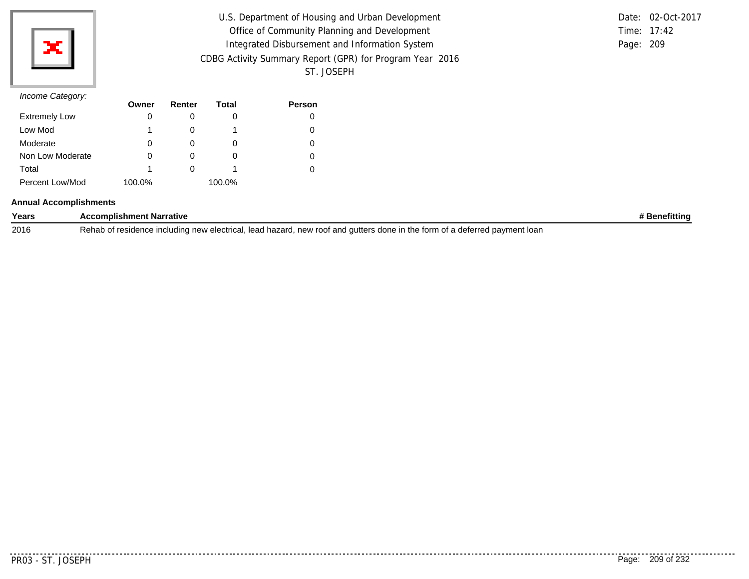

| U.S. Department of Housing and Urban Development         |           | Date: 02-Oct-2017 |
|----------------------------------------------------------|-----------|-------------------|
| Office of Community Planning and Development             |           | Time: 17:42       |
| Integrated Disbursement and Information System           | Page: 209 |                   |
| CDBG Activity Summary Report (GPR) for Program Year 2016 |           |                   |
| ST. JOSEPH                                               |           |                   |

|           | Date: 02-Oct-2017 |
|-----------|-------------------|
|           | Time: $17:42$     |
| Page: 209 |                   |

|                      | Owner  | Renter | Total  | <b>Person</b> |
|----------------------|--------|--------|--------|---------------|
| <b>Extremely Low</b> |        |        | O      |               |
| Low Mod              |        |        |        |               |
| Moderate             | O      |        | O      |               |
| Non Low Moderate     |        |        | O      |               |
| Total                |        |        |        |               |
| Percent Low/Mod      | 100.0% |        | 100.0% |               |

### **Annual Accomplishments**

| Years | `t Narrative<br>omplishment <b>i</b>                                                                                                                                  | rittint |
|-------|-----------------------------------------------------------------------------------------------------------------------------------------------------------------------|---------|
| 2016  | . lear<br>l hazard.<br>new roof and gutters<br>ੇ in the form ਹ<br>t a deferred pavment<br>loan<br>nce including new electrica<br>ソヘト<br>residence<br>; done ir<br>191 |         |

........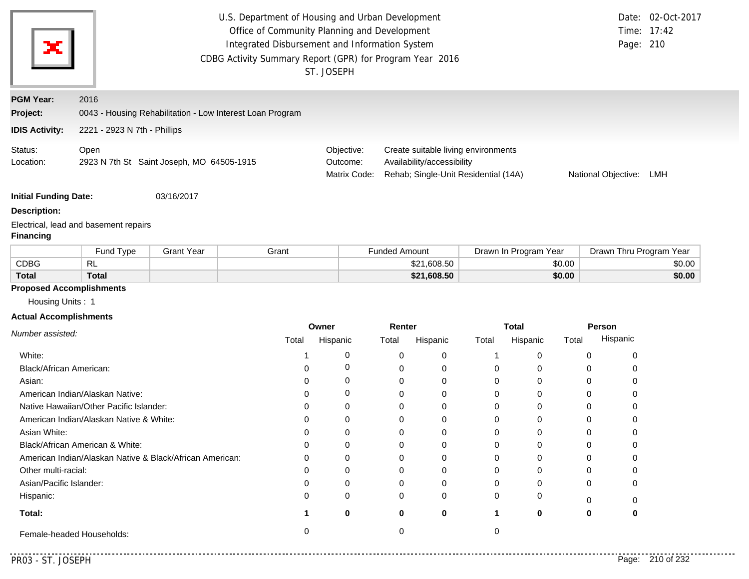|                               |                                                          |                   | U.S. Department of Housing and Urban Development          |                          |                      |                                                                    |       |                       |                  |                         | Date: 02-Oct-2017 |
|-------------------------------|----------------------------------------------------------|-------------------|-----------------------------------------------------------|--------------------------|----------------------|--------------------------------------------------------------------|-------|-----------------------|------------------|-------------------------|-------------------|
|                               | Office of Community Planning and Development             |                   |                                                           |                          |                      |                                                                    |       |                       |                  | Time: 17:42             |                   |
| х                             |                                                          |                   | Integrated Disbursement and Information System            |                          |                      |                                                                    |       |                       |                  | Page: 210               |                   |
|                               |                                                          |                   | CDBG Activity Summary Report (GPR) for Program Year 2016  |                          |                      |                                                                    |       |                       |                  |                         |                   |
|                               |                                                          |                   |                                                           | ST. JOSEPH               |                      |                                                                    |       |                       |                  |                         |                   |
| <b>PGM Year:</b>              | 2016                                                     |                   |                                                           |                          |                      |                                                                    |       |                       |                  |                         |                   |
| Project:                      |                                                          |                   | 0043 - Housing Rehabilitation - Low Interest Loan Program |                          |                      |                                                                    |       |                       |                  |                         |                   |
| <b>IDIS Activity:</b>         | 2221 - 2923 N 7th - Phillips                             |                   |                                                           |                          |                      |                                                                    |       |                       |                  |                         |                   |
| Status:                       | Open                                                     |                   |                                                           | Objective:               |                      | Create suitable living environments                                |       |                       |                  |                         |                   |
| Location:                     | 2923 N 7th St Saint Joseph, MO 64505-1915                |                   |                                                           | Outcome:<br>Matrix Code: |                      | Availability/accessibility<br>Rehab; Single-Unit Residential (14A) |       |                       |                  | National Objective:     | LMH               |
| <b>Initial Funding Date:</b>  |                                                          | 03/16/2017        |                                                           |                          |                      |                                                                    |       |                       |                  |                         |                   |
| <b>Description:</b>           |                                                          |                   |                                                           |                          |                      |                                                                    |       |                       |                  |                         |                   |
|                               | Electrical, lead and basement repairs                    |                   |                                                           |                          |                      |                                                                    |       |                       |                  |                         |                   |
| <b>Financing</b>              |                                                          |                   |                                                           |                          |                      |                                                                    |       |                       |                  |                         |                   |
|                               | Fund Type                                                | <b>Grant Year</b> | Grant                                                     |                          | <b>Funded Amount</b> |                                                                    |       | Drawn In Program Year |                  | Drawn Thru Program Year |                   |
| <b>CDBG</b><br><b>Total</b>   | <b>RL</b><br><b>Total</b>                                |                   |                                                           |                          |                      | \$21,608.50<br>\$21,608.50                                         |       |                       | \$0.00<br>\$0.00 |                         | \$0.00<br>\$0.00  |
|                               | <b>Proposed Accomplishments</b>                          |                   |                                                           |                          |                      |                                                                    |       |                       |                  |                         |                   |
| Housing Units: 1              |                                                          |                   |                                                           |                          |                      |                                                                    |       |                       |                  |                         |                   |
| <b>Actual Accomplishments</b> |                                                          |                   |                                                           |                          |                      |                                                                    |       |                       |                  |                         |                   |
| Number assisted:              |                                                          |                   |                                                           | Owner                    | Renter               |                                                                    |       | <b>Total</b>          |                  | Person                  |                   |
|                               |                                                          |                   | Total                                                     | Hispanic                 | Total                | Hispanic                                                           | Total | Hispanic              | Total            | Hispanic                |                   |
| White:                        |                                                          |                   | -1                                                        | 0                        | 0                    | 0                                                                  | -1    | 0                     | 0                | 0                       |                   |
| Black/African American:       |                                                          |                   | 0                                                         | 0                        | 0                    | 0                                                                  | 0     | 0                     | 0                | 0                       |                   |
| Asian:                        |                                                          |                   | 0                                                         | 0                        | 0                    | 0                                                                  | 0     | 0                     | 0                | 0                       |                   |
|                               | American Indian/Alaskan Native:                          |                   | 0                                                         | 0                        | 0                    | 0                                                                  | 0     | 0                     | 0                | 0                       |                   |
|                               | Native Hawaiian/Other Pacific Islander:                  |                   | 0                                                         | 0                        | 0                    | 0                                                                  | 0     | 0                     | 0                | 0                       |                   |
|                               | American Indian/Alaskan Native & White:                  |                   | 0                                                         | 0                        | 0                    | 0                                                                  | 0     | 0                     | 0                | 0                       |                   |
| Asian White:                  |                                                          |                   | 0                                                         | $\Omega$                 | 0                    | 0                                                                  | 0     | 0                     | 0                | 0                       |                   |
|                               | Black/African American & White:                          |                   | 0                                                         | $\Omega$                 | 0                    | 0                                                                  | 0     | 0                     | 0                | 0                       |                   |
|                               | American Indian/Alaskan Native & Black/African American: |                   | $\Omega$                                                  | $\Omega$                 | 0                    | 0                                                                  | 0     | 0                     | 0                | 0                       |                   |
| Other multi-racial:           |                                                          |                   | $\Omega$                                                  | 0                        | 0                    | 0                                                                  | 0     | 0                     | 0                | 0                       |                   |
| Asian/Pacific Islander:       |                                                          |                   | 0                                                         | 0                        | 0                    | 0                                                                  | 0     | 0                     | 0                | 0                       |                   |
| Hispanic:                     |                                                          |                   | $\Omega$                                                  | $\Omega$                 | 0                    | 0                                                                  | 0     | 0                     | 0                | 0                       |                   |
| Total:                        |                                                          |                   |                                                           | 0                        | 0                    | 0                                                                  | 1     | $\bf{0}$              | 0                | 0                       |                   |
|                               | Female-headed Households:                                |                   | 0                                                         |                          | 0                    |                                                                    | 0     |                       |                  |                         |                   |
|                               |                                                          |                   |                                                           |                          |                      |                                                                    |       |                       |                  |                         |                   |
| PR03 - ST. JOSEPH             |                                                          |                   |                                                           |                          |                      |                                                                    |       |                       |                  |                         | Page: 210 of 232  |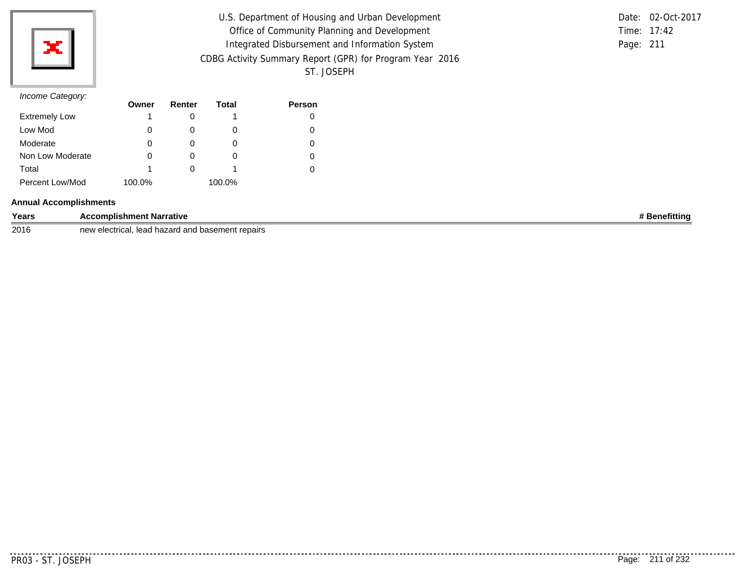

| U.S. Department of Housing and Urban Development         |           | Date: 02-Oct-2017 |
|----------------------------------------------------------|-----------|-------------------|
| Office of Community Planning and Development             |           | Time: 17:42       |
| Integrated Disbursement and Information System           | Page: 211 |                   |
| CDBG Activity Summary Report (GPR) for Program Year 2016 |           |                   |
| ST. JOSEPH                                               |           |                   |

|               | Date: 02-Oct-2017 |
|---------------|-------------------|
| Time: $17:42$ |                   |
| Page: 211     |                   |

|                      | Owner  | Renter | Total  | <b>Person</b> |
|----------------------|--------|--------|--------|---------------|
| <b>Extremely Low</b> |        |        |        |               |
| Low Mod              | 0      |        | O      |               |
| Moderate             | O      |        |        |               |
| Non Low Moderate     |        |        | O      |               |
| Total                |        |        |        |               |
| Percent Low/Mod      | 100.0% |        | 100.0% |               |

### **Annual Accomplishments**

| Years | ---<br>complishment Narrative<br>$\cdots$ | efittin |
|-------|-------------------------------------------|---------|
|       |                                           |         |

2016 new electrical, lead hazard and basement repairs

. . . . . . . .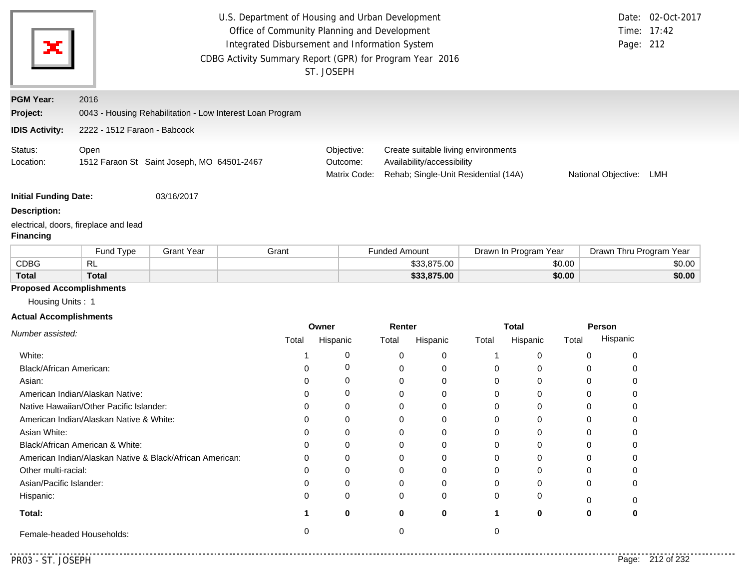| х                                                                                    | U.S. Department of Housing and Urban Development<br>Office of Community Planning and Development<br>Integrated Disbursement and Information System<br>CDBG Activity Summary Report (GPR) for Program Year 2016<br>ST. JOSEPH |                                                           |       |       |                                        |                      | Date: 02-Oct-2017<br>Time: 17:42<br>Page: 212                                                             |              |                       |          |                         |        |
|--------------------------------------------------------------------------------------|------------------------------------------------------------------------------------------------------------------------------------------------------------------------------------------------------------------------------|-----------------------------------------------------------|-------|-------|----------------------------------------|----------------------|-----------------------------------------------------------------------------------------------------------|--------------|-----------------------|----------|-------------------------|--------|
| <b>PGM Year:</b>                                                                     | 2016                                                                                                                                                                                                                         |                                                           |       |       |                                        |                      |                                                                                                           |              |                       |          |                         |        |
| Project:                                                                             |                                                                                                                                                                                                                              | 0043 - Housing Rehabilitation - Low Interest Loan Program |       |       |                                        |                      |                                                                                                           |              |                       |          |                         |        |
| <b>IDIS Activity:</b>                                                                | 2222 - 1512 Faraon - Babcock                                                                                                                                                                                                 |                                                           |       |       |                                        |                      |                                                                                                           |              |                       |          |                         |        |
| Status:<br>Location:                                                                 | Open                                                                                                                                                                                                                         | 1512 Faraon St Saint Joseph, MO 64501-2467                |       |       | Objective:<br>Outcome:<br>Matrix Code: |                      | Create suitable living environments<br>Availability/accessibility<br>Rehab; Single-Unit Residential (14A) |              |                       |          | National Objective:     | LMH    |
| <b>Initial Funding Date:</b>                                                         |                                                                                                                                                                                                                              | 03/16/2017                                                |       |       |                                        |                      |                                                                                                           |              |                       |          |                         |        |
| <b>Description:</b>                                                                  |                                                                                                                                                                                                                              |                                                           |       |       |                                        |                      |                                                                                                           |              |                       |          |                         |        |
| <b>Financing</b>                                                                     | electrical, doors, fireplace and lead                                                                                                                                                                                        |                                                           |       |       |                                        |                      |                                                                                                           |              |                       |          |                         |        |
|                                                                                      | Fund Type                                                                                                                                                                                                                    | <b>Grant Year</b>                                         | Grant |       |                                        | <b>Funded Amount</b> |                                                                                                           |              | Drawn In Program Year |          | Drawn Thru Program Year |        |
| <b>CDBG</b>                                                                          | <b>RL</b>                                                                                                                                                                                                                    |                                                           |       |       |                                        |                      | \$33,875.00                                                                                               |              |                       | \$0.00   | \$0.00                  |        |
| <b>Total</b>                                                                         | <b>Total</b>                                                                                                                                                                                                                 |                                                           |       |       |                                        |                      | \$33,875.00                                                                                               |              |                       | \$0.00   |                         | \$0.00 |
| <b>Proposed Accomplishments</b><br>Housing Units: 1<br><b>Actual Accomplishments</b> |                                                                                                                                                                                                                              |                                                           |       |       | Owner                                  | Renter               |                                                                                                           |              | <b>Total</b>          |          | Person                  |        |
| Number assisted:                                                                     |                                                                                                                                                                                                                              |                                                           |       | Total | Hispanic                               | Total                | Hispanic                                                                                                  | Total        | Hispanic              | Total    | Hispanic                |        |
| White:                                                                               |                                                                                                                                                                                                                              |                                                           |       | 1     | 0                                      | 0                    | 0                                                                                                         | $\mathbf{1}$ | 0                     | 0        | 0                       |        |
| Black/African American:                                                              |                                                                                                                                                                                                                              |                                                           |       | 0     | 0                                      | 0                    | 0                                                                                                         | 0            | 0                     | $\Omega$ | 0                       |        |
| Asian:                                                                               |                                                                                                                                                                                                                              |                                                           |       | 0     | 0                                      | 0                    | 0                                                                                                         | 0            | 0                     | 0        | 0                       |        |
|                                                                                      | American Indian/Alaskan Native:                                                                                                                                                                                              |                                                           |       | 0     | 0                                      | 0                    | 0                                                                                                         | 0            | 0                     | $\Omega$ | 0                       |        |
|                                                                                      | Native Hawaiian/Other Pacific Islander:                                                                                                                                                                                      |                                                           |       | 0     | 0                                      | 0                    | 0                                                                                                         | 0            | 0                     | 0        | 0                       |        |
|                                                                                      | American Indian/Alaskan Native & White:                                                                                                                                                                                      |                                                           |       | 0     | 0                                      | $\Omega$             | 0                                                                                                         | 0            | 0                     | 0        | 0                       |        |
| Asian White:                                                                         |                                                                                                                                                                                                                              |                                                           |       | 0     | 0                                      | 0                    | $\Omega$                                                                                                  | 0            | 0                     | $\Omega$ | 0                       |        |
|                                                                                      |                                                                                                                                                                                                                              |                                                           |       | O     | 0                                      | 0                    | 0                                                                                                         | 0            | 0                     | 0        | 0                       |        |
|                                                                                      | Black/African American & White:                                                                                                                                                                                              |                                                           |       |       |                                        |                      |                                                                                                           | 0            | 0                     | 0        | 0                       |        |
|                                                                                      | American Indian/Alaskan Native & Black/African American:                                                                                                                                                                     |                                                           |       | ∩     | 0                                      | 0                    | 0                                                                                                         |              |                       |          |                         |        |
| Other multi-racial:                                                                  |                                                                                                                                                                                                                              |                                                           |       |       | 0                                      |                      | 0                                                                                                         | 0            | 0                     | 0        |                         |        |
| Asian/Pacific Islander:                                                              |                                                                                                                                                                                                                              |                                                           |       |       | 0                                      |                      | 0                                                                                                         | 0            | 0                     | 0        |                         |        |
| Hispanic:                                                                            |                                                                                                                                                                                                                              |                                                           |       |       | 0                                      |                      | 0                                                                                                         | 0            | 0                     | 0        |                         |        |
| Total:                                                                               |                                                                                                                                                                                                                              |                                                           |       |       | 0                                      | 0                    | 0                                                                                                         | 1            | 0                     | 0        | 0                       |        |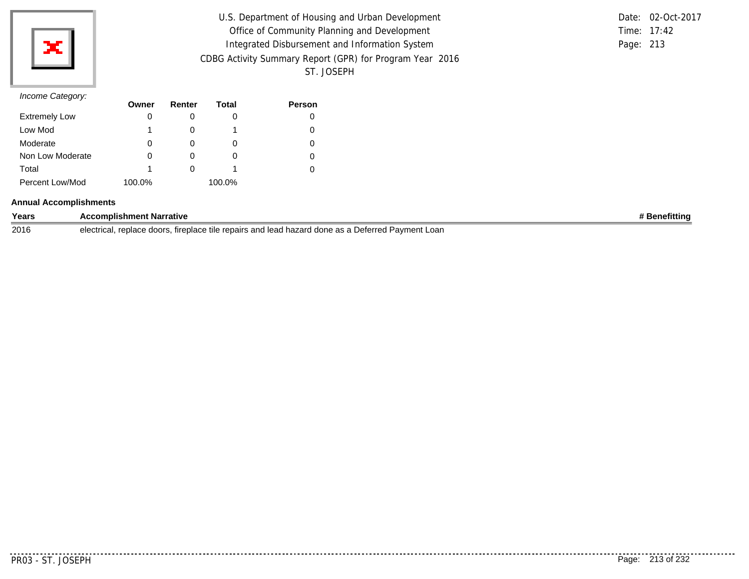

| U.S. Department of Housing and Urban Development         |           | Date: 02-Oct-2017 |
|----------------------------------------------------------|-----------|-------------------|
| Office of Community Planning and Development             |           | Time: 17:42       |
| Integrated Disbursement and Information System           | Page: 213 |                   |
| CDBG Activity Summary Report (GPR) for Program Year 2016 |           |                   |
| ST. JOSEPH                                               |           |                   |

|           | Date: 02-Oct-2017 |
|-----------|-------------------|
|           | Time: $17:42$     |
| Page: 213 |                   |

|                      | Owner  | Renter | Total  | <b>Person</b> |
|----------------------|--------|--------|--------|---------------|
| <b>Extremely Low</b> |        |        | O      |               |
| Low Mod              |        |        |        |               |
| Moderate             | O      |        | O      |               |
| Non Low Moderate     |        |        | O      |               |
| Total                |        |        |        |               |
| Percent Low/Mod      | 100.0% |        | 100.0% |               |

### **Annual Accomplishments**

| Years | <b>Accomplishment Narrative</b>                                                                                                          | Benefittina |
|-------|------------------------------------------------------------------------------------------------------------------------------------------|-------------|
| 2016  | irs and lead hazard done as a Deferred I<br>Pavment Loan<br>replace<br>: doors.<br>. fireplace tile repairs<br>AlActrical<br>electrical. |             |

<u>..........</u>.

. . . . . . . . . .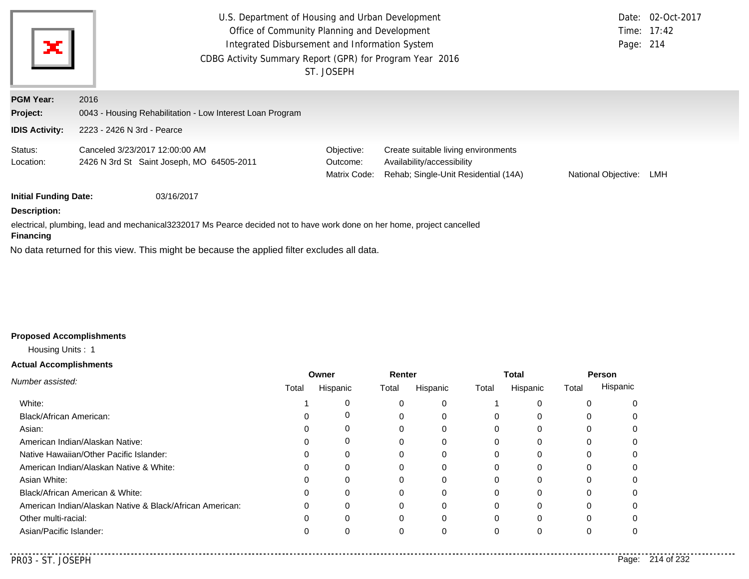| ×                            | U.S. Department of Housing and Urban Development<br>Office of Community Planning and Development<br>Integrated Disbursement and Information System<br>CDBG Activity Summary Report (GPR) for Program Year 2016 | ST. JOSEPH                             |                                                                                                           | Page: 214           | Date: 02-Oct-2017<br>Time: 17:42 |
|------------------------------|----------------------------------------------------------------------------------------------------------------------------------------------------------------------------------------------------------------|----------------------------------------|-----------------------------------------------------------------------------------------------------------|---------------------|----------------------------------|
| <b>PGM Year:</b>             | 2016                                                                                                                                                                                                           |                                        |                                                                                                           |                     |                                  |
| Project:                     | 0043 - Housing Rehabilitation - Low Interest Loan Program                                                                                                                                                      |                                        |                                                                                                           |                     |                                  |
| <b>IDIS Activity:</b>        | 2223 - 2426 N 3rd - Pearce                                                                                                                                                                                     |                                        |                                                                                                           |                     |                                  |
| Status:<br>Location:         | Canceled 3/23/2017 12:00:00 AM<br>2426 N 3rd St Saint Joseph, MO 64505-2011                                                                                                                                    | Objective:<br>Outcome:<br>Matrix Code: | Create suitable living environments<br>Availability/accessibility<br>Rehab; Single-Unit Residential (14A) | National Objective: | LMH                              |
| <b>Initial Funding Date:</b> | 03/16/2017                                                                                                                                                                                                     |                                        |                                                                                                           |                     |                                  |
| <b>Description:</b>          |                                                                                                                                                                                                                |                                        |                                                                                                           |                     |                                  |
| <b>Financing</b>             | electrical, plumbing, lead and mechanical3232017 Ms Pearce decided not to have work done on her home, project cancelled                                                                                        |                                        |                                                                                                           |                     |                                  |
|                              | No data returned for this view. This might be because the applied filter excludes all data.                                                                                                                    |                                        |                                                                                                           |                     |                                  |

# **Proposed Accomplishments**

Housing Units : 1

### **Actual Accomplishments**

|                                                          |              | Owner    | Renter |          |          | <b>Total</b> | <b>Person</b> |          |  |
|----------------------------------------------------------|--------------|----------|--------|----------|----------|--------------|---------------|----------|--|
| Number assisted:                                         | Total        | Hispanic | Total  | Hispanic | Total    | Hispanic     | Total         | Hispanic |  |
| White:                                                   |              |          |        |          |          |              | $\Omega$      |          |  |
| Black/African American:                                  |              |          |        |          | 0        |              | 0             |          |  |
| Asian:                                                   |              |          |        |          |          |              |               |          |  |
| American Indian/Alaskan Native:                          |              |          |        |          | 0        |              | 0             |          |  |
| Native Hawaiian/Other Pacific Islander:                  | $\Omega$     | 0        |        |          | $\Omega$ |              | 0             |          |  |
| American Indian/Alaskan Native & White:                  | 0            | 0        | 0      | 0        | 0        |              | 0             |          |  |
| Asian White:                                             |              |          |        |          |          |              |               |          |  |
| Black/African American & White:                          |              |          |        |          | 0        |              |               |          |  |
| American Indian/Alaskan Native & Black/African American: | $\Omega$     |          |        |          |          |              | 0             |          |  |
| Other multi-racial:                                      | <sup>0</sup> |          | ი      | $\Omega$ | $\Omega$ |              | 0             |          |  |
| Asian/Pacific Islander:                                  |              |          |        |          | 0        |              |               |          |  |
|                                                          |              |          |        |          |          |              |               |          |  |

--------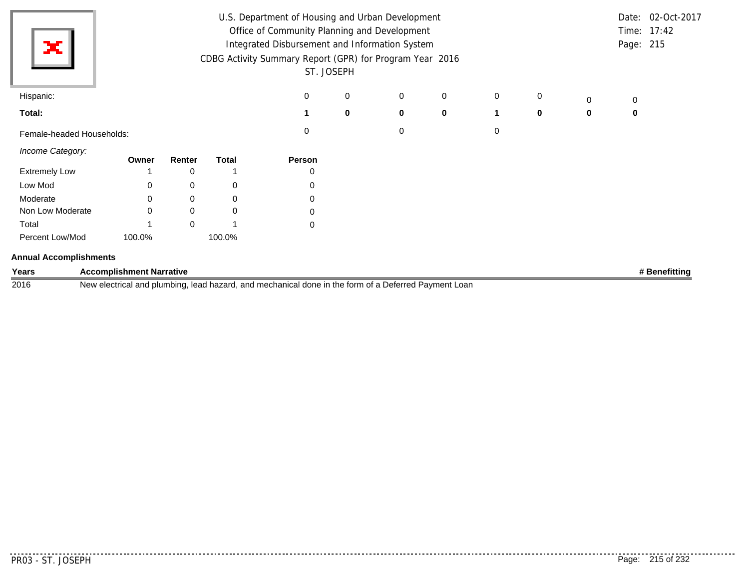|                               |                                                |          |              | U.S. Department of Housing and Urban Development         |             |   |   |   |          |   |             | Date: 02-Oct-2017 |
|-------------------------------|------------------------------------------------|----------|--------------|----------------------------------------------------------|-------------|---|---|---|----------|---|-------------|-------------------|
|                               | Office of Community Planning and Development   |          |              |                                                          |             |   |   |   |          |   |             | Time: 17:42       |
| ×                             | Integrated Disbursement and Information System |          |              |                                                          |             |   |   |   |          |   |             | Page: 215         |
|                               |                                                |          |              | CDBG Activity Summary Report (GPR) for Program Year 2016 |             |   |   |   |          |   |             |                   |
|                               |                                                |          |              |                                                          | ST. JOSEPH  |   |   |   |          |   |             |                   |
| Hispanic:                     |                                                |          |              | 0                                                        | $\mathbf 0$ | 0 | 0 | 0 | 0        | 0 | 0           |                   |
| Total:                        |                                                |          |              |                                                          | $\mathbf 0$ | 0 | 0 |   | $\bf{0}$ | 0 | $\mathbf 0$ |                   |
| Female-headed Households:     |                                                |          |              | 0                                                        |             | 0 |   | 0 |          |   |             |                   |
| Income Category:              | Owner                                          | Renter   | <b>Total</b> | Person                                                   |             |   |   |   |          |   |             |                   |
| <b>Extremely Low</b>          |                                                | 0        |              | 0                                                        |             |   |   |   |          |   |             |                   |
| Low Mod                       | 0                                              | 0        | 0            | 0                                                        |             |   |   |   |          |   |             |                   |
| Moderate                      | 0                                              | 0        | 0            | 0                                                        |             |   |   |   |          |   |             |                   |
| Non Low Moderate              | $\Omega$                                       | 0        | $\pmb{0}$    | 0                                                        |             |   |   |   |          |   |             |                   |
| Total                         |                                                | $\Omega$ |              | $\mathbf 0$                                              |             |   |   |   |          |   |             |                   |
| Percent Low/Mod               | 100.0%                                         |          | 100.0%       |                                                          |             |   |   |   |          |   |             |                   |
| <b>Annual Accomplishments</b> |                                                |          |              |                                                          |             |   |   |   |          |   |             |                   |

| Years | <b>Accomplishment Narrative</b>                                                                            | ⊧ Benefittinɑ |
|-------|------------------------------------------------------------------------------------------------------------|---------------|
| 2016  | l, lead hazard, and mechanical done in the form of a Deferred Payment Loan<br>New electrical and plumbing, |               |

 $- - - - - -$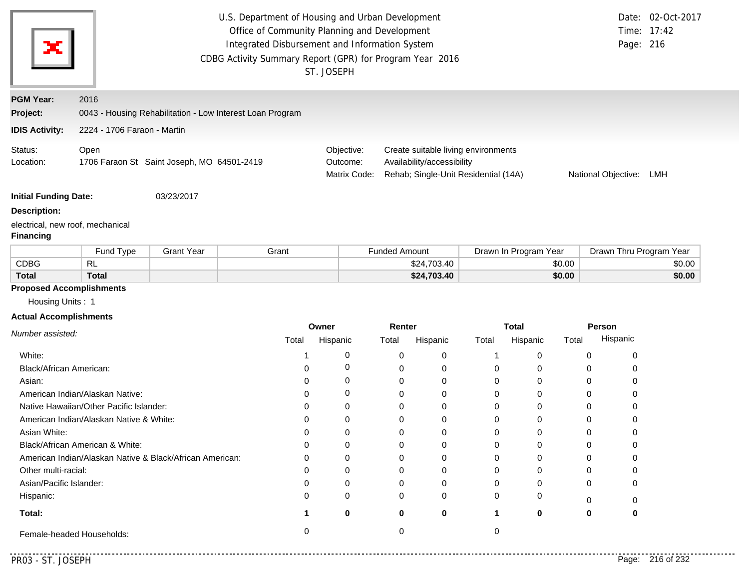| ×                                                                                                        |                                         |                                                          | U.S. Department of Housing and Urban Development<br>Office of Community Planning and Development<br>Integrated Disbursement and Information System<br>CDBG Activity Summary Report (GPR) for Program Year 2016 |                                                                                                                                                     | ST. JOSEPH |                      |             |              |                       |        | Page: 216                  | Date: 02-Oct-2017<br>Time: 17:42 |  |
|----------------------------------------------------------------------------------------------------------|-----------------------------------------|----------------------------------------------------------|----------------------------------------------------------------------------------------------------------------------------------------------------------------------------------------------------------------|-----------------------------------------------------------------------------------------------------------------------------------------------------|------------|----------------------|-------------|--------------|-----------------------|--------|----------------------------|----------------------------------|--|
| <b>PGM Year:</b>                                                                                         | 2016                                    |                                                          |                                                                                                                                                                                                                |                                                                                                                                                     |            |                      |             |              |                       |        |                            |                                  |  |
| Project:                                                                                                 |                                         |                                                          | 0043 - Housing Rehabilitation - Low Interest Loan Program                                                                                                                                                      |                                                                                                                                                     |            |                      |             |              |                       |        |                            |                                  |  |
| <b>IDIS Activity:</b>                                                                                    | 2224 - 1706 Faraon - Martin             |                                                          |                                                                                                                                                                                                                |                                                                                                                                                     |            |                      |             |              |                       |        |                            |                                  |  |
| Status:<br>Location:                                                                                     | Open                                    | 1706 Faraon St Saint Joseph, MO 64501-2419               |                                                                                                                                                                                                                | Create suitable living environments<br>Objective:<br>Outcome:<br>Availability/accessibility<br>Rehab; Single-Unit Residential (14A)<br>Matrix Code: |            |                      |             |              |                       |        | National Objective:<br>LMH |                                  |  |
| <b>Initial Funding Date:</b>                                                                             |                                         | 03/23/2017                                               |                                                                                                                                                                                                                |                                                                                                                                                     |            |                      |             |              |                       |        |                            |                                  |  |
| <b>Description:</b>                                                                                      |                                         |                                                          |                                                                                                                                                                                                                |                                                                                                                                                     |            |                      |             |              |                       |        |                            |                                  |  |
| electrical, new roof, mechanical<br><b>Financing</b>                                                     |                                         |                                                          |                                                                                                                                                                                                                |                                                                                                                                                     |            |                      |             |              |                       |        |                            |                                  |  |
|                                                                                                          | Fund Type                               | <b>Grant Year</b>                                        | Grant                                                                                                                                                                                                          |                                                                                                                                                     |            | <b>Funded Amount</b> |             |              | Drawn In Program Year |        | Drawn Thru Program Year    |                                  |  |
| <b>CDBG</b>                                                                                              | <b>RL</b>                               |                                                          |                                                                                                                                                                                                                |                                                                                                                                                     |            |                      | \$24,703.40 |              |                       | \$0.00 |                            | \$0.00                           |  |
| <b>Total</b>                                                                                             | <b>Total</b>                            |                                                          |                                                                                                                                                                                                                |                                                                                                                                                     |            |                      | \$24,703.40 |              |                       | \$0.00 |                            | \$0.00                           |  |
| <b>Proposed Accomplishments</b><br>Housing Units: 1<br><b>Actual Accomplishments</b><br>Number assisted: |                                         |                                                          |                                                                                                                                                                                                                |                                                                                                                                                     | Owner      | Renter               |             |              | <b>Total</b>          |        | Person                     |                                  |  |
|                                                                                                          |                                         |                                                          | Total                                                                                                                                                                                                          |                                                                                                                                                     | Hispanic   | Total                | Hispanic    | Total        | Hispanic              | Total  | Hispanic                   |                                  |  |
| White:                                                                                                   |                                         |                                                          |                                                                                                                                                                                                                | -1                                                                                                                                                  | 0          | 0                    | 0           | $\mathbf{1}$ | 0                     |        | 0<br>0                     |                                  |  |
| Black/African American:                                                                                  |                                         |                                                          |                                                                                                                                                                                                                | ∩                                                                                                                                                   | 0          |                      |             |              |                       |        | 0<br>0                     |                                  |  |
|                                                                                                          |                                         |                                                          |                                                                                                                                                                                                                |                                                                                                                                                     |            | 0                    | 0           | 0            | 0                     |        |                            |                                  |  |
| Asian:                                                                                                   |                                         |                                                          |                                                                                                                                                                                                                | 0                                                                                                                                                   | 0          | 0                    | 0           | 0            | 0                     |        | 0<br>0                     |                                  |  |
|                                                                                                          | American Indian/Alaskan Native:         |                                                          |                                                                                                                                                                                                                | 0                                                                                                                                                   | 0          | 0                    | 0           | 0            | 0                     |        | $\Omega$<br>0              |                                  |  |
|                                                                                                          | Native Hawaiian/Other Pacific Islander: |                                                          |                                                                                                                                                                                                                | 0                                                                                                                                                   | 0          | 0                    | 0           | 0            | 0                     |        | 0<br>0                     |                                  |  |
|                                                                                                          | American Indian/Alaskan Native & White: |                                                          |                                                                                                                                                                                                                | $\Omega$                                                                                                                                            | 0          | 0                    | 0           | 0            | 0                     |        | 0<br>0                     |                                  |  |
| Asian White:                                                                                             |                                         |                                                          |                                                                                                                                                                                                                | 0                                                                                                                                                   | $\Omega$   | 0                    | 0           | 0            | 0                     |        | $\Omega$<br>0              |                                  |  |
|                                                                                                          | Black/African American & White:         |                                                          |                                                                                                                                                                                                                |                                                                                                                                                     | O          | 0                    | 0           | 0            | 0                     |        | 0                          |                                  |  |
|                                                                                                          |                                         | American Indian/Alaskan Native & Black/African American: |                                                                                                                                                                                                                |                                                                                                                                                     | $\Omega$   | 0                    | 0           | 0            | 0                     |        | 0<br>0                     |                                  |  |
| Other multi-racial:                                                                                      |                                         |                                                          |                                                                                                                                                                                                                |                                                                                                                                                     | 0          |                      | 0           | 0            | 0                     |        |                            |                                  |  |
| Asian/Pacific Islander:                                                                                  |                                         |                                                          |                                                                                                                                                                                                                |                                                                                                                                                     | 0          |                      | 0           |              |                       |        | $\Omega$                   |                                  |  |
| Hispanic:                                                                                                |                                         |                                                          |                                                                                                                                                                                                                |                                                                                                                                                     | 0          |                      | 0           | 0            |                       |        | 0                          |                                  |  |
| Total:                                                                                                   |                                         |                                                          |                                                                                                                                                                                                                |                                                                                                                                                     | 0          | 0                    | 0           | 1            | $\bf{0}$              |        | 0<br>0                     |                                  |  |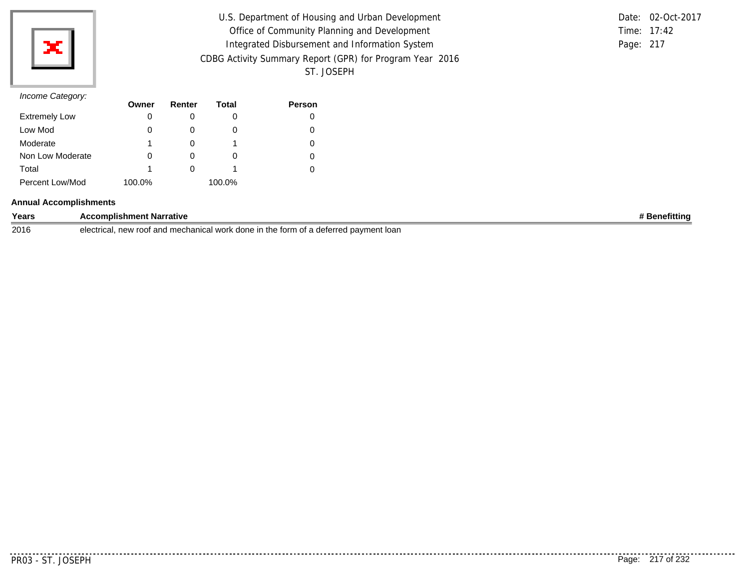

| U.S. Department of Housing and Urban Development         |           | Date: 02-Oct-2017 |
|----------------------------------------------------------|-----------|-------------------|
| Office of Community Planning and Development             |           | Time: 17:42       |
| Integrated Disbursement and Information System           | Page: 217 |                   |
| CDBG Activity Summary Report (GPR) for Program Year 2016 |           |                   |
| ST. JOSEPH                                               |           |                   |

|           | Date: 02-Oct-2017 |
|-----------|-------------------|
|           | Time: $17:42$     |
| Page: 217 |                   |

# *Income Category:*

|                      | Owner  | Renter | Total  | <b>Person</b> |
|----------------------|--------|--------|--------|---------------|
| <b>Extremely Low</b> | 0      |        | O      |               |
| Low Mod              |        |        | O      |               |
| Moderate             |        |        |        |               |
| Non Low Moderate     |        |        | O      |               |
| Total                |        |        |        |               |
| Percent Low/Mod      | 100.0% |        | 100.0% |               |

### **Annual Accomplishments**

| Years | <b>Narrative</b><br>≀mplishme<br>ent                                                                                                               | <br>nefittinc |
|-------|----------------------------------------------------------------------------------------------------------------------------------------------------|---------------|
| 2016  | electrical<br>$n \triangle M$<br>th<br>torm.<br>. Ioar<br>ano<br>done<br>. 111 <sup>o</sup><br>. r∩∩≠<br>' pavmei<br>.erreo<br>Я<br>$\blacksquare$ |               |

<u>. . . . . . .</u> .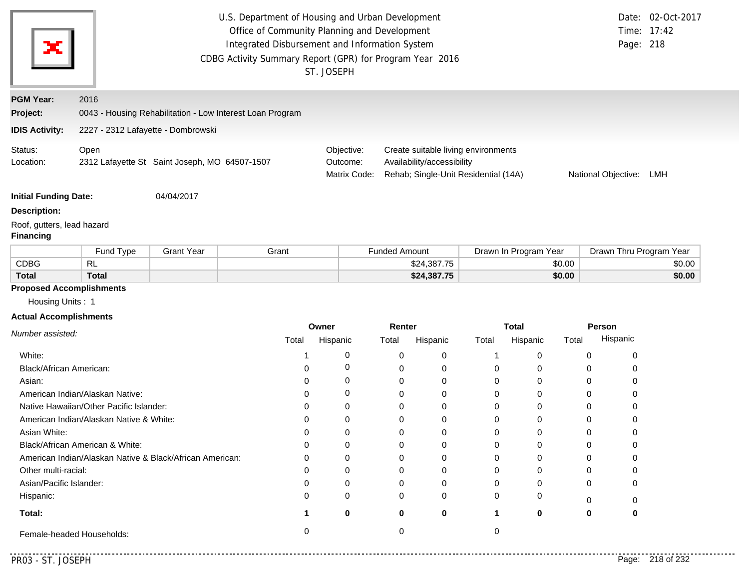|                                                |                                                          |                                                                                                | U.S. Department of Housing and Urban Development          |            |                                                                    |                                     |        |                       |                     |                         | Date: 02-Oct-2017 |
|------------------------------------------------|----------------------------------------------------------|------------------------------------------------------------------------------------------------|-----------------------------------------------------------|------------|--------------------------------------------------------------------|-------------------------------------|--------|-----------------------|---------------------|-------------------------|-------------------|
|                                                |                                                          | Office of Community Planning and Development<br>Integrated Disbursement and Information System |                                                           |            |                                                                    |                                     |        |                       |                     |                         | Time: 17:42       |
| х                                              |                                                          |                                                                                                |                                                           |            |                                                                    |                                     |        |                       |                     | Page: 218               |                   |
|                                                |                                                          |                                                                                                | CDBG Activity Summary Report (GPR) for Program Year 2016  |            |                                                                    |                                     |        |                       |                     |                         |                   |
|                                                |                                                          |                                                                                                |                                                           | ST. JOSEPH |                                                                    |                                     |        |                       |                     |                         |                   |
| <b>PGM Year:</b>                               | 2016                                                     |                                                                                                |                                                           |            |                                                                    |                                     |        |                       |                     |                         |                   |
| Project:                                       |                                                          |                                                                                                | 0043 - Housing Rehabilitation - Low Interest Loan Program |            |                                                                    |                                     |        |                       |                     |                         |                   |
| <b>IDIS Activity:</b>                          | 2227 - 2312 Lafayette - Dombrowski                       |                                                                                                |                                                           |            |                                                                    |                                     |        |                       |                     |                         |                   |
| Status:                                        | Open                                                     |                                                                                                |                                                           | Objective: |                                                                    | Create suitable living environments |        |                       |                     |                         |                   |
| Location:                                      | 2312 Lafayette St Saint Joseph, MO 64507-1507            |                                                                                                | Outcome:<br>Matrix Code:                                  |            | Availability/accessibility<br>Rehab; Single-Unit Residential (14A) |                                     |        |                       | National Objective: | LMH                     |                   |
| <b>Initial Funding Date:</b>                   |                                                          | 04/04/2017                                                                                     |                                                           |            |                                                                    |                                     |        |                       |                     |                         |                   |
| <b>Description:</b>                            |                                                          |                                                                                                |                                                           |            |                                                                    |                                     |        |                       |                     |                         |                   |
| Roof, gutters, lead hazard<br><b>Financing</b> |                                                          |                                                                                                |                                                           |            |                                                                    |                                     |        |                       |                     |                         |                   |
|                                                | Fund Type                                                | <b>Grant Year</b>                                                                              | Grant                                                     |            | <b>Funded Amount</b>                                               |                                     |        | Drawn In Program Year |                     | Drawn Thru Program Year |                   |
| <b>CDBG</b>                                    | <b>RL</b>                                                |                                                                                                |                                                           |            |                                                                    | \$24,387.75                         |        |                       | \$0.00              |                         | \$0.00            |
| <b>Total</b>                                   | <b>Total</b>                                             |                                                                                                |                                                           |            |                                                                    | \$24,387.75                         |        |                       | \$0.00              |                         | \$0.00            |
|                                                | <b>Proposed Accomplishments</b>                          |                                                                                                |                                                           |            |                                                                    |                                     |        |                       |                     |                         |                   |
| Housing Units: 1                               |                                                          |                                                                                                |                                                           |            |                                                                    |                                     |        |                       |                     |                         |                   |
| <b>Actual Accomplishments</b>                  |                                                          |                                                                                                |                                                           |            |                                                                    |                                     |        |                       |                     |                         |                   |
| Number assisted:                               |                                                          |                                                                                                |                                                           | Owner      | Renter                                                             |                                     |        | <b>Total</b>          |                     | Person                  |                   |
|                                                |                                                          |                                                                                                | Total                                                     | Hispanic   | Total                                                              | Hispanic                            | Total  | Hispanic              | Total               | Hispanic                |                   |
| White:                                         |                                                          |                                                                                                | -1                                                        | 0          | 0                                                                  | 0                                   | -1     | 0                     | 0                   | 0                       |                   |
| Black/African American:                        |                                                          |                                                                                                | 0                                                         | 0          | 0                                                                  | 0                                   | 0      | 0                     | 0                   | 0                       |                   |
| Asian:                                         | American Indian/Alaskan Native:                          |                                                                                                | 0                                                         | 0<br>0     | 0                                                                  | 0                                   | 0      | 0                     | 0                   | 0                       |                   |
|                                                | Native Hawaiian/Other Pacific Islander:                  |                                                                                                | 0<br>O                                                    | 0          | 0<br>0                                                             | 0<br>0                              | 0<br>0 | 0<br>0                | 0<br>0              | 0<br>0                  |                   |
|                                                | American Indian/Alaskan Native & White:                  |                                                                                                | 0                                                         | 0          | 0                                                                  | 0                                   | 0      | 0                     | 0                   | 0                       |                   |
| Asian White:                                   |                                                          |                                                                                                | 0                                                         | 0          | 0                                                                  | 0                                   | 0      | 0                     | 0                   | 0                       |                   |
|                                                | Black/African American & White:                          |                                                                                                | 0                                                         | $\Omega$   | 0                                                                  | 0                                   | 0      | 0                     | 0                   | 0                       |                   |
|                                                | American Indian/Alaskan Native & Black/African American: |                                                                                                | $\Omega$                                                  | $\Omega$   | 0                                                                  | 0                                   | 0      | 0                     | 0                   | 0                       |                   |
| Other multi-racial:                            |                                                          |                                                                                                | $\Omega$                                                  | 0          | 0                                                                  | 0                                   | 0      | 0                     | 0                   | 0                       |                   |
| Asian/Pacific Islander:                        |                                                          |                                                                                                | 0                                                         | 0          | 0                                                                  | 0                                   | 0      | 0                     | 0                   | 0                       |                   |
| Hispanic:                                      |                                                          |                                                                                                | $\Omega$                                                  | 0          | 0                                                                  | 0                                   | 0      | 0                     | 0                   | 0                       |                   |
| Total:                                         |                                                          |                                                                                                |                                                           | 0          | 0                                                                  | 0                                   | 1      | $\bf{0}$              | 0                   | 0                       |                   |
|                                                | Female-headed Households:                                |                                                                                                | 0                                                         |            | $\mathbf 0$                                                        |                                     | 0      |                       |                     |                         |                   |
|                                                |                                                          |                                                                                                |                                                           |            |                                                                    |                                     |        |                       |                     |                         |                   |
| PR03 - ST. JOSEPH                              |                                                          |                                                                                                |                                                           |            |                                                                    |                                     |        |                       |                     |                         | Page: 218 of 232  |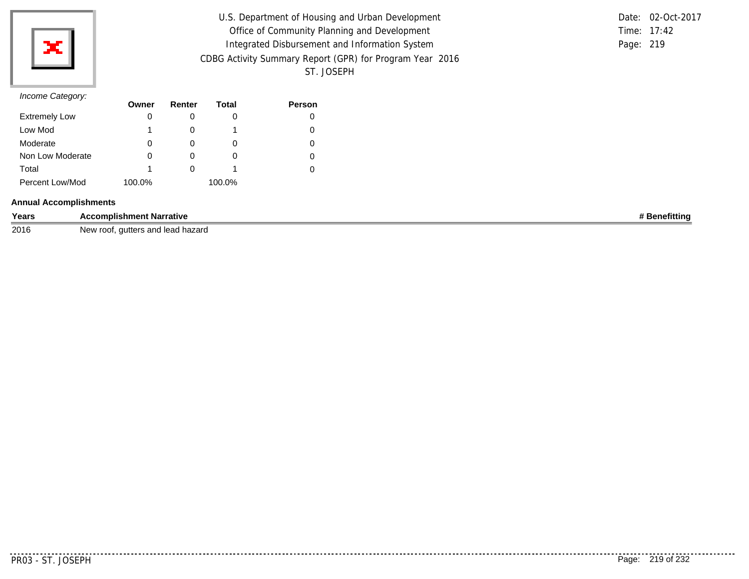

| U.S. Department of Housing and Urban Development         |           | Date: 02-Oct-2017 |
|----------------------------------------------------------|-----------|-------------------|
| Office of Community Planning and Development             |           | Time: 17:42       |
| Integrated Disbursement and Information System           | Page: 219 |                   |
| CDBG Activity Summary Report (GPR) for Program Year 2016 |           |                   |
| ST. JOSEPH                                               |           |                   |

# *Income Category:*

| $11001110$ catogory. | Owner  | Renter | Total  | <b>Person</b> |
|----------------------|--------|--------|--------|---------------|
| <b>Extremely Low</b> | 0      |        |        |               |
| Low Mod              | 1      |        |        |               |
| Moderate             | 0      |        | O      |               |
| Non Low Moderate     | 0      | O      | O      |               |
| Total                | 1      |        |        |               |
| Percent Low/Mod      | 100.0% |        | 100.0% |               |

## **Annual Accomplishments**

| Years | :complis<br>.ishment Narrative<br>n ~,                            | efittina<br>~~ |
|-------|-------------------------------------------------------------------|----------------|
| 2016  | l lead hazard<br>. autter<br>and<br>، ۱٬۰۰۰<br>∵root<br>'yew<br>. |                |

. . . . . . . . . . .

. . . . . . . . . . . .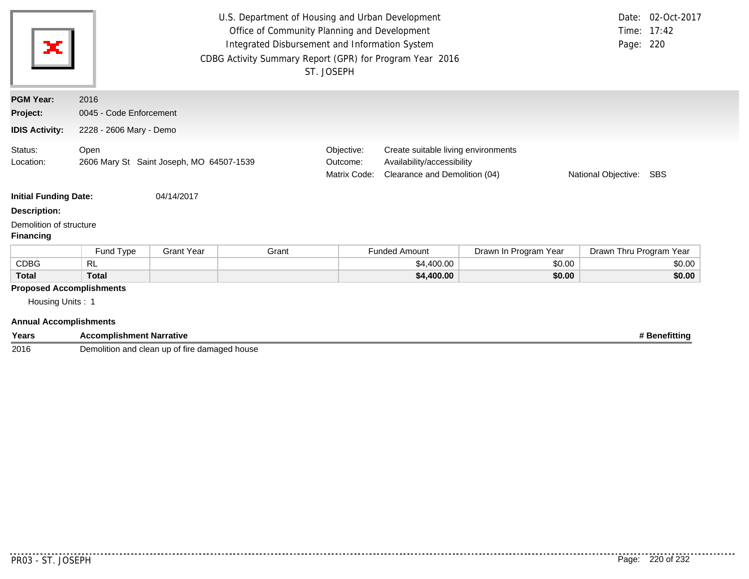| ×                                                                                    | U.S. Department of Housing and Urban Development<br>Date: 02-Oct-2017<br>Office of Community Planning and Development<br>Time: 17:42<br>Integrated Disbursement and Information System<br>Page: 220<br>CDBG Activity Summary Report (GPR) for Program Year 2016<br>ST. JOSEPH |                                          |       |                                        |                                                                                                                                  |                       |                         |        |  |
|--------------------------------------------------------------------------------------|-------------------------------------------------------------------------------------------------------------------------------------------------------------------------------------------------------------------------------------------------------------------------------|------------------------------------------|-------|----------------------------------------|----------------------------------------------------------------------------------------------------------------------------------|-----------------------|-------------------------|--------|--|
| <b>PGM Year:</b>                                                                     | 2016                                                                                                                                                                                                                                                                          |                                          |       |                                        |                                                                                                                                  |                       |                         |        |  |
| Project:                                                                             | 0045 - Code Enforcement                                                                                                                                                                                                                                                       |                                          |       |                                        |                                                                                                                                  |                       |                         |        |  |
| <b>IDIS Activity:</b>                                                                | 2228 - 2606 Mary - Demo                                                                                                                                                                                                                                                       |                                          |       |                                        |                                                                                                                                  |                       |                         |        |  |
| Status:<br>Location:                                                                 | Open                                                                                                                                                                                                                                                                          | 2606 Mary St Saint Joseph, MO 64507-1539 |       | Objective:<br>Outcome:<br>Matrix Code: | Create suitable living environments<br>Availability/accessibility<br>Clearance and Demolition (04)<br>National Objective:<br>SBS |                       |                         |        |  |
| <b>Initial Funding Date:</b>                                                         |                                                                                                                                                                                                                                                                               | 04/14/2017                               |       |                                        |                                                                                                                                  |                       |                         |        |  |
| <b>Description:</b>                                                                  |                                                                                                                                                                                                                                                                               |                                          |       |                                        |                                                                                                                                  |                       |                         |        |  |
| Demolition of structure<br><b>Financing</b>                                          |                                                                                                                                                                                                                                                                               |                                          |       |                                        |                                                                                                                                  |                       |                         |        |  |
|                                                                                      | Fund Type                                                                                                                                                                                                                                                                     | <b>Grant Year</b>                        | Grant |                                        | <b>Funded Amount</b>                                                                                                             | Drawn In Program Year | Drawn Thru Program Year |        |  |
| <b>CDBG</b>                                                                          | RL                                                                                                                                                                                                                                                                            |                                          |       |                                        | \$4,400.00                                                                                                                       | \$0.00                |                         | \$0.00 |  |
| <b>Total</b>                                                                         | <b>Total</b>                                                                                                                                                                                                                                                                  |                                          |       |                                        | \$4,400.00                                                                                                                       | \$0.00                |                         | \$0.00 |  |
| <b>Proposed Accomplishments</b><br>Housing Units: 1<br><b>Annual Accomplishments</b> |                                                                                                                                                                                                                                                                               |                                          |       |                                        |                                                                                                                                  |                       |                         |        |  |

| Years | <b>Accomplishment Narrative</b>               | <b>Benefitting</b> |
|-------|-----------------------------------------------|--------------------|
| 2016  | Demolition and clean up of fire damaged house |                    |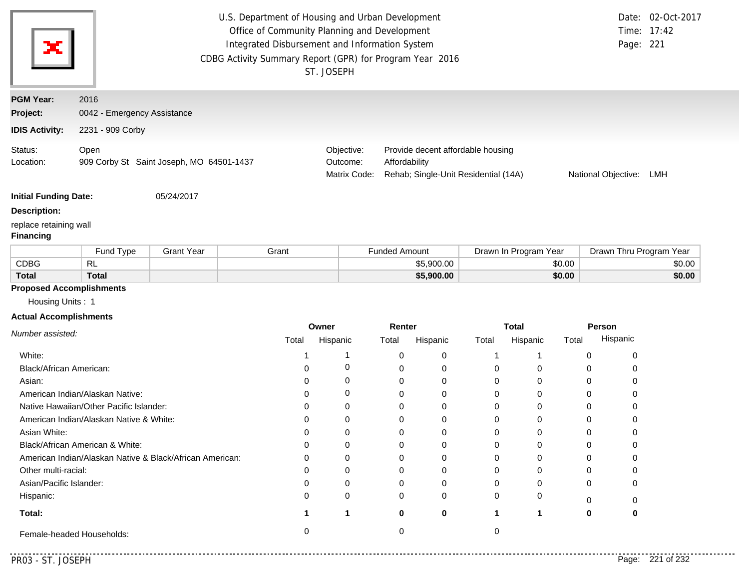|                                            |                                                  |                   | U.S. Department of Housing and Urban Development<br>Office of Community Planning and Development<br>Integrated Disbursement and Information System<br>CDBG Activity Summary Report (GPR) for Program Year 2016 | ST. JOSEPH |                                                                                                                                      |                      |             |          |                       |        | Page: 221               | Date: 02-Oct-2017<br>Time: 17:42 |
|--------------------------------------------|--------------------------------------------------|-------------------|----------------------------------------------------------------------------------------------------------------------------------------------------------------------------------------------------------------|------------|--------------------------------------------------------------------------------------------------------------------------------------|----------------------|-------------|----------|-----------------------|--------|-------------------------|----------------------------------|
| <b>PGM Year:</b>                           | 2016                                             |                   |                                                                                                                                                                                                                |            |                                                                                                                                      |                      |             |          |                       |        |                         |                                  |
| Project:                                   | 0042 - Emergency Assistance                      |                   |                                                                                                                                                                                                                |            |                                                                                                                                      |                      |             |          |                       |        |                         |                                  |
| <b>IDIS Activity:</b>                      | 2231 - 909 Corby                                 |                   |                                                                                                                                                                                                                |            |                                                                                                                                      |                      |             |          |                       |        |                         |                                  |
| Status:<br>Location:                       | Open<br>909 Corby St Saint Joseph, MO 64501-1437 |                   |                                                                                                                                                                                                                |            | Objective:<br>Provide decent affordable housing<br>Affordability<br>Outcome:<br>Matrix Code:<br>Rehab; Single-Unit Residential (14A) |                      |             |          |                       |        | National Objective:     | LMH                              |
| <b>Initial Funding Date:</b>               |                                                  | 05/24/2017        |                                                                                                                                                                                                                |            |                                                                                                                                      |                      |             |          |                       |        |                         |                                  |
| <b>Description:</b>                        |                                                  |                   |                                                                                                                                                                                                                |            |                                                                                                                                      |                      |             |          |                       |        |                         |                                  |
| replace retaining wall<br><b>Financing</b> |                                                  |                   |                                                                                                                                                                                                                |            |                                                                                                                                      |                      |             |          |                       |        |                         |                                  |
|                                            | Fund Type                                        | <b>Grant Year</b> | Grant                                                                                                                                                                                                          |            |                                                                                                                                      | <b>Funded Amount</b> |             |          | Drawn In Program Year |        | Drawn Thru Program Year |                                  |
| <b>CDBG</b>                                | RL                                               |                   |                                                                                                                                                                                                                |            |                                                                                                                                      |                      | \$5,900.00  |          |                       | \$0.00 |                         | \$0.00                           |
| <b>Total</b>                               | <b>Total</b>                                     |                   |                                                                                                                                                                                                                |            |                                                                                                                                      |                      | \$5,900.00  |          |                       | \$0.00 |                         | \$0.00                           |
| <b>Proposed Accomplishments</b>            |                                                  |                   |                                                                                                                                                                                                                |            |                                                                                                                                      |                      |             |          |                       |        |                         |                                  |
| Housing Units: 1                           |                                                  |                   |                                                                                                                                                                                                                |            |                                                                                                                                      |                      |             |          |                       |        |                         |                                  |
| <b>Actual Accomplishments</b>              |                                                  |                   |                                                                                                                                                                                                                |            |                                                                                                                                      |                      |             |          |                       |        |                         |                                  |
| Number assisted:                           |                                                  |                   |                                                                                                                                                                                                                | Owner      |                                                                                                                                      | Renter               |             |          | <b>Total</b>          |        | Person                  |                                  |
|                                            |                                                  |                   | Total                                                                                                                                                                                                          | Hispanic   |                                                                                                                                      | Total                | Hispanic    | Total    | Hispanic              | Total  | Hispanic                |                                  |
| White:                                     |                                                  |                   | 1                                                                                                                                                                                                              | 1          |                                                                                                                                      | 0                    | 0           | 1        | -1                    |        | 0<br>0                  |                                  |
| Black/African American:                    |                                                  |                   | $\mathbf 0$                                                                                                                                                                                                    | 0          |                                                                                                                                      | 0                    | $\mathbf 0$ | 0        | $\mathbf 0$           |        | 0<br>0                  |                                  |
| Asian:<br>0                                |                                                  | 0                 |                                                                                                                                                                                                                | 0          | 0                                                                                                                                    | 0                    | $\mathbf 0$ |          | 0<br>0                |        |                         |                                  |
| American Indian/Alaskan Native:<br>0       |                                                  | 0                 |                                                                                                                                                                                                                | 0          | $\mathbf 0$                                                                                                                          | $\mathbf 0$          | $\mathbf 0$ |          | 0<br>0                |        |                         |                                  |
|                                            | Native Hawaiian/Other Pacific Islander:          |                   | $\Omega$                                                                                                                                                                                                       | 0          |                                                                                                                                      | 0                    | 0           | 0        | 0                     |        | $\mathbf 0$<br>0        |                                  |
|                                            | American Indian/Alaskan Native & White:          |                   | $\mathbf 0$                                                                                                                                                                                                    | 0          |                                                                                                                                      | 0                    | 0           | 0        | 0                     |        | $\mathbf 0$<br>0        |                                  |
| Asian White:                               |                                                  |                   | 0                                                                                                                                                                                                              | $\Omega$   |                                                                                                                                      | 0                    | 0           | 0        | 0                     |        | 0<br>0                  |                                  |
|                                            | Black/African American & White:                  |                   | $\Omega$                                                                                                                                                                                                       | $\Omega$   |                                                                                                                                      | $\Omega$             | $\Omega$    | $\Omega$ | $\Omega$              |        | $\Omega$<br>$\Omega$    |                                  |

| Black/African American & White:                          | 0 | 0 | 0 | 0 |
|----------------------------------------------------------|---|---|---|---|
| American Indian/Alaskan Native & Black/African American: | 0 | 0 | 0 | 0 |
| Other multi-racial:                                      | 0 | 0 | 0 | 0 |
| Asian/Pacific Islander:                                  | 0 | 0 | 0 | 0 |
| Hispanic:                                                | 0 |   |   | 0 |
| Total:                                                   |   | 0 | 0 |   |
| Female-headed Households:                                |   |   |   | 0 |

. . . . . . . . . . .

0

0

0

0

**0**

0

<u>. . . . . . . . . .</u>

0 0 0

0 0 0 0 **1 1 0**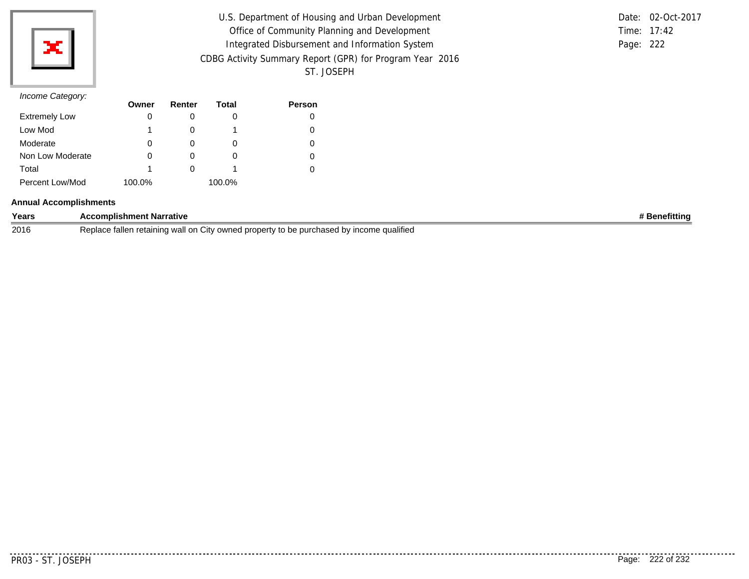

| U.S. Department of Housing and Urban Development         |           | Date: 02-Oct-2017 |
|----------------------------------------------------------|-----------|-------------------|
| Office of Community Planning and Development             |           | Time: 17:42       |
| Integrated Disbursement and Information System           | Page: 222 |                   |
| CDBG Activity Summary Report (GPR) for Program Year 2016 |           |                   |
| ST. JOSEPH                                               |           |                   |

|           | Date: 02-Oct-2017 |
|-----------|-------------------|
|           | Time: $17:42$     |
| Page: 222 |                   |

# *Income Category:*

|                      | Owner  | Renter | Total  | <b>Person</b> |
|----------------------|--------|--------|--------|---------------|
| <b>Extremely Low</b> | O      |        | 0      | 0             |
| Low Mod              |        |        |        | 0             |
| Moderate             | O      |        | 0      | 0             |
| Non Low Moderate     | 0      |        | O      | 0             |
| Total                |        |        |        | 0             |
| Percent Low/Mod      | 100.0% |        | 100.0% |               |

### **Annual Accomplishments**

| Years | ' Narrative<br>omplishment                                                                                                         | efittino |
|-------|------------------------------------------------------------------------------------------------------------------------------------|----------|
| 2016  | <br>tallen retaining<br>Replace<br>qualified<br>' owned pro<br>wall<br>nased bv<br>ا ات<br>∍oertv∴<br>.on<br>to be<br><b>DUILI</b> |          |

--------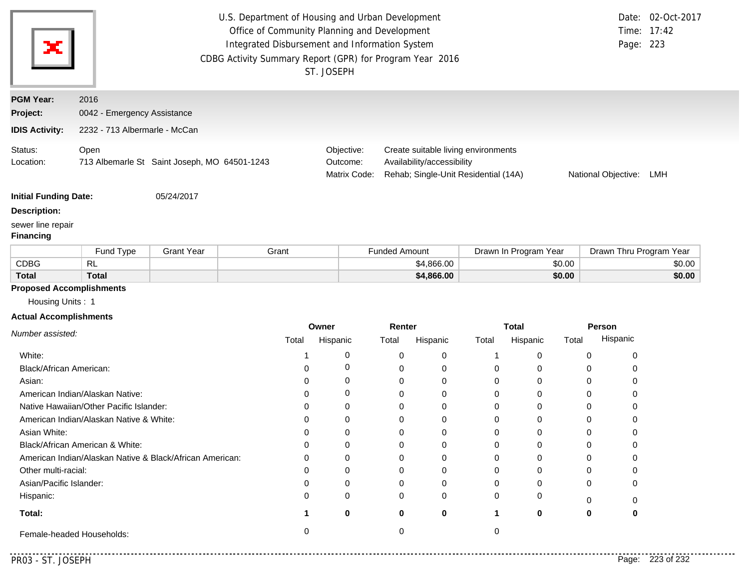|                                       |                                                          |                                              | U.S. Department of Housing and Urban Development<br>Office of Community Planning and Development<br>Integrated Disbursement and Information System<br>CDBG Activity Summary Report (GPR) for Program Year 2016 | ST. JOSEPH                             |                      |                                                                                                           |          |                       |        |                     | Date: 02-Oct-2017<br>Time: 17:42<br>Page: 223 |
|---------------------------------------|----------------------------------------------------------|----------------------------------------------|----------------------------------------------------------------------------------------------------------------------------------------------------------------------------------------------------------------|----------------------------------------|----------------------|-----------------------------------------------------------------------------------------------------------|----------|-----------------------|--------|---------------------|-----------------------------------------------|
| <b>PGM Year:</b>                      | 2016                                                     |                                              |                                                                                                                                                                                                                |                                        |                      |                                                                                                           |          |                       |        |                     |                                               |
| Project:                              | 0042 - Emergency Assistance                              |                                              |                                                                                                                                                                                                                |                                        |                      |                                                                                                           |          |                       |        |                     |                                               |
| <b>IDIS Activity:</b>                 | 2232 - 713 Albermarle - McCan                            |                                              |                                                                                                                                                                                                                |                                        |                      |                                                                                                           |          |                       |        |                     |                                               |
| Status:<br>Location:                  | Open                                                     | 713 Albemarle St Saint Joseph, MO 64501-1243 |                                                                                                                                                                                                                | Objective:<br>Outcome:<br>Matrix Code: |                      | Create suitable living environments<br>Availability/accessibility<br>Rehab; Single-Unit Residential (14A) |          |                       |        | National Objective: | LMH                                           |
| <b>Initial Funding Date:</b>          |                                                          | 05/24/2017                                   |                                                                                                                                                                                                                |                                        |                      |                                                                                                           |          |                       |        |                     |                                               |
| <b>Description:</b>                   |                                                          |                                              |                                                                                                                                                                                                                |                                        |                      |                                                                                                           |          |                       |        |                     |                                               |
| sewer line repair<br><b>Financing</b> |                                                          |                                              |                                                                                                                                                                                                                |                                        |                      |                                                                                                           |          |                       |        |                     |                                               |
|                                       | Fund Type                                                | <b>Grant Year</b>                            | Grant                                                                                                                                                                                                          |                                        | <b>Funded Amount</b> |                                                                                                           |          | Drawn In Program Year |        |                     | Drawn Thru Program Year                       |
| <b>CDBG</b>                           | RL                                                       |                                              |                                                                                                                                                                                                                |                                        |                      | \$4,866.00                                                                                                |          |                       | \$0.00 |                     | \$0.00                                        |
| <b>Total</b>                          | <b>Total</b>                                             |                                              |                                                                                                                                                                                                                |                                        |                      | \$4,866.00                                                                                                |          |                       | \$0.00 |                     | \$0.00                                        |
| <b>Proposed Accomplishments</b>       |                                                          |                                              |                                                                                                                                                                                                                |                                        |                      |                                                                                                           |          |                       |        |                     |                                               |
| Housing Units: 1                      |                                                          |                                              |                                                                                                                                                                                                                |                                        |                      |                                                                                                           |          |                       |        |                     |                                               |
| <b>Actual Accomplishments</b>         |                                                          |                                              |                                                                                                                                                                                                                |                                        |                      |                                                                                                           |          |                       |        |                     |                                               |
|                                       |                                                          |                                              |                                                                                                                                                                                                                | Owner                                  | Renter               |                                                                                                           |          | <b>Total</b>          |        | Person<br>Hispanic  |                                               |
| Number assisted:                      |                                                          |                                              |                                                                                                                                                                                                                |                                        |                      |                                                                                                           | Total    | Hispanic              | Total  |                     |                                               |
|                                       |                                                          |                                              | Total                                                                                                                                                                                                          | Hispanic                               | Total                | Hispanic                                                                                                  |          |                       |        |                     |                                               |
| White:                                |                                                          |                                              |                                                                                                                                                                                                                | 0                                      | 0                    | 0                                                                                                         | 1        | 0                     |        | 0                   | 0                                             |
| Black/African American:               |                                                          |                                              | 0                                                                                                                                                                                                              | 0                                      | 0                    | 0                                                                                                         | 0        | 0                     |        | 0                   | 0                                             |
| Asian:                                |                                                          |                                              | 0                                                                                                                                                                                                              | 0                                      | 0                    | 0                                                                                                         | 0        | 0                     |        | 0                   | 0                                             |
|                                       | American Indian/Alaskan Native:                          |                                              | 0                                                                                                                                                                                                              | 0                                      | 0                    | 0                                                                                                         | 0        | 0                     |        | 0                   | 0                                             |
|                                       | Native Hawaiian/Other Pacific Islander:                  |                                              | 0                                                                                                                                                                                                              | 0                                      | 0                    | 0                                                                                                         | 0        | 0                     |        | 0                   | 0                                             |
|                                       | American Indian/Alaskan Native & White:                  |                                              | 0                                                                                                                                                                                                              | 0                                      | 0                    | 0                                                                                                         | 0        | 0                     |        | 0                   | 0                                             |
| Asian White:                          |                                                          |                                              | $\Omega$                                                                                                                                                                                                       | $\Omega$                               | $\Omega$             | 0                                                                                                         | $\Omega$ | 0                     |        | $\Omega$            | $\Omega$                                      |
|                                       | Black/African American & White:                          |                                              | O                                                                                                                                                                                                              | 0                                      | 0                    | 0                                                                                                         | 0        | 0                     |        | 0                   | 0                                             |
|                                       | American Indian/Alaskan Native & Black/African American: |                                              |                                                                                                                                                                                                                | 0                                      | 0                    | 0                                                                                                         | 0        | 0                     |        | 0                   | 0                                             |
| Other multi-racial:                   |                                                          |                                              | 0                                                                                                                                                                                                              | 0                                      | 0                    | 0                                                                                                         | 0        | 0                     |        | 0                   | 0                                             |
| Asian/Pacific Islander:               |                                                          |                                              | 0                                                                                                                                                                                                              | 0                                      | 0                    | 0                                                                                                         | 0        | 0                     |        | 0                   | 0                                             |
| Hispanic:                             |                                                          |                                              | 0                                                                                                                                                                                                              | $\Omega$                               | 0                    | 0                                                                                                         | 0        | 0                     |        | 0                   | 0                                             |
| Total:                                |                                                          |                                              | 1                                                                                                                                                                                                              | $\mathbf 0$                            | $\mathbf 0$          | 0                                                                                                         | 1        | 0                     |        | 0                   | 0                                             |

. . . . . .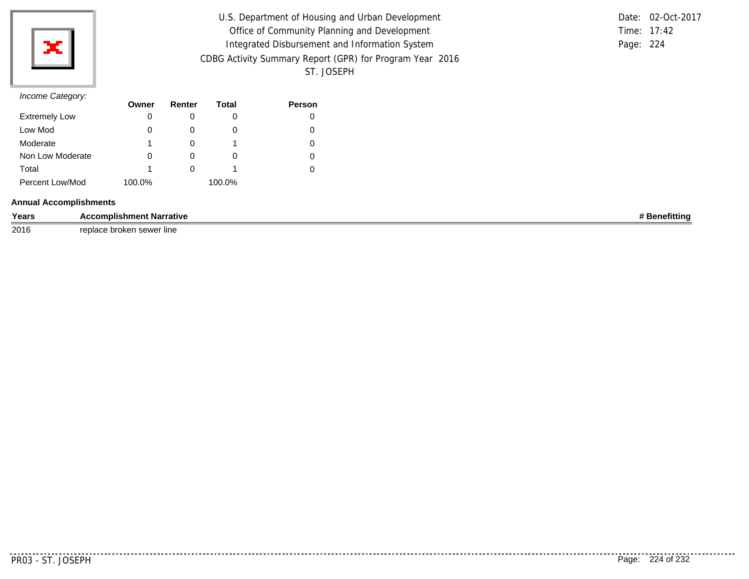

| U.S. Department of Housing and Urban Development         |           | Date: 02-Oct-2017 |
|----------------------------------------------------------|-----------|-------------------|
| Office of Community Planning and Development             |           | Time: 17:42       |
| Integrated Disbursement and Information System           | Page: 224 |                   |
| CDBG Activity Summary Report (GPR) for Program Year 2016 |           |                   |
| ST. JOSEPH                                               |           |                   |

# *Income Category:*

| <i><b>INTO DUCTION</b></i> | Owner  | Renter   | Total  | <b>Person</b> |
|----------------------------|--------|----------|--------|---------------|
| <b>Extremely Low</b>       | 0      |          |        |               |
| Low Mod                    | 0      |          | O      |               |
| Moderate                   |        | $\Omega$ |        |               |
| Non Low Moderate           | 0      | $\Omega$ | O      |               |
| Total                      |        |          |        |               |
| Percent Low/Mod            | 100.0% |          | 100.0% |               |

## **Annual Accomplishments**

| Years | - - --- -<br>rativr:<br>mpiisnmeni | .<br>fittinc |
|-------|------------------------------------|--------------|
| 2016  | renia<br>າ sewer line<br>broken    |              |

. . . . . . . . .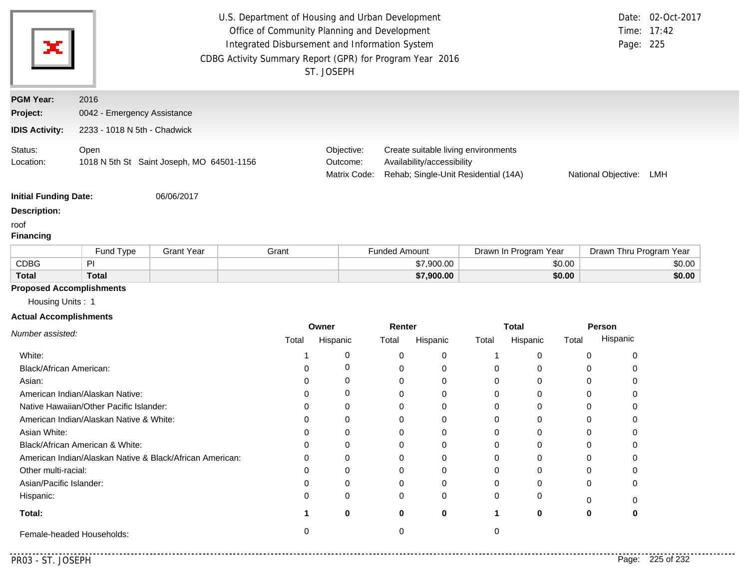|                                                     |                                                          |                                           | U.S. Department of Housing and Urban Development<br>Office of Community Planning and Development<br>Integrated Disbursement and Information System<br>CDBG Activity Summary Report (GPR) for Program Year 2016 | ST. JOSEPH                             |                      |                            |                                                                             |                       |                     | Page: 225 | Date: 02-Oct-2017<br>Time: 17:42 |
|-----------------------------------------------------|----------------------------------------------------------|-------------------------------------------|----------------------------------------------------------------------------------------------------------------------------------------------------------------------------------------------------------------|----------------------------------------|----------------------|----------------------------|-----------------------------------------------------------------------------|-----------------------|---------------------|-----------|----------------------------------|
| <b>PGM Year:</b>                                    | 2016                                                     |                                           |                                                                                                                                                                                                                |                                        |                      |                            |                                                                             |                       |                     |           |                                  |
| Project:                                            | 0042 - Emergency Assistance                              |                                           |                                                                                                                                                                                                                |                                        |                      |                            |                                                                             |                       |                     |           |                                  |
| <b>IDIS Activity:</b>                               | 2233 - 1018 N 5th - Chadwick                             |                                           |                                                                                                                                                                                                                |                                        |                      |                            |                                                                             |                       |                     |           |                                  |
| Status:<br>Location:                                | Open                                                     | 1018 N 5th St Saint Joseph, MO 64501-1156 |                                                                                                                                                                                                                | Objective:<br>Outcome:<br>Matrix Code: |                      | Availability/accessibility | Create suitable living environments<br>Rehab; Single-Unit Residential (14A) |                       | National Objective: |           | LMH                              |
| <b>Initial Funding Date:</b>                        |                                                          | 06/06/2017                                |                                                                                                                                                                                                                |                                        |                      |                            |                                                                             |                       |                     |           |                                  |
| <b>Description:</b><br>roof<br><b>Financing</b>     |                                                          |                                           |                                                                                                                                                                                                                |                                        |                      |                            |                                                                             |                       |                     |           |                                  |
|                                                     | Fund Type                                                | <b>Grant Year</b>                         | Grant                                                                                                                                                                                                          |                                        | <b>Funded Amount</b> |                            |                                                                             | Drawn In Program Year |                     |           | Drawn Thru Program Year          |
| <b>CDBG</b>                                         | P <sub>1</sub>                                           |                                           |                                                                                                                                                                                                                |                                        |                      | \$7,900.00                 |                                                                             | \$0.00                |                     |           | \$0.00                           |
| <b>Total</b>                                        | <b>Total</b>                                             |                                           |                                                                                                                                                                                                                |                                        |                      | \$7,900.00                 |                                                                             | \$0.00                |                     |           | \$0.00                           |
| <b>Proposed Accomplishments</b><br>Housing Units: 1 |                                                          |                                           |                                                                                                                                                                                                                |                                        |                      |                            |                                                                             |                       |                     |           |                                  |
| <b>Actual Accomplishments</b>                       |                                                          |                                           |                                                                                                                                                                                                                |                                        |                      |                            |                                                                             |                       |                     |           |                                  |
| Number assisted:                                    |                                                          |                                           | Total                                                                                                                                                                                                          | Owner<br>Hispanic                      | Renter<br>Total      | Hispanic                   | <b>Total</b><br>Total                                                       | Hispanic              | Person<br>Total     | Hispanic  |                                  |
| White:                                              |                                                          |                                           | -1                                                                                                                                                                                                             | 0                                      | 0                    | 0                          | 1                                                                           | 0                     | 0                   | 0         |                                  |
| Black/African American:                             |                                                          |                                           | 0                                                                                                                                                                                                              | 0                                      | 0                    | 0                          | 0                                                                           | 0                     | 0                   | 0         |                                  |
| Asian:                                              |                                                          |                                           | 0                                                                                                                                                                                                              | 0                                      | 0                    | 0                          | 0                                                                           | 0                     | 0                   | 0         |                                  |
|                                                     | American Indian/Alaskan Native:                          |                                           | 0                                                                                                                                                                                                              | 0                                      | 0                    | 0                          | 0                                                                           | 0                     | 0                   | 0         |                                  |
|                                                     | Native Hawaiian/Other Pacific Islander:                  |                                           | 0                                                                                                                                                                                                              | 0                                      | 0                    | 0                          | 0                                                                           | 0                     | 0                   | 0         |                                  |
|                                                     | American Indian/Alaskan Native & White:                  |                                           | 0                                                                                                                                                                                                              | 0                                      | 0                    | 0                          | 0                                                                           | 0                     | 0                   | 0         |                                  |
| Asian White:                                        |                                                          |                                           | $\Omega$                                                                                                                                                                                                       | 0                                      | $\Omega$             | $\Omega$                   | 0                                                                           | 0                     | $\mathbf 0$         | 0         |                                  |
|                                                     | Black/African American & White:                          |                                           | 0                                                                                                                                                                                                              | 0                                      | 0                    | 0                          | 0                                                                           | 0                     | 0                   | 0         |                                  |
|                                                     | American Indian/Alaskan Native & Black/African American: |                                           | 0                                                                                                                                                                                                              | 0                                      | 0                    | 0                          | 0                                                                           | 0                     | 0                   | 0         |                                  |
| Other multi-racial:                                 |                                                          |                                           | 0                                                                                                                                                                                                              | 0                                      | 0                    | 0                          | 0                                                                           | 0                     | 0                   | 0         |                                  |
| Asian/Pacific Islander:                             |                                                          |                                           | 0                                                                                                                                                                                                              | 0                                      | 0                    | 0                          | 0                                                                           | 0                     | 0                   | 0         |                                  |
| Hispanic:                                           |                                                          |                                           | 0                                                                                                                                                                                                              | 0                                      | 0                    | 0                          | 0                                                                           | 0                     | 0                   | 0         |                                  |
| Total:                                              |                                                          |                                           | 1                                                                                                                                                                                                              | 0                                      | 0                    | 0                          | 1                                                                           | 0                     | 0                   | 0         |                                  |
|                                                     | Female-headed Households:                                |                                           | 0                                                                                                                                                                                                              |                                        | 0                    |                            | 0                                                                           |                       |                     |           |                                  |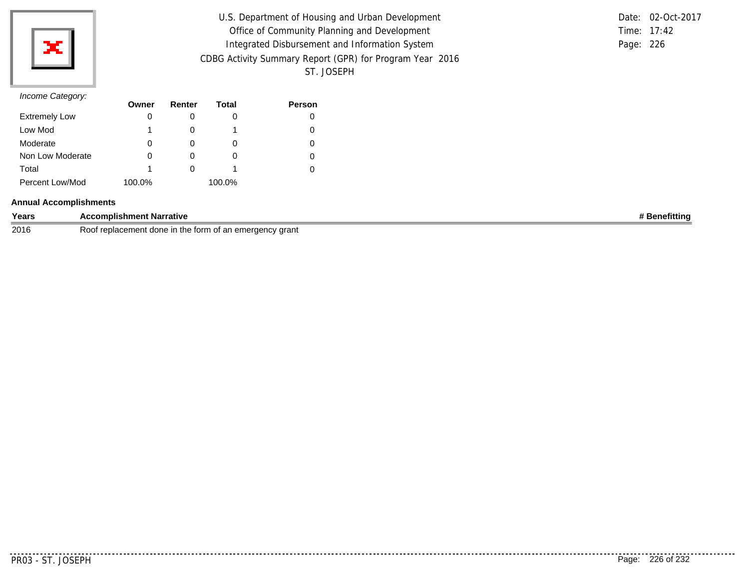

| U.S. Department of Housing and Urban Development         |           | Date: 02-Oct-2017 |
|----------------------------------------------------------|-----------|-------------------|
|                                                          |           |                   |
| Office of Community Planning and Development             |           | Time: 17:42       |
| Integrated Disbursement and Information System           | Page: 226 |                   |
| CDBG Activity Summary Report (GPR) for Program Year 2016 |           |                   |
| ST. JOSEPH                                               |           |                   |

|           | Date: 02-Oct-2017 |
|-----------|-------------------|
|           | Time: $17:42$     |
| Page: 226 |                   |

# *Income Category:*

|                      | Owner  | Renter | Total  | <b>Person</b> |
|----------------------|--------|--------|--------|---------------|
| <b>Extremely Low</b> |        |        | O      |               |
| Low Mod              |        |        |        |               |
| Moderate             | 0      |        | O      |               |
| Non Low Moderate     |        |        | O      |               |
| Total                |        |        |        |               |
| Percent Low/Mod      | 100.0% |        | 100.0% |               |

## **Annual Accomplishments**

| Years | t Narrative<br><b>≅∩mplishment</b><br>$\cdots$                         | tittinc |
|-------|------------------------------------------------------------------------|---------|
| 2016  | emergency grant<br>replacement done<br>ROO<br>. in the form or<br>. ar |         |

 $- - - - - - - -$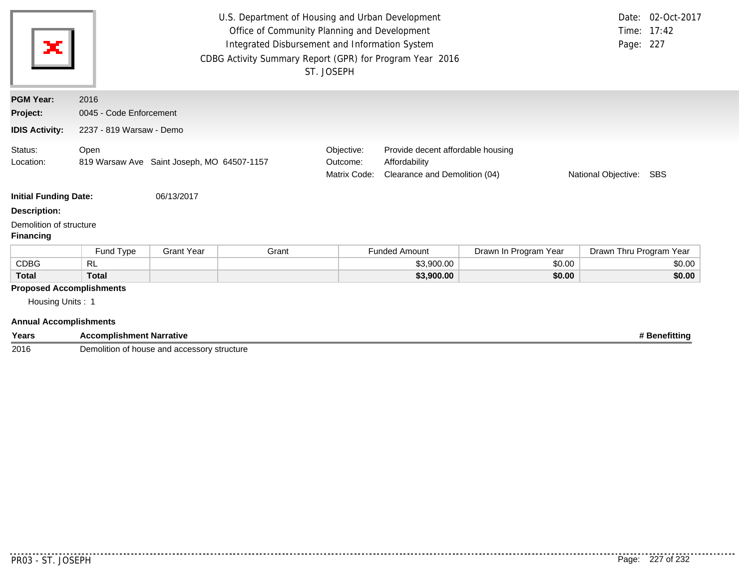| ×                                                                                    |                                                    |                   | U.S. Department of Housing and Urban Development<br>Office of Community Planning and Development<br>Integrated Disbursement and Information System<br>CDBG Activity Summary Report (GPR) for Program Year 2016 | ST. JOSEPH                             |                                                                                                                   |                       | Page: 227               | Date: 02-Oct-2017<br>Time: 17:42 |
|--------------------------------------------------------------------------------------|----------------------------------------------------|-------------------|----------------------------------------------------------------------------------------------------------------------------------------------------------------------------------------------------------------|----------------------------------------|-------------------------------------------------------------------------------------------------------------------|-----------------------|-------------------------|----------------------------------|
| <b>PGM Year:</b>                                                                     | 2016                                               |                   |                                                                                                                                                                                                                |                                        |                                                                                                                   |                       |                         |                                  |
| Project:                                                                             | 0045 - Code Enforcement                            |                   |                                                                                                                                                                                                                |                                        |                                                                                                                   |                       |                         |                                  |
| <b>IDIS Activity:</b>                                                                | 2237 - 819 Warsaw - Demo                           |                   |                                                                                                                                                                                                                |                                        |                                                                                                                   |                       |                         |                                  |
| Status:<br>Location:                                                                 | Open<br>819 Warsaw Ave Saint Joseph, MO 64507-1157 |                   |                                                                                                                                                                                                                | Objective:<br>Outcome:<br>Matrix Code: | Provide decent affordable housing<br>Affordability<br>Clearance and Demolition (04)<br>National Objective:<br>SBS |                       |                         |                                  |
| <b>Initial Funding Date:</b>                                                         |                                                    | 06/13/2017        |                                                                                                                                                                                                                |                                        |                                                                                                                   |                       |                         |                                  |
| <b>Description:</b>                                                                  |                                                    |                   |                                                                                                                                                                                                                |                                        |                                                                                                                   |                       |                         |                                  |
| Demolition of structure<br><b>Financing</b>                                          |                                                    |                   |                                                                                                                                                                                                                |                                        |                                                                                                                   |                       |                         |                                  |
|                                                                                      | Fund Type                                          | <b>Grant Year</b> | Grant                                                                                                                                                                                                          |                                        | <b>Funded Amount</b>                                                                                              | Drawn In Program Year | Drawn Thru Program Year |                                  |
| <b>CDBG</b>                                                                          | <b>RL</b>                                          |                   |                                                                                                                                                                                                                |                                        | \$3,900.00                                                                                                        | \$0.00                |                         | \$0.00                           |
| <b>Total</b>                                                                         | <b>Total</b>                                       |                   |                                                                                                                                                                                                                |                                        | \$3,900.00                                                                                                        | \$0.00                |                         | \$0.00                           |
| <b>Proposed Accomplishments</b><br>Housing Units: 1<br><b>Annual Accomplishments</b> |                                                    |                   |                                                                                                                                                                                                                |                                        |                                                                                                                   |                       |                         |                                  |

| Years | <b>Accomplishment Narrative</b>             | enefittina |
|-------|---------------------------------------------|------------|
| 2016  | Demolition of house and accessory structure |            |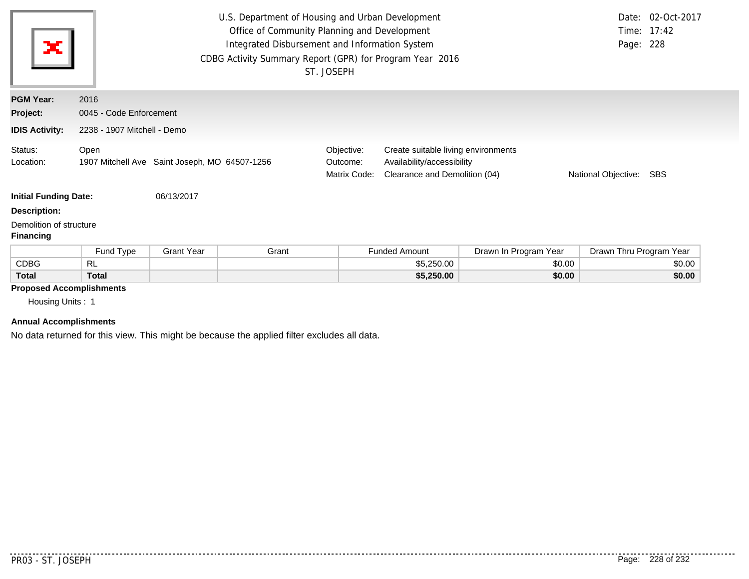| ×                                           | U.S. Department of Housing and Urban Development<br>Office of Community Planning and Development<br>Integrated Disbursement and Information System<br>Page: 228<br>CDBG Activity Summary Report (GPR) for Program Year 2016<br>ST. JOSEPH |                         |       |                                        |                                                                                                    |                       | Date: 02-Oct-2017<br>Time: 17:42 |        |
|---------------------------------------------|-------------------------------------------------------------------------------------------------------------------------------------------------------------------------------------------------------------------------------------------|-------------------------|-------|----------------------------------------|----------------------------------------------------------------------------------------------------|-----------------------|----------------------------------|--------|
| <b>PGM Year:</b>                            | 2016                                                                                                                                                                                                                                      |                         |       |                                        |                                                                                                    |                       |                                  |        |
| Project:                                    |                                                                                                                                                                                                                                           | 0045 - Code Enforcement |       |                                        |                                                                                                    |                       |                                  |        |
| <b>IDIS Activity:</b>                       | 2238 - 1907 Mitchell - Demo                                                                                                                                                                                                               |                         |       |                                        |                                                                                                    |                       |                                  |        |
| Status:<br>Location:                        | Open<br>1907 Mitchell Ave Saint Joseph, MO 64507-1256                                                                                                                                                                                     |                         |       | Objective:<br>Outcome:<br>Matrix Code: | Create suitable living environments<br>Availability/accessibility<br>Clearance and Demolition (04) |                       | National Objective:              | SBS    |
| <b>Initial Funding Date:</b>                |                                                                                                                                                                                                                                           | 06/13/2017              |       |                                        |                                                                                                    |                       |                                  |        |
| <b>Description:</b>                         |                                                                                                                                                                                                                                           |                         |       |                                        |                                                                                                    |                       |                                  |        |
| Demolition of structure<br><b>Financing</b> |                                                                                                                                                                                                                                           |                         |       |                                        |                                                                                                    |                       |                                  |        |
|                                             | Fund Type                                                                                                                                                                                                                                 | <b>Grant Year</b>       | Grant |                                        | <b>Funded Amount</b>                                                                               | Drawn In Program Year | Drawn Thru Program Year          |        |
| <b>CDBG</b>                                 | <b>RL</b>                                                                                                                                                                                                                                 |                         |       |                                        | \$5,250.00                                                                                         | \$0.00                |                                  | \$0.00 |
| <b>Total</b>                                | <b>Total</b>                                                                                                                                                                                                                              |                         |       |                                        | \$5,250.00                                                                                         | \$0.00                |                                  | \$0.00 |

# **Proposed Accomplishments**

Housing Units : 1

## **Annual Accomplishments**

No data returned for this view. This might be because the applied filter excludes all data.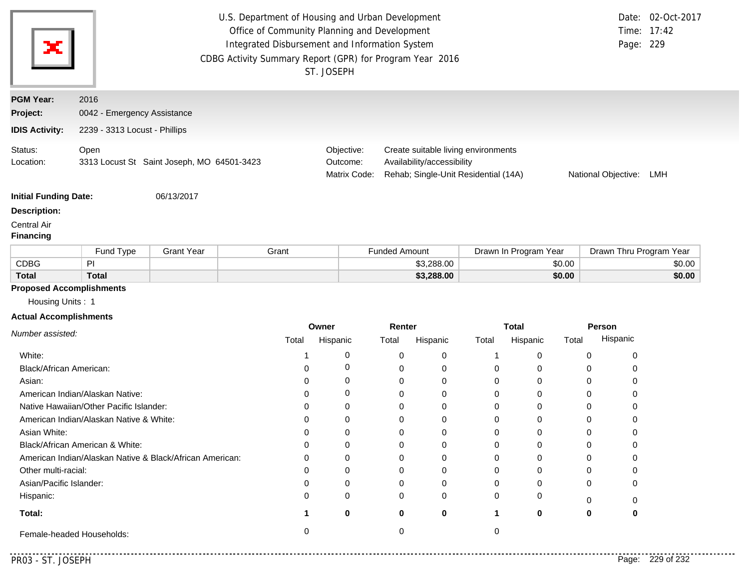|                                                        | U.S. Department of Housing and Urban Development<br>Date: 02-Oct-2017<br>Office of Community Planning and Development<br>Time: 17:42<br>Integrated Disbursement and Information System<br>Page: 229<br>CDBG Activity Summary Report (GPR) for Program Year 2016<br>ST. JOSEPH |                                            |               |               |                      |                            |                                                                             |                       |        |                         |        |
|--------------------------------------------------------|-------------------------------------------------------------------------------------------------------------------------------------------------------------------------------------------------------------------------------------------------------------------------------|--------------------------------------------|---------------|---------------|----------------------|----------------------------|-----------------------------------------------------------------------------|-----------------------|--------|-------------------------|--------|
| <b>PGM Year:</b>                                       | 2016                                                                                                                                                                                                                                                                          |                                            |               |               |                      |                            |                                                                             |                       |        |                         |        |
| Project:                                               | 0042 - Emergency Assistance                                                                                                                                                                                                                                                   |                                            |               |               |                      |                            |                                                                             |                       |        |                         |        |
| <b>IDIS Activity:</b>                                  | 2239 - 3313 Locust - Phillips                                                                                                                                                                                                                                                 |                                            |               |               |                      |                            |                                                                             |                       |        |                         |        |
| Status:<br>Location:                                   | Open                                                                                                                                                                                                                                                                          | 3313 Locust St Saint Joseph, MO 64501-3423 |               |               |                      | Availability/accessibility | Create suitable living environments<br>Rehab; Single-Unit Residential (14A) |                       |        | National Objective:     | LMH    |
| <b>Initial Funding Date:</b>                           |                                                                                                                                                                                                                                                                               | 06/13/2017                                 |               |               |                      |                            |                                                                             |                       |        |                         |        |
| <b>Description:</b><br>Central Air<br><b>Financing</b> |                                                                                                                                                                                                                                                                               |                                            |               |               |                      |                            |                                                                             |                       |        |                         |        |
|                                                        | Fund Type                                                                                                                                                                                                                                                                     | <b>Grant Year</b>                          | Grant         |               | <b>Funded Amount</b> |                            |                                                                             | Drawn In Program Year |        | Drawn Thru Program Year |        |
| <b>CDBG</b>                                            | PI                                                                                                                                                                                                                                                                            |                                            |               |               |                      | \$3,288.00                 |                                                                             |                       | \$0.00 |                         | \$0.00 |
| <b>Total</b>                                           | <b>Total</b>                                                                                                                                                                                                                                                                  |                                            |               |               |                      | \$3,288.00                 |                                                                             |                       | \$0.00 |                         | \$0.00 |
| <b>Proposed Accomplishments</b>                        |                                                                                                                                                                                                                                                                               |                                            |               |               |                      |                            |                                                                             |                       |        |                         |        |
| Housing Units: 1                                       |                                                                                                                                                                                                                                                                               |                                            |               |               |                      |                            |                                                                             |                       |        |                         |        |
| <b>Actual Accomplishments</b>                          |                                                                                                                                                                                                                                                                               |                                            |               |               |                      |                            |                                                                             |                       |        |                         |        |
| Number assisted:                                       |                                                                                                                                                                                                                                                                               |                                            |               | Owner         | Renter               |                            |                                                                             | <b>Total</b>          |        | Person                  |        |
|                                                        |                                                                                                                                                                                                                                                                               |                                            | Total         | Hispanic      | Total                | Hispanic                   | Total                                                                       | Hispanic              | Total  | Hispanic                |        |
| White:                                                 |                                                                                                                                                                                                                                                                               |                                            | 1             | 0             | 0                    | 0                          | 1                                                                           | 0                     |        | 0<br>0                  |        |
| Black/African American:                                |                                                                                                                                                                                                                                                                               |                                            | 0             | 0             | 0                    | 0                          | 0                                                                           | 0                     |        | 0<br>0                  |        |
| Asian:                                                 |                                                                                                                                                                                                                                                                               |                                            | 0             | 0             | 0                    | 0                          | 0                                                                           | 0                     |        | 0<br>0                  |        |
|                                                        | American Indian/Alaskan Native:                                                                                                                                                                                                                                               |                                            | 0             | 0             | 0                    | 0                          | 0                                                                           | 0                     |        | 0<br>0                  |        |
|                                                        | Native Hawaiian/Other Pacific Islander:                                                                                                                                                                                                                                       |                                            | 0             | 0             | 0                    | 0                          | 0                                                                           | 0                     |        | 0<br>0                  |        |
| Asian White:                                           | American Indian/Alaskan Native & White:                                                                                                                                                                                                                                       |                                            | 0<br>$\Omega$ | 0<br>$\Omega$ | 0<br>0               | 0<br>$\Omega$              | 0<br>0                                                                      | 0<br>0                |        | 0<br>0<br>0<br>$\Omega$ |        |
|                                                        | Black/African American & White:                                                                                                                                                                                                                                               |                                            | 0             | 0             | 0                    | 0                          | 0                                                                           | 0                     |        | 0<br>0                  |        |
|                                                        |                                                                                                                                                                                                                                                                               |                                            | 0             | 0             | 0                    | 0                          | 0                                                                           | 0                     |        | 0<br>0                  |        |
|                                                        | American Indian/Alaskan Native & Black/African American:                                                                                                                                                                                                                      |                                            |               |               |                      |                            |                                                                             |                       |        |                         |        |
| Other multi-racial:                                    |                                                                                                                                                                                                                                                                               |                                            |               |               |                      |                            |                                                                             |                       |        |                         |        |
|                                                        |                                                                                                                                                                                                                                                                               |                                            | 0<br>0        | 0<br>0        | 0                    | 0<br>0                     | 0                                                                           | 0<br>0                |        | 0<br>0<br>0             |        |
| Asian/Pacific Islander:                                |                                                                                                                                                                                                                                                                               |                                            | 0             | 0             | 0<br>0               | 0                          | 0<br>0                                                                      | 0                     |        | 0                       |        |
| Hispanic:<br>Total:                                    |                                                                                                                                                                                                                                                                               |                                            | 1             | 0             | $\bf{0}$             | 0                          | 1                                                                           | 0                     |        | 0<br>0<br>0<br>0        |        |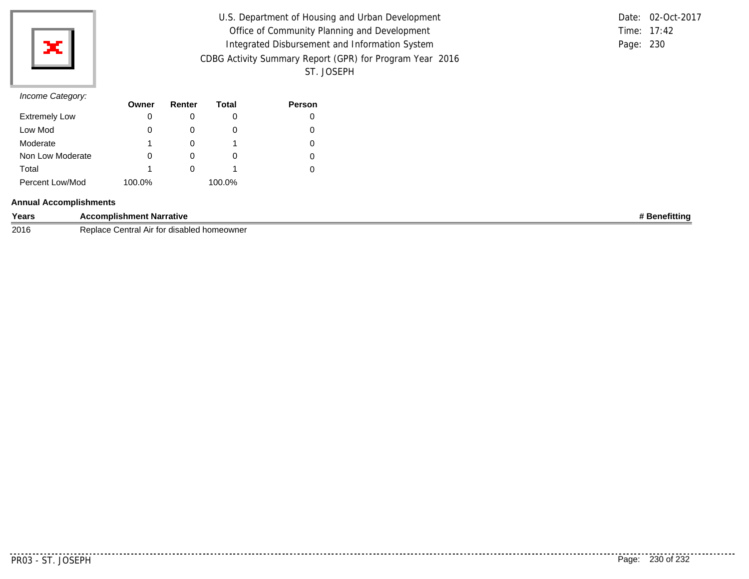

| U.S. Department of Housing and Urban Development         |           | Date: 02-Oct-2017 |
|----------------------------------------------------------|-----------|-------------------|
|                                                          |           |                   |
| Office of Community Planning and Development             |           | Time: 17:42       |
| Integrated Disbursement and Information System           | Page: 230 |                   |
| CDBG Activity Summary Report (GPR) for Program Year 2016 |           |                   |
| ST. JOSEPH                                               |           |                   |

## *Income Category:*

| $11001110$ catogory. | Owner  | Renter   | Total  | <b>Person</b> |
|----------------------|--------|----------|--------|---------------|
| <b>Extremely Low</b> | 0      |          |        |               |
| Low Mod              | 0      | $\Omega$ | O      |               |
| Moderate             |        |          |        |               |
| Non Low Moderate     | 0      | O        | O      |               |
| Total                |        |          |        |               |
| Percent Low/Mod      | 100.0% |          | 100.0% |               |

## **Annual Accomplishments**

| Years | <b>Accomplishment Narrative</b>                      | : Benefittino |
|-------|------------------------------------------------------|---------------|
| 2016  | Replace<br>' entral ت<br>∵ for<br>disabled homeowner |               |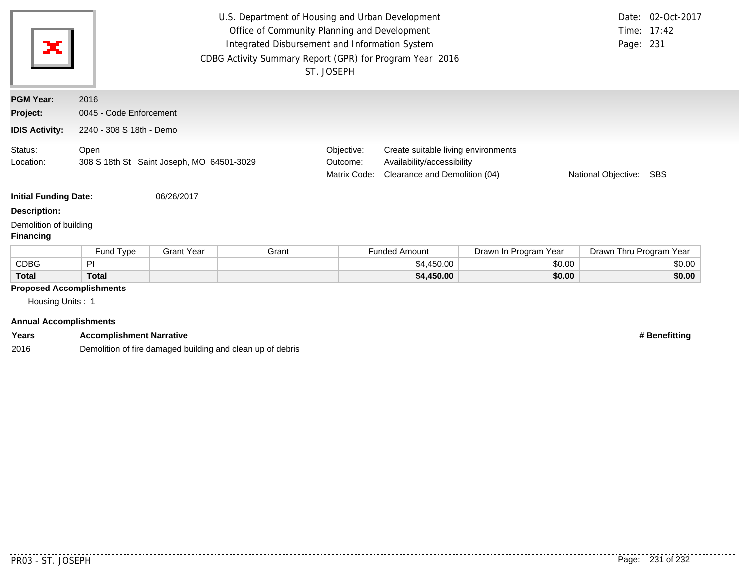| ×                                                                                    | U.S. Department of Housing and Urban Development<br>Office of Community Planning and Development<br>Integrated Disbursement and Information System<br>CDBG Activity Summary Report (GPR) for Program Year 2016<br>ST. JOSEPH |                   |       |                                        |                                                                                                                               | Page: 231             | Date: 02-Oct-2017<br>Time: 17:42 |        |
|--------------------------------------------------------------------------------------|------------------------------------------------------------------------------------------------------------------------------------------------------------------------------------------------------------------------------|-------------------|-------|----------------------------------------|-------------------------------------------------------------------------------------------------------------------------------|-----------------------|----------------------------------|--------|
| <b>PGM Year:</b>                                                                     | 2016                                                                                                                                                                                                                         |                   |       |                                        |                                                                                                                               |                       |                                  |        |
| Project:                                                                             | 0045 - Code Enforcement                                                                                                                                                                                                      |                   |       |                                        |                                                                                                                               |                       |                                  |        |
| <b>IDIS Activity:</b>                                                                | 2240 - 308 S 18th - Demo                                                                                                                                                                                                     |                   |       |                                        |                                                                                                                               |                       |                                  |        |
| Status:<br>Location:                                                                 | Open<br>308 S 18th St Saint Joseph, MO 64501-3029                                                                                                                                                                            |                   |       | Objective:<br>Outcome:<br>Matrix Code: | Create suitable living environments<br>Availability/accessibility<br>Clearance and Demolition (04)<br>National Objective: SBS |                       |                                  |        |
| <b>Initial Funding Date:</b>                                                         |                                                                                                                                                                                                                              | 06/26/2017        |       |                                        |                                                                                                                               |                       |                                  |        |
| <b>Description:</b>                                                                  |                                                                                                                                                                                                                              |                   |       |                                        |                                                                                                                               |                       |                                  |        |
| Demolition of building<br><b>Financing</b>                                           |                                                                                                                                                                                                                              |                   |       |                                        |                                                                                                                               |                       |                                  |        |
|                                                                                      | Fund Type                                                                                                                                                                                                                    | <b>Grant Year</b> | Grant |                                        | <b>Funded Amount</b>                                                                                                          | Drawn In Program Year | Drawn Thru Program Year          |        |
| <b>CDBG</b>                                                                          | PI                                                                                                                                                                                                                           |                   |       |                                        | \$4,450.00                                                                                                                    | \$0.00                |                                  | \$0.00 |
| <b>Total</b>                                                                         | <b>Total</b>                                                                                                                                                                                                                 |                   |       |                                        | \$4,450.00                                                                                                                    | \$0.00                |                                  | \$0.00 |
| <b>Proposed Accomplishments</b><br>Housing Units: 1<br><b>Annual Accomplishments</b> |                                                                                                                                                                                                                              |                   |       |                                        |                                                                                                                               |                       |                                  |        |

| Years | <b>Accomplishment Narrative</b>                                     | <b>\enefittinc</b> |
|-------|---------------------------------------------------------------------|--------------------|
| 2016  | Demolition<br>e damaged building and clean up of debris<br>∩ tire i |                    |

 $\frac{1}{2}$